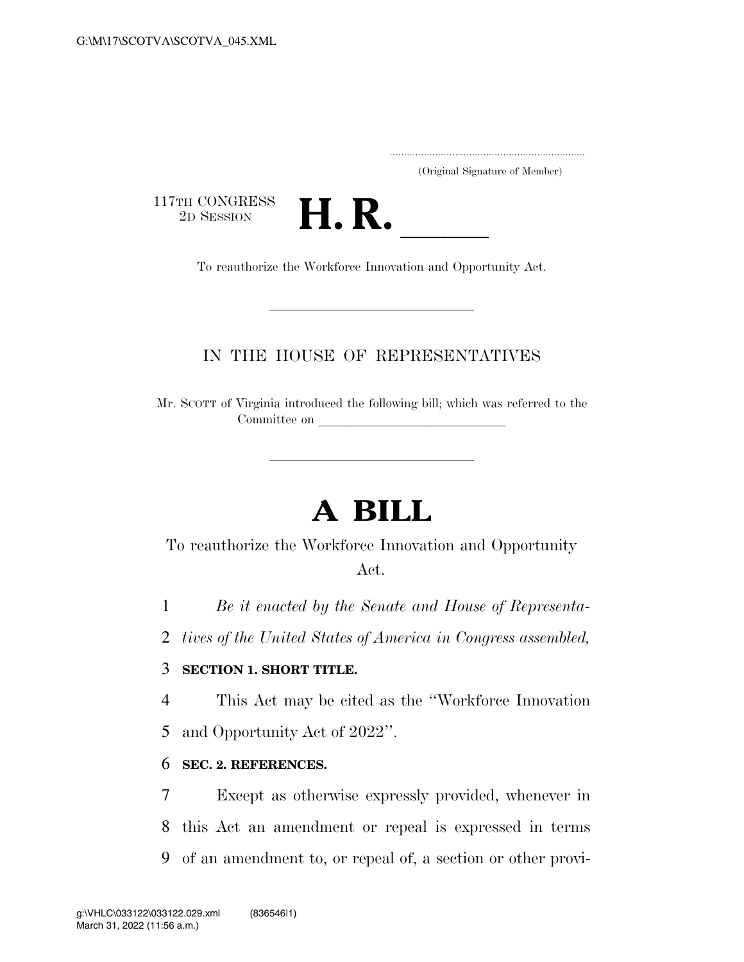(Original Signature of Member)

117TH CONGRESS<br>2D SESSION



## IN THE HOUSE OF REPRESENTATIVES

Mr. SCOTT of Virginia introduced the following bill; which was referred to the Committee on

# **A BILL**

To reauthorize the Workforce Innovation and Opportunity Act.

1 *Be it enacted by the Senate and House of Representa-*

2 *tives of the United States of America in Congress assembled,* 

## 3 **SECTION 1. SHORT TITLE.**

4 This Act may be cited as the ''Workforce Innovation 5 and Opportunity Act of 2022''.

## 6 **SEC. 2. REFERENCES.**

7 Except as otherwise expressly provided, whenever in 8 this Act an amendment or repeal is expressed in terms 9 of an amendment to, or repeal of, a section or other provi-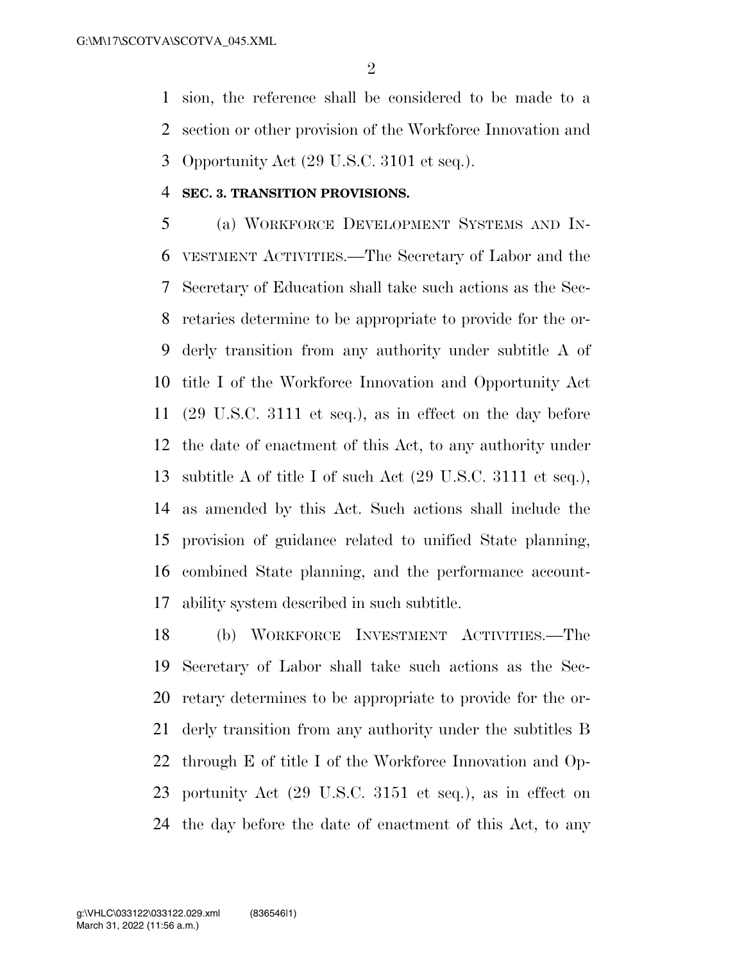sion, the reference shall be considered to be made to a section or other provision of the Workforce Innovation and Opportunity Act (29 U.S.C. 3101 et seq.).

### **SEC. 3. TRANSITION PROVISIONS.**

 (a) WORKFORCE DEVELOPMENT SYSTEMS AND IN- VESTMENT ACTIVITIES.—The Secretary of Labor and the Secretary of Education shall take such actions as the Sec- retaries determine to be appropriate to provide for the or- derly transition from any authority under subtitle A of title I of the Workforce Innovation and Opportunity Act (29 U.S.C. 3111 et seq.), as in effect on the day before the date of enactment of this Act, to any authority under subtitle A of title I of such Act (29 U.S.C. 3111 et seq.), as amended by this Act. Such actions shall include the provision of guidance related to unified State planning, combined State planning, and the performance account-ability system described in such subtitle.

 (b) WORKFORCE INVESTMENT ACTIVITIES.—The Secretary of Labor shall take such actions as the Sec- retary determines to be appropriate to provide for the or- derly transition from any authority under the subtitles B through E of title I of the Workforce Innovation and Op- portunity Act (29 U.S.C. 3151 et seq.), as in effect on the day before the date of enactment of this Act, to any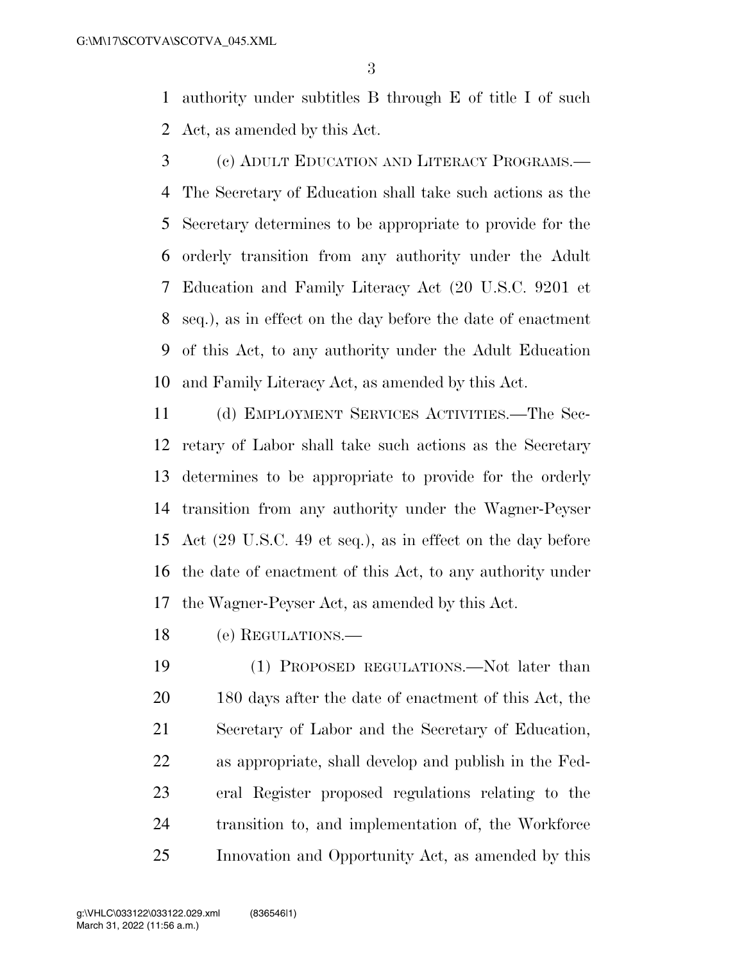authority under subtitles B through E of title I of such Act, as amended by this Act.

 (c) ADULT EDUCATION AND LITERACY PROGRAMS.— The Secretary of Education shall take such actions as the Secretary determines to be appropriate to provide for the orderly transition from any authority under the Adult Education and Family Literacy Act (20 U.S.C. 9201 et seq.), as in effect on the day before the date of enactment of this Act, to any authority under the Adult Education and Family Literacy Act, as amended by this Act.

 (d) EMPLOYMENT SERVICES ACTIVITIES.—The Sec- retary of Labor shall take such actions as the Secretary determines to be appropriate to provide for the orderly transition from any authority under the Wagner-Peyser Act (29 U.S.C. 49 et seq.), as in effect on the day before the date of enactment of this Act, to any authority under the Wagner-Peyser Act, as amended by this Act.

(e) REGULATIONS.—

 (1) PROPOSED REGULATIONS.—Not later than 20 180 days after the date of enactment of this Act, the Secretary of Labor and the Secretary of Education, as appropriate, shall develop and publish in the Fed- eral Register proposed regulations relating to the transition to, and implementation of, the Workforce Innovation and Opportunity Act, as amended by this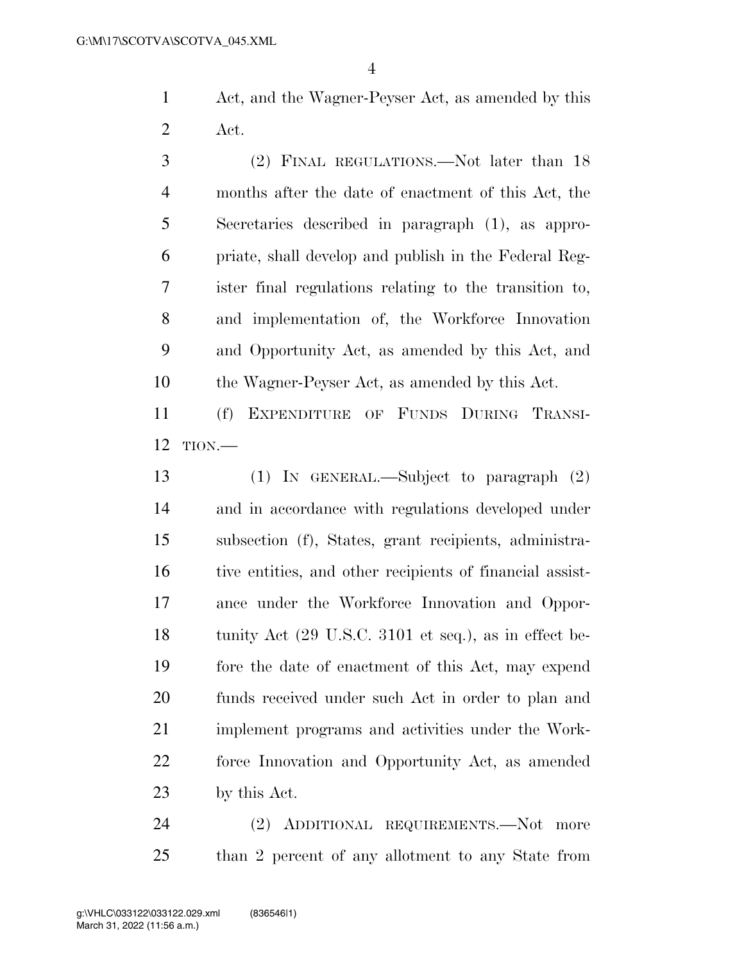Act, and the Wagner-Peyser Act, as amended by this Act.

 (2) FINAL REGULATIONS.—Not later than 18 months after the date of enactment of this Act, the Secretaries described in paragraph (1), as appro- priate, shall develop and publish in the Federal Reg- ister final regulations relating to the transition to, and implementation of, the Workforce Innovation and Opportunity Act, as amended by this Act, and the Wagner-Peyser Act, as amended by this Act.

 (f) EXPENDITURE OF FUNDS DURING TRANSI-TION.—

 (1) IN GENERAL.—Subject to paragraph (2) and in accordance with regulations developed under subsection (f), States, grant recipients, administra-16 tive entities, and other recipients of financial assist- ance under the Workforce Innovation and Oppor-18 tunity Act (29 U.S.C. 3101 et seq.), as in effect be- fore the date of enactment of this Act, may expend funds received under such Act in order to plan and implement programs and activities under the Work- force Innovation and Opportunity Act, as amended by this Act.

 (2) ADDITIONAL REQUIREMENTS.—Not more than 2 percent of any allotment to any State from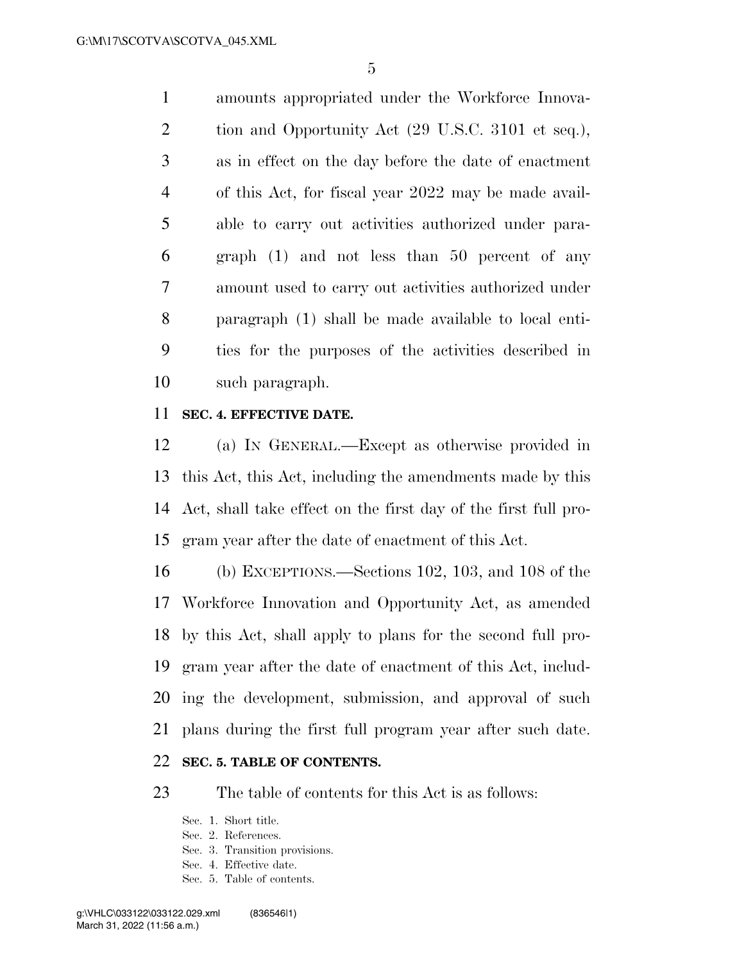amounts appropriated under the Workforce Innova-2 tion and Opportunity Act (29 U.S.C. 3101 et seq.), as in effect on the day before the date of enactment of this Act, for fiscal year 2022 may be made avail- able to carry out activities authorized under para- graph (1) and not less than 50 percent of any amount used to carry out activities authorized under paragraph (1) shall be made available to local enti- ties for the purposes of the activities described in such paragraph.

## **SEC. 4. EFFECTIVE DATE.**

 (a) IN GENERAL.—Except as otherwise provided in this Act, this Act, including the amendments made by this Act, shall take effect on the first day of the first full pro-gram year after the date of enactment of this Act.

 (b) EXCEPTIONS.—Sections 102, 103, and 108 of the Workforce Innovation and Opportunity Act, as amended by this Act, shall apply to plans for the second full pro- gram year after the date of enactment of this Act, includ- ing the development, submission, and approval of such plans during the first full program year after such date. **SEC. 5. TABLE OF CONTENTS.** 

## The table of contents for this Act is as follows:

- Sec. 1. Short title.
- Sec. 2. References.
- Sec. 3. Transition provisions.
- Sec. 4. Effective date.
- Sec. 5. Table of contents.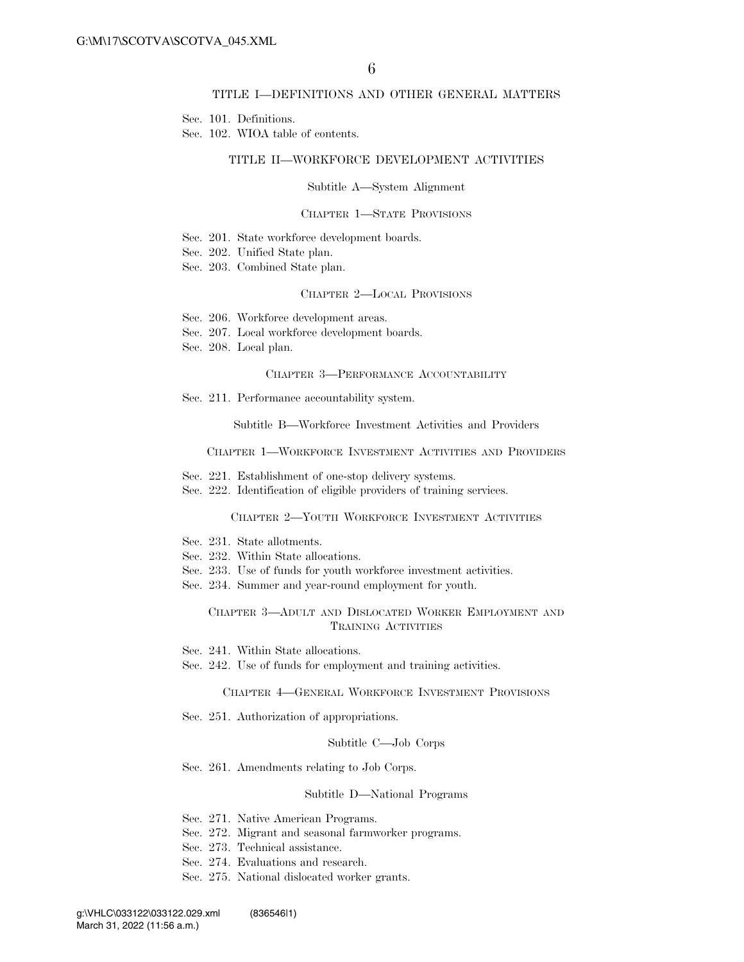#### TITLE I—DEFINITIONS AND OTHER GENERAL MATTERS

Sec. 101. Definitions.

Sec. 102. WIOA table of contents.

#### TITLE II—WORKFORCE DEVELOPMENT ACTIVITIES

Subtitle A—System Alignment

#### CHAPTER 1—STATE PROVISIONS

- Sec. 201. State workforce development boards.
- Sec. 202. Unified State plan.
- Sec. 203. Combined State plan.

#### CHAPTER 2—LOCAL PROVISIONS

- Sec. 206. Workforce development areas.
- Sec. 207. Local workforce development boards.
- Sec. 208. Local plan.

#### CHAPTER 3—PERFORMANCE ACCOUNTABILITY

Sec. 211. Performance accountability system.

Subtitle B—Workforce Investment Activities and Providers

#### CHAPTER 1—WORKFORCE INVESTMENT ACTIVITIES AND PROVIDERS

- Sec. 221. Establishment of one-stop delivery systems.
- Sec. 222. Identification of eligible providers of training services.

#### CHAPTER 2—YOUTH WORKFORCE INVESTMENT ACTIVITIES

- Sec. 231. State allotments.
- Sec. 232. Within State allocations.
- Sec. 233. Use of funds for youth workforce investment activities.
- Sec. 234. Summer and year-round employment for youth.

#### CHAPTER 3—ADULT AND DISLOCATED WORKER EMPLOYMENT AND TRAINING ACTIVITIES

- Sec. 241. Within State allocations.
- Sec. 242. Use of funds for employment and training activities.

#### CHAPTER 4—GENERAL WORKFORCE INVESTMENT PROVISIONS

Sec. 251. Authorization of appropriations.

#### Subtitle C—Job Corps

Sec. 261. Amendments relating to Job Corps.

#### Subtitle D—National Programs

- Sec. 271. Native American Programs.
- Sec. 272. Migrant and seasonal farmworker programs.
- Sec. 273. Technical assistance.
- Sec. 274. Evaluations and research.
- Sec. 275. National dislocated worker grants.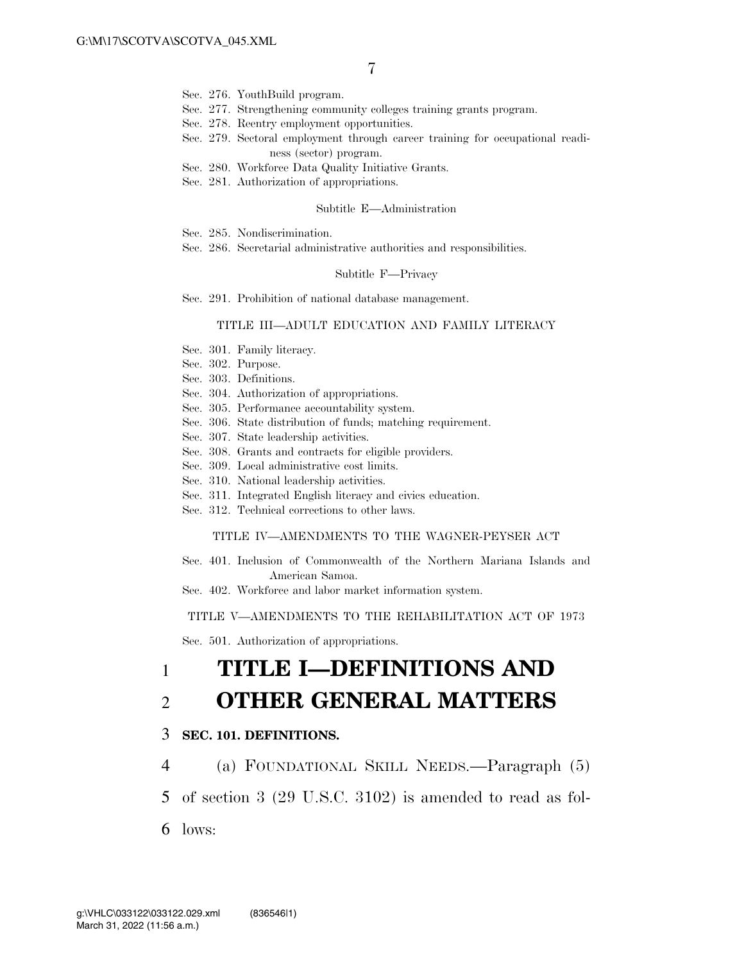- Sec. 276. YouthBuild program.
- Sec. 277. Strengthening community colleges training grants program.
- Sec. 278. Reentry employment opportunities.
- Sec. 279. Sectoral employment through career training for occupational readiness (sector) program.
- Sec. 280. Workforce Data Quality Initiative Grants.
- Sec. 281. Authorization of appropriations.

#### Subtitle E—Administration

- Sec. 285. Nondiscrimination.
- Sec. 286. Secretarial administrative authorities and responsibilities.

#### Subtitle F—Privacy

Sec. 291. Prohibition of national database management.

#### TITLE III—ADULT EDUCATION AND FAMILY LITERACY

- Sec. 301. Family literacy.
- Sec. 302. Purpose.
- Sec. 303. Definitions.
- Sec. 304. Authorization of appropriations.
- Sec. 305. Performance accountability system.
- Sec. 306. State distribution of funds; matching requirement.
- Sec. 307. State leadership activities.
- Sec. 308. Grants and contracts for eligible providers.
- Sec. 309. Local administrative cost limits.
- Sec. 310. National leadership activities.
- Sec. 311. Integrated English literacy and civics education.
- Sec. 312. Technical corrections to other laws.

#### TITLE IV—AMENDMENTS TO THE WAGNER-PEYSER ACT

- Sec. 401. Inclusion of Commonwealth of the Northern Mariana Islands and American Samoa.
- Sec. 402. Workforce and labor market information system.

TITLE V—AMENDMENTS TO THE REHABILITATION ACT OF 1973

Sec. 501. Authorization of appropriations.

## 1 **TITLE I—DEFINITIONS AND**  2 **OTHER GENERAL MATTERS**

#### 3 **SEC. 101. DEFINITIONS.**

4 (a) FOUNDATIONAL SKILL NEEDS.—Paragraph (5)

- 5 of section 3 (29 U.S.C. 3102) is amended to read as fol-
- 6 lows: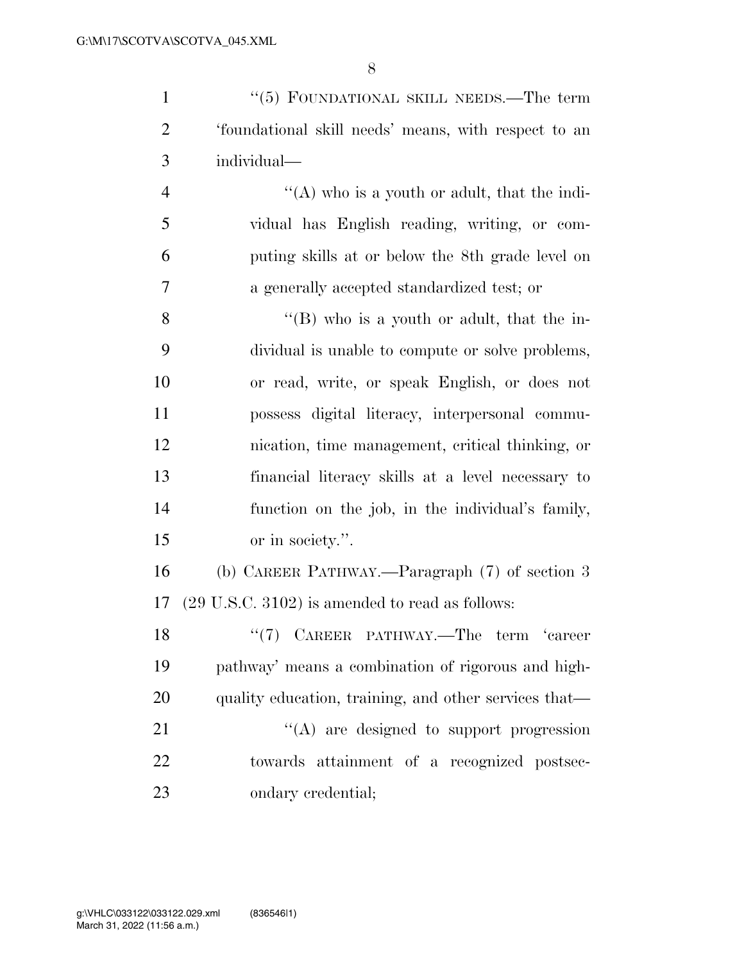1 ''(5) FOUNDATIONAL SKILL NEEDS.—The term 'foundational skill needs' means, with respect to an individual—

 $\mathcal{L}(\mathbf{A})$  who is a youth or adult, that the indi- vidual has English reading, writing, or com- puting skills at or below the 8th grade level on a generally accepted standardized test; or

 ''(B) who is a youth or adult, that the in- dividual is unable to compute or solve problems, or read, write, or speak English, or does not possess digital literacy, interpersonal commu- nication, time management, critical thinking, or financial literacy skills at a level necessary to function on the job, in the individual's family, or in society.''.

 (b) CAREER PATHWAY.—Paragraph (7) of section 3 (29 U.S.C. 3102) is amended to read as follows:

18 ''(7) CAREER PATHWAY.—The term 'career pathway' means a combination of rigorous and high-20 quality education, training, and other services that— 21 "(A) are designed to support progression towards attainment of a recognized postsec-ondary credential;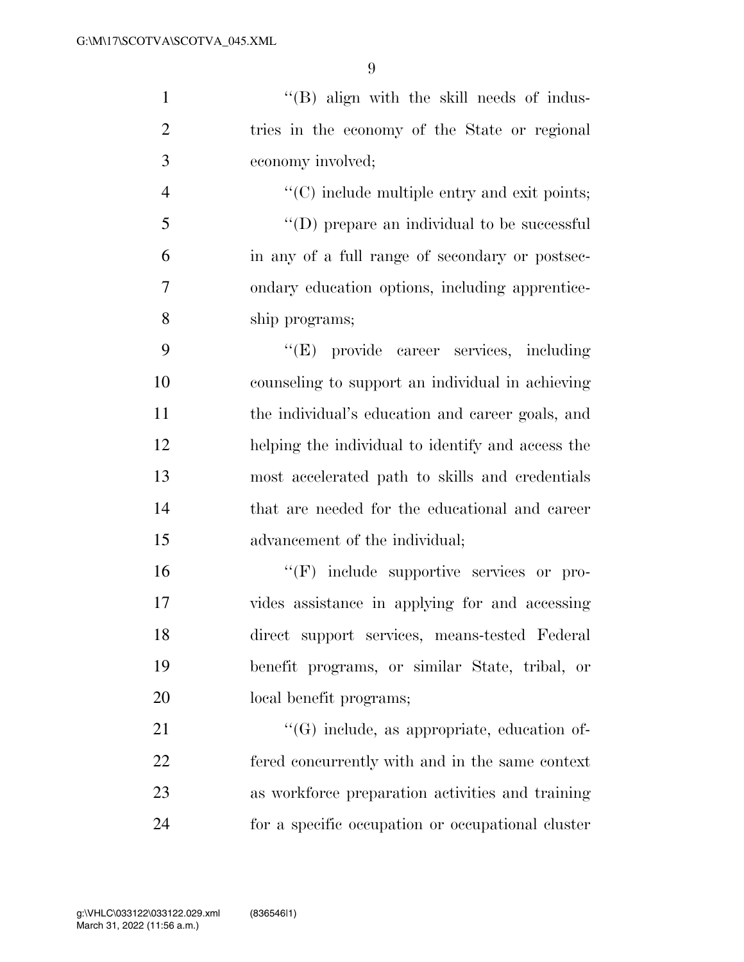| $\mathbf{1}$   | "(B) align with the skill needs of indus-           |
|----------------|-----------------------------------------------------|
| $\overline{2}$ | tries in the economy of the State or regional       |
| 3              | economy involved;                                   |
| $\overline{4}$ | $\cdot$ (C) include multiple entry and exit points; |
| 5              | $\lq\lq$ (D) prepare an individual to be successful |
| 6              | in any of a full range of secondary or postsec-     |
| 7              | ondary education options, including apprentice-     |
| 8              | ship programs;                                      |
| 9              | "(E) provide career services, including             |
| 10             | counseling to support an individual in achieving    |
| 11             | the individual's education and career goals, and    |
| 12             | helping the individual to identify and access the   |
| 13             | most accelerated path to skills and credentials     |
| 14             | that are needed for the educational and career      |
| 15             | advancement of the individual;                      |
| 16             | "(F) include supportive services or pro-            |
| 17             | vides assistance in applying for and accessing      |
| 18             | direct support services, means-tested Federal       |
| 19             | benefit programs, or similar State, tribal, or      |
| 20             | local benefit programs;                             |
| 21             | $\lq\lq(G)$ include, as appropriate, education of-  |
| 22             | fered concurrently with and in the same context     |
| 23             | as workforce preparation activities and training    |
|                |                                                     |

for a specific occupation or occupational cluster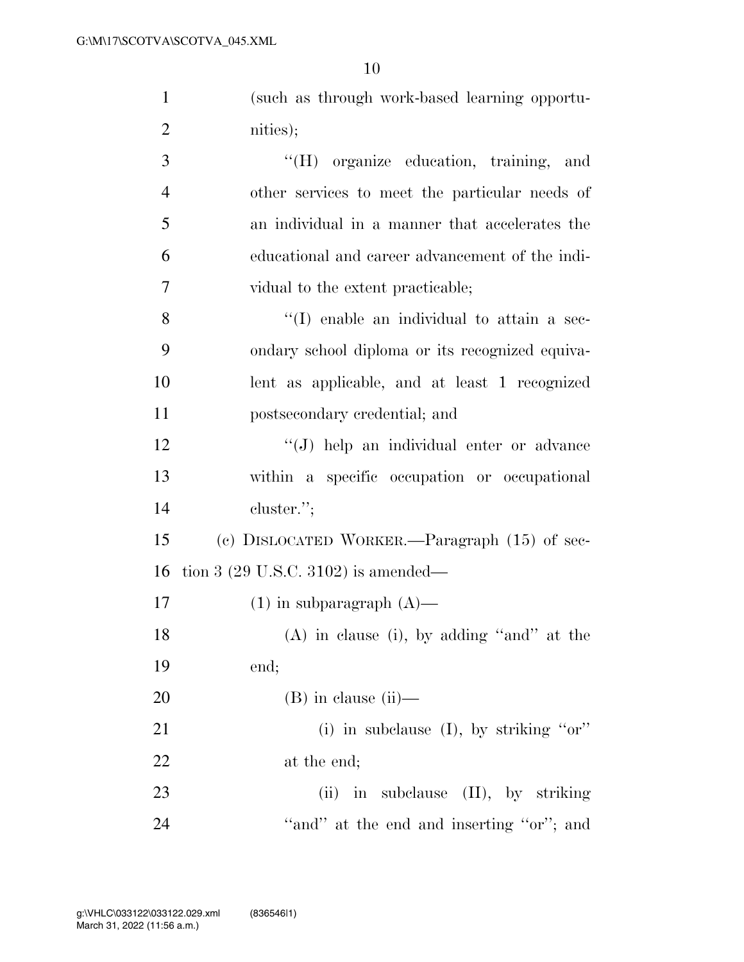| $\mathbf{1}$   | (such as through work-based learning opportu-   |
|----------------|-------------------------------------------------|
| $\overline{2}$ | nities);                                        |
| 3              | "(H) organize education, training,<br>and       |
| $\overline{4}$ | other services to meet the particular needs of  |
| 5              | an individual in a manner that accelerates the  |
| 6              | educational and career advancement of the indi- |
| $\overline{7}$ | vidual to the extent practicable;               |
| 8              | "(I) enable an individual to attain a sec-      |
| 9              | ondary school diploma or its recognized equiva- |
| 10             | lent as applicable, and at least 1 recognized   |
| 11             | postsecondary credential; and                   |
| 12             | $\lq\lq(J)$ help an individual enter or advance |
| 13             | within a specific occupation or occupational    |
| 14             | cluster.";                                      |
| 15             | (c) DISLOCATED WORKER.—Paragraph (15) of sec-   |
| 16             | tion 3 $(29 \text{ U.S.C. } 3102)$ is amended—  |
| 17             | $(1)$ in subparagraph $(A)$ —                   |
| 18             | (A) in clause (i), by adding "and" at the       |
| 19             | end;                                            |
| 20             | $(B)$ in clause $(ii)$ —                        |
| 21             | (i) in subclause (I), by striking " $or$ "      |
| 22             | at the end;                                     |
| 23             | (ii) in subclause (II), by striking             |
| 24             | "and" at the end and inserting "or"; and        |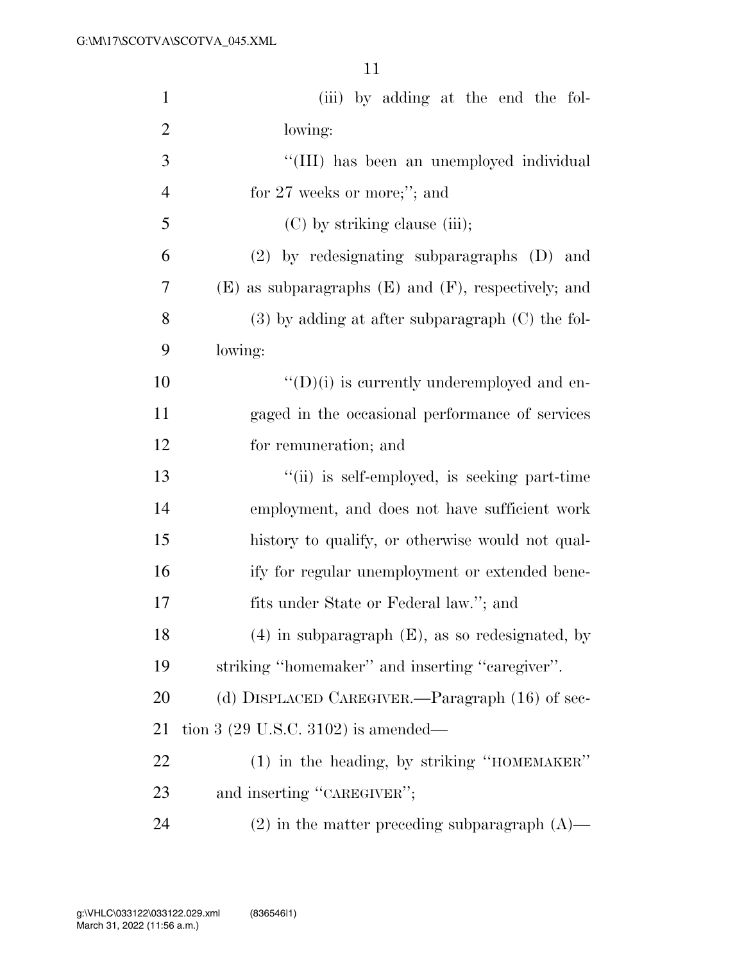| $\mathbf{1}$   | (iii) by adding at the end the fol-                        |
|----------------|------------------------------------------------------------|
| $\overline{2}$ | lowing:                                                    |
| 3              | "(III) has been an unemployed individual                   |
| $\overline{4}$ | for $27$ weeks or more;"; and                              |
| 5              | (C) by striking clause (iii);                              |
| 6              | $(2)$ by redesignating subparagraphs $(D)$ and             |
| 7              | $(E)$ as subparagraphs $(E)$ and $(F)$ , respectively; and |
| 8              | $(3)$ by adding at after subparagraph $(C)$ the fol-       |
| 9              | lowing:                                                    |
| 10             | $\lq\lq$ (D)(i) is currently underemployed and en-         |
| 11             | gaged in the occasional performance of services            |
| 12             | for remuneration; and                                      |
| 13             | "(ii) is self-employed, is seeking part-time               |
| 14             | employment, and does not have sufficient work              |
| 15             | history to qualify, or otherwise would not qual-           |
| 16             | ify for regular unemployment or extended bene-             |
| 17             | fits under State or Federal law."; and                     |
| 18             | $(4)$ in subparagraph $(E)$ , as so redesignated, by       |
| 19             | striking "homemaker" and inserting "caregiver".            |
| 20             | (d) DISPLACED CAREGIVER.—Paragraph (16) of sec-            |
| 21             | tion 3 $(29 \text{ U.S.C. } 3102)$ is amended—             |
| 22             | $(1)$ in the heading, by striking "HOMEMAKER"              |
| 23             | and inserting "CAREGIVER";                                 |
| 24             | $(2)$ in the matter preceding subparagraph $(A)$ —         |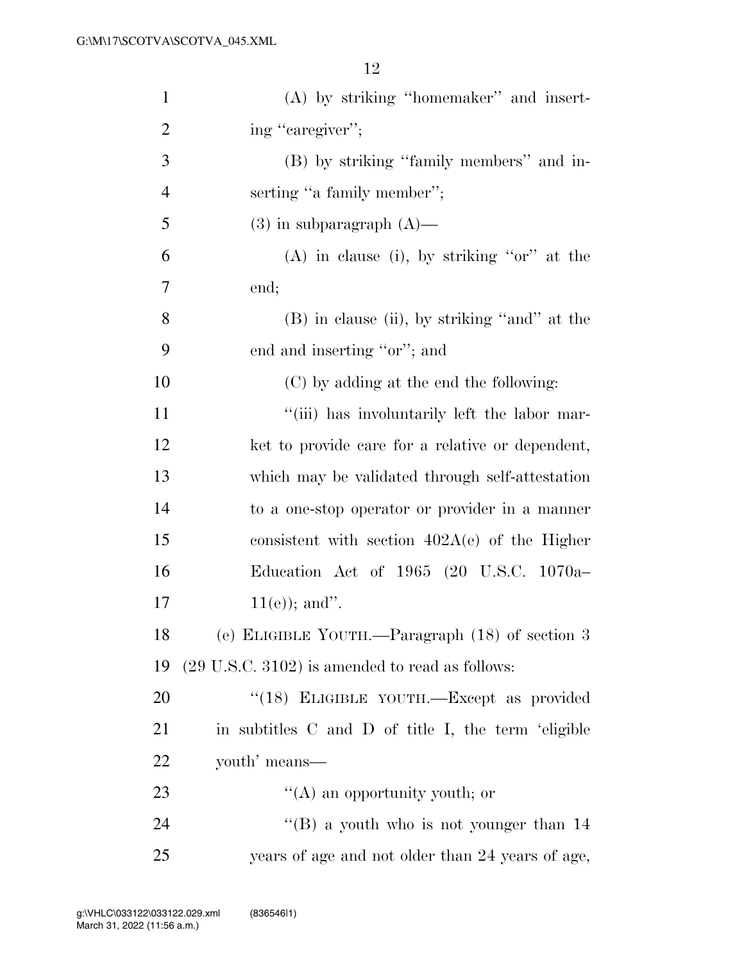| $\mathbf{1}$   | $(A)$ by striking "homemaker" and insert-           |
|----------------|-----------------------------------------------------|
| $\overline{2}$ | ing "caregiver";                                    |
| 3              | (B) by striking "family members" and in-            |
| $\overline{4}$ | serting "a family member";                          |
| 5              | $(3)$ in subparagraph $(A)$ —                       |
| 6              | $(A)$ in clause (i), by striking "or" at the        |
| 7              | end;                                                |
| 8              | $(B)$ in clause (ii), by striking "and" at the      |
| 9              | end and inserting "or"; and                         |
| 10             | (C) by adding at the end the following:             |
| 11             | "(iii) has involuntarily left the labor mar-        |
| 12             | ket to provide care for a relative or dependent,    |
| 13             | which may be validated through self-attestation     |
| 14             | to a one-stop operator or provider in a manner      |
| 15             | consistent with section $402A(e)$ of the Higher     |
| 16             | Education Act of 1965 (20 U.S.C. 1070a-             |
| 17             | $11(e)$ ; and".                                     |
| 18             | (e) ELIGIBLE YOUTH.—Paragraph (18) of section 3     |
| 19             | $(29$ U.S.C. $3102)$ is amended to read as follows: |
| 20             | "(18) ELIGIBLE YOUTH.—Except as provided            |
| 21             | in subtitles C and D of title I, the term 'eligible |
| 22             | youth' means—                                       |
| 23             | $\lq\lq$ an opportunity youth; or                   |
| 24             | "(B) a youth who is not younger than $14$           |
| 25             | years of age and not older than 24 years of age,    |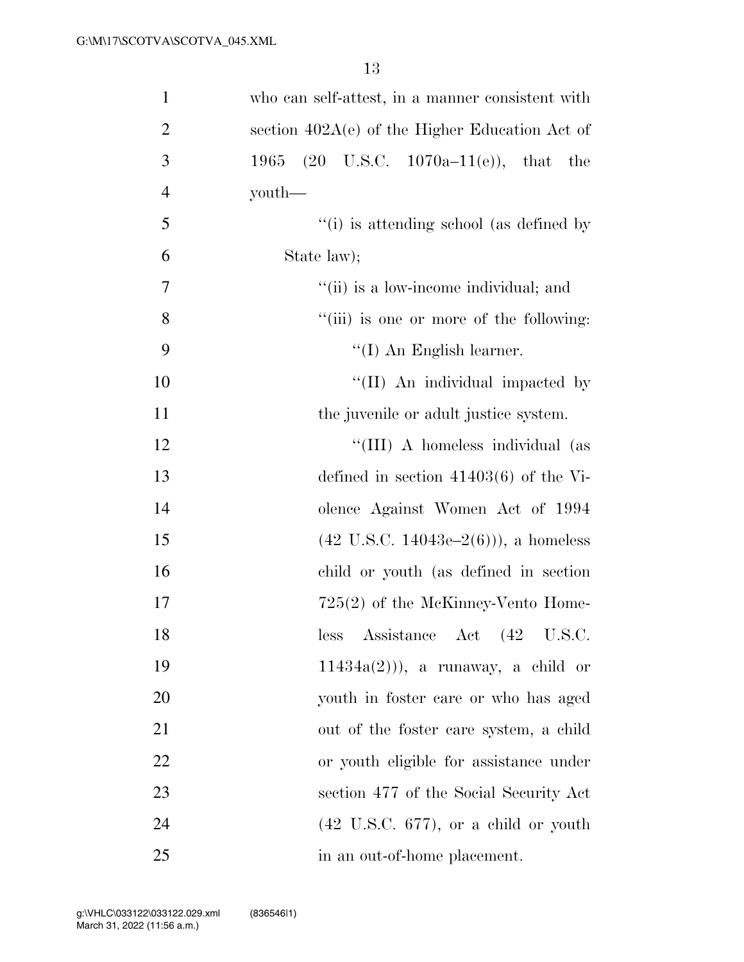| $\mathbf{1}$   | who can self-attest, in a manner consistent with             |
|----------------|--------------------------------------------------------------|
| $\overline{2}$ | section $402A(e)$ of the Higher Education Act of             |
| 3              | $(20 \text{ U.S.C. } 1070a-11(e)), \text{ that the}$<br>1965 |
| $\overline{4}$ | youth—                                                       |
| 5              | "(i) is attending school (as defined by                      |
| 6              | State law);                                                  |
| 7              | "(ii) is a low-income individual; and                        |
| 8              | "(iii) is one or more of the following:                      |
| 9              | $\lq (I)$ An English learner.                                |
| 10             | "(II) An individual impacted by                              |
| 11             | the juvenile or adult justice system.                        |
| 12             | "(III) A homeless individual (as                             |
| 13             | defined in section $41403(6)$ of the Vi-                     |
| 14             | olence Against Women Act of 1994                             |
| 15             | $(42 \text{ U.S.C. } 14043\text{e} - 2(6)))$ , a homeless    |
| 16             | child or youth (as defined in section                        |
| 17             | $725(2)$ of the McKinney-Vento Home-                         |
| 18             | Assistance Act (42 U.S.C.<br>less                            |
| 19             | $11434a(2)$ ), a runaway, a child or                         |
| 20             | youth in foster care or who has aged                         |
| 21             | out of the foster care system, a child                       |
| 22             | or youth eligible for assistance under                       |
| 23             | section 477 of the Social Security Act                       |
| 24             | $(42 \text{ U.S.C. } 677)$ , or a child or youth             |
| 25             | in an out-of-home placement.                                 |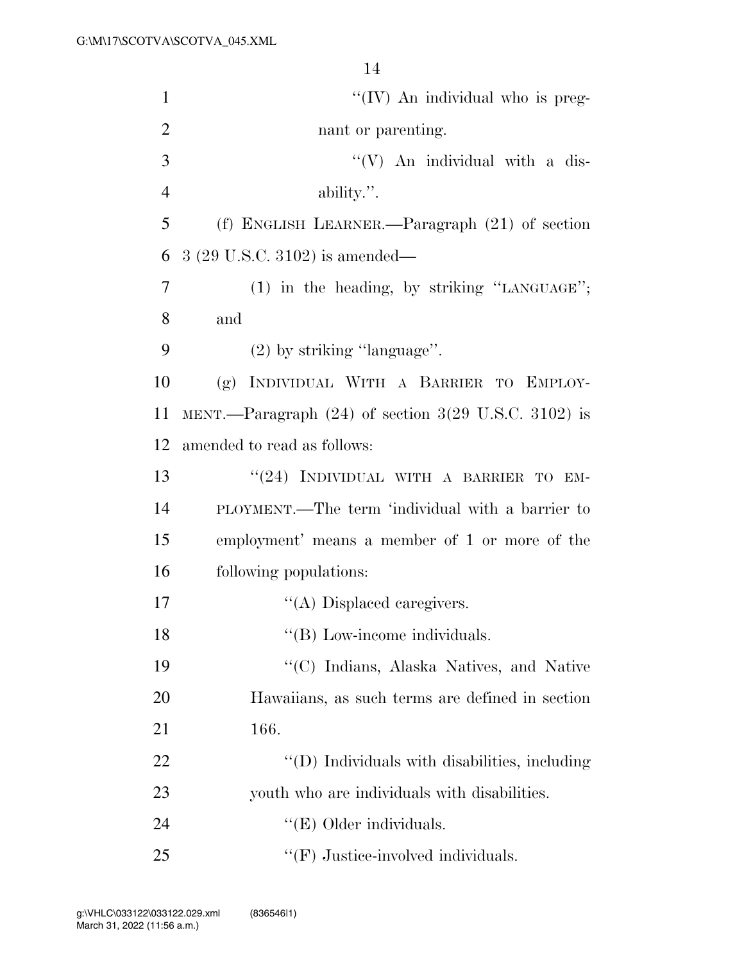| $\mathbf{1}$   | "(IV) An individual who is preg-                       |
|----------------|--------------------------------------------------------|
| $\overline{2}$ | nant or parenting.                                     |
| 3              | "(V) An individual with a dis-                         |
| $\overline{4}$ | ability.".                                             |
| 5              | (f) ENGLISH LEARNER.—Paragraph $(21)$ of section       |
| 6              | 3 (29 U.S.C. 3102) is amended—                         |
| $\overline{7}$ | $(1)$ in the heading, by striking "LANGUAGE";          |
| 8              | and                                                    |
| 9              | $(2)$ by striking "language".                          |
| 10             | (g) INDIVIDUAL WITH A BARRIER TO EMPLOY-               |
| 11             | MENT.—Paragraph $(24)$ of section 3(29 U.S.C. 3102) is |
| 12             | amended to read as follows:                            |
| 13             | "(24) INDIVIDUAL WITH A BARRIER TO EM-                 |
| 14             | PLOYMENT.—The term 'individual with a barrier to       |
| 15             | employment' means a member of 1 or more of the         |
| 16             | following populations:                                 |
| 17             | "(A) Displaced caregivers.                             |
| 18             | "(B) Low-income individuals.                           |
| 19             | "(C) Indians, Alaska Natives, and Native               |
| 20             | Hawaiians, as such terms are defined in section        |
| 21             | 166.                                                   |
| 22             | "(D) Individuals with disabilities, including          |
| 23             | youth who are individuals with disabilities.           |
| 24             | " $(E)$ Older individuals.                             |
| 25             | $\lq\lq(F)$ Justice-involved individuals.              |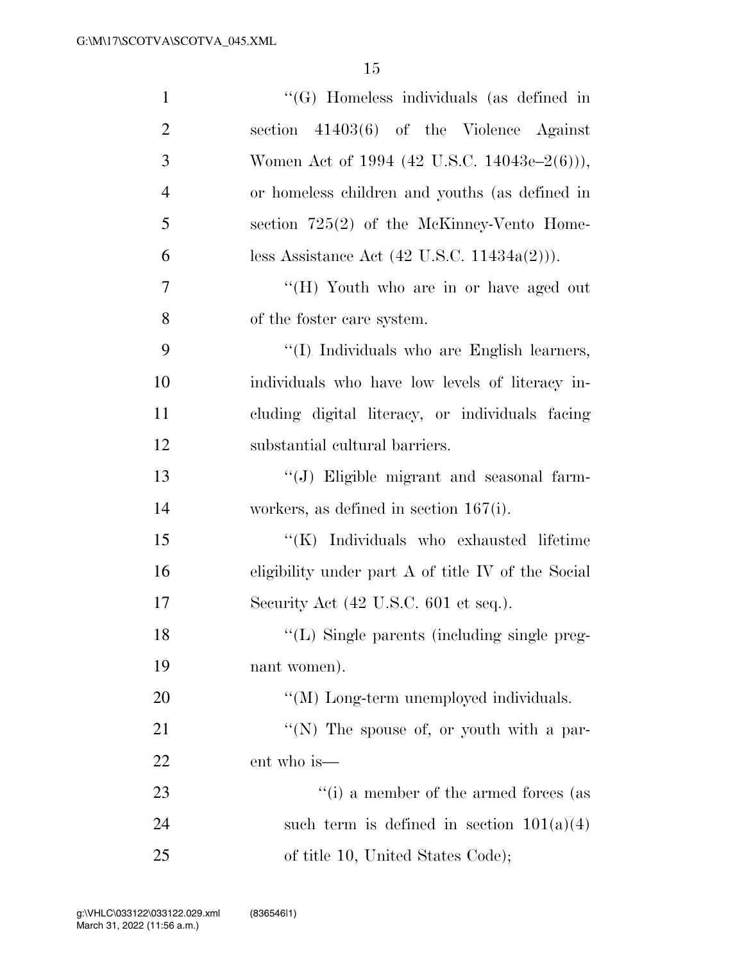| $\mathbf{1}$   | "(G) Homeless individuals (as defined in               |
|----------------|--------------------------------------------------------|
| $\overline{2}$ | section $41403(6)$ of the Violence Against             |
| 3              | Women Act of 1994 (42 U.S.C. 14043e-2(6))),            |
| $\overline{4}$ | or homeless children and youths (as defined in         |
| 5              | section $725(2)$ of the McKinney-Vento Home-           |
| 6              | less Assistance Act $(42 \text{ U.S.C. } 11434a(2))$ . |
| 7              | "(H) Youth who are in or have aged out                 |
| 8              | of the foster care system.                             |
| 9              | "(I) Individuals who are English learners,             |
| 10             | individuals who have low levels of literacy in-        |
| 11             | cluding digital literacy, or individuals facing        |
| 12             | substantial cultural barriers.                         |
| 13             | "(J) Eligible migrant and seasonal farm-               |
| 14             | workers, as defined in section $167(i)$ .              |
| 15             | "(K) Individuals who exhausted lifetime                |
| 16             | eligibility under part A of title IV of the Social     |
| 17             | Security Act (42 U.S.C. 601 et seq.).                  |
| 18             | "(L) Single parents (including single preg-            |
| 19             | nant women).                                           |
| 20             | "(M) Long-term unemployed individuals.                 |
| 21             | "(N) The spouse of, or youth with a par-               |
| 22             | ent who is—                                            |
| 23             | "(i) a member of the armed forces (as                  |
| 24             | such term is defined in section $101(a)(4)$            |
| 25             | of title 10, United States Code);                      |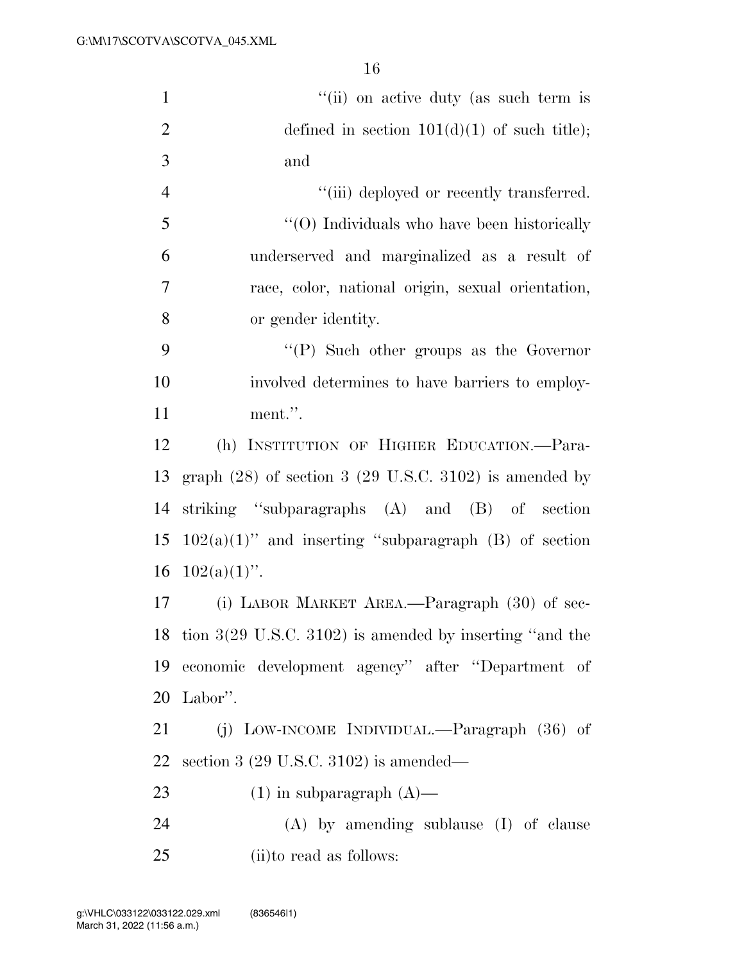| $\mathbf{1}$   | "(ii) on active duty (as such term is                                 |
|----------------|-----------------------------------------------------------------------|
| $\overline{2}$ | defined in section $101(d)(1)$ of such title);                        |
| 3              | and                                                                   |
| $\overline{4}$ | "(iii) deployed or recently transferred.                              |
| 5              | $"(O)$ Individuals who have been historically                         |
| 6              | underserved and marginalized as a result of                           |
| 7              | race, color, national origin, sexual orientation,                     |
| 8              | or gender identity.                                                   |
| 9              | "(P) Such other groups as the Governor                                |
| 10             | involved determines to have barriers to employ-                       |
| 11             | ment.".                                                               |
| 12             | (h) INSTITUTION OF HIGHER EDUCATION.-Para-                            |
| 13             | graph $(28)$ of section 3 $(29 \text{ U.S.C. } 3102)$ is amended by   |
| 14             | striking "subparagraphs (A) and (B) of section                        |
| 15             | $102(a)(1)$ " and inserting "subparagraph (B) of section              |
| 16             | $102(a)(1)$ ".                                                        |
| 17             | (i) LABOR MARKET AREA.—Paragraph (30) of sec-                         |
|                | 18 tion $3(29 \text{ U.S.C. } 3102)$ is amended by inserting "and the |
| 19             | economic development agency" after "Department of                     |
| 20             | Labor".                                                               |
| 21             | (j) LOW-INCOME INDIVIDUAL.—Paragraph $(36)$ of                        |
| 22             | section 3 $(29 \text{ U.S.C. } 3102)$ is amended—                     |
| 23             | $(1)$ in subparagraph $(A)$ —                                         |
| 24             | $(A)$ by amending sublause $(I)$ of clause                            |
| 25             | (ii) to read as follows:                                              |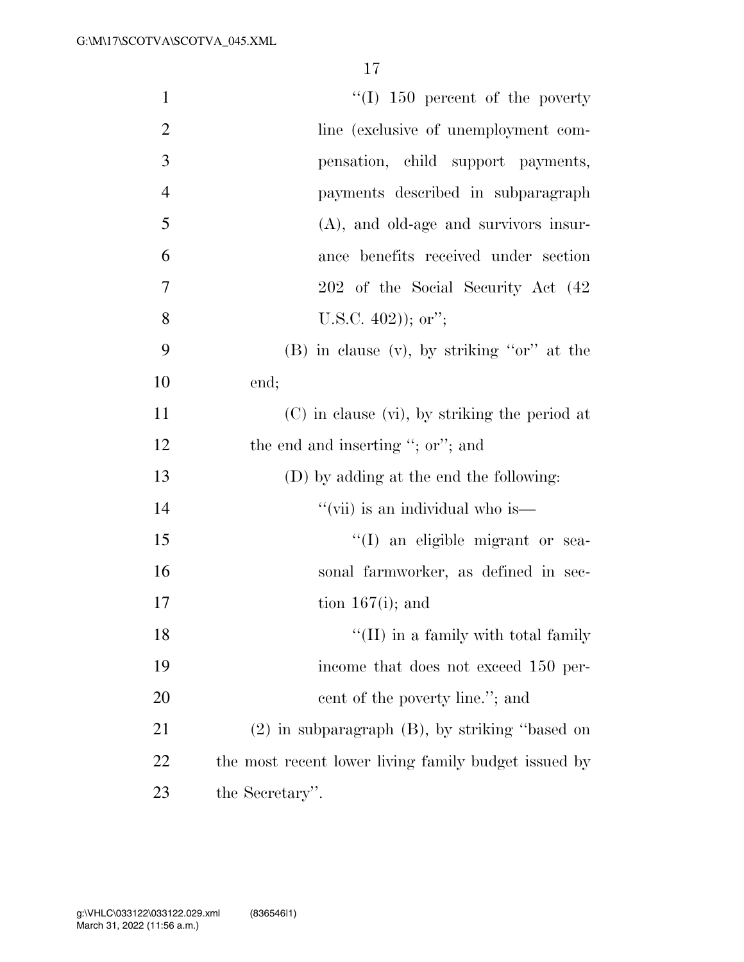| $\mathbf{1}$   | $\lq(1)$ 150 percent of the poverty                  |
|----------------|------------------------------------------------------|
| $\overline{2}$ | line (exclusive of unemployment com-                 |
| 3              | pensation, child support payments,                   |
| $\overline{4}$ | payments described in subparagraph                   |
| 5              | $(A)$ , and old-age and survivors insur-             |
| 6              | ance benefits received under section                 |
| 7              | 202 of the Social Security Act (42                   |
| 8              | U.S.C. $402$ ); or";                                 |
| 9              | $(B)$ in clause $(v)$ , by striking "or" at the      |
| 10             | end;                                                 |
| 11             | $(C)$ in clause $(vi)$ , by striking the period at   |
| 12             | the end and inserting "; or"; and                    |
| 13             | (D) by adding at the end the following:              |
| 14             | "(vii) is an individual who is—                      |
| 15             | "(I) an eligible migrant or sea-                     |
| 16             | sonal farmworker, as defined in sec-                 |
| 17             | tion $167(i)$ ; and                                  |
| 18             | $\lq\lq$ (II) in a family with total family          |
| 19             | income that does not exceed 150 per-                 |
| 20             | cent of the poverty line."; and                      |
| 21             | $(2)$ in subparagraph $(B)$ , by striking "based on  |
| 22             | the most recent lower living family budget issued by |
| 23             | the Secretary".                                      |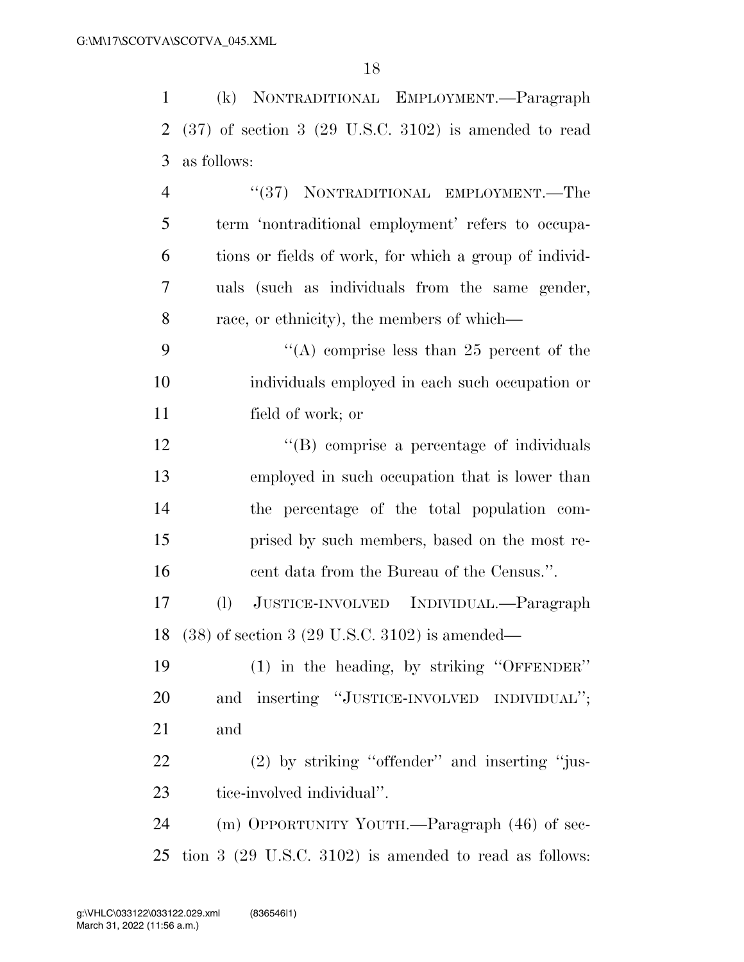(k) NONTRADITIONAL EMPLOYMENT.—Paragraph

| $\overline{2}$ | $(37)$ of section 3 $(29 \text{ U.S.C. } 3102)$ is amended to read |
|----------------|--------------------------------------------------------------------|
| 3              | as follows:                                                        |
| $\overline{4}$ | NONTRADITIONAL EMPLOYMENT.-The<br>(37)                             |
| 5              | term 'nontraditional employment' refers to occupa-                 |
| 6              | tions or fields of work, for which a group of individ-             |
| 7              | uals (such as individuals from the same gender,                    |
| 8              | race, or ethnicity), the members of which—                         |
| 9              | "(A) comprise less than 25 percent of the                          |
| 10             | individuals employed in each such occupation or                    |
| 11             | field of work; or                                                  |
| 12             | "(B) comprise a percentage of individuals                          |
| 13             | employed in such occupation that is lower than                     |
| 14             | the percentage of the total population com-                        |
| 15             | prised by such members, based on the most re-                      |
| 16             | cent data from the Bureau of the Census.".                         |
| 17             | (1)<br>JUSTICE-INVOLVED INDIVIDUAL.-Paragraph                      |
| 18             | $(38)$ of section 3 (29 U.S.C. 3102) is amended—                   |
| 19             | (1) in the heading, by striking "OFFENDER"                         |
| 20             | and inserting "JUSTICE-INVOLVED INDIVIDUAL";                       |
| 21             | and                                                                |
| 22             | $(2)$ by striking "offender" and inserting "jus-                   |
| 23             | tice-involved individual".                                         |
| 24             | (m) OPPORTUNITY YOUTH.—Paragraph (46) of sec-                      |
| 25             | tion $3$ (29 U.S.C. 3102) is amended to read as follows:           |
|                |                                                                    |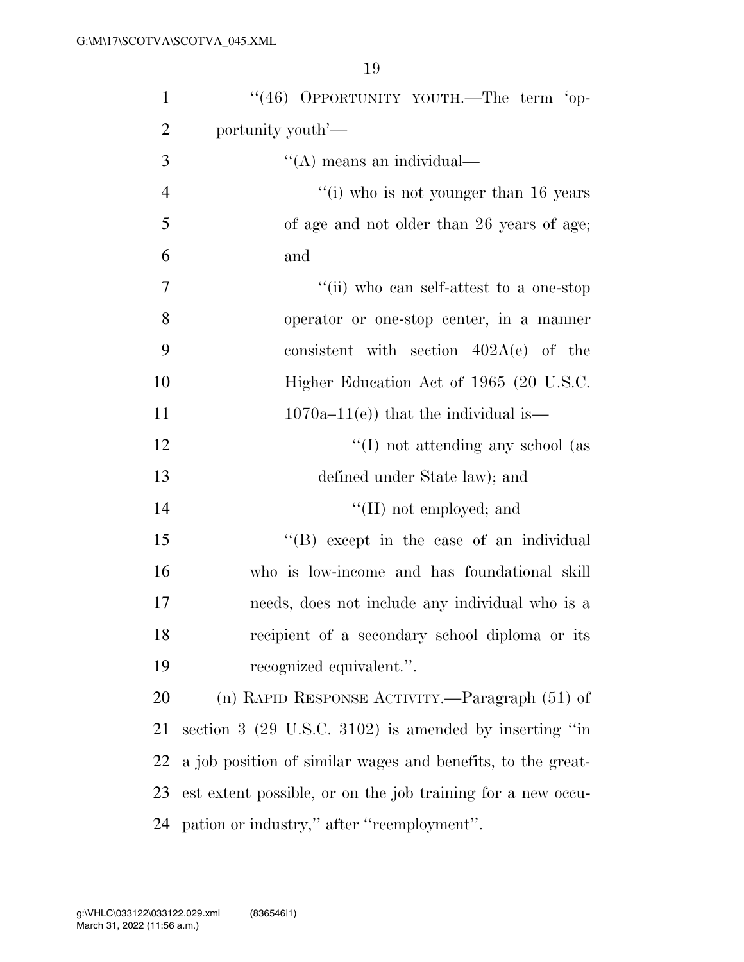| $\mathbf{1}$   | "(46) OPPORTUNITY YOUTH.—The term 'op-                      |
|----------------|-------------------------------------------------------------|
| $\overline{2}$ | portunity youth'—                                           |
| 3              | $\lq\lq$ means an individual—                               |
| $\overline{4}$ | $``(i)$ who is not younger than 16 years                    |
| 5              | of age and not older than 26 years of age;                  |
| 6              | and                                                         |
| $\overline{7}$ | "(ii) who can self-attest to a one-stop                     |
| 8              | operator or one-stop center, in a manner                    |
| 9              | consistent with section $402A(e)$ of the                    |
| 10             | Higher Education Act of 1965 (20 U.S.C.                     |
| 11             | $1070a-11(e)$ that the individual is—                       |
| 12             | $\lq\lq$ not attending any school (as                       |
| 13             | defined under State law); and                               |
| 14             | $\lq\lq$ (II) not employed; and                             |
| 15             | "(B) except in the case of an individual                    |
| 16             | who is low-income and has foundational skill                |
| 17             | needs, does not include any individual who is a             |
| 18             | recipient of a secondary school diploma or its              |
| 19             | recognized equivalent.".                                    |
| <b>20</b>      | (n) RAPID RESPONSE ACTIVITY.—Paragraph (51) of              |
| 21             | section $3$ (29 U.S.C. 3102) is amended by inserting "in    |
| 22             | a job position of similar wages and benefits, to the great- |
| 23             | est extent possible, or on the job training for a new occu- |
| 24             | pation or industry," after "reemployment".                  |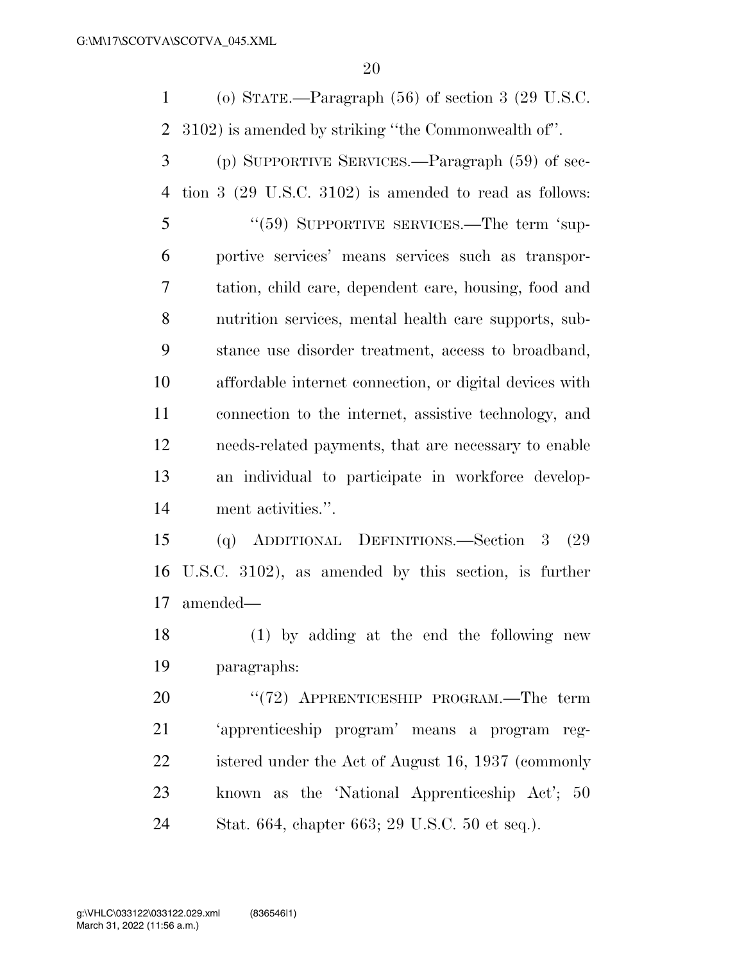(o) STATE.—Paragraph (56) of section 3 (29 U.S.C. 3102) is amended by striking ''the Commonwealth of''.

 (p) SUPPORTIVE SERVICES.—Paragraph (59) of sec- tion 3 (29 U.S.C. 3102) is amended to read as follows: 5 "(59) SUPPORTIVE SERVICES.—The term 'sup- portive services' means services such as transpor- tation, child care, dependent care, housing, food and nutrition services, mental health care supports, sub- stance use disorder treatment, access to broadband, affordable internet connection, or digital devices with connection to the internet, assistive technology, and needs-related payments, that are necessary to enable an individual to participate in workforce develop-ment activities.''.

 (q) ADDITIONAL DEFINITIONS.—Section 3 (29 U.S.C. 3102), as amended by this section, is further amended—

 (1) by adding at the end the following new paragraphs:

20 "(72) APPRENTICESHIP PROGRAM.—The term 'apprenticeship program' means a program reg- istered under the Act of August 16, 1937 (commonly known as the 'National Apprenticeship Act'; 50 Stat. 664, chapter 663; 29 U.S.C. 50 et seq.).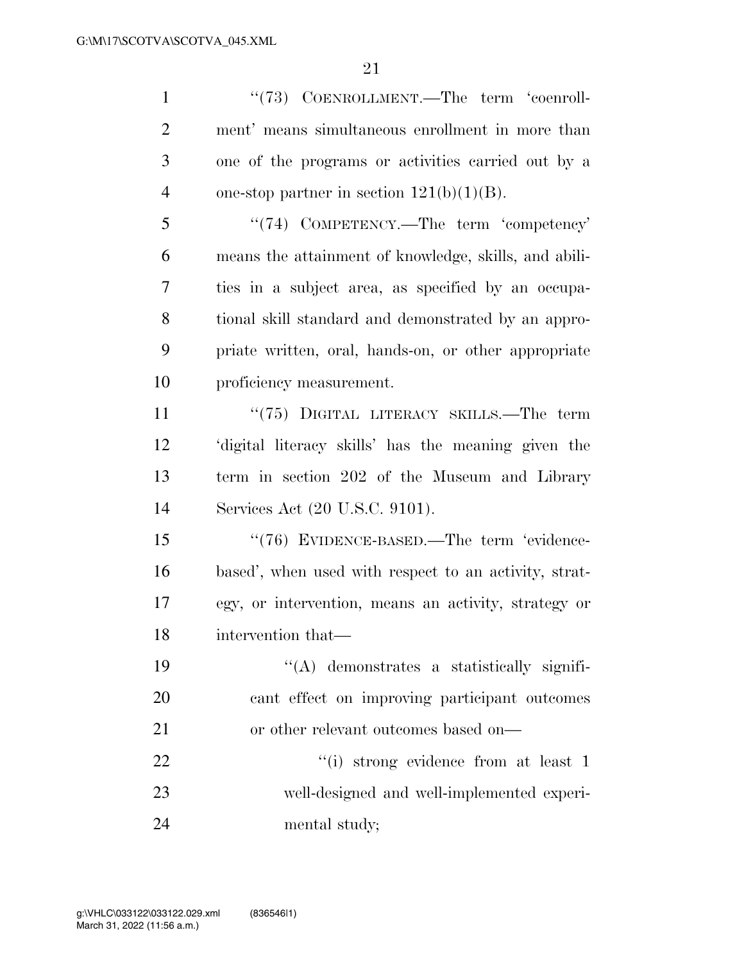1 ''(73) COENROLLMENT.—The term 'coenroll- ment' means simultaneous enrollment in more than one of the programs or activities carried out by a 4 one-stop partner in section  $121(b)(1)(B)$ . ''(74) COMPETENCY.—The term 'competency' means the attainment of knowledge, skills, and abili- ties in a subject area, as specified by an occupa- tional skill standard and demonstrated by an appro- priate written, oral, hands-on, or other appropriate proficiency measurement. 11 ''(75) DIGITAL LITERACY SKILLS.—The term 'digital literacy skills' has the meaning given the term in section 202 of the Museum and Library Services Act (20 U.S.C. 9101). 15 "(76) EVIDENCE-BASED.—The term 'evidence-based', when used with respect to an activity, strat-

 egy, or intervention, means an activity, strategy or intervention that—

 $\langle (A)$  demonstrates a statistically signifi- cant effect on improving participant outcomes or other relevant outcomes based on—  $\frac{1}{1}$  strong evidence from at least 1 well-designed and well-implemented experi-mental study;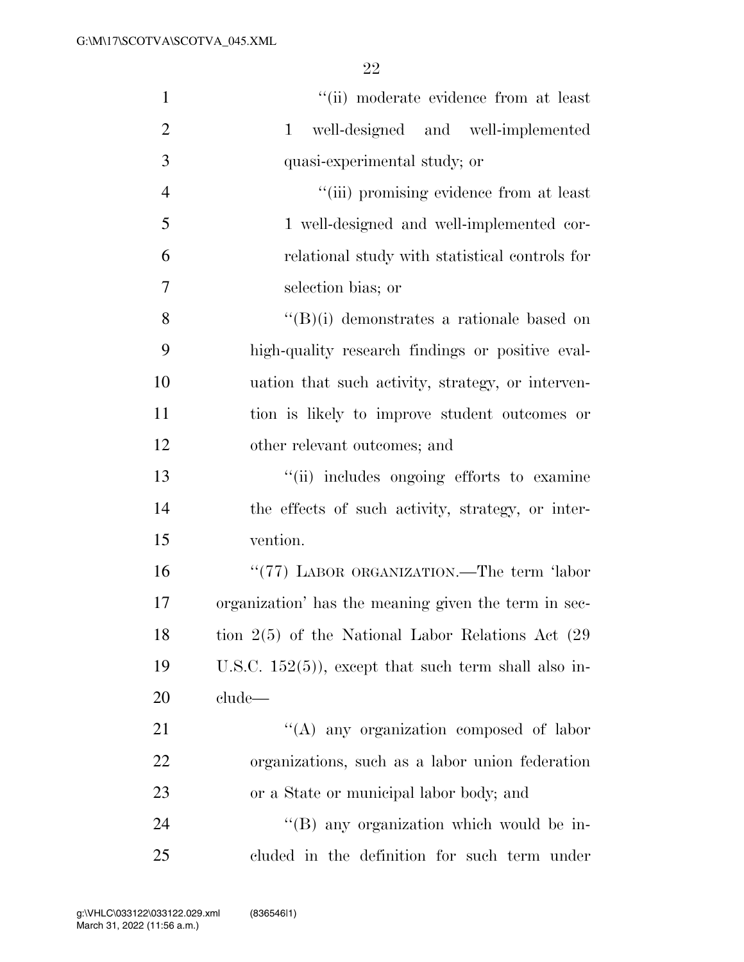| $\mathbf{1}$   | "(ii) moderate evidence from at least                  |
|----------------|--------------------------------------------------------|
| $\overline{2}$ | well-designed and well-implemented<br>$\mathbf{1}$     |
| 3              | quasi-experimental study; or                           |
| $\overline{4}$ | "(iii) promising evidence from at least                |
| 5              | 1 well-designed and well-implemented cor-              |
| 6              | relational study with statistical controls for         |
| 7              | selection bias; or                                     |
| 8              | $\lq\lq(B)(i)$ demonstrates a rationale based on       |
| 9              | high-quality research findings or positive eval-       |
| 10             | uation that such activity, strategy, or interven-      |
| 11             | tion is likely to improve student outcomes or          |
| 12             | other relevant outcomes; and                           |
| 13             | "(ii) includes ongoing efforts to examine              |
| 14             | the effects of such activity, strategy, or inter-      |
| 15             | vention.                                               |
| 16             | "(77) LABOR ORGANIZATION.—The term 'labor              |
| 17             | organization' has the meaning given the term in sec-   |
| 18             | tion $2(5)$ of the National Labor Relations Act $(29)$ |
| 19             | U.S.C. $152(5)$ , except that such term shall also in- |
| 20             | $_{\rm clude}$                                         |
| 21             | "(A) any organization composed of labor                |
| 22             | organizations, such as a labor union federation        |
| 23             | or a State or municipal labor body; and                |
| 24             | "(B) any organization which would be in-               |
| 25             | cluded in the definition for such term under           |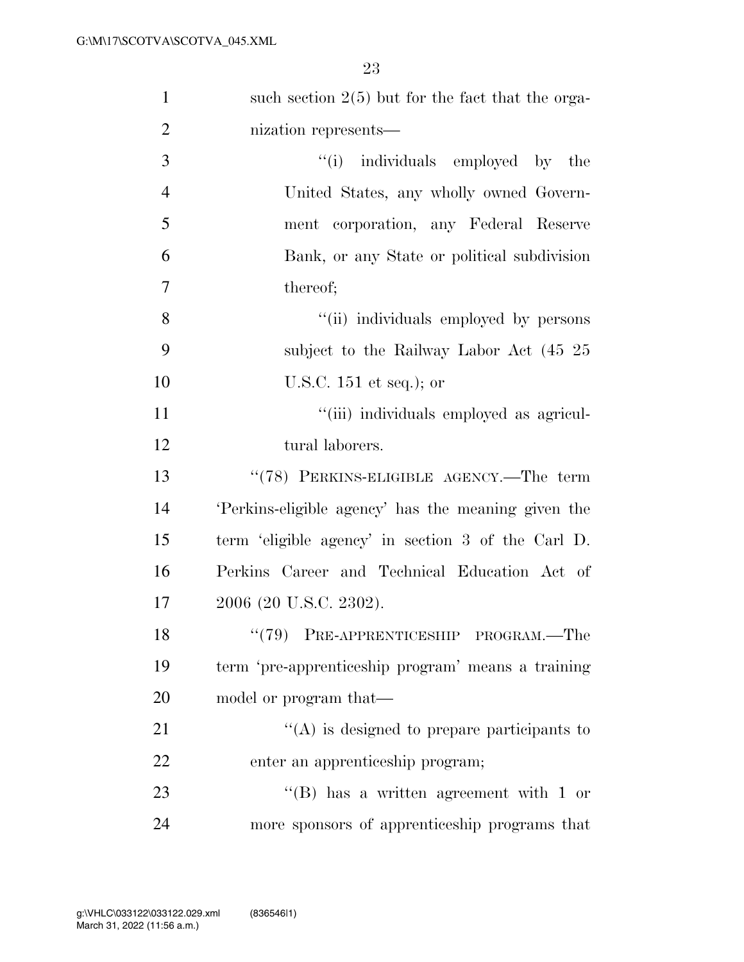| $\mathbf{1}$   | such section $2(5)$ but for the fact that the orga- |
|----------------|-----------------------------------------------------|
| $\overline{2}$ | nization represents—                                |
| 3              | "(i) individuals employed by the                    |
| $\overline{4}$ | United States, any wholly owned Govern-             |
| 5              | ment corporation, any Federal Reserve               |
| 6              | Bank, or any State or political subdivision         |
| 7              | thereof;                                            |
| 8              | "(ii) individuals employed by persons               |
| 9              | subject to the Railway Labor Act (45 25             |
| 10             | U.S.C. $151$ et seq.); or                           |
| 11             | "(iii) individuals employed as agricul-             |
| 12             | tural laborers.                                     |
| 13             | "(78) PERKINS-ELIGIBLE AGENCY.—The term             |
| 14             | 'Perkins-eligible agency' has the meaning given the |
| 15             | term 'eligible agency' in section 3 of the Carl D.  |
| 16             | Perkins Career and Technical Education Act of       |
| 17             | 2006 (20 U.S.C. 2302).                              |
| 18             | "(79) PRE-APPRENTICESHIP PROGRAM.—The               |
| 19             | term 'pre-apprenticeship program' means a training  |
| 20             | model or program that—                              |
| 21             | $\lq\lq$ is designed to prepare participants to     |
| 22             | enter an apprenticeship program;                    |
| 23             | $\lq\lq$ (B) has a written agreement with 1 or      |
| 24             | more sponsors of apprenticeship programs that       |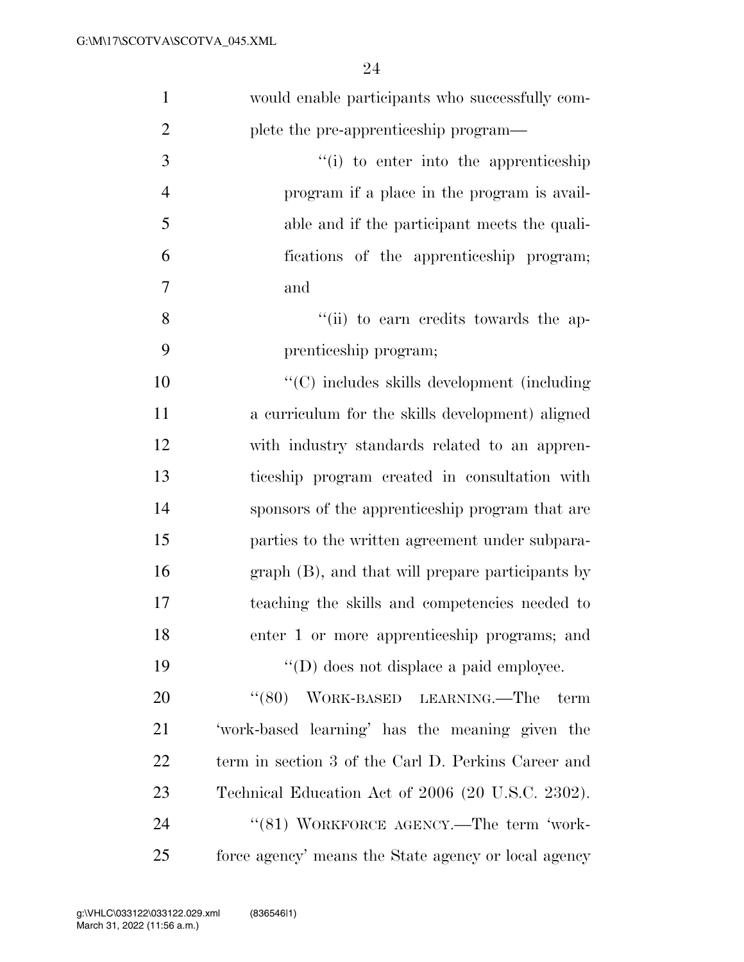| $\mathbf{1}$   | would enable participants who successfully com-      |
|----------------|------------------------------------------------------|
| $\overline{2}$ | plete the pre-apprenticeship program—                |
| 3              | "(i) to enter into the apprenticeship                |
| $\overline{4}$ | program if a place in the program is avail-          |
| 5              | able and if the participant meets the quali-         |
| 6              | fications of the apprenticeship program;             |
| 7              | and                                                  |
| 8              | "(ii) to earn credits towards the ap-                |
| 9              | prenticeship program;                                |
| 10             | "(C) includes skills development (including          |
| 11             | a curriculum for the skills development) aligned     |
| 12             | with industry standards related to an appren-        |
| 13             | ticeship program created in consultation with        |
| 14             | sponsors of the apprenticeship program that are      |
| 15             | parties to the written agreement under subpara-      |
| 16             | graph (B), and that will prepare participants by     |
| 17             | teaching the skills and competencies needed to       |
| 18             | enter 1 or more apprenticeship programs; and         |
| 19             | $\lq\lq$ (D) does not displace a paid employee.      |
| 20             | $``(80)$ WORK-BASED LEARNING.—The<br>term            |
| 21             | 'work-based learning' has the meaning given the      |
| 22             | term in section 3 of the Carl D. Perkins Career and  |
| 23             | Technical Education Act of 2006 (20 U.S.C. 2302).    |
| 24             | "(81) WORKFORCE AGENCY.—The term 'work-              |
| 25             | force agency' means the State agency or local agency |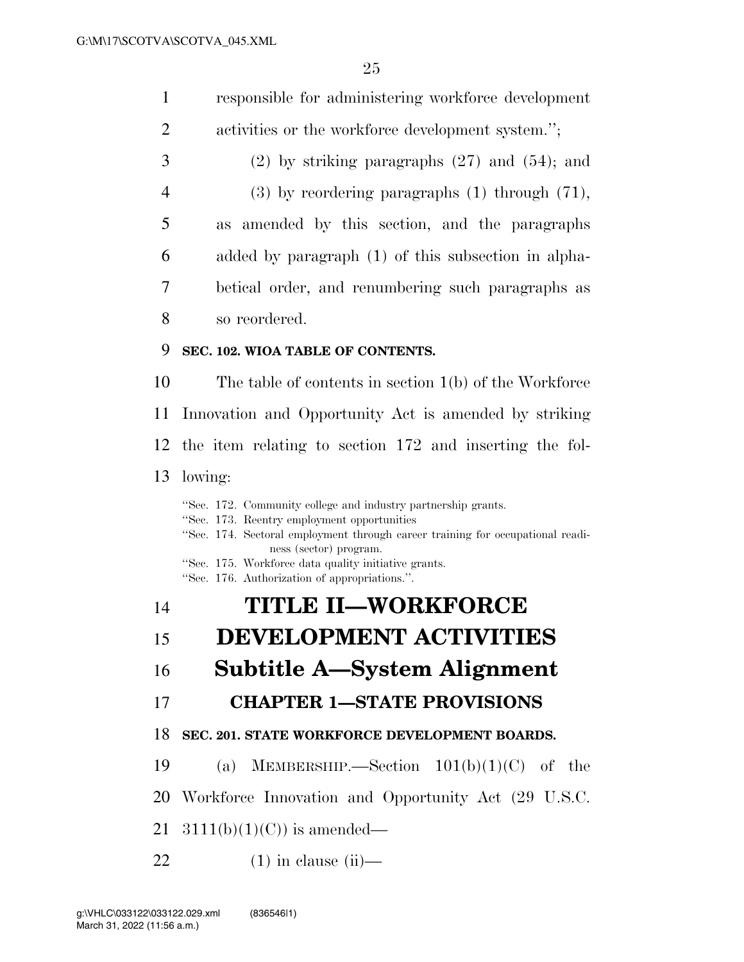responsible for administering workforce development

| $\overline{2}$ | activities or the workforce development system.";                                                                                                                                              |  |
|----------------|------------------------------------------------------------------------------------------------------------------------------------------------------------------------------------------------|--|
| 3              | $(2)$ by striking paragraphs $(27)$ and $(54)$ ; and                                                                                                                                           |  |
| 4              | $(3)$ by reordering paragraphs $(1)$ through $(71)$ ,                                                                                                                                          |  |
| 5              | amended by this section, and the paragraphs<br>as                                                                                                                                              |  |
| 6              | added by paragraph (1) of this subsection in alpha-                                                                                                                                            |  |
| 7              | betical order, and renumbering such paragraphs as                                                                                                                                              |  |
| 8              | so reordered.                                                                                                                                                                                  |  |
| 9              | SEC. 102. WIOA TABLE OF CONTENTS.                                                                                                                                                              |  |
| 10             | The table of contents in section $1(b)$ of the Workforce                                                                                                                                       |  |
| 11             | Innovation and Opportunity Act is amended by striking                                                                                                                                          |  |
| 12             | the item relating to section 172 and inserting the fol-                                                                                                                                        |  |
| 13             | lowing:                                                                                                                                                                                        |  |
|                | "Sec. 172. Community college and industry partnership grants.<br>"Sec. 173. Reentry employment opportunities<br>"Sec. 174. Sectoral employment through career training for occupational readi- |  |
|                | ness (sector) program.<br>"Sec. 175. Workforce data quality initiative grants.<br>"Sec. 176. Authorization of appropriations.".                                                                |  |
| 14             | <b>TITLE II-WORKFORCE</b>                                                                                                                                                                      |  |
| 15             | <b>DEVELOPMENT ACTIVITIES</b>                                                                                                                                                                  |  |
| 16             | <b>Subtitle A-System Alignment</b>                                                                                                                                                             |  |
| 17             | <b>CHAPTER 1-STATE PROVISIONS</b>                                                                                                                                                              |  |
| 18             | SEC. 201. STATE WORKFORCE DEVELOPMENT BOARDS.                                                                                                                                                  |  |
| 19             | MEMBERSHIP.—Section $101(b)(1)(C)$ of the<br>(a)                                                                                                                                               |  |
| 20             | Workforce Innovation and Opportunity Act (29 U.S.C.                                                                                                                                            |  |
| 21             | $3111(b)(1)(C)$ is amended—                                                                                                                                                                    |  |
| 22             | $(1)$ in clause $(ii)$ —                                                                                                                                                                       |  |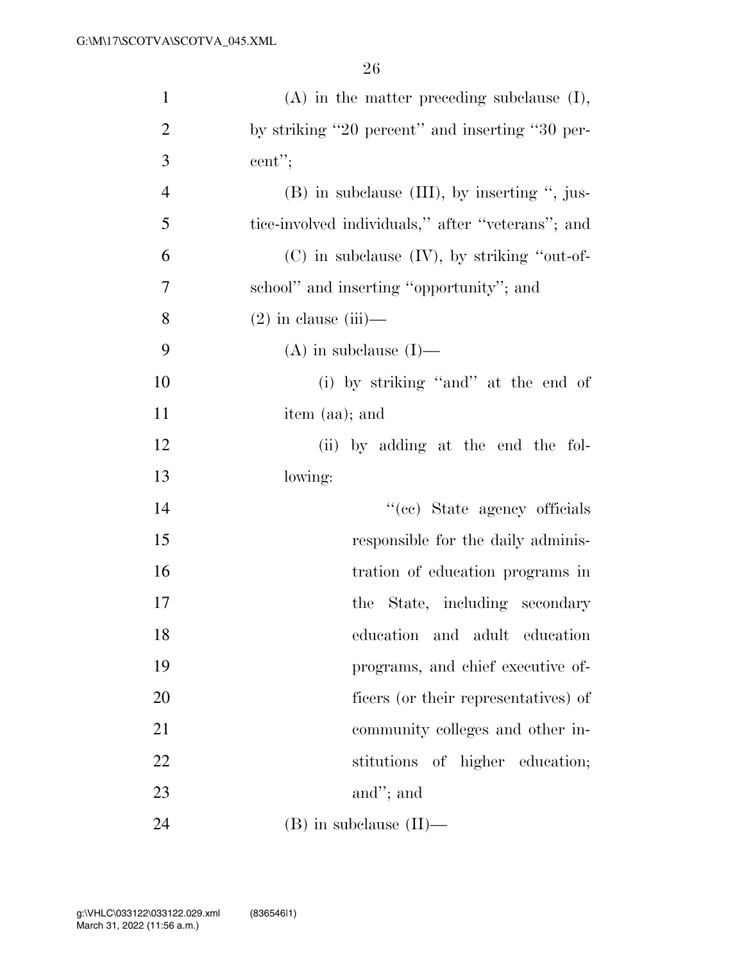| $\mathbf{1}$   | $(A)$ in the matter preceding subclause $(I)$ ,   |
|----------------|---------------------------------------------------|
| $\overline{2}$ | by striking "20 percent" and inserting "30 per-   |
| 3              | $cent$ ";                                         |
| $\overline{4}$ | $(B)$ in subclause $(III)$ , by inserting ", jus- |
| 5              | tice-involved individuals," after "veterans"; and |
| 6              | $(C)$ in subclause $(IV)$ , by striking "out-of-  |
| 7              | school" and inserting "opportunity"; and          |
| 8              | $(2)$ in clause $(iii)$ —                         |
| 9              | $(A)$ in subclause $(I)$ —                        |
| 10             | (i) by striking "and" at the end of               |
| 11             | item (aa); and                                    |
| 12             | (ii) by adding at the end the fol-                |
| 13             | lowing:                                           |
| 14             | "(cc) State agency officials                      |
| 15             | responsible for the daily adminis-                |
| 16             | tration of education programs in                  |
| 17             | State, including secondary<br>the                 |
| 18             | and adult<br>education<br>education               |
| 19             | programs, and chief executive of-                 |
| 20             | ficers (or their representatives) of              |
| 21             | community colleges and other in-                  |
| 22             | stitutions of higher education;                   |
| 23             | and"; and                                         |
| 24             | $(B)$ in subclause $(II)$ —                       |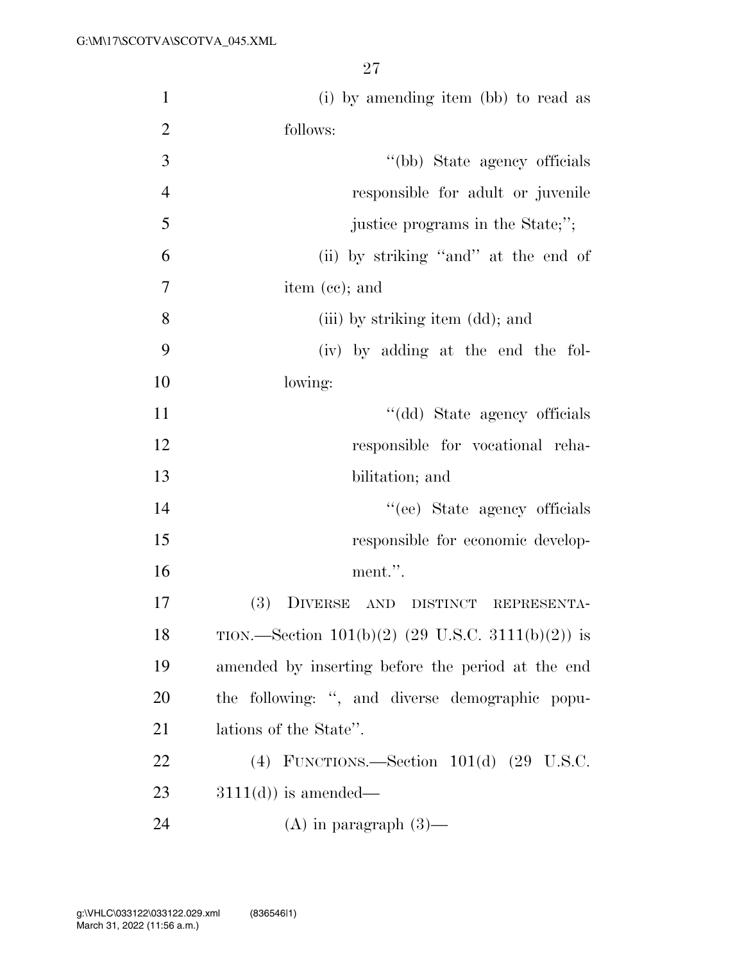| $\mathbf{1}$   | (i) by amending item (bb) to read as                     |
|----------------|----------------------------------------------------------|
| $\overline{2}$ | follows:                                                 |
| 3              | "(bb) State agency officials                             |
| $\overline{4}$ | responsible for adult or juvenile                        |
| 5              | justice programs in the State;";                         |
| 6              | (ii) by striking "and" at the end of                     |
| $\overline{7}$ | item (cc); and                                           |
| 8              | (iii) by striking item (dd); and                         |
| 9              | (iv) by adding at the end the fol-                       |
| 10             | lowing:                                                  |
| 11             | "(dd) State agency officials                             |
| 12             | responsible for vocational reha-                         |
| 13             | bilitation; and                                          |
| 14             | "(ee) State agency officials                             |
| 15             | responsible for economic develop-                        |
| 16             | ment.".                                                  |
| 17             | (3) DIVERSE AND DISTINCT REPRESENTA-                     |
| 18             | TION.—Section $101(b)(2)$ (29 U.S.C. 3111(b)(2)) is      |
| 19             | amended by inserting before the period at the end        |
| 20             | the following: ", and diverse demographic popu-          |
| 21             | lations of the State".                                   |
| 22             | $(4)$ FUNCTIONS.—Section 101 $(d)$ $(29 \text{ U.S.C.})$ |
| 23             | $3111(d)$ is amended—                                    |
| 24             | $(A)$ in paragraph $(3)$ —                               |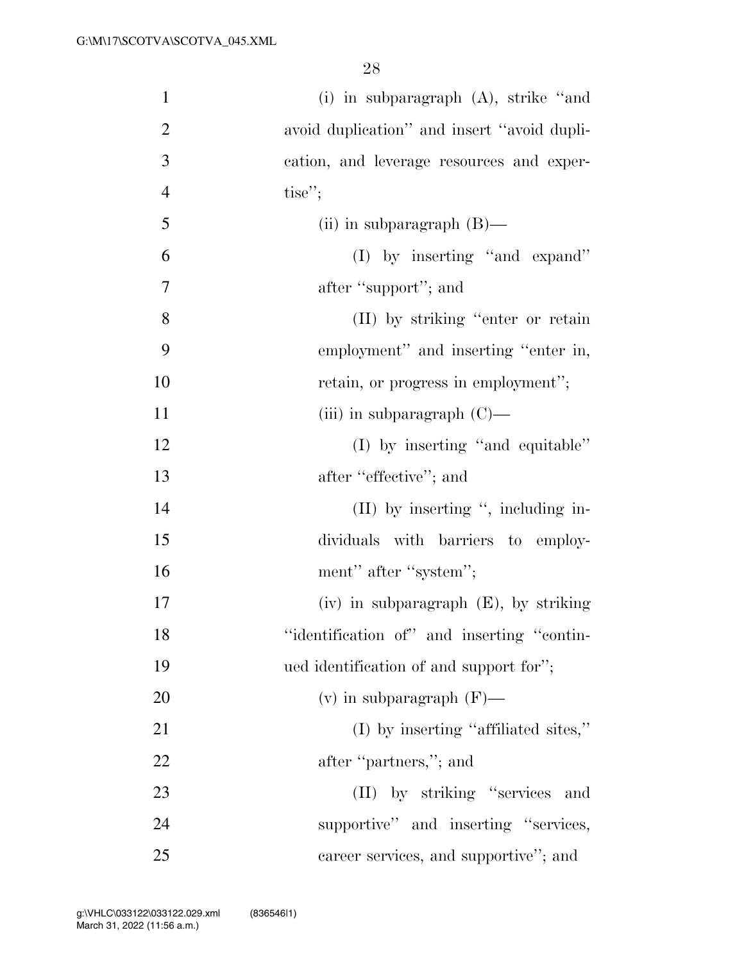| $\mathbf{1}$   | (i) in subparagraph $(A)$ , strike "and     |
|----------------|---------------------------------------------|
| $\overline{2}$ | avoid duplication" and insert "avoid dupli- |
| 3              | cation, and leverage resources and exper-   |
| $\overline{4}$ | $tise''$ ;                                  |
| 5              | (ii) in subparagraph $(B)$ —                |
| 6              | $(I)$ by inserting "and expand"             |
| $\tau$         | after "support"; and                        |
| $8\,$          | (II) by striking "enter or retain           |
| 9              | employment" and inserting "enter in,        |
| 10             | retain, or progress in employment";         |
| 11             | (iii) in subparagraph $(C)$ —               |
| 12             | (I) by inserting "and equitable"            |
| 13             | after "effective"; and                      |
| 14             | $(II)$ by inserting ", including in-        |
| 15             | dividuals with barriers to employ-          |
| 16             | ment" after "system";                       |
| 17             | $(iv)$ in subparagraph $(E)$ , by striking  |
| 18             | "identification of" and inserting "contin-  |
| 19             | ued identification of and support for";     |
| 20             | (v) in subparagraph $(F)$ —                 |
| 21             | (I) by inserting "affiliated sites,"        |
| 22             | after "partners,"; and                      |
| 23             | (II) by striking "services and              |
| 24             | supportive" and inserting "services,        |
| 25             | career services, and supportive"; and       |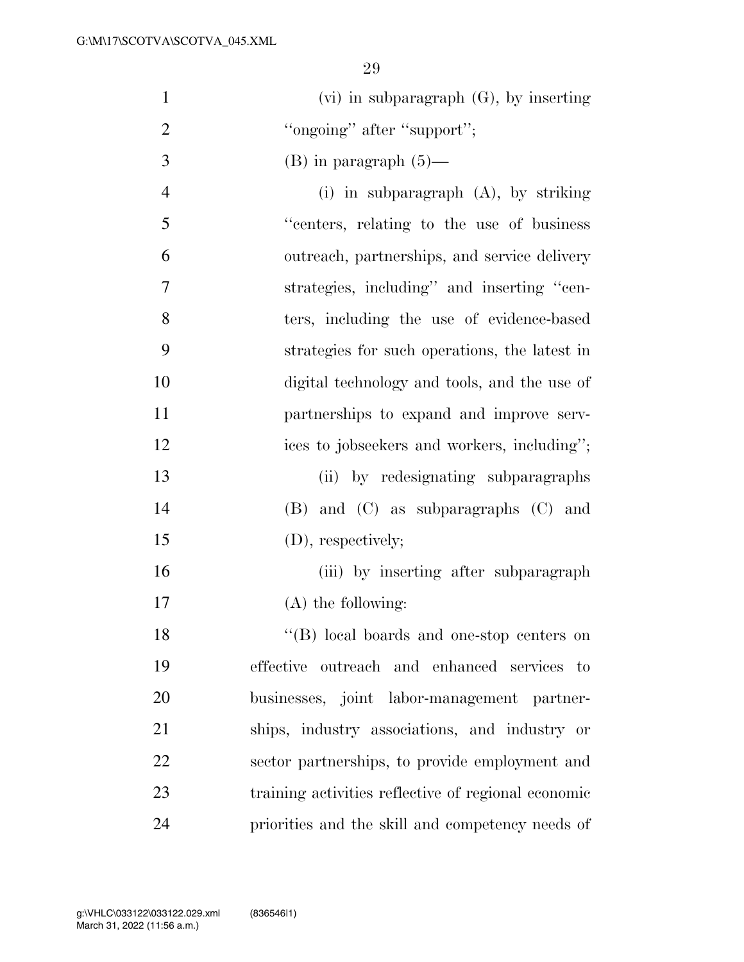- (vi) in subparagraph (G), by inserting 2 "'ongoing' after "support"; 3 (B) in paragraph  $(5)$ —
- (i) in subparagraph (A), by striking ''centers, relating to the use of business outreach, partnerships, and service delivery strategies, including'' and inserting ''cen- ters, including the use of evidence-based strategies for such operations, the latest in digital technology and tools, and the use of partnerships to expand and improve serv-12 ices to jobseekers and workers, including"; (ii) by redesignating subparagraphs (B) and (C) as subparagraphs (C) and (D), respectively; 16 (iii) by inserting after subparagraph (A) the following: 18 "(B) local boards and one-stop centers on

 effective outreach and enhanced services to businesses, joint labor-management partner- ships, industry associations, and industry or sector partnerships, to provide employment and training activities reflective of regional economic priorities and the skill and competency needs of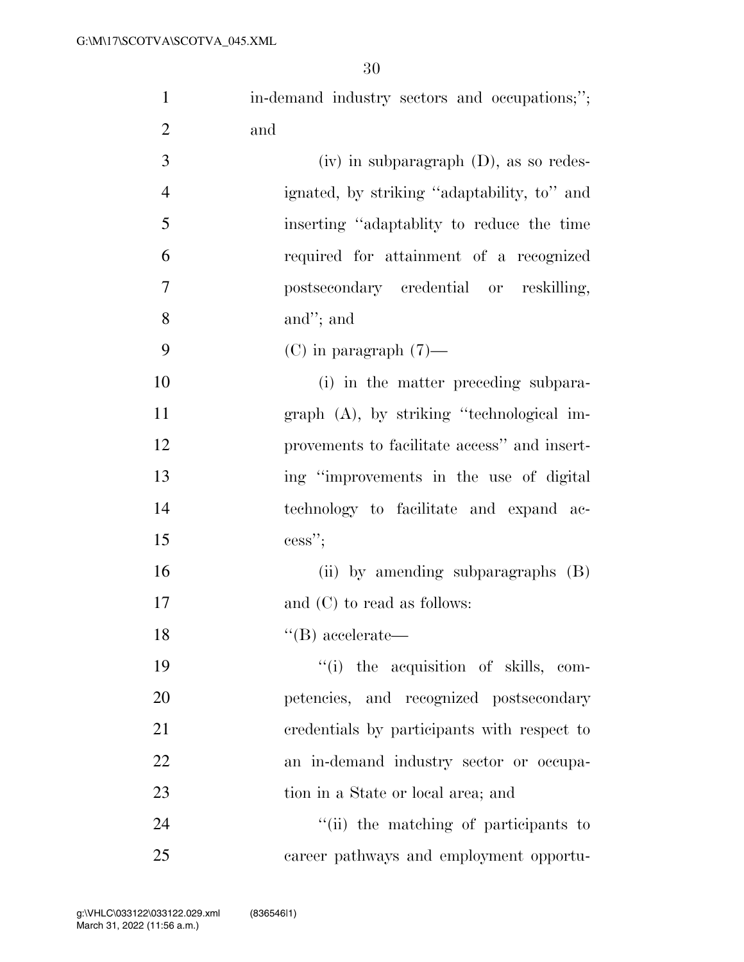| $\mathbf{1}$   | in-demand industry sectors and occupations;"; |
|----------------|-----------------------------------------------|
| $\overline{2}$ | and                                           |
| 3              | $(iv)$ in subparagraph $(D)$ , as so redes-   |
| $\overline{4}$ | ignated, by striking "adaptability, to" and   |
| 5              | inserting "adaptablity to reduce the time"    |
| 6              | required for attainment of a recognized       |
| 7              | postsecondary credential or reskilling,       |
| 8              | and"; and                                     |
| 9              | $(C)$ in paragraph $(7)$ —                    |
| 10             | (i) in the matter preceding subpara-          |
| 11             | graph (A), by striking "technological im-     |
| 12             | provements to facilitate access" and insert-  |
| 13             | ing "improvements in the use of digital       |
| 14             | technology to facilitate and expand ac-       |
| 15             | $\text{cess}$ ";                              |
| 16             | (ii) by amending subparagraphs (B)            |
| 17             | and $(C)$ to read as follows:                 |
| 18             | $\lq\lq(B)$ accelerate—                       |
| 19             | "(i) the acquisition of skills, com-          |
| 20             | petencies, and recognized postsecondary       |
| 21             | credentials by participants with respect to   |
| 22             | an in-demand industry sector or occupa-       |
| 23             | tion in a State or local area; and            |
| 24             | "(ii) the matching of participants to         |
| 25             | career pathways and employment opportu-       |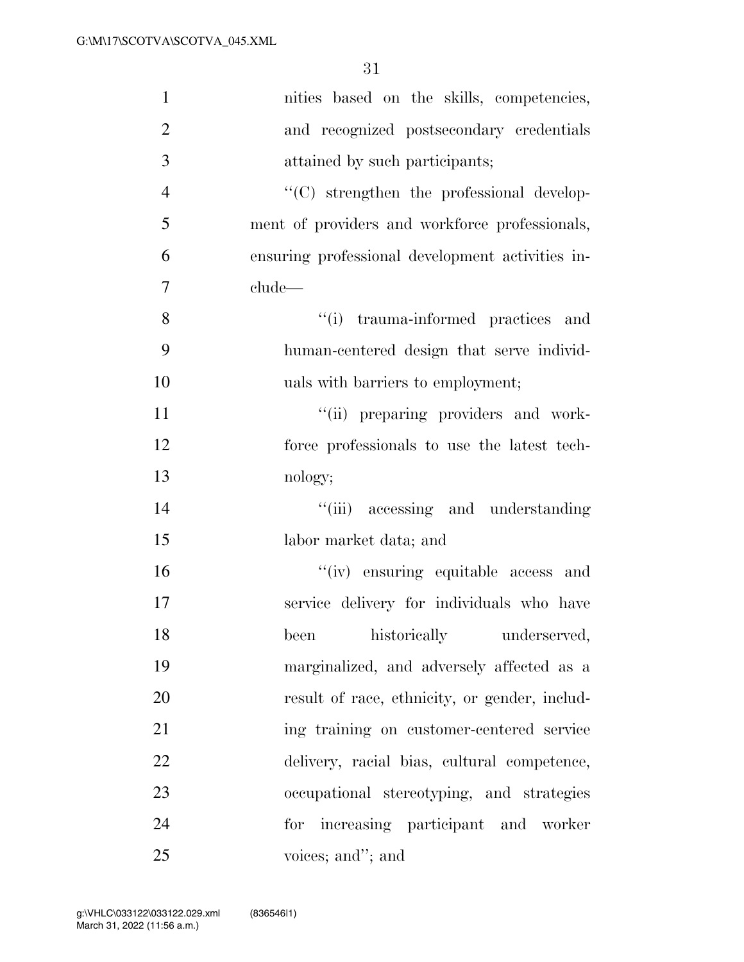| $\mathbf{1}$   | nities based on the skills, competencies,        |
|----------------|--------------------------------------------------|
| $\overline{2}$ | and recognized postsecondary credentials         |
| 3              | attained by such participants;                   |
| $\overline{4}$ | $\lq\lq$ strengthen the professional develop-    |
| 5              | ment of providers and workforce professionals,   |
| 6              | ensuring professional development activities in- |
| 7              | clude-                                           |
| 8              | trauma-informed practices and<br>``(i)           |
| 9              | human-centered design that serve individ-        |
| 10             | uals with barriers to employment;                |
| 11             | "(ii) preparing providers and work-              |
| 12             | force professionals to use the latest tech-      |
| 13             | nology;                                          |
| 14             | "(iii) accessing and understanding               |
| 15             | labor market data; and                           |
| 16             | "(iv) ensuring equitable access and              |
| 17             | service delivery for individuals who have        |
| 18             | historically underserved,<br>been                |
| 19             | marginalized, and adversely affected as a        |
| 20             | result of race, ethnicity, or gender, includ-    |
| 21             | ing training on customer-centered service        |
| 22             | delivery, racial bias, cultural competence,      |
| 23             | occupational stereotyping, and strategies        |
| 24             | for increasing participant and worker            |
| 25             | voices; and"; and                                |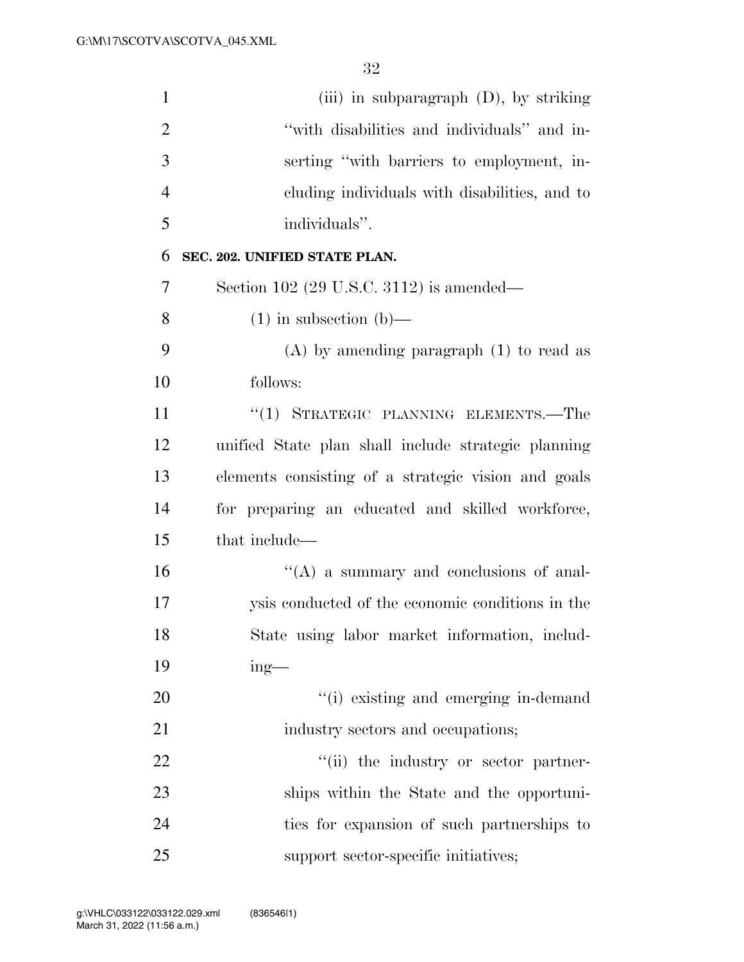| $\mathbf{1}$   | (iii) in subparagraph $(D)$ , by striking           |
|----------------|-----------------------------------------------------|
| $\overline{2}$ | "with disabilities and individuals" and in-         |
| 3              | serting "with barriers to employment, in-           |
| $\overline{4}$ | cluding individuals with disabilities, and to       |
| 5              | individuals".                                       |
| 6              | SEC. 202. UNIFIED STATE PLAN.                       |
| 7              | Section 102 $(29 \text{ U.S.C. } 3112)$ is amended— |
| 8              | $(1)$ in subsection $(b)$ —                         |
| 9              | $(A)$ by amending paragraph $(1)$ to read as        |
| 10             | follows:                                            |
| 11             | "(1) STRATEGIC PLANNING ELEMENTS.—The               |
| 12             | unified State plan shall include strategic planning |
| 13             | elements consisting of a strategic vision and goals |
| 14             | for preparing an educated and skilled workforce,    |
| 15             | that include—                                       |
| 16             | $\lq\lq$ (A) a summary and conclusions of anal-     |
| 17             | ysis conducted of the economic conditions in the    |
| 18             | State using labor market information, includ-       |
| 19             | $ing$ —                                             |
| 20             | "(i) existing and emerging in-demand                |
| 21             | industry sectors and occupations;                   |
| 22             | "(ii) the industry or sector partner-               |
| 23             | ships within the State and the opportuni-           |
| 24             | ties for expansion of such partnerships to          |
| 25             | support sector-specific initiatives;                |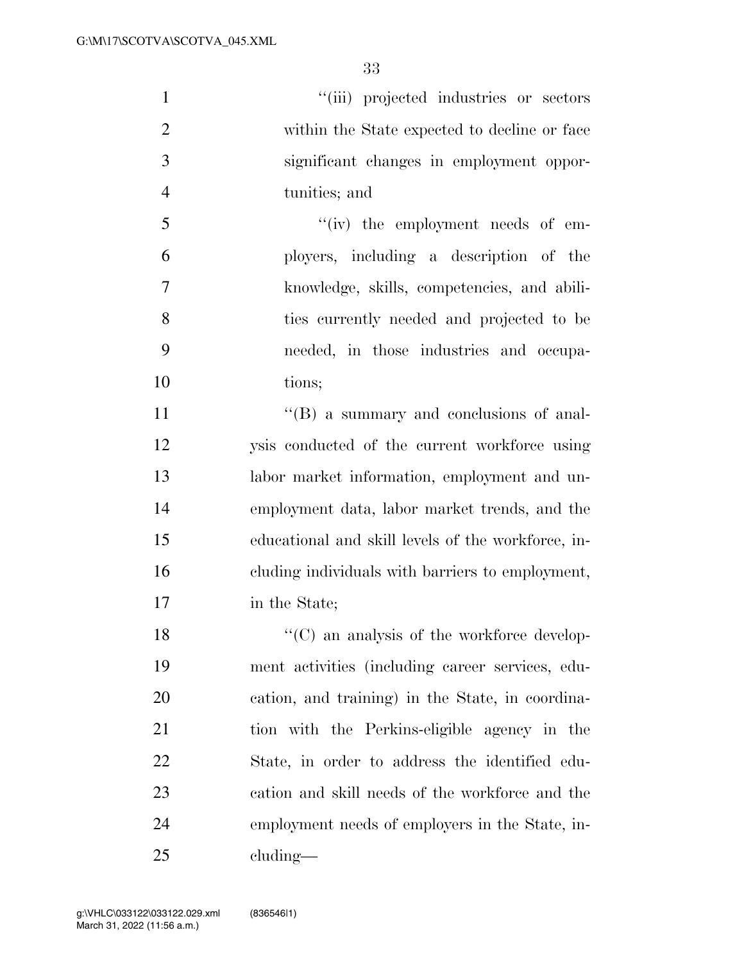$"$ (iii) projected industries or sectors within the State expected to decline or face significant changes in employment oppor- tunities; and  $\frac{1}{\sqrt{2}}$  (iv) the employment needs of em- ployers, including a description of the knowledge, skills, competencies, and abili- ties currently needed and projected to be needed, in those industries and occupa-10 tions:  $\langle G \rangle$  a summary and conclusions of anal- ysis conducted of the current workforce using labor market information, employment and un- employment data, labor market trends, and the educational and skill levels of the workforce, in- cluding individuals with barriers to employment, in the State; 18 ''(C) an analysis of the workforce develop- ment activities (including career services, edu- cation, and training) in the State, in coordina- tion with the Perkins-eligible agency in the State, in order to address the identified edu- cation and skill needs of the workforce and the employment needs of employers in the State, in-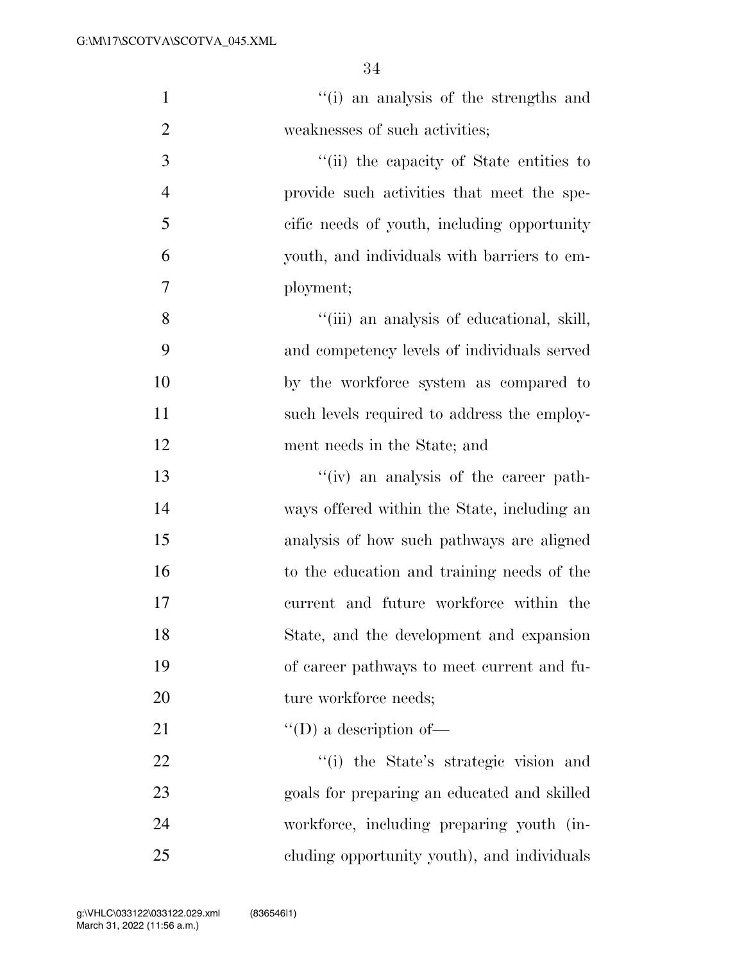| $\mathbf{1}$   | "(i) an analysis of the strengths and       |
|----------------|---------------------------------------------|
| $\overline{2}$ | weaknesses of such activities;              |
| 3              | "(ii) the capacity of State entities to     |
| $\overline{4}$ | provide such activities that meet the spe-  |
| 5              | cific needs of youth, including opportunity |
| 6              | youth, and individuals with barriers to em- |
| $\overline{7}$ | ployment;                                   |
| 8              | "(iii) an analysis of educational, skill,   |
| 9              | and competency levels of individuals served |
| 10             | by the workforce system as compared to      |
| 11             | such levels required to address the employ- |
| 12             | ment needs in the State; and                |
| 13             | "(iv) an analysis of the career path-       |
| 14             | ways offered within the State, including an |
| 15             | analysis of how such pathways are aligned   |
| 16             | to the education and training needs of the  |
| 17             | current and future workforce within the     |
| 18             | State, and the development and expansion    |
| 19             | of career pathways to meet current and fu-  |
| 20             | ture workforce needs;                       |
| 21             | "(D) a description of-                      |
| 22             | "(i) the State's strategic vision and       |
| 23             | goals for preparing an educated and skilled |
| 24             | workforce, including preparing youth (in-   |
| 25             | cluding opportunity youth), and individuals |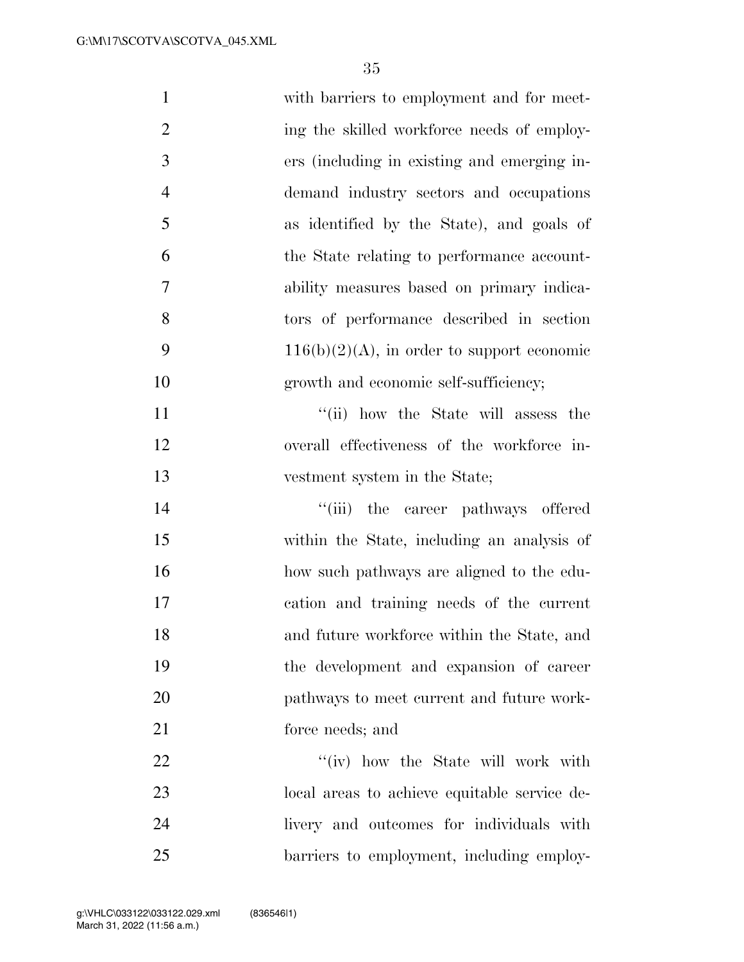| $\mathbf{1}$   | with barriers to employment and for meet-     |
|----------------|-----------------------------------------------|
| $\overline{2}$ | ing the skilled workforce needs of employ-    |
| 3              | ers (including in existing and emerging in-   |
| $\overline{4}$ | demand industry sectors and occupations       |
| 5              | as identified by the State), and goals of     |
| 6              | the State relating to performance account-    |
| $\overline{7}$ | ability measures based on primary indica-     |
| 8              | tors of performance described in section      |
| 9              | $116(b)(2)(A)$ , in order to support economic |
| 10             | growth and economic self-sufficiency;         |
| 11             | "(ii) how the State will assess the           |
| 12             | overall effectiveness of the workforce in-    |
| 13             | vestment system in the State;                 |
| 14             | "(iii) the career pathways offered            |
| 15             | within the State, including an analysis of    |
| 16             | how such pathways are aligned to the edu-     |
| 17             | cation and training needs of the current      |
| 18             | and future workforce within the State, and    |
| 19             | the development and expansion of career       |
| 20             | pathways to meet current and future work-     |
| 21             | force needs; and                              |
| 22             | "(iv) how the State will work with            |
| 23             | local areas to achieve equitable service de-  |
| 24             | livery and outcomes for individuals with      |
| 25             | barriers to employment, including employ-     |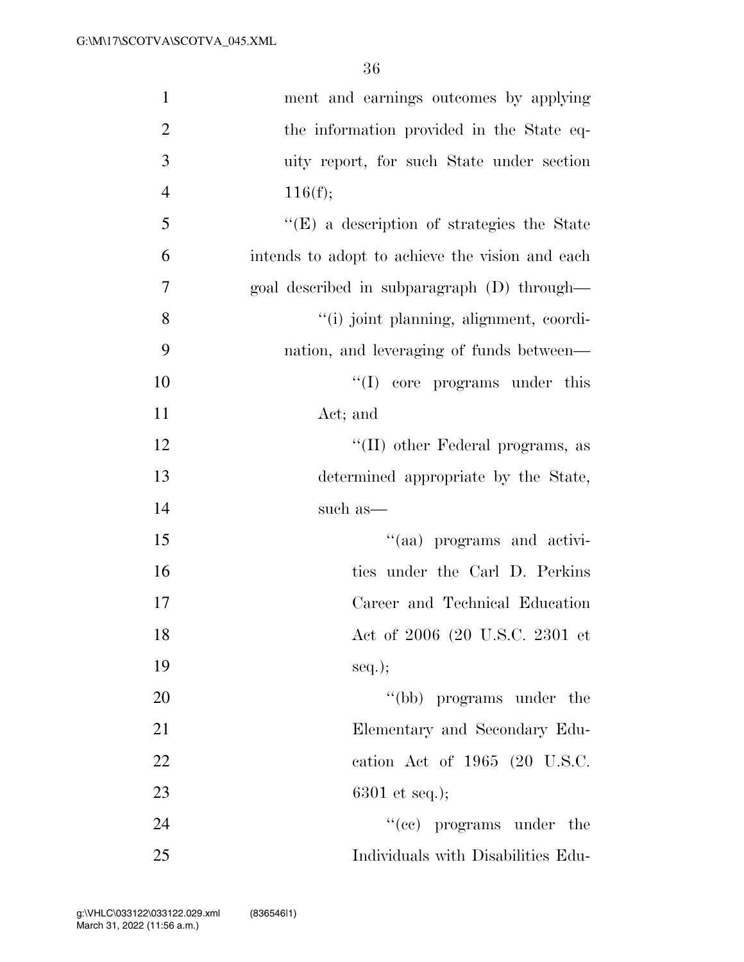| $\mathbf{1}$   | ment and earnings outcomes by applying          |
|----------------|-------------------------------------------------|
| $\overline{2}$ | the information provided in the State eq-       |
| 3              | uity report, for such State under section       |
| $\overline{4}$ | 116(f);                                         |
| 5              | "(E) a description of strategies the State      |
| 6              | intends to adopt to achieve the vision and each |
| 7              | goal described in subparagraph (D) through-     |
| 8              | "(i) joint planning, alignment, coordi-         |
| 9              | nation, and leveraging of funds between—        |
| 10             | $\lq\lq$ (I) core programs under this           |
| 11             | Act; and                                        |
| 12             | "(II) other Federal programs, as                |
| 13             | determined appropriate by the State,            |
| 14             | such as—                                        |
| 15             | "(aa) programs and activi-                      |
| 16             | ties under the Carl D. Perkins                  |
| 17             | Career and Technical Education                  |
| 18             | Act of 2006 (20 U.S.C. 2301 et                  |
| 19             | $seq.$ ;                                        |
| 20             | "(bb) programs under the                        |
| 21             | Elementary and Secondary Edu-                   |
| 22             | cation Act of 1965 (20 U.S.C.                   |
| 23             | $6301$ et seq.);                                |
| 24             | "(ce) programs under the                        |
| 25             | Individuals with Disabilities Edu-              |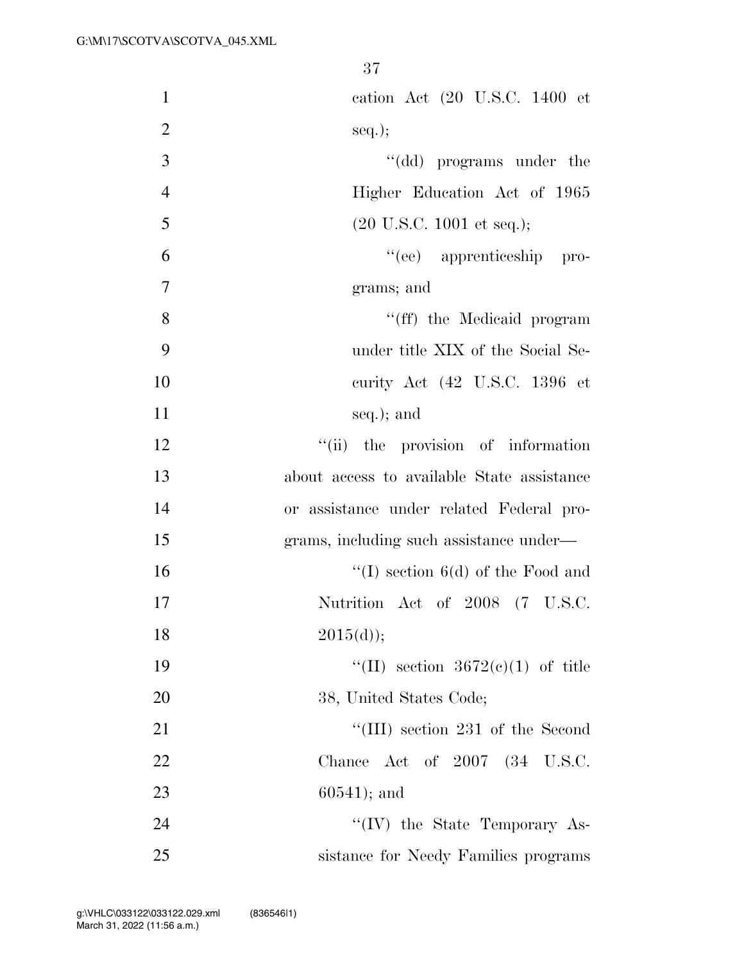| $\mathbf{1}$   | cation Act (20 U.S.C. 1400 et                |
|----------------|----------------------------------------------|
| $\overline{2}$ | $seq.$ ;                                     |
| 3              | "(dd) programs under the                     |
| $\overline{4}$ | Higher Education Act of 1965                 |
| 5              | $(20 \text{ U.S.C. } 1001 \text{ et seq.});$ |
| 6              | "(ee) apprenticeship pro-                    |
| 7              | grams; and                                   |
| 8              | "(ff) the Medicaid program                   |
| 9              | under title XIX of the Social Se-            |
| 10             | curity Act (42 U.S.C. 1396 et                |
| 11             | seq.); and                                   |
| 12             | "(ii) the provision of information           |
| 13             | about access to available State assistance   |
| 14             | or assistance under related Federal pro-     |
| 15             | grams, including such assistance under—      |
| 16             | "(I) section $6(d)$ of the Food and          |
| 17             | Nutrition Act of 2008 (7 U.S.C.              |
| 18             | 2015(d));                                    |
| 19             | "(II) section $3672(e)(1)$ of title          |
| 20             | 38, United States Code;                      |
| 21             | "(III) section 231 of the Second             |
| 22             | Chance Act of 2007 (34 U.S.C.                |
| 23             | $60541$ ; and                                |
| 24             | "(IV) the State Temporary As-                |
| 25             | sistance for Needy Families programs         |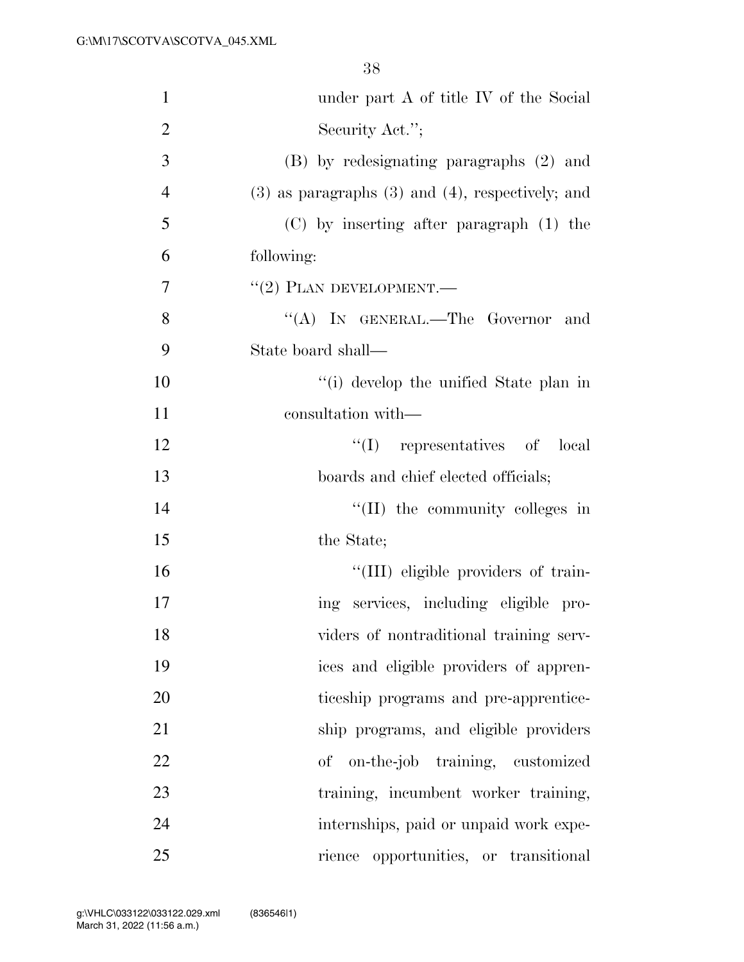| $\mathbf{1}$   | under part A of title IV of the Social                  |
|----------------|---------------------------------------------------------|
| $\overline{2}$ | Security Act.";                                         |
| 3              | (B) by redesignating paragraphs (2) and                 |
| $\overline{4}$ | $(3)$ as paragraphs $(3)$ and $(4)$ , respectively; and |
| 5              | (C) by inserting after paragraph (1) the                |
| 6              | following:                                              |
| 7              | $``(2)$ PLAN DEVELOPMENT.—                              |
| 8              | "(A) IN GENERAL.—The Governor and                       |
| 9              | State board shall—                                      |
| 10             | "(i) develop the unified State plan in                  |
| 11             | consultation with—                                      |
| 12             | "(I) representatives of local                           |
| 13             | boards and chief elected officials;                     |
| 14             | $\lq\lq$ (II) the community colleges in                 |
| 15             | the State;                                              |
| 16             | "(III) eligible providers of train-                     |
| 17             | ing services, including eligible pro-                   |
| 18             | viders of nontraditional training serv-                 |
| 19             | ices and eligible providers of appren-                  |
| 20             | ticeship programs and pre-apprentice-                   |
| 21             | ship programs, and eligible providers                   |
| 22             | on-the-job training, customized<br>$\mathrm{of}$        |
| 23             | training, incumbent worker training,                    |
| 24             | internships, paid or unpaid work expe-                  |
| 25             | rience opportunities, or transitional                   |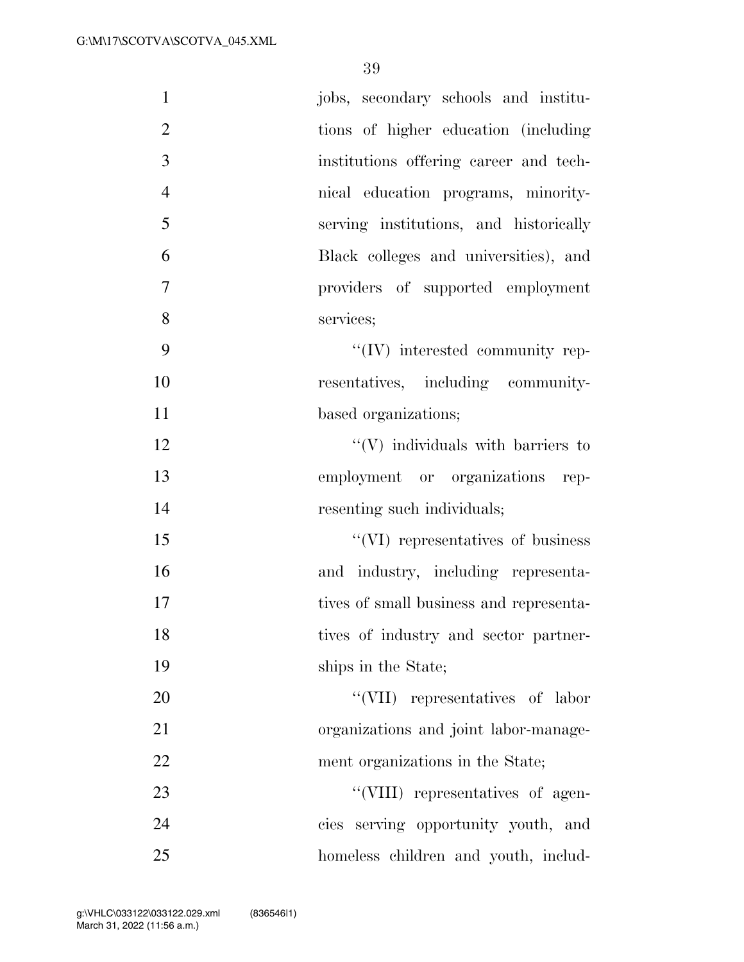| $\mathbf{1}$   | jobs, secondary schools and institu-     |
|----------------|------------------------------------------|
| $\overline{2}$ | tions of higher education (including)    |
| 3              | institutions offering career and tech-   |
| $\overline{4}$ | nical education programs, minority-      |
| 5              | serving institutions, and historically   |
| 6              | Black colleges and universities), and    |
| $\tau$         | providers of supported employment        |
| 8              | services;                                |
| 9              | "(IV) interested community rep-          |
| 10             | resentatives, including community-       |
| 11             | based organizations;                     |
| 12             | $\lq\lq(V)$ individuals with barriers to |
| 13             | employment or organizations rep-         |
| 14             | resenting such individuals;              |
| 15             | "(VI) representatives of business        |
| 16             | and industry, including representa-      |
| 17             | tives of small business and representa-  |
| 18             | tives of industry and sector partner-    |
| 19             | ships in the State;                      |
| 20             | "(VII) representatives of labor          |
| 21             | organizations and joint labor-manage-    |
| 22             | ment organizations in the State;         |
| 23             | "(VIII) representatives of agen-         |
| 24             | cies serving opportunity youth, and      |
| 25             | homeless children and youth, includ-     |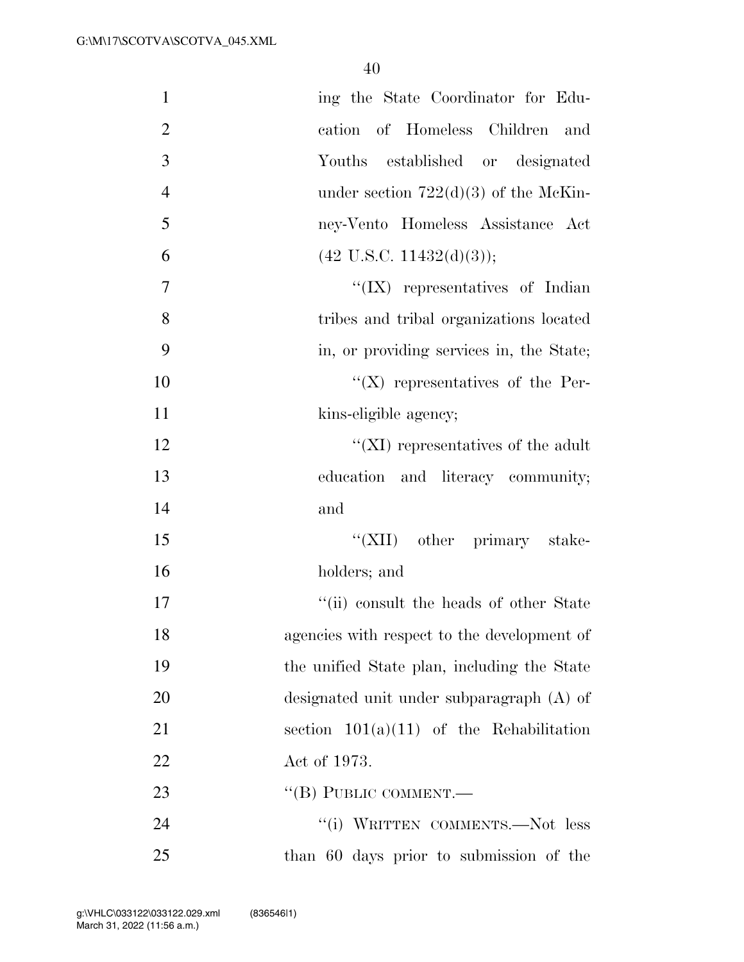| $\mathbf{1}$   | ing the State Coordinator for Edu-          |
|----------------|---------------------------------------------|
| $\overline{2}$ | cation of Homeless Children and             |
| 3              | Youths established or designated            |
| $\overline{4}$ | under section $722(d)(3)$ of the McKin-     |
| 5              | ney-Vento Homeless Assistance Act           |
| 6              | $(42 \text{ U.S.C. } 11432(d)(3));$         |
| $\tau$         | " $(IX)$ representatives of Indian          |
| 8              | tribes and tribal organizations located     |
| 9              | in, or providing services in, the State;    |
| 10             | $\lq\lq (X)$ representatives of the Per-    |
| 11             | kins-eligible agency;                       |
| 12             | $\lq\lq$ (XI) representatives of the adult  |
| 13             | education and literacy community;           |
| 14             | and                                         |
| 15             | "(XII) other primary stake-                 |
| 16             | holders; and                                |
| 17             | "(ii) consult the heads of other State      |
| 18             | agencies with respect to the development of |
| 19             | the unified State plan, including the State |
| 20             | designated unit under subparagraph $(A)$ of |
| 21             | section $101(a)(11)$ of the Rehabilitation  |
| 22             | Act of 1973.                                |
| 23             | "(B) PUBLIC COMMENT.—                       |
| 24             | "(i) WRITTEN COMMENTS.-Not less             |
| 25             | than 60 days prior to submission of the     |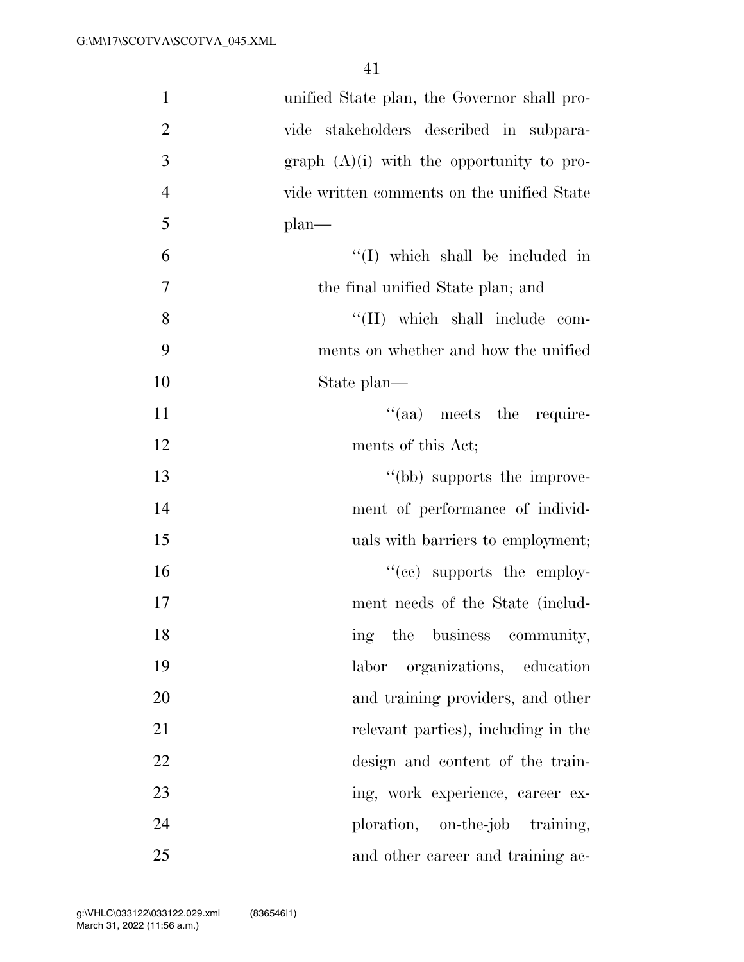| $\mathbf{1}$   | unified State plan, the Governor shall pro- |
|----------------|---------------------------------------------|
| $\overline{2}$ | vide stakeholders described in subpara-     |
| 3              | graph $(A)(i)$ with the opportunity to pro- |
| $\overline{4}$ | vide written comments on the unified State  |
| 5              | $plan$ —                                    |
| 6              | $\lq\lq$ (I) which shall be included in     |
| 7              | the final unified State plan; and           |
| 8              | $\lq\lq$ (II) which shall include com-      |
| 9              | ments on whether and how the unified        |
| 10             | State plan—                                 |
| 11             | "(aa) meets the require-                    |
| 12             | ments of this Act;                          |
| 13             | "(bb) supports the improve-                 |
| 14             | ment of performance of individ-             |
| 15             | uals with barriers to employment;           |
| 16             | $\cdot$ (ce) supports the employ-           |
| 17             | ment needs of the State (includ-            |
| 18             | ing the business community,                 |
| 19             | organizations, education<br>labor           |
| 20             | and training providers, and other           |
| 21             | relevant parties), including in the         |
| 22             | design and content of the train-            |
| 23             | ing, work experience, career ex-            |
| 24             | ploration, on-the-job training,             |
| 25             | and other career and training ac-           |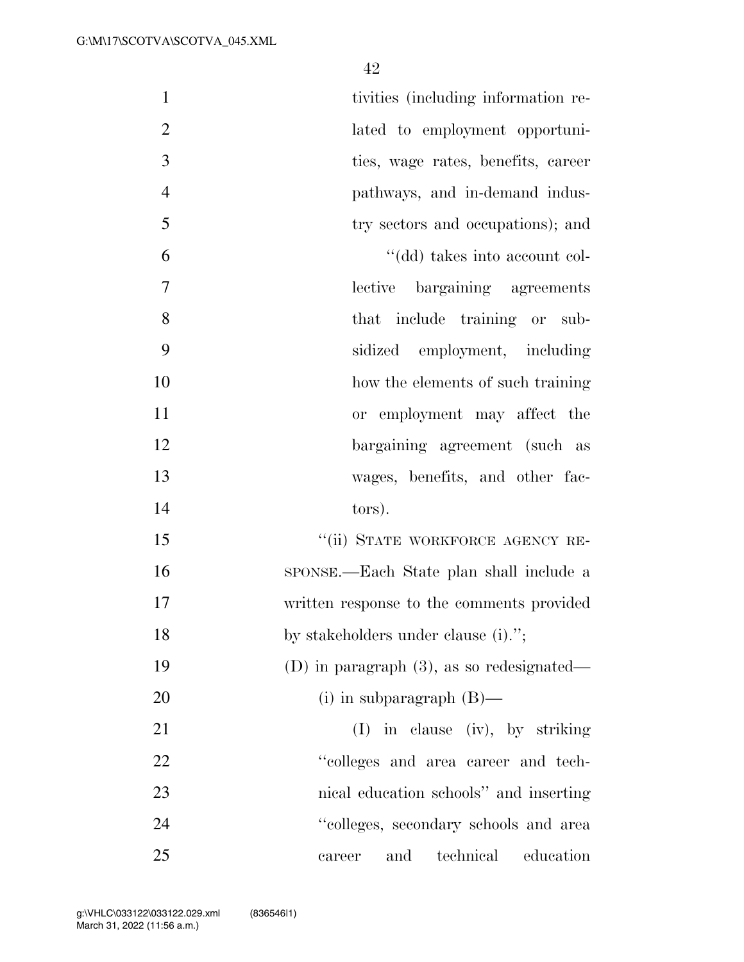| $\mathbf{1}$   | tivities (including information re-          |
|----------------|----------------------------------------------|
| $\mathfrak{2}$ | lated to employment opportuni-               |
| 3              | ties, wage rates, benefits, career           |
| $\overline{4}$ | pathways, and in-demand indus-               |
| 5              | try sectors and occupations); and            |
| 6              | "(dd) takes into account col-                |
| 7              | lective bargaining agreements                |
| 8              | that include training or sub-                |
| 9              | sidized employment, including                |
| 10             | how the elements of such training            |
| 11             | or employment may affect the                 |
| 12             | bargaining agreement (such as                |
| 13             | wages, benefits, and other fac-              |
| 14             | tors).                                       |
| 15             | "(ii) STATE WORKFORCE AGENCY RE-             |
| 16             | SPONSE.—Each State plan shall include a      |
| 17             | written response to the comments provided    |
| 18             | by stakeholders under clause (i).";          |
| 19             | (D) in paragraph $(3)$ , as so redesignated— |
| 20             | (i) in subparagraph $(B)$ —                  |
| 21             | $(I)$ in clause (iv), by striking            |
| 22             | "colleges and area career and tech-          |
| 23             | nical education schools" and inserting       |
| 24             | "colleges, secondary schools and area        |
| 25             | technical education<br>and<br>career         |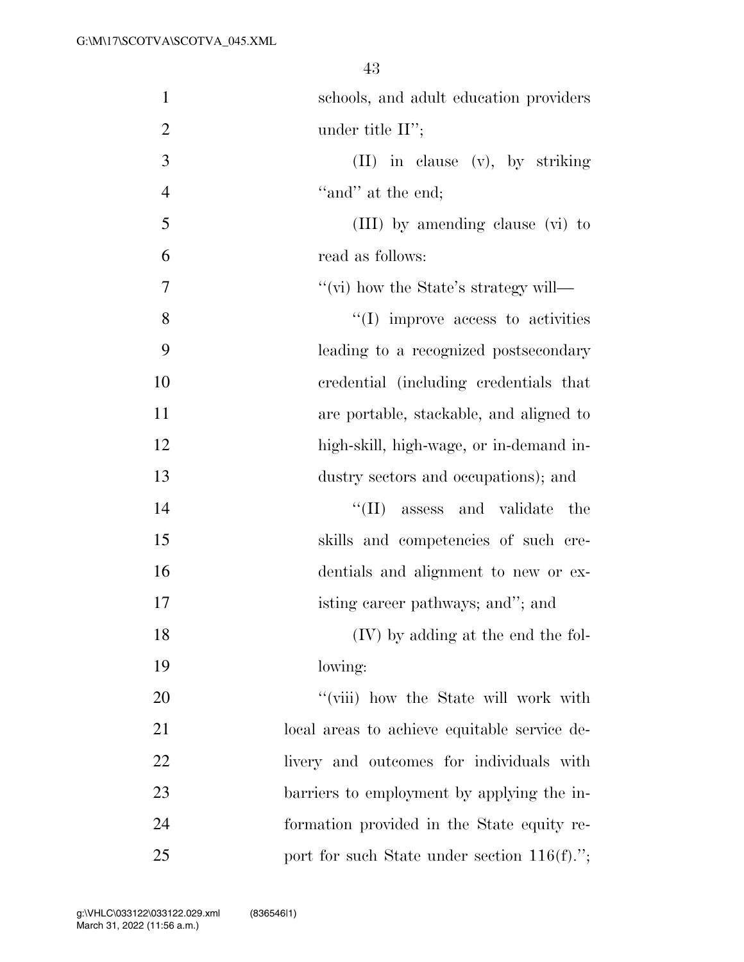| $\mathbf{1}$   | schools, and adult education providers         |
|----------------|------------------------------------------------|
| $\overline{2}$ | under title $II$ ";                            |
| 3              | $(II)$ in clause $(v)$ , by striking           |
| $\overline{4}$ | "and" at the end;                              |
| 5              | (III) by amending clause (vi) to               |
| 6              | read as follows:                               |
| 7              | "(vi) how the State's strategy will—           |
| 8              | $\lq\lq$ (I) improve access to activities      |
| 9              | leading to a recognized postsecondary          |
| 10             | credential (including credentials that         |
| 11             | are portable, stackable, and aligned to        |
| 12             | high-skill, high-wage, or in-demand in-        |
| 13             | dustry sectors and occupations); and           |
| 14             | $\lq\lq$ (II) assess and validate<br>the       |
| 15             | skills and competencies of such cre-           |
| 16             | dentials and alignment to new or ex-           |
| 17             | isting career pathways; and"; and              |
| 18             | (IV) by adding at the end the fol-             |
| 19             | lowing:                                        |
| 20             | "(viii) how the State will work with           |
| 21             | local areas to achieve equitable service de-   |
| 22             | livery and outcomes for individuals with       |
| 23             | barriers to employment by applying the in-     |
| 24             | formation provided in the State equity re-     |
| 25             | port for such State under section $116(f)$ ."; |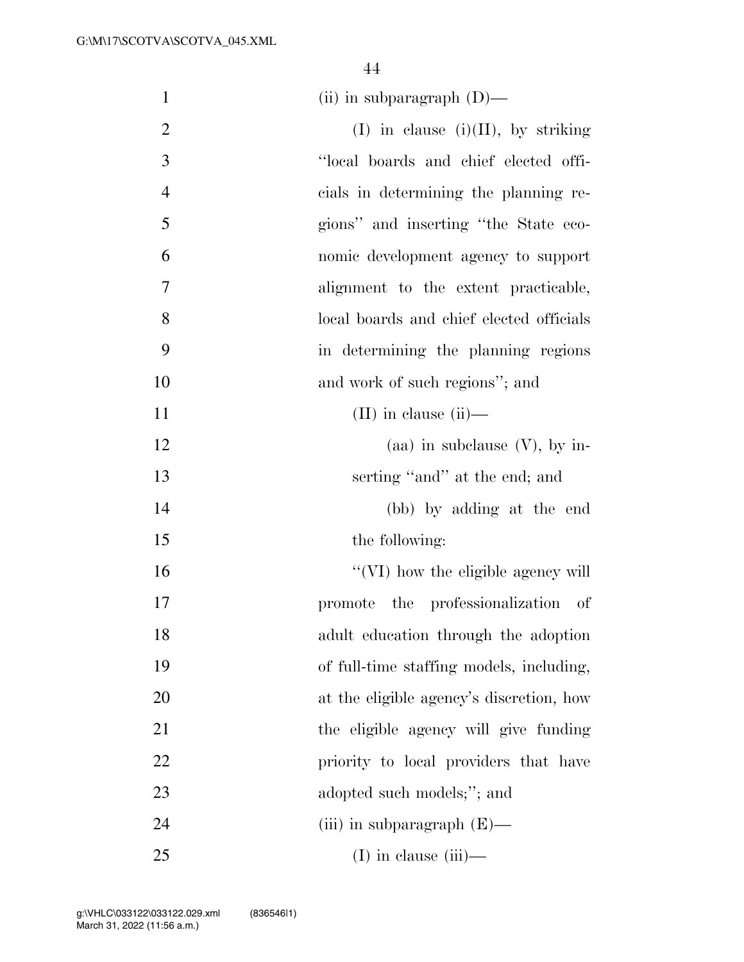| $\mathbf{1}$   | (ii) in subparagraph $(D)$ —             |
|----------------|------------------------------------------|
| $\overline{2}$ | $(I)$ in clause $(i)(II)$ , by striking  |
| $\mathfrak{Z}$ | "local boards and chief elected offi-    |
| $\overline{4}$ | cials in determining the planning re-    |
| 5              | gions" and inserting "the State eco-     |
| 6              | nomic development agency to support      |
| $\overline{7}$ | alignment to the extent practicable,     |
| 8              | local boards and chief elected officials |
| 9              | in determining the planning regions      |
| 10             | and work of such regions"; and           |
| 11             | $(II)$ in clause $(ii)$ —                |
| 12             | (aa) in subclause $(V)$ , by in-         |
| 13             | serting "and" at the end; and            |
| 14             | (bb) by adding at the end                |
| 15             | the following:                           |
| 16             | "(VI) how the eligible agency will       |
| 17             | promote the professionalization of       |
| 18             | adult education through the adoption     |
| 19             | of full-time staffing models, including, |
| 20             | at the eligible agency's discretion, how |
| 21             | the eligible agency will give funding    |
| 22             | priority to local providers that have    |
| 23             | adopted such models;"; and               |
| 24             | (iii) in subparagraph $(E)$ —            |
| 25             | $(I)$ in clause $(iii)$ —                |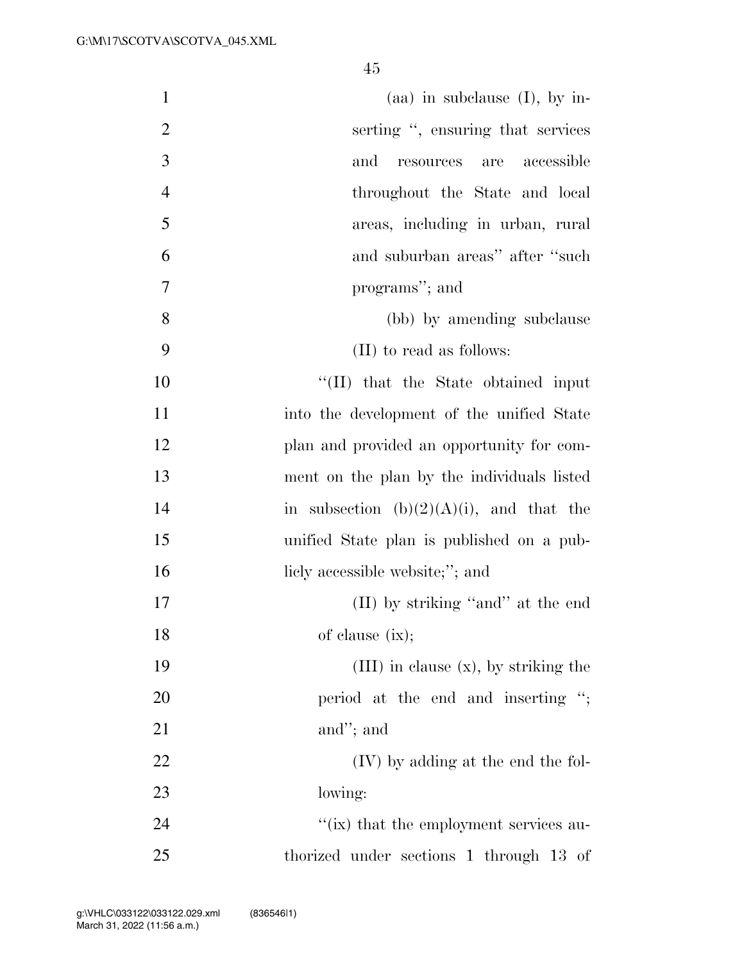| $\mathbf{1}$   | (aa) in subclause $(I)$ , by in-            |
|----------------|---------------------------------------------|
| $\mathbf{2}$   | serting ", ensuring that services           |
| 3              | accessible<br>and<br>resources are          |
| $\overline{4}$ | throughout the State and local              |
| 5              | areas, including in urban, rural            |
| 6              | and suburban areas" after "such             |
| 7              | programs"; and                              |
| 8              | (bb) by amending subclause                  |
| 9              | (II) to read as follows:                    |
| 10             | "(II) that the State obtained input         |
| 11             | into the development of the unified State   |
| 12             | plan and provided an opportunity for com-   |
| 13             | ment on the plan by the individuals listed  |
| 14             | in subsection $(b)(2)(A)(i)$ , and that the |
| 15             | unified State plan is published on a pub-   |
| 16             | licly accessible website;"; and             |
| 17             | (II) by striking "and" at the end           |
| 18             | of clause $(ix);$                           |
| 19             | $(III)$ in clause $(x)$ , by striking the   |
| 20             | period at the end and inserting ";          |
| 21             | and"; and                                   |
| 22             | $(IV)$ by adding at the end the fol-        |
| 23             | lowing:                                     |
| 24             | "(ix) that the employment services au-      |
| 25             | thorized under sections 1 through 13 of     |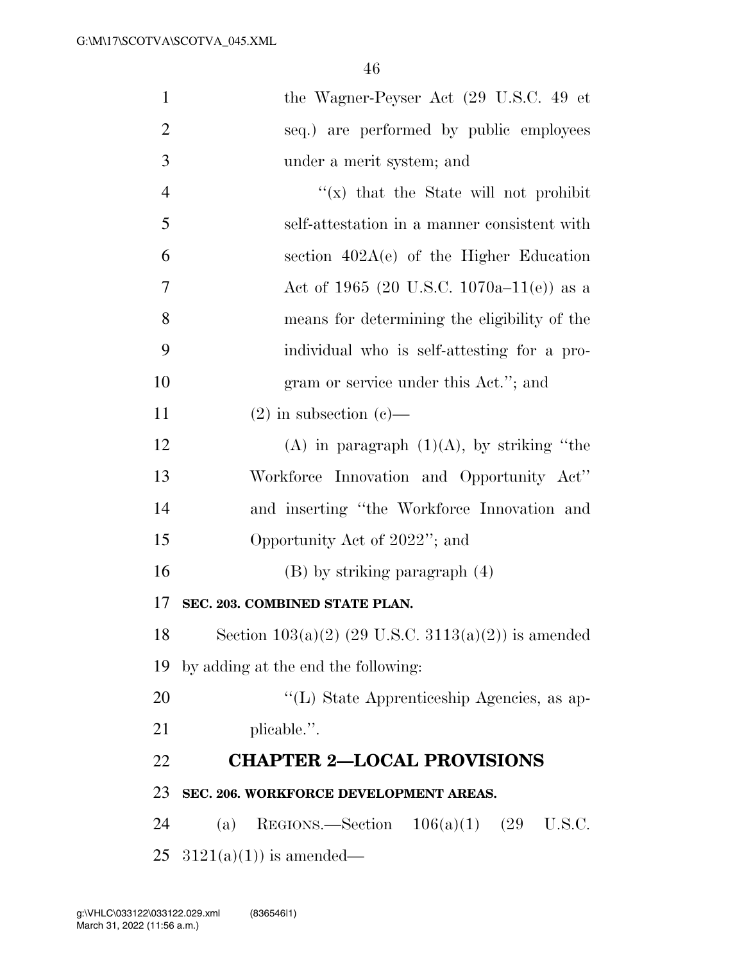| $\mathbf{1}$   | the Wagner-Peyser Act (29 U.S.C. 49 et                    |
|----------------|-----------------------------------------------------------|
| $\overline{2}$ | seq.) are performed by public employees                   |
| 3              | under a merit system; and                                 |
| $\overline{4}$ | " $(x)$ that the State will not prohibit                  |
| 5              | self-attestation in a manner consistent with              |
| 6              | section $402A(e)$ of the Higher Education                 |
| 7              | Act of 1965 (20 U.S.C. 1070a–11(e)) as a                  |
| 8              | means for determining the eligibility of the              |
| 9              | individual who is self-attesting for a pro-               |
| 10             | gram or service under this Act."; and                     |
| 11             | $(2)$ in subsection $(e)$ —                               |
| 12             | (A) in paragraph $(1)(A)$ , by striking "the              |
| 13             | Workforce Innovation and Opportunity Act"                 |
| 14             | and inserting "the Workforce Innovation and               |
| 15             | Opportunity Act of 2022"; and                             |
| 16             | $(B)$ by striking paragraph $(4)$                         |
| 17             | SEC. 203. COMBINED STATE PLAN.                            |
| 18             | Section $103(a)(2)$ (29 U.S.C. 3113(a)(2)) is amended     |
| 19             | by adding at the end the following:                       |
| 20             | "(L) State Apprenticeship Agencies, as ap-                |
| 21             | plicable.".                                               |
| 22             | <b>CHAPTER 2-LOCAL PROVISIONS</b>                         |
| 23             | SEC. 206. WORKFORCE DEVELOPMENT AREAS.                    |
| 24             | REGIONS.—Section $106(a)(1)$ $(29 \text{ U.S.C.})$<br>(a) |
| 25             | $3121(a)(1)$ is amended—                                  |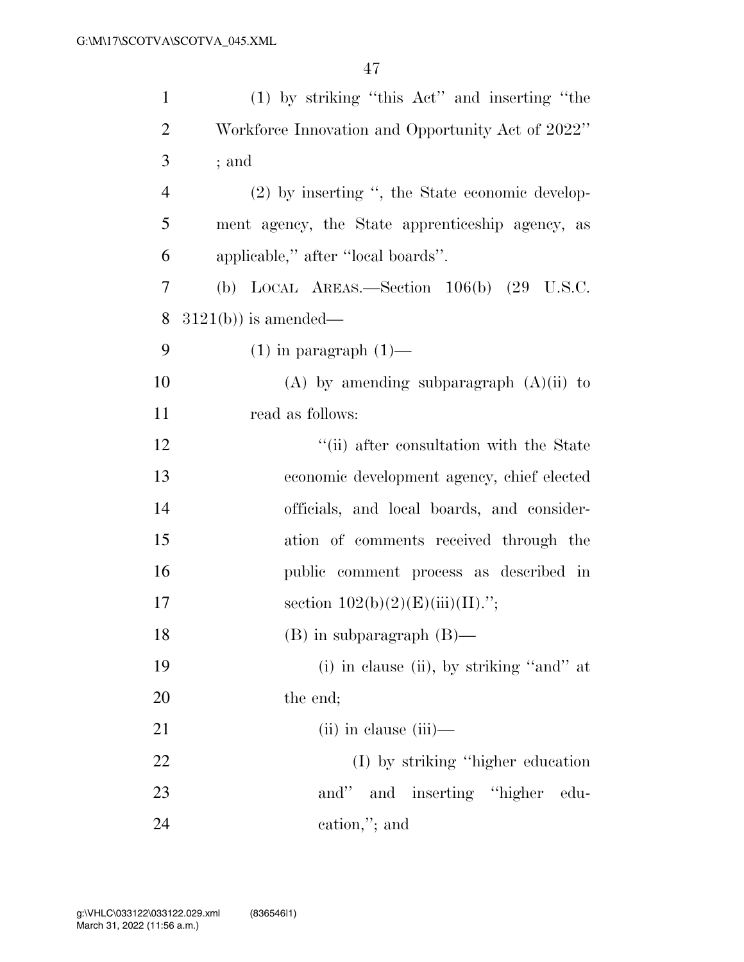| $\mathbf{1}$   | (1) by striking "this Act" and inserting "the     |
|----------------|---------------------------------------------------|
| $\overline{2}$ | Workforce Innovation and Opportunity Act of 2022" |
| 3              | ; and                                             |
| $\overline{4}$ | (2) by inserting ", the State economic develop-   |
| 5              | ment agency, the State apprenticeship agency, as  |
| 6              | applicable," after "local boards".                |
| 7              | (b) LOCAL AREAS.—Section 106(b) (29 U.S.C.        |
| 8              | $3121(b)$ ) is amended—                           |
| 9              | $(1)$ in paragraph $(1)$ —                        |
| 10             | $(A)$ by amending subparagraph $(A)(ii)$ to       |
| 11             | read as follows:                                  |
| 12             | "(ii) after consultation with the State           |
| 13             | economic development agency, chief elected        |
| 14             | officials, and local boards, and consider-        |
| 15             | ation of comments received through the            |
| 16             | public comment process as described in            |
| 17             | section $102(b)(2)(E)(iii)(II)$ .";               |
| 18             | $(B)$ in subparagraph $(B)$ —                     |
| 19             | (i) in clause (ii), by striking "and" at          |
| 20             | the end;                                          |
| 21             | $(ii)$ in clause $(iii)$ —                        |
| 22             | (I) by striking "higher education"                |
| 23             | and" and inserting "higher<br>-edu-               |
| 24             | cation,"; and                                     |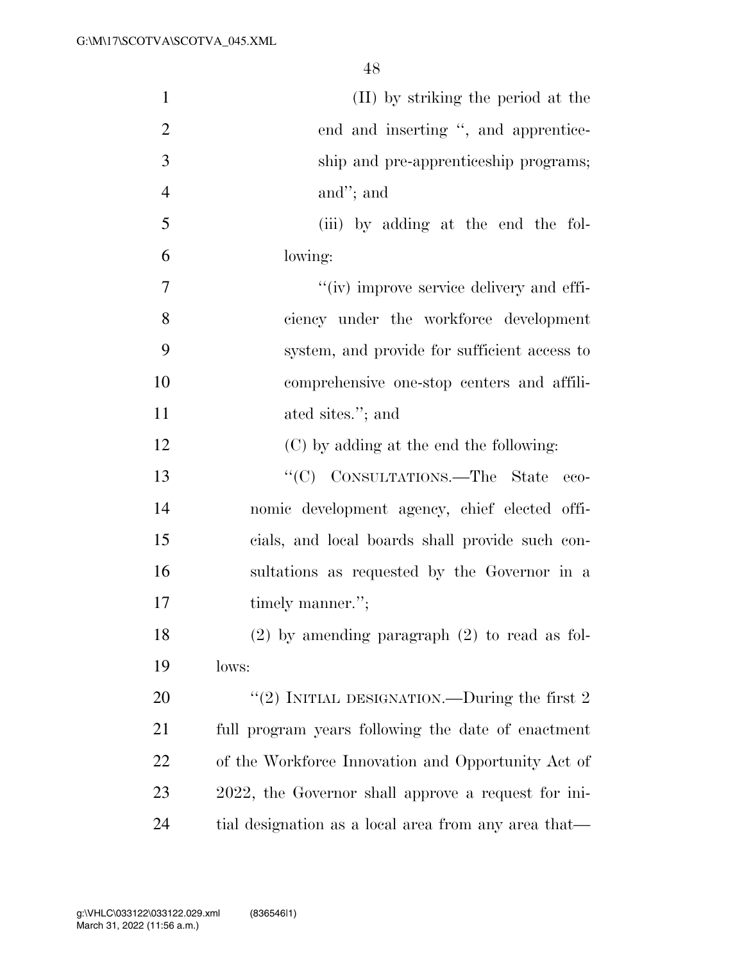| $\mathbf{1}$   | (II) by striking the period at the                   |
|----------------|------------------------------------------------------|
| $\overline{2}$ | end and inserting ", and apprentice-                 |
| 3              | ship and pre-apprenticeship programs;                |
| $\overline{4}$ | and"; and                                            |
| 5              | (iii) by adding at the end the fol-                  |
| 6              | lowing:                                              |
| 7              | "(iv) improve service delivery and effi-             |
| 8              | ciency under the workforce development               |
| 9              | system, and provide for sufficient access to         |
| 10             | comprehensive one-stop centers and affili-           |
| 11             | ated sites."; and                                    |
| 12             | (C) by adding at the end the following:              |
| 13             | "(C) CONSULTATIONS.—The State<br>$-$ eco-            |
| 14             | nomic development agency, chief elected offi-        |
| 15             | cials, and local boards shall provide such con-      |
| 16             | sultations as requested by the Governor in a         |
| 17             | timely manner.";                                     |
| 18             | $(2)$ by amending paragraph $(2)$ to read as fol-    |
| 19             | lows:                                                |
| 20             | "(2) INITIAL DESIGNATION.—During the first $2$       |
| 21             | full program years following the date of enactment   |
| 22             | of the Workforce Innovation and Opportunity Act of   |
| 23             | 2022, the Governor shall approve a request for ini-  |
| 24             | tial designation as a local area from any area that— |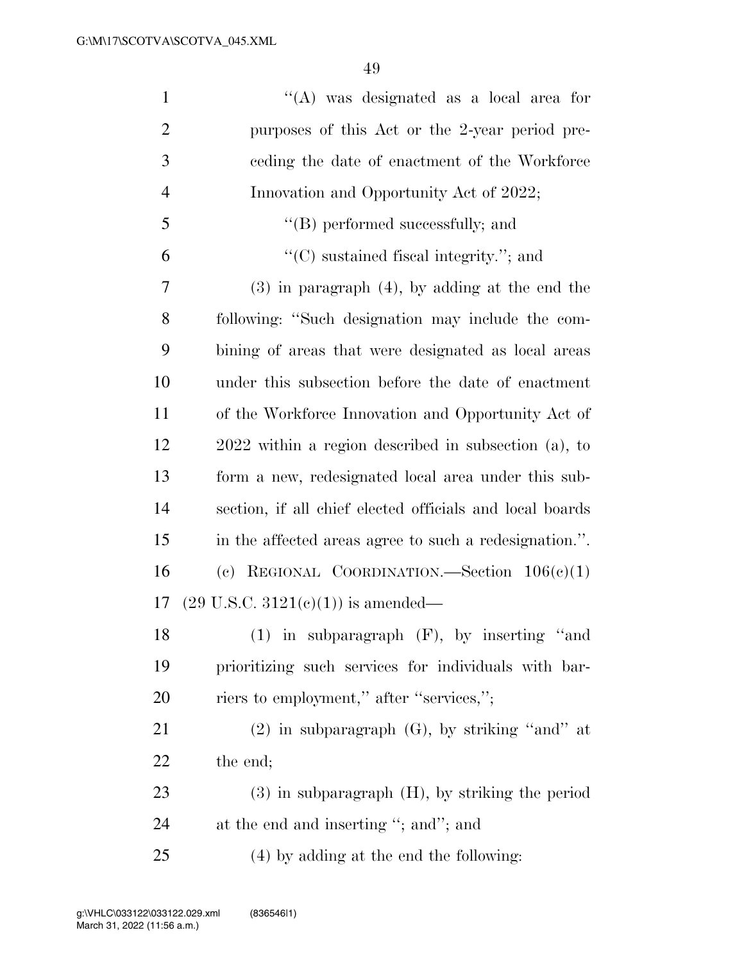| $\mathbf{1}$   | "(A) was designated as a local area for                  |
|----------------|----------------------------------------------------------|
| $\overline{2}$ | purposes of this Act or the 2-year period pre-           |
| 3              | ceding the date of enactment of the Workforce            |
| $\overline{4}$ | Innovation and Opportunity Act of 2022;                  |
| 5              | $\lq\lq$ (B) performed successfully; and                 |
| 6              | $\lq\lq$ sustained fiscal integrity."; and               |
| 7              | $(3)$ in paragraph $(4)$ , by adding at the end the      |
| 8              | following: "Such designation may include the com-        |
| 9              | bining of areas that were designated as local areas      |
| 10             | under this subsection before the date of enactment       |
| 11             | of the Workforce Innovation and Opportunity Act of       |
| 12             | $2022$ within a region described in subsection (a), to   |
| 13             | form a new, redesignated local area under this sub-      |
| 14             | section, if all chief elected officials and local boards |
| 15             | in the affected areas agree to such a redesignation.".   |
| 16             | (c) REGIONAL COORDINATION.—Section $106(c)(1)$           |
| 17             | $(29 \text{ U.S.C. } 3121(e)(1))$ is amended—            |
| 18             | $(1)$ in subparagraph $(F)$ , by inserting "and          |
| 19             | prioritizing such services for individuals with bar-     |
| <b>20</b>      | riers to employment," after "services,";                 |
| 21             | $(2)$ in subparagraph $(G)$ , by striking "and" at       |
| <u>22</u>      | the end;                                                 |
| 23             | $(3)$ in subparagraph $(H)$ , by striking the period     |
| 24             | at the end and inserting "; and"; and                    |
| 25             | (4) by adding at the end the following:                  |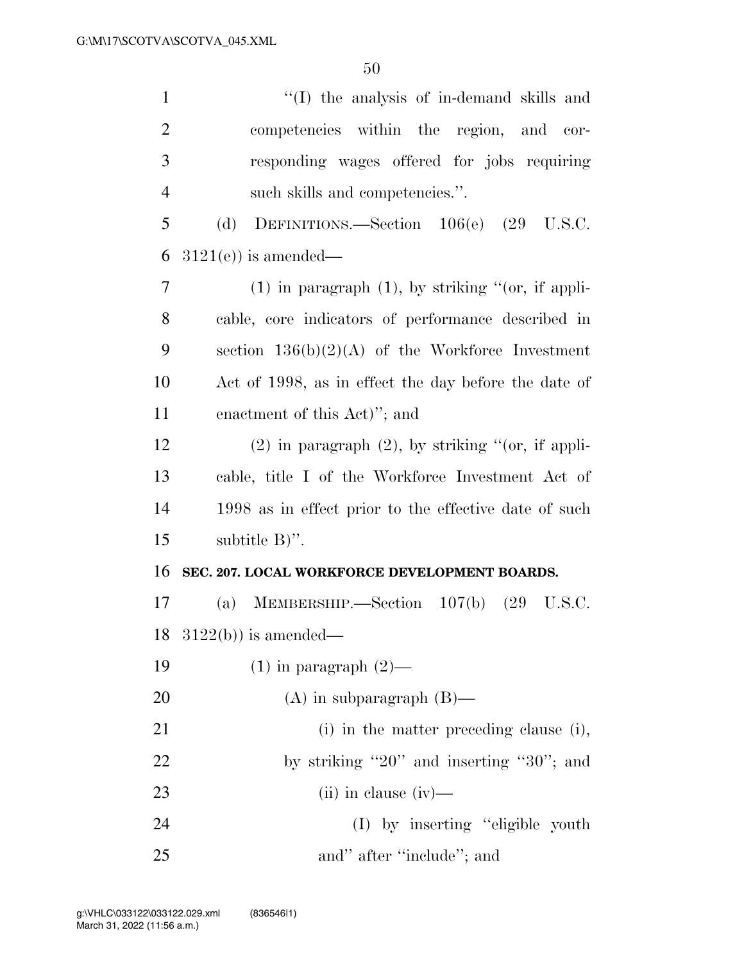| $\mathbf{1}$   | "(I) the analysis of in-demand skills and                  |
|----------------|------------------------------------------------------------|
| $\overline{2}$ | competencies within the region, and cor-                   |
| 3              | responding wages offered for jobs requiring                |
| $\overline{4}$ | such skills and competencies.".                            |
| 5              | (d)<br>DEFINITIONS.—Section 106(e) (29 U.S.C.              |
| 6              | $3121(e)$ is amended—                                      |
| 7              | $(1)$ in paragraph $(1)$ , by striking " $($ or, if appli- |
| 8              | cable, core indicators of performance described in         |
| 9              | section $136(b)(2)(A)$ of the Workforce Investment         |
| 10             | Act of 1998, as in effect the day before the date of       |
| 11             | enactment of this Act)"; and                               |
| 12             | $(2)$ in paragraph $(2)$ , by striking " $($ or, if appli- |
| 13             | cable, title I of the Workforce Investment Act of          |
| 14             | 1998 as in effect prior to the effective date of such      |
| 15             | subtitle $B$ )".                                           |
| 16             | SEC. 207. LOCAL WORKFORCE DEVELOPMENT BOARDS.              |
| 17             | (a) MEMBERSHIP.—Section $107(b)$ (29 U.S.C.                |
| 18             | $3122(b)$ ) is amended—                                    |
| 19             | $(1)$ in paragraph $(2)$ —                                 |
| 20             | $(A)$ in subparagraph $(B)$ —                              |
| 21             | $(i)$ in the matter preceding clause $(i)$ ,               |
| 22             | by striking "20" and inserting "30"; and                   |
| 23             | $(ii)$ in clause $(iv)$ —                                  |
| 24             | (I) by inserting "eligible youth                           |
| 25             | and" after "include"; and                                  |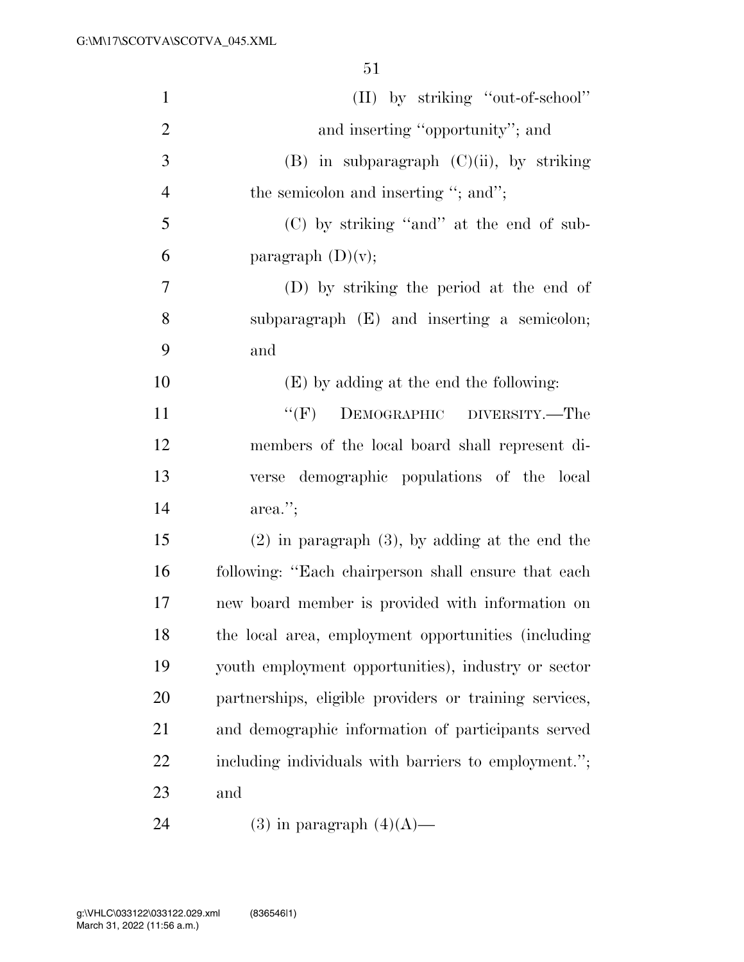| $\mathbf{1}$   | (II) by striking "out-of-school"                       |
|----------------|--------------------------------------------------------|
| $\overline{2}$ | and inserting "opportunity"; and                       |
| 3              | $(B)$ in subparagraph $(C)(ii)$ , by striking          |
| $\overline{4}$ | the semicolon and inserting "; and";                   |
| 5              | (C) by striking "and" at the end of sub-               |
| 6              | paragraph $(D)(v)$ ;                                   |
| 7              | (D) by striking the period at the end of               |
| 8              | subparagraph (E) and inserting a semicolon;            |
| 9              | and                                                    |
| 10             | (E) by adding at the end the following:                |
| 11             | DEMOGRAPHIC DIVERSITY.-The<br>$``$ (F)                 |
| 12             | members of the local board shall represent di-         |
| 13             | verse demographic populations of the local             |
| 14             | area.";                                                |
| 15             | $(2)$ in paragraph $(3)$ , by adding at the end the    |
| 16             | following: "Each chairperson shall ensure that each    |
| 17             | new board member is provided with information on       |
| 18             | the local area, employment opportunities (including    |
| 19             | youth employment opportunities), industry or sector    |
| 20             | partnerships, eligible providers or training services, |
| 21             | and demographic information of participants served     |
| 22             | including individuals with barriers to employment.";   |
| 23             | and                                                    |
| 24             | $(3)$ in paragraph $(4)(A)$ —                          |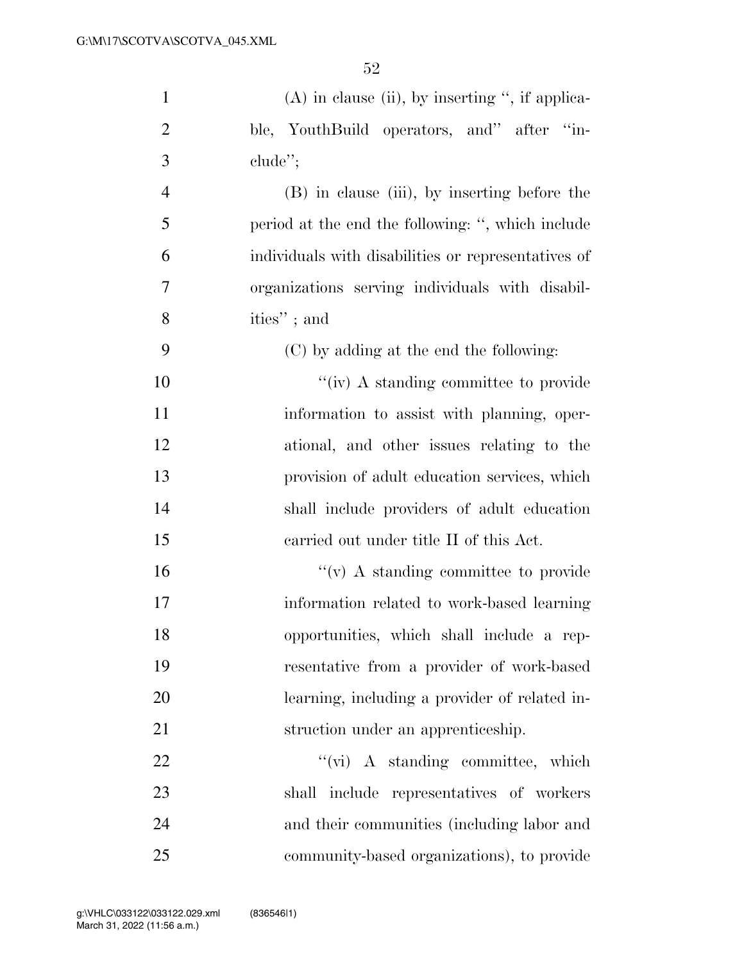| $\mathbf{1}$   | $(A)$ in clause (ii), by inserting ", if applica-   |
|----------------|-----------------------------------------------------|
| $\overline{2}$ | ble, YouthBuild operators, and" after "in-          |
| 3              | $chude$ <sup>"</sup> ;                              |
| $\overline{4}$ | (B) in clause (iii), by inserting before the        |
| 5              | period at the end the following: ", which include   |
| 6              | individuals with disabilities or representatives of |
| 7              | organizations serving individuals with disabil-     |
| 8              | ities"; and                                         |
| 9              | (C) by adding at the end the following:             |
| 10             | "(iv) A standing committee to provide               |
| 11             | information to assist with planning, oper-          |
| 12             | ational, and other issues relating to the           |
| 13             | provision of a dult education services, which       |
| 14             | shall include providers of adult education          |
| 15             | carried out under title II of this Act.             |
| 16             | $\lq\lq$ (v) A standing committee to provide        |
| 17             | information related to work-based learning          |
| 18             | opportunities, which shall include a rep-           |
| 19             | resentative from a provider of work-based           |
| 20             | learning, including a provider of related in-       |
| 21             | struction under an apprenticeship.                  |
| 22             | "(vi) A standing committee, which                   |
| 23             | shall include representatives of workers            |
| 24             | and their communities (including labor and          |
| 25             | community-based organizations), to provide          |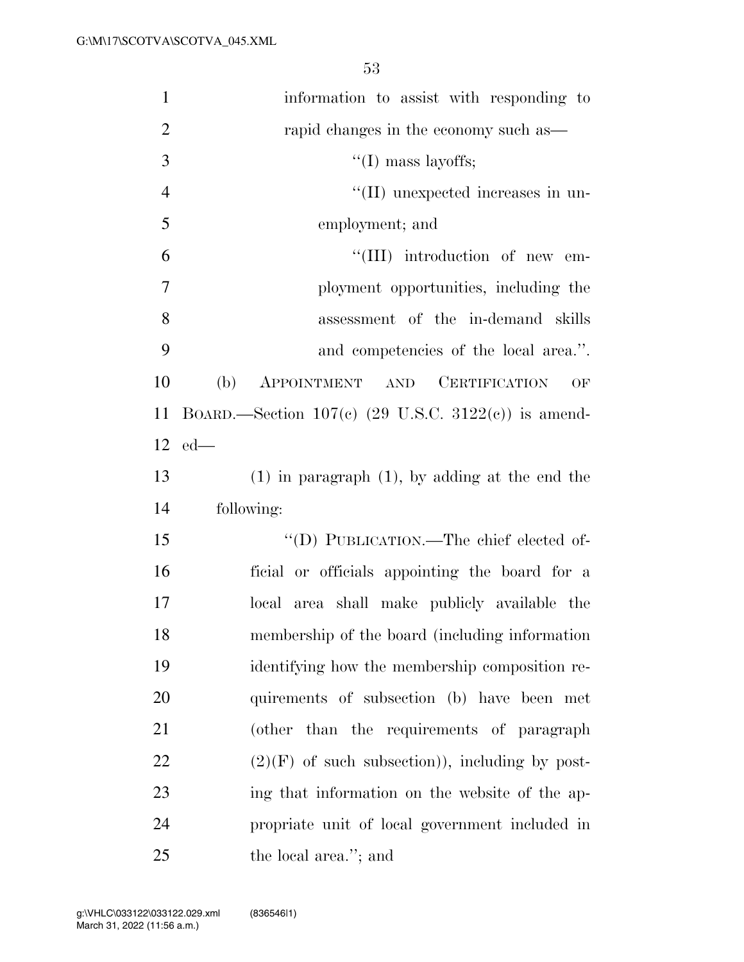| $\mathbf{1}$   | information to assist with responding to              |
|----------------|-------------------------------------------------------|
| $\overline{2}$ | rapid changes in the economy such as—                 |
| 3              | $\lq\lq$ (I) mass layoffs;                            |
| $\overline{4}$ | "(II) unexpected increases in un-                     |
| 5              | employment; and                                       |
| 6              | "(III) introduction of new em-                        |
| $\overline{7}$ | ployment opportunities, including the                 |
| $8\,$          | assessment of the in-demand skills                    |
| 9              | and competencies of the local area.".                 |
| 10             | (b)<br>APPOINTMENT AND CERTIFICATION<br>OF            |
| 11             | BOARD.—Section $107(c)$ (29 U.S.C. 3122(c)) is amend- |
| 12             | $ed$ —                                                |
| 13             | $(1)$ in paragraph $(1)$ , by adding at the end the   |
| 14             | following:                                            |
| 15             | "(D) PUBLICATION.—The chief elected of-               |
| 16             | ficial or officials appointing the board for a        |
| 17             | local area shall make publicly available the          |
| 18             | membership of the board (including information        |
| 19             | identifying how the membership composition re-        |
| 20             | quirements of subsection (b) have been met            |
| 21             | (other than the requirements of paragraph             |
| 22             | $(2)(F)$ of such subsection)), including by post-     |
| 23             | ing that information on the website of the ap-        |
| 24             | propriate unit of local government included in        |
| 25             | the local area."; and                                 |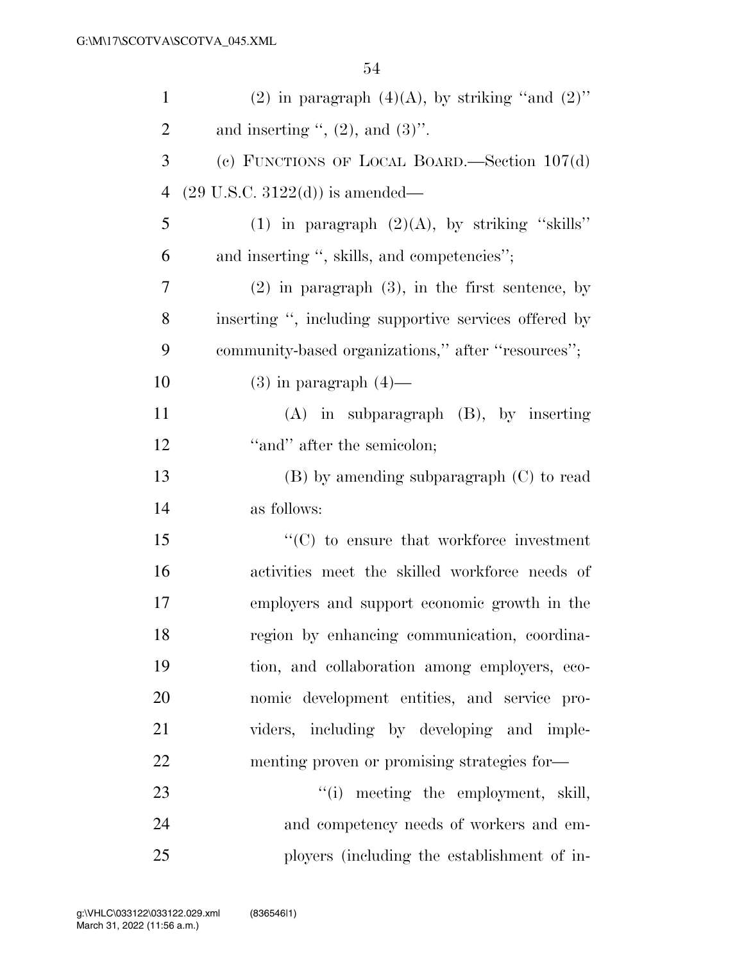| $\mathbf{1}$   | (2) in paragraph $(4)(A)$ , by striking "and $(2)$ "  |
|----------------|-------------------------------------------------------|
| $\overline{2}$ | and inserting ", $(2)$ , and $(3)$ ".                 |
| 3              | (c) FUNCTIONS OF LOCAL BOARD.—Section $107(d)$        |
| $\overline{4}$ | $(29 \text{ U.S.C. } 3122(d))$ is amended—            |
| 5              | (1) in paragraph $(2)(A)$ , by striking "skills"      |
| 6              | and inserting ", skills, and competencies";           |
| 7              | $(2)$ in paragraph $(3)$ , in the first sentence, by  |
| 8              | inserting ", including supportive services offered by |
| 9              | community-based organizations," after "resources";    |
| 10             | $(3)$ in paragraph $(4)$ —                            |
| 11             | $(A)$ in subparagraph $(B)$ , by inserting            |
| 12             | "and" after the semicolon;                            |
| 13             | $(B)$ by amending subparagraph $(C)$ to read          |
| 14             | as follows:                                           |
| 15             | $\cdot$ (C) to ensure that workforce investment       |
| 16             | activities meet the skilled workforce needs of        |
| 17             | employers and support economic growth in the          |
| 18             | region by enhancing communication, coordina-          |
| 19             | tion, and collaboration among employers, eco-         |
| 20             | nomic development entities, and service pro-          |
| 21             | viders, including by developing and imple-            |
| 22             | menting proven or promising strategies for-           |
| 23             | "(i) meeting the employment, skill,                   |
| 24             | and competency needs of workers and em-               |
| 25             | ployers (including the establishment of in-           |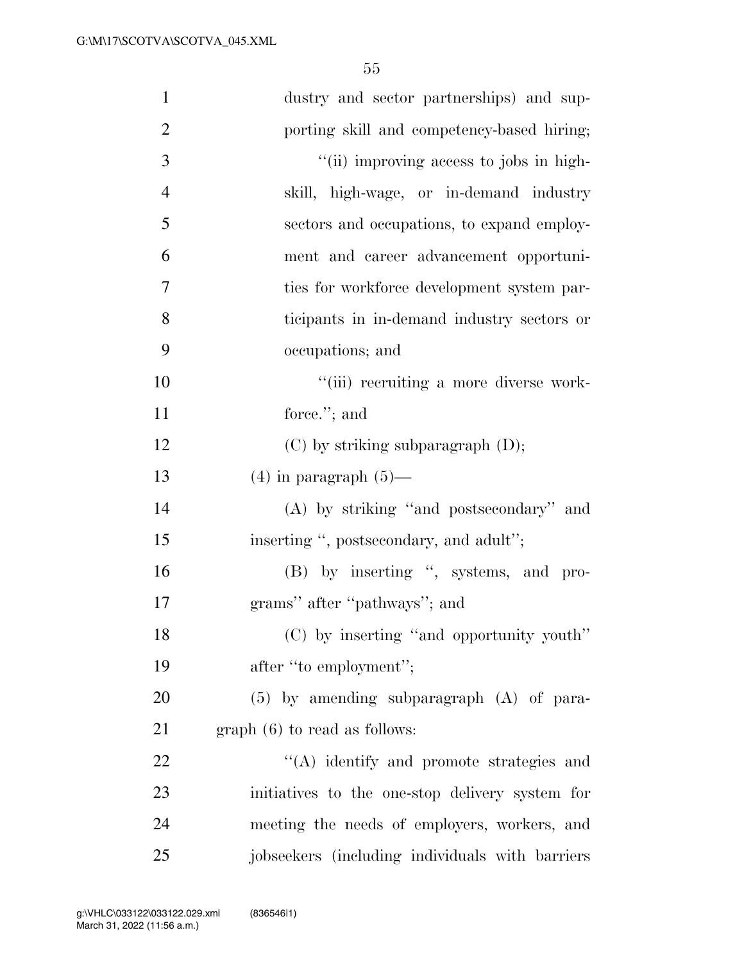| $\mathbf{1}$   | dustry and sector partnerships) and sup-        |
|----------------|-------------------------------------------------|
| $\overline{2}$ | porting skill and competency-based hiring;      |
| 3              | "(ii) improving access to jobs in high-         |
| $\overline{4}$ | skill, high-wage, or in-demand industry         |
| 5              | sectors and occupations, to expand employ-      |
| 6              | ment and career advancement opportuni-          |
| $\tau$         | ties for workforce development system par-      |
| 8              | ticipants in in-demand industry sectors or      |
| 9              | occupations; and                                |
| 10             | "(iii) recruiting a more diverse work-          |
| 11             | force."; and                                    |
| 12             | (C) by striking subparagraph (D);               |
| 13             | $(4)$ in paragraph $(5)$ —                      |
| 14             | (A) by striking "and postsecondary" and         |
| 15             | inserting ", postsecondary, and adult";         |
| 16             | (B) by inserting ", systems, and pro-           |
| 17             | grams" after "pathways"; and                    |
| 18             | (C) by inserting "and opportunity youth"        |
| 19             | after "to employment";                          |
| 20             | $(5)$ by amending subparagraph $(A)$ of para-   |
| 21             | $graph(6)$ to read as follows:                  |
| 22             | "(A) identify and promote strategies and        |
| 23             | initiatives to the one-stop delivery system for |
| 24             | meeting the needs of employers, workers, and    |
| 25             | jobseekers (including individuals with barriers |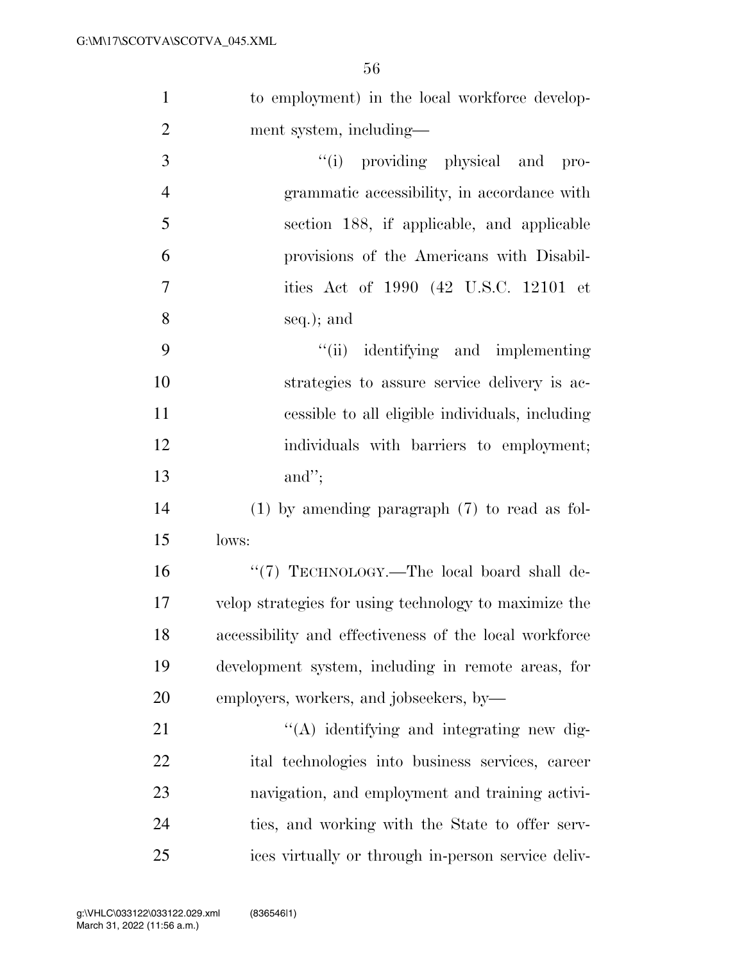| $\mathbf{1}$   | to employment) in the local workforce develop-         |
|----------------|--------------------------------------------------------|
| $\overline{2}$ | ment system, including—                                |
| 3              | "(i) providing physical and pro-                       |
| $\overline{4}$ | grammatic accessibility, in accordance with            |
| 5              | section 188, if applicable, and applicable             |
| 6              | provisions of the Americans with Disabil-              |
| $\overline{7}$ | ities Act of 1990 (42 U.S.C. 12101 et                  |
| 8              | seq.); and                                             |
| 9              | "(ii) identifying and implementing                     |
| 10             | strategies to assure service delivery is ac-           |
| 11             | cessible to all eligible individuals, including        |
| 12             | individuals with barriers to employment;               |
| 13             | and";                                                  |
| 14             | $(1)$ by amending paragraph $(7)$ to read as fol-      |
| 15             | lows:                                                  |
| 16             | "(7) TECHNOLOGY.-The local board shall de-             |
| 17             | velop strategies for using technology to maximize the  |
| 18             | accessibility and effectiveness of the local workforce |
| 19             | development system, including in remote areas, for     |
| 20             | employers, workers, and jobseekers, by-                |
| 21             | $\lq\lq$ identifying and integrating new dig-          |
| 22             | ital technologies into business services, career       |
| 23             | navigation, and employment and training activi-        |
| 24             | ties, and working with the State to offer serv-        |
| 25             | ices virtually or through in-person service deliv-     |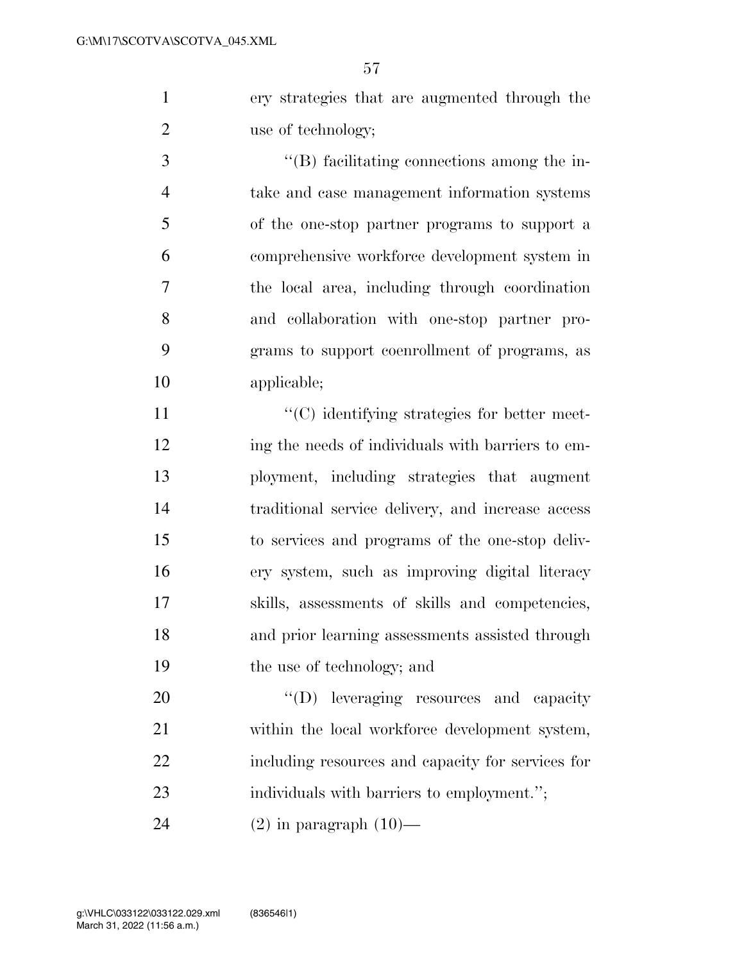ery strategies that are augmented through the 2 use of technology;

 ''(B) facilitating connections among the in- take and case management information systems of the one-stop partner programs to support a comprehensive workforce development system in the local area, including through coordination and collaboration with one-stop partner pro- grams to support coenrollment of programs, as applicable;

 $\langle (C) \rangle$  identifying strategies for better meet- ing the needs of individuals with barriers to em- ployment, including strategies that augment traditional service delivery, and increase access to services and programs of the one-stop deliv- ery system, such as improving digital literacy skills, assessments of skills and competencies, and prior learning assessments assisted through the use of technology; and

20  $\text{``(D)}$  leveraging resources and capacity 21 within the local workforce development system, including resources and capacity for services for 23 individuals with barriers to employment.";

24  $(2)$  in paragraph  $(10)$ —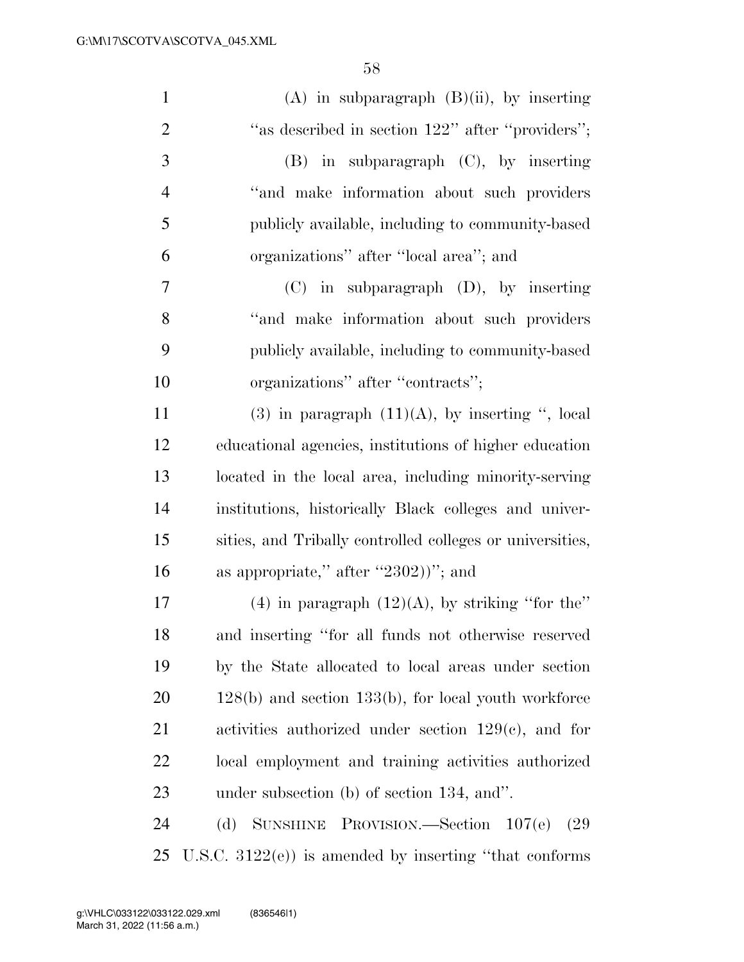| $\mathbf{1}$   | $(A)$ in subparagraph $(B)(ii)$ , by inserting             |
|----------------|------------------------------------------------------------|
| $\overline{2}$ | "as described in section 122" after "providers";           |
| 3              | $(B)$ in subparagraph $(C)$ , by inserting                 |
| $\overline{4}$ | "and make information about such providers"                |
| 5              | publicly available, including to community-based           |
| 6              | organizations" after "local area"; and                     |
| $\overline{7}$ | $(C)$ in subparagraph $(D)$ , by inserting                 |
| 8              | "and make information about such providers"                |
| 9              | publicly available, including to community-based           |
| 10             | organizations" after "contracts";                          |
| 11             | $(3)$ in paragraph $(11)(A)$ , by inserting ", local       |
| 12             | educational agencies, institutions of higher education     |
| 13             | located in the local area, including minority-serving      |
| 14             | institutions, historically Black colleges and univer-      |
| 15             | sities, and Tribally controlled colleges or universities,  |
| 16             | as appropriate," after "2302))"; and                       |
| 17             | (4) in paragraph $(12)(A)$ , by striking "for the"         |
| 18             | and inserting "for all funds not otherwise reserved        |
| 19             | by the State allocated to local areas under section        |
| <b>20</b>      | $128(b)$ and section $133(b)$ , for local youth workforce  |
| 21             | activities authorized under section $129(c)$ , and for     |
| 22             | local employment and training activities authorized        |
| 23             | under subsection $(b)$ of section 134, and".               |
| 24             | SUNSHINE PROVISION.—Section 107(e)<br>(d)<br>(29           |
| 25             | U.S.C. $3122(e)$ ) is amended by inserting "that conforms" |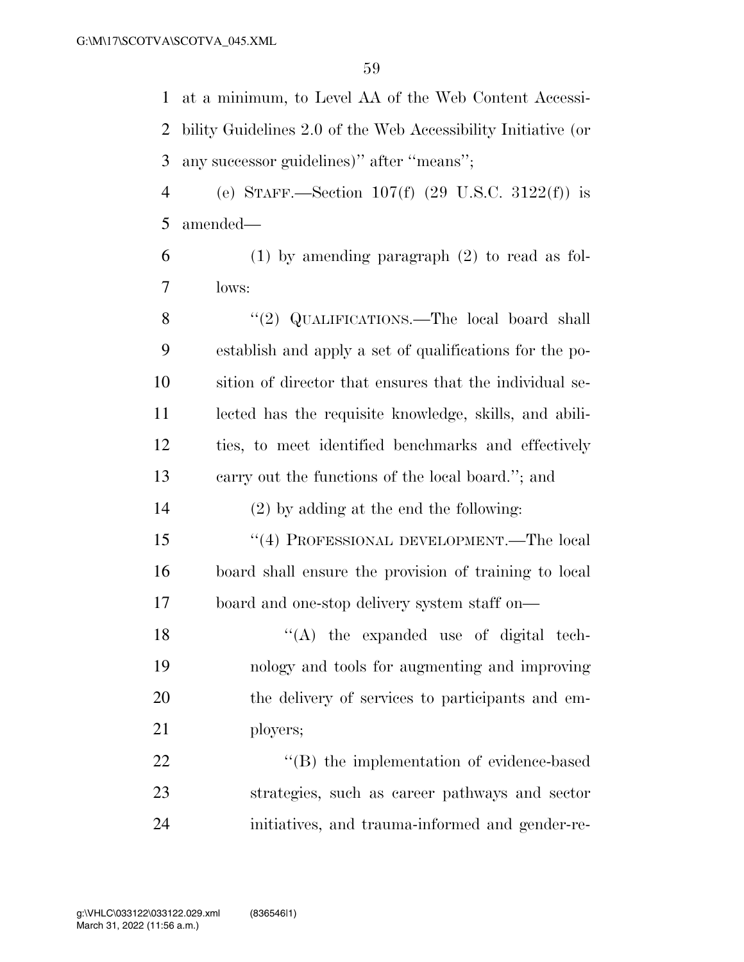at a minimum, to Level AA of the Web Content Accessi- bility Guidelines 2.0 of the Web Accessibility Initiative (or any successor guidelines)'' after ''means''; (e) STAFF.—Section 107(f) (29 U.S.C. 3122(f)) is amended— (1) by amending paragraph (2) to read as fol- lows: 8 "(2) QUALIFICATIONS.—The local board shall establish and apply a set of qualifications for the po- sition of director that ensures that the individual se- lected has the requisite knowledge, skills, and abili- ties, to meet identified benchmarks and effectively carry out the functions of the local board.''; and (2) by adding at the end the following: ''(4) PROFESSIONAL DEVELOPMENT.—The local board shall ensure the provision of training to local board and one-stop delivery system staff on— 18 ''(A) the expanded use of digital tech- nology and tools for augmenting and improving the delivery of services to participants and em- ployers; 22 ''(B) the implementation of evidence-based strategies, such as career pathways and sector initiatives, and trauma-informed and gender-re-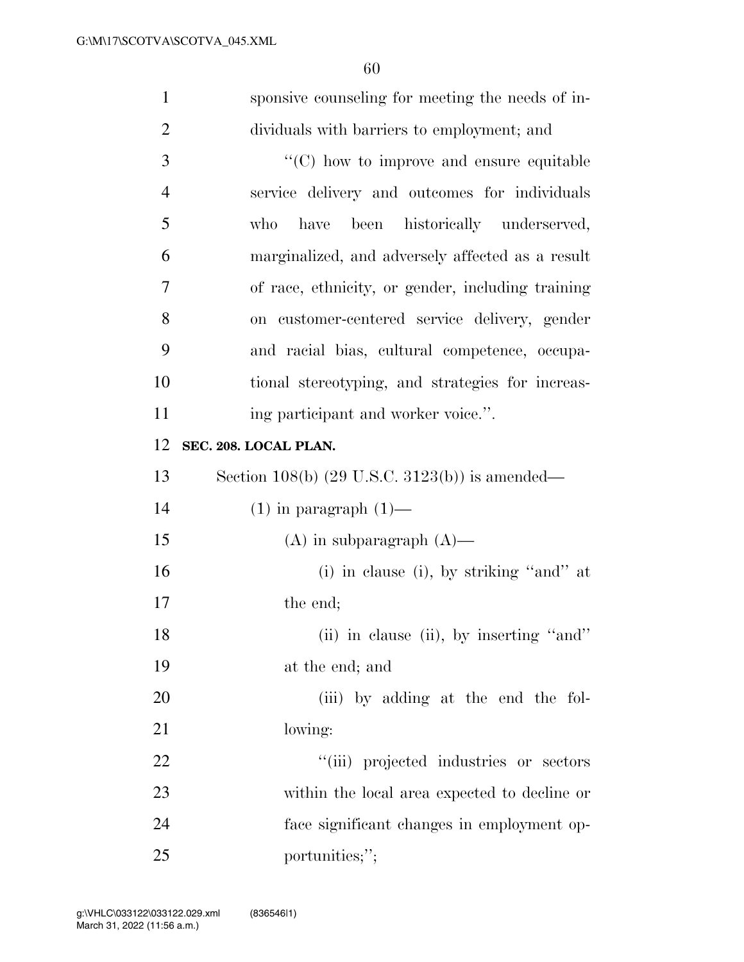| $\mathbf{1}$   | sponsive counseling for meeting the needs of in-          |
|----------------|-----------------------------------------------------------|
| $\overline{2}$ | dividuals with barriers to employment; and                |
| 3              | "(C) how to improve and ensure equitable                  |
| $\overline{4}$ | service delivery and outcomes for individuals             |
| 5              | been historically underserved,<br>have<br>who             |
| 6              | marginalized, and adversely affected as a result          |
| $\overline{7}$ | of race, ethnicity, or gender, including training         |
| 8              | on customer-centered service delivery, gender             |
| 9              | and racial bias, cultural competence, occupa-             |
| 10             | tional stereotyping, and strategies for increas-          |
| 11             | ing participant and worker voice.".                       |
| 12             | SEC. 208. LOCAL PLAN.                                     |
| 13             | Section 108(b) $(29 \text{ U.S.C. } 3123(b))$ is amended— |
| 14             | $(1)$ in paragraph $(1)$ —                                |
| 15             | $(A)$ in subparagraph $(A)$ —                             |
| 16             | (i) in clause (i), by striking "and" at                   |
| 17             | the end;                                                  |
| 18             | (ii) in clause (ii), by inserting "and"                   |
| 19             | at the end; and                                           |
| 20             | (iii) by adding at the end the fol-                       |
| 21             | lowing:                                                   |
| 22             | "(iii) projected industries or sectors                    |
| 23             | within the local area expected to decline or              |
| 24             | face significant changes in employment op-                |
| 25             | portunities;";                                            |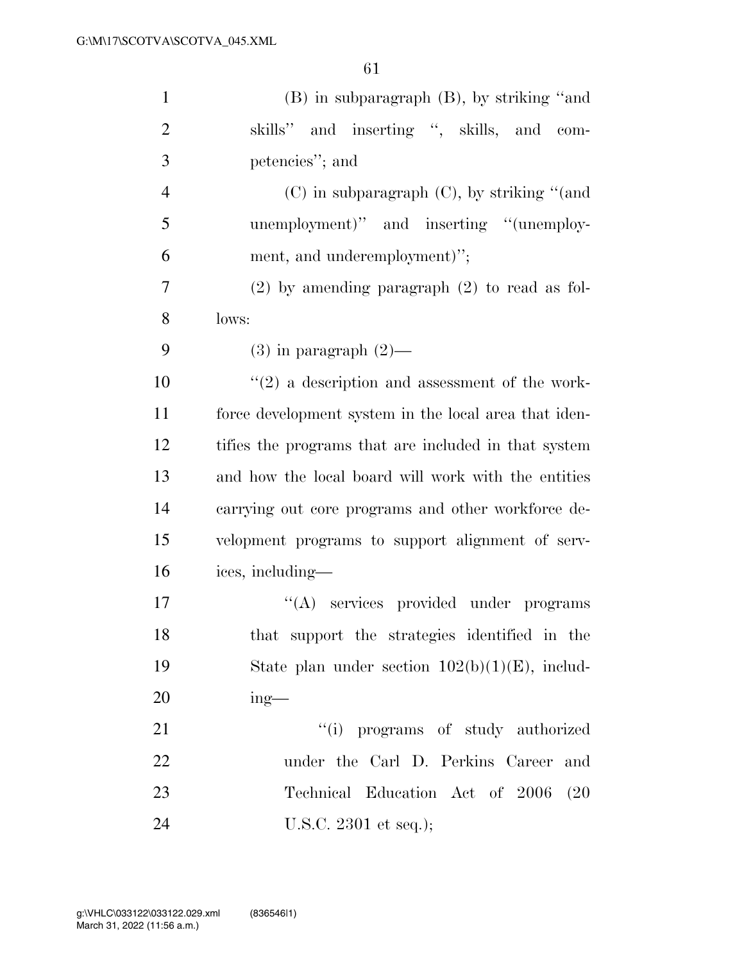| $\mathbf{1}$   | (B) in subparagraph (B), by striking "and             |
|----------------|-------------------------------------------------------|
| $\overline{2}$ | skills" and inserting ", skills, and com-             |
| 3              | petencies"; and                                       |
| $\overline{4}$ | $(C)$ in subparagraph $(C)$ , by striking "(and       |
| 5              | unemployment)" and inserting "(unemploy-              |
| 6              | ment, and underemployment)";                          |
| 7              | $(2)$ by amending paragraph $(2)$ to read as fol-     |
| 8              | lows:                                                 |
| 9              | $(3)$ in paragraph $(2)$ —                            |
| 10             | $\lq(2)$ a description and assessment of the work-    |
| 11             | force development system in the local area that iden- |
| 12             | tifies the programs that are included in that system  |
| 13             | and how the local board will work with the entities   |
| 14             | carrying out core programs and other workforce de-    |
| 15             | velopment programs to support alignment of serv-      |
| 16             | ices, including—                                      |
| 17             | "(A) services provided under programs                 |
| 18             | that support the strategies identified in the         |
| 19             | State plan under section $102(b)(1)(E)$ , includ-     |
| 20             | $ing$ —                                               |
| 21             | "(i) programs of study authorized                     |
| 22             | under the Carl D. Perkins Career<br>and               |
| 23             | Technical Education Act of 2006<br>(20)               |
| 24             | U.S.C. $2301$ et seq.);                               |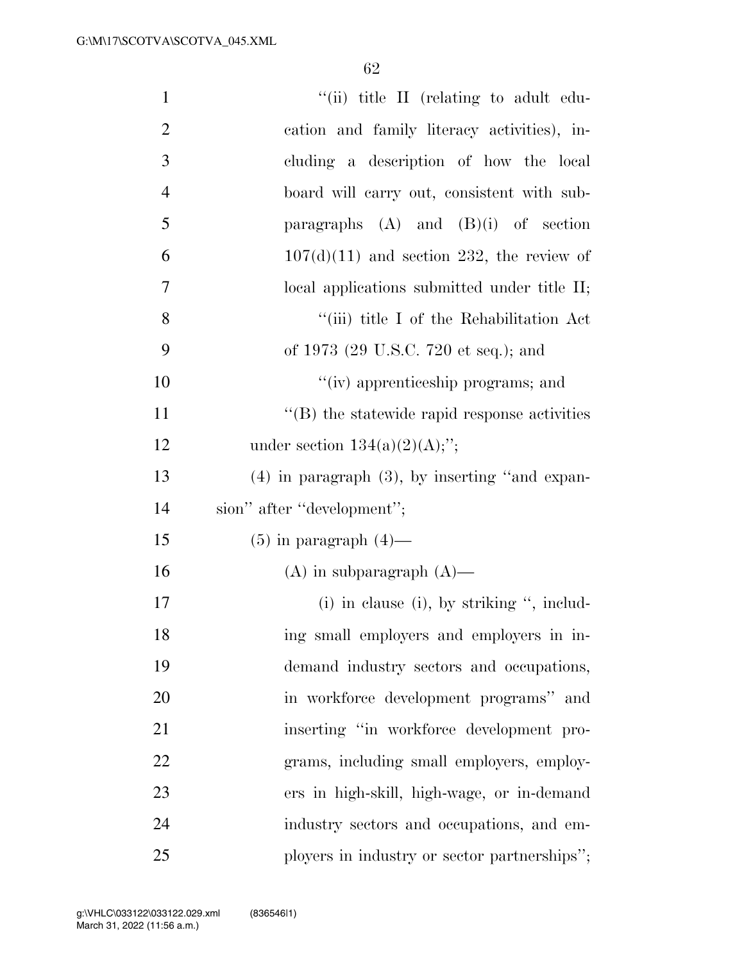| $\mathbf{1}$   | "(ii) title II (relating to adult edu-              |
|----------------|-----------------------------------------------------|
| $\overline{2}$ | cation and family literacy activities), in-         |
| 3              | cluding a description of how the local              |
| $\overline{4}$ | board will carry out, consistent with sub-          |
| 5              | paragraphs $(A)$ and $(B)(i)$ of section            |
| 6              | $107(d)(11)$ and section 232, the review of         |
| $\tau$         | local applications submitted under title II;        |
| 8              | "(iii) title I of the Rehabilitation Act            |
| 9              | of 1973 (29 U.S.C. 720 et seq.); and                |
| 10             | "(iv) apprenticeship programs; and                  |
| 11             | $\lq\lq$ the statewide rapid response activities    |
| 12             | under section $134(a)(2)(A);$ ";                    |
| 13             | $(4)$ in paragraph $(3)$ , by inserting "and expan- |
| 14             | sion" after "development";                          |
| 15             | $(5)$ in paragraph $(4)$ —                          |
| 16             | $(A)$ in subparagraph $(A)$ —                       |
| 17             | $(i)$ in clause $(i)$ , by striking ", includ-      |
| 18             | ing small employers and employers in in-            |
| 19             | demand industry sectors and occupations,            |
| 20             | in workforce development programs" and              |
| 21             | inserting "in workforce development pro-            |
| 22             | grams, including small employers, employ-           |
| 23             | ers in high-skill, high-wage, or in-demand          |
| 24             | industry sectors and occupations, and em-           |
| 25             | ployers in industry or sector partnerships";        |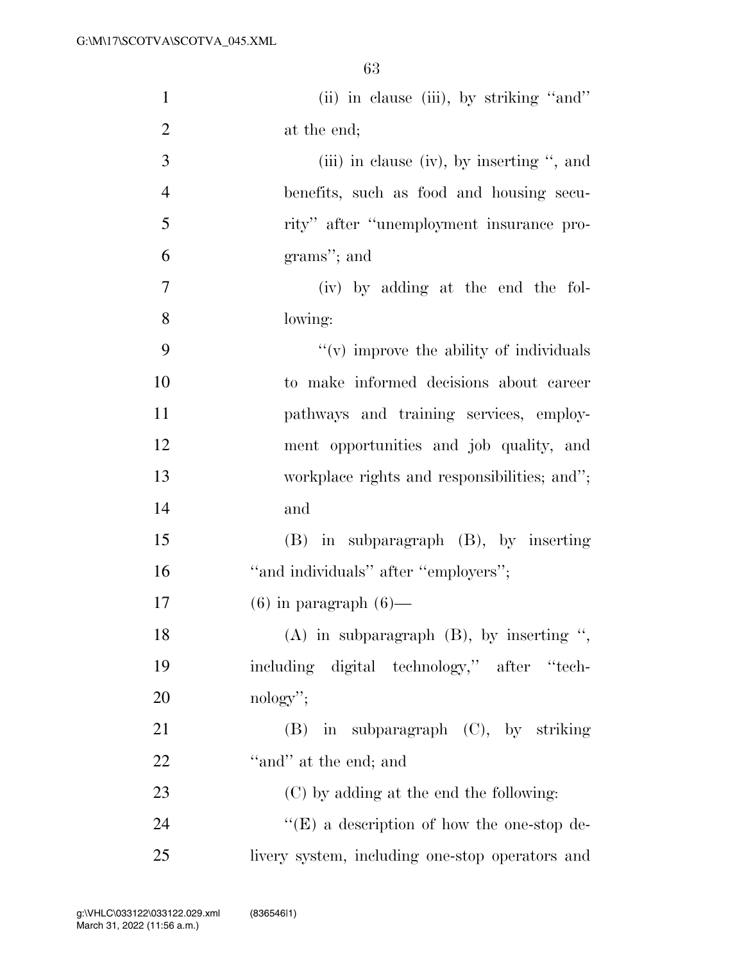| $\mathbf{1}$   | (ii) in clause (iii), by striking "and"            |
|----------------|----------------------------------------------------|
| $\overline{2}$ | at the end;                                        |
| 3              | (iii) in clause (iv), by inserting ", and          |
| $\overline{4}$ | benefits, such as food and housing secu-           |
| 5              | rity" after "unemployment insurance pro-           |
| 6              | grams"; and                                        |
| 7              | (iv) by adding at the end the fol-                 |
| 8              | lowing:                                            |
| 9              | "(v) improve the ability of individuals            |
| 10             | to make informed decisions about career            |
| 11             | pathways and training services, employ-            |
| 12             | ment opportunities and job quality, and            |
| 13             | workplace rights and responsibilities; and";       |
| 14             | and                                                |
| 15             | (B) in subparagraph (B), by inserting              |
| 16             | "and individuals" after "employers";               |
| 17             | $(6)$ in paragraph $(6)$ —                         |
| 18             | $(A)$ in subparagraph $(B)$ , by inserting ",      |
| 19             | including digital technology," after "tech-        |
| 20             | $\mathrm{nology}$ ";                               |
| 21             | $(B)$ in subparagraph $(C)$ , by striking          |
| 22             | "and" at the end; and                              |
| 23             | (C) by adding at the end the following:            |
| 24             | $\lq\lq$ (E) a description of how the one-stop de- |
| 25             | livery system, including one-stop operators and    |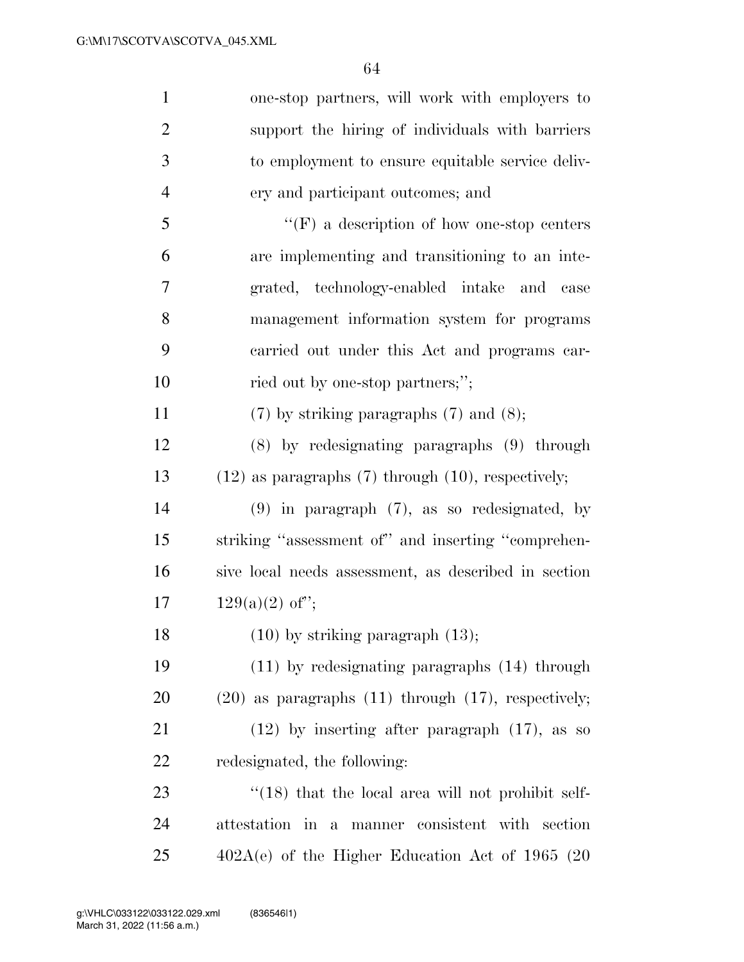| $\mathbf{1}$   | one-stop partners, will work with employers to             |
|----------------|------------------------------------------------------------|
| $\overline{2}$ | support the hiring of individuals with barriers            |
| 3              | to employment to ensure equitable service deliv-           |
| $\overline{4}$ | ery and participant outcomes; and                          |
| 5              | $\lq\lq(F)$ a description of how one-stop centers          |
| 6              | are implementing and transitioning to an inte-             |
| 7              | grated, technology-enabled intake and case                 |
| 8              | management information system for programs                 |
| 9              | carried out under this Act and programs car-               |
| 10             | ried out by one-stop partners;";                           |
| 11             | $(7)$ by striking paragraphs $(7)$ and $(8)$ ;             |
| 12             | $(8)$ by redesignating paragraphs $(9)$ through            |
| 13             | $(12)$ as paragraphs $(7)$ through $(10)$ , respectively;  |
| 14             | $(9)$ in paragraph $(7)$ , as so redesignated, by          |
| 15             | striking "assessment of" and inserting "comprehen-         |
| 16             | sive local needs assessment, as described in section       |
| 17             | $129(a)(2)$ of";                                           |
| 18             | $(10)$ by striking paragraph $(13)$ ;                      |
| 19             | $(11)$ by redesignating paragraphs $(14)$ through          |
| 20             | $(20)$ as paragraphs $(11)$ through $(17)$ , respectively; |
| 21             | $(12)$ by inserting after paragraph $(17)$ , as so         |
| 22             | redesignated, the following:                               |
| 23             | $\cdot$ (18) that the local area will not prohibit self-   |
| 24             | attestation in a manner consistent with section            |
| 25             | $402A(e)$ of the Higher Education Act of 1965 (20          |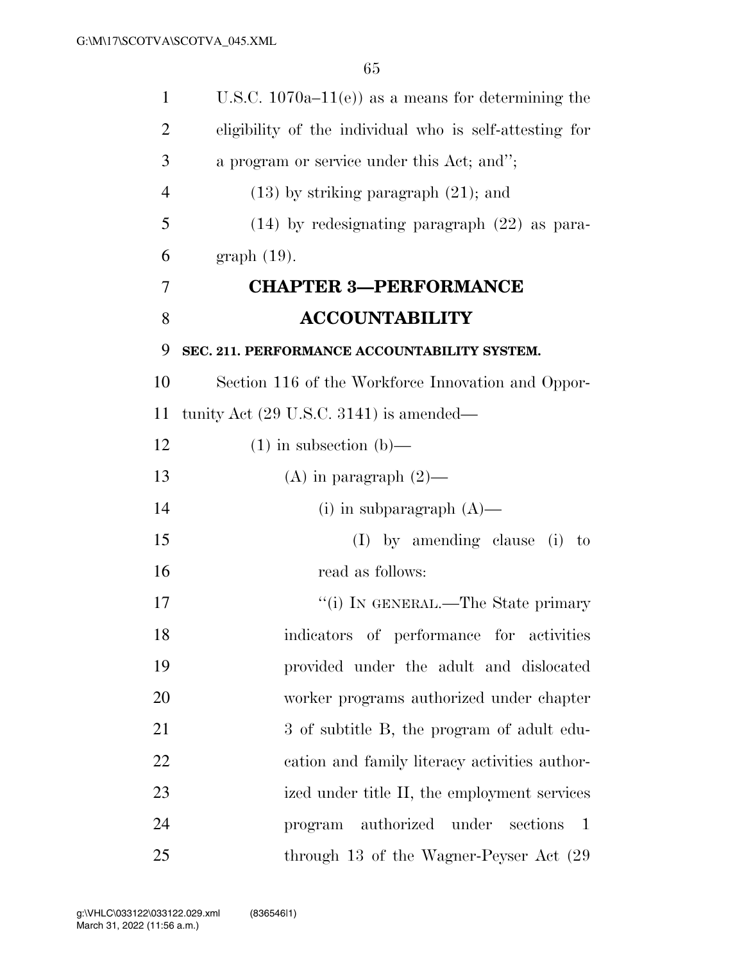| $\mathbf{1}$   | U.S.C. $1070a-11(e)$ as a means for determining the          |
|----------------|--------------------------------------------------------------|
| $\overline{2}$ | eligibility of the individual who is self-attesting for      |
| 3              | a program or service under this Act; and";                   |
| 4              | $(13)$ by striking paragraph $(21)$ ; and                    |
| 5              | $(14)$ by redesignating paragraph $(22)$ as para-            |
| 6              | $graph(19)$ .                                                |
| 7              | <b>CHAPTER 3-PERFORMANCE</b>                                 |
| 8              | <b>ACCOUNTABILITY</b>                                        |
| 9              | SEC. 211. PERFORMANCE ACCOUNTABILITY SYSTEM.                 |
| 10             | Section 116 of the Workforce Innovation and Oppor-           |
| 11             | tunity Act $(29 \text{ U.S.C. } 3141)$ is amended—           |
| 12             | $(1)$ in subsection $(b)$ —                                  |
| 13             | $(A)$ in paragraph $(2)$ —                                   |
| 14             | $(i)$ in subparagraph $(A)$ —                                |
| 15             | $(I)$ by amending clause (i) to                              |
| 16             | read as follows:                                             |
| 17             | "(i) IN GENERAL.—The State primary                           |
| 18             | indicators of performance for activities                     |
| 19             | provided under the adult and dislocated                      |
| 20             | worker programs authorized under chapter                     |
| 21             | 3 of subtitle B, the program of adult edu-                   |
| 22             | cation and family literacy activities author-                |
| 23             | ized under title II, the employment services                 |
| 24             | authorized<br>under<br>sections<br>$\overline{1}$<br>program |
| 25             | through 13 of the Wagner-Peyser Act (29                      |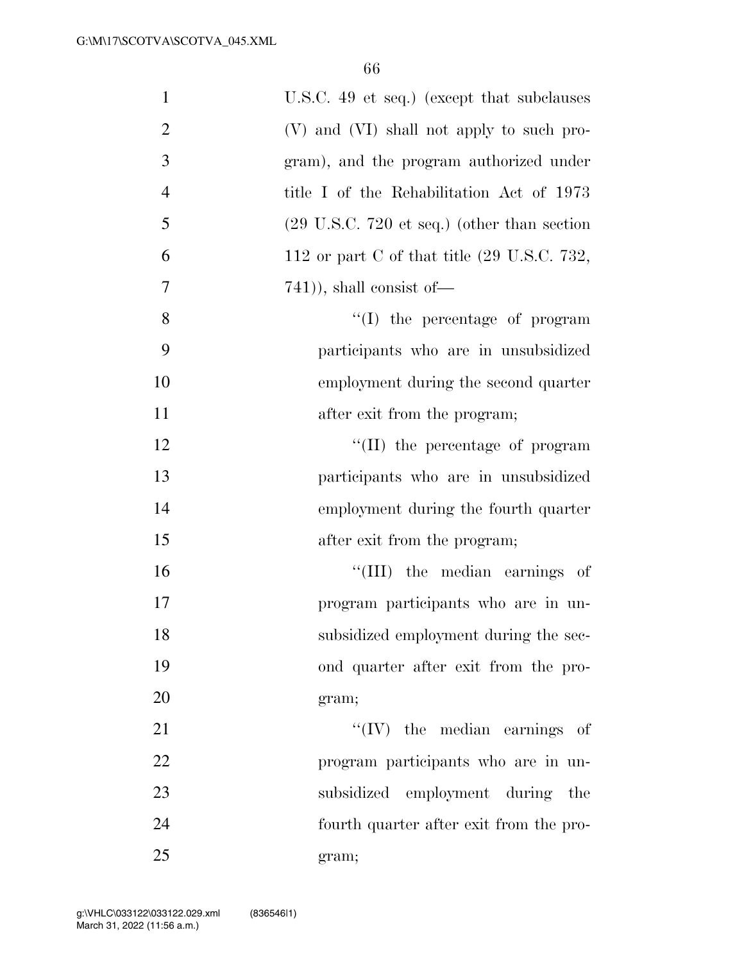| $\mathbf{1}$   | U.S.C. 49 et seq.) (except that subclauses                     |
|----------------|----------------------------------------------------------------|
| $\overline{2}$ | (V) and (VI) shall not apply to such pro-                      |
| 3              | gram), and the program authorized under                        |
| $\overline{4}$ | title I of the Rehabilitation Act of 1973                      |
| 5              | $(29 \text{ U.S.C. } 720 \text{ et seq.})$ (other than section |
| 6              | 112 or part C of that title $(29 \text{ U.S.C. } 732,$         |
| 7              | $(741)$ , shall consist of —                                   |
| 8              | $\lq\lq$ the percentage of program                             |
| 9              | participants who are in unsubsidized                           |
| 10             | employment during the second quarter                           |
| 11             | after exit from the program;                                   |
| 12             | $\lq\lq$ (II) the percentage of program                        |
| 13             | participants who are in unsubsidized                           |
| 14             | employment during the fourth quarter                           |
| 15             | after exit from the program;                                   |
| 16             | "(III) the median earnings of                                  |
| 17             | program participants who are in un-                            |
| 18             | subsidized employment during the sec-                          |
| 19             | ond quarter after exit from the pro-                           |
| 20             | gram;                                                          |
| 21             | $``(IV)$ the median earnings of                                |
| 22             | program participants who are in un-                            |
| 23             | subsidized employment during the                               |
| 24             | fourth quarter after exit from the pro-                        |
| 25             | gram;                                                          |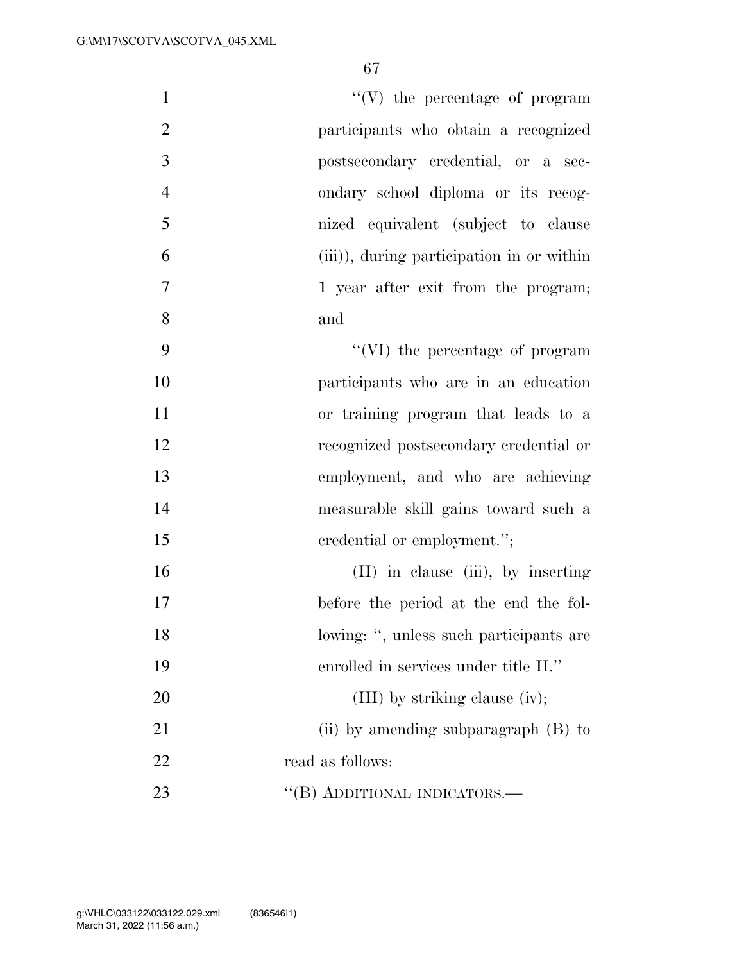| $\mathbf{1}$   | $\lq\lq(V)$ the percentage of program     |
|----------------|-------------------------------------------|
| $\mathbf{2}$   | participants who obtain a recognized      |
| $\mathfrak{Z}$ | postsecondary credential, or a sec-       |
| $\overline{4}$ | ondary school diploma or its recog-       |
| 5              | nized equivalent (subject to clause       |
| 6              | (iii)), during participation in or within |
| $\tau$         | 1 year after exit from the program;       |
| 8              | and                                       |
| 9              | "(VI) the percentage of program           |
| 10             | participants who are in an education      |
| 11             | or training program that leads to a       |
| 12             | recognized postsecondary credential or    |
| 13             | employment, and who are achieving         |
| 14             | measurable skill gains toward such a      |
| 15             | credential or employment.";               |
| 16             | (II) in clause (iii), by inserting        |
| 17             | before the period at the end the fol-     |
| 18             | lowing: ", unless such participants are   |
| 19             | enrolled in services under title II."     |
| 20             | $(III)$ by striking clause (iv);          |
| 21             | (ii) by amending subparagraph $(B)$ to    |
| 22             | read as follows:                          |
| 23             | "(B) ADDITIONAL INDICATORS.—              |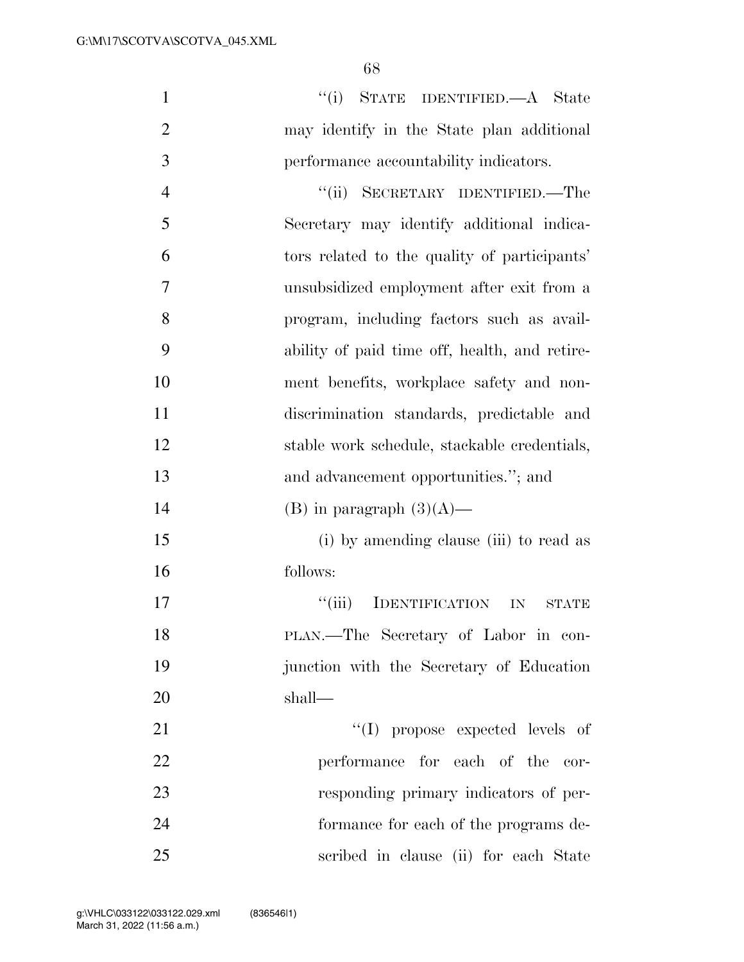| $\mathbf{1}$   | "(i) STATE IDENTIFIED.—A State                |
|----------------|-----------------------------------------------|
| $\overline{2}$ | may identify in the State plan additional     |
| 3              | performance accountability indicators.        |
| $\overline{4}$ | SECRETARY IDENTIFIED.—The<br>``(ii)           |
| 5              | Secretary may identify additional indica-     |
| 6              | tors related to the quality of participants'  |
| 7              | unsubsidized employment after exit from a     |
| 8              | program, including factors such as avail-     |
| 9              | ability of paid time off, health, and retire- |
| 10             | ment benefits, workplace safety and non-      |
| 11             | discrimination standards, predictable and     |
| 12             | stable work schedule, stackable credentials,  |
| 13             | and advancement opportunities."; and          |
| 14             | (B) in paragraph $(3)(A)$ —                   |
| 15             | (i) by amending clause (iii) to read as       |
| 16             | follows:                                      |
| 17             | IDENTIFICATION IN<br>``(iii)<br><b>STATE</b>  |
| 18             | PLAN.—The Secretary of Labor in con-          |
| 19             | junction with the Secretary of Education      |
| 20             | shall—                                        |
| 21             | "(I) propose expected levels of               |
| 22             | performance for each of the cor-              |
| 23             | responding primary indicators of per-         |
| 24             | formance for each of the programs de-         |
| 25             | scribed in clause (ii) for each State         |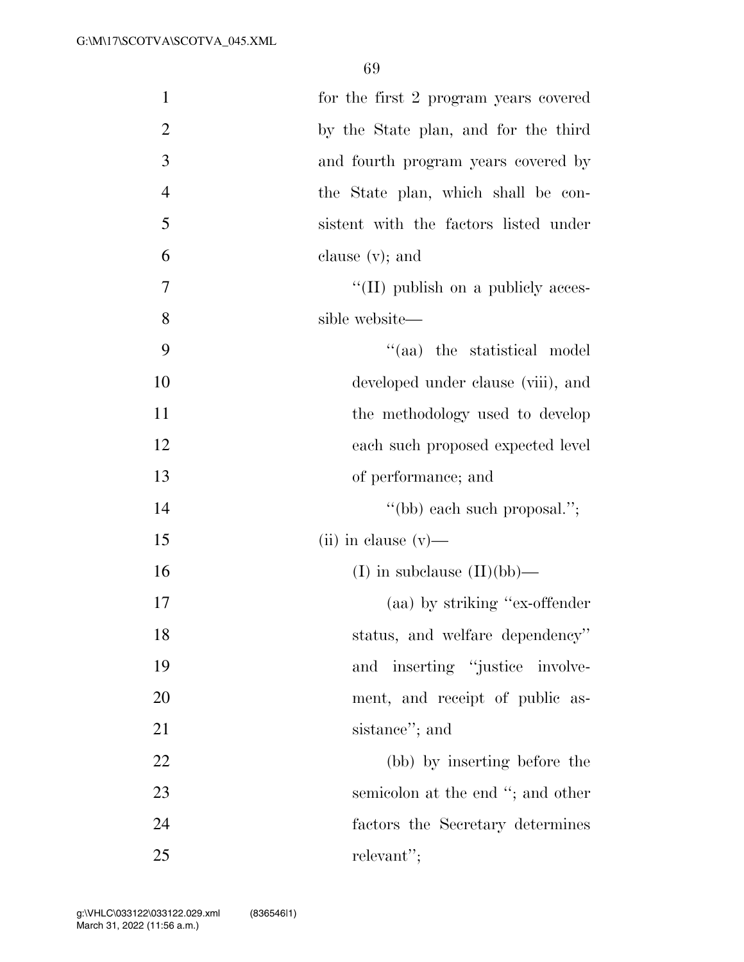| $\mathbf{1}$   | for the first 2 program years covered |
|----------------|---------------------------------------|
| $\overline{2}$ | by the State plan, and for the third  |
| 3              | and fourth program years covered by   |
| $\overline{4}$ | the State plan, which shall be con-   |
| 5              | sistent with the factors listed under |
| 6              | clause $(v)$ ; and                    |
| 7              | "(II) publish on a publicly acces-    |
| 8              | sible website—                        |
| 9              | "(aa) the statistical model           |
| 10             | developed under clause (viii), and    |
| 11             | the methodology used to develop       |
| 12             | each such proposed expected level     |
| 13             | of performance; and                   |
| 14             | "(bb) each such proposal.";           |
| 15             | $(ii)$ in clause $(v)$ —              |
| 16             | (I) in subclause $(II)(bb)$ —         |
| 17             | (aa) by striking "ex-offender"        |
| 18             | status, and welfare dependency"       |
| 19             | and inserting "justice involve-       |
| 20             | ment, and receipt of public as-       |
| 21             | sistance"; and                        |
| 22             | (bb) by inserting before the          |
| 23             | semicolon at the end "; and other     |
| 24             | factors the Secretary determines      |
| 25             | relevant";                            |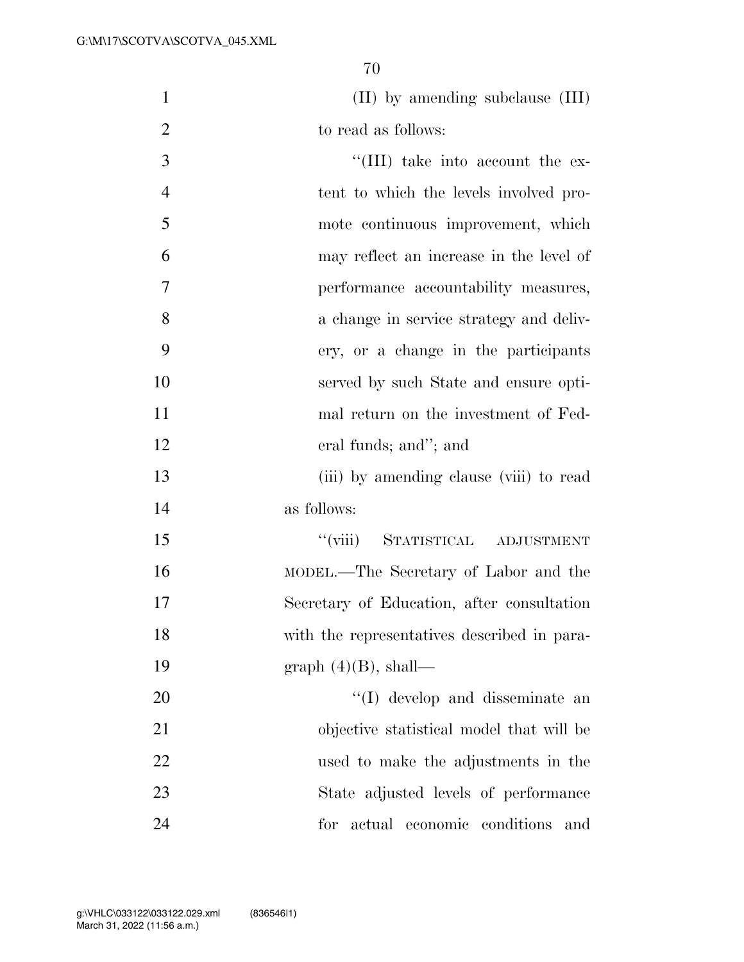(II) by amending subclause (III) to read as follows:

 $\frac{1}{1}$  take into account the ex- tent to which the levels involved pro- mote continuous improvement, which may reflect an increase in the level of performance accountability measures, a change in service strategy and deliv- ery, or a change in the participants served by such State and ensure opti- mal return on the investment of Fed- eral funds; and''; and (iii) by amending clause (viii) to read as follows: ''(viii) STATISTICAL ADJUSTMENT MODEL.—The Secretary of Labor and the Secretary of Education, after consultation with the representatives described in para- graph (4)(B), shall—  $\text{``(I)}$  develop and disseminate an objective statistical model that will be used to make the adjustments in the State adjusted levels of performance for actual economic conditions and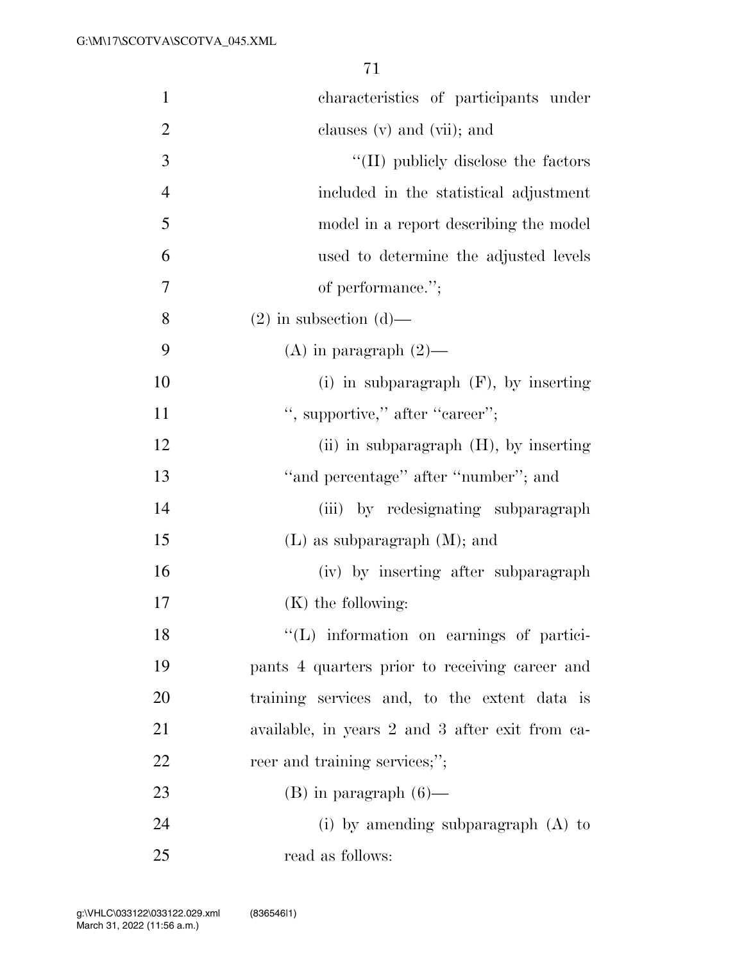| $\mathbf{1}$   | characteristics of participants under           |
|----------------|-------------------------------------------------|
| $\overline{2}$ | clauses (v) and (vii); and                      |
| 3              | "(II) publicly disclose the factors             |
| $\overline{4}$ | included in the statistical adjustment          |
| 5              | model in a report describing the model          |
| 6              | used to determine the adjusted levels           |
| 7              | of performance.";                               |
| 8              | $(2)$ in subsection $(d)$ —                     |
| 9              | $(A)$ in paragraph $(2)$ —                      |
| 10             | (i) in subparagraph $(F)$ , by inserting        |
| 11             | ", supportive," after "career";                 |
| 12             | (ii) in subparagraph $(H)$ , by inserting       |
| 13             | "and percentage" after "number"; and            |
| 14             | (iii) by redesignating subparagraph             |
| 15             | $(L)$ as subparagraph $(M)$ ; and               |
| 16             | (iv) by inserting after subparagraph            |
| 17             | $(K)$ the following:                            |
| 18             | "(L) information on earnings of partici-        |
| 19             | pants 4 quarters prior to receiving career and  |
| 20             | training services and, to the extent data is    |
| 21             | available, in years 2 and 3 after exit from ca- |
| 22             | reer and training services;";                   |
| 23             | $(B)$ in paragraph $(6)$ —                      |
| 24             | (i) by amending subparagraph $(A)$ to           |
| 25             | read as follows:                                |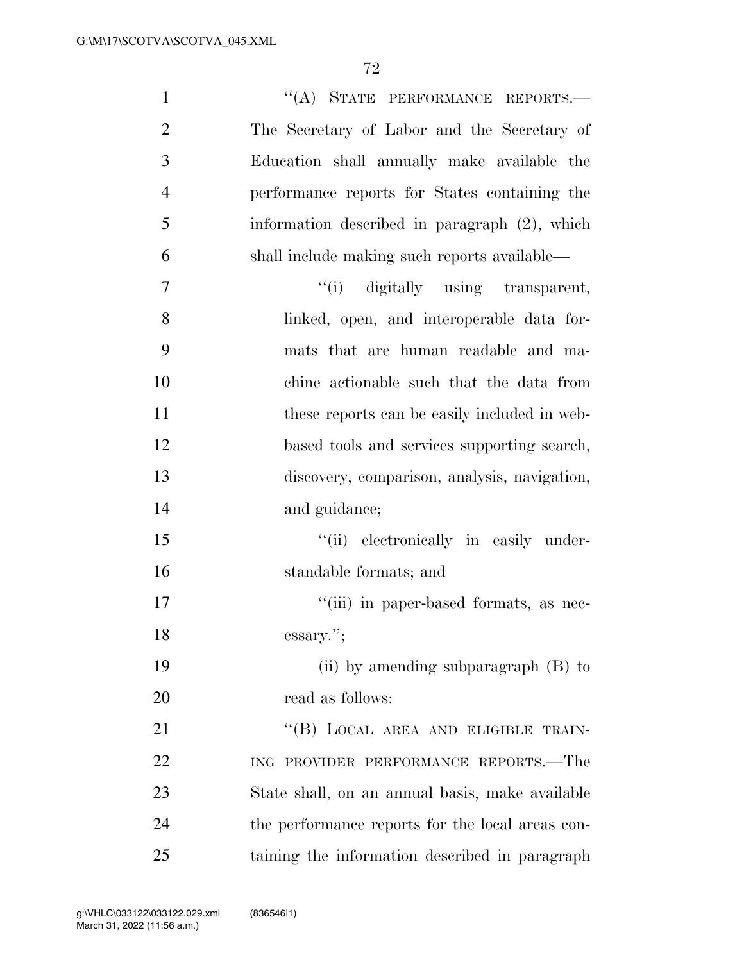| $\mathbf{1}$   | "(A) STATE PERFORMANCE REPORTS.-                 |
|----------------|--------------------------------------------------|
| $\overline{2}$ | The Secretary of Labor and the Secretary of      |
| 3              | Education shall annually make available the      |
| $\overline{4}$ | performance reports for States containing the    |
| 5              | information described in paragraph (2), which    |
| 6              | shall include making such reports available—     |
| $\tau$         | "(i) digitally using transparent,                |
| 8              | linked, open, and interoperable data for-        |
| 9              | mats that are human readable and ma-             |
| 10             | chine actionable such that the data from         |
| 11             | these reports can be easily included in web-     |
| 12             | based tools and services supporting search,      |
| 13             | discovery, comparison, analysis, navigation,     |
| 14             | and guidance;                                    |
| 15             | "(ii) electronically in easily under-            |
| 16             | standable formats; and                           |
| 17             | "(iii) in paper-based formats, as nec-           |
| 18             | essary.";                                        |
| 19             | (ii) by amending subparagraph $(B)$ to           |
| 20             | read as follows:                                 |
| 21             | "(B) LOCAL AREA AND ELIGIBLE TRAIN-              |
| 22             | ING PROVIDER PERFORMANCE REPORTS.-The            |
| 23             | State shall, on an annual basis, make available  |
| 24             | the performance reports for the local areas con- |
| 25             | taining the information described in paragraph   |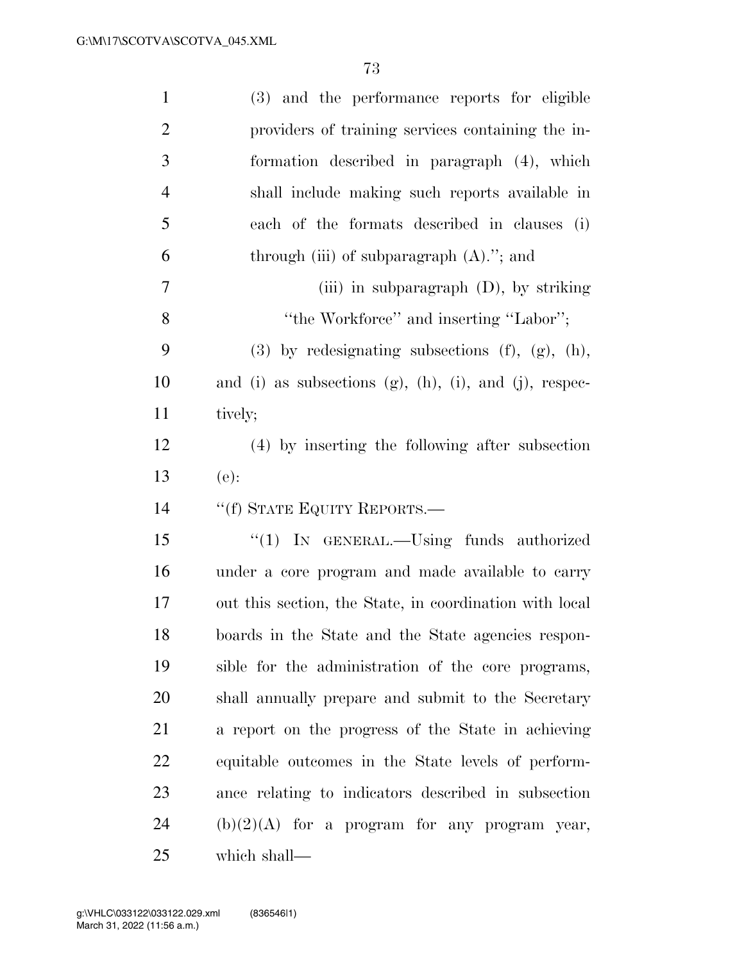| $\mathbf{1}$   | (3) and the performance reports for eligible               |
|----------------|------------------------------------------------------------|
| $\overline{2}$ | providers of training services containing the in-          |
| 3              | formation described in paragraph (4), which                |
| $\overline{4}$ | shall include making such reports available in             |
| 5              | each of the formats described in clauses (i)               |
| 6              | through (iii) of subparagraph $(A)$ ."; and                |
| $\tau$         | (iii) in subparagraph $(D)$ , by striking                  |
| 8              | "the Workforce" and inserting "Labor";                     |
| 9              | $(3)$ by redesignating subsections $(f)$ , $(g)$ , $(h)$ , |
| 10             | and (i) as subsections (g), (h), (i), and (j), respec-     |
| 11             | tively;                                                    |
| 12             | (4) by inserting the following after subsection            |
|                |                                                            |
| 13             | $(e)$ :                                                    |
| 14             | "(f) STATE EQUITY REPORTS.—                                |
| 15             | " $(1)$ IN GENERAL.—Using funds authorized                 |
| 16             | under a core program and made available to carry           |
| 17             | out this section, the State, in coordination with local    |
| 18             | boards in the State and the State agencies respon-         |
| 19             | sible for the administration of the core programs,         |
| 20             | shall annually prepare and submit to the Secretary         |
| 21             | a report on the progress of the State in achieving         |
| 22             | equitable outcomes in the State levels of perform-         |
| 23             | ance relating to indicators described in subsection        |
| 24             | $(b)(2)(A)$ for a program for any program year,            |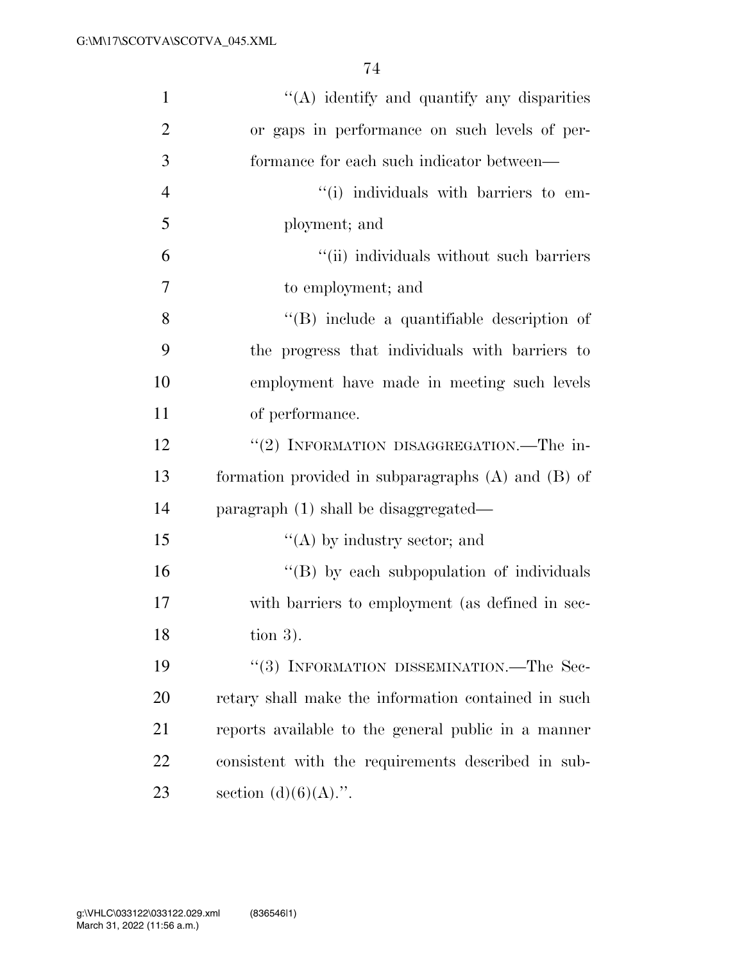| $\mathbf{1}$   | "(A) identify and quantify any disparities             |
|----------------|--------------------------------------------------------|
| $\overline{2}$ | or gaps in performance on such levels of per-          |
| 3              | formance for each such indicator between—              |
| $\overline{4}$ | "(i) individuals with barriers to em-                  |
| 5              | ployment; and                                          |
| 6              | "(ii) individuals without such barriers                |
| 7              | to employment; and                                     |
| 8              | "(B) include a quantifiable description of             |
| 9              | the progress that individuals with barriers to         |
| 10             | employment have made in meeting such levels            |
| 11             | of performance.                                        |
| 12             | "(2) INFORMATION DISAGGREGATION.—The in-               |
| 13             | formation provided in subparagraphs $(A)$ and $(B)$ of |
| 14             | paragraph (1) shall be disaggregated—                  |
| 15             | $\lq\lq$ by industry sector; and                       |
| 16             | "(B) by each subpopulation of individuals              |
| 17             | with barriers to employment (as defined in sec-        |
| 18             | $\frac{1}{100}$ .                                      |
| 19             | "(3) INFORMATION DISSEMINATION.—The Sec-               |
| 20             | retary shall make the information contained in such    |
| 21             | reports available to the general public in a manner    |
| 22             | consistent with the requirements described in sub-     |
| 23             | section $(d)(6)(A)$ .".                                |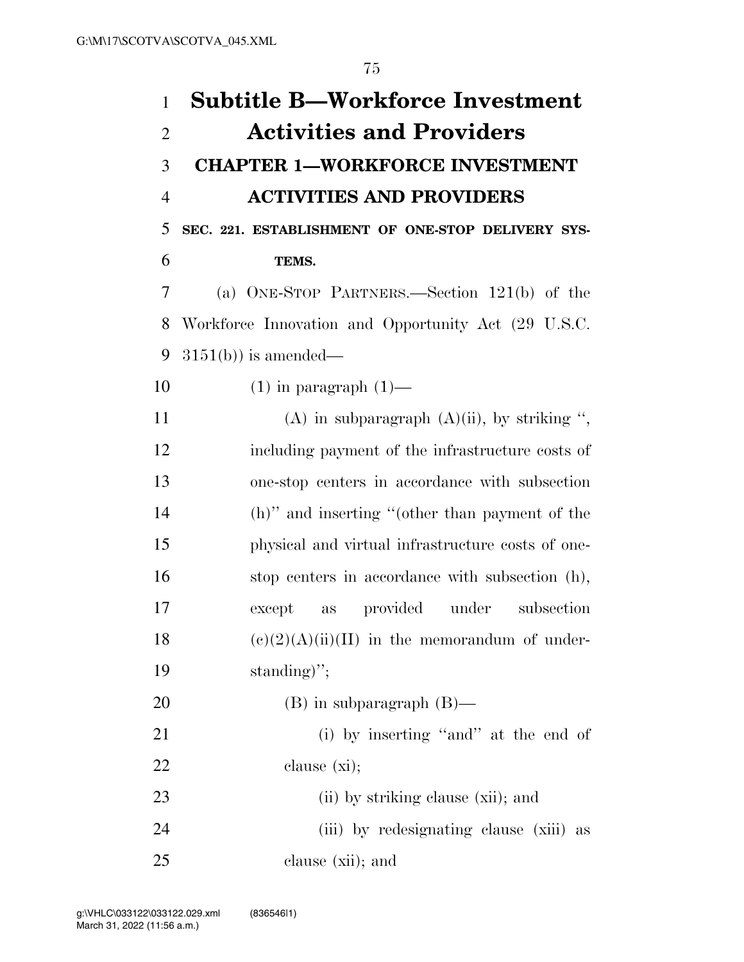| $\mathbf{1}$   | <b>Subtitle B—Workforce Investment</b>              |
|----------------|-----------------------------------------------------|
| $\overline{2}$ | <b>Activities and Providers</b>                     |
| 3              | <b>CHAPTER 1-WORKFORCE INVESTMENT</b>               |
| $\overline{4}$ | <b>ACTIVITIES AND PROVIDERS</b>                     |
| 5              | SEC. 221. ESTABLISHMENT OF ONE-STOP DELIVERY SYS-   |
| 6              | TEMS.                                               |
| 7              | (a) ONE-STOP PARTNERS.—Section $121(b)$ of the      |
| 8              | Workforce Innovation and Opportunity Act (29 U.S.C. |
| 9              | $3151(b)$ is amended—                               |
| 10             | $(1)$ in paragraph $(1)$ —                          |
| 11             | (A) in subparagraph $(A)(ii)$ , by striking ",      |
| 12             | including payment of the infrastructure costs of    |
| 13             | one-stop centers in accordance with subsection      |
| 14             | (h)" and inserting "(other than payment of the      |
| 15             | physical and virtual infrastructure costs of one-   |
| 16             | stop centers in accordance with subsection (h),     |
| 17             | provided under<br>subsection<br>except<br>as        |
| 18             | $(e)(2)(A)(ii)(II)$ in the memorandum of under-     |
| 19             | standing)";                                         |
| 20             | $(B)$ in subparagraph $(B)$ —                       |
| 21             | (i) by inserting "and" at the end of                |
| 22             | clause $(xi)$ ;                                     |
| 23             | (ii) by striking clause (xii); and                  |
| 24             | (iii) by redesignating clause (xiii) as             |
| 25             | clause (xii); and                                   |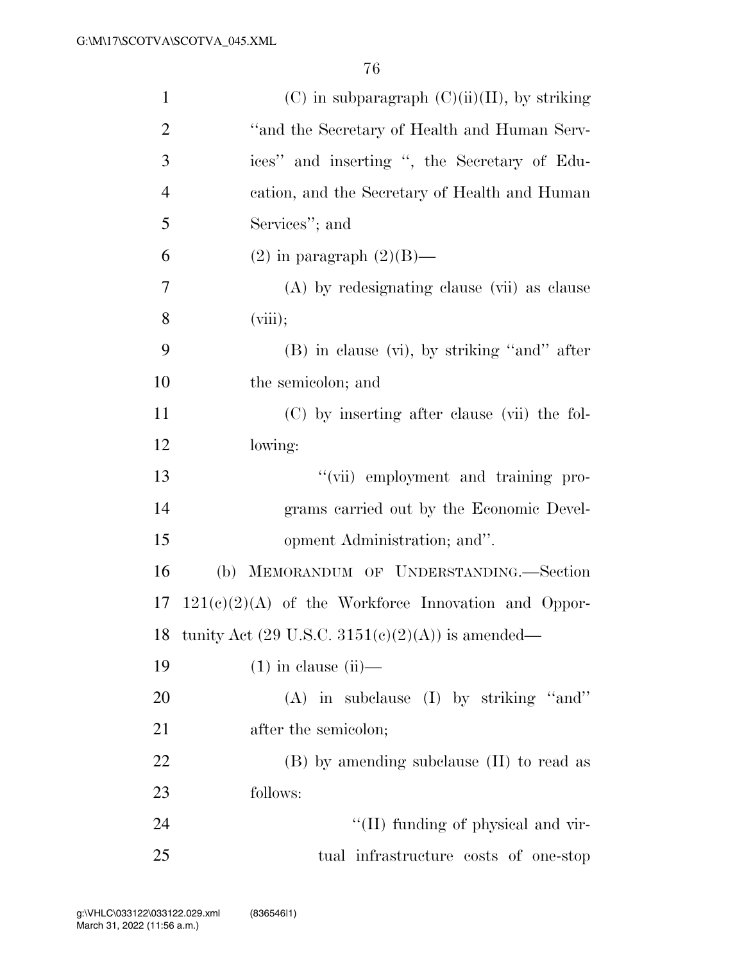| $\mathbf{1}$   | $(C)$ in subparagraph $(C)(ii)(II)$ , by striking                     |
|----------------|-----------------------------------------------------------------------|
| $\overline{2}$ | "and the Secretary of Health and Human Serv-                          |
| 3              | ices" and inserting ", the Secretary of Edu-                          |
| $\overline{4}$ | cation, and the Secretary of Health and Human                         |
| 5              | Services"; and                                                        |
| 6              | $(2)$ in paragraph $(2)(B)$ —                                         |
| 7              | (A) by redesignating clause (vii) as clause                           |
| 8              | (viii);                                                               |
| 9              | $(B)$ in clause $(vi)$ , by striking "and" after                      |
| 10             | the semicolon; and                                                    |
| 11             | (C) by inserting after clause (vii) the fol-                          |
| 12             | lowing:                                                               |
| 13             | "(vii) employment and training pro-                                   |
| 14             | grams carried out by the Economic Devel-                              |
| 15             | opment Administration; and".                                          |
| 16             | (b) MEMORANDUM OF UNDERSTANDING.-Section                              |
| 17             | $121(e)(2)(A)$ of the Workforce Innovation and Oppor-                 |
|                | 18 tunity Act $(29 \text{ U.S.C. } 3151(c)(2)(\text{A}))$ is amended— |
| 19             | $(1)$ in clause $(ii)$ —                                              |
| 20             | $(A)$ in subclause $(I)$ by striking "and"                            |
| 21             | after the semicolon;                                                  |
| 22             | (B) by amending subclause (II) to read as                             |
| 23             | follows:                                                              |
| 24             | "(II) funding of physical and vir-                                    |
| 25             | tual infrastructure costs of one-stop                                 |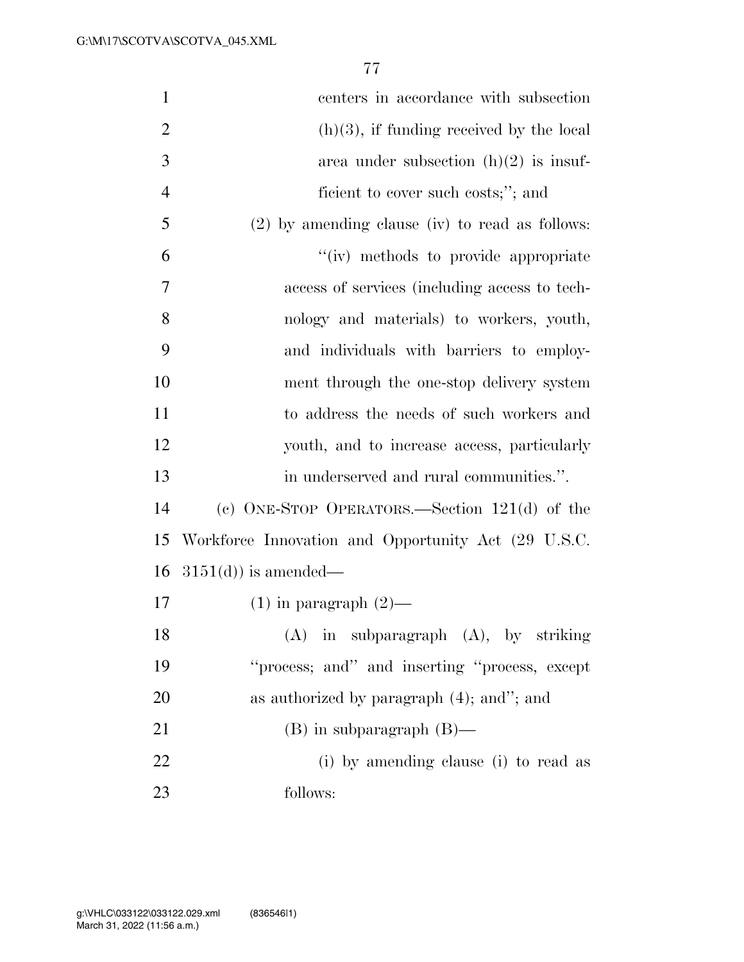| $\mathbf{1}$   | centers in accordance with subsection               |
|----------------|-----------------------------------------------------|
| $\overline{2}$ | $(h)(3)$ , if funding received by the local         |
| 3              | area under subsection $(h)(2)$ is insuf-            |
| $\overline{4}$ | ficient to cover such costs;"; and                  |
| 5              | $(2)$ by amending clause (iv) to read as follows:   |
| 6              | "(iv) methods to provide appropriate                |
| 7              | access of services (including access to tech-       |
| 8              | nology and materials) to workers, youth,            |
| 9              | and individuals with barriers to employ-            |
| 10             | ment through the one-stop delivery system           |
| 11             | to address the needs of such workers and            |
| 12             | youth, and to increase access, particularly         |
| 13             | in underserved and rural communities.".             |
| 14             | (c) ONE-STOP OPERATORS.—Section $121(d)$ of the     |
| 15             | Workforce Innovation and Opportunity Act (29 U.S.C. |
| 16             | $3151(d)$ is amended—                               |
| 17             | $(1)$ in paragraph $(2)$ —                          |
| 18             | (A)<br>in subparagraph (A), by striking             |
| 19             | "process; and" and inserting "process, except       |
| 20             | as authorized by paragraph $(4)$ ; and"; and        |
| 21             | $(B)$ in subparagraph $(B)$ —                       |
| 22             | (i) by amending clause (i) to read as               |
| 23             | follows:                                            |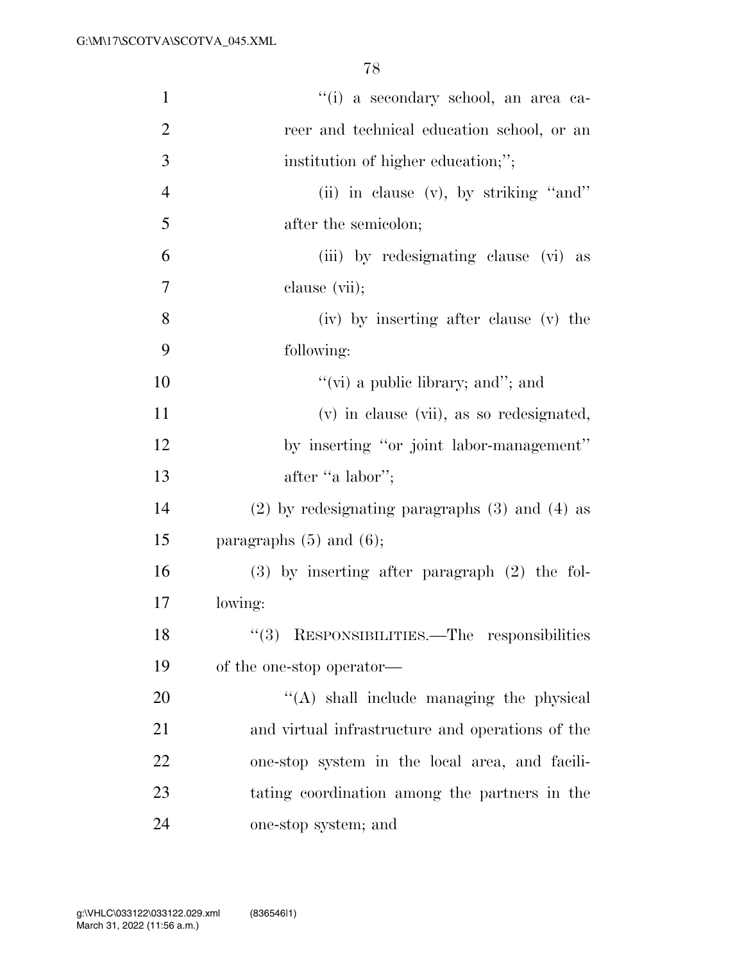| $\mathbf{1}$   | "(i) a secondary school, an area ca-                 |
|----------------|------------------------------------------------------|
| $\overline{c}$ | reer and technical education school, or an           |
| 3              | institution of higher education;";                   |
| $\overline{4}$ | (ii) in clause $(v)$ , by striking "and"             |
| 5              | after the semicolon;                                 |
| 6              | (iii) by redesignating clause (vi) as                |
| 7              | clause (vii);                                        |
| 8              | (iv) by inserting after clause (v) the               |
| 9              | following:                                           |
| 10             | "(vi) a public library; and"; and                    |
| 11             | (v) in clause (vii), as so redesignated,             |
| 12             | by inserting "or joint labor-management"             |
| 13             | after "a labor";                                     |
| 14             | $(2)$ by redesignating paragraphs $(3)$ and $(4)$ as |
| 15             | paragraphs $(5)$ and $(6)$ ;                         |
| 16             | $(3)$ by inserting after paragraph $(2)$ the fol-    |
| 17             | lowing:                                              |
| 18             | $\lq(3)$ RESPONSIBILITIES.—The responsibilities      |
| 19             | of the one-stop operator—                            |
| 20             | "(A) shall include managing the physical             |
| 21             | and virtual infrastructure and operations of the     |
| 22             | one-stop system in the local area, and facili-       |
| 23             | tating coordination among the partners in the        |
| 24             | one-stop system; and                                 |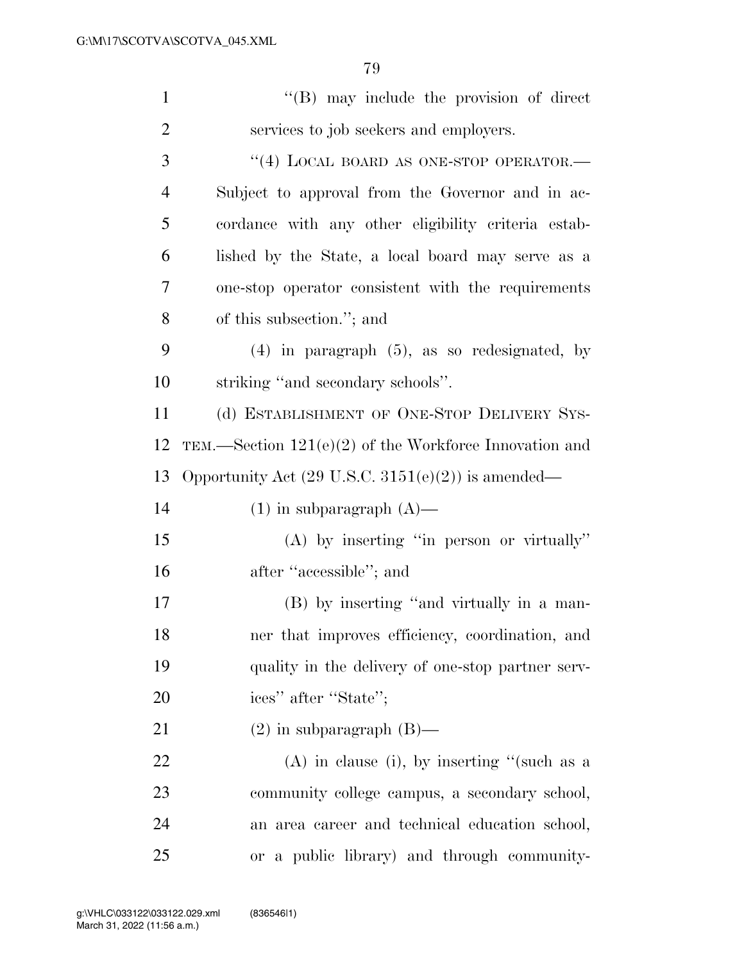| $\mathbf{1}$   | $\lq\lq (B)$ may include the provision of direct              |
|----------------|---------------------------------------------------------------|
| $\overline{2}$ | services to job seekers and employers.                        |
| 3              | "(4) LOCAL BOARD AS ONE-STOP OPERATOR.-                       |
| $\overline{4}$ | Subject to approval from the Governor and in ac-              |
| 5              | cordance with any other eligibility criteria estab-           |
| 6              | lished by the State, a local board may serve as a             |
| 7              | one-stop operator consistent with the requirements            |
| 8              | of this subsection."; and                                     |
| 9              | $(4)$ in paragraph $(5)$ , as so redesignated, by             |
| 10             | striking "and secondary schools".                             |
| 11             | (d) ESTABLISHMENT OF ONE-STOP DELIVERY SYS-                   |
| 12             | TEM.—Section $121(e)(2)$ of the Workforce Innovation and      |
| 13             | Opportunity Act $(29 \text{ U.S.C. } 3151(e)(2))$ is amended— |
| 14             | $(1)$ in subparagraph $(A)$ —                                 |
| 15             | $(A)$ by inserting "in person or virtually"                   |
| 16             | after "accessible"; and                                       |
| 17             | (B) by inserting "and virtually in a man-                     |
| 18             | ner that improves efficiency, coordination, and               |
| 19             | quality in the delivery of one-stop partner serv-             |
| 20             | ices" after "State";                                          |
| 21             | $(2)$ in subparagraph $(B)$ —                                 |
| 22             | $(A)$ in clause (i), by inserting "(such as a                 |
| 23             | community college campus, a secondary school,                 |
| 24             | an area career and technical education school,                |
| 25             | or a public library) and through community-                   |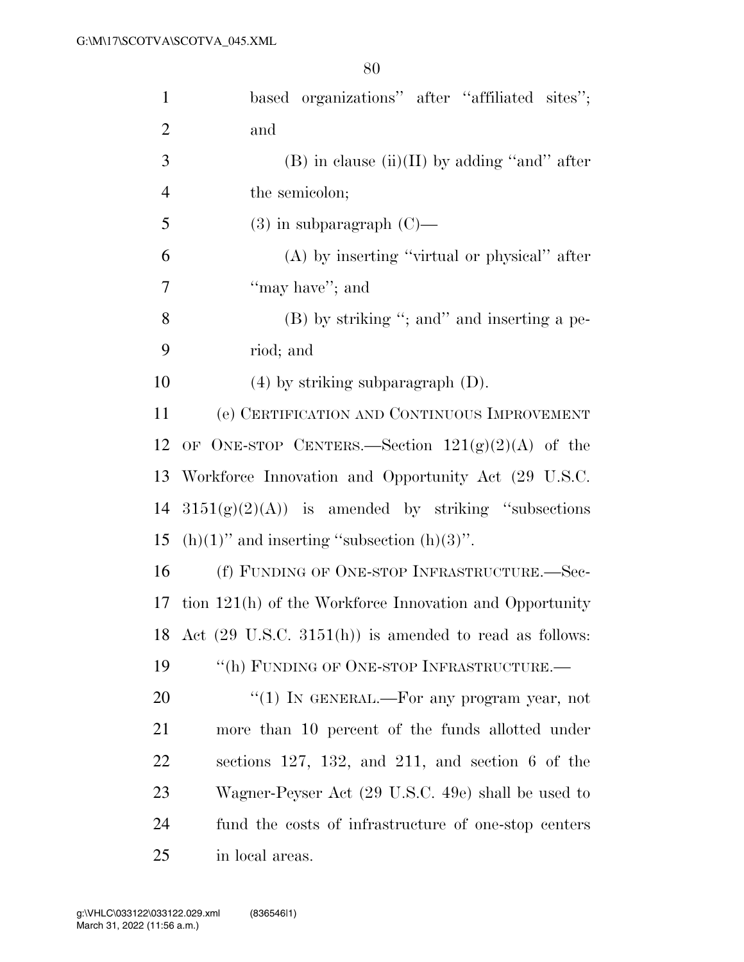| $\mathbf{1}$   | based organizations" after "affiliated sites";                       |
|----------------|----------------------------------------------------------------------|
| $\overline{2}$ | and                                                                  |
| 3              | $(B)$ in clause $(ii)(II)$ by adding "and" after                     |
| $\overline{4}$ | the semicolon;                                                       |
| 5              | $(3)$ in subparagraph $(C)$ —                                        |
| 6              | $(A)$ by inserting "virtual or physical" after                       |
| $\overline{7}$ | "may have"; and                                                      |
| 8              | $(B)$ by striking "; and inserting a pe-                             |
| 9              | riod; and                                                            |
| 10             | $(4)$ by striking subparagraph $(D)$ .                               |
| 11             | (e) CERTIFICATION AND CONTINUOUS IMPROVEMENT                         |
| 12             | OF ONE-STOP CENTERS.—Section $121(g)(2)(A)$ of the                   |
| 13             | Workforce Innovation and Opportunity Act (29 U.S.C.                  |
| 14             | $3151(g)(2)(A)$ is amended by striking "subsections"                 |
| 15             | $(h)(1)$ " and inserting "subsection $(h)(3)$ ".                     |
| 16             | (f) FUNDING OF ONE-STOP INFRASTRUCTURE.-Sec-                         |
| 17             | tion 121(h) of the Workforce Innovation and Opportunity              |
|                | 18 Act $(29 \text{ U.S.C. } 3151(h))$ is amended to read as follows: |
| 19             | "(h) FUNDING OF ONE-STOP INFRASTRUCTURE.—                            |
| 20             | " $(1)$ In GENERAL.—For any program year, not                        |
| 21             | more than 10 percent of the funds allotted under                     |
| 22             | sections $127, 132,$ and $211,$ and section 6 of the                 |
| 23             | Wagner-Peyser Act (29 U.S.C. 49e) shall be used to                   |
| 24             | fund the costs of infrastructure of one-stop centers                 |
| 25             | in local areas.                                                      |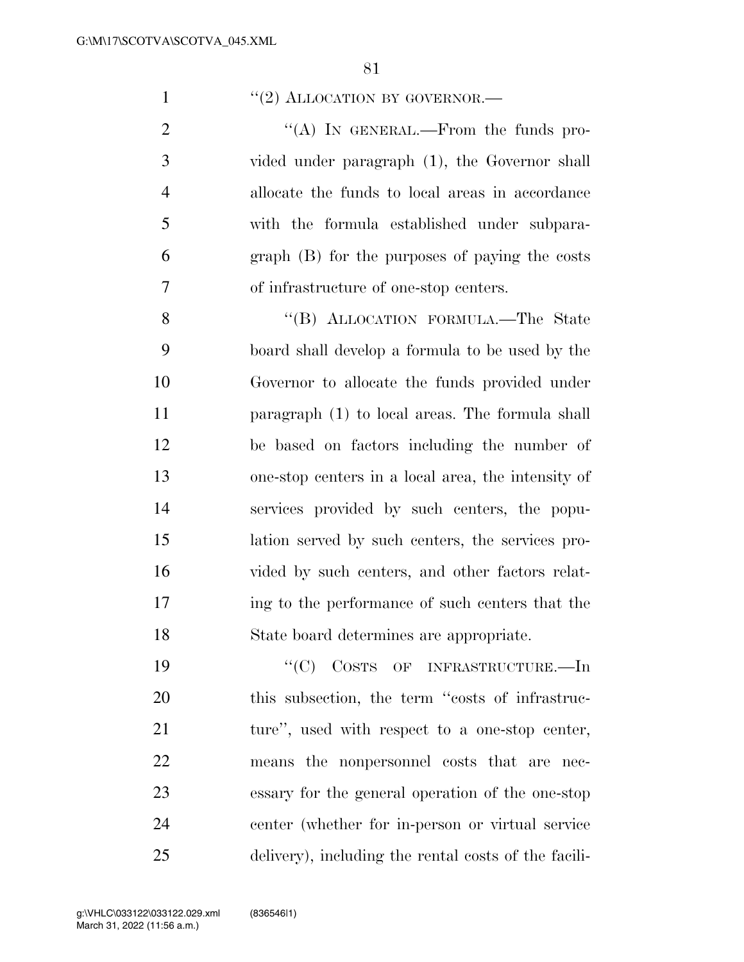"(2) ALLOCATION BY GOVERNOR.—

 $\langle (A) \rangle$  In GENERAL.—From the funds pro- vided under paragraph (1), the Governor shall allocate the funds to local areas in accordance with the formula established under subpara- graph (B) for the purposes of paying the costs of infrastructure of one-stop centers.

8 "(B) ALLOCATION FORMULA.—The State board shall develop a formula to be used by the Governor to allocate the funds provided under paragraph (1) to local areas. The formula shall be based on factors including the number of one-stop centers in a local area, the intensity of services provided by such centers, the popu- lation served by such centers, the services pro-16 vided by such centers, and other factors relat- ing to the performance of such centers that the State board determines are appropriate.

19 "'(C) COSTS OF INFRASTRUCTURE.—In 20 this subsection, the term "costs of infrastruc-21 ture", used with respect to a one-stop center, means the nonpersonnel costs that are nec- essary for the general operation of the one-stop center (whether for in-person or virtual service delivery), including the rental costs of the facili-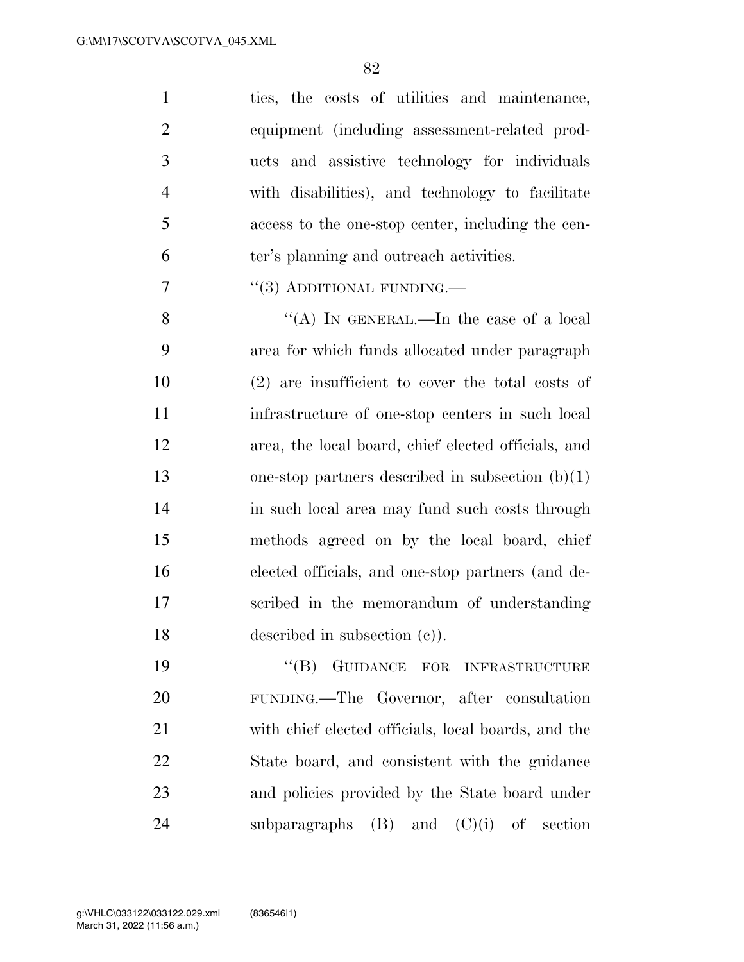ties, the costs of utilities and maintenance, equipment (including assessment-related prod- ucts and assistive technology for individuals with disabilities), and technology to facilitate access to the one-stop center, including the cen-ter's planning and outreach activities.

7 "(3) ADDITIONAL FUNDING.—

8 "(A) In GENERAL.—In the case of a local area for which funds allocated under paragraph (2) are insufficient to cover the total costs of infrastructure of one-stop centers in such local area, the local board, chief elected officials, and one-stop partners described in subsection (b)(1) in such local area may fund such costs through methods agreed on by the local board, chief elected officials, and one-stop partners (and de- scribed in the memorandum of understanding described in subsection (c)).

19 "(B) GUIDANCE FOR INFRASTRUCTURE FUNDING.—The Governor, after consultation with chief elected officials, local boards, and the State board, and consistent with the guidance and policies provided by the State board under 24 subparagraphs  $(B)$  and  $(C)(i)$  of section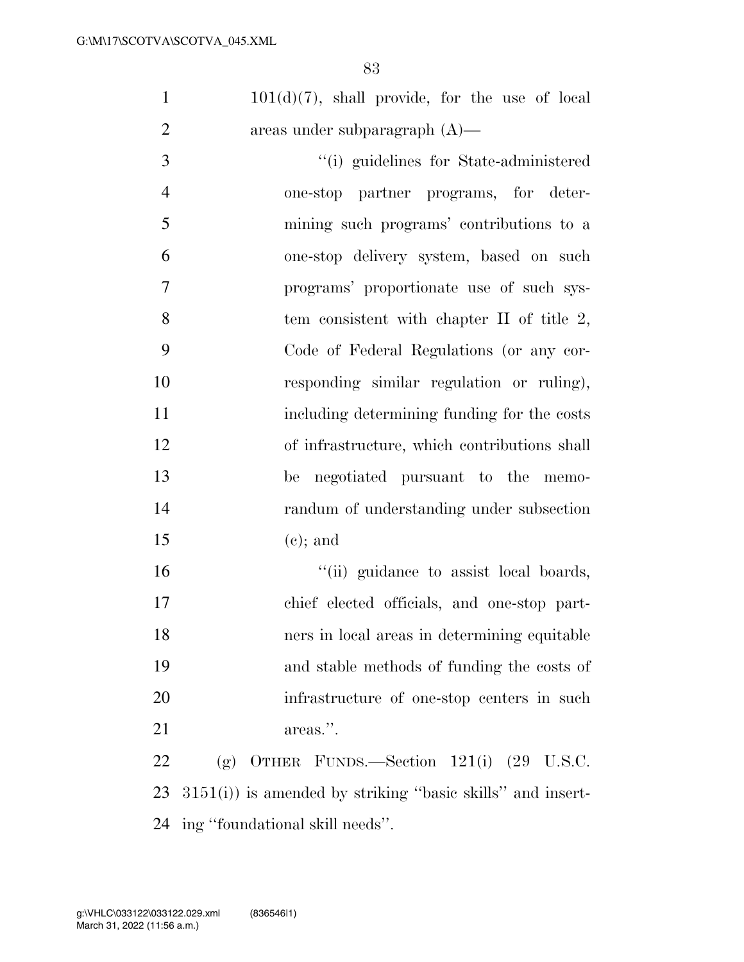$101(d)(7)$ , shall provide, for the use of local areas under subparagraph (A)—

 ''(i) guidelines for State-administered one-stop partner programs, for deter- mining such programs' contributions to a one-stop delivery system, based on such programs' proportionate use of such sys-8 tem consistent with chapter II of title 2, Code of Federal Regulations (or any cor- responding similar regulation or ruling), including determining funding for the costs of infrastructure, which contributions shall be negotiated pursuant to the memo- randum of understanding under subsection 15 (e); and

 ''(ii) guidance to assist local boards, chief elected officials, and one-stop part- ners in local areas in determining equitable and stable methods of funding the costs of infrastructure of one-stop centers in such 21 areas.".

 (g) OTHER FUNDS.—Section 121(i) (29 U.S.C. 3151(i)) is amended by striking ''basic skills'' and insert-ing ''foundational skill needs''.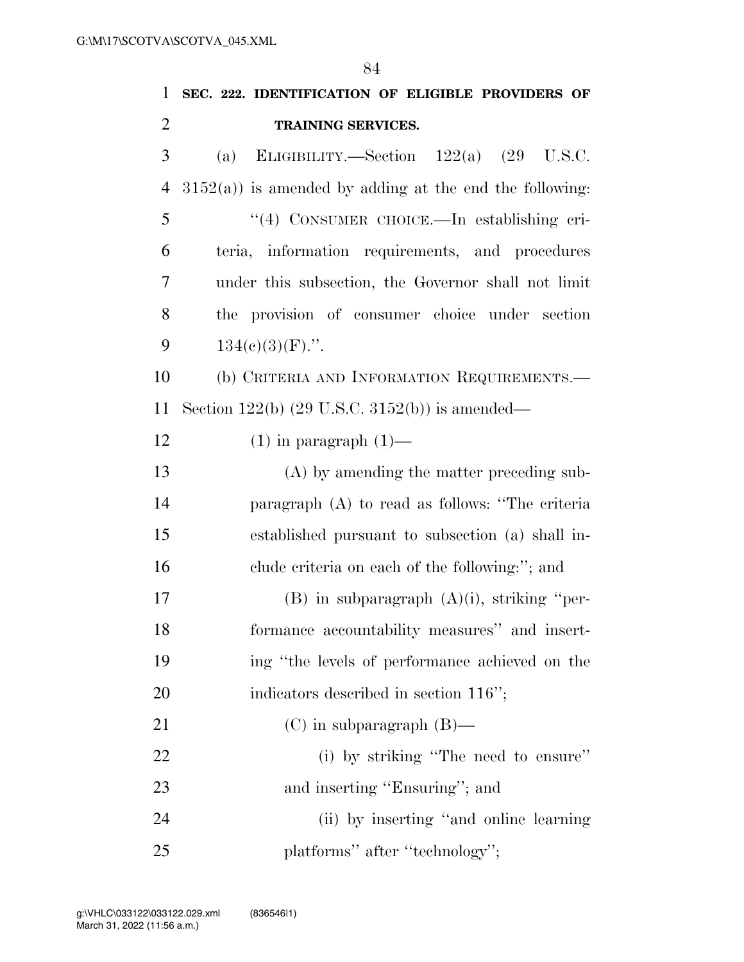| 1              | SEC. 222. IDENTIFICATION OF ELIGIBLE PROVIDERS OF          |
|----------------|------------------------------------------------------------|
| $\overline{2}$ | <b>TRAINING SERVICES.</b>                                  |
| 3              | ELIGIBILITY.—Section $122(a)$ $(29 \text{ U.S.C.})$<br>(a) |
| $\overline{4}$ | $3152(a)$ ) is amended by adding at the end the following: |
| 5              | "(4) CONSUMER CHOICE. - In establishing cri-               |
| 6              | teria, information requirements, and procedures            |
| 7              | under this subsection, the Governor shall not limit        |
| 8              | the provision of consumer choice under section             |
| 9              | $134(c)(3)(F)$ .".                                         |
| 10             | (b) CRITERIA AND INFORMATION REQUIREMENTS.—                |
| 11             | Section $122(b)$ (29 U.S.C. 3152(b)) is amended—           |
| 12             | $(1)$ in paragraph $(1)$ —                                 |
| 13             | (A) by amending the matter preceding sub-                  |
| 14             | paragraph (A) to read as follows: "The criteria            |
| 15             | established pursuant to subsection (a) shall in-           |
| 16             | clude criteria on each of the following:"; and             |
| 17             | $(B)$ in subparagraph $(A)(i)$ , striking "per-            |
| 18             | formance accountability measures" and insert-              |
| 19             | ing "the levels of performance achieved on the             |
| 20             | indicators described in section 116";                      |
| 21             | $(C)$ in subparagraph $(B)$ —                              |
| 22             | (i) by striking "The need to ensure"                       |
| 23             | and inserting "Ensuring"; and                              |
| 24             | (ii) by inserting "and online learning"                    |
| 25             | platforms" after "technology";                             |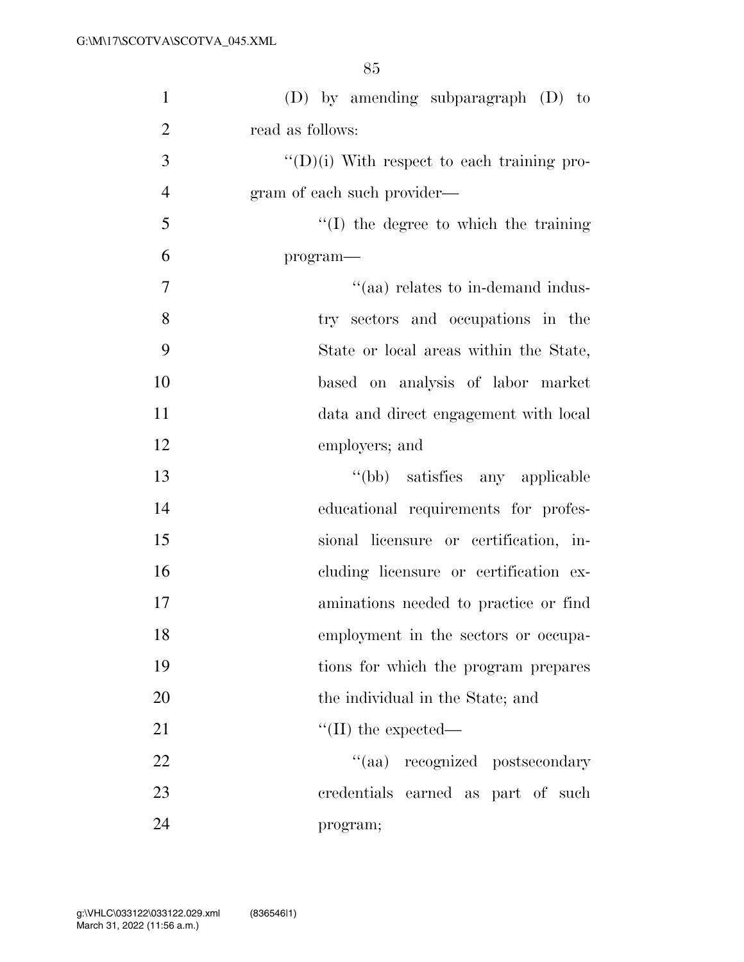| $\mathbf{1}$   | $(D)$ by amending subparagraph $(D)$ to            |
|----------------|----------------------------------------------------|
| $\overline{2}$ | read as follows:                                   |
| 3              | $\lq\lq$ (D)(i) With respect to each training pro- |
| $\overline{4}$ | gram of each such provider—                        |
| 5              | $\lq\lq$ (I) the degree to which the training      |
| 6              | program-                                           |
| $\tau$         | "(aa) relates to in-demand indus-                  |
| 8              | try sectors and occupations in the                 |
| 9              | State or local areas within the State,             |
| 10             | based on analysis of labor market                  |
| 11             | data and direct engagement with local              |
| 12             | employers; and                                     |
| 13             | "(bb) satisfies any applicable                     |
| 14             | educational requirements for profes-               |
| 15             | sional licensure or certification, in-             |
| 16             | cluding licensure or certification ex-             |
| 17             | aminations needed to practice or find              |
| 18             | employment in the sectors or occupa-               |
| 19             | tions for which the program prepares               |
| 20             | the individual in the State; and                   |
| 21             | $\lq\lq$ (II) the expected—                        |
| 22             | "(aa) recognized postsecondary                     |
| 23             | credentials earned as part of such                 |
| 24             | program;                                           |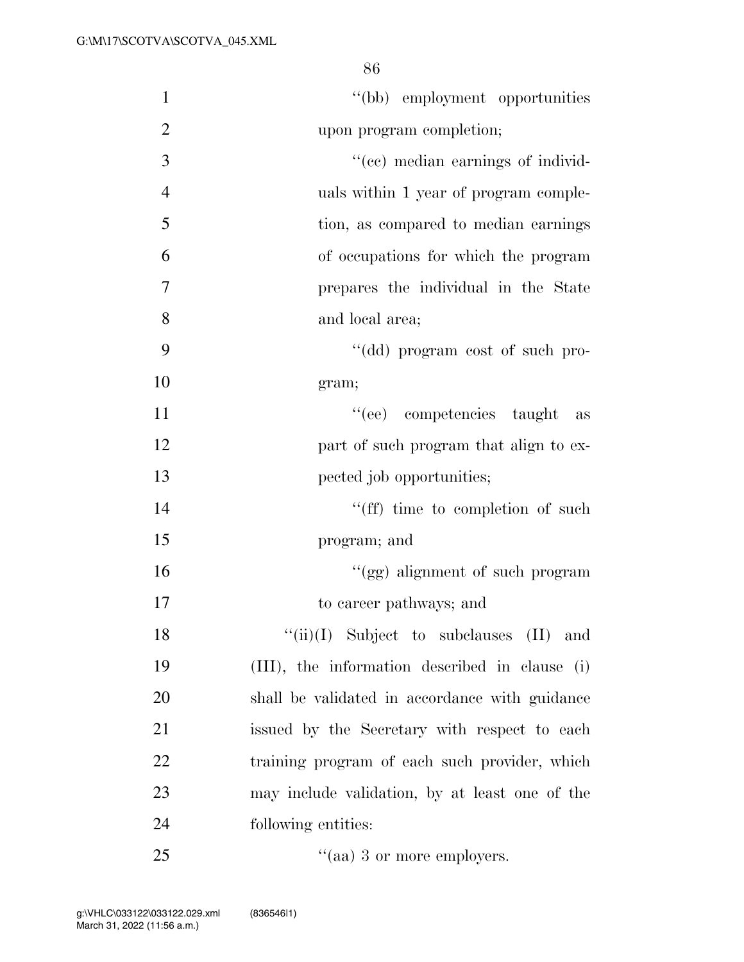| $\mathbf{1}$   | "(bb) employment opportunities                 |
|----------------|------------------------------------------------|
| $\overline{2}$ | upon program completion;                       |
| 3              | "(cc) median earnings of individ-              |
| $\overline{4}$ | uals within 1 year of program comple-          |
| 5              | tion, as compared to median earnings           |
| 6              | of occupations for which the program           |
| $\overline{7}$ | prepares the individual in the State           |
| 8              | and local area;                                |
| 9              | "(dd) program cost of such pro-                |
| 10             | gram;                                          |
| 11             | "(ee) competencies taught<br>as                |
| 12             | part of such program that align to ex-         |
| 13             | pected job opportunities;                      |
| 14             | "(ff) time to completion of such               |
| 15             | program; and                                   |
| 16             | "(gg) alignment of such program                |
| 17             | to career pathways; and                        |
| 18             | $``(ii)(I)$ Subject to subclauses $(II)$ and   |
| 19             | (III), the information described in clause (i) |
| 20             | shall be validated in accordance with guidance |
| 21             | issued by the Secretary with respect to each   |
| 22             | training program of each such provider, which  |
| 23             | may include validation, by at least one of the |
| 24             | following entities:                            |
| $25\,$         | $\cdot$ (aa) 3 or more employers.              |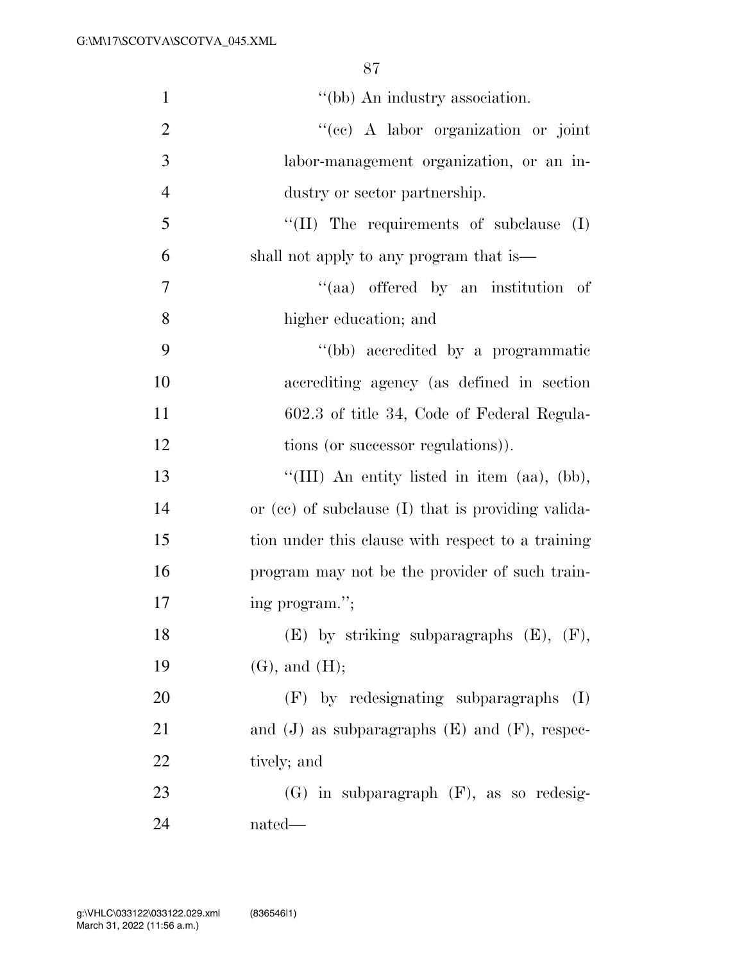| $\mathbf{1}$   | "(bb) An industry association.                         |
|----------------|--------------------------------------------------------|
| $\overline{2}$ | "(cc) A labor organization or joint                    |
| 3              | labor-management organization, or an in-               |
| $\overline{4}$ | dustry or sector partnership.                          |
| 5              | $\lq\lq$ (II) The requirements of subclause (I)        |
| 6              | shall not apply to any program that is—                |
| 7              | "(aa) offered by an institution of                     |
| 8              | higher education; and                                  |
| 9              | "(bb) accredited by a programmatic                     |
| 10             | accrediting agency (as defined in section              |
| 11             | 602.3 of title 34, Code of Federal Regula-             |
| 12             | tions (or successor regulations)).                     |
| 13             | "(III) An entity listed in item (aa), (bb),            |
| 14             | or $(ce)$ of subclause $(I)$ that is providing valida- |
| 15             | tion under this clause with respect to a training      |
| 16             | program may not be the provider of such train-         |
| 17             | ing program.";                                         |
| 18             | $(E)$ by striking subparagraphs $(E)$ , $(F)$ ,        |
| 19             | $(G)$ , and $(H)$ ;                                    |
| 20             | (F) by redesignating subparagraphs<br>(I)              |
| 21             | and $(J)$ as subparagraphs $(E)$ and $(F)$ , respec-   |
| 22             | tively; and                                            |
| 23             | $(G)$ in subparagraph $(F)$ , as so redesig-           |
| 24             | nated—                                                 |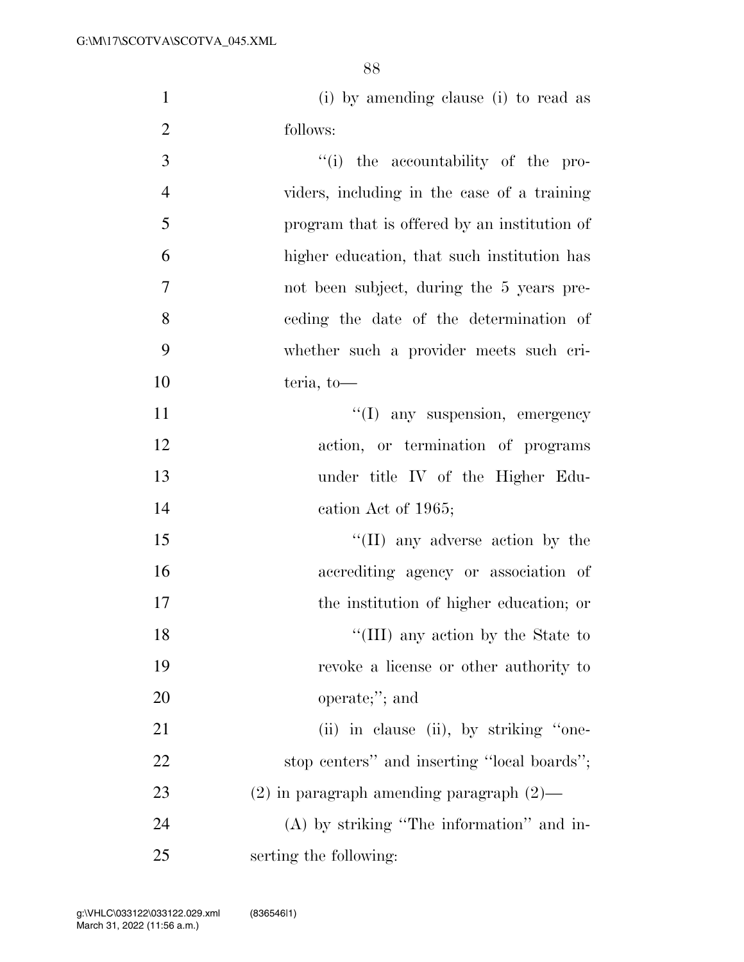(i) by amending clause (i) to read as follows:

| 3              | "(i) the accountability of the pro-           |
|----------------|-----------------------------------------------|
| $\overline{4}$ | viders, including in the case of a training   |
| 5              | program that is offered by an institution of  |
| 6              | higher education, that such institution has   |
| $\overline{7}$ | not been subject, during the 5 years pre-     |
| 8              | ceding the date of the determination of       |
| 9              | whether such a provider meets such cri-       |
| 10             | teria, to-                                    |
| 11             | $\lq(1)$ any suspension, emergency            |
| 12             | action, or termination of programs            |
| 13             | under title IV of the Higher Edu-             |
| 14             | cation Act of 1965;                           |
| 15             | $\lq\lq$ (II) any adverse action by the       |
| 16             | accrediting agency or association of          |
| 17             | the institution of higher education; or       |
| 18             | "(III) any action by the State to             |
| 19             | revoke a license or other authority to        |
| 20             | $operate$ ;"; and                             |
| 21             | (ii) in clause (ii), by striking "one-        |
| 22             | stop centers" and inserting "local boards";   |
| 23             | $(2)$ in paragraph amending paragraph $(2)$ — |
| 24             | $(A)$ by striking "The information" and in-   |
| 25             | serting the following:                        |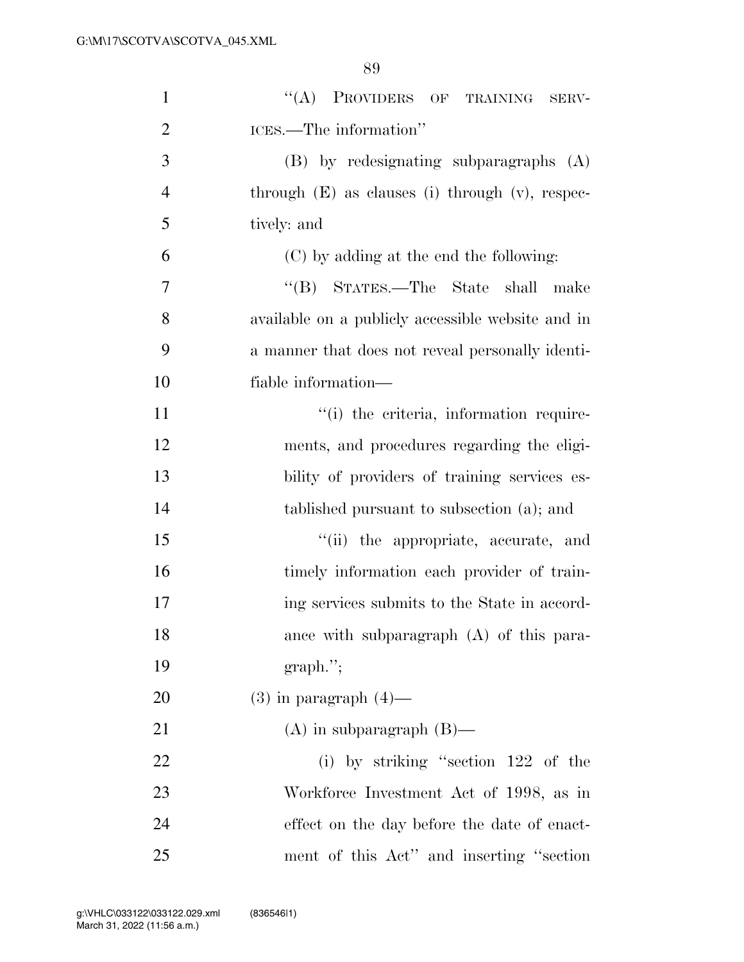| $\mathbf{1}$   | "(A) PROVIDERS OF TRAINING<br>SERV-               |
|----------------|---------------------------------------------------|
| $\overline{2}$ | ICES.—The information"                            |
| 3              | (B) by redesignating subparagraphs (A)            |
| $\overline{4}$ | through (E) as clauses (i) through (v), respec-   |
| 5              | tively: and                                       |
| 6              | (C) by adding at the end the following:           |
| 7              | "(B) STATES.—The State shall<br>make              |
| 8              | available on a publicly accessible website and in |
| 9              | a manner that does not reveal personally identi-  |
| 10             | fiable information-                               |
| 11             | "(i) the criteria, information require-           |
| 12             | ments, and procedures regarding the eligi-        |
| 13             | bility of providers of training services es-      |
| 14             | tablished pursuant to subsection (a); and         |
| 15             | "(ii) the appropriate, accurate, and              |
| 16             | timely information each provider of train-        |
| 17             | ing services submits to the State in accord-      |
| 18             | ance with subparagraph $(A)$ of this para-        |
| 19             | $graph$ .";                                       |
| 20             | $(3)$ in paragraph $(4)$ —                        |
| 21             | $(A)$ in subparagraph $(B)$ —                     |
| 22             | (i) by striking "section $122$ of the             |
| 23             | Workforce Investment Act of 1998, as in           |
| 24             | effect on the day before the date of enact-       |
| 25             | ment of this Act" and inserting "section          |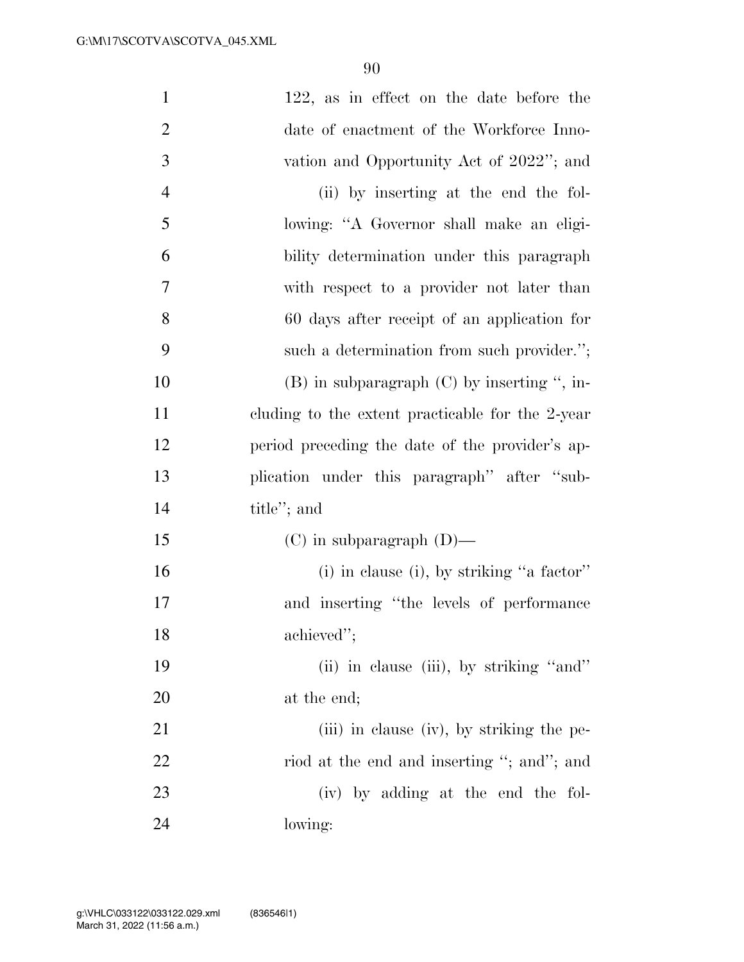| $\mathbf{1}$   | 122, as in effect on the date before the         |
|----------------|--------------------------------------------------|
| $\overline{2}$ | date of enactment of the Workforce Inno-         |
| 3              | vation and Opportunity Act of 2022"; and         |
| $\overline{4}$ | (ii) by inserting at the end the fol-            |
| 5              | lowing: "A Governor shall make an eligi-         |
| 6              | bility determination under this paragraph        |
| $\overline{7}$ | with respect to a provider not later than        |
| 8              | 60 days after receipt of an application for      |
| 9              | such a determination from such provider.";       |
| 10             | $(B)$ in subparagraph $(C)$ by inserting ", in-  |
| 11             | cluding to the extent practicable for the 2-year |
| 12             | period preceding the date of the provider's ap-  |
| 13             | plication under this paragraph" after "sub-      |
| 14             | title"; and                                      |
| 15             | $(C)$ in subparagraph $(D)$ —                    |
| 16             | $(i)$ in clause $(i)$ , by striking "a factor"   |
| 17             | and inserting "the levels of performance         |
| 18             | achieved";                                       |
| 19             | (ii) in clause (iii), by striking "and"          |
| 20             | at the end;                                      |
| 21             | (iii) in clause (iv), by striking the pe-        |
| 22             | riod at the end and inserting "; and"; and       |
| 23             | (iv) by adding at the end the fol-               |
| 24             | lowing:                                          |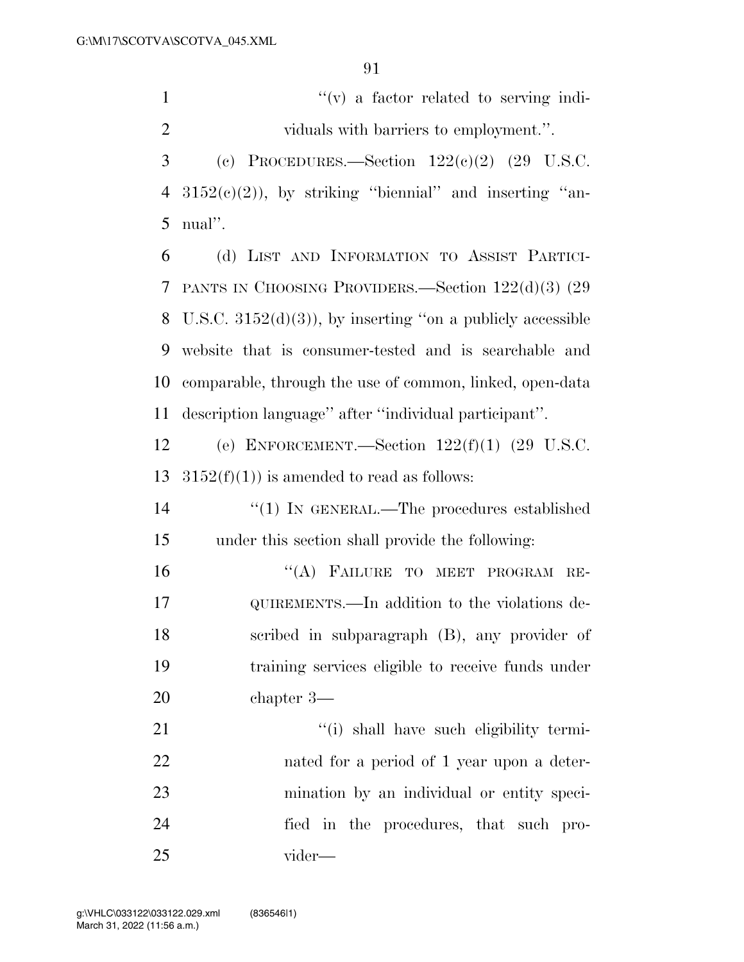1  $''(v)$  a factor related to serving indi-viduals with barriers to employment.''.

3 (c) PROCEDURES.—Section  $122(e)(2)$  (29 U.S.C. 4  $3152(c)(2)$ , by striking "biennial" and inserting "an-nual''.

 (d) LIST AND INFORMATION TO ASSIST PARTICI- PANTS IN CHOOSING PROVIDERS.—Section 122(d)(3) (29 8 U.S.C.  $3152(d)(3)$ , by inserting "on a publicly accessible website that is consumer-tested and is searchable and comparable, through the use of common, linked, open-data description language'' after ''individual participant''.

 (e) ENFORCEMENT.—Section 122(f)(1) (29 U.S.C. 13  $3152(f)(1)$  is amended to read as follows:

14  $\frac{1}{2}$  (1) In GENERAL.—The procedures established under this section shall provide the following:

16 "(A) FAILURE TO MEET PROGRAM RE- QUIREMENTS.—In addition to the violations de- scribed in subparagraph (B), any provider of training services eligible to receive funds under chapter 3—

 $\frac{1}{1}$  shall have such eligibility termi- nated for a period of 1 year upon a deter- mination by an individual or entity speci- fied in the procedures, that such pro-vider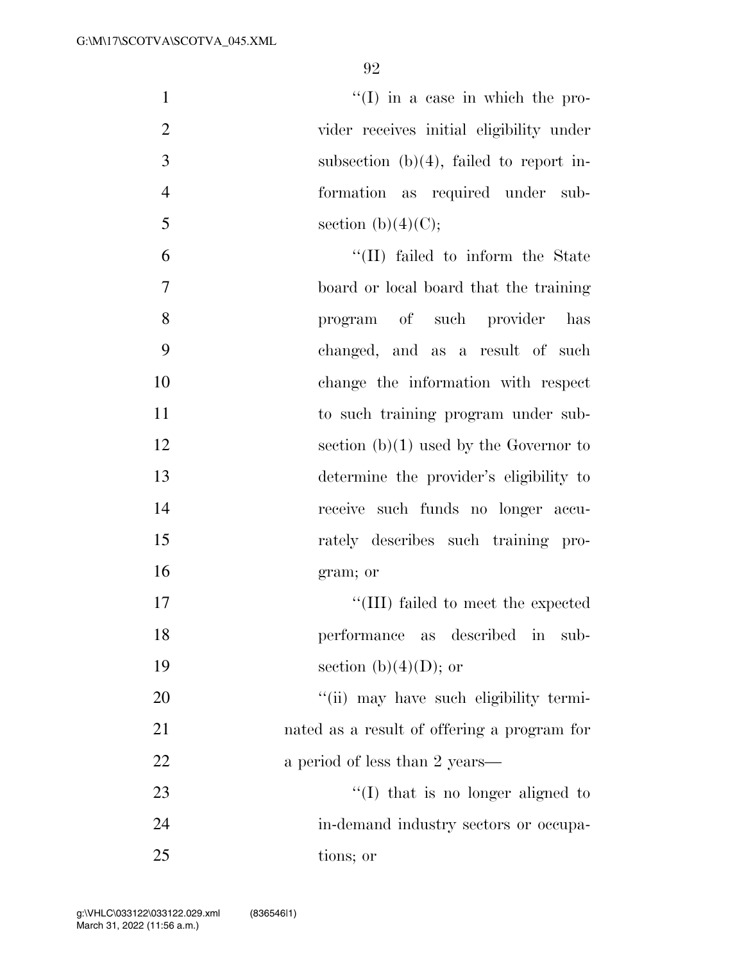$"(I)$  in a case in which the pro- vider receives initial eligibility under subsection (b)(4), failed to report in- formation as required under sub-5 section (b)(4)(C);

 ''(II) failed to inform the State board or local board that the training program of such provider has changed, and as a result of such change the information with respect 11 to such training program under sub-12 section (b)(1) used by the Governor to determine the provider's eligibility to receive such funds no longer accu- rately describes such training pro- gram; or  $\frac{17}{111}$  failed to meet the expected performance as described in sub-

19 section (b)(4)(D); or

20  $\frac{1}{20}$   $\frac{1}{20}$  may have such eligibility termi-21 nated as a result of offering a program for 22 a period of less than 2 years—

23 ''(I) that is no longer aligned to 24 in-demand industry sectors or occupa-25 tions; or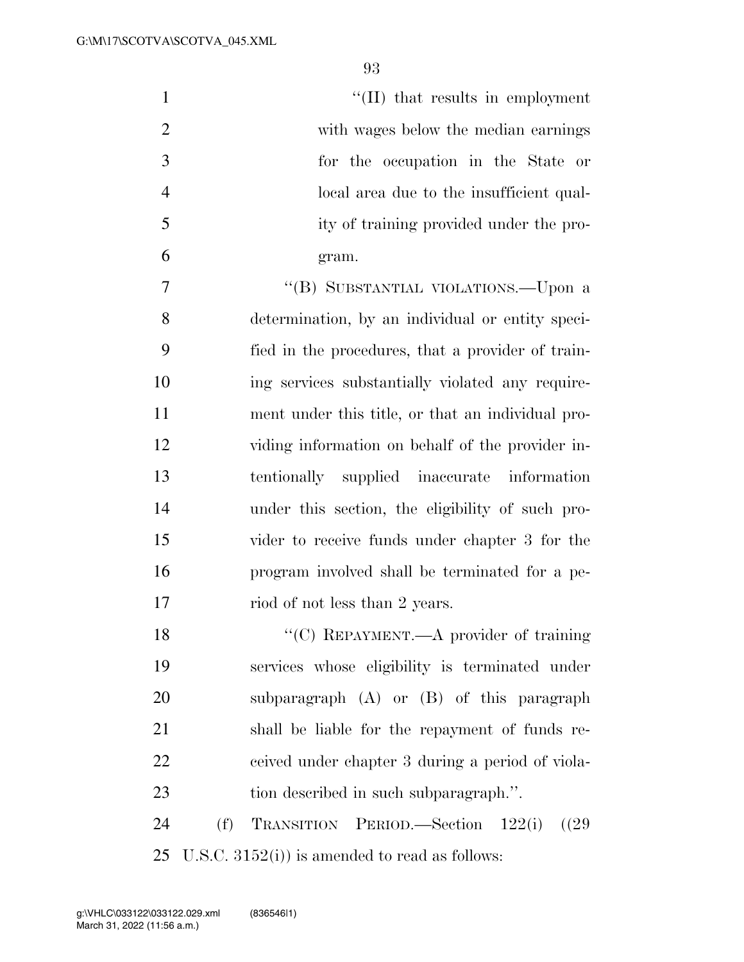| $\mathbf{1}$   | "(II) that results in employment                  |
|----------------|---------------------------------------------------|
| $\overline{2}$ | with wages below the median earnings              |
| 3              | for the occupation in the State or                |
| $\overline{4}$ | local area due to the insufficient qual-          |
| 5              | ity of training provided under the pro-           |
| 6              | gram.                                             |
| 7              | "(B) SUBSTANTIAL VIOLATIONS.—Upon a               |
| 8              | determination, by an individual or entity speci-  |
| 9              | fied in the procedures, that a provider of train- |
| 10             | ing services substantially violated any require-  |
| 11             | ment under this title, or that an individual pro- |
| 12             | viding information on behalf of the provider in-  |
| 13             | tentionally supplied inaccurate information       |
| 14             | under this section, the eligibility of such pro-  |
| 15             | vider to receive funds under chapter 3 for the    |
| 16             | program involved shall be terminated for a pe-    |
| 17             | riod of not less than 2 years.                    |
| 18             | "(C) REPAYMENT.—A provider of training            |
| 19             | services whose eligibility is terminated under    |
| 20             | subparagraph $(A)$ or $(B)$ of this paragraph     |
| 21             | shall be liable for the repayment of funds re-    |
| 22             | ceived under chapter 3 during a period of viola-  |
| 23             | tion described in such subparagraph.".            |
| 24             | TRANSITION PERIOD.—Section 122(i)<br>(f)<br>(29)  |
| 25             | U.S.C. $3152(i)$ ) is amended to read as follows: |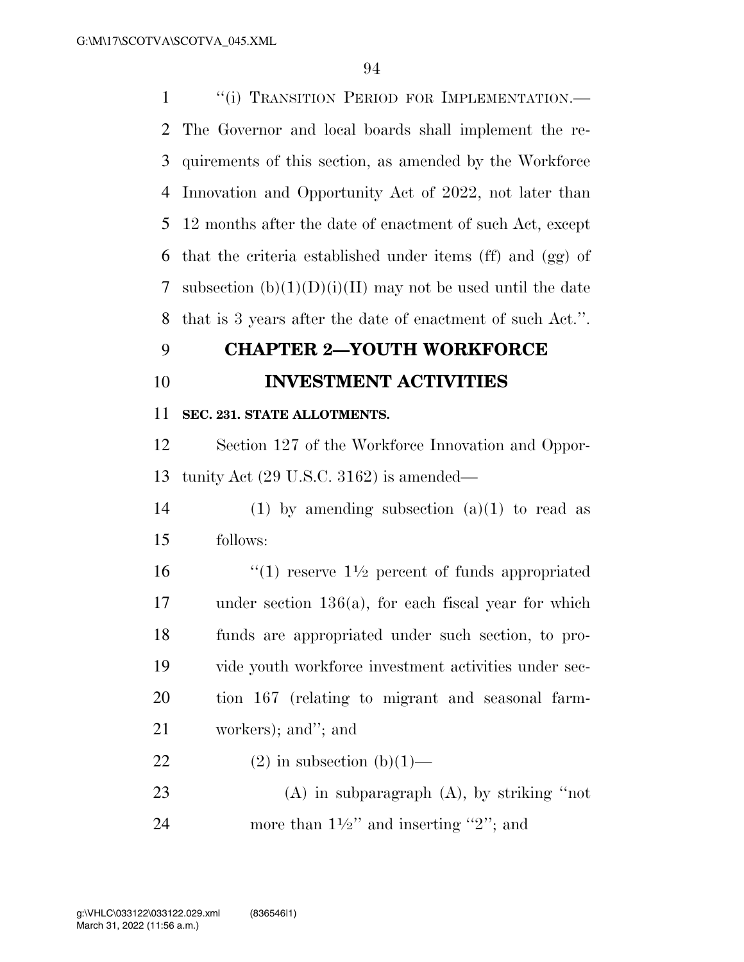1 ""(i) TRANSITION PERIOD FOR IMPLEMENTATION.— The Governor and local boards shall implement the re- quirements of this section, as amended by the Workforce Innovation and Opportunity Act of 2022, not later than 12 months after the date of enactment of such Act, except that the criteria established under items (ff) and (gg) of 7 subsection  $(b)(1)(D)(i)(II)$  may not be used until the date that is 3 years after the date of enactment of such Act.''.

# **CHAPTER 2—YOUTH WORKFORCE**

# **INVESTMENT ACTIVITIES**

### **SEC. 231. STATE ALLOTMENTS.**

 Section 127 of the Workforce Innovation and Oppor-tunity Act (29 U.S.C. 3162) is amended—

14 (1) by amending subsection  $(a)(1)$  to read as follows:

 $\frac{16}{2}$  (1) reserve  $1\frac{1}{2}$  percent of funds appropriated under section 136(a), for each fiscal year for which funds are appropriated under such section, to pro- vide youth workforce investment activities under sec- tion 167 (relating to migrant and seasonal farm-workers); and''; and

### 22 (2) in subsection  $(b)(1)$ —

 (A) in subparagraph (A), by striking ''not 24 more than  $1\frac{1}{2}$  and inserting "2"; and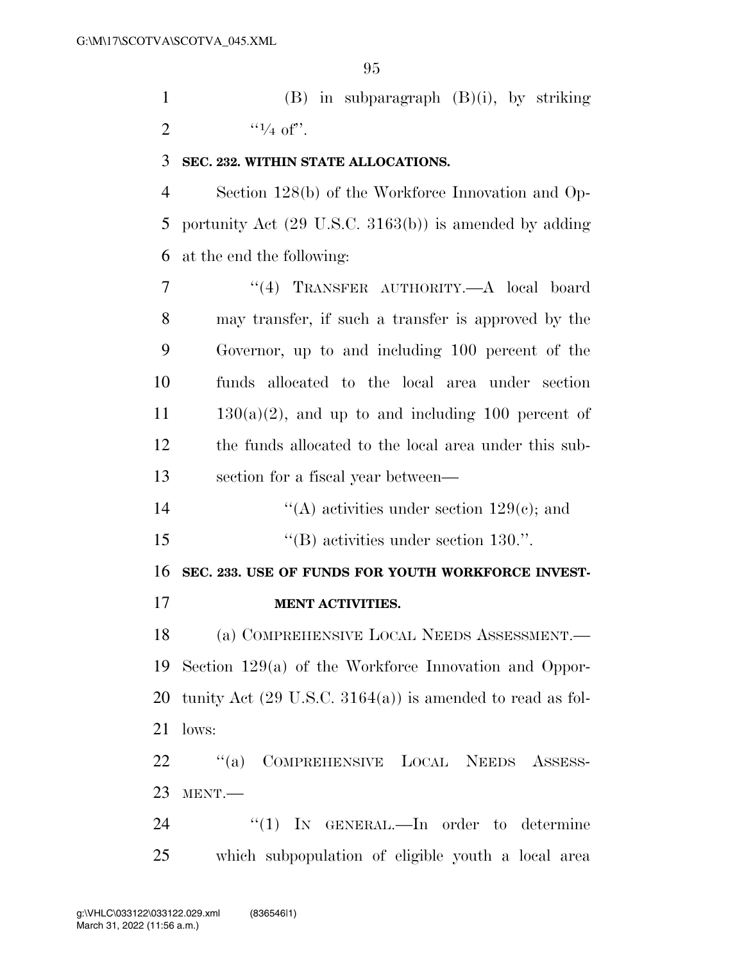(B) in subparagraph (B)(i), by striking 2  $\frac{1}{4}$  of".

#### **SEC. 232. WITHIN STATE ALLOCATIONS.**

 Section 128(b) of the Workforce Innovation and Op- portunity Act (29 U.S.C. 3163(b)) is amended by adding at the end the following:

 ''(4) TRANSFER AUTHORITY.—A local board may transfer, if such a transfer is approved by the Governor, up to and including 100 percent of the funds allocated to the local area under section 130(a)(2), and up to and including 100 percent of the funds allocated to the local area under this sub-section for a fiscal year between—

''(A) activities under section 129(c); and

15  $\text{``(B) activities under section 130."}$ 

**SEC. 233. USE OF FUNDS FOR YOUTH WORKFORCE INVEST-**

**MENT ACTIVITIES.** 

 (a) COMPREHENSIVE LOCAL NEEDS ASSESSMENT.— Section 129(a) of the Workforce Innovation and Oppor- tunity Act (29 U.S.C. 3164(a)) is amended to read as fol-lows:

 ''(a) COMPREHENSIVE LOCAL NEEDS ASSESS-MENT.—

24 "(1) In GENERAL.—In order to determine which subpopulation of eligible youth a local area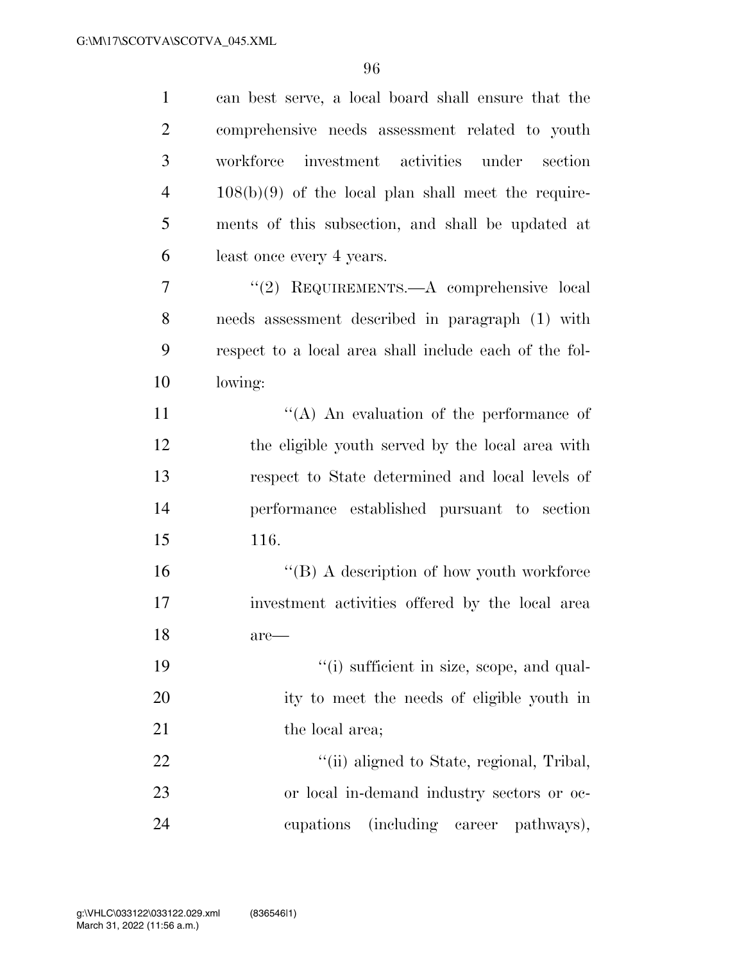| $\mathbf{1}$   | can best serve, a local board shall ensure that the    |
|----------------|--------------------------------------------------------|
| $\overline{2}$ | comprehensive needs assessment related to youth        |
| 3              | workforce investment activities under<br>section       |
| $\overline{4}$ | $108(b)(9)$ of the local plan shall meet the require-  |
| 5              | ments of this subsection, and shall be updated at      |
| 6              | least once every 4 years.                              |
| 7              | "(2) REQUIREMENTS.—A comprehensive local               |
| 8              | needs assessment described in paragraph (1) with       |
| 9              | respect to a local area shall include each of the fol- |
| 10             | lowing:                                                |
| 11             | $\lq\lq$ An evaluation of the performance of           |
| 12             | the eligible youth served by the local area with       |
| 13             | respect to State determined and local levels of        |
| 14             | performance established pursuant to section            |
| 15             | 116.                                                   |
| 16             | $\lq\lq (B)$ A description of how youth workforce      |
| 17             | investment activities offered by the local area        |
| 18             | are-                                                   |
| 19             | "(i) sufficient in size, scope, and qual-              |
| 20             | ity to meet the needs of eligible youth in             |
| 21             | the local area;                                        |
| 22             | "(ii) aligned to State, regional, Tribal,              |
| 23             | or local in-demand industry sectors or oc-             |
| 24             | cupations (including career pathways),                 |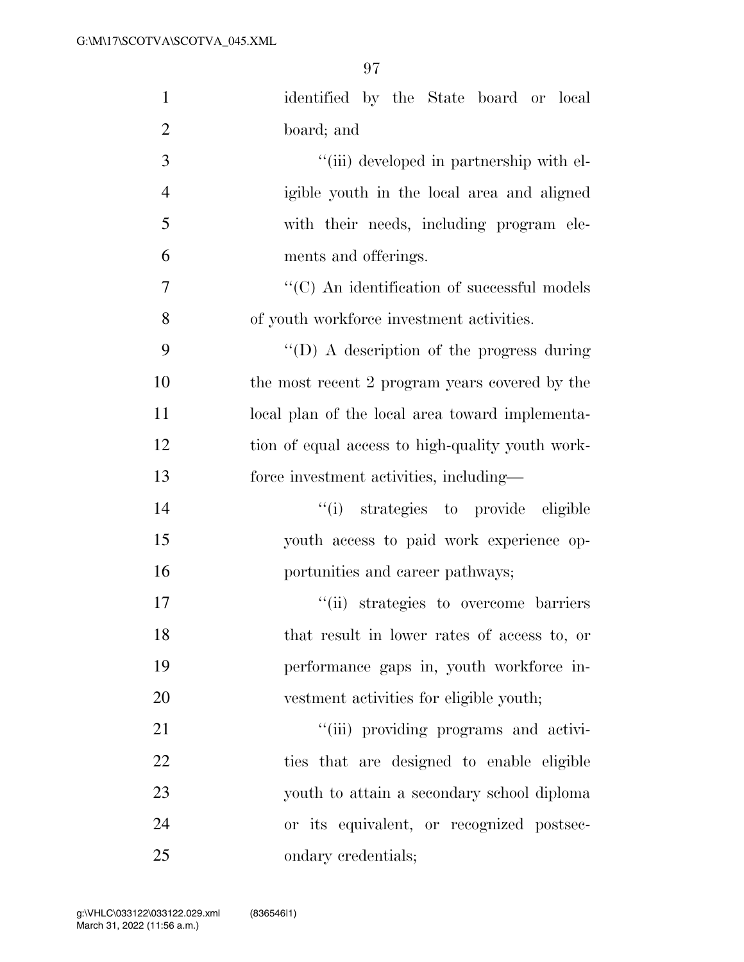| $\mathbf{1}$   | identified by the State board or local                         |
|----------------|----------------------------------------------------------------|
| $\overline{2}$ | board; and                                                     |
| 3              | "(iii) developed in partnership with el-                       |
| $\overline{4}$ | igible youth in the local area and aligned                     |
| 5              | with their needs, including program ele-                       |
| 6              | ments and offerings.                                           |
| 7              | $\lq\lq$ <sup>(C)</sup> An identification of successful models |
| 8              | of youth workforce investment activities.                      |
| 9              | "(D) A description of the progress during                      |
| 10             | the most recent 2 program years covered by the                 |
| 11             | local plan of the local area toward implementa-                |
| 12             | tion of equal access to high-quality youth work-               |
| 13             | force investment activities, including-                        |
| 14             | "(i) strategies to provide eligible                            |
| 15             | youth access to paid work experience op-                       |
| 16             | portunities and career pathways;                               |
| 17             | "(ii) strategies to overcome barriers                          |
| 18             | that result in lower rates of access to, or                    |
| 19             | performance gaps in, youth workforce in-                       |
| 20             | vestment activities for eligible youth;                        |
| 21             | "(iii) providing programs and activi-                          |
| 22             | ties that are designed to enable eligible                      |
| 23             | youth to attain a secondary school diploma                     |
| 24             | or its equivalent, or recognized postsec-                      |
| 25             | ondary credentials;                                            |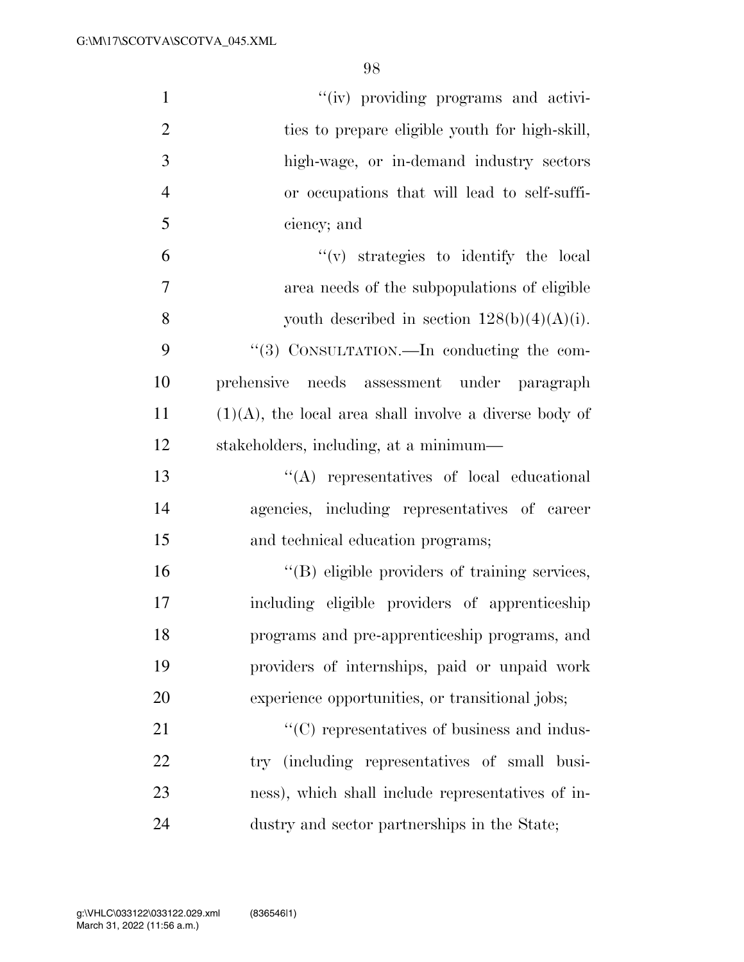| $\mathbf{1}$   | "(iv) providing programs and activi-                      |
|----------------|-----------------------------------------------------------|
| $\overline{2}$ | ties to prepare eligible youth for high-skill,            |
| 3              | high-wage, or in-demand industry sectors                  |
| $\overline{4}$ | or occupations that will lead to self-suffi-              |
| 5              | ciency; and                                               |
| 6              | $f'(v)$ strategies to identify the local                  |
| $\overline{7}$ | area needs of the subpopulations of eligible              |
| 8              | youth described in section $128(b)(4)(A)(i)$ .            |
| 9              | "(3) CONSULTATION.—In conducting the com-                 |
| 10             | needs assessment under paragraph<br>prehensive            |
| 11             | $(1)(A)$ , the local area shall involve a diverse body of |
| 12             | stakeholders, including, at a minimum—                    |
| 13             | $\lq\lq$ representatives of local educational             |
| 14             | agencies, including representatives of career             |
| 15             | and technical education programs;                         |
| 16             | "(B) eligible providers of training services,             |
| 17             | including eligible providers of apprenticeship            |
| 18             | programs and pre-apprenticeship programs, and             |
| 19             | providers of internships, paid or unpaid work             |
| 20             | experience opportunities, or transitional jobs;           |
| 21             | $\lq\lq$ (C) representatives of business and indus-       |
| 22             | try (including representatives of small busi-             |
| 23             | ness), which shall include representatives of in-         |
| 24             | dustry and sector partnerships in the State;              |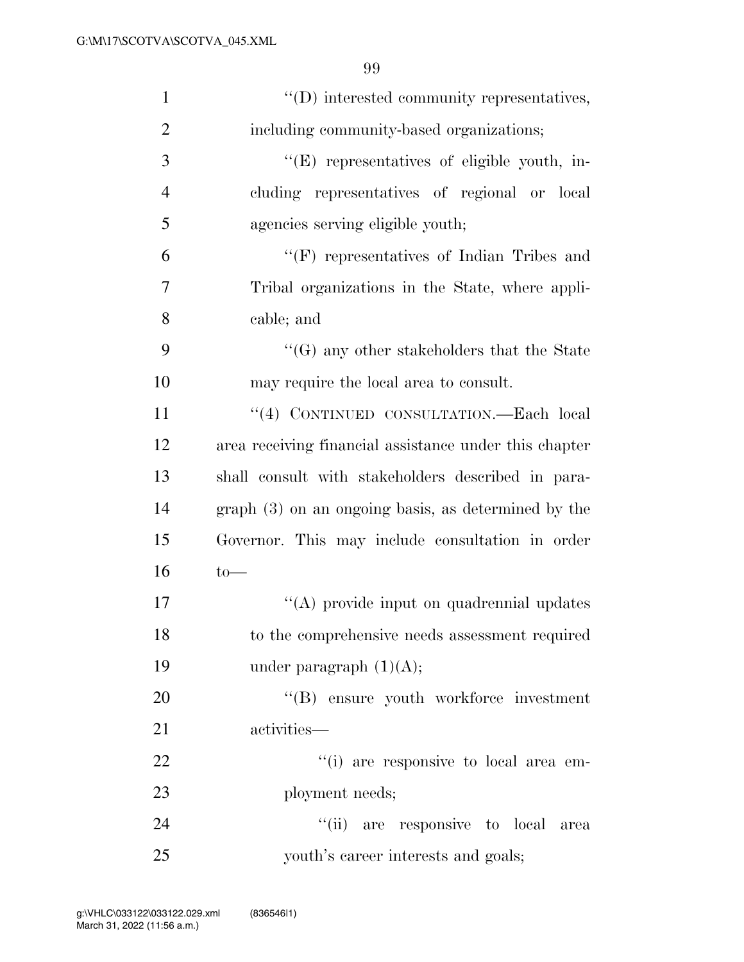| $\mathbf{1}$   | $\lq\lq$ ) interested community representatives,       |
|----------------|--------------------------------------------------------|
| $\overline{2}$ | including community-based organizations;               |
| 3              | "(E) representatives of eligible youth, in-            |
| $\overline{4}$ | cluding representatives of regional or local           |
| 5              | agencies serving eligible youth;                       |
| 6              | $\lq\lq(F)$ representatives of Indian Tribes and       |
| 7              | Tribal organizations in the State, where appli-        |
| 8              | cable; and                                             |
| 9              | $\lq\lq(G)$ any other stakeholders that the State      |
| 10             | may require the local area to consult.                 |
| 11             | "(4) CONTINUED CONSULTATION.—Each local                |
| 12             | area receiving financial assistance under this chapter |
| 13             | shall consult with stakeholders described in para-     |
| 14             | $graph(3)$ on an ongoing basis, as determined by the   |
| 15             | Governor. This may include consultation in order       |
| 16             | $to-$                                                  |
| 17             | "(A) provide input on quadrennial updates              |
| 18             | to the comprehensive needs assessment required         |
| 19             | under paragraph $(1)(A);$                              |
| 20             | "(B) ensure youth workforce investment                 |
| 21             | activities—                                            |
| 22             | "(i) are responsive to local area em-                  |
| 23             | ployment needs;                                        |
| 24             | "(ii) are responsive to local<br>area                  |
| 25             | youth's career interests and goals;                    |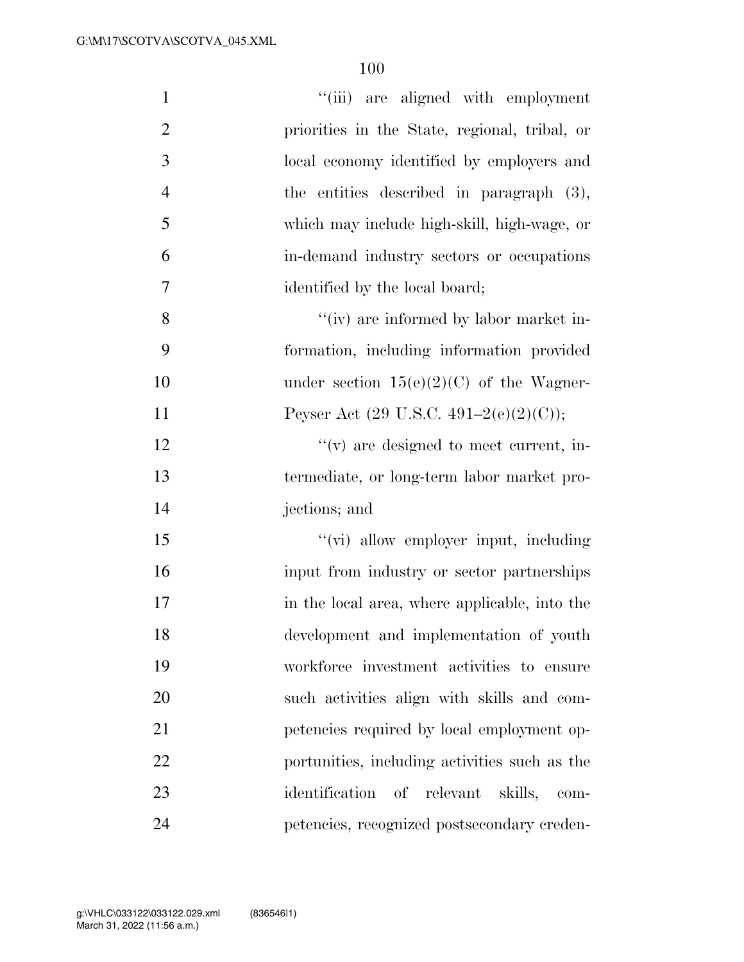| $\mathbf{1}$   | "(iii) are aligned with employment                |
|----------------|---------------------------------------------------|
| $\overline{c}$ | priorities in the State, regional, tribal, or     |
| 3              | local economy identified by employers and         |
| $\overline{4}$ | the entities described in paragraph $(3)$ ,       |
| 5              | which may include high-skill, high-wage, or       |
| 6              | in-demand industry sectors or occupations         |
| $\tau$         | identified by the local board;                    |
| 8              | "(iv) are informed by labor market in-            |
| 9              | formation, including information provided         |
| 10             | under section $15(e)(2)(C)$ of the Wagner-        |
| 11             | Peyser Act $(29 \text{ U.S.C. } 491-2(e)(2)(C));$ |
| 12             | $f'(v)$ are designed to meet current, in-         |
| 13             | termediate, or long-term labor market pro-        |
| 14             | jections; and                                     |
| 15             | "(vi) allow employer input, including             |
| 16             | input from industry or sector partnerships        |
| 17             | in the local area, where applicable, into the     |
| 18             | development and implementation of youth           |
| 19             | workforce investment activities to ensure         |
| 20             | such activities align with skills and com-        |
| 21             | petencies required by local employment op-        |
| 22             | portunities, including activities such as the     |
| 23             | identification of relevant<br>skills,<br>com-     |
| 24             | petencies, recognized postsecondary creden-       |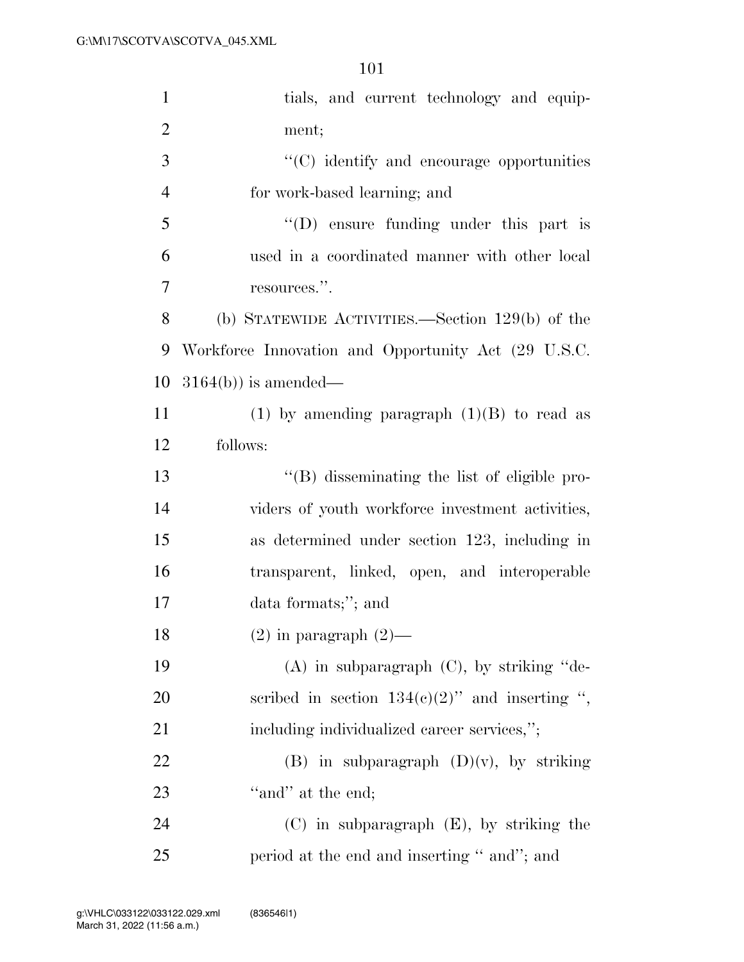| $\mathbf{1}$   | tials, and current technology and equip-               |
|----------------|--------------------------------------------------------|
| $\overline{2}$ | ment;                                                  |
| 3              | "(C) identify and encourage opportunities              |
| $\overline{4}$ | for work-based learning; and                           |
| 5              | "(D) ensure funding under this part is                 |
| 6              | used in a coordinated manner with other local          |
| 7              | resources.".                                           |
| 8              | (b) STATEWIDE ACTIVITIES.—Section $129(b)$ of the      |
| 9              | Workforce Innovation and Opportunity Act (29 U.S.C.    |
| 10             | $3164(b)$ ) is amended—                                |
| 11             | (1) by amending paragraph $(1)(B)$ to read as          |
| 12             | follows:                                               |
| 13             | $\lq\lq$ . (B) disseminating the list of eligible pro- |
| 14             | viders of youth workforce investment activities,       |
| 15             | as determined under section 123, including in          |
| 16             | transparent, linked, open, and interoperable           |
| 17             | data formats;"; and                                    |
| 18             | $(2)$ in paragraph $(2)$ —                             |
| 19             | $(A)$ in subparagraph $(C)$ , by striking "de-         |
| <b>20</b>      | scribed in section $134(e)(2)$ " and inserting ",      |
| 21             | including individualized career services,";            |
| 22             | (B) in subparagraph $(D)(v)$ , by striking             |
| 23             | "and" at the end;                                      |
| 24             | $(C)$ in subparagraph $(E)$ , by striking the          |
| 25             | period at the end and inserting " and"; and            |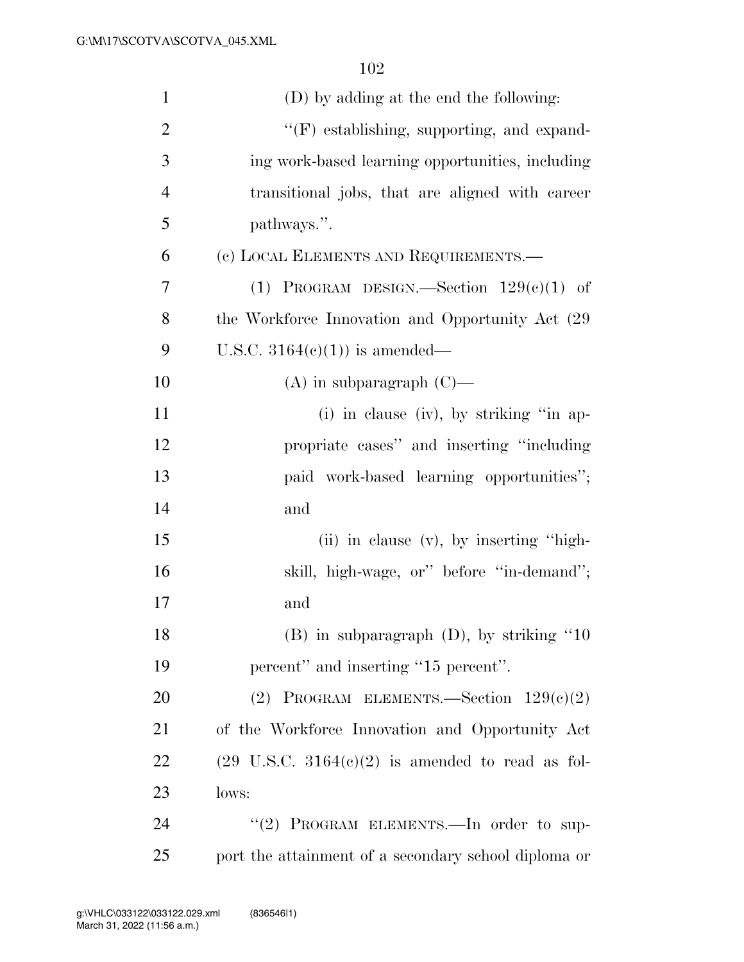| $\mathbf{1}$   | (D) by adding at the end the following:                             |
|----------------|---------------------------------------------------------------------|
| $\overline{2}$ | "(F) establishing, supporting, and expand-                          |
| 3              | ing work-based learning opportunities, including                    |
| $\overline{4}$ | transitional jobs, that are aligned with career                     |
| 5              | pathways.".                                                         |
| 6              | (c) LOCAL ELEMENTS AND REQUIREMENTS.—                               |
| $\tau$         | (1) PROGRAM DESIGN.—Section $129(c)(1)$ of                          |
| 8              | the Workforce Innovation and Opportunity Act (29)                   |
| 9              | U.S.C. $3164(e)(1)$ is amended—                                     |
| 10             | $(A)$ in subparagraph $(C)$ —                                       |
| 11             | (i) in clause (iv), by striking "in ap-                             |
| 12             | propriate cases" and inserting "including"                          |
| 13             | paid work-based learning opportunities";                            |
| 14             | and                                                                 |
| 15             | (ii) in clause $(v)$ , by inserting "high-                          |
| 16             | skill, high-wage, or" before "in-demand";                           |
| 17             | and                                                                 |
| 18             | $(B)$ in subparagraph $(D)$ , by striking "10                       |
| 19             | percent" and inserting "15 percent".                                |
| 20             | (2) PROGRAM ELEMENTS.—Section $129(c)(2)$                           |
| 21             | of the Workforce Innovation and Opportunity Act                     |
| 22             | $(29 \text{ U.S.C. } 3164(e)(2) \text{ is amended to read as fol-}$ |
| 23             | lows:                                                               |
| 24             | "(2) PROGRAM ELEMENTS.—In order to sup-                             |
| 25             | port the attainment of a secondary school diploma or                |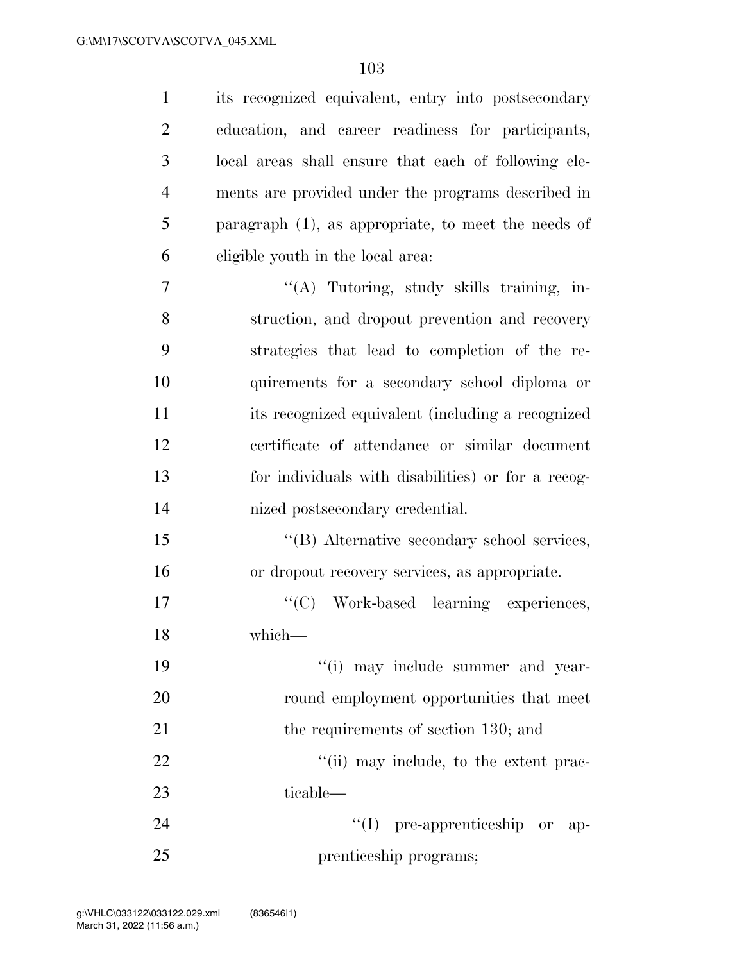| $\mathbf{1}$   | its recognized equivalent, entry into postsecondary    |
|----------------|--------------------------------------------------------|
| $\overline{c}$ | education, and career readiness for participants,      |
| 3              | local areas shall ensure that each of following ele-   |
| $\overline{4}$ | ments are provided under the programs described in     |
| 5              | paragraph $(1)$ , as appropriate, to meet the needs of |
| 6              | eligible youth in the local area:                      |
| $\overline{7}$ | "(A) Tutoring, study skills training, in-              |
| 8              | struction, and dropout prevention and recovery         |
| 9              | strategies that lead to completion of the re-          |
| 10             | quirements for a secondary school diploma or           |
| 11             | its recognized equivalent (including a recognized      |
| 12             | certificate of attendance or similar document          |
| 13             | for individuals with disabilities) or for a recog-     |
| 14             | nized postsecondary credential.                        |
| 15             | "(B) Alternative secondary school services,            |
| 16             | or dropout recovery services, as appropriate.          |
| 17             | "(C) Work-based learning experiences,                  |
| 18             | which-                                                 |
| 19             | "(i) may include summer and year-                      |
| 20             | round employment opportunities that meet               |
| 21             | the requirements of section 130; and                   |
| 22             | "(ii) may include, to the extent prac-                 |
| 23             | ticable—                                               |
| 24             | $\lq\lq$ (I) pre-apprenticeship or<br>$ap-$            |
| 25             | prenticeship programs;                                 |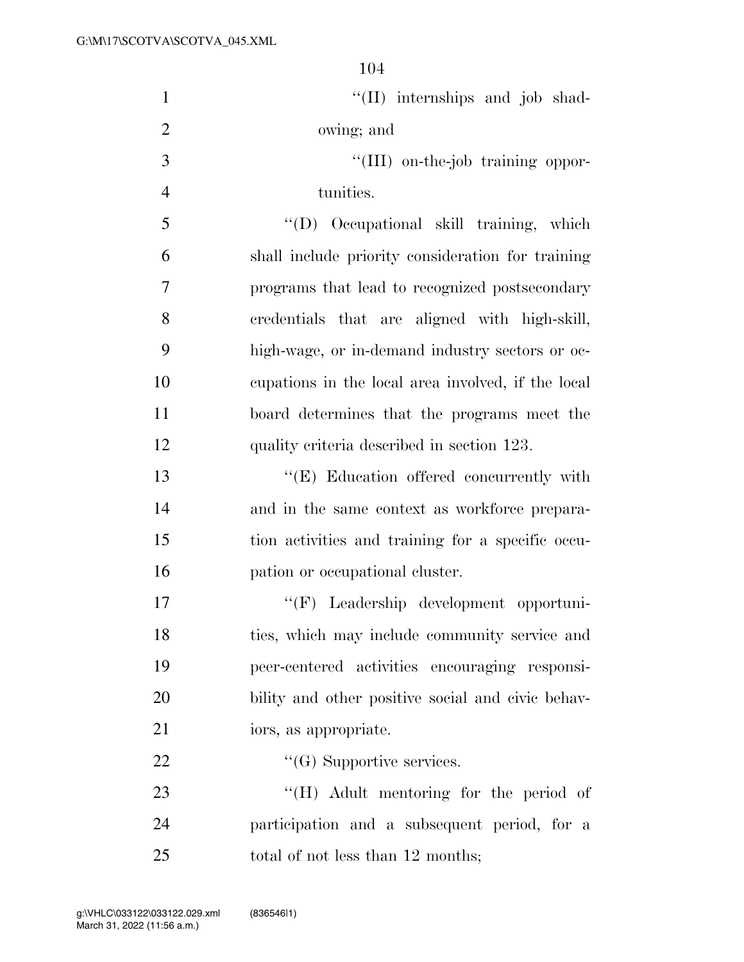| $\mathbf{1}$   | "(II) internships and job shad-                    |
|----------------|----------------------------------------------------|
| $\mathbf{2}$   | owing; and                                         |
| 3              | "(III) on-the-job training oppor-                  |
| $\overline{4}$ | tunities.                                          |
| 5              | "(D) Occupational skill training, which            |
| 6              | shall include priority consideration for training  |
| $\overline{7}$ | programs that lead to recognized postsecondary     |
| 8              | credentials that are aligned with high-skill,      |
| 9              | high-wage, or in-demand industry sectors or oc-    |
| 10             | cupations in the local area involved, if the local |
| 11             | board determines that the programs meet the        |
| 12             | quality criteria described in section 123.         |
| 13             | "(E) Education offered concurrently with           |
| 14             | and in the same context as workforce prepara-      |
| 15             | tion activities and training for a specific occu-  |
| 16             | pation or occupational cluster.                    |
| 17             | Leadership development opportuni-<br>$``$ (F)      |
| 18             | ties, which may include community service and      |
| 19             | peer-centered activities encouraging responsi-     |
| 20             | bility and other positive social and civic behav-  |
| 21             | iors, as appropriate.                              |
| 22             | $\lq\lq(G)$ Supportive services.                   |
| 23             | $\lq\lq (H)$ Adult mentoring for the period of     |
| 24             | participation and a subsequent period, for a       |
| 25             | total of not less than 12 months;                  |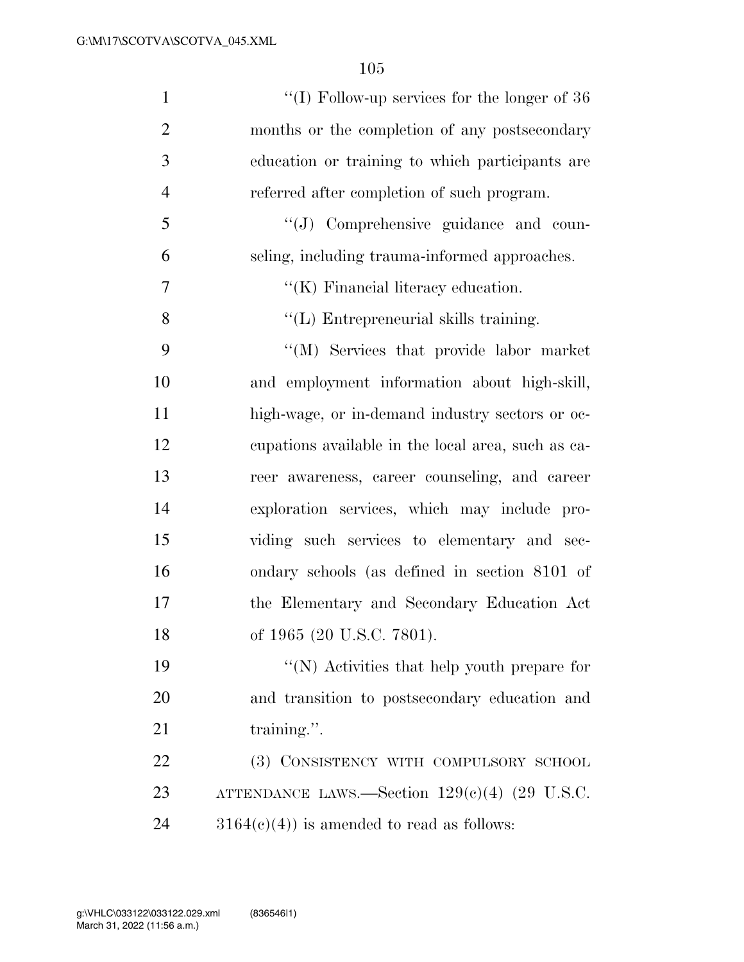| $\mathbf{1}$   | "(I) Follow-up services for the longer of $36$     |
|----------------|----------------------------------------------------|
| $\overline{2}$ | months or the completion of any postsecondary      |
| 3              | education or training to which participants are    |
| $\overline{4}$ | referred after completion of such program.         |
| 5              | "(J) Comprehensive guidance and coun-              |
| 6              | seling, including trauma-informed approaches.      |
| 7              | "(K) Financial literacy education.                 |
| 8              | "(L) Entrepreneurial skills training.              |
| 9              | "(M) Services that provide labor market            |
| 10             | and employment information about high-skill,       |
| 11             | high-wage, or in-demand industry sectors or oc-    |
| 12             | equations available in the local area, such as ca- |
| 13             | reer awareness, career counseling, and career      |
| 14             | exploration services, which may include pro-       |
| 15             | viding such services to elementary and sec-        |
| 16             | ondary schools (as defined in section 8101 of      |
| 17             | the Elementary and Secondary Education Act         |
| 18             | of 1965 (20 U.S.C. 7801).                          |
| 19             | "(N) Activities that help youth prepare for        |
| 20             | and transition to postsecondary education and      |
| 21             | training.".                                        |
| 22             | (3) CONSISTENCY WITH COMPULSORY SCHOOL             |
| 23             | ATTENDANCE LAWS.—Section $129(e)(4)$ (29 U.S.C.    |
| 24             | $3164(c)(4)$ is amended to read as follows:        |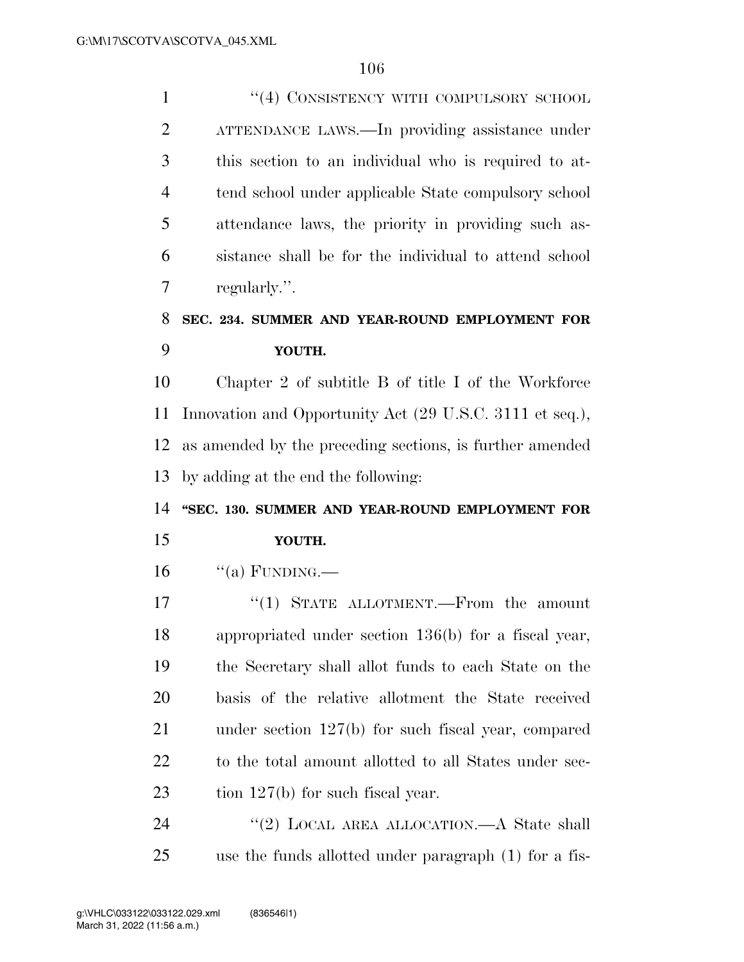1 "(4) CONSISTENCY WITH COMPULSORY SCHOOL ATTENDANCE LAWS.—In providing assistance under this section to an individual who is required to at- tend school under applicable State compulsory school attendance laws, the priority in providing such as- sistance shall be for the individual to attend school regularly.''. **SEC. 234. SUMMER AND YEAR-ROUND EMPLOYMENT FOR YOUTH.**  Chapter 2 of subtitle B of title I of the Workforce Innovation and Opportunity Act (29 U.S.C. 3111 et seq.), as amended by the preceding sections, is further amended by adding at the end the following: **''SEC. 130. SUMMER AND YEAR-ROUND EMPLOYMENT FOR YOUTH.**  "(a) FUNDING.— 17 <sup>"</sup>(1) STATE ALLOTMENT.—From the amount appropriated under section 136(b) for a fiscal year, the Secretary shall allot funds to each State on the basis of the relative allotment the State received under section 127(b) for such fiscal year, compared 22 to the total amount allotted to all States under sec-23 tion 127(b) for such fiscal year. 24 "(2) LOCAL AREA ALLOCATION.—A State shall

use the funds allotted under paragraph (1) for a fis-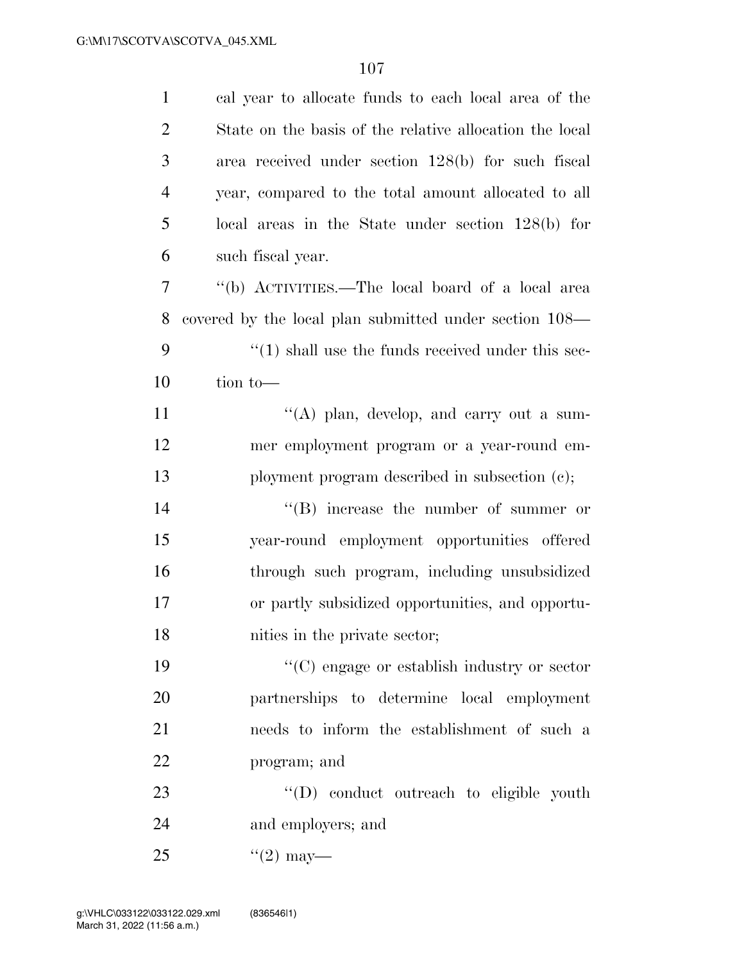| $\mathbf{1}$   | cal year to allocate funds to each local area of the              |
|----------------|-------------------------------------------------------------------|
| $\overline{2}$ | State on the basis of the relative allocation the local           |
| 3              | area received under section 128(b) for such fiscal                |
| $\overline{4}$ | year, compared to the total amount allocated to all               |
| 5              | local areas in the State under section $128(b)$ for               |
| 6              | such fiscal year.                                                 |
| $\overline{7}$ | "(b) ACTIVITIES.—The local board of a local area                  |
| 8              | covered by the local plan submitted under section 108—            |
| 9              | $\cdot\cdot\cdot(1)$ shall use the funds received under this sec- |
| 10             | tion to-                                                          |
| 11             | "(A) plan, develop, and carry out a sum-                          |
| 12             | mer employment program or a year-round em-                        |
| 13             | ployment program described in subsection (c);                     |
| 14             | $\lq\lq$ increase the number of summer or                         |
| 15             | year-round employment opportunities offered                       |
| 16             | through such program, including unsubsidized                      |
| 17             | or partly subsidized opportunities, and opportu-                  |
| 18             | nities in the private sector;                                     |
| 19             | $\lq\lq$ engage or establish industry or sector                   |
| 20             | partnerships to determine local employment                        |
| 21             | needs to inform the establishment of such a                       |
| 22             | program; and                                                      |
| 23             | "(D) conduct outreach to eligible youth                           |
| 24             | and employers; and                                                |
| 25             | $(2)$ may—                                                        |
|                |                                                                   |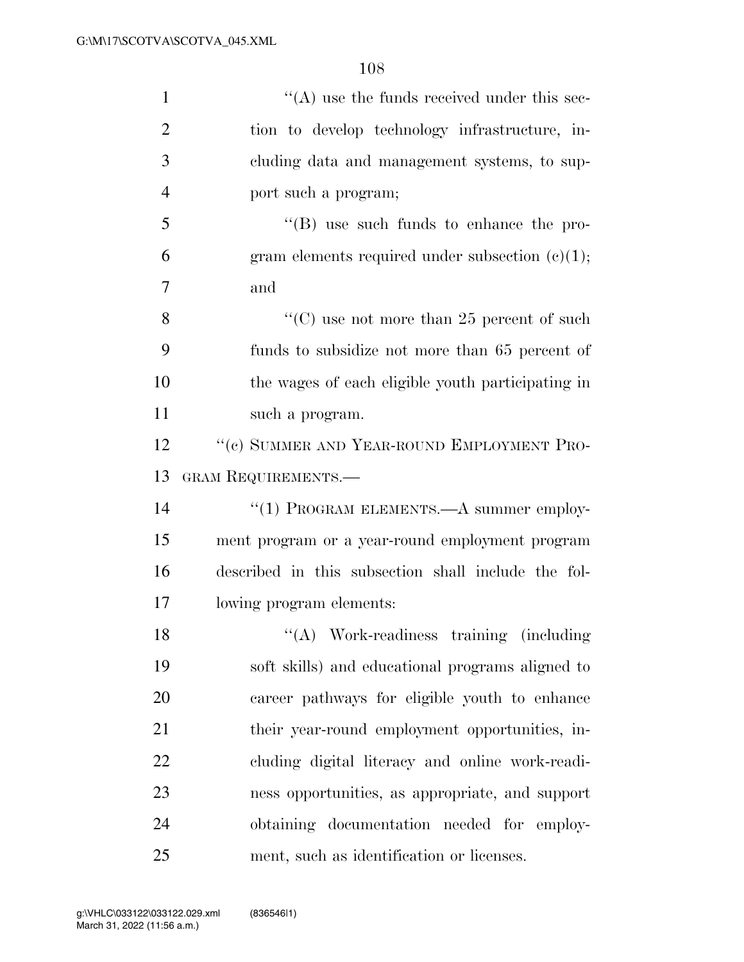| $\mathbf{1}$   | $\lq\lq$ use the funds received under this sec-     |
|----------------|-----------------------------------------------------|
| $\overline{2}$ | tion to develop technology infrastructure, in-      |
| 3              | cluding data and management systems, to sup-        |
| $\overline{4}$ | port such a program;                                |
| 5              | $\lq\lq$ (B) use such funds to enhance the pro-     |
| 6              | gram elements required under subsection $(e)(1)$ ;  |
| 7              | and                                                 |
| 8              | "(C) use not more than 25 percent of such           |
| 9              | funds to subsidize not more than 65 percent of      |
| 10             | the wages of each eligible youth participating in   |
| 11             | such a program.                                     |
| 12             | "(c) SUMMER AND YEAR-ROUND EMPLOYMENT PRO-          |
| 13             | GRAM REQUIREMENTS.-                                 |
| 14             | "(1) PROGRAM ELEMENTS.—A summer employ-             |
| 15             | ment program or a year-round employment program     |
| 16             | described in this subsection shall include the fol- |
| 17             | lowing program elements:                            |
| 18             | "(A) Work-readiness training (including)            |
| 19             | soft skills) and educational programs aligned to    |
| 20             | career pathways for eligible youth to enhance       |
| 21             | their year-round employment opportunities, in-      |
| 22             | cluding digital literacy and online work-readi-     |
| 23             | ness opportunities, as appropriate, and support     |
| 24             | obtaining documentation needed for employ-          |
| 25             | ment, such as identification or licenses.           |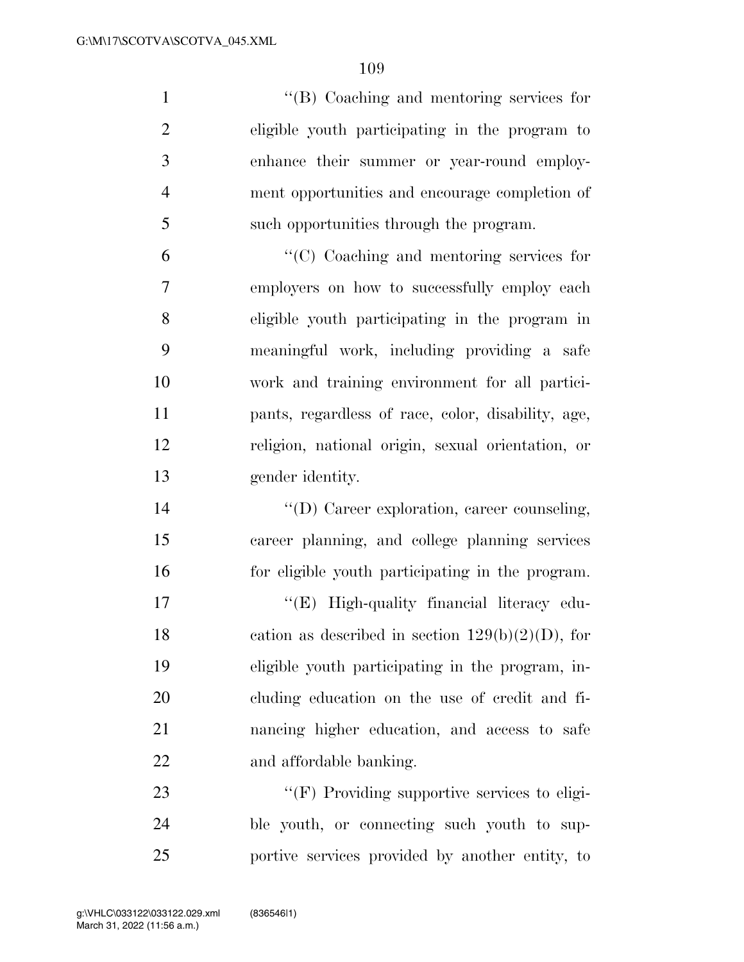''(B) Coaching and mentoring services for eligible youth participating in the program to enhance their summer or year-round employ- ment opportunities and encourage completion of such opportunities through the program. ''(C) Coaching and mentoring services for employers on how to successfully employ each eligible youth participating in the program in meaningful work, including providing a safe work and training environment for all partici- pants, regardless of race, color, disability, age, religion, national origin, sexual orientation, or gender identity. ''(D) Career exploration, career counseling, career planning, and college planning services for eligible youth participating in the program. 17 "'(E) High-quality financial literacy edu-18 cation as described in section  $129(b)(2)(D)$ , for eligible youth participating in the program, in- cluding education on the use of credit and fi- nancing higher education, and access to safe and affordable banking.

23  $\bullet$  (F) Providing supportive services to eligi- ble youth, or connecting such youth to sup-portive services provided by another entity, to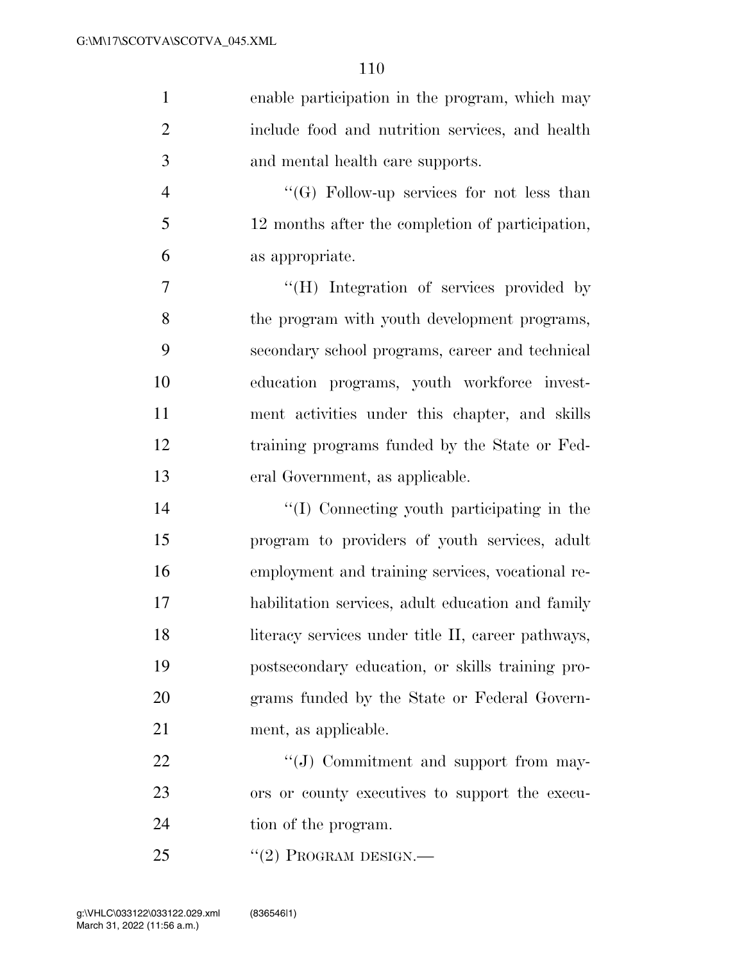| $\mathbf{1}$   | enable participation in the program, which may     |
|----------------|----------------------------------------------------|
| $\overline{2}$ | include food and nutrition services, and health    |
| 3              | and mental health care supports.                   |
| $\overline{4}$ | "(G) Follow-up services for not less than          |
| 5              | 12 months after the completion of participation,   |
| 6              | as appropriate.                                    |
| 7              | "(H) Integration of services provided by           |
| 8              | the program with youth development programs,       |
| 9              | secondary school programs, career and technical    |
| 10             | education programs, youth workforce invest-        |
| 11             | ment activities under this chapter, and skills     |
| 12             | training programs funded by the State or Fed-      |
| 13             | eral Government, as applicable.                    |
| 14             | "(I) Connecting youth participating in the         |
| 15             | program to providers of youth services, adult      |
| 16             | employment and training services, vocational re-   |
| 17             | habilitation services, adult education and family  |
| 18             | literacy services under title II, career pathways, |
| 19             | postsecondary education, or skills training pro-   |
| 20             | grams funded by the State or Federal Govern-       |
| 21             | ment, as applicable.                               |
| 22             | "(J) Commitment and support from may-              |
| 23             | ors or county executives to support the execu-     |
| 24             | tion of the program.                               |
| 25             | $``(2)$ PROGRAM DESIGN.—                           |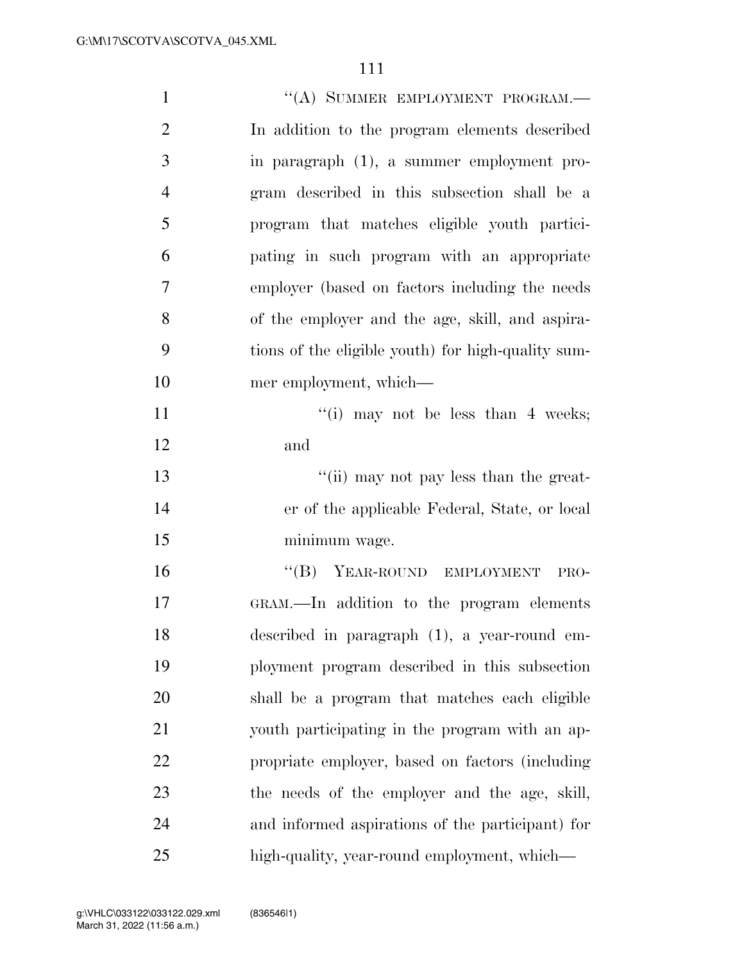| $\mathbf{1}$   | "(A) SUMMER EMPLOYMENT PROGRAM.-                   |
|----------------|----------------------------------------------------|
| $\overline{2}$ | In addition to the program elements described      |
| 3              | in paragraph (1), a summer employment pro-         |
| $\overline{4}$ | gram described in this subsection shall be a       |
| 5              | program that matches eligible youth partici-       |
| 6              | pating in such program with an appropriate         |
| $\overline{7}$ | employer (based on factors including the needs     |
| 8              | of the employer and the age, skill, and aspira-    |
| 9              | tions of the eligible youth) for high-quality sum- |
| 10             | mer employment, which—                             |
| 11             | "(i) may not be less than 4 weeks;                 |
| 12             | and                                                |
| 13             | "(ii) may not pay less than the great-             |
| 14             | er of the applicable Federal, State, or local      |
| 15             | minimum wage.                                      |
| 16             | "(B) YEAR-ROUND EMPLOYMENT<br>PRO-                 |
| 17             | GRAM.—In addition to the program elements          |
| 18             | described in paragraph (1), a year-round em-       |
| 19             | ployment program described in this subsection      |
| 20             | shall be a program that matches each eligible      |
| 21             | youth participating in the program with an ap-     |
| 22             | propriate employer, based on factors (including    |
| 23             | the needs of the employer and the age, skill,      |
| 24             | and informed aspirations of the participant) for   |
| 25             | high-quality, year-round employment, which—        |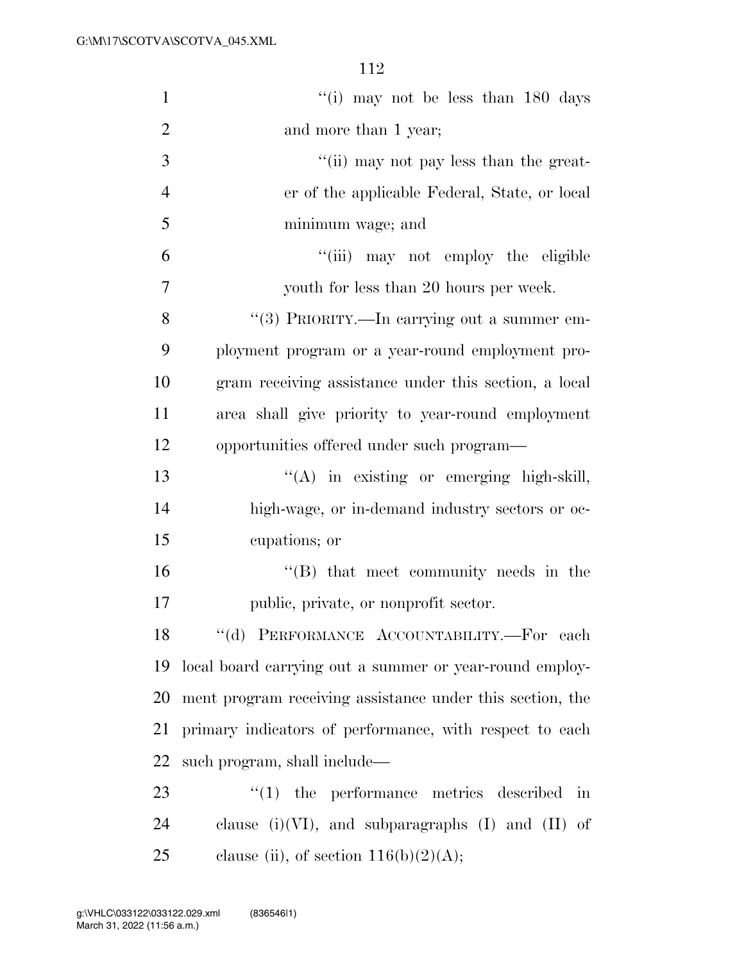| $\mathbf{1}$   | "(i) may not be less than $180$ days                              |
|----------------|-------------------------------------------------------------------|
| $\overline{2}$ | and more than 1 year;                                             |
| 3              | "(ii) may not pay less than the great-                            |
| $\overline{4}$ | er of the applicable Federal, State, or local                     |
| 5              | minimum wage; and                                                 |
| 6              | "(iii) may not employ the eligible                                |
| 7              | youth for less than 20 hours per week.                            |
| 8              | "(3) PRIORITY.—In carrying out a summer em-                       |
| 9              | ployment program or a year-round employment pro-                  |
| 10             | gram receiving assistance under this section, a local             |
| 11             | area shall give priority to year-round employment                 |
| 12             | opportunities offered under such program—                         |
| 13             | "(A) in existing or emerging high-skill,                          |
| 14             | high-wage, or in-demand industry sectors or oc-                   |
| 15             | cupations; or                                                     |
| 16             | $\lq\lq$ that meet community needs in the                         |
| 17             | public, private, or nonprofit sector.                             |
| 18             | "(d) PERFORMANCE ACCOUNTABILITY.—For each                         |
| 19             | local board carrying out a summer or year-round employ-           |
| 20             | ment program receiving assistance under this section, the         |
| 21             | primary indicators of performance, with respect to each           |
| 22             | such program, shall include—                                      |
| 23             | $\lq(1)$ the performance metrics described<br>$\operatorname{in}$ |
| 24             | clause (i)(VI), and subparagraphs (I) and (II) of                 |
| 25             | clause (ii), of section $116(b)(2)(A);$                           |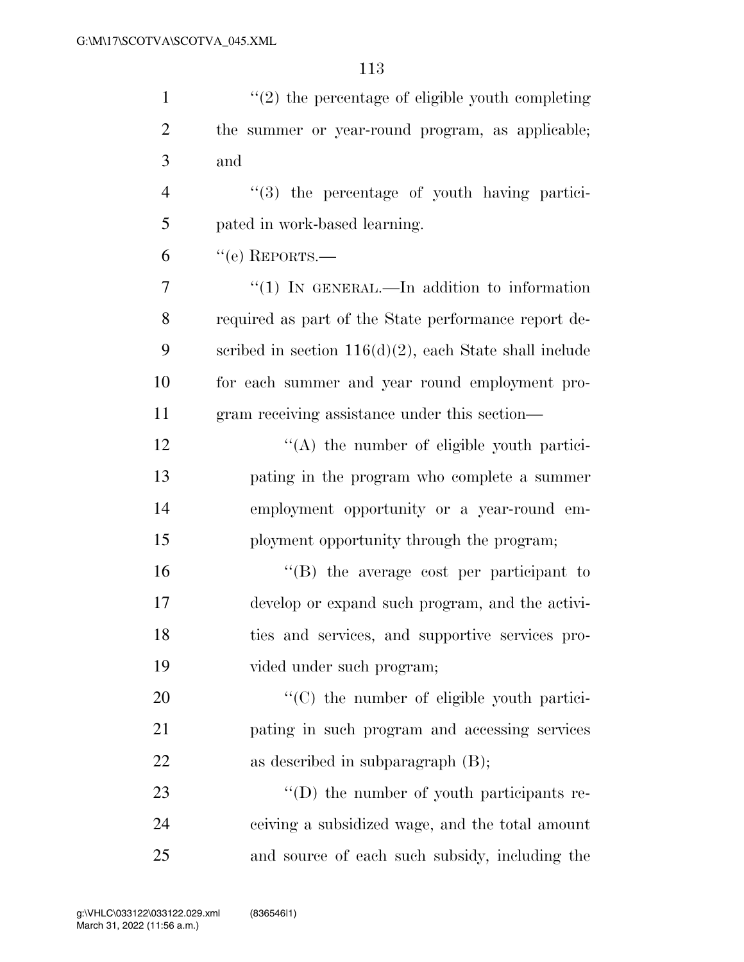| $\mathbf{1}$   | $f'(2)$ the percentage of eligible youth completing       |
|----------------|-----------------------------------------------------------|
| $\overline{2}$ | the summer or year-round program, as applicable;          |
| 3              | and                                                       |
| $\overline{4}$ | "(3) the percentage of youth having partici-              |
| 5              | pated in work-based learning.                             |
| 6              | $``$ (e) REPORTS.—                                        |
| 7              | " $(1)$ IN GENERAL.—In addition to information            |
| 8              | required as part of the State performance report de-      |
| 9              | scribed in section $116(d)(2)$ , each State shall include |
| 10             | for each summer and year round employment pro-            |
| 11             | gram receiving assistance under this section—             |
| 12             | $\lq\lq$ the number of eligible youth partici-            |
| 13             | pating in the program who complete a summer               |
| 14             | employment opportunity or a year-round em-                |
| 15             | ployment opportunity through the program;                 |
| 16             | "(B) the average cost per participant to                  |
| 17             | develop or expand such program, and the activi-           |
| 18             | ties and services, and supportive services pro-           |
| 19             | vided under such program;                                 |
| 20             | "(C) the number of eligible youth partici-                |
| 21             | pating in such program and accessing services             |
| 22             | as described in subparagraph $(B)$ ;                      |
| 23             | $\lq\lq$ the number of youth participants re-             |
| 24             | ceiving a subsidized wage, and the total amount           |
| 25             | and source of each such subsidy, including the            |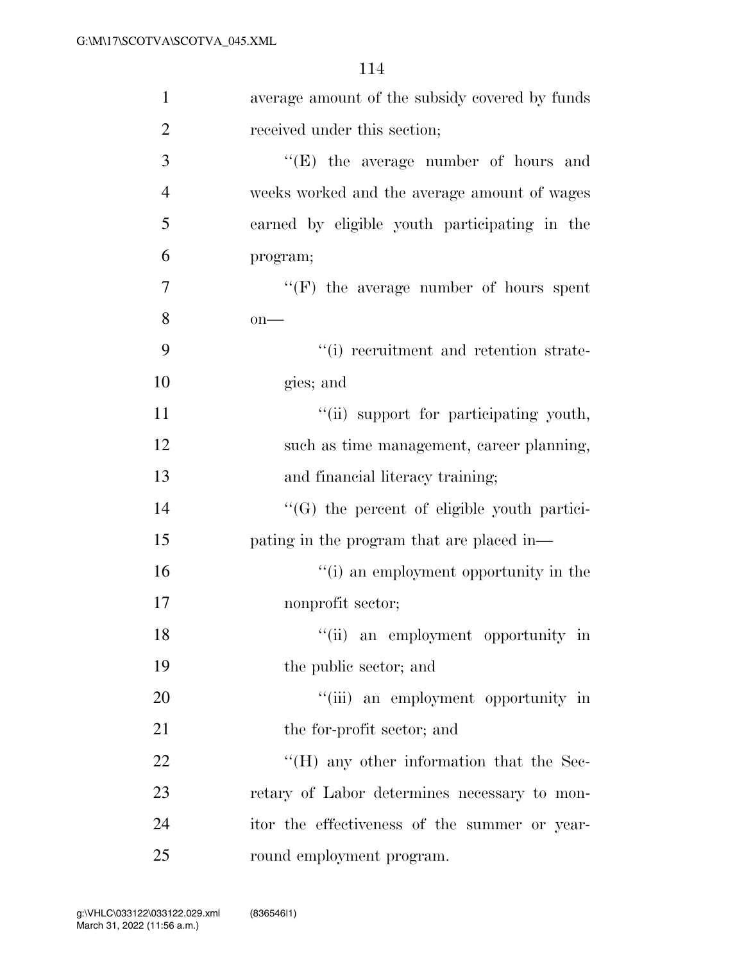| $\mathbf{1}$   | average amount of the subsidy covered by funds     |
|----------------|----------------------------------------------------|
| $\overline{2}$ | received under this section;                       |
| 3              | $\lq\lq$ (E) the average number of hours and       |
| $\overline{4}$ | weeks worked and the average amount of wages       |
| 5              | earned by eligible youth participating in the      |
| 6              | program;                                           |
| 7              | $``(F)$ the average number of hours spent          |
| 8              | $on$ —                                             |
| 9              | "(i) recruitment and retention strate-             |
| 10             | gies; and                                          |
| 11             | "(ii) support for participating youth,             |
| 12             | such as time management, career planning,          |
| 13             | and financial literacy training;                   |
| 14             | $\lq\lq(G)$ the percent of eligible youth partici- |
| 15             | pating in the program that are placed in—          |
| 16             | "(i) an employment opportunity in the              |
| 17             | nonprofit sector;                                  |
| 18             | "(ii) an employment opportunity in                 |
| 19             | the public sector; and                             |
| 20             | "(iii) an employment opportunity in                |
| 21             | the for-profit sector; and                         |
| 22             | $H(H)$ any other information that the Sec-         |
| 23             | retary of Labor determines necessary to mon-       |
| 24             | itor the effectiveness of the summer or year-      |
| 25             | round employment program.                          |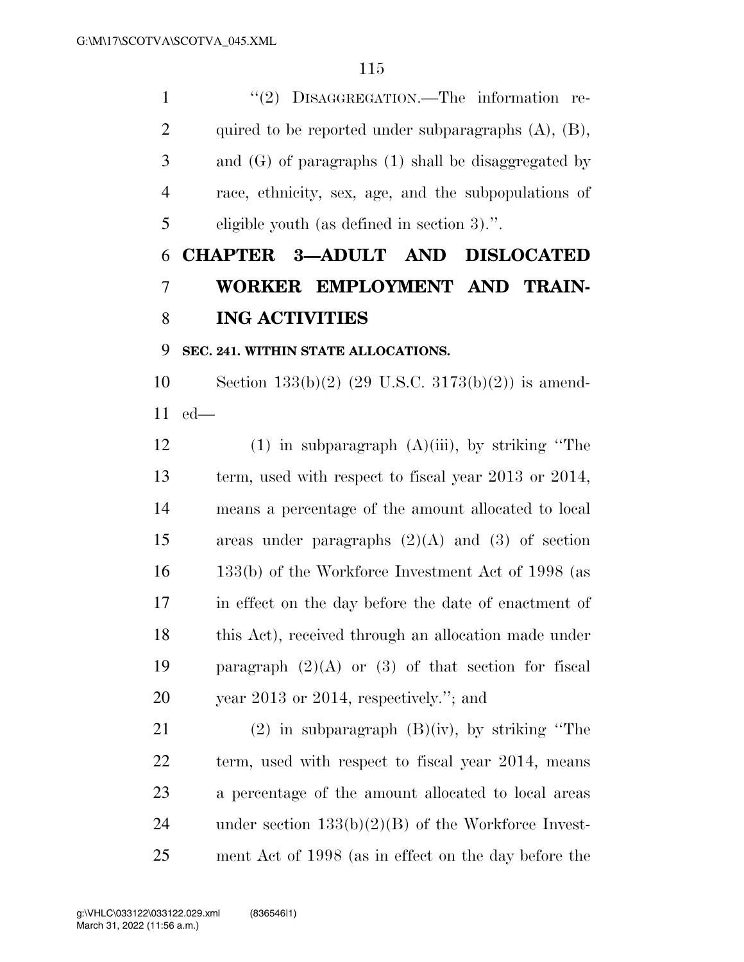1 ''(2) DISAGGREGATION.—The information re-2 quired to be reported under subparagraphs (A), (B), and (G) of paragraphs (1) shall be disaggregated by race, ethnicity, sex, age, and the subpopulations of eligible youth (as defined in section 3).''.

## **CHAPTER 3—ADULT AND DISLOCATED WORKER EMPLOYMENT AND TRAIN-ING ACTIVITIES**

## **SEC. 241. WITHIN STATE ALLOCATIONS.**

 Section 133(b)(2) (29 U.S.C. 3173(b)(2)) is amend-ed—

12 (1) in subparagraph  $(A)(iii)$ , by striking "The term, used with respect to fiscal year 2013 or 2014, means a percentage of the amount allocated to local areas under paragraphs (2)(A) and (3) of section 133(b) of the Workforce Investment Act of 1998 (as in effect on the day before the date of enactment of 18 this Act), received through an allocation made under 19 paragraph  $(2)(A)$  or  $(3)$  of that section for fiscal year 2013 or 2014, respectively.''; and

 (2) in subparagraph (B)(iv), by striking ''The term, used with respect to fiscal year 2014, means a percentage of the amount allocated to local areas under section 133(b)(2)(B) of the Workforce Invest-ment Act of 1998 (as in effect on the day before the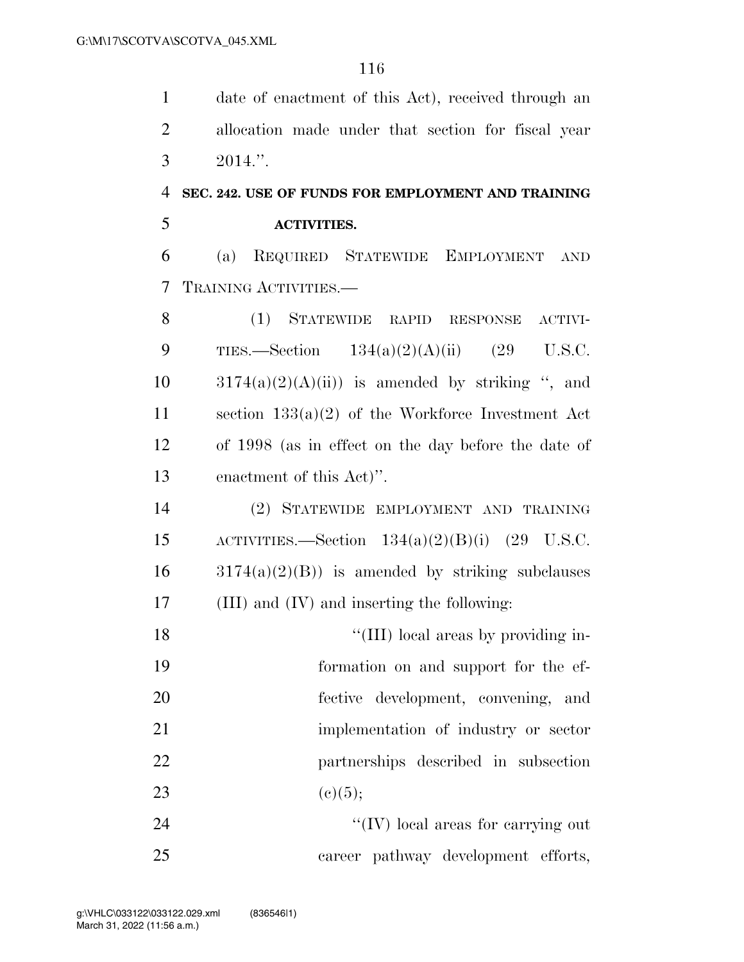date of enactment of this Act), received through an allocation made under that section for fiscal year  $3 \t2014."$ 

## **SEC. 242. USE OF FUNDS FOR EMPLOYMENT AND TRAINING**

**ACTIVITIES.** 

 (a) REQUIRED STATEWIDE EMPLOYMENT AND TRAINING ACTIVITIES.—

 (1) STATEWIDE RAPID RESPONSE ACTIVI-9 TIES.—Section  $134(a)(2)(A)(ii)$  (29 U.S.C.  $3174(a)(2)(A)(ii)$  is amended by striking ", and section 133(a)(2) of the Workforce Investment Act of 1998 (as in effect on the day before the date of enactment of this Act)''.

 (2) STATEWIDE EMPLOYMENT AND TRAINING 15 ACTIVITIES.—Section  $134(a)(2)(B)(i)$  (29 U.S.C.  $16 \qquad 3174(a)(2)(B)$  is amended by striking subclauses (III) and (IV) and inserting the following:

18 ''(III) local areas by providing in- formation on and support for the ef- fective development, convening, and implementation of industry or sector partnerships described in subsection 23 (e)(5);

24  $\frac{1}{2}$  (IV) local areas for carrying out career pathway development efforts,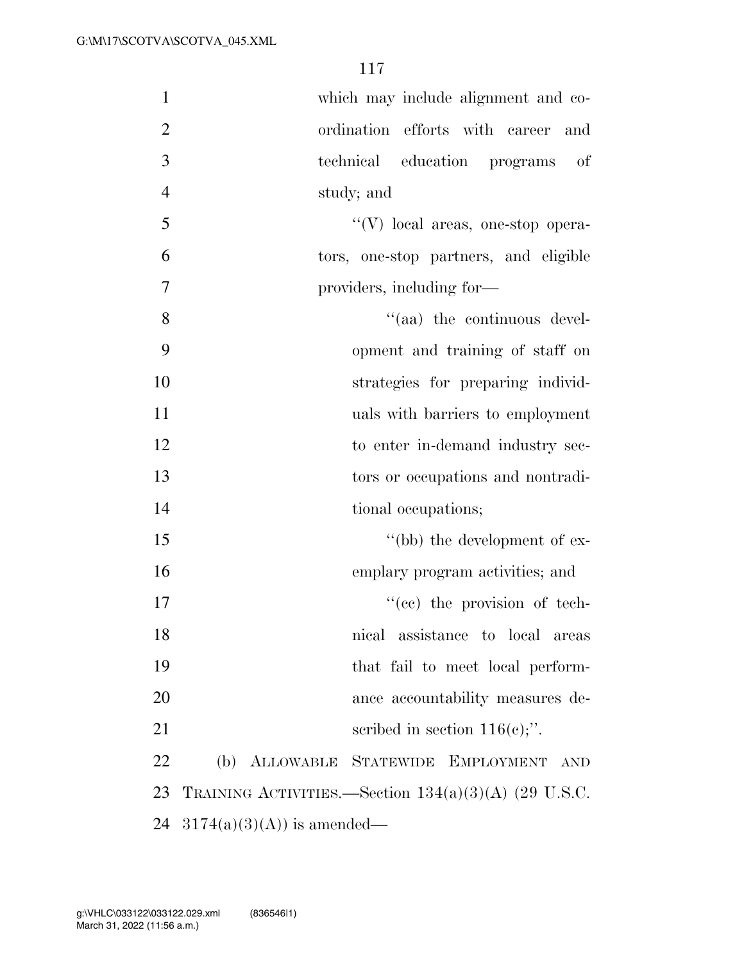| $\mathbf{1}$   | which may include alignment and co-                    |
|----------------|--------------------------------------------------------|
| $\overline{2}$ | ordination efforts with career<br>and                  |
| 3              | technical education programs<br>of                     |
| $\overline{4}$ | study; and                                             |
| 5              | $\lq\lq(V)$ local areas, one-stop opera-               |
| 6              | tors, one-stop partners, and eligible                  |
| $\tau$         | providers, including for—                              |
| 8              | "(aa) the continuous devel-                            |
| 9              | opment and training of staff on                        |
| 10             | strategies for preparing individ-                      |
| 11             | uals with barriers to employment                       |
| 12             | to enter in-demand industry sec-                       |
| 13             | tors or occupations and nontradi-                      |
| 14             | tional occupations;                                    |
| 15             | $\lq\lq(bb)$ the development of ex-                    |
| 16             | emplary program activities; and                        |
| 17             | "(ce) the provision of tech-                           |
| 18             | nical assistance to local<br>areas                     |
| 19             | that fail to meet local perform-                       |
| 20             | ance accountability measures de-                       |
| 21             | scribed in section $116(e)$ ;".                        |
| 22             | (b) ALLOWABLE STATEWIDE EMPLOYMENT<br><b>AND</b>       |
| 23             | TRAINING ACTIVITIES.—Section $134(a)(3)(A)$ (29 U.S.C. |
| 24             | $3174(a)(3)(A)$ is amended—                            |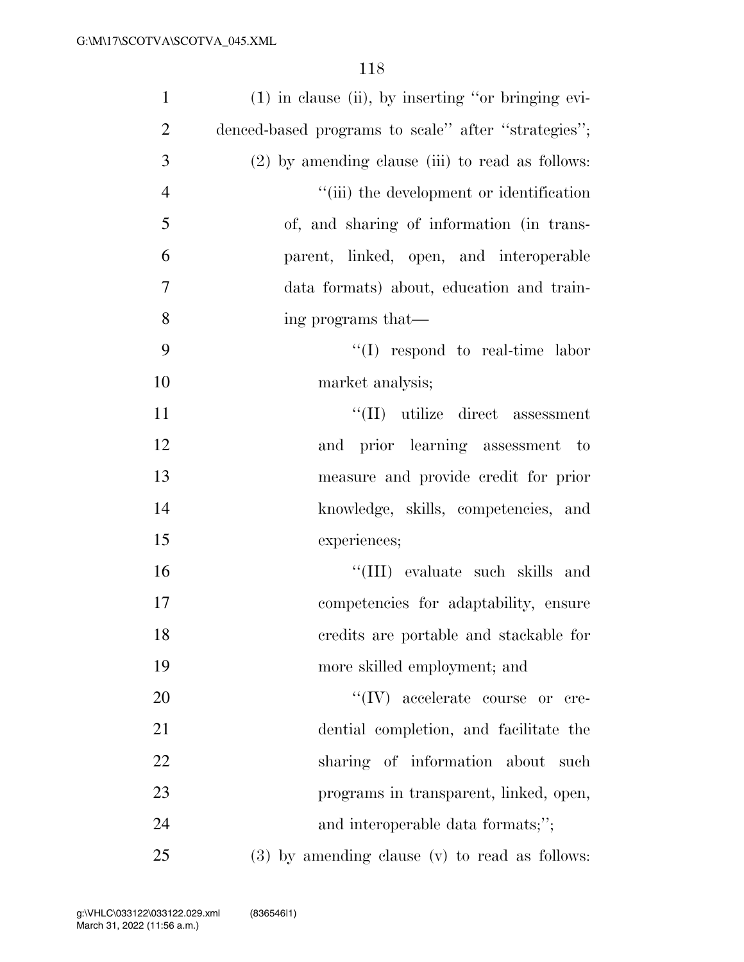| $\mathbf{1}$   | $(1)$ in clause (ii), by inserting "or bringing evi- |
|----------------|------------------------------------------------------|
| $\overline{2}$ | denced-based programs to scale" after "strategies";  |
| 3              | $(2)$ by amending clause (iii) to read as follows:   |
| $\overline{4}$ | "(iii) the development or identification             |
| 5              | of, and sharing of information (in trans-            |
| 6              | parent, linked, open, and interoperable              |
| 7              | data formats) about, education and train-            |
| 8              | ing programs that—                                   |
| 9              | $\lq\lq$ respond to real-time labor                  |
| 10             | market analysis;                                     |
| 11             | $\lq\lq$ (II) utilize direct assessment              |
| 12             | and prior learning assessment to                     |
| 13             | measure and provide credit for prior                 |
| 14             | knowledge, skills, competencies, and                 |
| 15             | experiences;                                         |
| 16             | "(III) evaluate such skills and                      |
| 17             | competencies for adaptability, ensure                |
| 18             | credits are portable and stackable for               |
| 19             | more skilled employment; and                         |
| 20             | $``(IV)$ accelerate course or cre-                   |
| 21             | dential completion, and facilitate the               |
| 22             | sharing of information about<br>such                 |
| 23             | programs in transparent, linked, open,               |
| 24             | and interoperable data formats;";                    |
| 25             | (3) by amending clause (v) to read as follows:       |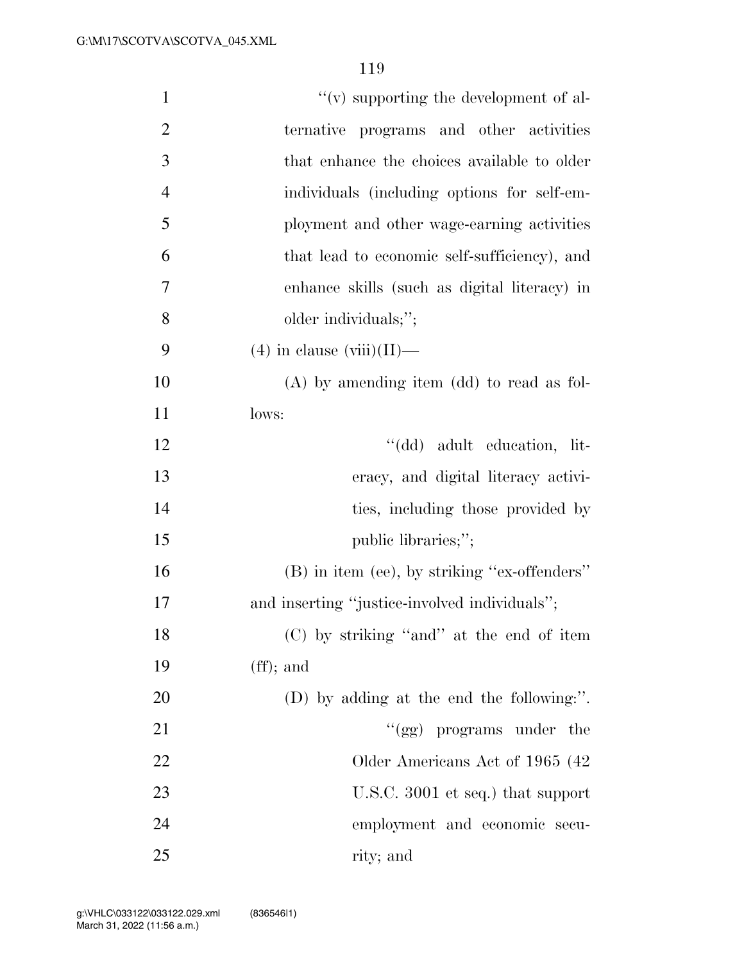| $\mathbf{1}$   | $\lq\lq$ supporting the development of al-    |
|----------------|-----------------------------------------------|
| $\overline{2}$ | ternative programs and other activities       |
| 3              | that enhance the choices available to older   |
| $\overline{4}$ | individuals (including options for self-em-   |
| 5              | ployment and other wage-earning activities    |
| 6              | that lead to economic self-sufficiency), and  |
| 7              | enhance skills (such as digital literacy) in  |
| 8              | older individuals;";                          |
| 9              | $(4)$ in clause (viii)(II)—                   |
| 10             | $(A)$ by amending item $(dd)$ to read as fol- |
| 11             | lows:                                         |
| 12             | "(dd) adult education, lit-                   |
| 13             | eracy, and digital literacy activi-           |
| 14             | ties, including those provided by             |
| 15             | public libraries;";                           |
| 16             | (B) in item (ee), by striking "ex-offenders"  |
| 17             | and inserting "justice-involved individuals"; |
| 18             | (C) by striking "and" at the end of item      |
| 19             | $(f\!f);$ and                                 |
| 20             | (D) by adding at the end the following:".     |
| 21             | "(gg) programs under the                      |
| 22             | Older Americans Act of 1965 (42)              |
| 23             | U.S.C. 3001 et seq.) that support             |
| 24             | employment and economic secu-                 |
| 25             | rity; and                                     |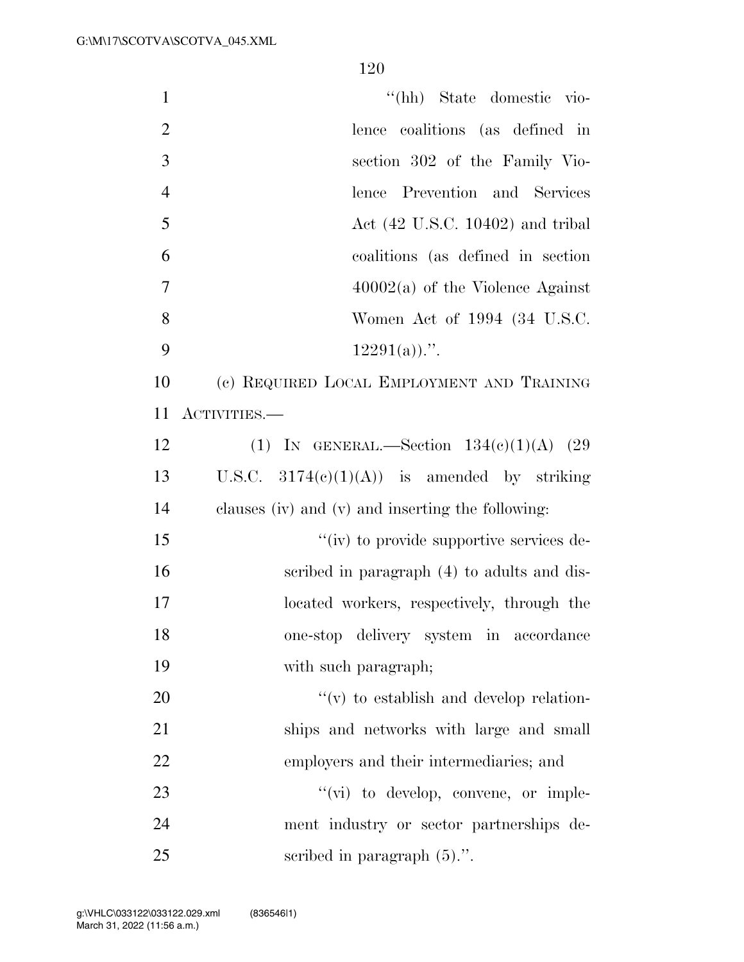| $\mathbf{1}$   | "(hh) State domestic vio-                         |
|----------------|---------------------------------------------------|
| $\overline{2}$ | lence coalitions (as defined in                   |
| 3              | section 302 of the Family Vio-                    |
| $\overline{4}$ | lence Prevention and Services                     |
| 5              | Act $(42 \text{ U.S.C. } 10402)$ and tribal       |
| 6              | coalitions (as defined in section                 |
| $\tau$         | $40002(a)$ of the Violence Against                |
| 8              | Women Act of 1994 (34 U.S.C.                      |
| 9              | $12291(a)$ .".                                    |
| 10             | (c) REQUIRED LOCAL EMPLOYMENT AND TRAINING        |
| 11             | ACTIVITIES.—                                      |
| 12             | (1) IN GENERAL.—Section $134(e)(1)(A)$ (29        |
| 13             | U.S.C. $3174(e)(1)(A)$ is amended by striking     |
| 14             | clauses (iv) and (v) and inserting the following: |
| 15             | "(iv) to provide supportive services de-          |
| 16             | scribed in paragraph (4) to adults and dis-       |
| 17             | located workers, respectively, through the        |
| 18             | one-stop delivery system in accordance            |
| 19             | with such paragraph;                              |
| 20             | $f'(v)$ to establish and develop relation-        |
| 21             | ships and networks with large and small           |
| 22             | employers and their intermediaries; and           |
| 23             | $\lq\lq$ (vi) to develop, convene, or imple-      |
| 24             | ment industry or sector partnerships de-          |
| 25             | scribed in paragraph $(5)$ .".                    |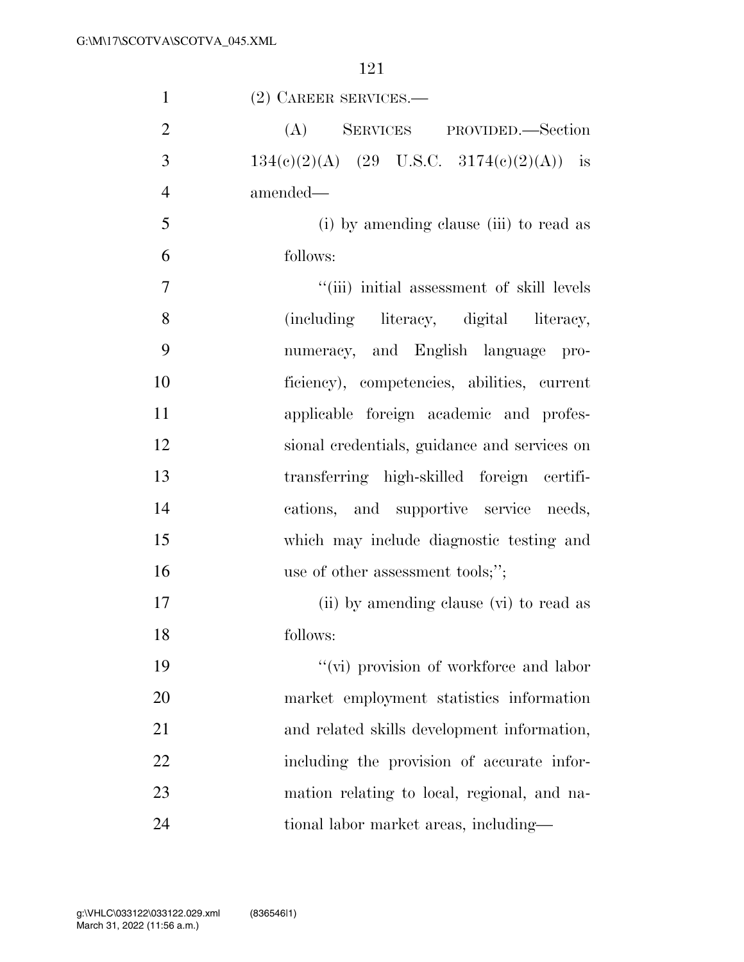| $\mathbf{1}$   | $(2)$ CAREER SERVICES.—                      |
|----------------|----------------------------------------------|
| $\overline{2}$ | (A) SERVICES PROVIDED.—Section               |
| 3              | $134(c)(2)(A)$ (29 U.S.C. 3174(c)(2)(A)) is  |
| $\overline{4}$ | amended—                                     |
| 5              | (i) by amending clause (iii) to read as      |
| 6              | follows:                                     |
| $\overline{7}$ | "(iii) initial assessment of skill levels    |
| 8              | (including literacy, digital literacy,       |
| 9              | numeracy, and English language pro-          |
| 10             | ficiency), competencies, abilities, current  |
| 11             | applicable foreign academic and profes-      |
| 12             | sional credentials, guidance and services on |
| 13             | transferring high-skilled foreign certifi-   |
| 14             | cations, and supportive service needs,       |
| 15             | which may include diagnostic testing and     |
| 16             | use of other assessment tools;";             |
| 17             | (ii) by amending clause (vi) to read as      |
| 18             | follows:                                     |
| 19             | "(vi) provision of workforce and labor       |
| 20             | market employment statistics information     |
| 21             | and related skills development information,  |
| 22             | including the provision of accurate infor-   |
| 23             | mation relating to local, regional, and na-  |
| 24             | tional labor market areas, including—        |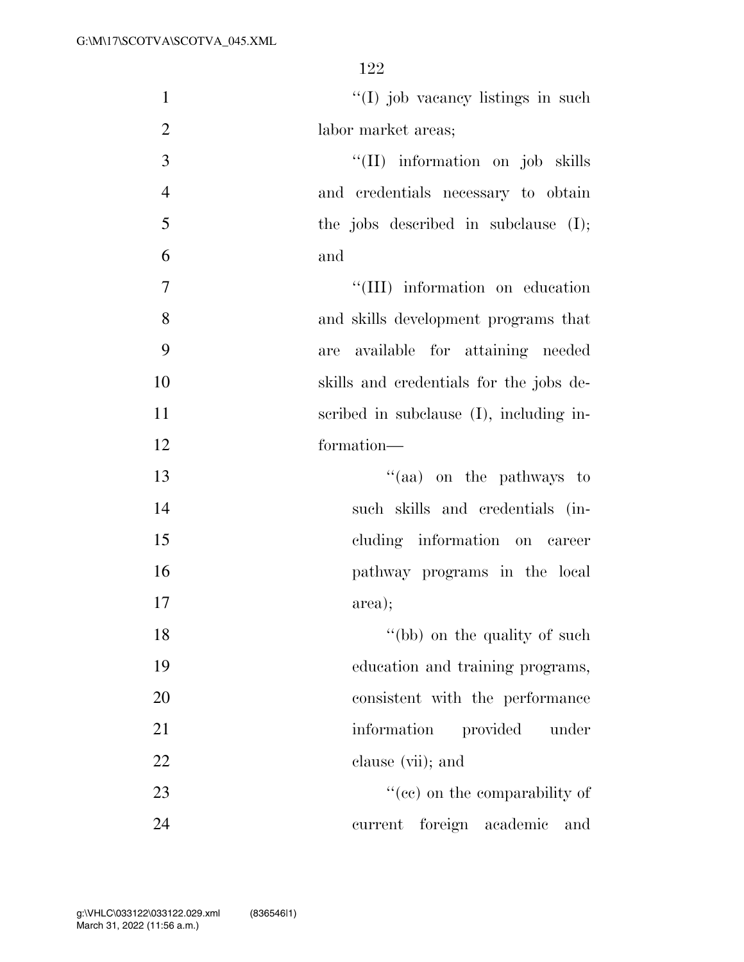| $\mathbf{1}$   | "(I) job vacancy listings in such       |
|----------------|-----------------------------------------|
| $\overline{2}$ | labor market areas;                     |
| $\overline{3}$ | "(II) information on job skills         |
| $\overline{4}$ | and credentials necessary to obtain     |
| 5              | the jobs described in subclause $(I);$  |
| 6              | and                                     |
| 7              | "(III) information on education         |
| 8              | and skills development programs that    |
| 9              | available for attaining needed<br>are   |
| 10             | skills and credentials for the jobs de- |
| 11             | scribed in subclause (I), including in- |
| 12             | formation-                              |
| 13             | "(aa) on the pathways to                |
| 14             | such skills and credentials (in-        |
| 15             | cluding information on career           |
| 16             | pathway programs in the local           |
| 17             | area);                                  |
| 18             | "(bb) on the quality of such            |
| 19             | education and training programs,        |
| 20             | consistent with the performance         |
| 21             | information<br>provided<br>under        |
| 22             | clause (vii); and                       |
| 23             | "(ee) on the comparability of           |
| 24             | foreign academic<br>current<br>and      |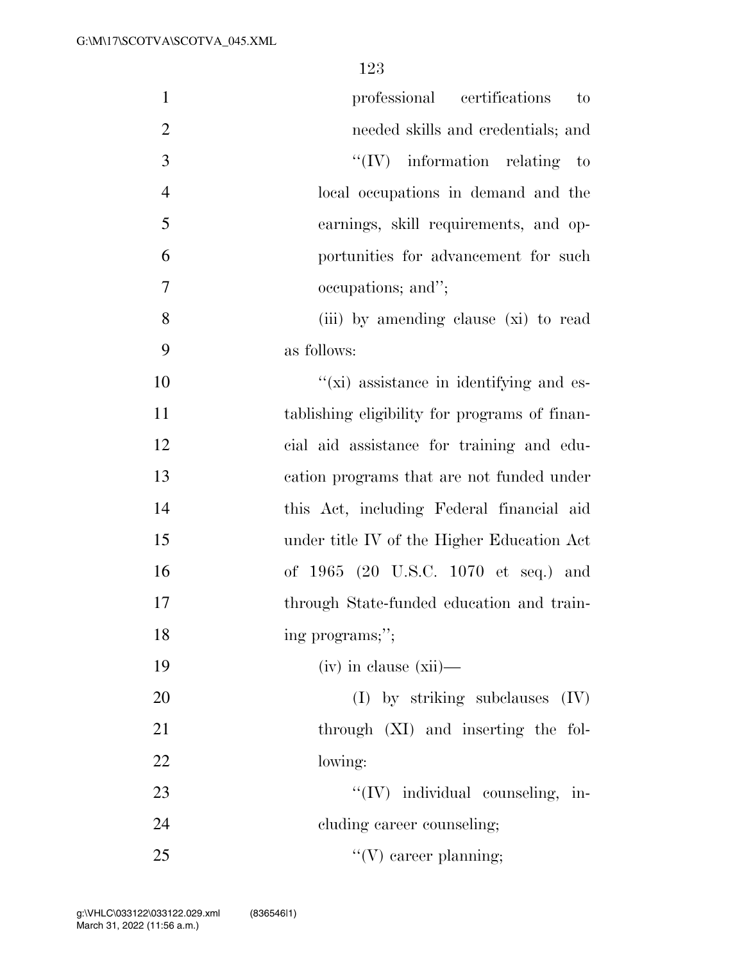| $\mathbf{1}$   | professional certifications<br>to               |
|----------------|-------------------------------------------------|
| $\overline{2}$ | needed skills and credentials; and              |
| 3              | $\lq\lq (IV)$ information relating to           |
| $\overline{4}$ | local occupations in demand and the             |
| 5              | earnings, skill requirements, and op-           |
| 6              | portunities for advancement for such            |
| 7              | occupations; and";                              |
| 8              | (iii) by amending clause (xi) to read           |
| 9              | as follows:                                     |
| 10             | $\lq\lq$ (xi) assistance in identifying and es- |
| 11             | tablishing eligibility for programs of finan-   |
| 12             | cial aid assistance for training and edu-       |
| 13             | cation programs that are not funded under       |
| 14             | this Act, including Federal financial aid       |
| 15             | under title IV of the Higher Education Act      |
| 16             | of 1965 (20 U.S.C. 1070 et seq.) and            |
| 17             | through State-funded education and train-       |
| 18             | ing programs;";                                 |
| 19             | $(iv)$ in clause $(xii)$ —                      |
| 20             | $(I)$ by striking subclauses $(IV)$             |
| 21             | through (XI) and inserting the fol-             |
| 22             | lowing:                                         |
| 23             | "(IV) individual counseling, in-                |
| 24             | cluding career counseling;                      |
| 25             | $\lq\lq(V)$ career planning;                    |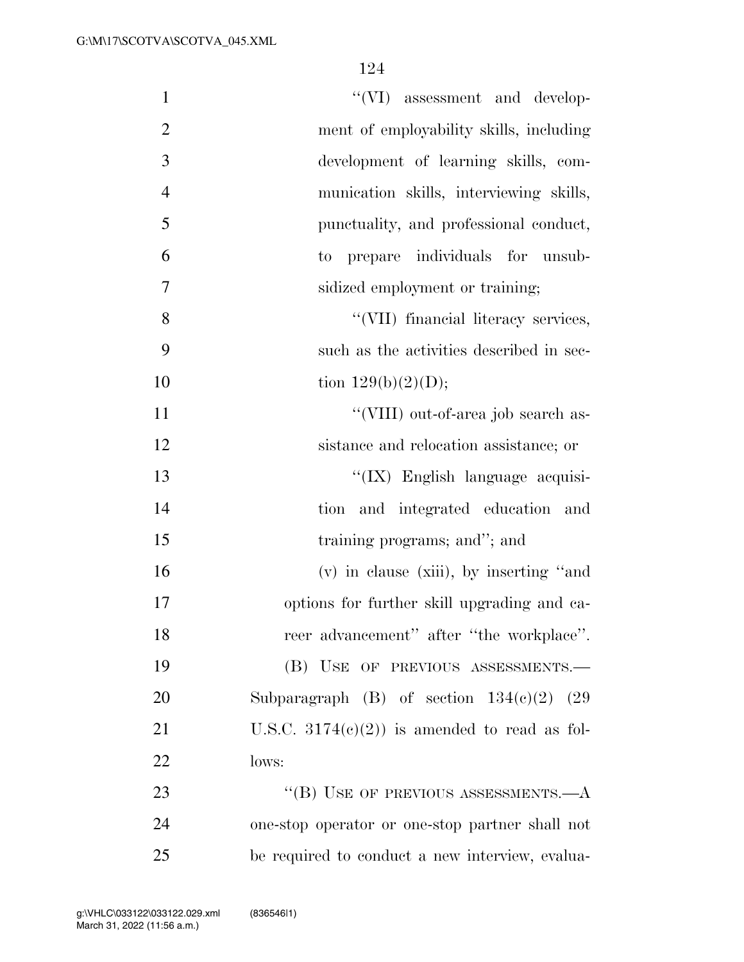| $\mathbf{1}$   | "(VI) assessment and develop-                   |
|----------------|-------------------------------------------------|
| $\overline{2}$ | ment of employability skills, including         |
| $\mathfrak{Z}$ | development of learning skills, com-            |
| $\overline{4}$ | munication skills, interviewing skills,         |
| 5              | punctuality, and professional conduct,          |
| 6              | to prepare individuals for unsub-               |
| 7              | sidized employment or training;                 |
| 8              | "(VII) financial literacy services,             |
| 9              | such as the activities described in sec-        |
| 10             | tion $129(b)(2)(D);$                            |
| 11             | "(VIII) out-of-area job search as-              |
| 12             | sistance and relocation assistance; or          |
| 13             | "(IX) English language acquisi-                 |
| 14             | tion and integrated education and               |
| 15             | training programs; and"; and                    |
| 16             | (v) in clause (xiii), by inserting "and         |
| 17             | options for further skill upgrading and ca-     |
| 18             | reer advancement" after "the workplace".        |
| 19             | (B) USE OF PREVIOUS ASSESSMENTS.-               |
| 20             | Subparagraph (B) of section $134(c)(2)$ (29)    |
| 21             | U.S.C. $3174(e)(2)$ is amended to read as fol-  |
| 22             | lows:                                           |
| 23             | "(B) USE OF PREVIOUS ASSESSMENTS.— $A$          |
| 24             | one-stop operator or one-stop partner shall not |
| 25             | be required to conduct a new interview, evalua- |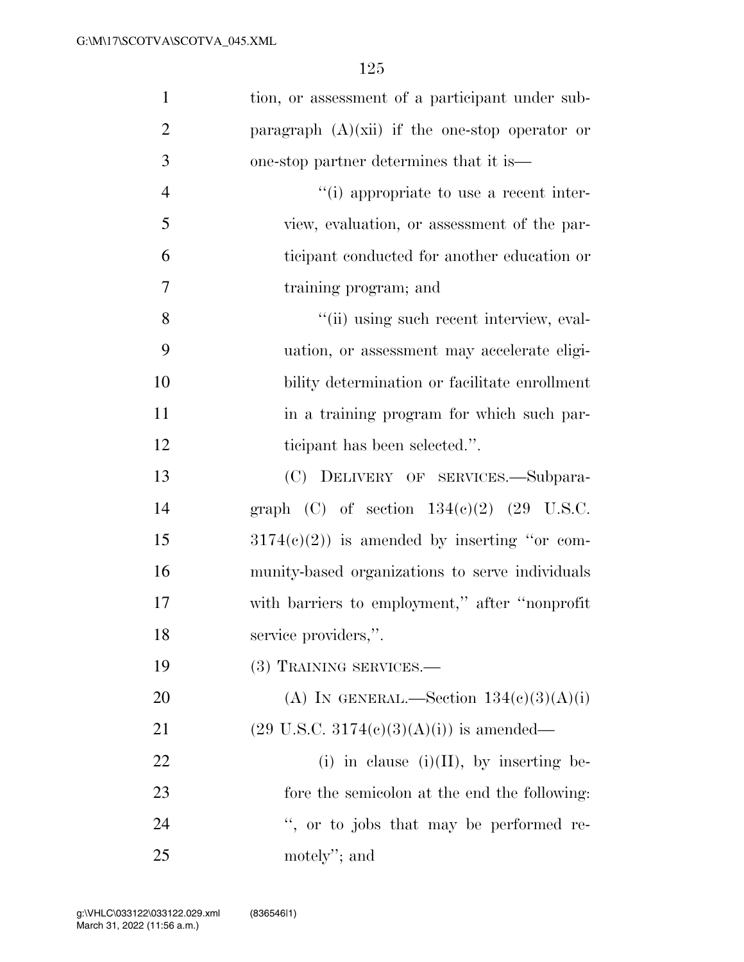| $\mathbf{1}$   | tion, or assessment of a participant under sub-     |
|----------------|-----------------------------------------------------|
| $\overline{2}$ | paragraph $(A)(xii)$ if the one-stop operator or    |
| 3              | one-stop partner determines that it is—             |
| $\overline{4}$ | "(i) appropriate to use a recent inter-             |
| 5              | view, evaluation, or assessment of the par-         |
| 6              | ticipant conducted for another education or         |
| $\overline{7}$ | training program; and                               |
| 8              | "(ii) using such recent interview, eval-            |
| 9              | uation, or assessment may accelerate eligi-         |
| 10             | bility determination or facilitate enrollment       |
| 11             | in a training program for which such par-           |
| 12             | ticipant has been selected.".                       |
| 13             | (C) DELIVERY OF SERVICES.-Subpara-                  |
| 14             | graph (C) of section $134(e)(2)$ (29 U.S.C.         |
| 15             | $3174(e)(2)$ is amended by inserting "or com-       |
| 16             | munity-based organizations to serve individuals     |
| 17             | with barriers to employment," after "nonprofit"     |
| 18             | service providers,".                                |
| 19             | (3) TRAINING SERVICES.—                             |
| 20             | (A) IN GENERAL.—Section $134(c)(3)(A)(i)$           |
| 21             | $(29 \text{ U.S.C. } 3174(e)(3)(A)(i))$ is amended— |
| 22             | (i) in clause (i)(II), by inserting be-             |
| 23             | fore the semicolon at the end the following:        |
| 24             | ", or to jobs that may be performed re-             |
| 25             | motely"; and                                        |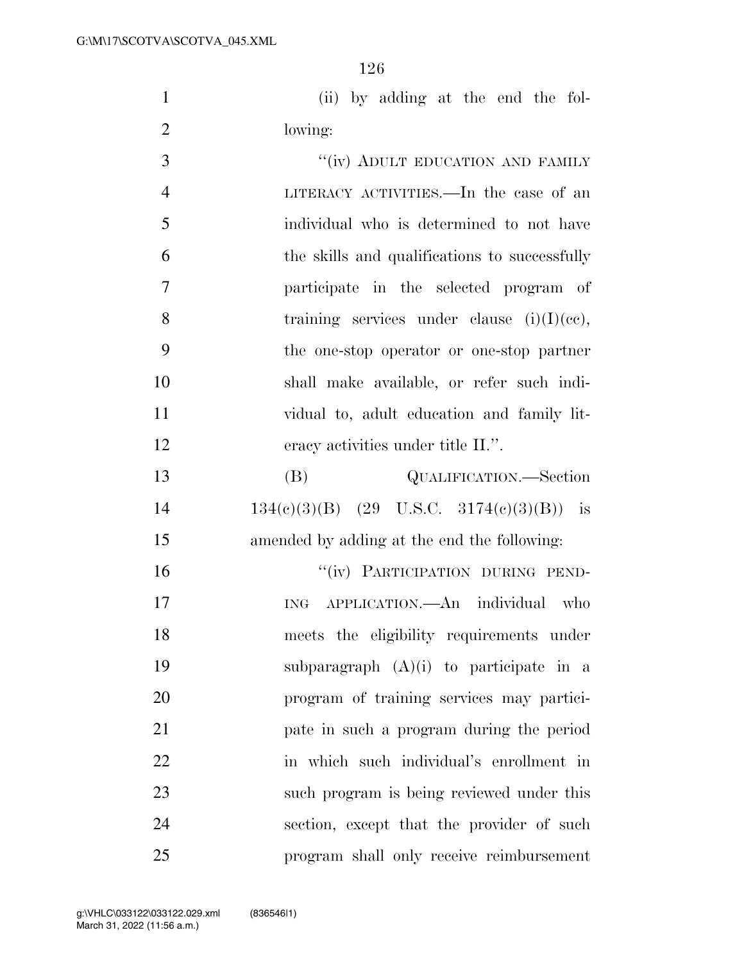(ii) by adding at the end the fol-lowing:

3 "(iv) ADULT EDUCATION AND FAMILY LITERACY ACTIVITIES.—In the case of an individual who is determined to not have the skills and qualifications to successfully participate in the selected program of 8 training services under clause  $(i)(I)(ce)$ , the one-stop operator or one-stop partner shall make available, or refer such indi- vidual to, adult education and family lit-12 eracy activities under title II.". (B) QUALIFICATION.—Section  $134(e)(3)(B)$  (29 U.S.C.  $3174(e)(3)(B)$ ) is amended by adding at the end the following: 16 "(iv) PARTICIPATION DURING PEND- ING APPLICATION.—An individual who meets the eligibility requirements under subparagraph (A)(i) to participate in a program of training services may partici- pate in such a program during the period in which such individual's enrollment in such program is being reviewed under this section, except that the provider of such program shall only receive reimbursement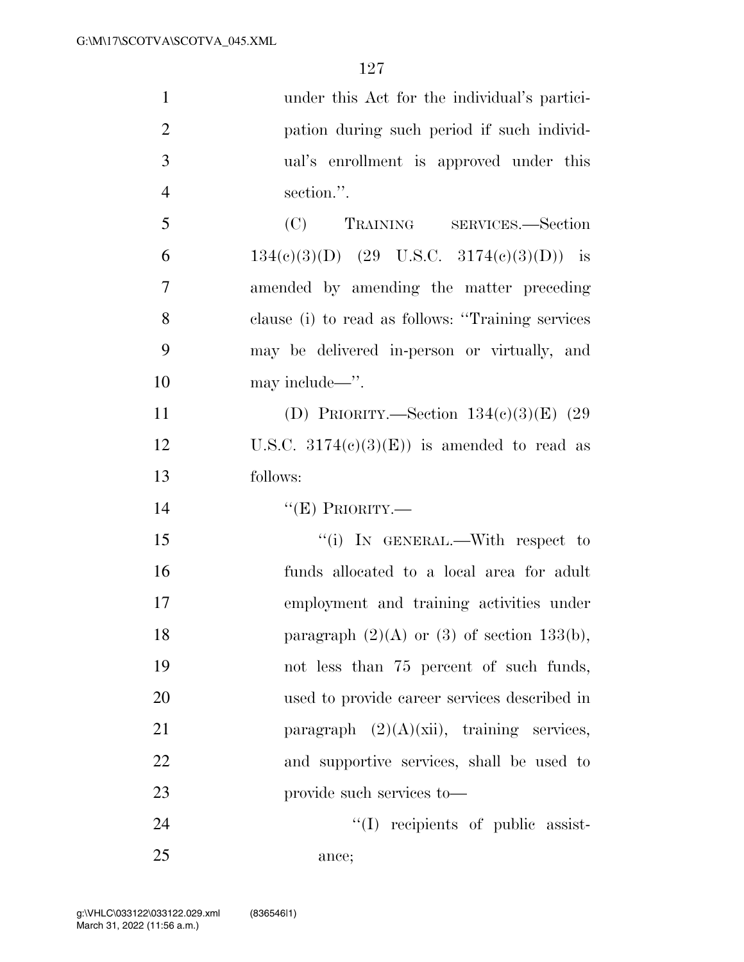| $\mathbf{1}$   | under this Act for the individual's partici-      |
|----------------|---------------------------------------------------|
| $\overline{2}$ | pation during such period if such individ-        |
| 3              | ual's enrollment is approved under this           |
| $\overline{4}$ | section.".                                        |
| 5              | (C) TRAINING SERVICES.—Section                    |
| 6              | $134(e)(3)(D)$ (29 U.S.C. 3174(e)(3)(D)) is       |
| $\overline{7}$ | amended by amending the matter preceding          |
| 8              | clause (i) to read as follows: "Training services |
| 9              | may be delivered in-person or virtually, and      |
| 10             | may include—".                                    |
| 11             | (D) PRIORITY.—Section $134(e)(3)(E)$ (29          |
| 12             | U.S.C. $3174(c)(3)(E)$ is amended to read as      |
|                |                                                   |
| 13             | follows:                                          |
| 14             | " $(E)$ PRIORITY.—                                |
| 15             | "(i) IN GENERAL.—With respect to                  |
| 16             | funds allocated to a local area for adult         |
| 17             | employment and training activities under          |
| 18             | paragraph $(2)(A)$ or $(3)$ of section 133(b),    |
| 19             | not less than 75 percent of such funds,           |
| 20             | used to provide career services described in      |
| 21             | paragraph $(2)(A)(xii)$ , training services,      |
| 22             | and supportive services, shall be used to         |
| 23             | provide such services to-                         |
| 24             | "(I) recipients of public assist-                 |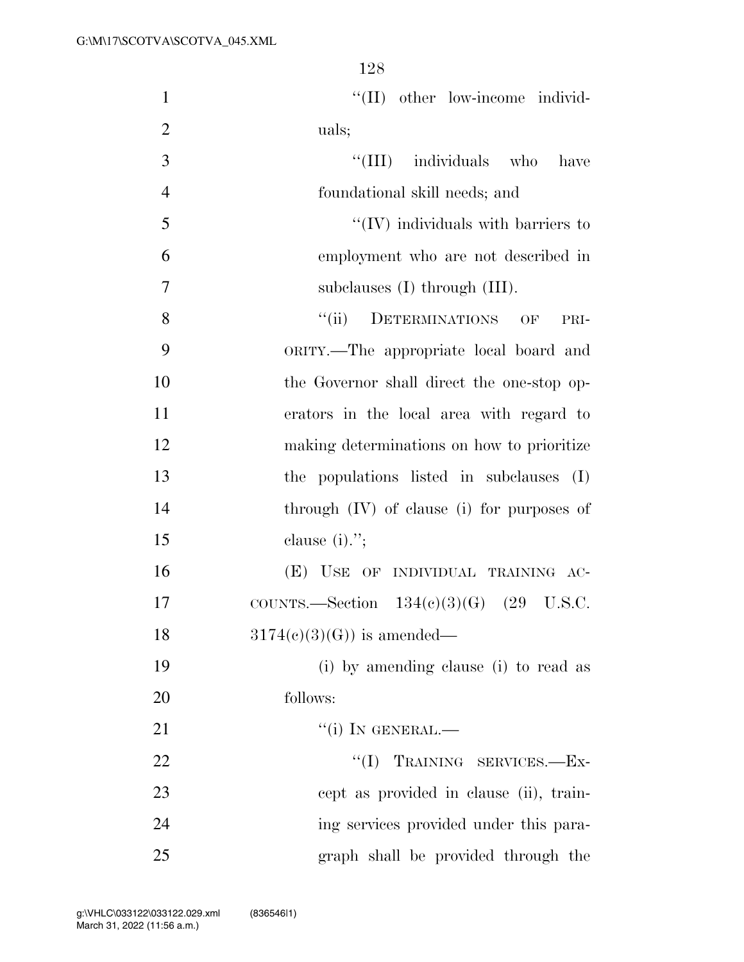| $\mathbf{1}$   | "(II) other low-income individ-                |
|----------------|------------------------------------------------|
| $\overline{2}$ | uals;                                          |
| 3              | "(III) individuals who have                    |
| $\overline{4}$ | foundational skill needs; and                  |
| 5              | $\lq\lq$ (IV) individuals with barriers to     |
| 6              | employment who are not described in            |
| 7              | subclauses $(I)$ through $(III)$ .             |
| 8              | ``(ii)<br><b>DETERMINATIONS</b><br>OF<br>PRI-  |
| 9              | ORITY.—The appropriate local board and         |
| 10             | the Governor shall direct the one-stop op-     |
| 11             | erators in the local area with regard to       |
| 12             | making determinations on how to prioritize     |
| 13             | the populations listed in subclauses<br>(I)    |
| 14             | through $(IV)$ of clause $(i)$ for purposes of |
| 15             | clause $(i)$ .";                               |
| 16             | (E) USE OF INDIVIDUAL TRAINING AC-             |
| 17             | COUNTS.—Section $134(e)(3)(G)$ (29 U.S.C.      |
| 18             | $3174(c)(3)(G)$ is amended—                    |
| 19             | (i) by amending clause (i) to read as          |
| 20             | follows:                                       |
| 21             | $``(i)$ In GENERAL.—                           |
| 22             | TRAINING SERVICES.-Ex-<br>$\lq\lq (I)$         |
| 23             | cept as provided in clause (ii), train-        |
| 24             | ing services provided under this para-         |
| 25             | graph shall be provided through the            |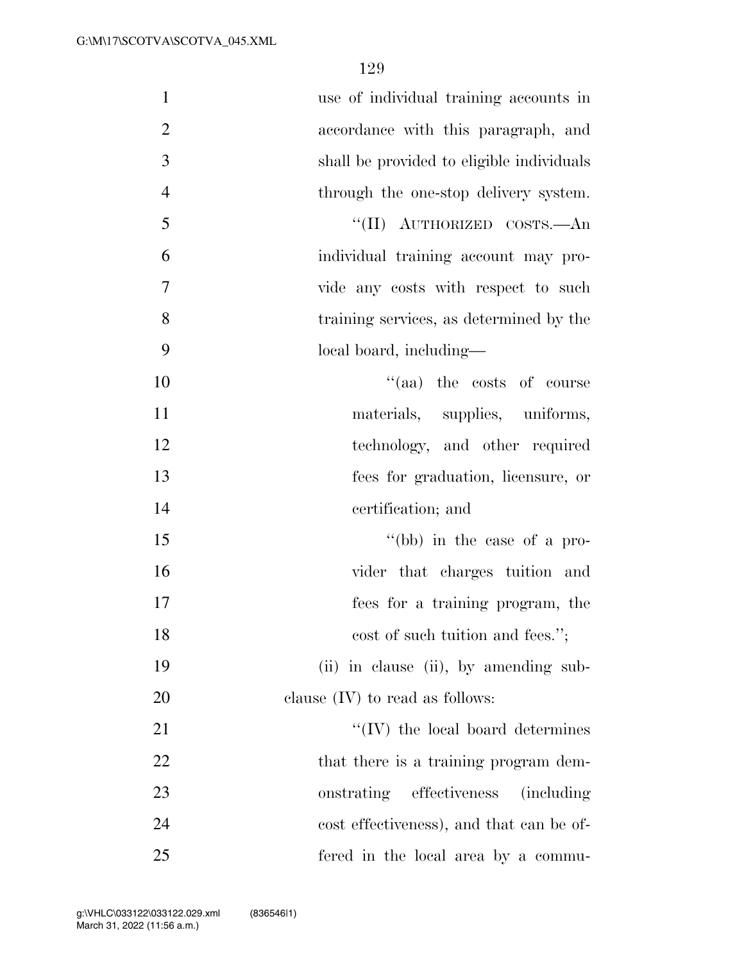| $\mathbf{1}$   | use of individual training accounts in         |
|----------------|------------------------------------------------|
| $\mathbf{2}$   | accordance with this paragraph, and            |
| 3              | shall be provided to eligible individuals      |
| $\overline{4}$ | through the one-stop delivery system.          |
| 5              | $``(II)$ AUTHORIZED COSTS.—An                  |
| 6              | individual training account may pro-           |
| $\overline{7}$ | vide any costs with respect to such            |
| 8              | training services, as determined by the        |
| 9              | local board, including—                        |
| 10             | "(aa) the costs of course                      |
| 11             | materials, supplies, uniforms,                 |
| 12             | technology, and other required                 |
| 13             | fees for graduation, licensure, or             |
| 14             | certification; and                             |
| 15             | "(bb) in the case of a pro-                    |
| 16             | vider that charges tuition and                 |
| 17             | fees for a training program, the               |
| 18             | cost of such tuition and fees.";               |
| 19             | (ii) in clause (ii), by amending sub-          |
| 20             | clause $(IV)$ to read as follows:              |
| 21             | $\lq\lq$ (IV) the local board determines       |
| 22             | that there is a training program dem-          |
| 23             | onstrating effectiveness<br><i>(including)</i> |
| 24             | cost effectiveness), and that can be of-       |
| 25             | fered in the local area by a commu-            |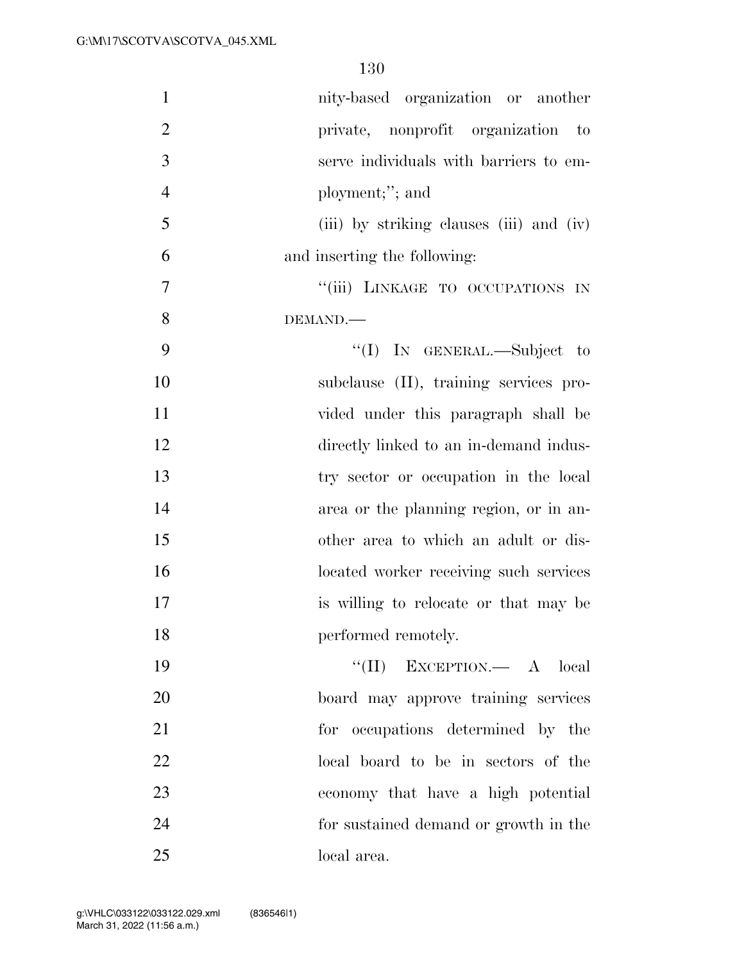| $\mathbf{1}$   | nity-based organization or another        |
|----------------|-------------------------------------------|
| $\overline{2}$ | private, nonprofit organization<br>$-$ to |
| 3              | serve individuals with barriers to em-    |
| $\overline{4}$ | ployment;"; and                           |
| 5              | (iii) by striking clauses (iii) and (iv)  |
| 6              | and inserting the following:              |
| 7              | "(iii) LINKAGE TO OCCUPATIONS IN          |
| 8              | DEMAND.                                   |
| 9              | "(I) IN GENERAL.—Subject to               |
| 10             | subclause (II), training services pro-    |
| 11             | vided under this paragraph shall be       |
| 12             | directly linked to an in-demand indus-    |
| 13             | try sector or occupation in the local     |
| 14             | area or the planning region, or in an-    |
| 15             | other area to which an adult or dis-      |
| 16             | located worker receiving such services    |
| 17             | is willing to relocate or that may be     |
| 18             | performed remotely.                       |
| 19             | "(II) EXCEPTION. $\qquad$ A local         |
| 20             | board may approve training services       |
| 21             | for occupations determined by the         |
| 22             | local board to be in sectors of the       |
| 23             | economy that have a high potential        |
| 24             | for sustained demand or growth in the     |
| 25             | local area.                               |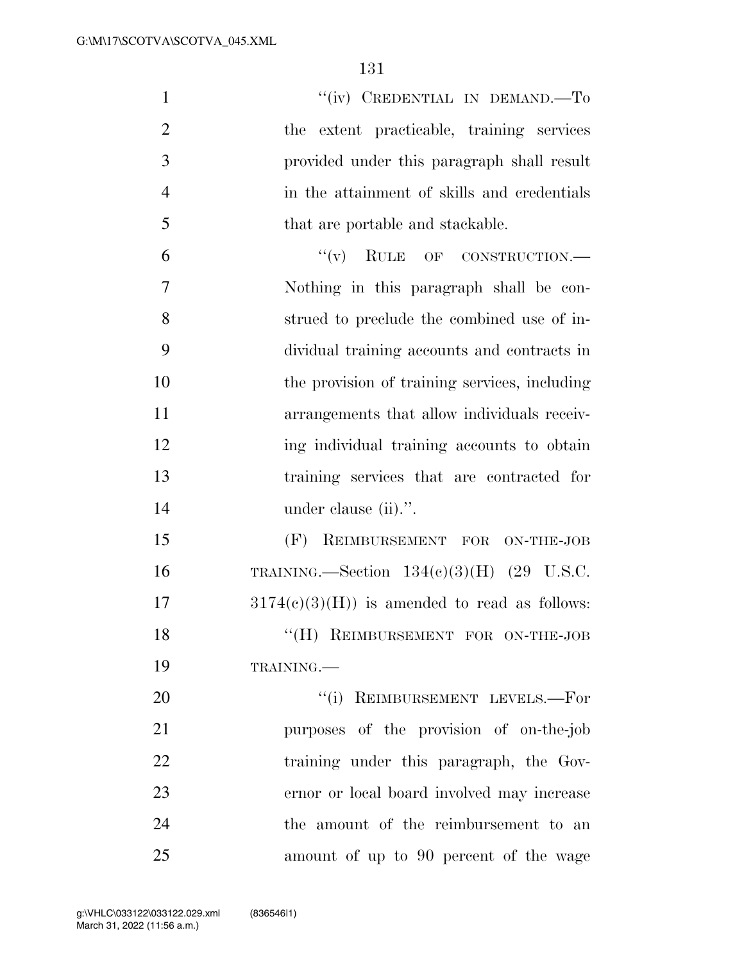| $\mathbf{1}$   | "(iv) CREDENTIAL IN DEMAND.—To                 |
|----------------|------------------------------------------------|
| $\overline{2}$ | the extent practicable, training services      |
| 3              | provided under this paragraph shall result     |
| $\overline{4}$ | in the attainment of skills and credentials    |
| 5              | that are portable and stackable.               |
| 6              | $``(v)$ RULE OF CONSTRUCTION.—                 |
| 7              | Nothing in this paragraph shall be con-        |
| 8              | strued to preclude the combined use of in-     |
| 9              | dividual training accounts and contracts in    |
| 10             | the provision of training services, including  |
| 11             | arrangements that allow individuals receiv-    |
| 12             | ing individual training accounts to obtain     |
| 13             | training services that are contracted for      |
| 14             | under clause (ii).".                           |
| 15             | REIMBURSEMENT FOR ON-THE-JOB<br>(F)            |
| 16             | TRAINING.—Section $134(e)(3)(H)$ (29 U.S.C.    |
| 17             | $3174(c)(3)(H)$ is amended to read as follows: |
| 18             | "(H) REIMBURSEMENT FOR ON-THE-JOB              |
| 19             | TRAINING.                                      |
| 20             | "(i) REIMBURSEMENT LEVELS.-For                 |
| 21             | purposes of the provision of on-the-job        |
| 22             | training under this paragraph, the Gov-        |
| 23             | ernor or local board involved may increase     |
| 24             | the amount of the reimbursement to an          |
| 25             | amount of up to 90 percent of the wage         |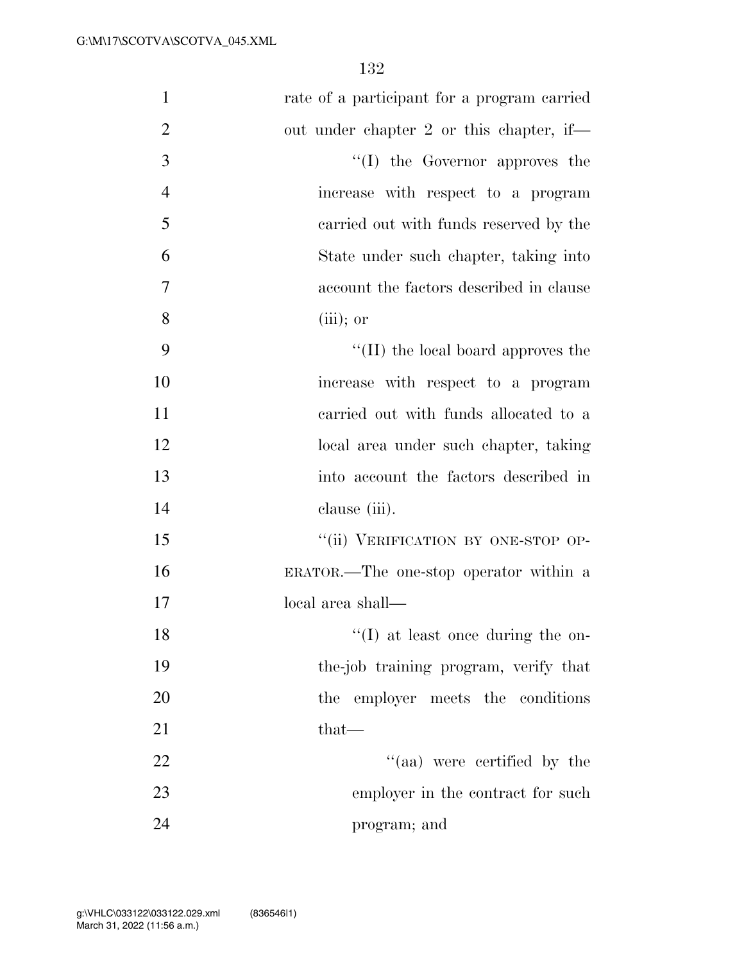| $\mathbf{1}$   | rate of a participant for a program carried |
|----------------|---------------------------------------------|
| $\overline{2}$ | out under chapter 2 or this chapter, if—    |
| 3              | $\lq\lq$ the Governor approves the          |
| $\overline{4}$ | increase with respect to a program          |
| 5              | carried out with funds reserved by the      |
| 6              | State under such chapter, taking into       |
| 7              | account the factors described in clause     |
| 8              | $(iii)$ ; or                                |
| 9              | $\lq\lq$ (II) the local board approves the  |
| 10             | increase with respect to a program          |
| 11             | carried out with funds allocated to a       |
| 12             | local area under such chapter, taking       |
| 13             | into account the factors described in       |
| 14             | clause (iii).                               |
| 15             | "(ii) VERIFICATION BY ONE-STOP OP-          |
| 16             | ERATOR.—The one-stop operator within a      |
| 17             | local area shall—                           |
| 18             | $\lq\lq$ (I) at least once during the on-   |
| 19             | the-job training program, verify that       |
| 20             | the employer meets the conditions           |
| 21             | $that-$                                     |
| 22             | "(aa) were certified by the                 |
| 23             | employer in the contract for such           |
| 24             | program; and                                |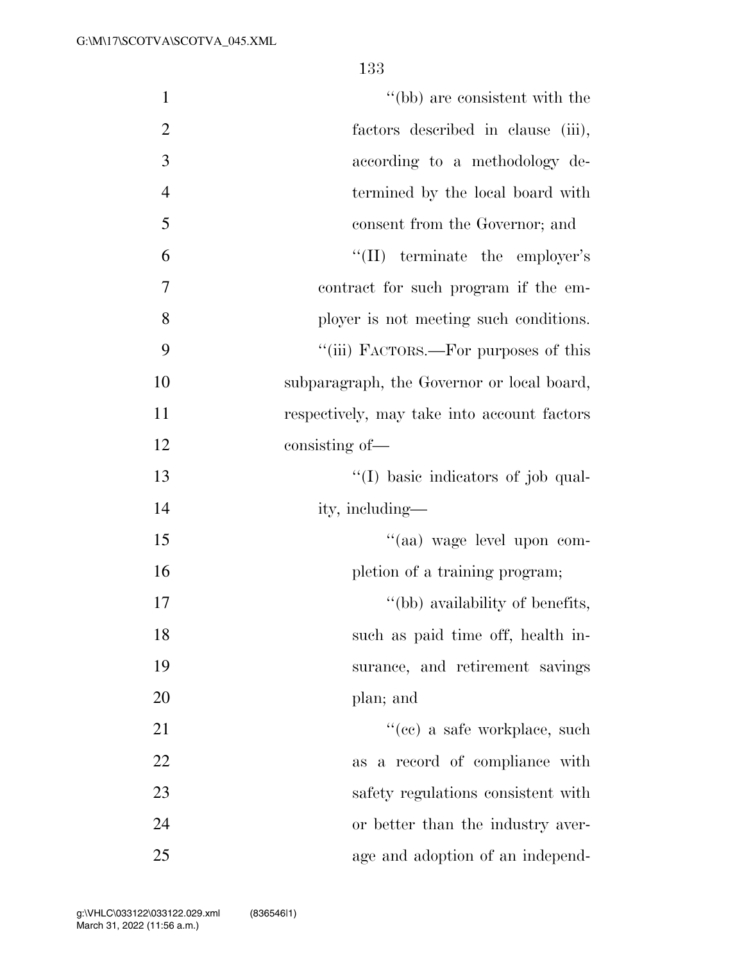| $\mathbf{1}$   | "(bb) are consistent with the               |
|----------------|---------------------------------------------|
| $\overline{2}$ | factors described in clause (iii),          |
| 3              | according to a methodology de-              |
| $\overline{4}$ | termined by the local board with            |
| 5              | consent from the Governor; and              |
| 6              | $\lq\lq$ (II) terminate the employer's      |
| 7              | contract for such program if the em-        |
| 8              | ployer is not meeting such conditions.      |
| 9              | "(iii) FACTORS.—For purposes of this        |
| 10             | subparagraph, the Governor or local board,  |
| 11             | respectively, may take into account factors |
| 12             | consisting of-                              |
| 13             | "(I) basic indicators of job qual-          |
| 14             | ity, including—                             |
| 15             | "(aa) wage level upon com-                  |
| 16             | pletion of a training program;              |
| 17             | "(bb) availability of benefits,             |
| 18             | such as paid time off, health in-           |
| 19             | surance, and retirement savings             |
| 20             | plan; and                                   |
| 21             | "(cc) a safe workplace, such                |
| 22             | as a record of compliance with              |
| 23             | safety regulations consistent with          |
| 24             | or better than the industry aver-           |
| 25             | age and adoption of an independ-            |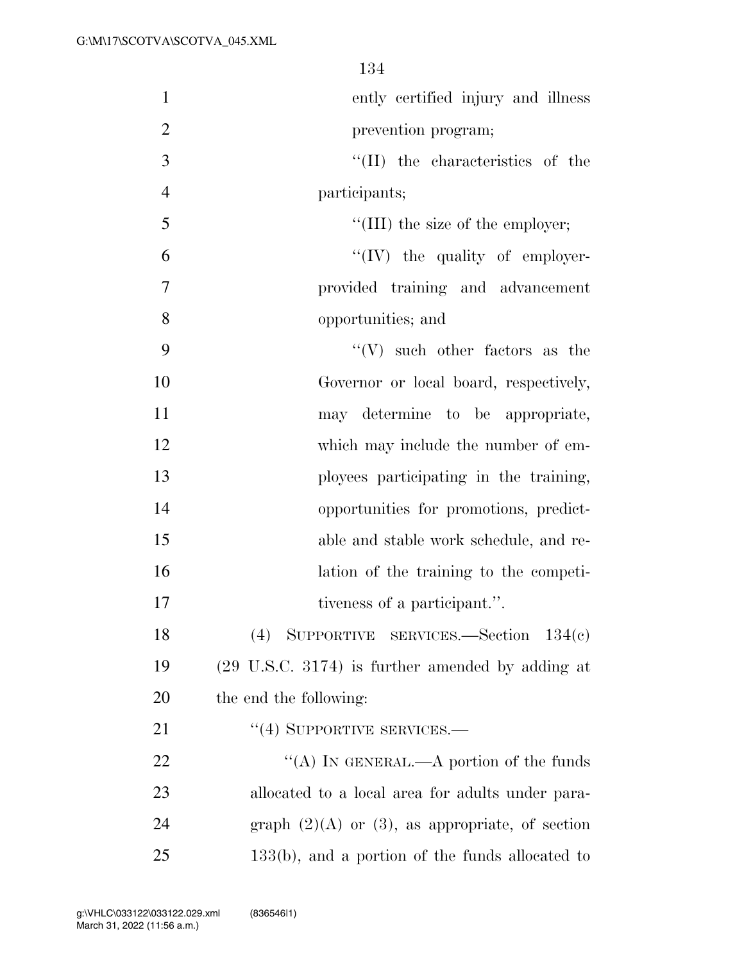| $\mathbf{1}$   | ently certified injury and illness                          |
|----------------|-------------------------------------------------------------|
| $\overline{2}$ | prevention program;                                         |
| 3              | $\lq\lq$ (II) the characteristics of the                    |
| $\overline{4}$ | participants;                                               |
| 5              | $\lq\lq$ (III) the size of the employer;                    |
| 6              | $\lq\lq (IV)$ the quality of employer-                      |
| 7              | provided training and advancement                           |
| 8              | opportunities; and                                          |
| 9              | $\lq\lq (V)$ such other factors as the                      |
| 10             | Governor or local board, respectively,                      |
| 11             | may determine to be appropriate,                            |
| 12             | which may include the number of em-                         |
| 13             | ployees participating in the training,                      |
| 14             | opportunities for promotions, predict-                      |
| 15             | able and stable work schedule, and re-                      |
| 16             | lation of the training to the competi-                      |
| 17             | tiveness of a participant.".                                |
| 18             | (4) SUPPORTIVE SERVICES.—Section $134(c)$                   |
| 19             | $(29 \text{ U.S.C. } 3174)$ is further amended by adding at |
| 20             | the end the following:                                      |
| 21             | $\cdot$ (4) SUPPORTIVE SERVICES.—                           |
| 22             | "(A) IN GENERAL.—A portion of the funds                     |
| 23             | allocated to a local area for adults under para-            |
| 24             | graph $(2)(A)$ or $(3)$ , as appropriate, of section        |
| 25             | $133(b)$ , and a portion of the funds allocated to          |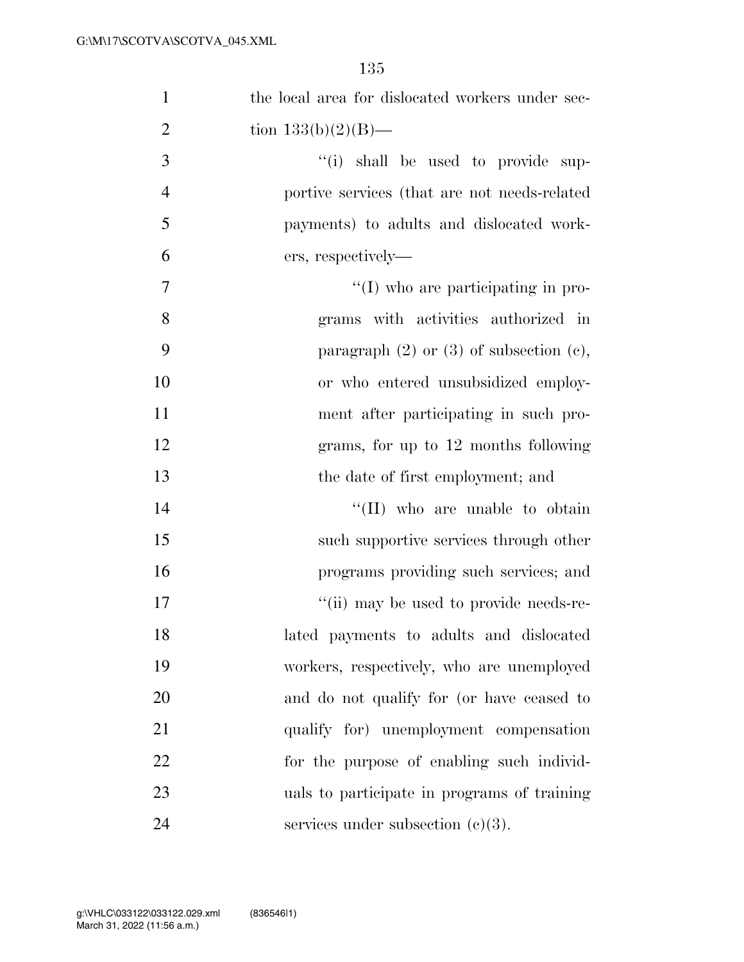| $\mathbf{1}$   | the local area for dislocated workers under sec- |
|----------------|--------------------------------------------------|
| $\overline{2}$ | tion $133(b)(2)(B)$ —                            |
| 3              | "(i) shall be used to provide sup-               |
| $\overline{4}$ | portive services (that are not needs-related     |
| 5              | payments) to adults and dislocated work-         |
| 6              | ers, respectively—                               |
| $\overline{7}$ | $\lq\lq$ (I) who are participating in pro-       |
| 8              | grams with activities authorized in              |
| 9              | paragraph $(2)$ or $(3)$ of subsection $(e)$ ,   |
| 10             | or who entered unsubsidized employ-              |
| 11             | ment after participating in such pro-            |
| 12             | grams, for up to 12 months following             |
| 13             | the date of first employment; and                |
| 14             | "(II) who are unable to obtain                   |
| 15             | such supportive services through other           |
| 16             | programs providing such services; and            |
| 17             | "(ii) may be used to provide needs-re-           |
| 18             | lated payments to adults and dislocated          |
| 19             | workers, respectively, who are unemployed        |
| 20             | and do not qualify for (or have ceased to        |
| 21             | qualify for) unemployment compensation           |
| 22             | for the purpose of enabling such individ-        |
| 23             | uals to participate in programs of training      |
| 24             | services under subsection $(c)(3)$ .             |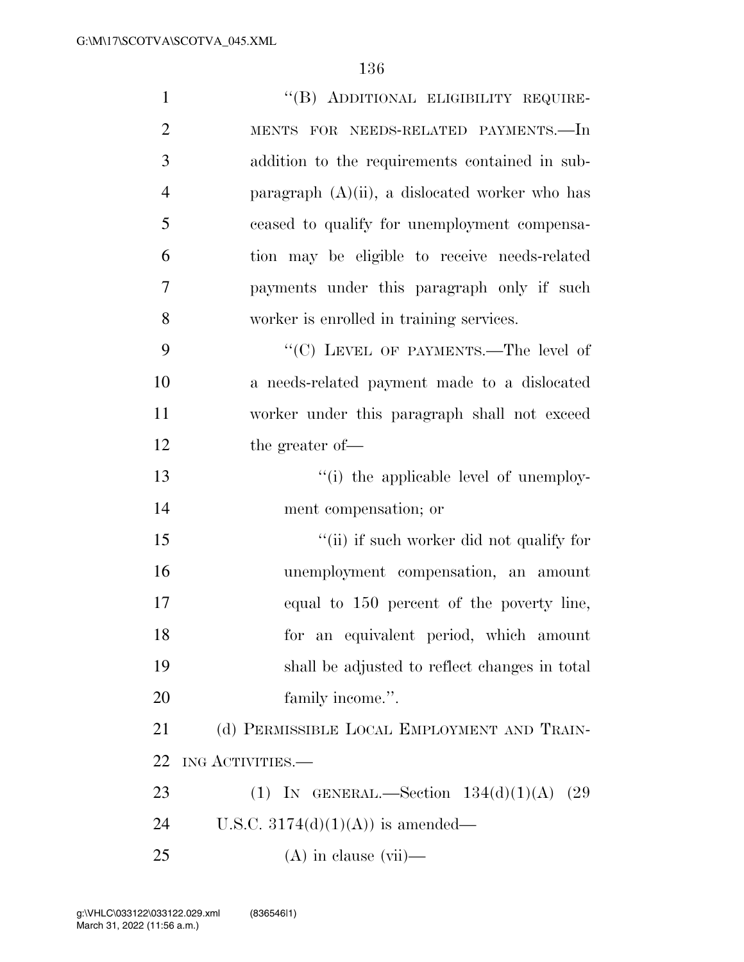| $\mathbf{1}$   | "(B) ADDITIONAL ELIGIBILITY REQUIRE-              |
|----------------|---------------------------------------------------|
| $\mathbf{2}$   | MENTS FOR NEEDS-RELATED PAYMENTS.-In              |
| 3              | addition to the requirements contained in sub-    |
| $\overline{4}$ | paragraph $(A)(ii)$ , a dislocated worker who has |
| 5              | ceased to qualify for unemployment compensa-      |
| 6              | tion may be eligible to receive needs-related     |
| 7              | payments under this paragraph only if such        |
| 8              | worker is enrolled in training services.          |
| 9              | "(C) LEVEL OF PAYMENTS.—The level of              |
| 10             | a needs-related payment made to a dislocated      |
| 11             | worker under this paragraph shall not exceed      |
| 12             | the greater of-                                   |
| 13             | "(i) the applicable level of unemploy-            |
| 14             | ment compensation; or                             |
| 15             | "(ii) if such worker did not qualify for          |
| 16             | unemployment compensation, an amount              |
| 17             | equal to 150 percent of the poverty line,         |
| 18             | for an equivalent period, which amount            |
| 19             | shall be adjusted to reflect changes in total     |
| 20             | family income.".                                  |
| 21             | (d) PERMISSIBLE LOCAL EMPLOYMENT AND TRAIN-       |
| 22             | ING ACTIVITIES.—                                  |
| 23             | (1) IN GENERAL.—Section $134(d)(1)(A)$ (29        |
| 24             | U.S.C. $3174(d)(1)(A)$ is amended—                |
| 25             | $(A)$ in clause $(vii)$ —                         |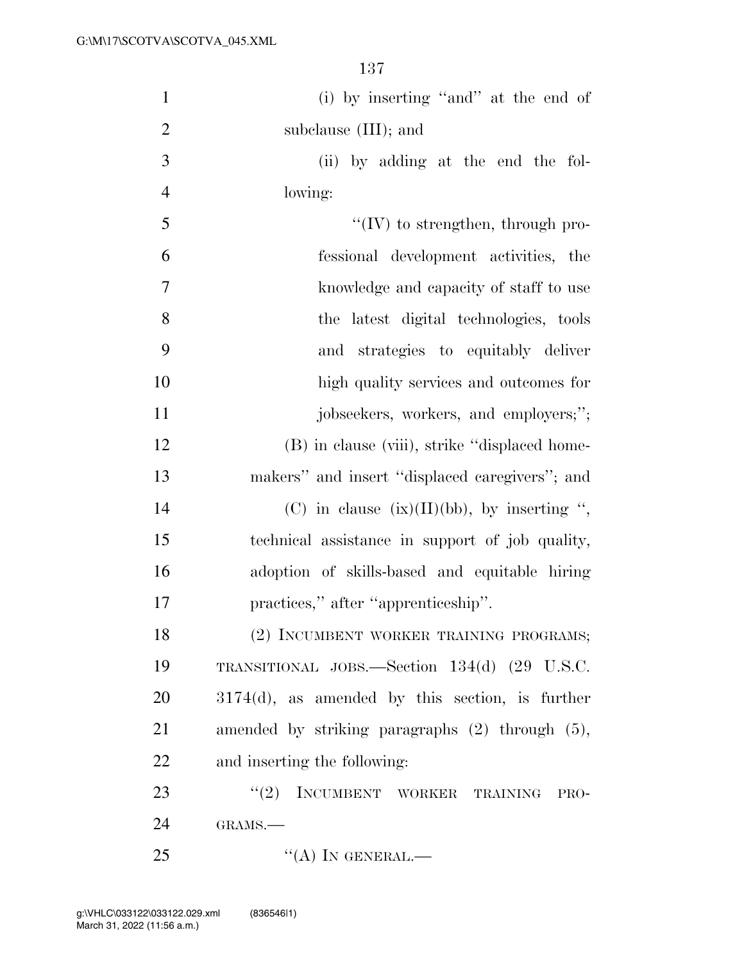| $\mathbf{1}$   | (i) by inserting "and" at the end of                 |
|----------------|------------------------------------------------------|
| $\overline{2}$ | subclause $(III)$ ; and                              |
| 3              | (ii) by adding at the end the fol-                   |
| $\overline{4}$ | lowing:                                              |
| 5              | $\lq\lq (IV)$ to strengthen, through pro-            |
| 6              | fessional development activities, the                |
| $\overline{7}$ | knowledge and capacity of staff to use               |
| $8\,$          | the latest digital technologies, tools               |
| 9              | and strategies to equitably deliver                  |
| 10             | high quality services and outcomes for               |
| 11             | jobseekers, workers, and employers;";                |
| 12             | (B) in clause (viii), strike "displaced home-        |
| 13             | makers" and insert "displaced caregivers"; and       |
| 14             | (C) in clause $(ix)(II)(bb)$ , by inserting ",       |
| 15             | technical assistance in support of job quality,      |
| 16             | adoption of skills-based and equitable hiring        |
| 17             | practices," after "apprenticeship".                  |
| 18             | (2) INCUMBENT WORKER TRAINING PROGRAMS;              |
| 19             | TRANSITIONAL JOBS.—Section 134(d) (29 U.S.C.         |
| 20             | $3174(d)$ , as amended by this section, is further   |
| 21             | amended by striking paragraphs $(2)$ through $(5)$ , |
| 22             | and inserting the following:                         |
| 23             | (2)<br>INCUMBENT WORKER TRAINING<br>PRO-             |
| 24             | GRAMS.-                                              |
| 25             | "(A) IN GENERAL.—                                    |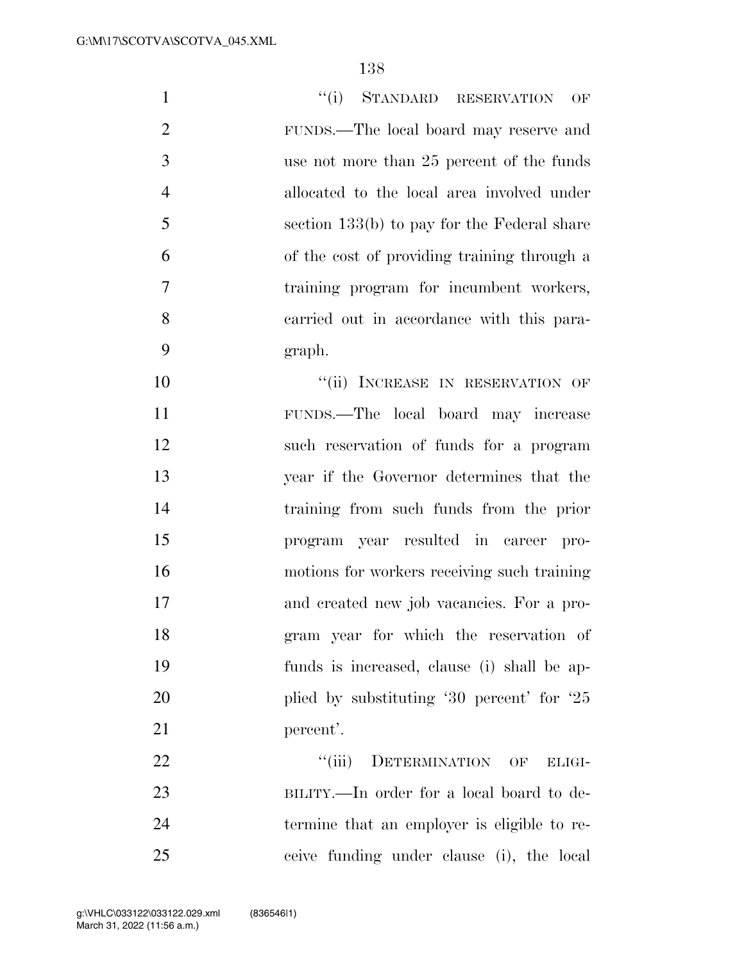1 ''(i) STANDARD RESERVATION OF FUNDS.—The local board may reserve and use not more than 25 percent of the funds allocated to the local area involved under section 133(b) to pay for the Federal share of the cost of providing training through a training program for incumbent workers, carried out in accordance with this para- graph. 10 "(ii) INCREASE IN RESERVATION OF

 FUNDS.—The local board may increase such reservation of funds for a program year if the Governor determines that the training from such funds from the prior program year resulted in career pro- motions for workers receiving such training and created new job vacancies. For a pro- gram year for which the reservation of funds is increased, clause (i) shall be ap-20 plied by substituting '30 percent' for '25 21 percent'.

22 "(iii) DETERMINATION OF ELIGI-23 BILITY.—In order for a local board to de- termine that an employer is eligible to re-ceive funding under clause (i), the local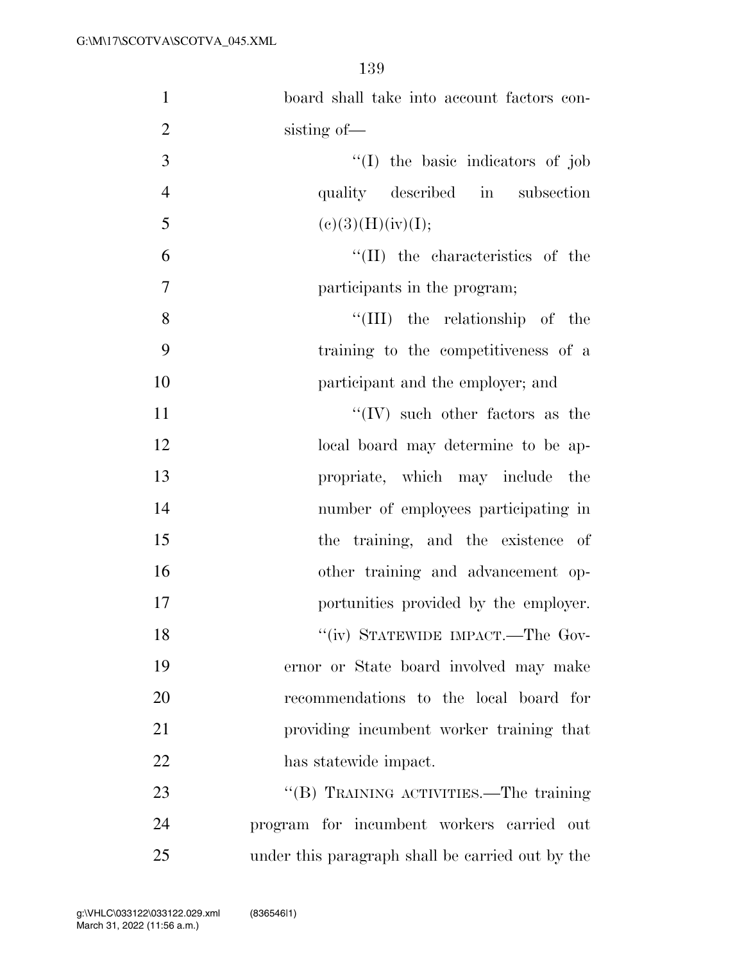| $\mathbf{1}$   | board shall take into account factors con-       |
|----------------|--------------------------------------------------|
| $\overline{2}$ | sisting of-                                      |
| 3              | "(I) the basic indicators of job                 |
| $\overline{4}$ | quality described in subsection                  |
| 5              | (e)(3)(H)(iv)(I);                                |
| 6              | $\lq\lq$ (II) the characteristics of the         |
| $\tau$         | participants in the program;                     |
| 8              | "(III) the relationship of the                   |
| 9              | training to the competitiveness of a             |
| 10             | participant and the employer; and                |
| 11             | $\lq\lq (IV)$ such other factors as the          |
| 12             | local board may determine to be ap-              |
| 13             | propriate, which may include the                 |
| 14             | number of employees participating in             |
| 15             | the training, and the existence of               |
| 16             | other training and advancement op-               |
| 17             | portunities provided by the employer.            |
| 18             | "(iv) STATEWIDE IMPACT.—The Gov-                 |
| 19             | ernor or State board involved may make           |
| 20             | recommendations to the local board for           |
| 21             | providing incumbent worker training that         |
| 22             | has statewide impact.                            |
| 23             | "(B) TRAINING ACTIVITIES.—The training           |
| 24             | program for incumbent workers carried out        |
| 25             | under this paragraph shall be carried out by the |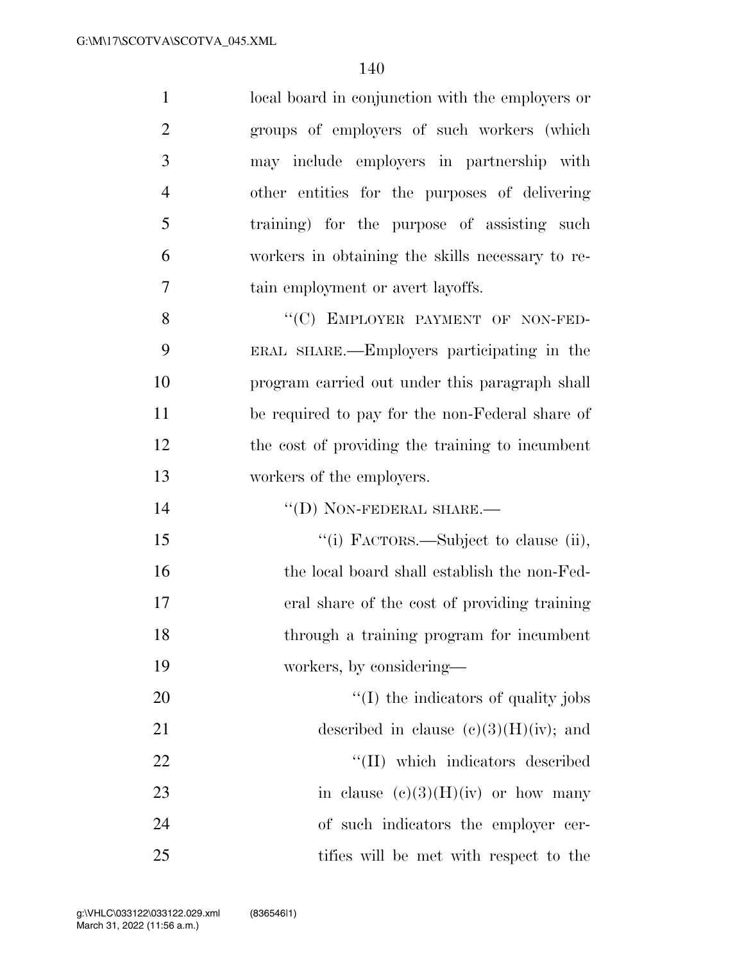| $\mathbf{1}$   | local board in conjunction with the employers or |
|----------------|--------------------------------------------------|
| $\overline{2}$ | groups of employers of such workers (which       |
| 3              | may include employers in partnership with        |
| $\overline{4}$ | other entities for the purposes of delivering    |
| 5              | training) for the purpose of assisting such      |
| 6              | workers in obtaining the skills necessary to re- |
| 7              | tain employment or avert layoffs.                |
| 8              | "(C) EMPLOYER PAYMENT OF NON-FED-                |
| 9              | ERAL SHARE.—Employers participating in the       |
| 10             | program carried out under this paragraph shall   |
| 11             | be required to pay for the non-Federal share of  |
| 12             | the cost of providing the training to incumbent  |
| 13             | workers of the employers.                        |
| 14             | $\lq$ <sup>"</sup> (D) NON-FEDERAL SHARE.—       |
| 15             | "(i) FACTORS.—Subject to clause (ii),            |
| 16             | the local board shall establish the non-Fed-     |
| 17             | eral share of the cost of providing training     |
| 18             | through a training program for incumbent         |
| 19             | workers, by considering—                         |
| 20             | "(I) the indicators of quality jobs              |
| 21             | described in clause $(e)(3)(H)(iv)$ ; and        |
| 22             | "(II) which indicators described                 |
| 23             | in clause $(c)(3)(H)(iv)$ or how many            |
| 24             | of such indicators the employer cer-             |
| 25             | tifies will be met with respect to the           |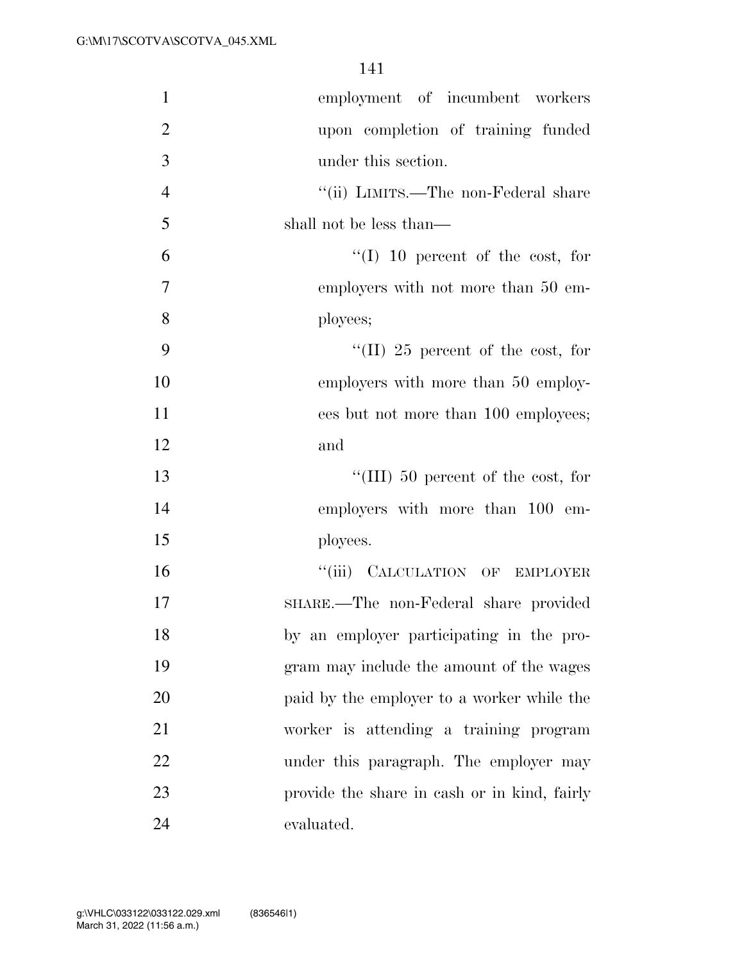| $\mathbf{1}$   | employment of incumbent workers              |
|----------------|----------------------------------------------|
| $\overline{2}$ | upon completion of training funded           |
| 3              | under this section.                          |
| $\overline{4}$ | "(ii) LIMITS.—The non-Federal share          |
| 5              | shall not be less than—                      |
| 6              | $\lq(1)$ 10 percent of the cost, for         |
| $\overline{7}$ | employers with not more than 50 em-          |
| 8              | ployees;                                     |
| 9              | "(II) 25 percent of the cost, for            |
| 10             | employers with more than 50 employ-          |
| 11             | ees but not more than 100 employees;         |
| 12             | and                                          |
| 13             | "(III) 50 percent of the cost, for           |
| 14             | employers with more than 100 em-             |
| 15             | ployees.                                     |
| 16             | "(iii) CALCULATION OF EMPLOYER               |
| 17             | SHARE.—The non-Federal share provided        |
| 18             | by an employer participating in the pro-     |
| 19             | gram may include the amount of the wages     |
| 20             | paid by the employer to a worker while the   |
| 21             | worker is attending a training program       |
| 22             | under this paragraph. The employer may       |
| 23             | provide the share in cash or in kind, fairly |
| 24             | evaluated.                                   |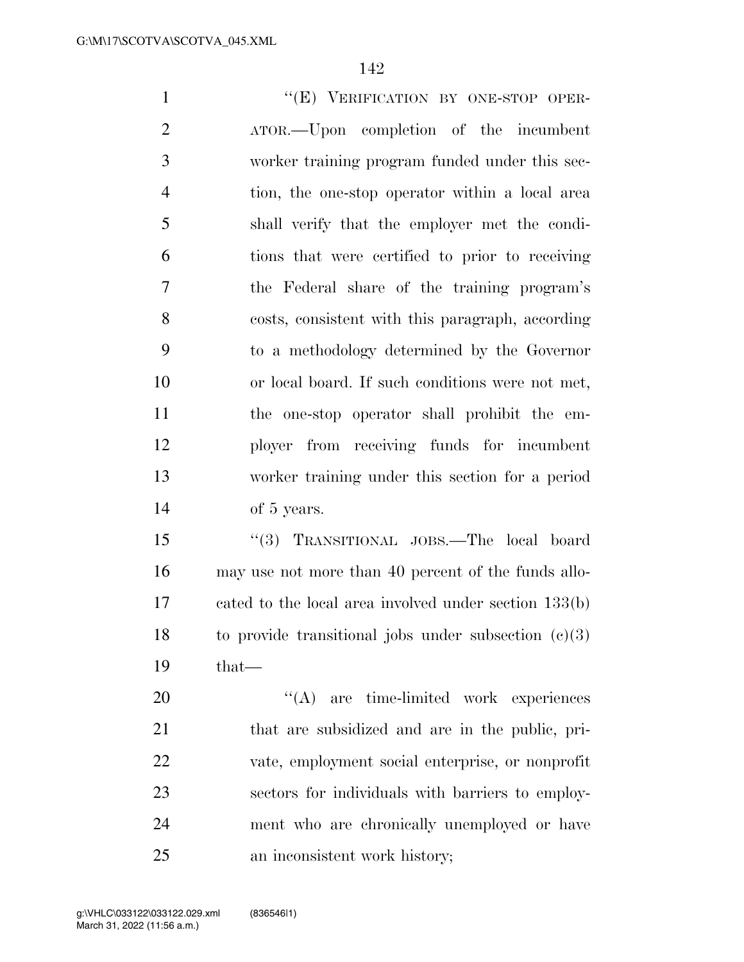1 "'(E) VERIFICATION BY ONE-STOP OPER- ATOR.—Upon completion of the incumbent worker training program funded under this sec- tion, the one-stop operator within a local area shall verify that the employer met the condi- tions that were certified to prior to receiving the Federal share of the training program's costs, consistent with this paragraph, according to a methodology determined by the Governor or local board. If such conditions were not met, the one-stop operator shall prohibit the em- ployer from receiving funds for incumbent worker training under this section for a period of 5 years. ''(3) TRANSITIONAL JOBS.—The local board may use not more than 40 percent of the funds allo- cated to the local area involved under section 133(b) 18 to provide transitional jobs under subsection  $(c)(3)$ 

that—

 $\text{``(A)}$  are time-limited work experiences that are subsidized and are in the public, pri- vate, employment social enterprise, or nonprofit sectors for individuals with barriers to employ- ment who are chronically unemployed or have an inconsistent work history;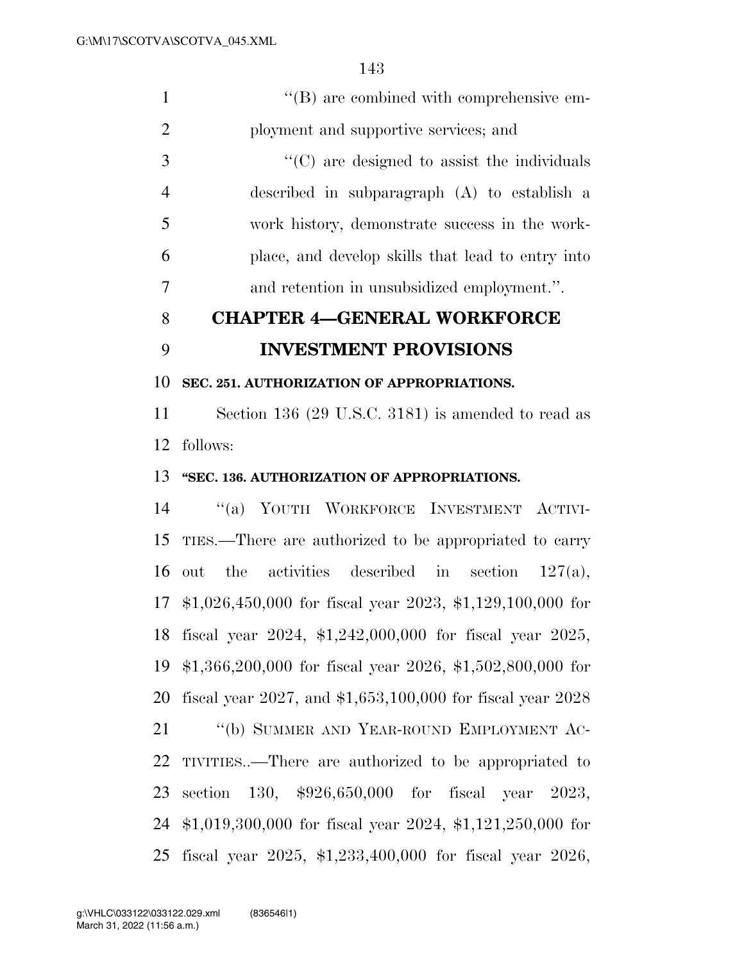| $\mathbf{1}$   | $\lq\lq (B)$ are combined with comprehensive em-            |
|----------------|-------------------------------------------------------------|
| $\overline{2}$ | ployment and supportive services; and                       |
| 3              | $\cdot\cdot$ (C) are designed to assist the individuals     |
| $\overline{4}$ | described in subparagraph $(A)$ to establish a              |
| 5              | work history, demonstrate success in the work-              |
| 6              | place, and develop skills that lead to entry into           |
| 7              | and retention in unsubsidized employment.".                 |
| 8              | <b>CHAPTER 4-GENERAL WORKFORCE</b>                          |
| 9              | <b>INVESTMENT PROVISIONS</b>                                |
| 10             | SEC. 251. AUTHORIZATION OF APPROPRIATIONS.                  |
| 11             | Section 136 (29 U.S.C. 3181) is amended to read as          |
| 12             | follows:                                                    |
| 13             | "SEC. 136. AUTHORIZATION OF APPROPRIATIONS.                 |
| 14             | YOUTH WORKFORCE INVESTMENT ACTIVI-<br>$\lq(a)$              |
| 15             | TIES.—There are authorized to be appropriated to carry      |
| 16             | out the activities described in section<br>$127(a)$ ,       |
| 17             | $$1,026,450,000$ for fiscal year 2023, \$1,129,100,000 for  |
| 18             | fiscal year 2024, \$1,242,000,000 for fiscal year 2025,     |
| 19             | $$1,366,200,000$ for fiscal year 2026, $$1,502,800,000$ for |
| 20             | fiscal year 2027, and $$1,653,100,000$ for fiscal year 2028 |
| 21             | "(b) SUMMER AND YEAR-ROUND EMPLOYMENT AC-                   |
| 22             | TIVITIES—There are authorized to be appropriated to         |
| 23             | 130, $$926,650,000$ for fiscal year<br>section<br>2023,     |
| 24             | $$1,019,300,000$ for fiscal year 2024, $$1,121,250,000$ for |
| 25             | fiscal year 2025, \$1,233,400,000 for fiscal year 2026,     |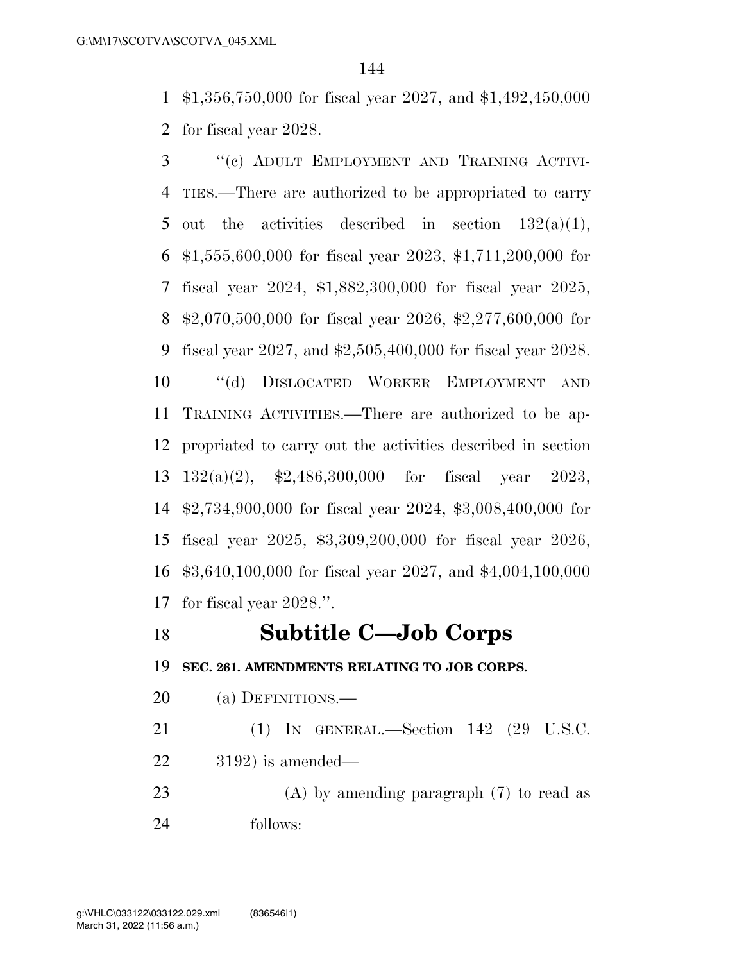\$1,356,750,000 for fiscal year 2027, and \$1,492,450,000 for fiscal year 2028.

 ''(c) ADULT EMPLOYMENT AND TRAINING ACTIVI- TIES.—There are authorized to be appropriated to carry 5 out the activities described in section  $132(a)(1)$ , \$1,555,600,000 for fiscal year 2023, \$1,711,200,000 for fiscal year 2024, \$1,882,300,000 for fiscal year 2025, \$2,070,500,000 for fiscal year 2026, \$2,277,600,000 for fiscal year 2027, and \$2,505,400,000 for fiscal year 2028. ''(d) DISLOCATED WORKER EMPLOYMENT AND TRAINING ACTIVITIES.—There are authorized to be ap- propriated to carry out the activities described in section 132(a)(2), \$2,486,300,000 for fiscal year 2023, \$2,734,900,000 for fiscal year 2024, \$3,008,400,000 for fiscal year 2025, \$3,309,200,000 for fiscal year 2026, \$3,640,100,000 for fiscal year 2027, and \$4,004,100,000 for fiscal year 2028.''.

## **Subtitle C—Job Corps**

**SEC. 261. AMENDMENTS RELATING TO JOB CORPS.** 

(a) DEFINITIONS.—

 (1) IN GENERAL.—Section 142 (29 U.S.C. 3192) is amended—

 (A) by amending paragraph (7) to read as follows: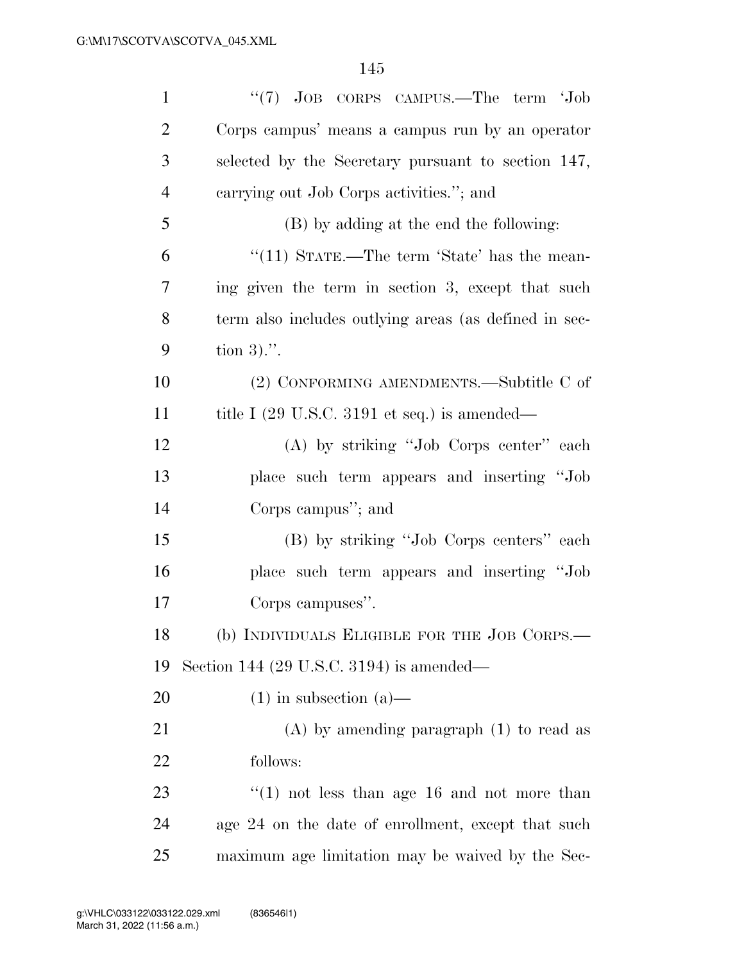| $\mathbf{1}$   | "(7) JOB CORPS CAMPUS.—The term 'Job                            |
|----------------|-----------------------------------------------------------------|
| $\overline{2}$ | Corps campus' means a campus run by an operator                 |
| 3              | selected by the Secretary pursuant to section 147,              |
| 4              | carrying out Job Corps activities."; and                        |
| 5              | (B) by adding at the end the following:                         |
| 6              | "(11) STATE.—The term 'State' has the mean-                     |
| 7              | ing given the term in section 3, except that such               |
| 8              | term also includes outlying areas (as defined in sec-           |
| 9              | tion $3)$ .".                                                   |
| 10             | (2) CONFORMING AMENDMENTS.—Subtitle C of                        |
| 11             | title I $(29 \text{ U.S.C. } 3191 \text{ et seq.})$ is amended— |
| 12             | (A) by striking "Job Corps center" each                         |
| 13             | place such term appears and inserting "Job                      |
| 14             | Corps campus"; and                                              |
| 15             | (B) by striking "Job Corps centers" each                        |
| 16             | place such term appears and inserting "Job                      |
| 17             | Corps campuses".                                                |
| 18             | (b) INDIVIDUALS ELIGIBLE FOR THE JOB CORPS.-                    |
| 19             | Section 144 (29 U.S.C. 3194) is amended—                        |
| 20             | $(1)$ in subsection $(a)$ —                                     |
| 21             | $(A)$ by amending paragraph $(1)$ to read as                    |
| 22             | follows:                                                        |
| 23             | $\lq(1)$ not less than age 16 and not more than                 |
| 24             | age 24 on the date of enrollment, except that such              |
| 25             | maximum age limitation may be waived by the Sec-                |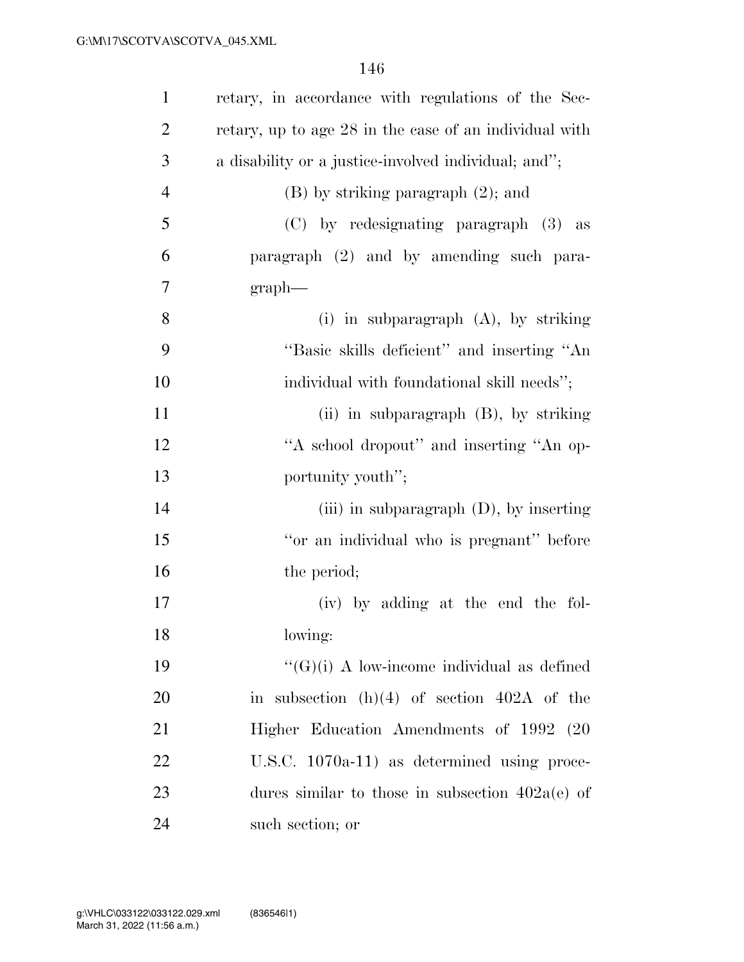| $\mathbf{1}$   | retary, in accordance with regulations of the Sec-     |
|----------------|--------------------------------------------------------|
| $\overline{2}$ | retary, up to age 28 in the case of an individual with |
| 3              | a disability or a justice-involved individual; and";   |
| $\overline{4}$ | $(B)$ by striking paragraph $(2)$ ; and                |
| 5              | (C) by redesignating paragraph (3) as                  |
| 6              | paragraph (2) and by amending such para-               |
| 7              | $graph$ —                                              |
| 8              | (i) in subparagraph $(A)$ , by striking                |
| 9              | "Basic skills deficient" and inserting "An             |
| 10             | individual with foundational skill needs";             |
| 11             | (ii) in subparagraph $(B)$ , by striking               |
| 12             | "A school dropout" and inserting "An op-               |
| 13             | portunity youth";                                      |
| 14             | (iii) in subparagraph $(D)$ , by inserting             |
| 15             | "or an individual who is pregnant" before              |
| 16             | the period;                                            |
| 17             | (iv) by adding at the end the fol-                     |
| 18             | lowing:                                                |
| 19             | $\lq\lq(G)(i)$ A low-income individual as defined      |
| 20             | in subsection $(h)(4)$ of section 402A of the          |
| 21             | Higher Education Amendments of 1992 (20                |
| 22             | U.S.C. $1070a-11$ as determined using proce-           |
| 23             | dures similar to those in subsection $402a(e)$ of      |
| 24             | such section; or                                       |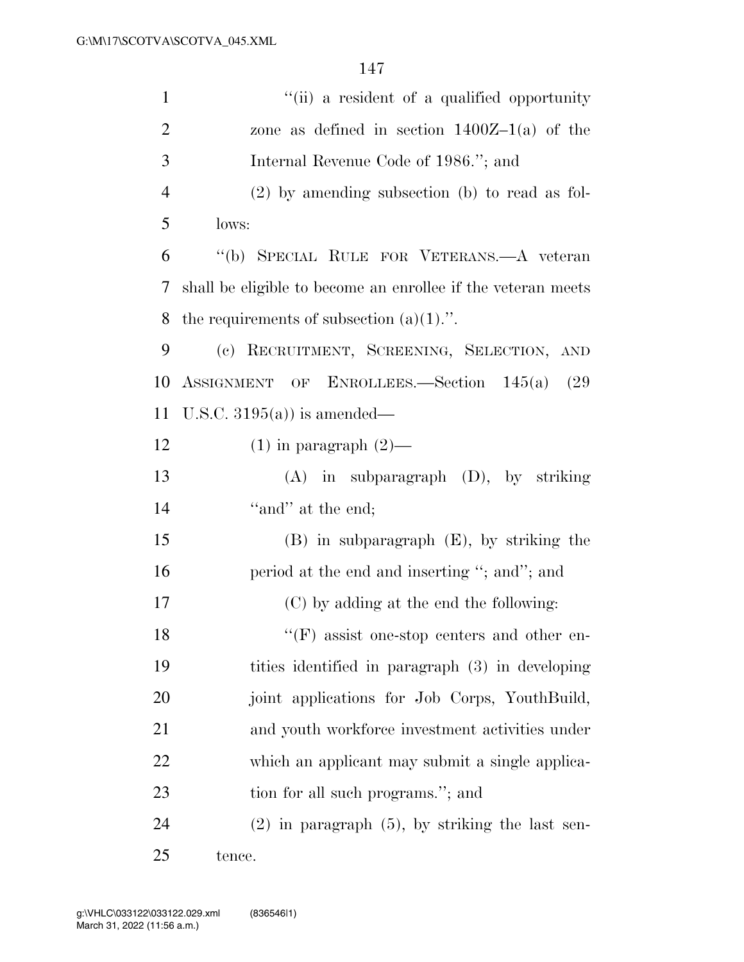| $\mathbf{1}$   | "(ii) a resident of a qualified opportunity                  |
|----------------|--------------------------------------------------------------|
| $\overline{2}$ | zone as defined in section $1400Z-1(a)$ of the               |
| 3              | Internal Revenue Code of 1986."; and                         |
| $\overline{4}$ | $(2)$ by amending subsection (b) to read as fol-             |
| 5              | lows:                                                        |
| 6              | "(b) SPECIAL RULE FOR VETERANS.—A veteran                    |
| 7              | shall be eligible to become an enrollee if the veteran meets |
| 8              | the requirements of subsection $(a)(1)$ .".                  |
| 9              | (c) RECRUITMENT, SCREENING, SELECTION, AND                   |
| 10             | ASSIGNMENT OF ENROLLEES.—Section 145(a)<br>(29)              |
| 11             | U.S.C. $3195(a)$ is amended—                                 |
| 12             | $(1)$ in paragraph $(2)$ —                                   |
| 13             | $(A)$ in subparagraph $(D)$ , by striking                    |
| 14             | "and" at the end;                                            |
| 15             | $(B)$ in subparagraph $(E)$ , by striking the                |
| 16             | period at the end and inserting "; and"; and                 |
| 17             | (C) by adding at the end the following:                      |
| 18             | $\lq\lq(F)$ assist one-stop centers and other en-            |
| 19             | tities identified in paragraph (3) in developing             |
| 20             | joint applications for Job Corps, YouthBuild,                |
| 21             | and youth workforce investment activities under              |
| 22             | which an applicant may submit a single applica-              |
| 23             | tion for all such programs."; and                            |
| 24             | $(2)$ in paragraph $(5)$ , by striking the last sen-         |
| 25             | tence.                                                       |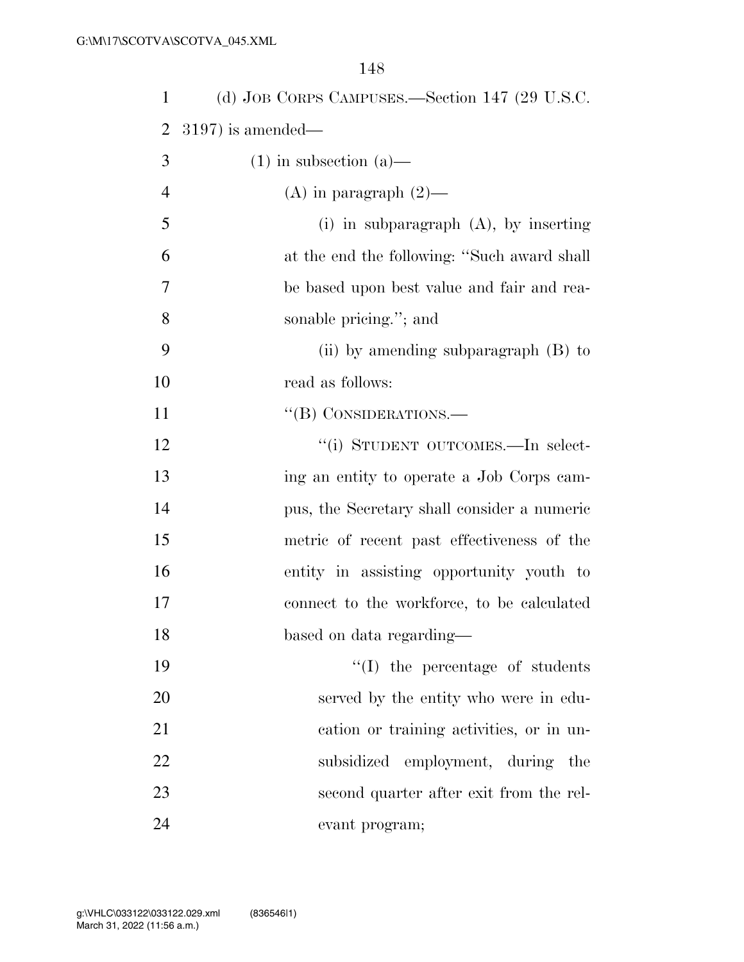| $\mathbf{1}$   | (d) JOB CORPS CAMPUSES.—Section 147 (29 U.S.C. |
|----------------|------------------------------------------------|
| $\overline{2}$ | $3197$ ) is amended—                           |
| 3              | $(1)$ in subsection $(a)$ —                    |
| $\overline{4}$ | $(A)$ in paragraph $(2)$ —                     |
| 5              | (i) in subparagraph $(A)$ , by inserting       |
| 6              | at the end the following: "Such award shall    |
| 7              | be based upon best value and fair and rea-     |
| 8              | sonable pricing."; and                         |
| 9              | (ii) by amending subparagraph $(B)$ to         |
| 10             | read as follows:                               |
| 11             | "(B) CONSIDERATIONS.—                          |
| 12             | "(i) STUDENT OUTCOMES.—In select-              |
| 13             | ing an entity to operate a Job Corps cam-      |
| 14             | pus, the Secretary shall consider a numeric    |
| 15             | metric of recent past effectiveness of the     |
| 16             | entity in assisting opportunity youth to       |
| 17             | connect to the workforce, to be calculated     |
| 18             | based on data regarding—                       |
| 19             | $\lq\lq$ the percentage of students            |
| 20             | served by the entity who were in edu-          |
| 21             | cation or training activities, or in un-       |
| 22             | subsidized employment, during the              |
| 23             | second quarter after exit from the rel-        |
| 24             | evant program;                                 |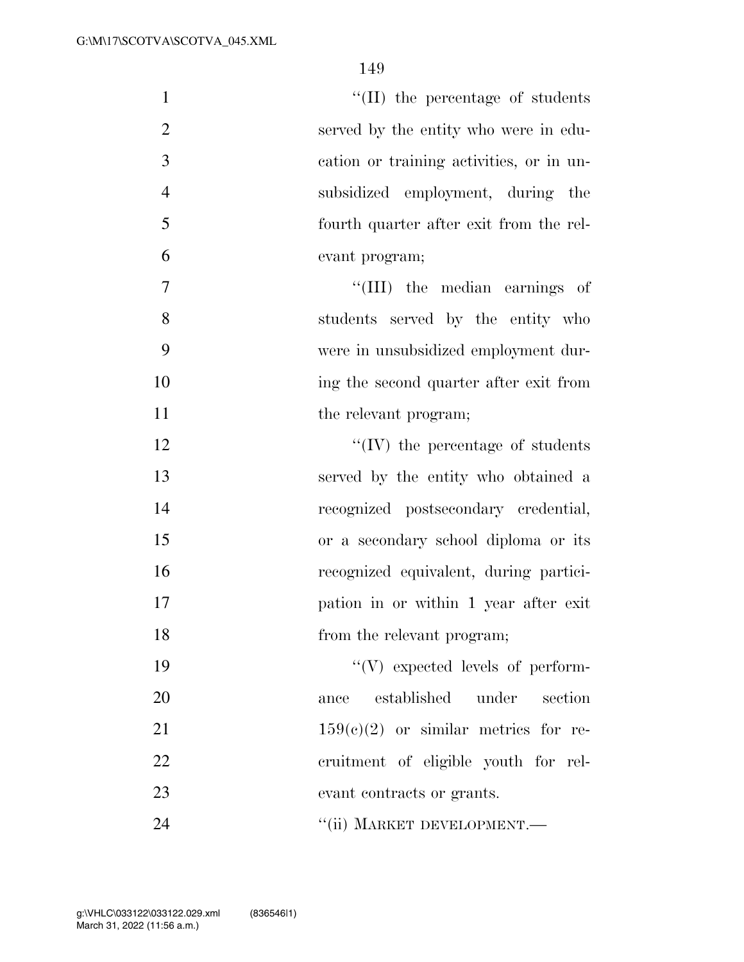| $\mathbf{1}$   | "(II) the percentage of students         |
|----------------|------------------------------------------|
| $\overline{2}$ | served by the entity who were in edu-    |
| 3              | cation or training activities, or in un- |
| $\overline{4}$ | subsidized employment, during the        |
| 5              | fourth quarter after exit from the rel-  |
| 6              | evant program;                           |
| $\overline{7}$ | "(III) the median earnings of            |
| 8              | students served by the entity who        |
| 9              | were in unsubsidized employment dur-     |
| 10             | ing the second quarter after exit from   |
| 11             | the relevant program;                    |
| 12             | "(IV) the percentage of students         |
| 13             | served by the entity who obtained a      |
| 14             | recognized postsecondary credential,     |
| 15             | or a secondary school diploma or its     |
| 16             | recognized equivalent, during partici-   |
| 17             | pation in or within 1 year after exit    |
| 18             | from the relevant program;               |
| 19             | "(V) expected levels of perform-         |
| 20             | established<br>under<br>section<br>ance  |
| 21             | $159(c)(2)$ or similar metrics for re-   |
| 22             | cruitment of eligible youth for rel-     |
| 23             | evant contracts or grants.               |
| 24             | "(ii) MARKET DEVELOPMENT.-               |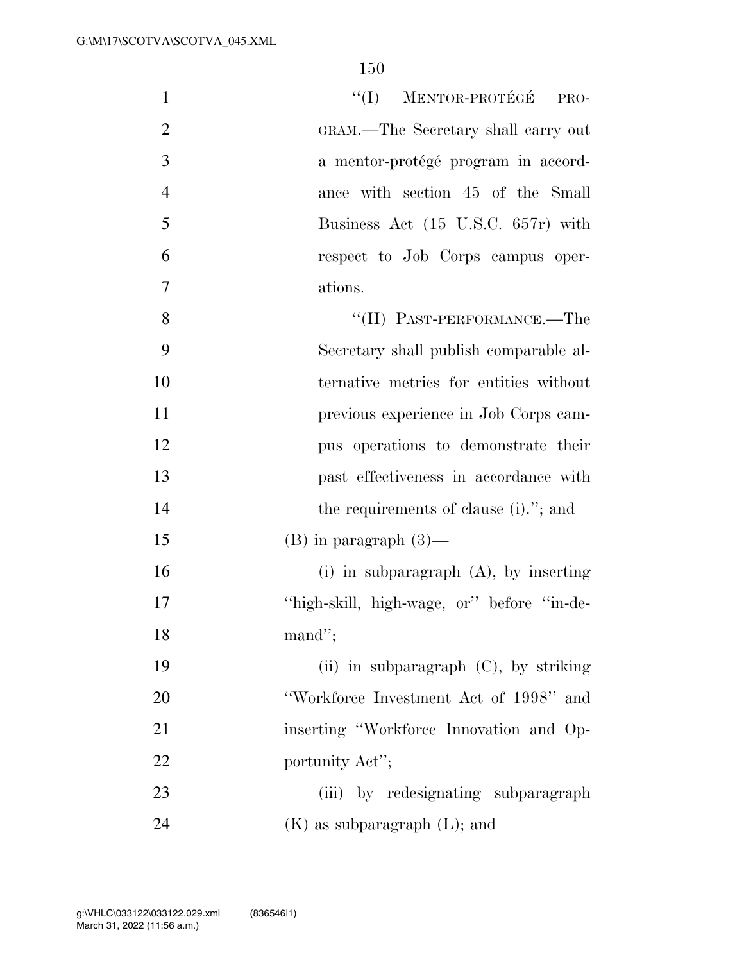| $\mathbf{1}$   | MENTOR-PROTÉGÉ<br>``(I)<br>PRO-            |
|----------------|--------------------------------------------|
| $\overline{2}$ | GRAM.—The Secretary shall carry out        |
| 3              | a mentor-protégé program in accord-        |
| $\overline{4}$ | ance with section 45 of the Small          |
| 5              | Business Act (15 U.S.C. 657r) with         |
| 6              | respect to Job Corps campus oper-          |
| 7              | ations.                                    |
| 8              | "(II) PAST-PERFORMANCE.—The                |
| 9              | Secretary shall publish comparable al-     |
| 10             | ternative metrics for entities without     |
| 11             | previous experience in Job Corps cam-      |
| 12             | pus operations to demonstrate their        |
| 13             | past effectiveness in accordance with      |
| 14             | the requirements of clause (i)."; and      |
| 15             | $(B)$ in paragraph $(3)$ —                 |
| 16             | (i) in subparagraph $(A)$ , by inserting   |
| 17             | "high-skill, high-wage, or" before "in-de- |
| 18             | mand";                                     |
| 19             | (ii) in subparagraph $(C)$ , by striking   |
| 20             | "Workforce Investment Act of 1998" and     |
| 21             | inserting "Workforce Innovation and Op-    |
| 22             | portunity Act";                            |
| 23             | (iii) by redesignating subparagraph        |
| 24             | $(K)$ as subparagraph $(L)$ ; and          |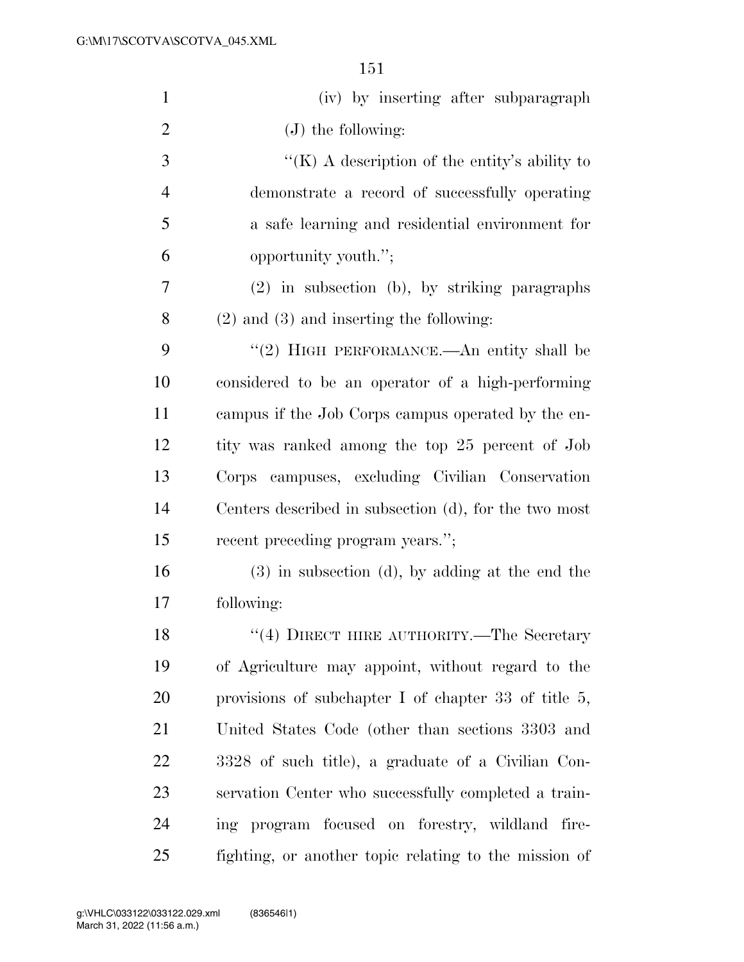| $\mathbf{1}$   | (iv) by inserting after subparagraph                    |
|----------------|---------------------------------------------------------|
| $\overline{2}$ | $(J)$ the following:                                    |
| 3              | "(K) A description of the entity's ability to           |
| $\overline{4}$ | demonstrate a record of successfully operating          |
| 5              | a safe learning and residential environment for         |
| 6              | opportunity youth.";                                    |
| 7              | (2) in subsection (b), by striking paragraphs           |
| 8              | $(2)$ and $(3)$ and inserting the following:            |
| 9              | "(2) HIGH PERFORMANCE.—An entity shall be               |
| 10             | considered to be an operator of a high-performing       |
| 11             | campus if the Job Corps campus operated by the en-      |
| 12             | tity was ranked among the top 25 percent of Job         |
| 13             | Corps campuses, excluding Civilian Conservation         |
| 14             | Centers described in subsection (d), for the two most   |
| 15             | recent preceding program years.";                       |
| 16             | $(3)$ in subsection $(d)$ , by adding at the end the    |
| 17             | following:                                              |
| 18             | "(4) DIRECT HIRE AUTHORITY.—The Secretary               |
| 19             | of Agriculture may appoint, without regard to the       |
| 20             | provisions of subchapter I of chapter 33 of title $5$ , |
| 21             | United States Code (other than sections 3303 and        |
| 22             | 3328 of such title), a graduate of a Civilian Con-      |
| 23             | servation Center who successfully completed a train-    |
| 24             | ing program focused on forestry, wildland fire-         |
| 25             | fighting, or another topic relating to the mission of   |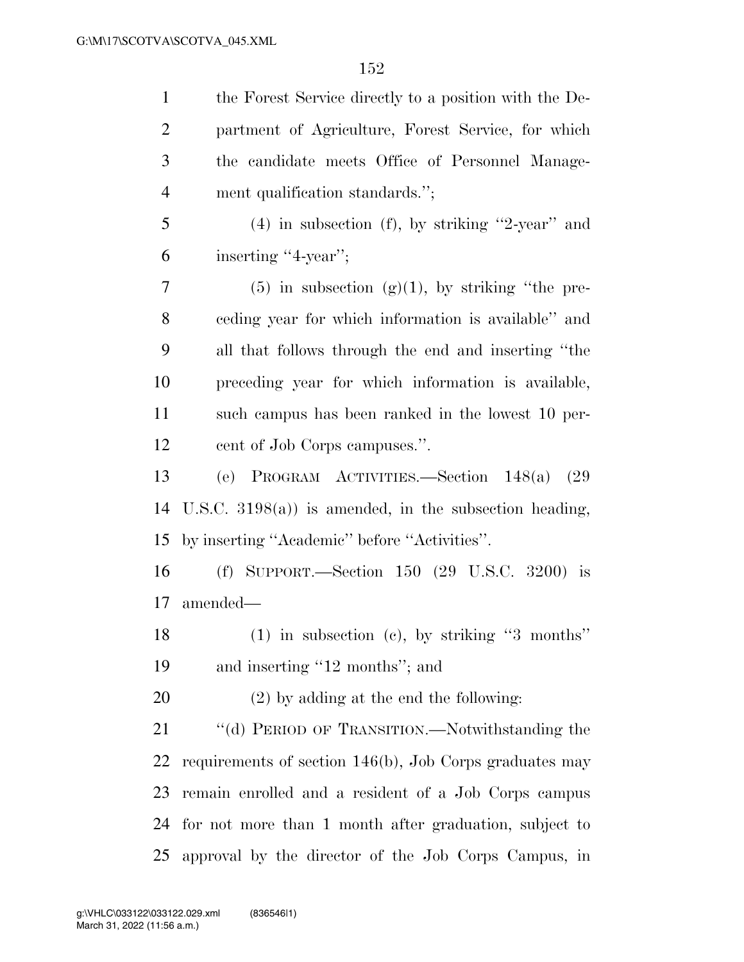| $\mathbf{1}$   | the Forest Service directly to a position with the De-     |
|----------------|------------------------------------------------------------|
| $\overline{2}$ | partment of Agriculture, Forest Service, for which         |
| 3              | the candidate meets Office of Personnel Manage-            |
| $\overline{4}$ | ment qualification standards.";                            |
| 5              | $(4)$ in subsection (f), by striking "2-year" and          |
| 6              | inserting "4-year";                                        |
| $\tau$         | $(5)$ in subsection $(g)(1)$ , by striking "the pre-       |
| 8              | ceding year for which information is available" and        |
| 9              | all that follows through the end and inserting "the        |
| 10             | preceding year for which information is available,         |
| 11             | such campus has been ranked in the lowest 10 per-          |
| 12             | cent of Job Corps campuses.".                              |
| 13             | (e) PROGRAM ACTIVITIES.—Section 148(a)<br>(29)             |
| 14             | U.S.C. $3198(a)$ is amended, in the subsection heading,    |
| 15             | by inserting "Academic" before "Activities".               |
| 16             | $(f)$ SUPPORT.—Section 150 $(29 \text{ U.S.C. } 3200)$ is  |
| 17             | amended—                                                   |
| 18             | $(1)$ in subsection $(e)$ , by striking "3 months"         |
| 19             | and inserting "12 months"; and                             |
| 20             | $(2)$ by adding at the end the following:                  |
| 21             | "(d) PERIOD OF TRANSITION.—Notwithstanding the             |
| 22             | requirements of section $146(b)$ , Job Corps graduates may |
| 23             | remain enrolled and a resident of a Job Corps campus       |
| 24             | for not more than 1 month after graduation, subject to     |
| 25             | approval by the director of the Job Corps Campus, in       |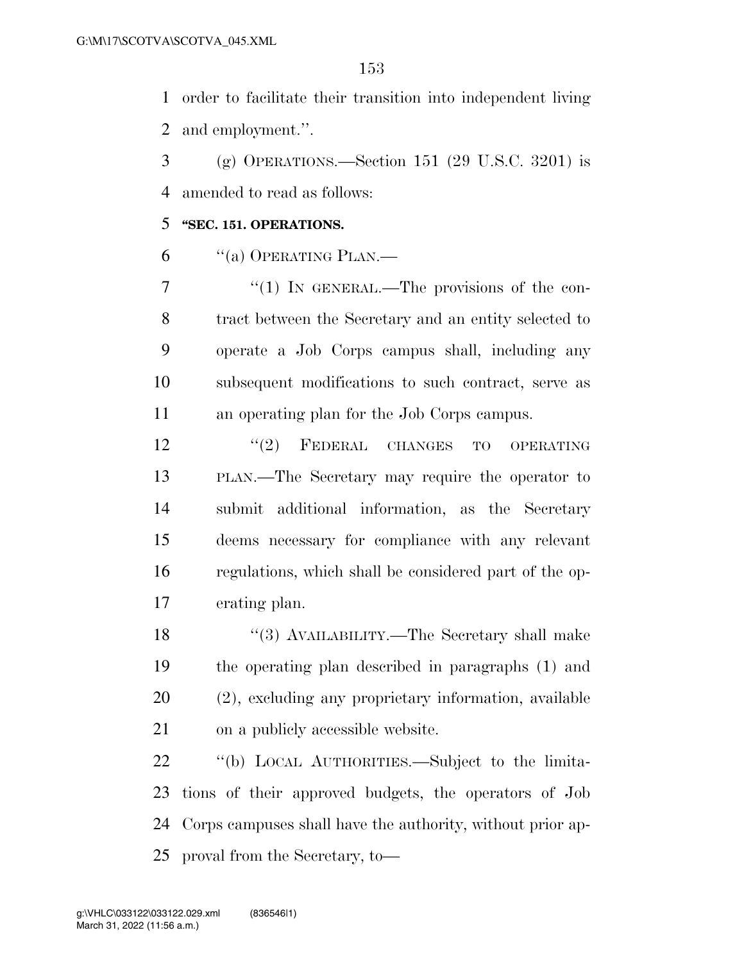order to facilitate their transition into independent living and employment.''.

 (g) OPERATIONS.—Section 151 (29 U.S.C. 3201) is amended to read as follows:

### **''SEC. 151. OPERATIONS.**

"(a) OPERATING PLAN.—

7 "(1) In GENERAL.—The provisions of the con- tract between the Secretary and an entity selected to operate a Job Corps campus shall, including any subsequent modifications to such contract, serve as an operating plan for the Job Corps campus.

12 "(2) FEDERAL CHANGES TO OPERATING PLAN.—The Secretary may require the operator to submit additional information, as the Secretary deems necessary for compliance with any relevant regulations, which shall be considered part of the op-erating plan.

18 ''(3) AVAILABILITY.—The Secretary shall make the operating plan described in paragraphs (1) and (2), excluding any proprietary information, available on a publicly accessible website.

 ''(b) LOCAL AUTHORITIES.—Subject to the limita- tions of their approved budgets, the operators of Job Corps campuses shall have the authority, without prior ap-proval from the Secretary, to—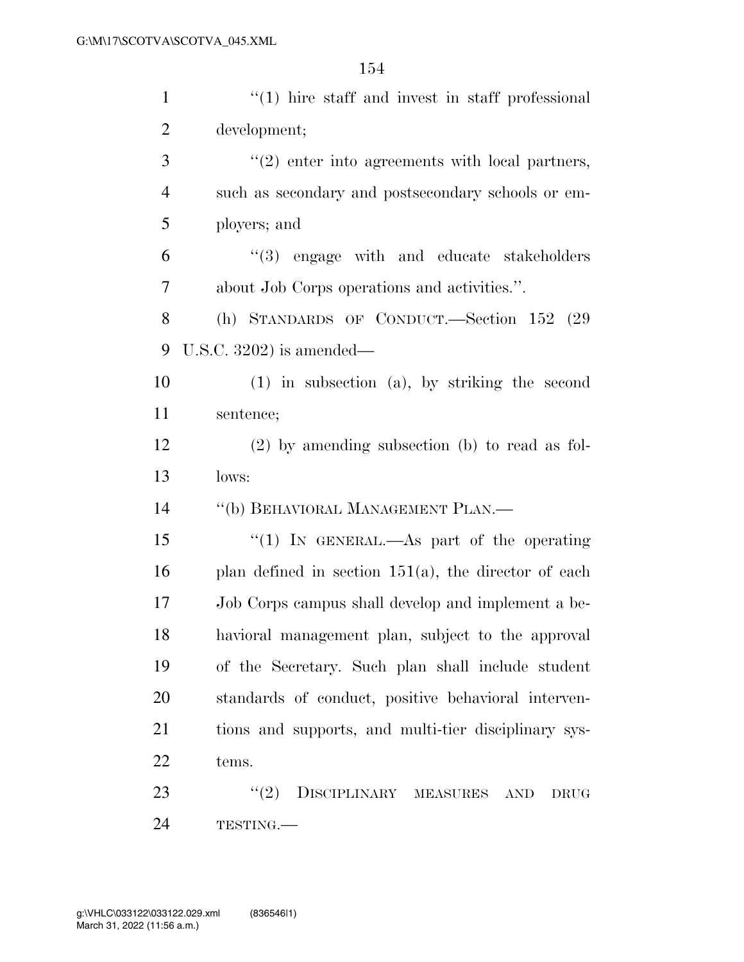| $\mathbf{1}$   | $\lq(1)$ hire staff and invest in staff professional      |
|----------------|-----------------------------------------------------------|
| $\overline{2}$ | development;                                              |
| 3              | $\lq(2)$ enter into agreements with local partners,       |
| $\overline{4}$ | such as secondary and postsecondary schools or em-        |
| 5              | ployers; and                                              |
| 6              | $(3)$ engage with and educate stakeholders                |
| 7              | about Job Corps operations and activities.".              |
| 8              | (h) STANDARDS OF CONDUCT.—Section 152 (29                 |
| 9              | U.S.C. $3202$ ) is amended—                               |
| 10             | $(1)$ in subsection $(a)$ , by striking the second        |
| 11             | sentence;                                                 |
| 12             | $(2)$ by amending subsection (b) to read as fol-          |
| 13             | lows:                                                     |
| 14             | "(b) BEHAVIORAL MANAGEMENT PLAN.—                         |
| 15             | "(1) IN GENERAL.—As part of the operating                 |
| 16             | plan defined in section $151(a)$ , the director of each   |
| 17             | Job Corps campus shall develop and implement a be-        |
| 18             | havioral management plan, subject to the approval         |
| 19             | of the Secretary. Such plan shall include student         |
| 20             | standards of conduct, positive behavioral interven-       |
| 21             | tions and supports, and multi-tier disciplinary sys-      |
| 22             | tems.                                                     |
| 23             | (2)<br>DISCIPLINARY MEASURES<br><b>AND</b><br><b>DRUG</b> |
| 24             | TESTING.                                                  |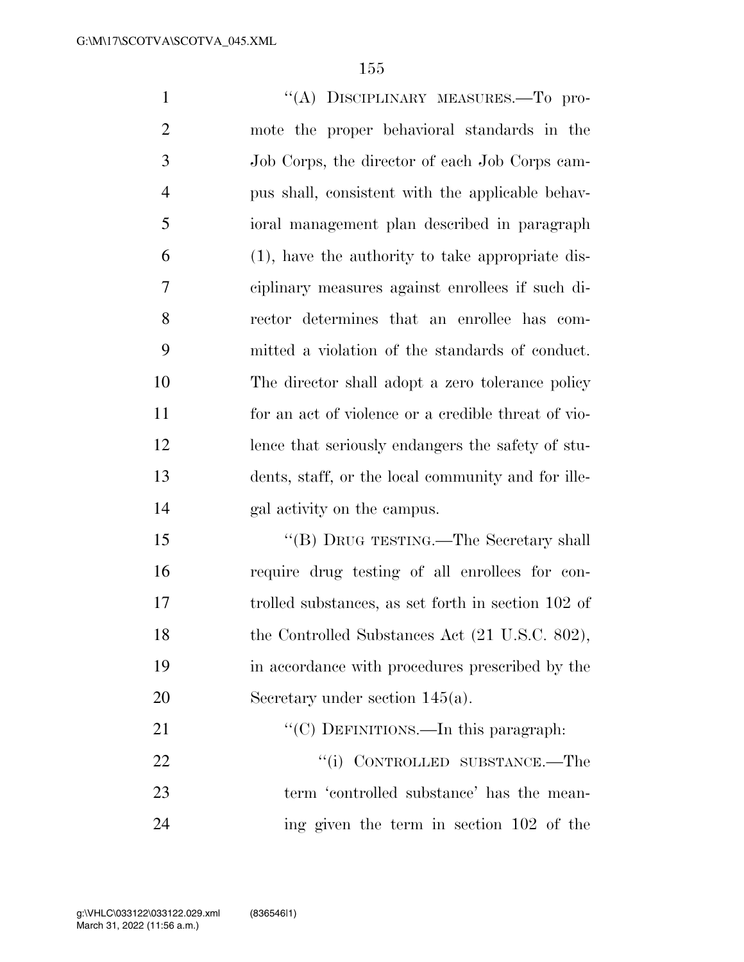1 "(A) DISCIPLINARY MEASURES.—To pro- mote the proper behavioral standards in the Job Corps, the director of each Job Corps cam- pus shall, consistent with the applicable behav- ioral management plan described in paragraph (1), have the authority to take appropriate dis- ciplinary measures against enrollees if such di- rector determines that an enrollee has com- mitted a violation of the standards of conduct. The director shall adopt a zero tolerance policy for an act of violence or a credible threat of vio- lence that seriously endangers the safety of stu- dents, staff, or the local community and for ille- gal activity on the campus. 15 "(B) DRUG TESTING.—The Secretary shall require drug testing of all enrollees for con- trolled substances, as set forth in section 102 of 18 the Controlled Substances Act (21 U.S.C. 802), in accordance with procedures prescribed by the 20 Secretary under section 145(a).

21 ""(C) DEFINITIONS.—In this paragraph: 22 "(i) CONTROLLED SUBSTANCE.—The term 'controlled substance' has the mean-ing given the term in section 102 of the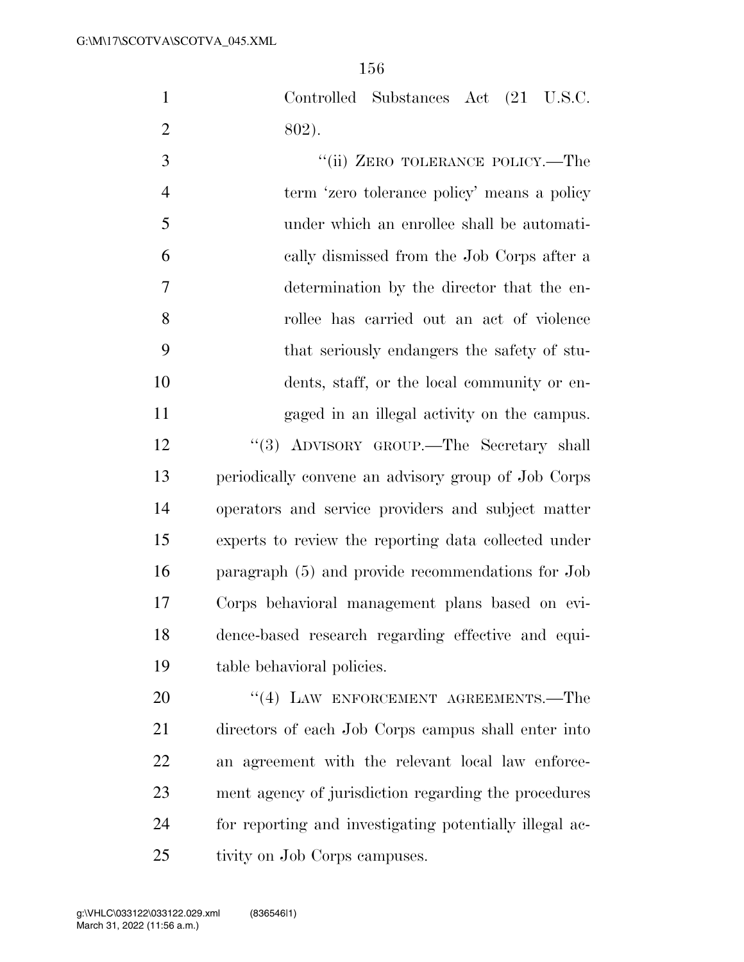Controlled Substances Act (21 U.S.C. 802).

3 "(ii) ZERO TOLERANCE POLICY.—The term 'zero tolerance policy' means a policy under which an enrollee shall be automati- cally dismissed from the Job Corps after a determination by the director that the en- rollee has carried out an act of violence that seriously endangers the safety of stu- dents, staff, or the local community or en- gaged in an illegal activity on the campus. 12 ''(3) ADVISORY GROUP.—The Secretary shall periodically convene an advisory group of Job Corps operators and service providers and subject matter experts to review the reporting data collected under paragraph (5) and provide recommendations for Job Corps behavioral management plans based on evi-dence-based research regarding effective and equi-

table behavioral policies.

20 "(4) LAW ENFORCEMENT AGREEMENTS.—The directors of each Job Corps campus shall enter into an agreement with the relevant local law enforce- ment agency of jurisdiction regarding the procedures for reporting and investigating potentially illegal ac-tivity on Job Corps campuses.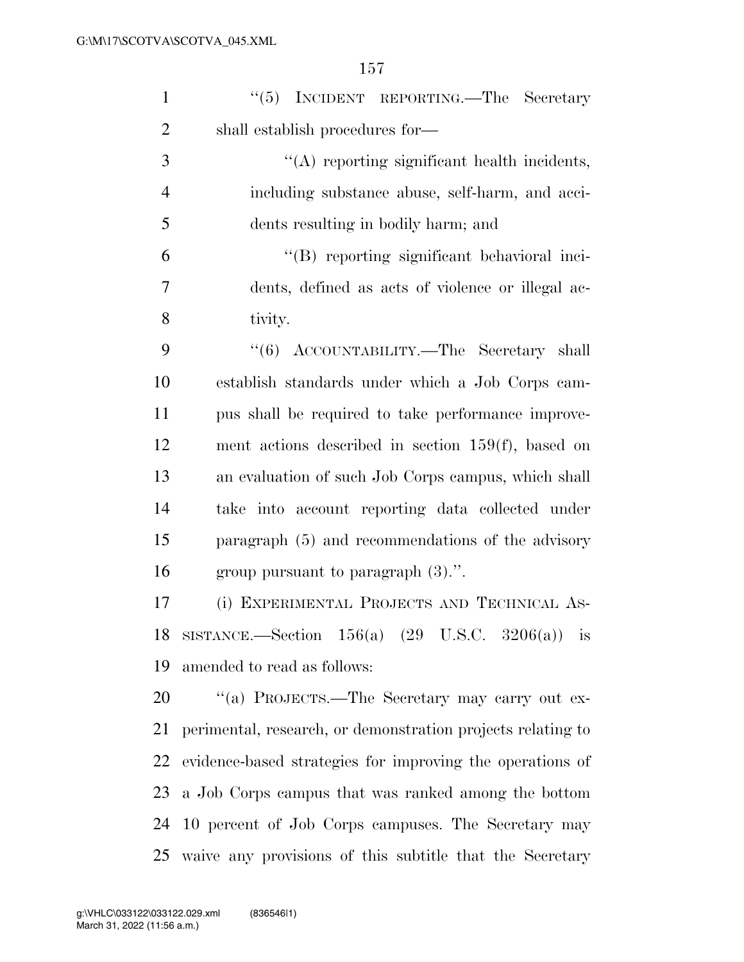| $\mathbf{1}$   | "(5) INCIDENT REPORTING.—The Secretary                      |
|----------------|-------------------------------------------------------------|
| $\overline{2}$ | shall establish procedures for—                             |
| 3              | "(A) reporting significant health incidents,                |
| $\overline{4}$ | including substance abuse, self-harm, and acci-             |
| 5              | dents resulting in bodily harm; and                         |
| 6              | "(B) reporting significant behavioral inci-                 |
| 7              | dents, defined as acts of violence or illegal ac-           |
| 8              | tivity.                                                     |
| 9              | "(6) ACCOUNTABILITY.—The Secretary shall                    |
| 10             | establish standards under which a Job Corps cam-            |
| 11             | pus shall be required to take performance improve-          |
| 12             | ment actions described in section $159(f)$ , based on       |
| 13             | an evaluation of such Job Corps campus, which shall         |
| 14             | take into account reporting data collected under            |
| 15             | paragraph (5) and recommendations of the advisory           |
| 16             | group pursuant to paragraph $(3)$ .".                       |
| 17             | (i) EXPERIMENTAL PROJECTS AND TECHNICAL AS-                 |
| 18             | SISTANCE.—Section $156(a)$ (29 U.S.C. 3206(a)) is           |
| 19             | amended to read as follows:                                 |
| 20             | "(a) PROJECTS.—The Secretary may carry out ex-              |
| 21             | perimental, research, or demonstration projects relating to |
| 22             | evidence-based strategies for improving the operations of   |
| 23             | a Job Corps campus that was ranked among the bottom         |
| 24             | 10 percent of Job Corps campuses. The Secretary may         |
| 25             | waive any provisions of this subtitle that the Secretary    |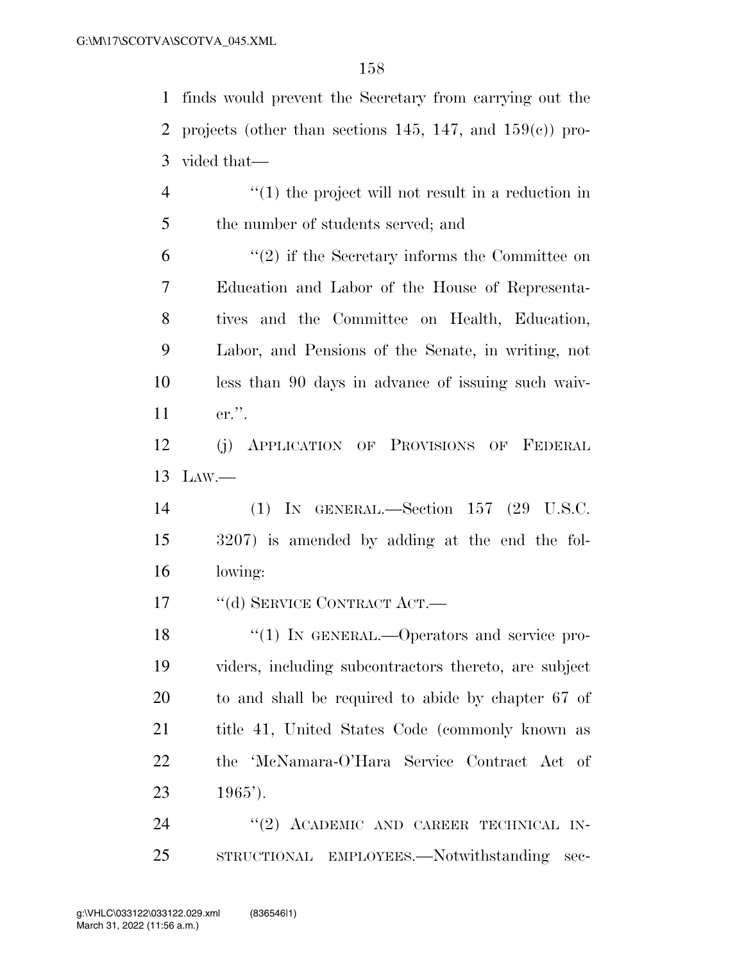finds would prevent the Secretary from carrying out the 2 projects (other than sections 145, 147, and  $159(e)$ ) pro-vided that—

4  $\frac{4}{1}$  the project will not result in a reduction in the number of students served; and

 ''(2) if the Secretary informs the Committee on Education and Labor of the House of Representa- tives and the Committee on Health, Education, Labor, and Pensions of the Senate, in writing, not less than 90 days in advance of issuing such waiv-er.''.

 (j) APPLICATION OF PROVISIONS OF FEDERAL LAW.—

 (1) IN GENERAL.—Section 157 (29 U.S.C. 3207) is amended by adding at the end the fol-lowing:

17 "(d) SERVICE CONTRACT ACT.—

18 "(1) IN GENERAL.—Operators and service pro- viders, including subcontractors thereto, are subject to and shall be required to abide by chapter 67 of title 41, United States Code (commonly known as the 'McNamara-O'Hara Service Contract Act of 1965').

24 "(2) ACADEMIC AND CAREER TECHNICAL IN-STRUCTIONAL EMPLOYEES.—Notwithstanding sec-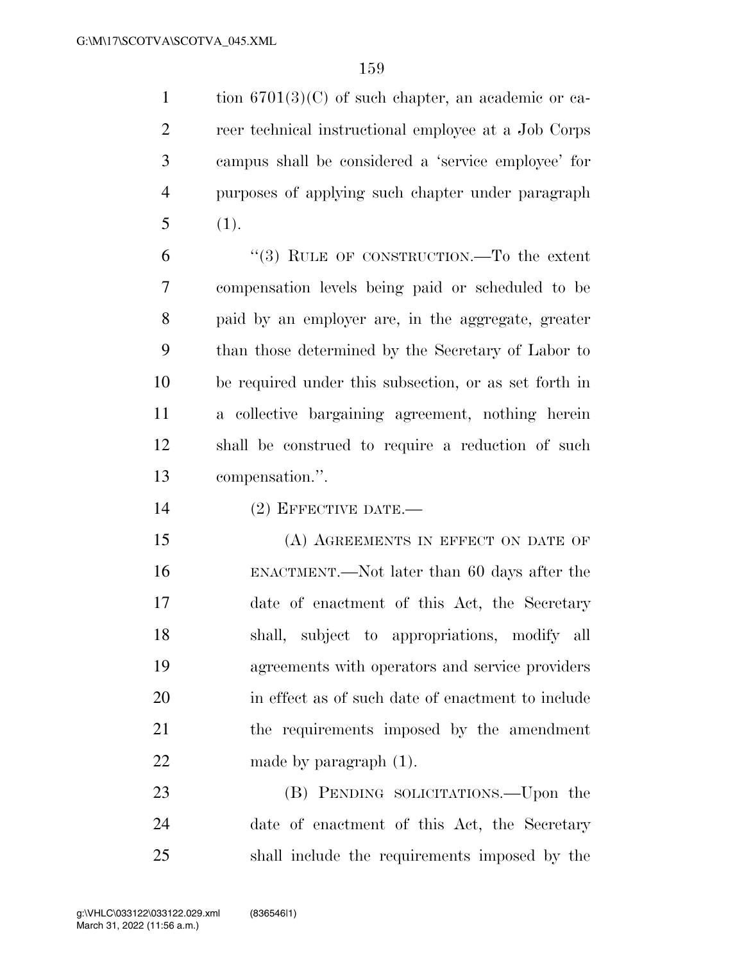1 tion  $6701(3)(C)$  of such chapter, an academic or ca- reer technical instructional employee at a Job Corps campus shall be considered a 'service employee' for purposes of applying such chapter under paragraph (1).

 ''(3) RULE OF CONSTRUCTION.—To the extent compensation levels being paid or scheduled to be paid by an employer are, in the aggregate, greater than those determined by the Secretary of Labor to be required under this subsection, or as set forth in a collective bargaining agreement, nothing herein shall be construed to require a reduction of such compensation.''.

14 (2) EFFECTIVE DATE.—

15 (A) AGREEMENTS IN EFFECT ON DATE OF ENACTMENT.—Not later than 60 days after the date of enactment of this Act, the Secretary shall, subject to appropriations, modify all agreements with operators and service providers in effect as of such date of enactment to include the requirements imposed by the amendment 22 made by paragraph  $(1)$ .

 (B) PENDING SOLICITATIONS.—Upon the date of enactment of this Act, the Secretary shall include the requirements imposed by the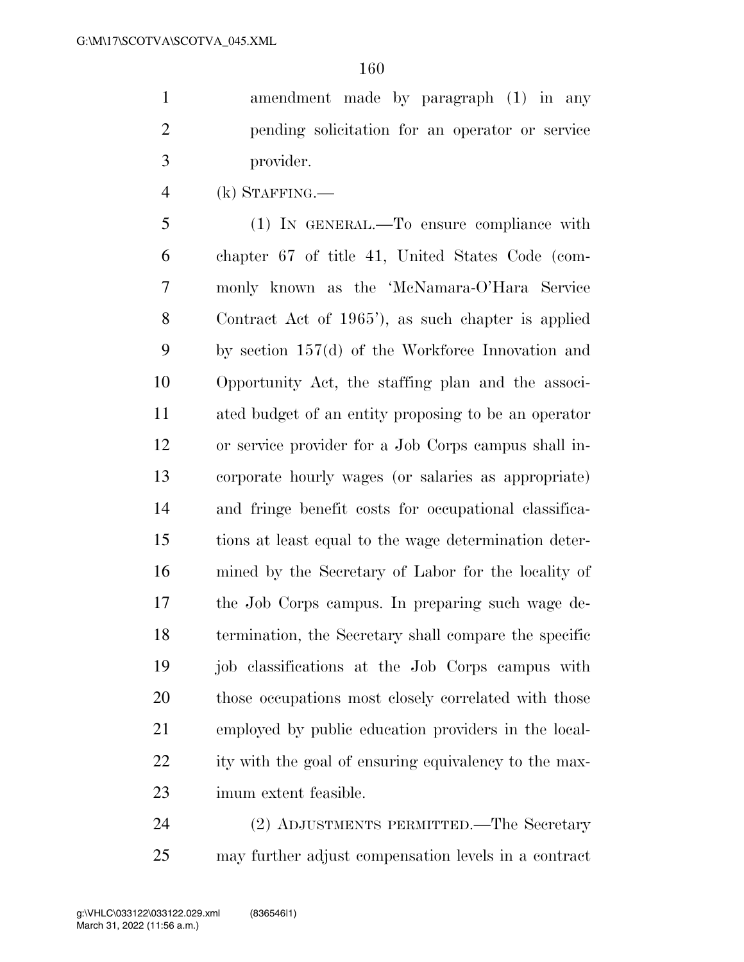amendment made by paragraph (1) in any pending solicitation for an operator or service provider.

(k) STAFFING.—

 (1) IN GENERAL.—To ensure compliance with chapter 67 of title 41, United States Code (com- monly known as the 'McNamara-O'Hara Service Contract Act of 1965'), as such chapter is applied by section 157(d) of the Workforce Innovation and Opportunity Act, the staffing plan and the associ- ated budget of an entity proposing to be an operator or service provider for a Job Corps campus shall in- corporate hourly wages (or salaries as appropriate) and fringe benefit costs for occupational classifica- tions at least equal to the wage determination deter- mined by the Secretary of Labor for the locality of the Job Corps campus. In preparing such wage de- termination, the Secretary shall compare the specific job classifications at the Job Corps campus with 20 those occupations most closely correlated with those employed by public education providers in the local- ity with the goal of ensuring equivalency to the max-imum extent feasible.

 (2) ADJUSTMENTS PERMITTED.—The Secretary may further adjust compensation levels in a contract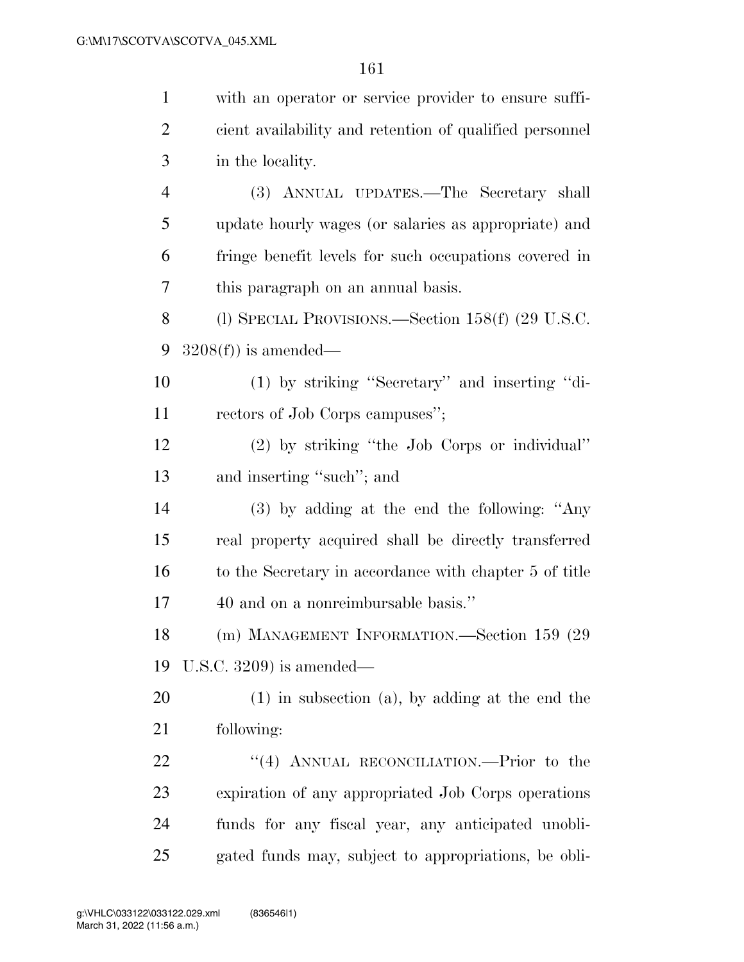| $\mathbf{1}$ | with an operator or service provider to ensure suffi-   |
|--------------|---------------------------------------------------------|
| 2            | cient availability and retention of qualified personnel |
| 3            | in the locality.                                        |
| 4            | (3) ANNUAL UPDATES.—The Secretary shall                 |
| 5            | update hourly wages (or salaries as appropriate) and    |
| 6            | fringe benefit levels for such occupations covered in   |
| 7            | this paragraph on an annual basis.                      |
| 8            | (l) SPECIAL PROVISIONS.—Section $158(f)$ (29 U.S.C.     |
| 9            | $3208(f)$ is amended—                                   |
| 10           | (1) by striking "Secretary" and inserting "di-          |
| 11           | rectors of Job Corps campuses";                         |
| 12           | (2) by striking "the Job Corps or individual"           |
| 13           | and inserting "such"; and                               |
| 14           | $(3)$ by adding at the end the following: "Any          |
| 15           | real property acquired shall be directly transferred    |
| 16           | to the Secretary in accordance with chapter 5 of title  |
| 17           | 40 and on a nonreimbursable basis."                     |
| 18           | (m) MANAGEMENT INFORMATION.—Section 159 (29             |
| 19           | U.S.C. $3209$ is amended—                               |
| 20           | $(1)$ in subsection (a), by adding at the end the       |
| 21           | following:                                              |
| 22           | "(4) ANNUAL RECONCILIATION.—Prior to the                |
| 23           | expiration of any appropriated Job Corps operations     |
| 24           | funds for any fiscal year, any anticipated unobli-      |
| 25           | gated funds may, subject to appropriations, be obli-    |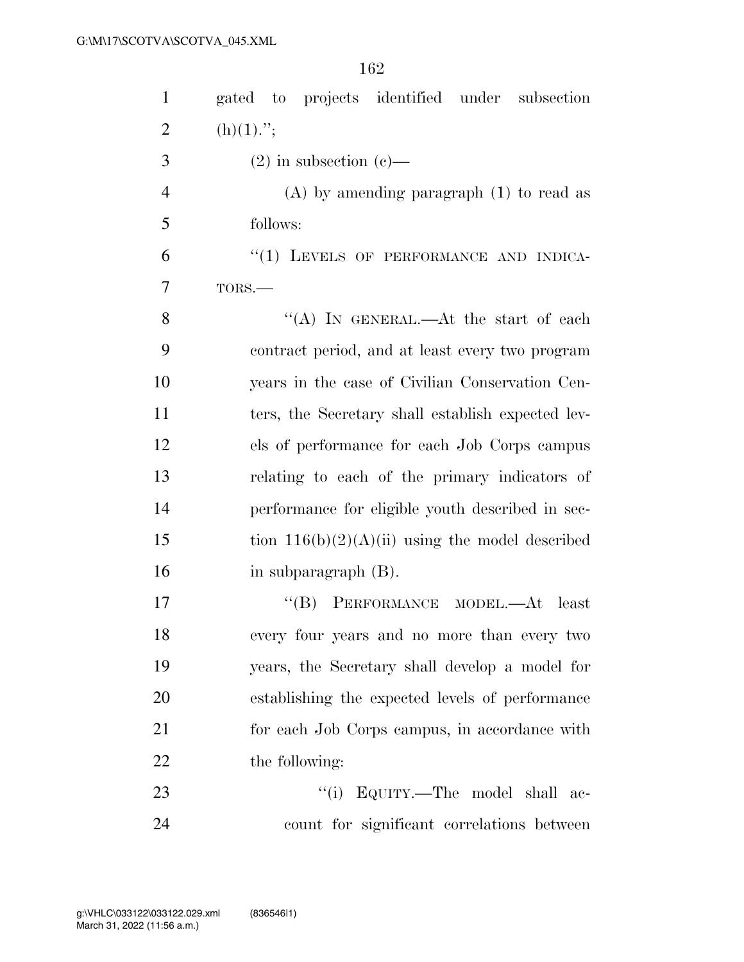| $\mathbf{1}$   | gated to projects identified under<br>subsection  |
|----------------|---------------------------------------------------|
| $\overline{2}$ | $(h)(1)$ .";                                      |
| 3              | $(2)$ in subsection $(e)$ —                       |
| $\overline{4}$ | $(A)$ by amending paragraph $(1)$ to read as      |
| 5              | follows:                                          |
| 6              | "(1) LEVELS OF PERFORMANCE AND INDICA-            |
| 7              | TORS.-                                            |
| 8              | "(A) IN GENERAL.—At the start of each             |
| 9              | contract period, and at least every two program   |
| 10             | years in the case of Civilian Conservation Cen-   |
| 11             | ters, the Secretary shall establish expected lev- |
| 12             | els of performance for each Job Corps campus      |
| 13             | relating to each of the primary indicators of     |
| 14             | performance for eligible youth described in sec-  |
| 15             | tion $116(b)(2)(A)(ii)$ using the model described |
| 16             | in subparagraph $(B)$ .                           |
| 17             | "(B) PERFORMANCE MODEL.—At least                  |
| 18             | every four years and no more than every two       |
| 19             | years, the Secretary shall develop a model for    |
| 20             | establishing the expected levels of performance   |
| 21             | for each Job Corps campus, in accordance with     |
| 22             | the following:                                    |
| 23             | "(i) EQUITY.—The model shall ac-                  |
| 24             | count for significant correlations between        |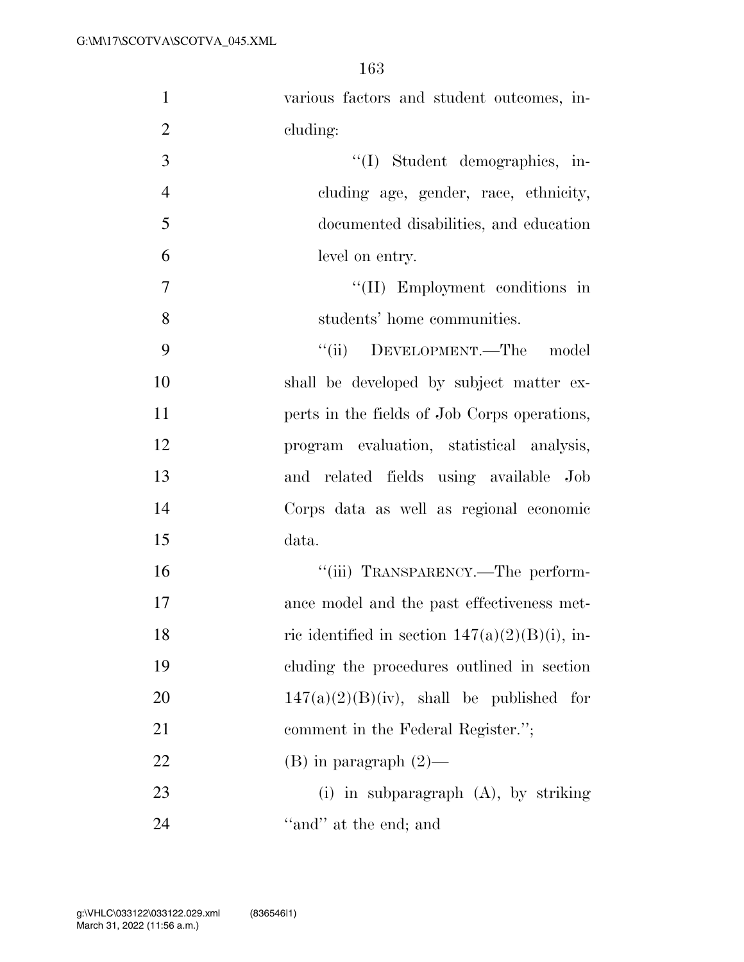| $\mathbf{1}$   | various factors and student outcomes, in-         |
|----------------|---------------------------------------------------|
| $\overline{2}$ | cluding:                                          |
| 3              | "(I) Student demographics, in-                    |
| $\overline{4}$ | cluding age, gender, race, ethnicity,             |
| 5              | documented disabilities, and education            |
| 6              | level on entry.                                   |
| $\overline{7}$ | "(II) Employment conditions in                    |
| 8              | students' home communities.                       |
| 9              | "(ii) DEVELOPMENT.—The model                      |
| 10             | shall be developed by subject matter ex-          |
| 11             | perts in the fields of Job Corps operations,      |
| 12             | program evaluation, statistical analysis,         |
| 13             | and related fields using available Job            |
| 14             | Corps data as well as regional economic           |
| 15             | data.                                             |
| 16             | "(iii) TRANSPARENCY.—The perform-                 |
| 17             | ance model and the past effectiveness met-        |
| 18             | ric identified in section $147(a)(2)(B)(i)$ , in- |
| 19             | cluding the procedures outlined in section        |
| 20             | $147(a)(2)(B)(iv)$ , shall be published for       |
| 21             | comment in the Federal Register.";                |
| 22             | $(B)$ in paragraph $(2)$ —                        |
| 23             | (i) in subparagraph $(A)$ , by striking           |
| 24             | "and" at the end; and                             |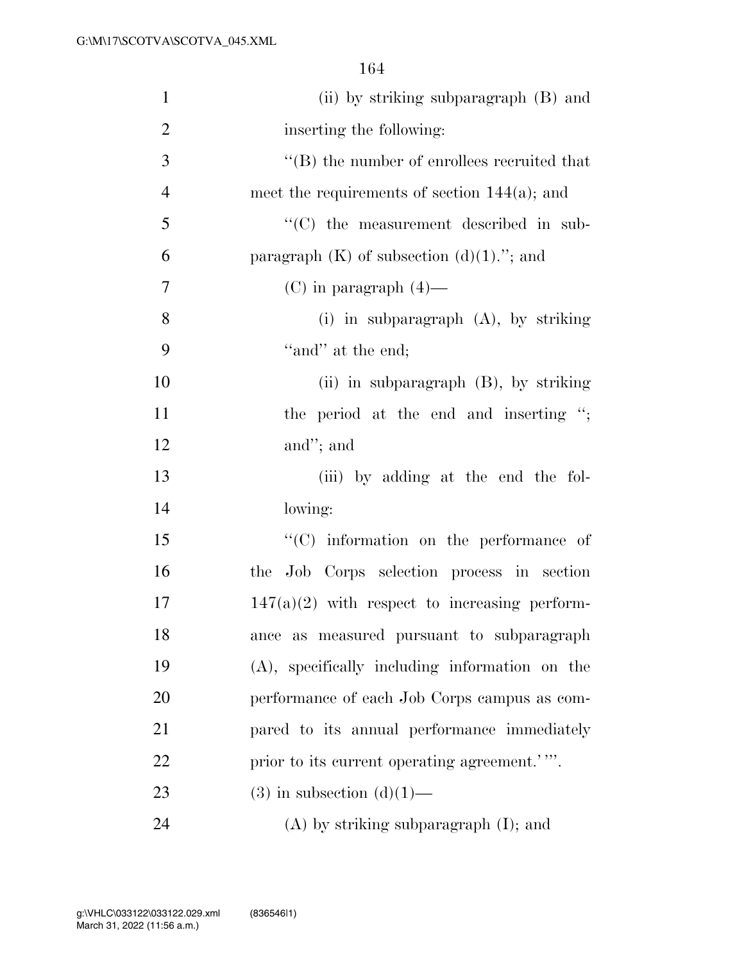| $\mathbf{1}$   | (ii) by striking subparagraph (B) and             |
|----------------|---------------------------------------------------|
| $\overline{2}$ | inserting the following:                          |
| 3              | $\lq\lq$ the number of enrollees recruited that   |
| $\overline{4}$ | meet the requirements of section $144(a)$ ; and   |
| 5              | "(C) the measurement described in sub-            |
| 6              | paragraph $(K)$ of subsection $(d)(1)$ ."; and    |
| 7              | $(C)$ in paragraph $(4)$ —                        |
| 8              | (i) in subparagraph $(A)$ , by striking           |
| 9              | "and" at the end;                                 |
| 10             | (ii) in subparagraph $(B)$ , by striking          |
| 11             | the period at the end and inserting ";            |
| 12             | and"; and                                         |
| 13             | (iii) by adding at the end the fol-               |
| 14             | lowing:                                           |
| 15             | "(C) information on the performance of            |
| 16             | the Job Corps selection process in section        |
| 17             | $147(a)(2)$ with respect to increasing perform-   |
| 18             | ance as measured pursuant to subparagraph         |
| 19             | $(A)$ , specifically including information on the |
| 20             | performance of each Job Corps campus as com-      |
| 21             | pared to its annual performance immediately       |
| 22             | prior to its current operating agreement.'"       |
| 23             | $(3)$ in subsection $(d)(1)$ —                    |
| 24             | $(A)$ by striking subparagraph $(I)$ ; and        |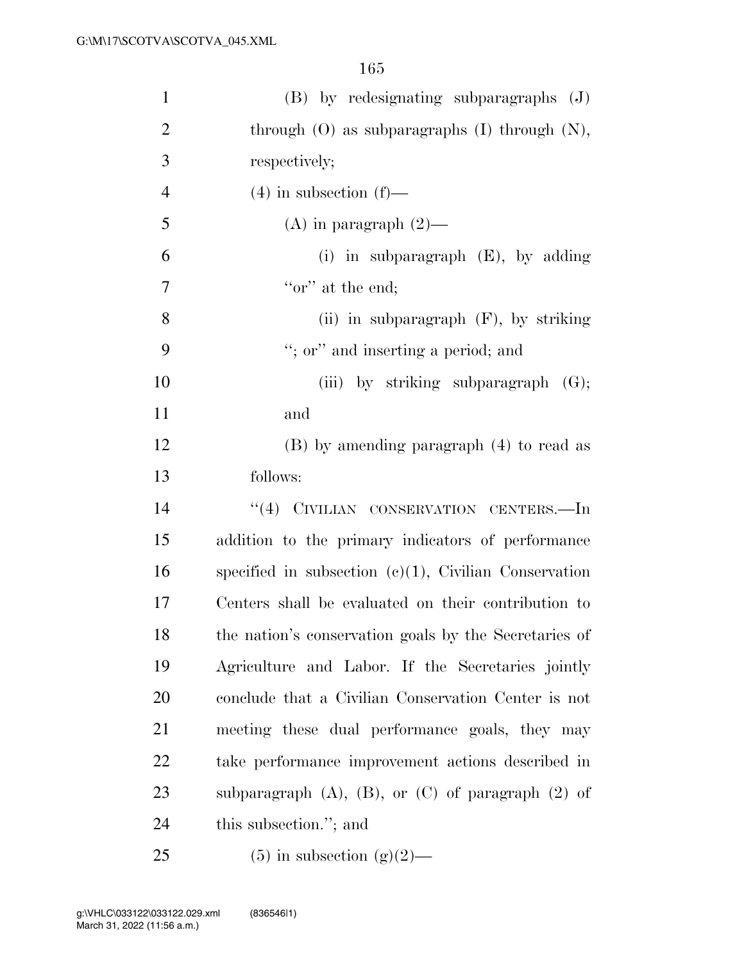| $\mathbf{1}$   | $(B)$ by redesignating subparagraphs $(J)$                  |
|----------------|-------------------------------------------------------------|
| $\overline{2}$ | through $(O)$ as subparagraphs $(I)$ through $(N)$ ,        |
| 3              | respectively;                                               |
| $\overline{4}$ | $(4)$ in subsection $(f)$ —                                 |
| 5              | (A) in paragraph $(2)$ —                                    |
| 6              | (i) in subparagraph $(E)$ , by adding                       |
| 7              | "or" at the end;                                            |
| 8              | (ii) in subparagraph $(F)$ , by striking                    |
| 9              | "; or" and inserting a period; and                          |
| 10             | (iii) by striking subparagraph $(G)$ ;                      |
| 11             | and                                                         |
| 12             | $(B)$ by amending paragraph $(4)$ to read as                |
| 13             | follows:                                                    |
| 14             | "(4) CIVILIAN CONSERVATION CENTERS.—In                      |
| 15             | addition to the primary indicators of performance           |
| 16             | specified in subsection $(c)(1)$ , Civilian Conservation    |
| 17             | Centers shall be evaluated on their contribution to         |
| 18             | the nation's conservation goals by the Secretaries of       |
| 19             | Agriculture and Labor. If the Secretaries jointly           |
| 20             | conclude that a Civilian Conservation Center is not         |
| 21             | meeting these dual performance goals, they may              |
| 22             | take performance improvement actions described in           |
| 23             | subparagraph $(A)$ , $(B)$ , or $(C)$ of paragraph $(2)$ of |
| 24             | this subsection."; and                                      |
| 25             | $(5)$ in subsection $(g)(2)$ —                              |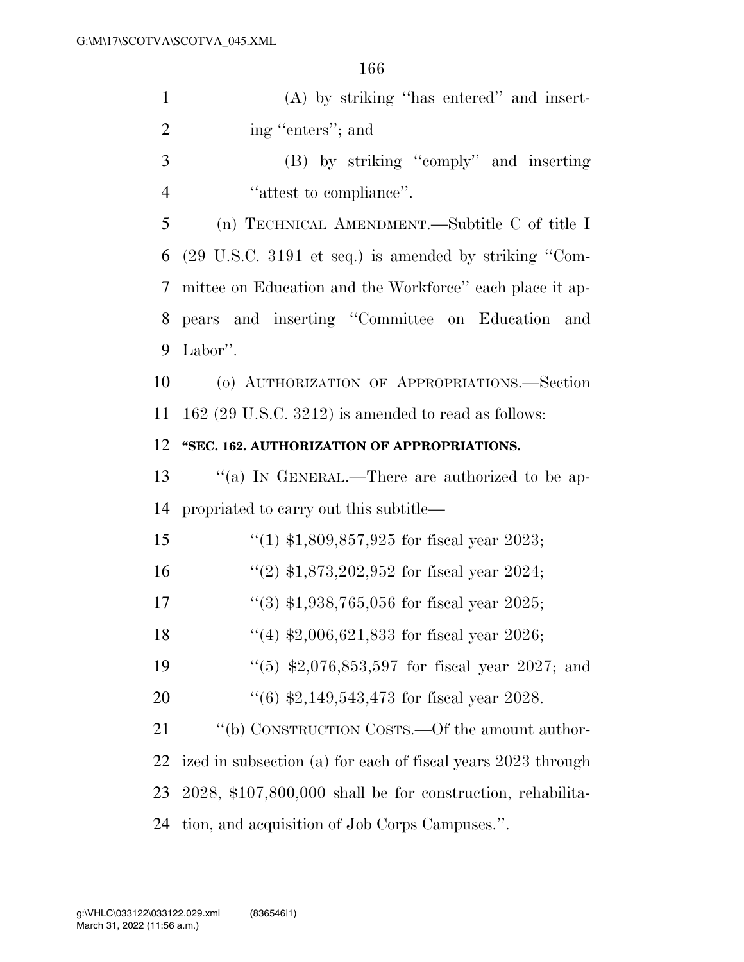| $\mathbf{1}$   | $(A)$ by striking "has entered" and insert-                              |
|----------------|--------------------------------------------------------------------------|
| $\overline{2}$ | ing "enters"; and                                                        |
| 3              | (B) by striking "comply" and inserting                                   |
| $\overline{4}$ | "attest to compliance".                                                  |
| 5              | (n) TECHNICAL AMENDMENT.—Subtitle C of title I                           |
| 6              | $(29 \text{ U.S.C. } 3191 \text{ et seq.})$ is amended by striking "Com- |
| 7              | mittee on Education and the Workforce" each place it ap-                 |
| 8              | pears and inserting "Committee on Education and                          |
| 9              | Labor".                                                                  |
| 10             | (o) AUTHORIZATION OF APPROPRIATIONS.-Section                             |
| 11             | $162$ (29 U.S.C. 3212) is amended to read as follows:                    |
| 12             | "SEC. 162. AUTHORIZATION OF APPROPRIATIONS.                              |
| 13             | "(a) IN GENERAL.—There are authorized to be ap-                          |
| 14             | propriated to carry out this subtitle—                                   |
| 15             | "(1) $$1,809,857,925$ for fiscal year 2023;                              |
| 16             | "(2) $$1,873,202,952$ for fiscal year 2024;                              |
| 17             | $(3)$ \$1,938,765,056 for fiscal year 2025;                              |
| 18             | "(4) $$2,006,621,833$ for fiscal year 2026;                              |
| 19             | $(5)$ \$2,076,853,597 for fiscal year 2027; and                          |
| 20             | $(6)$ \$2,149,543,473 for fiscal year 2028.                              |
| 21             | "(b) CONSTRUCTION COSTS.—Of the amount author-                           |
| 22             | ized in subsection (a) for each of fiscal years 2023 through             |
| 23             | $2028$ , $$107,800,000$ shall be for construction, rehabilita-           |
| 24             | tion, and acquisition of Job Corps Campuses.".                           |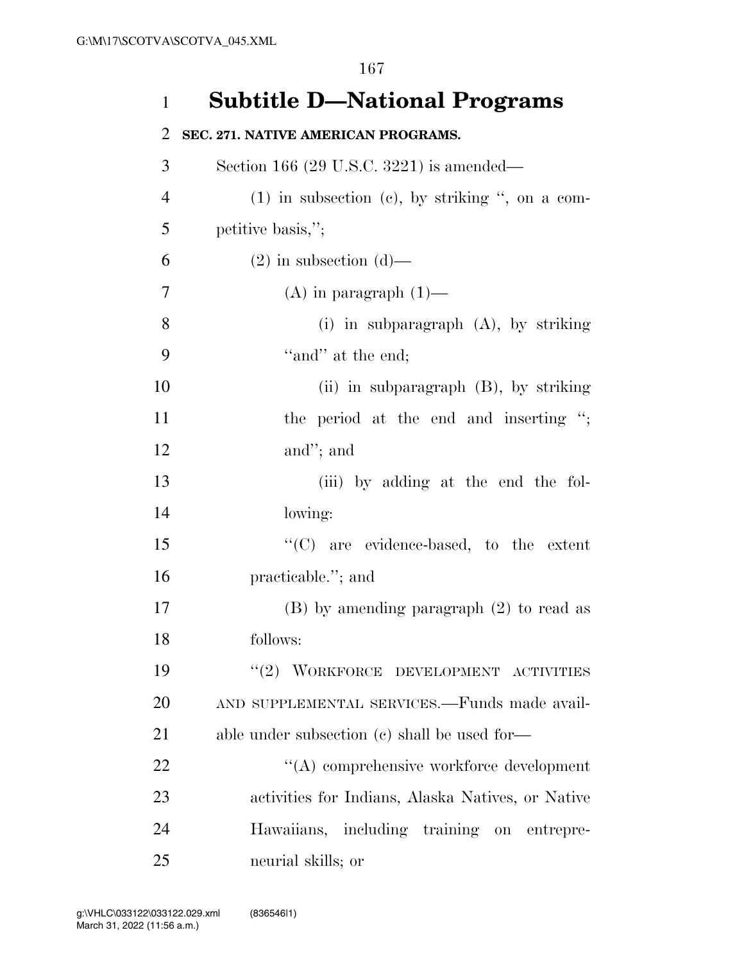# **Subtitle D—National Programs**

## **SEC. 271. NATIVE AMERICAN PROGRAMS.**

| 3              | Section 166 (29 U.S.C. 3221) is amended—             |
|----------------|------------------------------------------------------|
| $\overline{4}$ | $(1)$ in subsection $(e)$ , by striking ", on a com- |
| 5              | petitive basis,";                                    |
| 6              | $(2)$ in subsection $(d)$ —                          |
| 7              | $(A)$ in paragraph $(1)$ —                           |
| 8              | (i) in subparagraph $(A)$ , by striking              |
| 9              | "and" at the end;                                    |
| 10             | (ii) in subparagraph (B), by striking                |
| 11             | the period at the end and inserting ";               |
| 12             | and"; and                                            |
| 13             | (iii) by adding at the end the fol-                  |
| 14             | lowing:                                              |
| 15             | $\lq\lq$ are evidence-based, to the extent           |
| 16             | practicable."; and                                   |
| 17             | $(B)$ by amending paragraph $(2)$ to read as         |
| 18             | follows:                                             |
| 19             | "(2) WORKFORCE DEVELOPMENT ACTIVITIES                |
| 20             | AND SUPPLEMENTAL SERVICES.-Funds made avail-         |
| 21             | able under subsection (c) shall be used for-         |
| 22             | "(A) comprehensive workforce development             |
| 23             | activities for Indians, Alaska Natives, or Native    |
| 24             | Hawaiians, including training on entrepre-           |
| 25             | neurial skills; or                                   |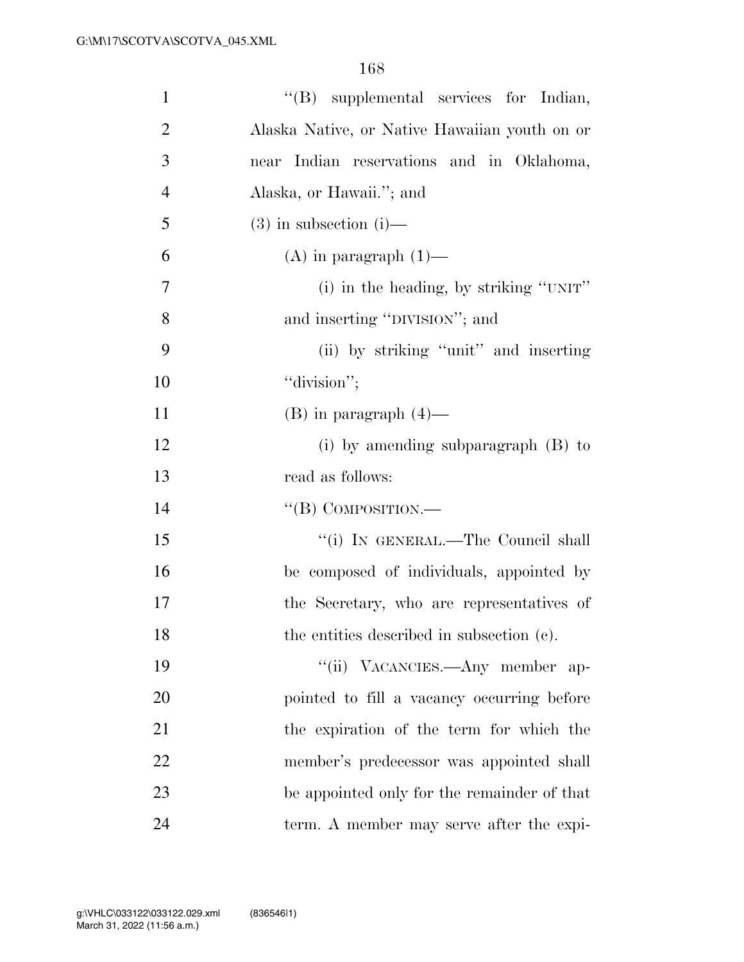| $\mathbf{1}$   | "(B) supplemental services for Indian,        |
|----------------|-----------------------------------------------|
| $\overline{2}$ | Alaska Native, or Native Hawaiian youth on or |
| 3              | near Indian reservations and in Oklahoma,     |
| $\overline{4}$ | Alaska, or Hawaii."; and                      |
| 5              | $(3)$ in subsection $(i)$ —                   |
| 6              | $(A)$ in paragraph $(1)$ —                    |
| 7              | (i) in the heading, by striking "UNIT"        |
| 8              | and inserting "DIVISION"; and                 |
| 9              | (ii) by striking "unit" and inserting         |
| 10             | "division";                                   |
| 11             | $(B)$ in paragraph $(4)$ —                    |
| 12             | (i) by amending subparagraph $(B)$ to         |
| 13             | read as follows:                              |
| 14             | $\lq\lq$ (B) COMPOSITION.—                    |
| 15             | "(i) IN GENERAL.—The Council shall            |
| 16             | be composed of individuals, appointed by      |
| 17             | the Secretary, who are representatives of     |
| 18             | the entities described in subsection (c).     |
| 19             | "(ii) VACANCIES.—Any member ap-               |
| 20             | pointed to fill a vacancy occurring before    |
| 21             | the expiration of the term for which the      |
| 22             | member's predecessor was appointed shall      |
| 23             | be appointed only for the remainder of that   |
| 24             | term. A member may serve after the expi-      |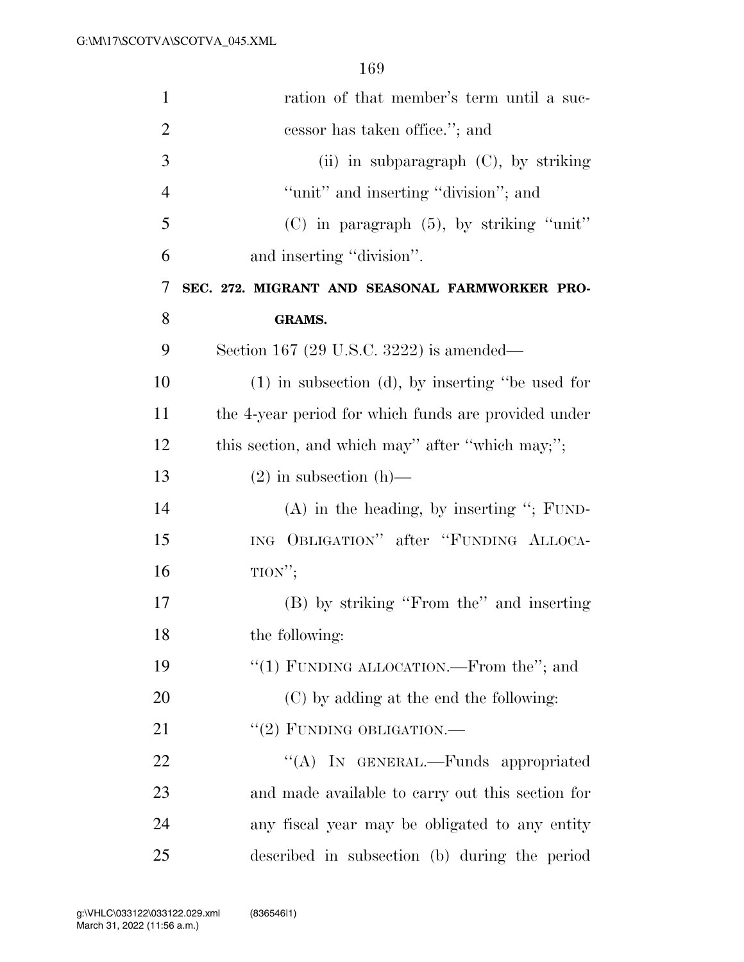| $\mathbf{1}$   | ration of that member's term until a suc-            |
|----------------|------------------------------------------------------|
| $\overline{2}$ | cessor has taken office."; and                       |
| 3              | (ii) in subparagraph $(C)$ , by striking             |
| $\overline{4}$ | "unit" and inserting "division"; and                 |
| 5              | $(C)$ in paragraph $(5)$ , by striking "unit"        |
| 6              | and inserting "division".                            |
| 7              | SEC. 272. MIGRANT AND SEASONAL FARMWORKER PRO-       |
| 8              | <b>GRAMS.</b>                                        |
| 9              | Section 167 (29 U.S.C. 3222) is amended—             |
| 10             | $(1)$ in subsection (d), by inserting "be used for   |
| 11             | the 4-year period for which funds are provided under |
| 12             | this section, and which may" after "which may,";     |
| 13             | $(2)$ in subsection $(h)$ —                          |
| 14             | $(A)$ in the heading, by inserting "; FUND-          |
| 15             | ING OBLIGATION" after "FUNDING ALLOCA-               |
| 16             | $TION''$ ;                                           |
| 17             | (B) by striking "From the" and inserting             |
| 18             | the following:                                       |
| 19             | "(1) FUNDING ALLOCATION.—From the"; and              |
| 20             | (C) by adding at the end the following:              |
| 21             | $``(2)$ FUNDING OBLIGATION.—                         |
| 22             | "(A) IN GENERAL.—Funds appropriated                  |
| 23             | and made available to carry out this section for     |
| 24             | any fiscal year may be obligated to any entity       |
| 25             | described in subsection (b) during the period        |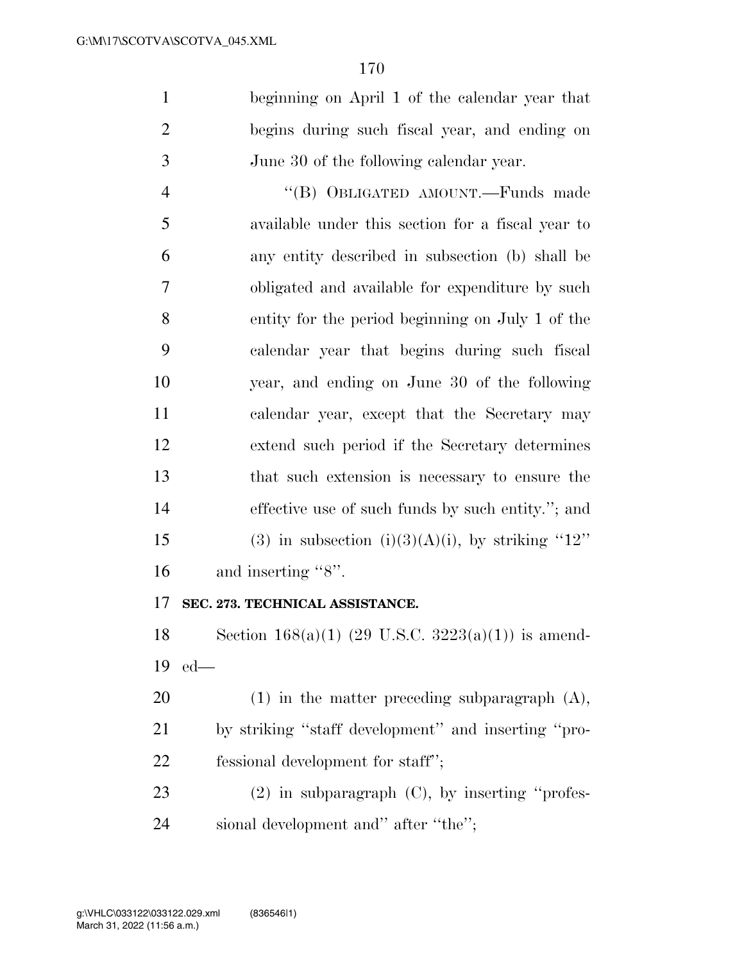beginning on April 1 of the calendar year that begins during such fiscal year, and ending on June 30 of the following calendar year.

 ''(B) OBLIGATED AMOUNT.—Funds made available under this section for a fiscal year to any entity described in subsection (b) shall be obligated and available for expenditure by such entity for the period beginning on July 1 of the calendar year that begins during such fiscal year, and ending on June 30 of the following calendar year, except that the Secretary may extend such period if the Secretary determines that such extension is necessary to ensure the effective use of such funds by such entity.''; and 15 (3) in subsection (i)(3)(A)(i), by striking "12" 16 and inserting "8".

### **SEC. 273. TECHNICAL ASSISTANCE.**

18 Section  $168(a)(1)$  (29 U.S.C.  $3223(a)(1)$ ) is amend-ed—

 (1) in the matter preceding subparagraph (A), by striking ''staff development'' and inserting ''pro-fessional development for staff'';

 (2) in subparagraph (C), by inserting ''profes-sional development and'' after ''the'';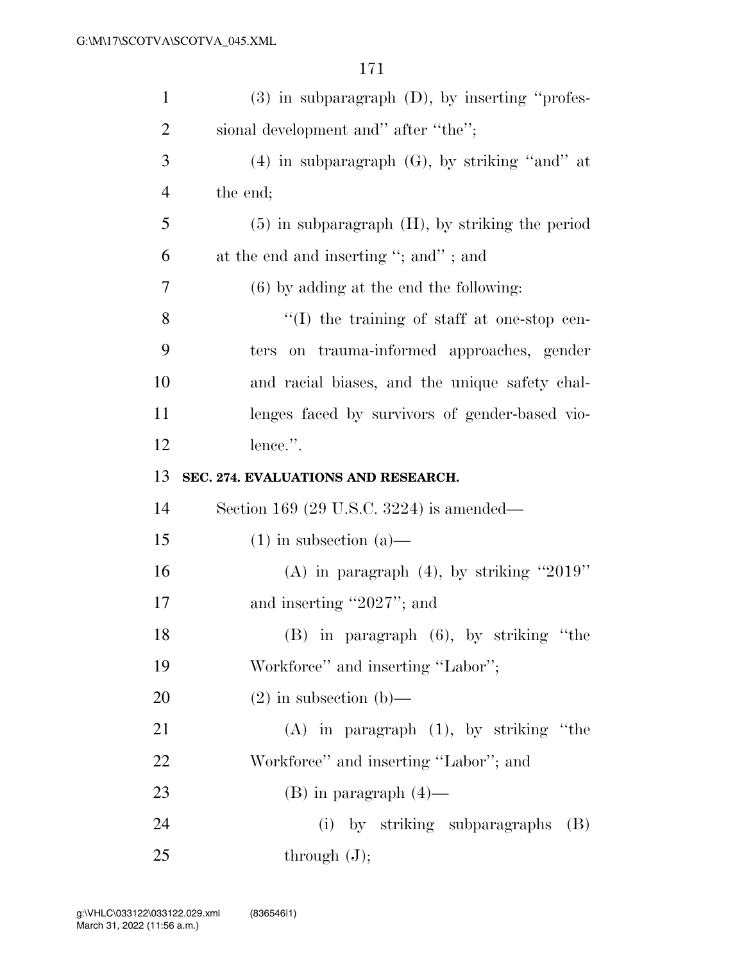| $\mathbf{1}$   | $(3)$ in subparagraph $(D)$ , by inserting "profes-  |
|----------------|------------------------------------------------------|
| $\overline{2}$ | sional development and" after "the";                 |
| 3              | $(4)$ in subparagraph $(G)$ , by striking "and" at   |
| 4              | the end;                                             |
| 5              | $(5)$ in subparagraph $(H)$ , by striking the period |
| 6              | at the end and inserting "; and"; and                |
| 7              | $(6)$ by adding at the end the following:            |
| 8              | $\lq\lq$ the training of staff at one-stop cen-      |
| 9              | on trauma-informed approaches, gender<br>ters        |
| 10             | and racial biases, and the unique safety chal-       |
| 11             | lenges faced by survivors of gender-based vio-       |
| 12             | lence.".                                             |
| 13             | SEC. 274. EVALUATIONS AND RESEARCH.                  |
| 14             | Section 169 (29 U.S.C. 3224) is amended—             |
|                |                                                      |
| 15             | $(1)$ in subsection $(a)$ —                          |
| 16             | (A) in paragraph $(4)$ , by striking "2019"          |
| 17             | and inserting "2027"; and                            |
| 18             | (B) in paragraph (6), by striking "the               |
| 19             | Workforce" and inserting "Labor";                    |
| 20             | $(2)$ in subsection $(b)$ —                          |
| 21             | $(A)$ in paragraph $(1)$ , by striking "the          |
| 22             | Workforce" and inserting "Labor"; and                |
| 23             | $(B)$ in paragraph $(4)$ —                           |
| 24             | (i) by striking subparagraphs<br>(B)                 |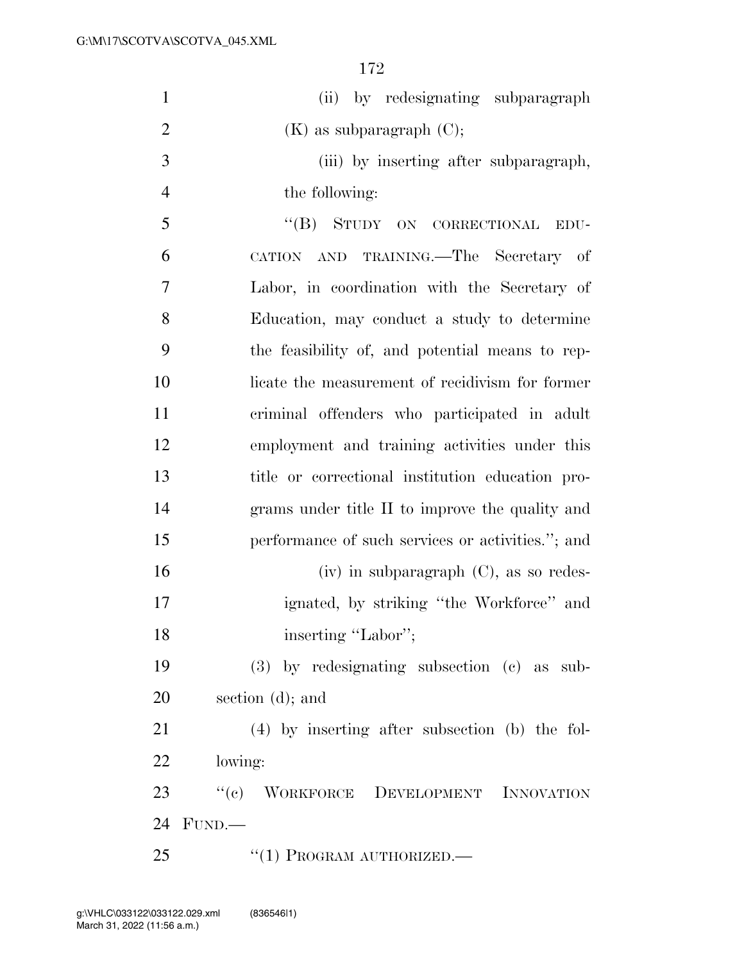| $\mathbf{1}$   | (ii) by redesignating subparagraph                |
|----------------|---------------------------------------------------|
| $\overline{2}$ | $(K)$ as subparagraph $(C)$ ;                     |
| 3              | (iii) by inserting after subparagraph,            |
| $\overline{4}$ | the following:                                    |
| 5              | "(B) STUDY ON CORRECTIONAL<br>EDU-                |
| 6              | CATION AND TRAINING.—The Secretary of             |
| $\overline{7}$ | Labor, in coordination with the Secretary of      |
| 8              | Education, may conduct a study to determine       |
| 9              | the feasibility of, and potential means to rep-   |
| 10             | licate the measurement of recidivism for former   |
| 11             | criminal offenders who participated in adult      |
| 12             | employment and training activities under this     |
| 13             | title or correctional institution education pro-  |
| 14             | grams under title II to improve the quality and   |
| 15             | performance of such services or activities."; and |
| 16             | $(iv)$ in subparagraph $(C)$ , as so redes-       |
| 17             | ignated, by striking "the Workforce" and          |
| 18             | inserting "Labor";                                |
| 19             | (3) by redesignating subsection (c) as sub-       |
| 20             | section (d); and                                  |
| 21             | (4) by inserting after subsection (b) the fol-    |
| 22             | lowing:                                           |
| 23             | "(c) WORKFORCE DEVELOPMENT INNOVATION             |
| 24             | FUND.                                             |
| 25             | $``(1)$ PROGRAM AUTHORIZED.—                      |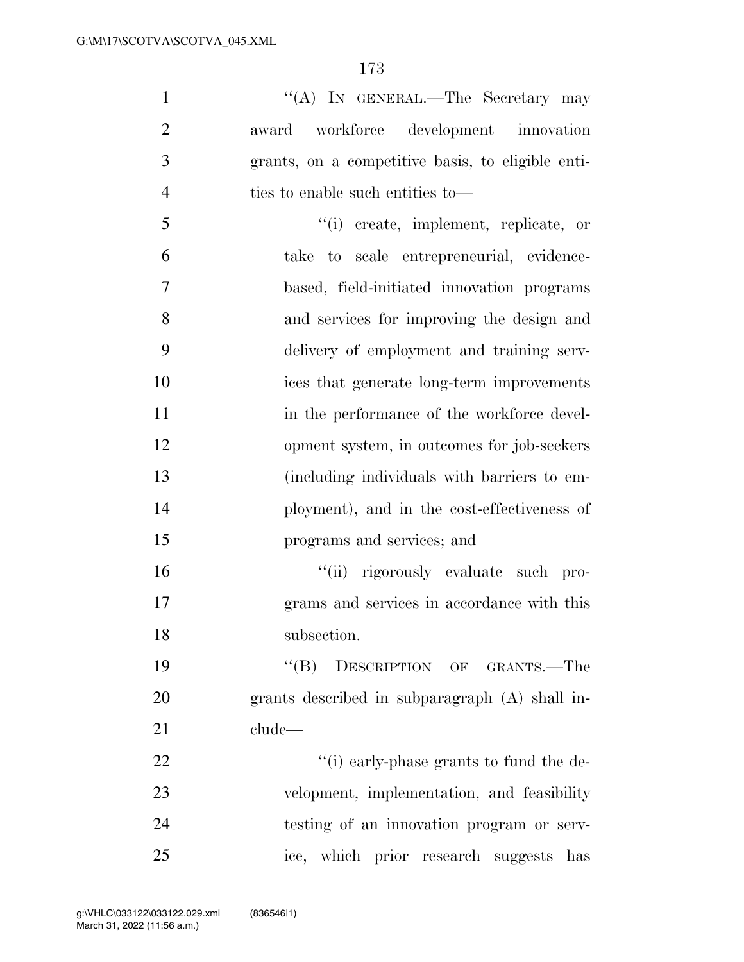1 ''(A) IN GENERAL.—The Secretary may award workforce development innovation grants, on a competitive basis, to eligible enti- ties to enable such entities to— ''(i) create, implement, replicate, or take to scale entrepreneurial, evidence- based, field-initiated innovation programs and services for improving the design and delivery of employment and training serv- ices that generate long-term improvements 11 in the performance of the workforce devel- opment system, in outcomes for job-seekers (including individuals with barriers to em- ployment), and in the cost-effectiveness of programs and services; and ''(ii) rigorously evaluate such pro- grams and services in accordance with this subsection.

19 "(B) DESCRIPTION OF GRANTS.—The grants described in subparagraph (A) shall in-clude—

 $\frac{1}{2}$   $\frac{1}{2}$   $\frac{1}{2}$   $\frac{1}{2}$   $\frac{1}{2}$   $\frac{1}{2}$   $\frac{1}{2}$   $\frac{1}{2}$   $\frac{1}{2}$   $\frac{1}{2}$   $\frac{1}{2}$   $\frac{1}{2}$   $\frac{1}{2}$   $\frac{1}{2}$   $\frac{1}{2}$   $\frac{1}{2}$   $\frac{1}{2}$   $\frac{1}{2}$   $\frac{1}{2}$   $\frac{1}{2}$   $\frac{1}{2}$   $\frac{1}{2}$  velopment, implementation, and feasibility testing of an innovation program or serv-ice, which prior research suggests has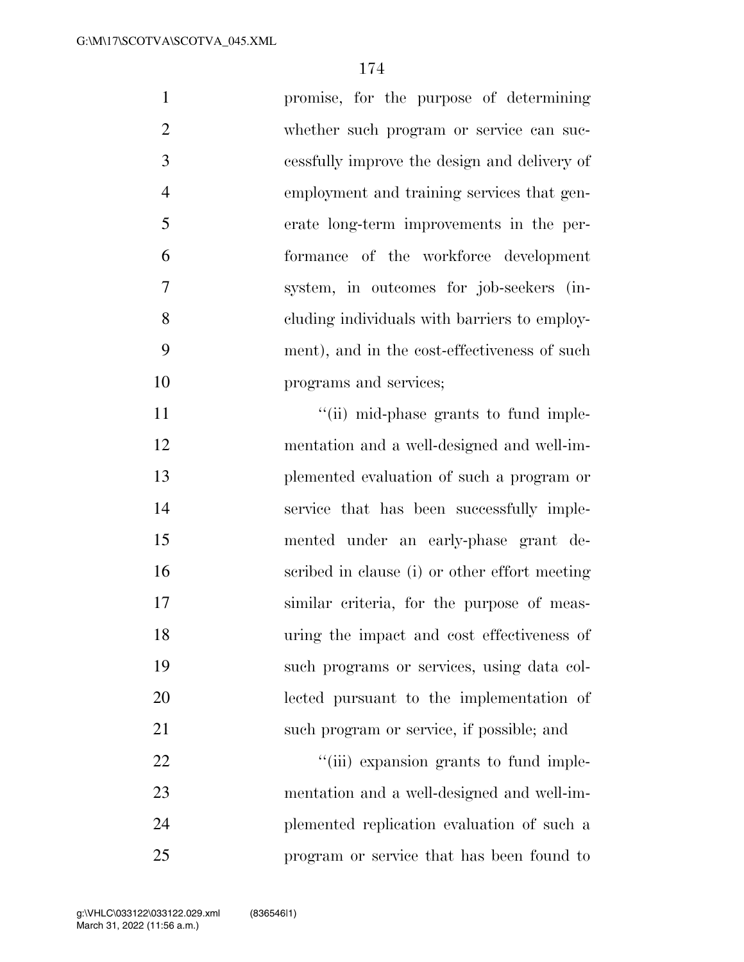| $\mathbf{1}$   | promise, for the purpose of determining       |
|----------------|-----------------------------------------------|
| $\overline{2}$ | whether such program or service can suc-      |
| 3              | cessfully improve the design and delivery of  |
| $\overline{4}$ | employment and training services that gen-    |
| 5              | erate long-term improvements in the per-      |
| 6              | formance of the workforce development         |
| 7              | system, in outcomes for job-seekers (in-      |
| 8              | cluding individuals with barriers to employ-  |
| 9              | ment), and in the cost-effectiveness of such  |
| 10             | programs and services;                        |
| 11             | "(ii) mid-phase grants to fund imple-         |
| 12             | mentation and a well-designed and well-im-    |
| 13             | plemented evaluation of such a program or     |
| 14             | service that has been successfully imple-     |
| 15             | mented under an early-phase grant de-         |
| 16             | scribed in clause (i) or other effort meeting |
| 17             | similar criteria, for the purpose of meas-    |
| 18             | uring the impact and cost effectiveness of    |
| 19             | such programs or services, using data col-    |
| 20             | lected pursuant to the implementation of      |
| 21             | such program or service, if possible; and     |
| 22             | "(iii) expansion grants to fund imple-        |
| 23             | mentation and a well-designed and well-im-    |
| 24             | plemented replication evaluation of such a    |
|                |                                               |

program or service that has been found to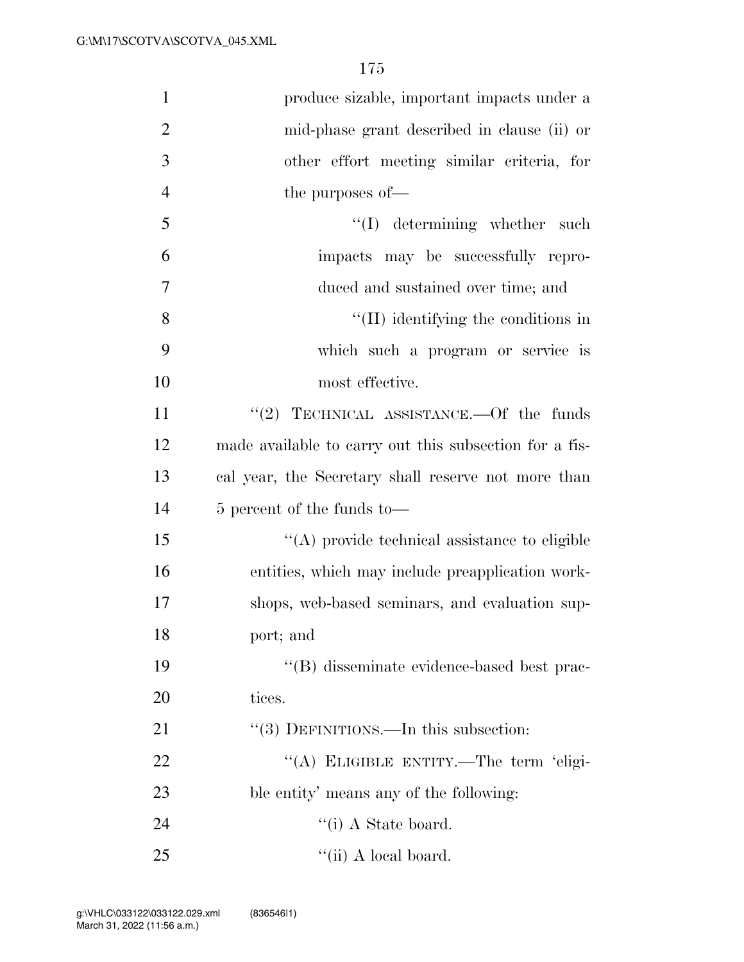| $\mathbf{1}$   | produce sizable, important impacts under a             |
|----------------|--------------------------------------------------------|
| $\overline{2}$ | mid-phase grant described in clause (ii) or            |
| 3              | other effort meeting similar criteria, for             |
| $\overline{4}$ | the purposes of—                                       |
| 5              | $\lq\lq$ determining whether such                      |
| 6              | impacts may be successfully repro-                     |
| 7              | duced and sustained over time; and                     |
| 8              | $\lq\lq$ (II) identifying the conditions in            |
| 9              | which such a program or service is                     |
| 10             | most effective.                                        |
| 11             | "(2) TECHNICAL ASSISTANCE.—Of the funds                |
| 12             | made available to carry out this subsection for a fis- |
| 13             | cal year, the Secretary shall reserve not more than    |
| 14             | 5 percent of the funds to-                             |
| 15             | $\lq\lq$ provide technical assistance to eligible      |
| 16             | entities, which may include preapplication work-       |
| 17             | shops, web-based seminars, and evaluation sup-         |
| 18             | port; and                                              |
| 19             | "(B) disseminate evidence-based best prac-             |
| 20             | tices.                                                 |
| 21             | "(3) DEFINITIONS.—In this subsection:                  |
| 22             | "(A) ELIGIBLE ENTITY.—The term 'eligi-                 |
| 23             | ble entity' means any of the following:                |
| 24             | $\lq\lq$ (i) A State board.                            |
| 25             | $\lq\lq$ (ii) A local board.                           |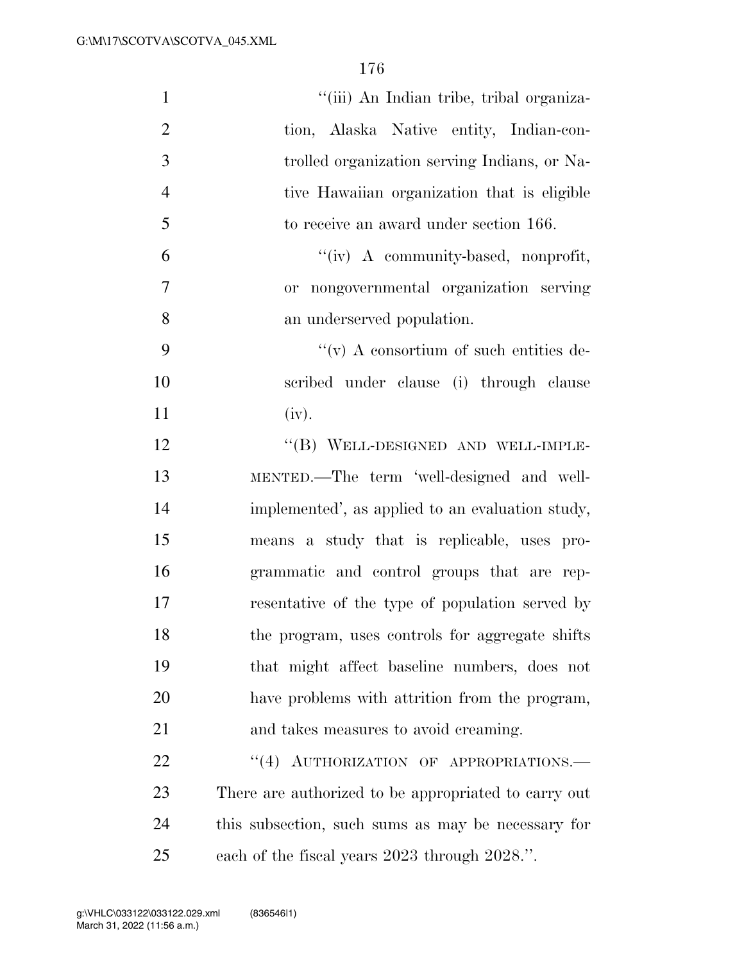| $\mathbf{1}$   | "(iii) An Indian tribe, tribal organiza-             |
|----------------|------------------------------------------------------|
| $\overline{2}$ | tion, Alaska Native entity, Indian-con-              |
| 3              | trolled organization serving Indians, or Na-         |
| $\overline{4}$ | tive Hawaiian organization that is eligible          |
| 5              | to receive an award under section 166.               |
| 6              | $``(iv)$ A community-based, nonprofit,               |
| $\overline{7}$ | or nongovernmental organization serving              |
| 8              | an underserved population.                           |
| 9              | $\lq\lq$ (v) A consortium of such entities de-       |
| 10             | scribed under clause (i) through clause              |
| 11             | (iv).                                                |
| 12             | "(B) WELL-DESIGNED AND WELL-IMPLE-                   |
| 13             | MENTED.—The term 'well-designed and well-            |
| 14             | implemented', as applied to an evaluation study,     |
| 15             | means a study that is replicable, uses pro-          |
| 16             | grammatic and control groups that are rep-           |
| 17             | resentative of the type of population served by      |
| 18             | the program, uses controls for aggregate shifts      |
| 19             | that might affect baseline numbers, does not         |
| 20             | have problems with attrition from the program,       |
| 21             | and takes measures to avoid creaming.                |
| 22             | "(4) AUTHORIZATION OF APPROPRIATIONS.                |
| 23             | There are authorized to be appropriated to carry out |
| 24             | this subsection, such sums as may be necessary for   |
| 25             | each of the fiscal years 2023 through 2028.".        |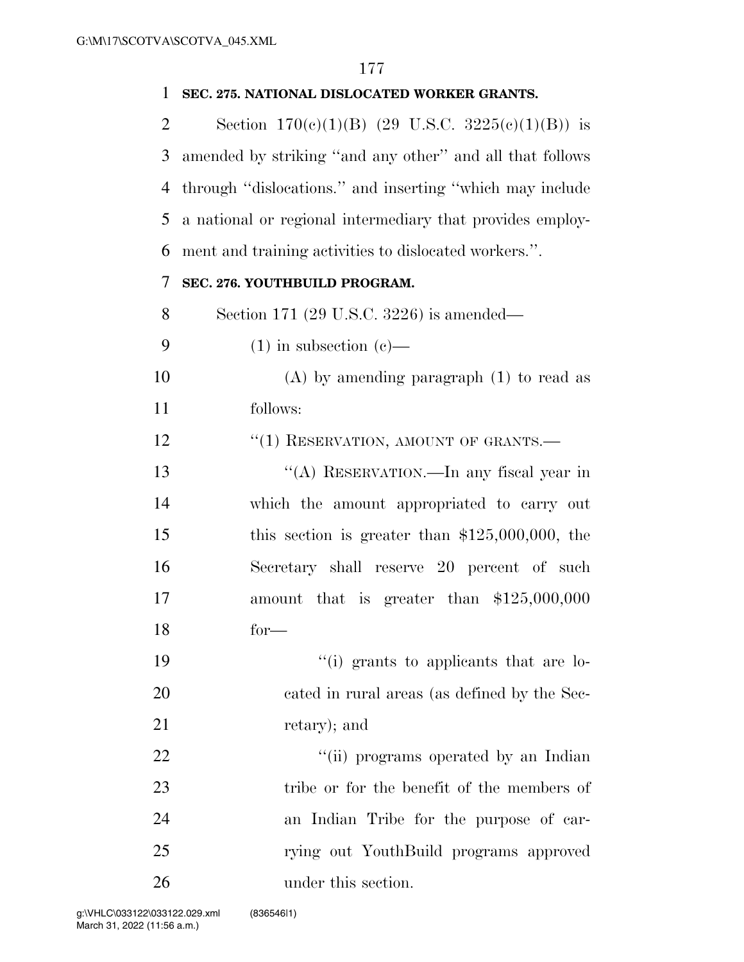#### **SEC. 275. NATIONAL DISLOCATED WORKER GRANTS.**

2 Section  $170(e)(1)(B)$  (29 U.S.C.  $3225(e)(1)(B)$ ) is amended by striking ''and any other'' and all that follows through ''dislocations.'' and inserting ''which may include a national or regional intermediary that provides employ-ment and training activities to dislocated workers.''.

### **SEC. 276. YOUTHBUILD PROGRAM.**

Section 171 (29 U.S.C. 3226) is amended—

- 9  $(1)$  in subsection  $(e)$ —
- (A) by amending paragraph (1) to read as follows:

12 <sup>"</sup>(1) RESERVATION, AMOUNT OF GRANTS.

 ''(A) RESERVATION.—In any fiscal year in which the amount appropriated to carry out this section is greater than \$125,000,000, the Secretary shall reserve 20 percent of such amount that is greater than \$125,000,000 for—

19  $\frac{1}{2}$  (i) grants to applicants that are lo- cated in rural areas (as defined by the Sec-21 retary); and

 $\frac{1}{1}$   $\frac{1}{1}$  programs operated by an Indian 23 tribe or for the benefit of the members of an Indian Tribe for the purpose of car- rying out YouthBuild programs approved under this section.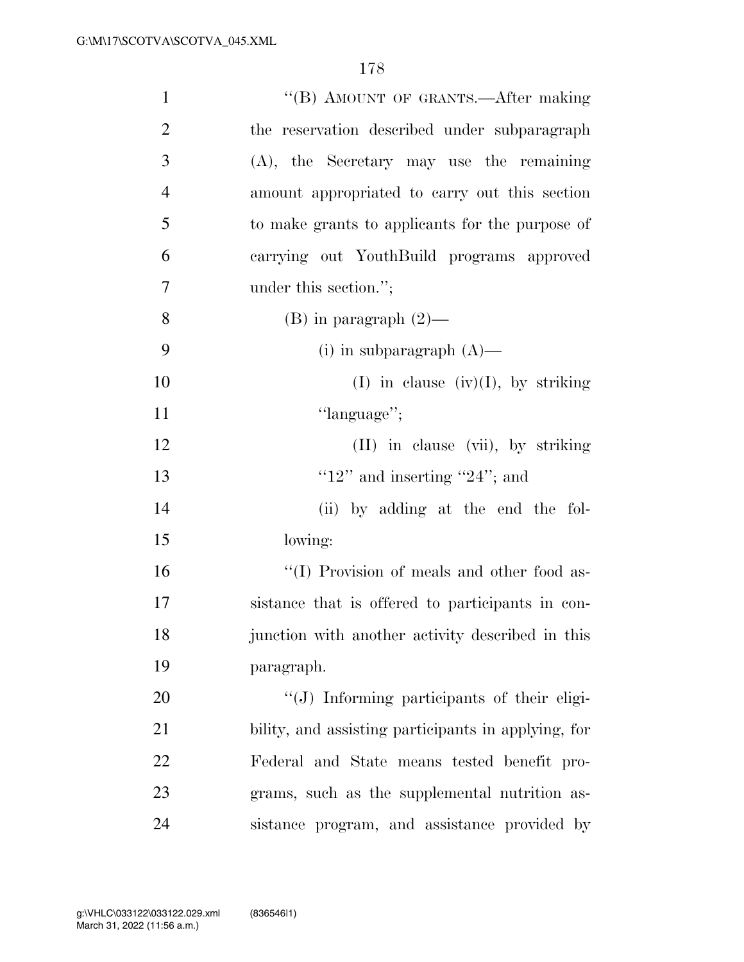| $\mathbf{1}$   | "(B) AMOUNT OF GRANTS.—After making                 |
|----------------|-----------------------------------------------------|
| $\overline{2}$ | the reservation described under subparagraph        |
| 3              | $(A)$ , the Secretary may use the remaining         |
| $\overline{4}$ | amount appropriated to carry out this section       |
| 5              | to make grants to applicants for the purpose of     |
| 6              | carrying out YouthBuild programs approved           |
| $\overline{7}$ | under this section.";                               |
| 8              | (B) in paragraph $(2)$ —                            |
| 9              | (i) in subparagraph $(A)$ —                         |
| 10             | (I) in clause (iv)(I), by striking                  |
| 11             | "language";                                         |
| 12             | (II) in clause (vii), by striking                   |
| 13             | "12" and inserting "24"; and                        |
| 14             | (ii) by adding at the end the fol-                  |
| 15             | lowing:                                             |
| 16             | "(I) Provision of meals and other food as-          |
| 17             | sistance that is offered to participants in con-    |
| 18             | junction with another activity described in this    |
| 19             | paragraph.                                          |
| 20             | "(J) Informing participants of their eligi-         |
| 21             | bility, and assisting participants in applying, for |
| 22             | Federal and State means tested benefit pro-         |
| 23             | grams, such as the supplemental nutrition as-       |
| 24             | sistance program, and assistance provided by        |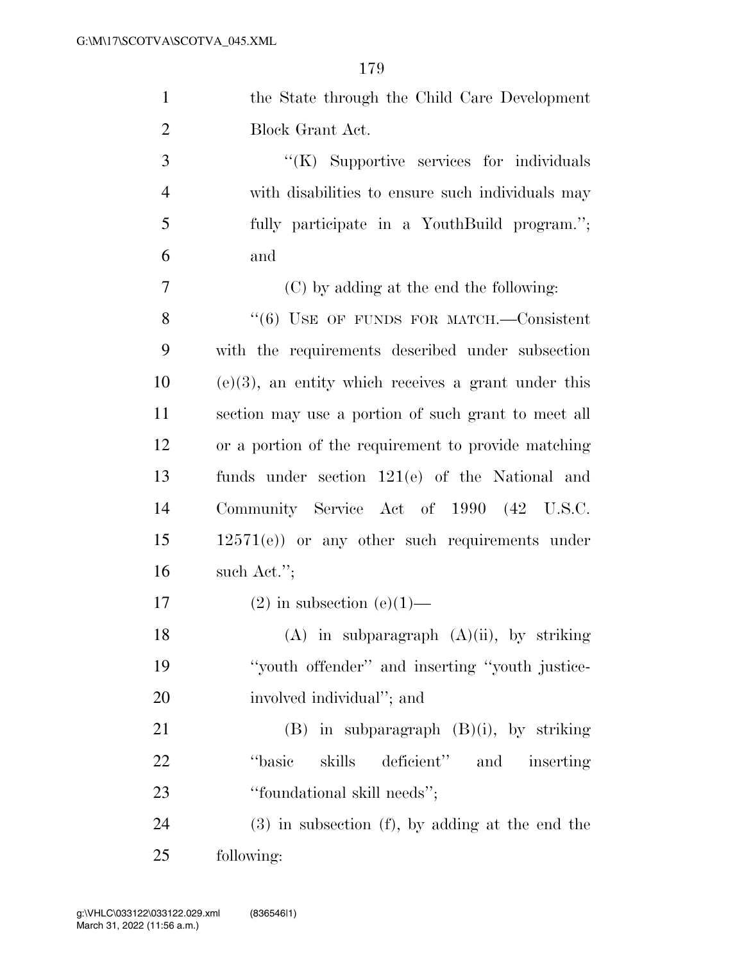| $\mathbf{1}$   | the State through the Child Care Development           |
|----------------|--------------------------------------------------------|
| $\overline{2}$ | Block Grant Act.                                       |
| 3              | "(K) Supportive services for individuals               |
| $\overline{4}$ | with disabilities to ensure such individuals may       |
| 5              | fully participate in a YouthBuild program.";           |
| 6              | and                                                    |
| $\overline{7}$ | (C) by adding at the end the following:                |
| 8              | $(6)$ USE OF FUNDS FOR MATCH.—Consistent               |
| 9              | with the requirements described under subsection       |
| 10             | $(e)(3)$ , an entity which receives a grant under this |
| 11             | section may use a portion of such grant to meet all    |
| 12             | or a portion of the requirement to provide matching    |
| 13             | funds under section $121(e)$ of the National and       |
| 14             | Community Service Act of 1990 (42 U.S.C.               |
| 15             | $12571(e)$ or any other such requirements under        |
| 16             | such Act.";                                            |
| 17             | $(2)$ in subsection $(e)(1)$ —                         |
| 18             | $(A)$ in subparagraph $(A)(ii)$ , by striking          |
| 19             | "youth offender" and inserting "youth justice-         |
| 20             | involved individual"; and                              |
| 21             | $(B)$ in subparagraph $(B)(i)$ , by striking           |
| 22             | deficient" and inserting<br>"basic<br>skills           |
| 23             | "foundational skill needs";                            |
| 24             | $(3)$ in subsection $(f)$ , by adding at the end the   |
| 25             | following:                                             |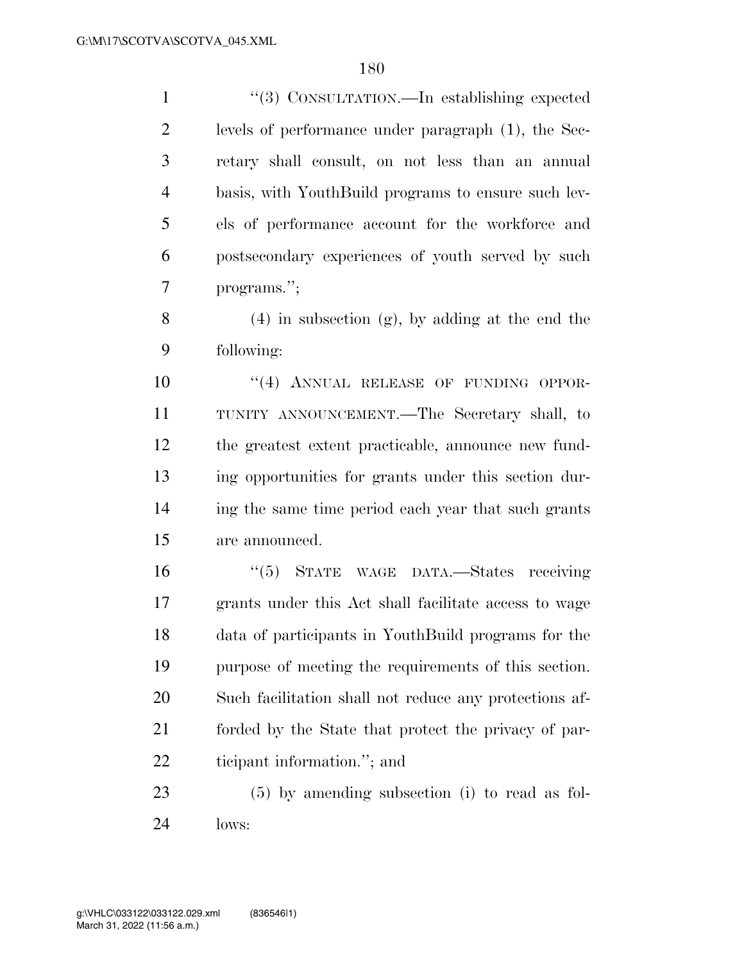''(3) CONSULTATION.—In establishing expected levels of performance under paragraph (1), the Sec- retary shall consult, on not less than an annual basis, with YouthBuild programs to ensure such lev- els of performance account for the workforce and postsecondary experiences of youth served by such programs.''; 8 (4) in subsection  $(g)$ , by adding at the end the following:  $(4)$  ANNUAL RELEASE OF FUNDING OPPOR- TUNITY ANNOUNCEMENT.—The Secretary shall, to the greatest extent practicable, announce new fund- ing opportunities for grants under this section dur- ing the same time period each year that such grants are announced. ''(5) STATE WAGE DATA.—States receiving grants under this Act shall facilitate access to wage data of participants in YouthBuild programs for the purpose of meeting the requirements of this section. Such facilitation shall not reduce any protections af- forded by the State that protect the privacy of par- ticipant information.''; and (5) by amending subsection (i) to read as fol-

lows: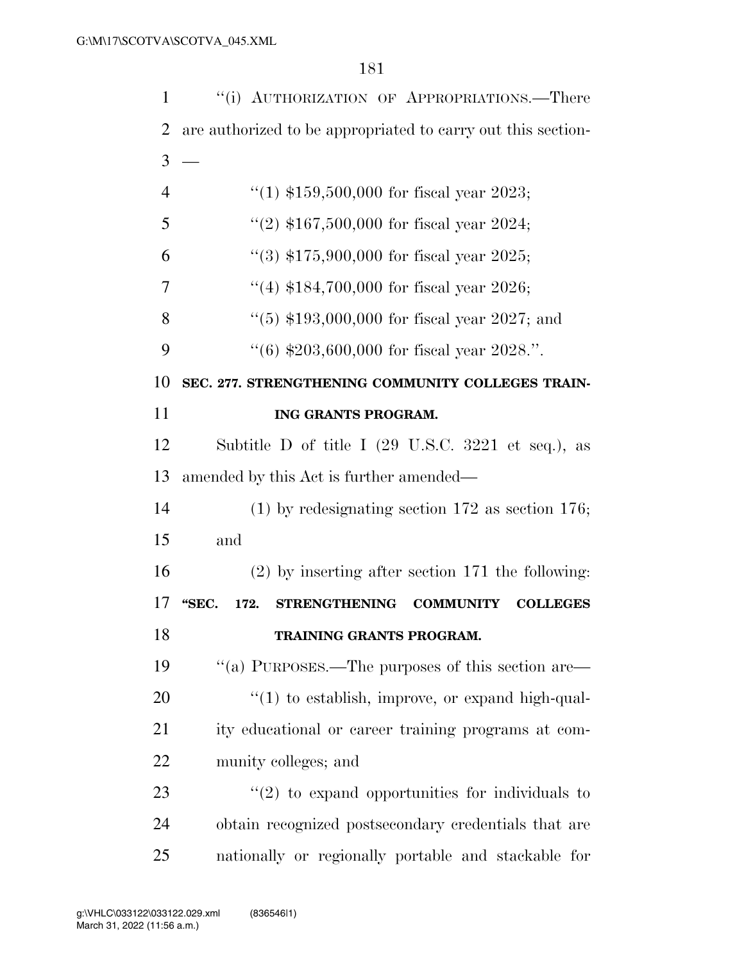| $\mathbf{1}$   | "(i) AUTHORIZATION OF APPROPRIATIONS.—There                                  |
|----------------|------------------------------------------------------------------------------|
| $\overline{2}$ | are authorized to be appropriated to carry out this section-                 |
| 3              | $\overline{\phantom{0}}$                                                     |
| $\overline{4}$ | "(1) $$159,500,000$ for fiscal year 2023;                                    |
| 5              | "(2) $$167,500,000$ for fiscal year 2024;                                    |
| 6              | "(3) $$175,900,000$ for fiscal year 2025;                                    |
| 7              | "(4) $$184,700,000$ for fiscal year 2026;                                    |
| 8              | $(5)$ \$193,000,000 for fiscal year 2027; and                                |
| 9              | $(6)$ \$203,600,000 for fiscal year 2028.".                                  |
| 10             | SEC. 277. STRENGTHENING COMMUNITY COLLEGES TRAIN-                            |
| 11             | ING GRANTS PROGRAM.                                                          |
| 12             | Subtitle D of title I $(29 \text{ U.S.C. } 3221 \text{ et seq.}),$ as        |
| 13             | amended by this Act is further amended—                                      |
| 14             | $(1)$ by redesignating section 172 as section 176;                           |
| 15             | and                                                                          |
| 16             | $(2)$ by inserting after section 171 the following:                          |
| 17             | <b>STRENGTHENING</b><br>"SEC.<br>172.<br><b>COMMUNITY</b><br><b>COLLEGES</b> |
| 18             | TRAINING GRANTS PROGRAM.                                                     |
| 19             | "(a) PURPOSES.—The purposes of this section are—                             |
| 20             | $\lq(1)$ to establish, improve, or expand high-qual-                         |
| 21             | ity educational or career training programs at com-                          |
| 22             | munity colleges; and                                                         |
| 23             | $\lq(2)$ to expand opportunities for individuals to                          |
| 24             | obtain recognized postsecondary credentials that are                         |
| 25             | nationally or regionally portable and stackable for                          |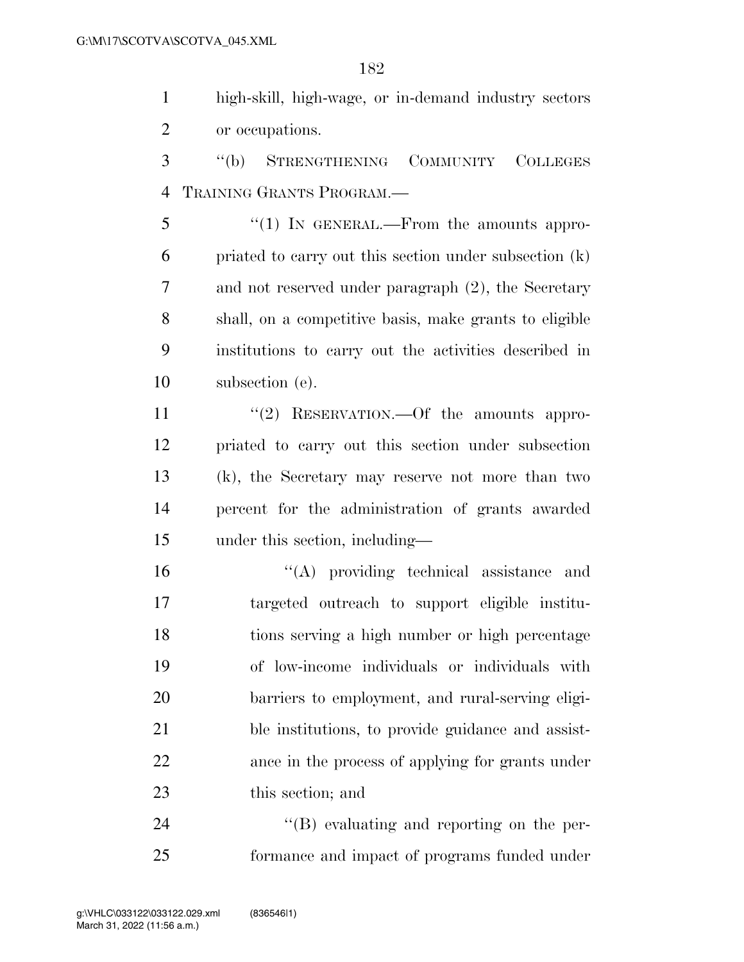high-skill, high-wage, or in-demand industry sectors or occupations.

 ''(b) STRENGTHENING COMMUNITY COLLEGES TRAINING GRANTS PROGRAM.—

5 "(1) In GENERAL.—From the amounts appro- priated to carry out this section under subsection (k) and not reserved under paragraph (2), the Secretary shall, on a competitive basis, make grants to eligible institutions to carry out the activities described in subsection (e).

11 "(2) RESERVATION.—Of the amounts appro- priated to carry out this section under subsection (k), the Secretary may reserve not more than two percent for the administration of grants awarded under this section, including—

 ''(A) providing technical assistance and targeted outreach to support eligible institu- tions serving a high number or high percentage of low-income individuals or individuals with barriers to employment, and rural-serving eligi- ble institutions, to provide guidance and assist- ance in the process of applying for grants under this section; and

24  $\langle$  (B) evaluating and reporting on the per-formance and impact of programs funded under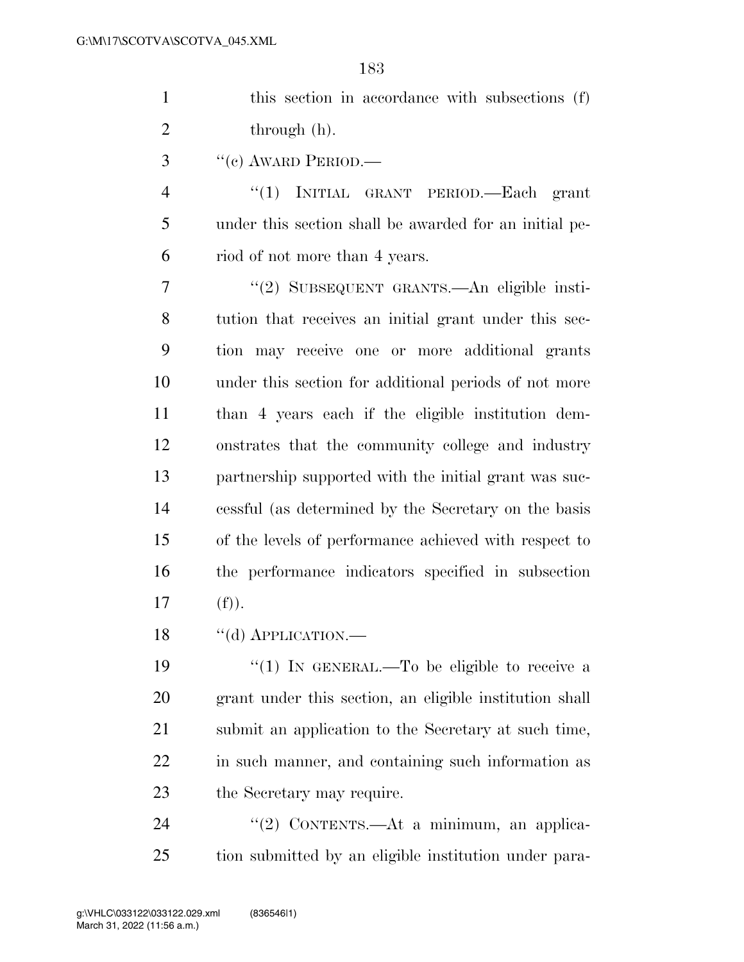|   | this section in accordance with subsections (f) |
|---|-------------------------------------------------|
| 2 | through (h).                                    |

"(c) AWARD PERIOD.—

 ''(1) INITIAL GRANT PERIOD.—Each grant under this section shall be awarded for an initial pe-riod of not more than 4 years.

 ''(2) SUBSEQUENT GRANTS.—An eligible insti- tution that receives an initial grant under this sec- tion may receive one or more additional grants under this section for additional periods of not more than 4 years each if the eligible institution dem- onstrates that the community college and industry partnership supported with the initial grant was suc- cessful (as determined by the Secretary on the basis of the levels of performance achieved with respect to the performance indicators specified in subsection 17  $(f)$ ).

18 "(d) APPLICATION.

 $\frac{1}{2}$  (1) In GENERAL.—To be eligible to receive a grant under this section, an eligible institution shall submit an application to the Secretary at such time, in such manner, and containing such information as the Secretary may require.

24 "(2) CONTENTS.—At a minimum, an applica-tion submitted by an eligible institution under para-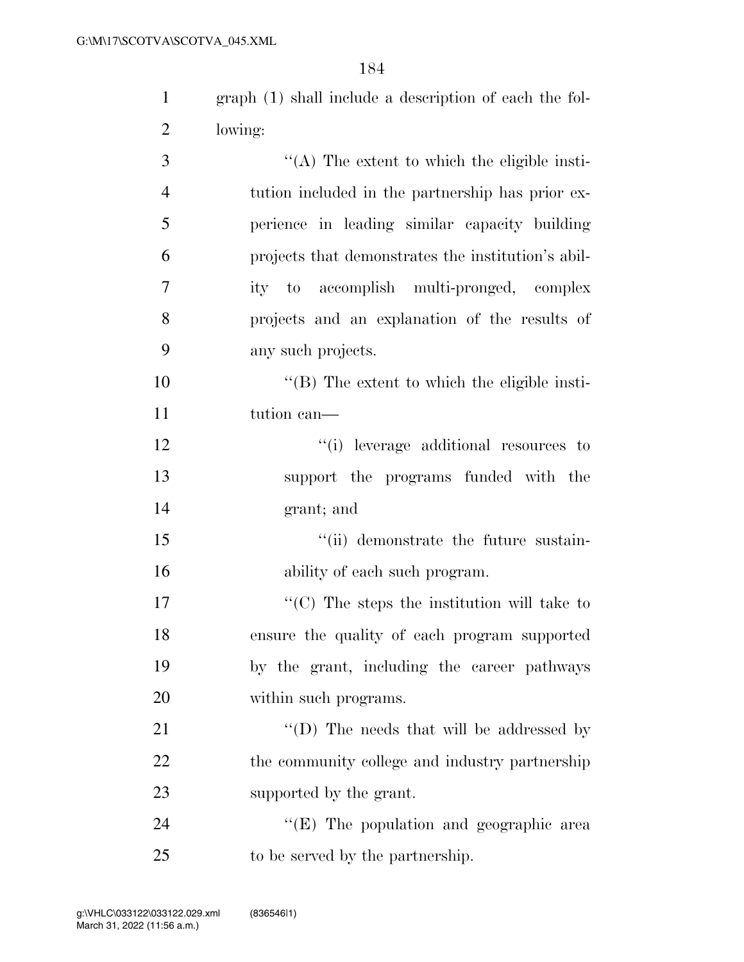| $\mathbf{1}$   | graph (1) shall include a description of each the fol- |
|----------------|--------------------------------------------------------|
| 2              | lowing:                                                |
| 3              | $\lq\lq$ . The extent to which the eligible insti-     |
| $\overline{4}$ | tution included in the partnership has prior ex-       |
| 5              | perience in leading similar capacity building          |
| 6              | projects that demonstrates the institution's abil-     |
| 7              | ity to accomplish multi-pronged, complex               |
| 8              | projects and an explanation of the results of          |
| 9              | any such projects.                                     |

 ''(B) The extent to which the eligible insti-11 tution can—

12  $\cdot$  (i) leverage additional resources to support the programs funded with the grant; and

15  $\frac{1}{10}$  demonstrate the future sustain-ability of each such program.

 $\cdot$  (C) The steps the institution will take to ensure the quality of each program supported by the grant, including the career pathways within such programs.

21 ''(D) The needs that will be addressed by 22 the community college and industry partnership supported by the grant.

24  $((E)$  The population and geographic area to be served by the partnership.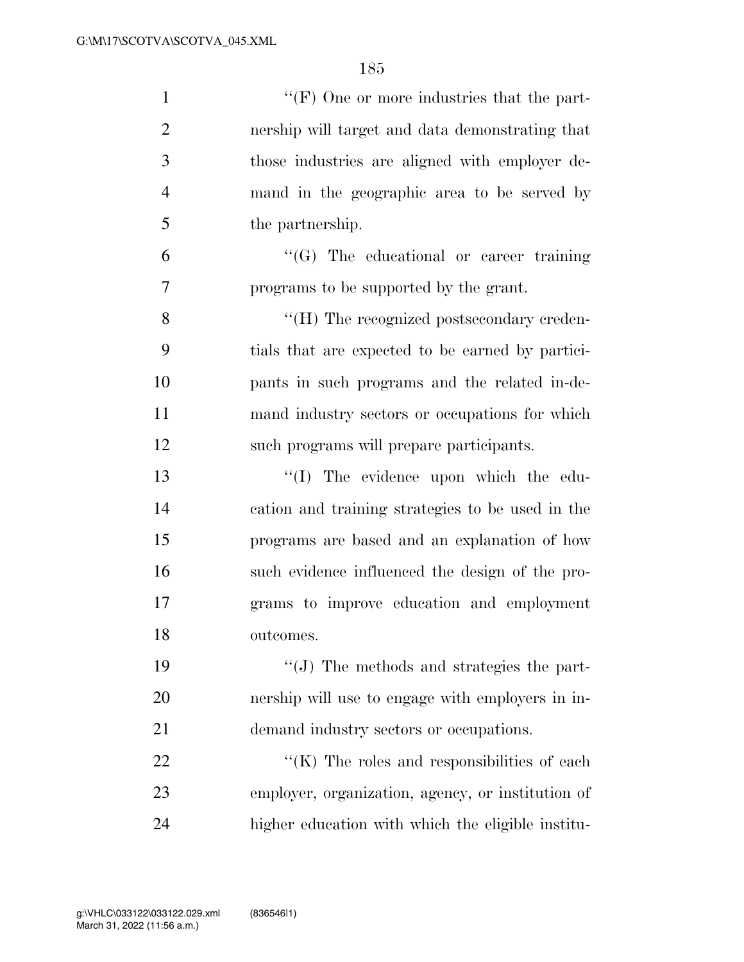| $\mathbf{1}$   | "(F) One or more industries that the part-          |
|----------------|-----------------------------------------------------|
| $\overline{2}$ | nership will target and data demonstrating that     |
| 3              | those industries are aligned with employer de-      |
| $\overline{4}$ | mand in the geographic area to be served by         |
| 5              | the partnership.                                    |
| 6              | $\lq\lq(G)$ The educational or career training      |
| 7              | programs to be supported by the grant.              |
| 8              | "(H) The recognized postsecondary creden-           |
| 9              | tials that are expected to be earned by partici-    |
| 10             | pants in such programs and the related in-de-       |
| 11             | mand industry sectors or occupations for which      |
| 12             | such programs will prepare participants.            |
| 13             | "(I) The evidence upon which the edu-               |
| 14             | cation and training strategies to be used in the    |
| 15             | programs are based and an explanation of how        |
| 16             | such evidence influenced the design of the pro-     |
| 17             | grams to improve education and employment           |
| 18             | outcomes.                                           |
| 19             | $\lq\lq$ . The methods and strategies the part-     |
| 20             | nership will use to engage with employers in in-    |
| 21             | demand industry sectors or occupations.             |
| 22             | $\lq\lq$ (K) The roles and responsibilities of each |
| 23             | employer, organization, agency, or institution of   |
| 24             | higher education with which the eligible institu-   |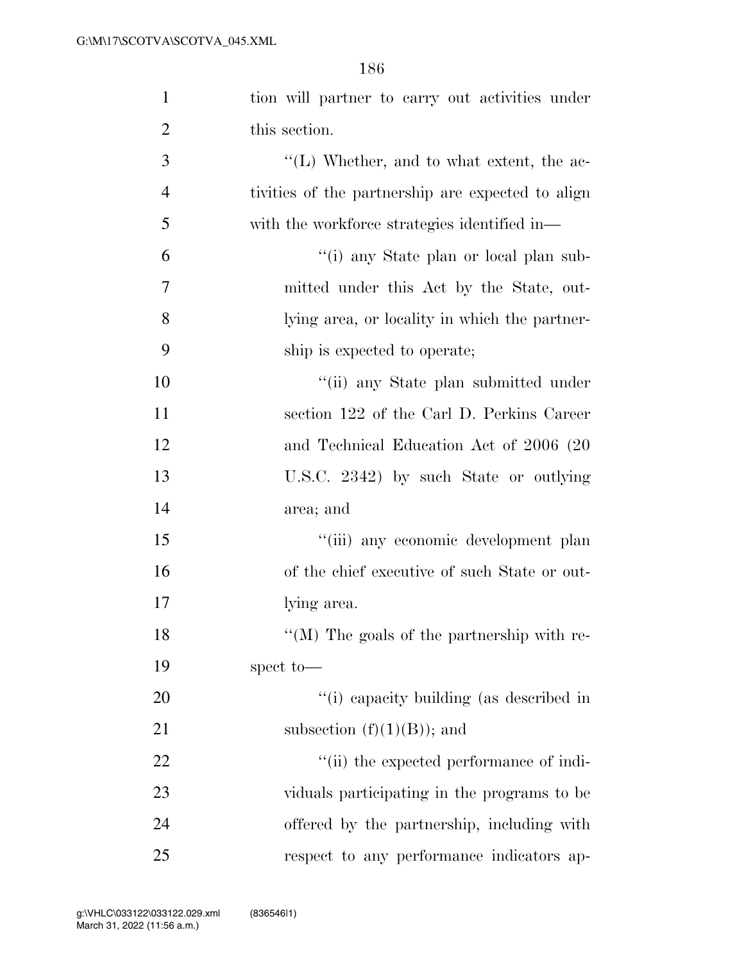| $\mathbf{1}$   | tion will partner to carry out activities under   |
|----------------|---------------------------------------------------|
| $\overline{2}$ | this section.                                     |
| $\mathfrak{Z}$ | $\lq\lq$ (L) Whether, and to what extent, the ac- |
| $\overline{4}$ | tivities of the partnership are expected to align |
| 5              | with the workforce strategies identified in—      |
| 6              | "(i) any State plan or local plan sub-            |
| $\tau$         | mitted under this Act by the State, out-          |
| 8              | lying area, or locality in which the partner-     |
| 9              | ship is expected to operate;                      |
| 10             | "(ii) any State plan submitted under              |
| 11             | section 122 of the Carl D. Perkins Career         |
| 12             | and Technical Education Act of 2006 (20           |
| 13             | U.S.C. 2342) by such State or outlying            |
| 14             | area; and                                         |
| 15             | "(iii) any economic development plan              |
| 16             | of the chief executive of such State or out-      |
| 17             | lying area.                                       |
| 18             | "(M) The goals of the partnership with re-        |
| 19             | spect to-                                         |
| 20             | "(i) capacity building (as described in           |
| 21             | subsection $(f)(1)(B)$ ; and                      |
| 22             | "(ii) the expected performance of indi-           |
| 23             | viduals participating in the programs to be       |
| 24             | offered by the partnership, including with        |
| 25             | respect to any performance indicators ap-         |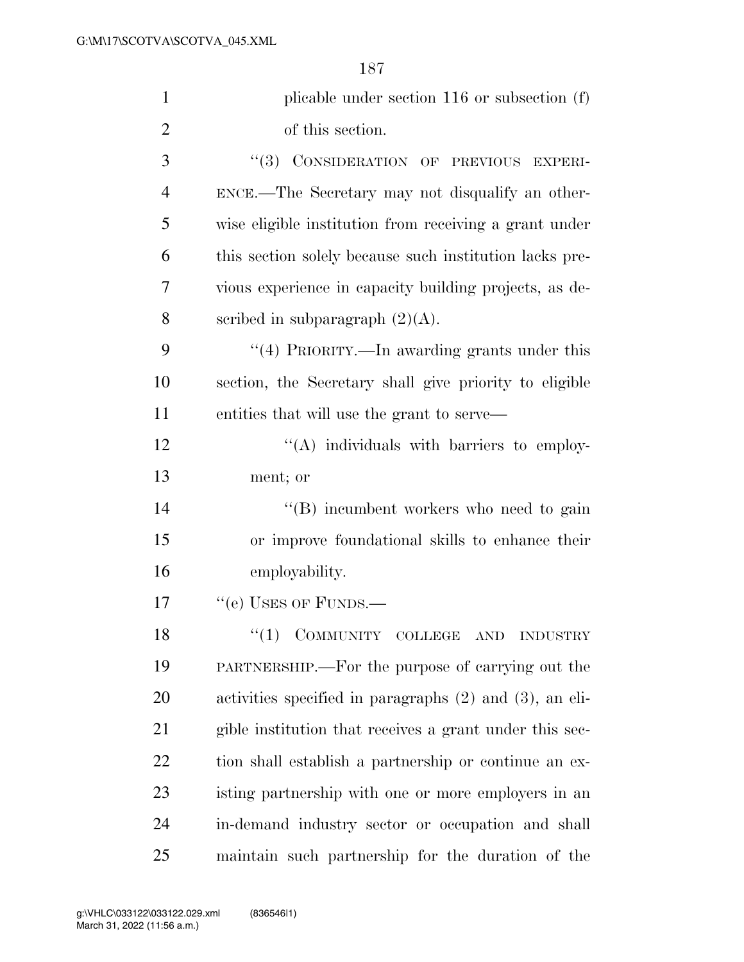| $\mathbf{1}$   | plicable under section $116$ or subsection $(f)$             |
|----------------|--------------------------------------------------------------|
| $\overline{2}$ | of this section.                                             |
| 3              | "(3) CONSIDERATION OF PREVIOUS EXPERI-                       |
| $\overline{4}$ | ENCE.—The Secretary may not disqualify an other-             |
| 5              | wise eligible institution from receiving a grant under       |
| 6              | this section solely because such institution lacks pre-      |
| 7              | vious experience in capacity building projects, as de-       |
| 8              | scribed in subparagraph $(2)(A)$ .                           |
| 9              | "(4) PRIORITY.—In awarding grants under this                 |
| 10             | section, the Secretary shall give priority to eligible       |
| 11             | entities that will use the grant to serve—                   |
| 12             | "(A) individuals with barriers to employ-                    |
| 13             | ment; or                                                     |
| 14             | "(B) incumbent workers who need to gain                      |
| 15             | or improve foundational skills to enhance their              |
| 16             | employability.                                               |
| 17             | "(e) USES OF FUNDS.-                                         |
| 18             | "(1) COMMUNITY COLLEGE AND INDUSTRY                          |
| 19             | PARTNERSHIP.—For the purpose of carrying out the             |
| 20             | activities specified in paragraphs $(2)$ and $(3)$ , an eli- |
| 21             | gible institution that receives a grant under this sec-      |
| 22             | tion shall establish a partnership or continue an ex-        |
| 23             | isting partnership with one or more employers in an          |
| 24             | in-demand industry sector or occupation and shall            |
| 25             | maintain such partnership for the duration of the            |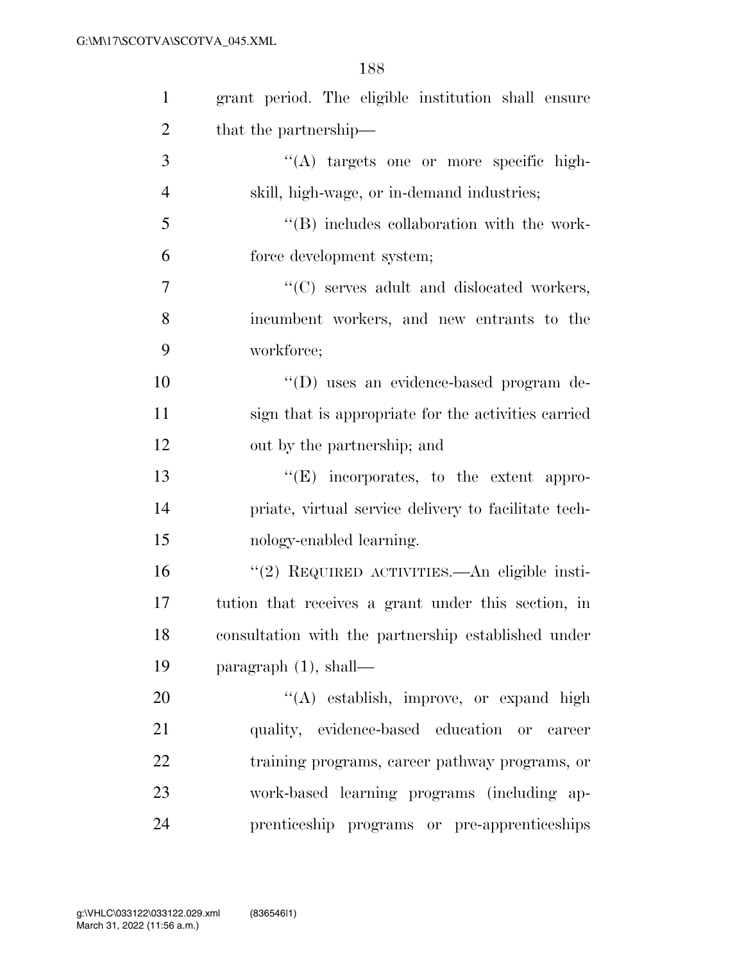| $\mathbf{1}$   | grant period. The eligible institution shall ensure  |
|----------------|------------------------------------------------------|
| $\overline{2}$ | that the partnership—                                |
| 3              | "(A) targets one or more specific high-              |
| $\overline{4}$ | skill, high-wage, or in-demand industries;           |
| 5              | $\lq\lq (B)$ includes collaboration with the work-   |
| 6              | force development system;                            |
| $\overline{7}$ | "(C) serves adult and dislocated workers,            |
| 8              | incumbent workers, and new entrants to the           |
| 9              | workforce;                                           |
| 10             | "(D) uses an evidence-based program de-              |
| 11             | sign that is appropriate for the activities carried  |
| 12             | out by the partnership; and                          |
| 13             | $\lq\lq(E)$ incorporates, to the extent appro-       |
| 14             | priate, virtual service delivery to facilitate tech- |
| 15             | nology-enabled learning.                             |
| 16             | "(2) REQUIRED ACTIVITIES.—An eligible insti-         |
| 17             | tution that receives a grant under this section, in  |
| 18             | consultation with the partnership established under  |
| 19             | paragraph $(1)$ , shall—                             |
| 20             | "(A) establish, improve, or expand high              |
| 21             | quality, evidence-based education or career          |
| 22             | training programs, career pathway programs, or       |
| 23             | work-based learning programs (including ap-          |
| 24             | prenticeship programs or pre-apprenticeships         |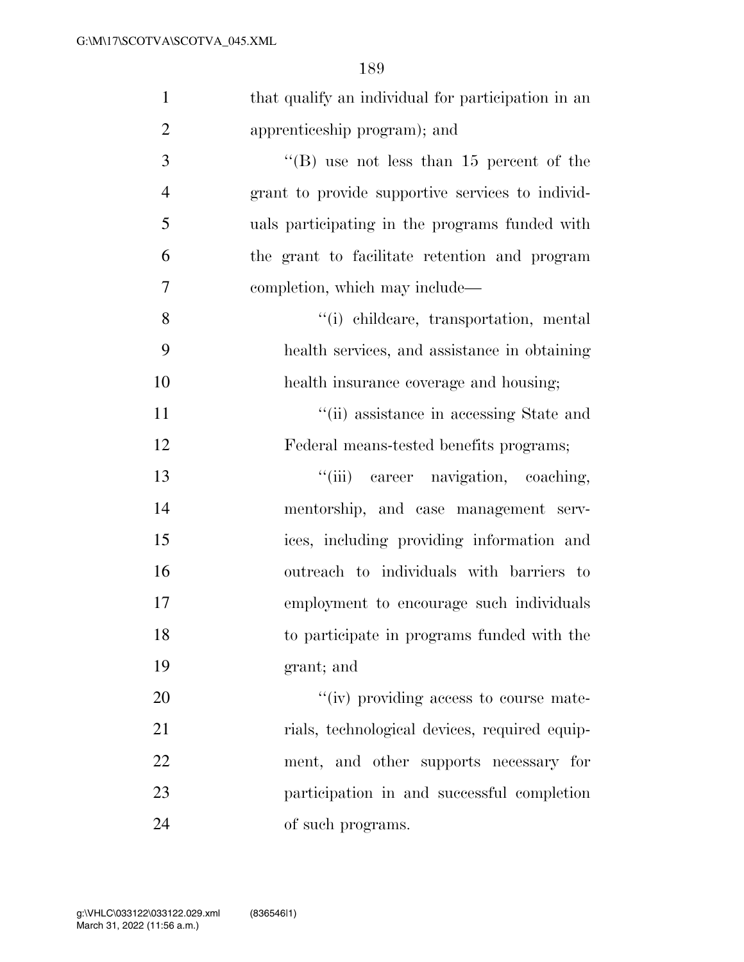| $\mathbf{1}$   | that qualify an individual for participation in an |
|----------------|----------------------------------------------------|
| $\overline{2}$ | apprenticeship program); and                       |
| 3              | "(B) use not less than 15 percent of the           |
| $\overline{4}$ | grant to provide supportive services to individ-   |
| 5              | uals participating in the programs funded with     |
| 6              | the grant to facilitate retention and program      |
| 7              | completion, which may include—                     |
| 8              | "(i) childcare, transportation, mental             |
| 9              | health services, and assistance in obtaining       |
| 10             | health insurance coverage and housing;             |
| 11             | "(ii) assistance in accessing State and            |
| 12             | Federal means-tested benefits programs;            |
| 13             | "(iii) career navigation, coaching,                |
| 14             | mentorship, and case management serv-              |
| 15             | ices, including providing information and          |
| 16             | outreach to individuals with barriers to           |
| 17             | employment to encourage such individuals           |
| 18             | to participate in programs funded with the         |
| 19             | grant; and                                         |
| 20             | "(iv) providing access to course mate-             |
| 21             | rials, technological devices, required equip-      |
| 22             | ment, and other supports necessary for             |
| 23             | participation in and successful completion         |
| 24             | of such programs.                                  |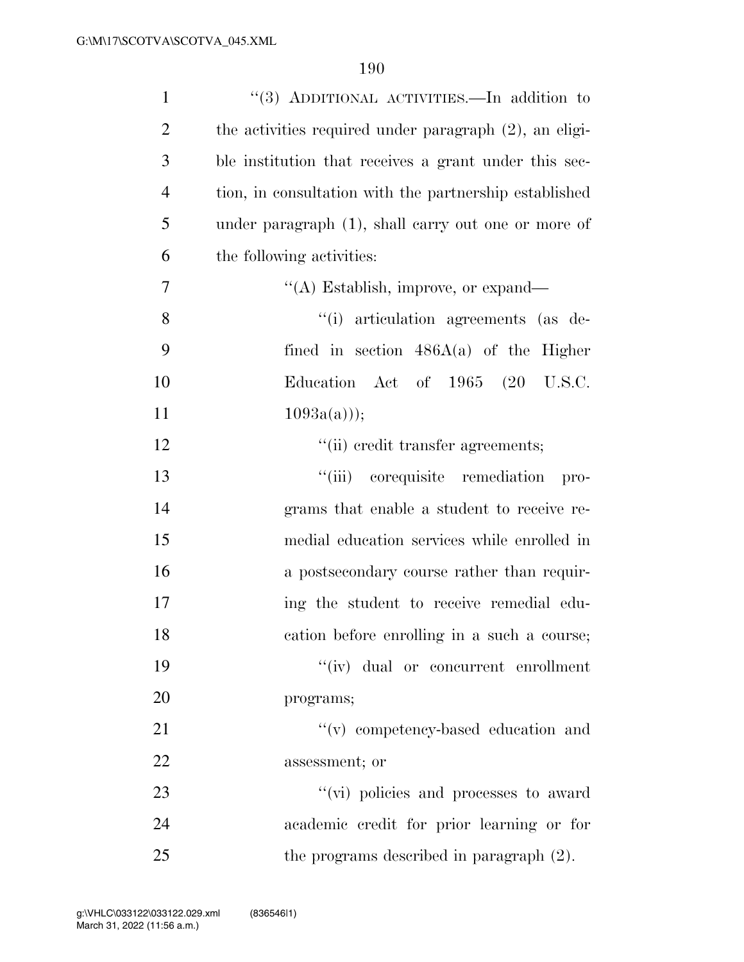| $\mathbf{1}$   | "(3) ADDITIONAL ACTIVITIES.—In addition to                |
|----------------|-----------------------------------------------------------|
| $\overline{2}$ | the activities required under paragraph $(2)$ , an eligi- |
| 3              | ble institution that receives a grant under this sec-     |
| $\overline{4}$ | tion, in consultation with the partnership established    |
| 5              | under paragraph (1), shall carry out one or more of       |
| 6              | the following activities:                                 |
| 7              | "(A) Establish, improve, or expand—                       |
| 8              | "(i) articulation agreements (as de-                      |
| 9              | fined in section $486A(a)$ of the Higher                  |
| 10             | Education Act of 1965 (20 U.S.C.                          |
| 11             | $1093a(a))$ ;                                             |
| 12             | "(ii) credit transfer agreements;                         |
| 13             | "(iii) corequisite remediation<br>pro-                    |
| 14             | grams that enable a student to receive re-                |
| 15             | medial education services while enrolled in               |
| 16             | a postsecondary course rather than requir-                |
| 17             | ing the student to receive remedial edu-                  |
| 18             | cation before enrolling in a such a course;               |
| 19             | "(iv) dual or concurrent enrollment                       |
| 20             | programs;                                                 |
| 21             | "(v) competency-based education and                       |
| 22             | assessment; or                                            |
| 23             | "(vi) policies and processes to award                     |
| 24             | academic credit for prior learning or for                 |
| 25             | the programs described in paragraph $(2)$ .               |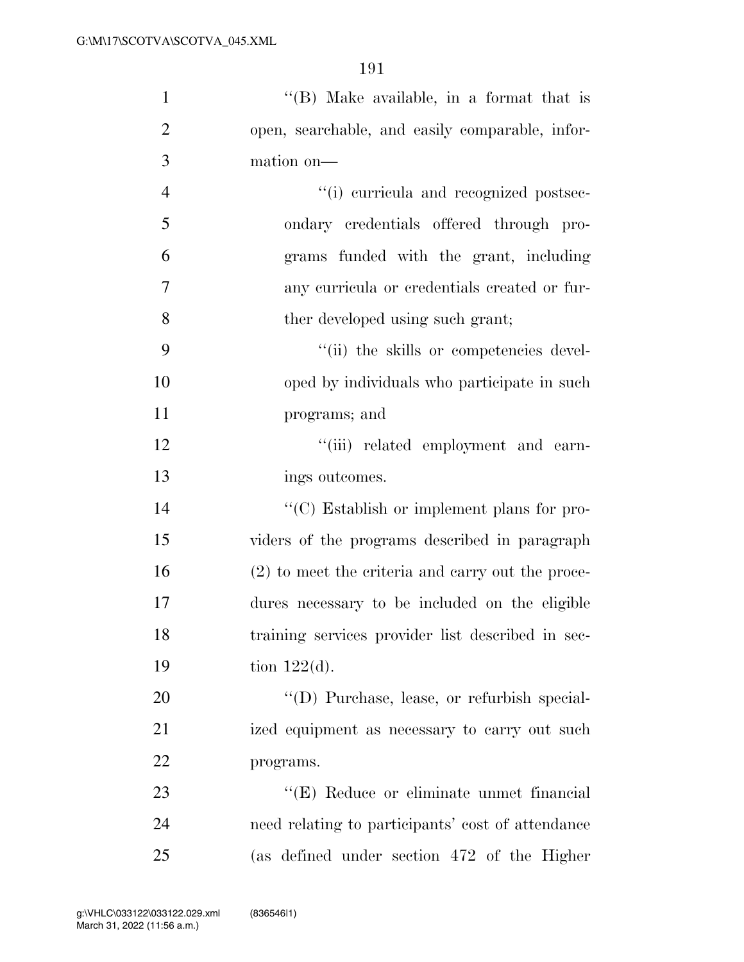| $\mathbf{1}$   | "(B) Make available, in a format that is            |
|----------------|-----------------------------------------------------|
| $\overline{2}$ | open, searchable, and easily comparable, infor-     |
| 3              | mation on-                                          |
| $\overline{4}$ | "(i) curricula and recognized postsec-              |
| 5              | ondary credentials offered through pro-             |
| 6              | grams funded with the grant, including              |
| 7              | any curricula or credentials created or fur-        |
| 8              | ther developed using such grant;                    |
| 9              | "(ii) the skills or competencies devel-             |
| 10             | oped by individuals who participate in such         |
| 11             | programs; and                                       |
| 12             | "(iii) related employment and earn-                 |
| 13             | ings outcomes.                                      |
| 14             | "(C) Establish or implement plans for pro-          |
| 15             | viders of the programs described in paragraph       |
| 16             | $(2)$ to meet the criteria and carry out the proce- |
| 17             | dures necessary to be included on the eligible      |
| 18             | training services provider list described in sec-   |
| 19             | tion $122(d)$ .                                     |
| 20             | "(D) Purchase, lease, or refurbish special-         |
| 21             | ized equipment as necessary to carry out such       |
| 22             | programs.                                           |
| 23             | "(E) Reduce or eliminate unmet financial            |
| 24             | need relating to participants' cost of attendance   |
| 25             | (as defined under section 472 of the Higher         |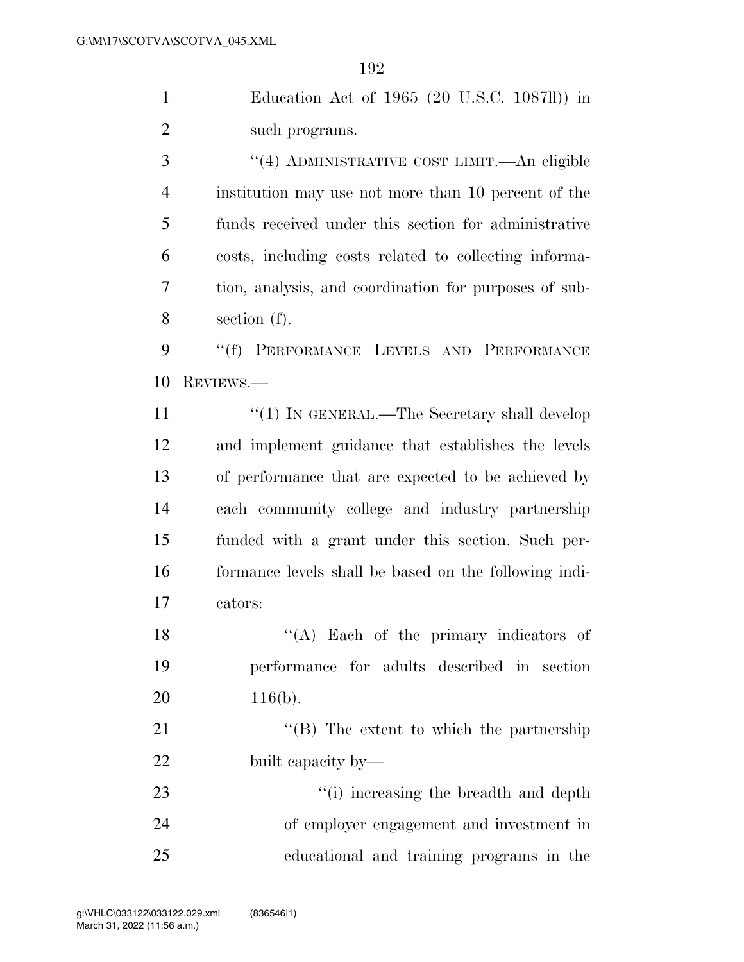| Education Act of $1965$ (20 U.S.C. 1087ll)) in |
|------------------------------------------------|
| such programs.                                 |

 ''(4) ADMINISTRATIVE COST LIMIT.—An eligible institution may use not more than 10 percent of the funds received under this section for administrative costs, including costs related to collecting informa- tion, analysis, and coordination for purposes of sub-section (f).

9 "(f) PERFORMANCE LEVELS AND PERFORMANCE REVIEWS.—

11 ''(1) IN GENERAL.—The Secretary shall develop and implement guidance that establishes the levels of performance that are expected to be achieved by each community college and industry partnership funded with a grant under this section. Such per- formance levels shall be based on the following indi-cators:

18  $"$ (A) Each of the primary indicators of performance for adults described in section 20 116(b).

21 ''(B) The extent to which the partnership built capacity by—

23 ''(i) increasing the breadth and depth of employer engagement and investment in educational and training programs in the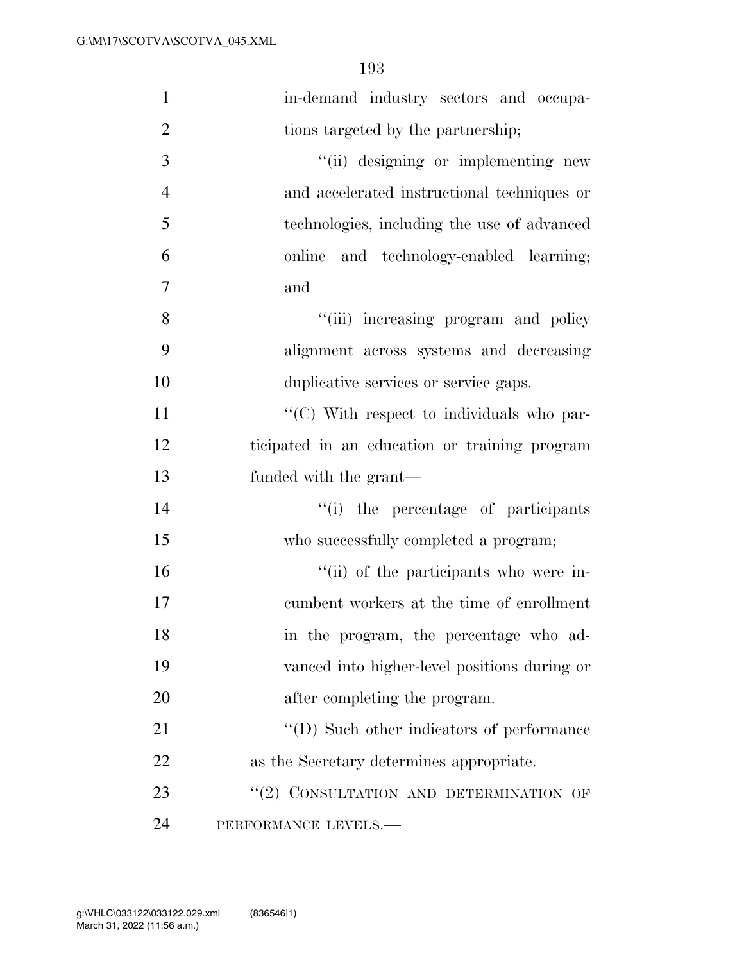| $\mathbf{1}$   | in-demand industry sectors and occupa-        |
|----------------|-----------------------------------------------|
| $\overline{2}$ | tions targeted by the partnership;            |
| 3              | "(ii) designing or implementing new           |
| $\overline{4}$ | and accelerated instructional techniques or   |
| 5              | technologies, including the use of advanced   |
| 6              | online and technology-enabled learning;       |
| $\overline{7}$ | and                                           |
| 8              | "(iii) increasing program and policy          |
| 9              | alignment across systems and decreasing       |
| 10             | duplicative services or service gaps.         |
| 11             | "(C) With respect to individuals who par-     |
| 12             | ticipated in an education or training program |
| 13             | funded with the grant—                        |
| 14             | "(i) the percentage of participants           |
| 15             | who successfully completed a program;         |
| 16             | "(ii) of the participants who were in-        |
| 17             | cumbent workers at the time of enrollment     |
| 18             | in the program, the percentage who ad-        |
| 19             | vanced into higher-level positions during or  |
| 20             | after completing the program.                 |
| 21             | "(D) Such other indicators of performance     |
| 22             | as the Secretary determines appropriate.      |
| 23             | "(2) CONSULTATION AND DETERMINATION OF        |
| 24             | PERFORMANCE LEVELS.-                          |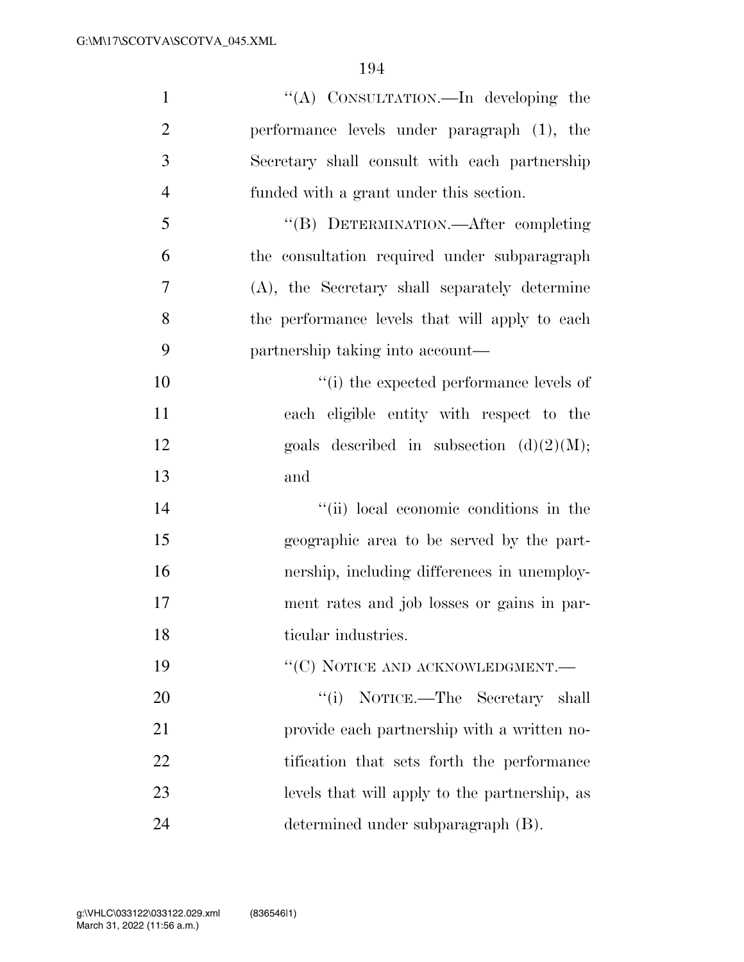| $\mathbf{1}$   | "(A) CONSULTATION.—In developing the           |
|----------------|------------------------------------------------|
| $\overline{2}$ | performance levels under paragraph (1), the    |
| 3              | Secretary shall consult with each partnership  |
| $\overline{4}$ | funded with a grant under this section.        |
| 5              | "(B) DETERMINATION.—After completing           |
| 6              | the consultation required under subparagraph   |
| 7              | (A), the Secretary shall separately determine  |
| 8              | the performance levels that will apply to each |
| 9              | partnership taking into account—               |
| 10             | "(i) the expected performance levels of        |
| 11             | each eligible entity with respect to the       |
| 12             | goals described in subsection $(d)(2)(M);$     |
| 13             | and                                            |
| 14             | "(ii) local economic conditions in the         |
| 15             | geographic area to be served by the part-      |
| 16             | nership, including differences in unemploy-    |
| 17             | ment rates and job losses or gains in par-     |
| 18             | ticular industries.                            |
| 19             | "(C) NOTICE AND ACKNOWLEDGMENT.—               |
| 20             | "(i) NOTICE.—The Secretary shall               |
| 21             | provide each partnership with a written no-    |
| 22             | tification that sets forth the performance     |
| 23             | levels that will apply to the partnership, as  |
| 24             | determined under subparagraph (B).             |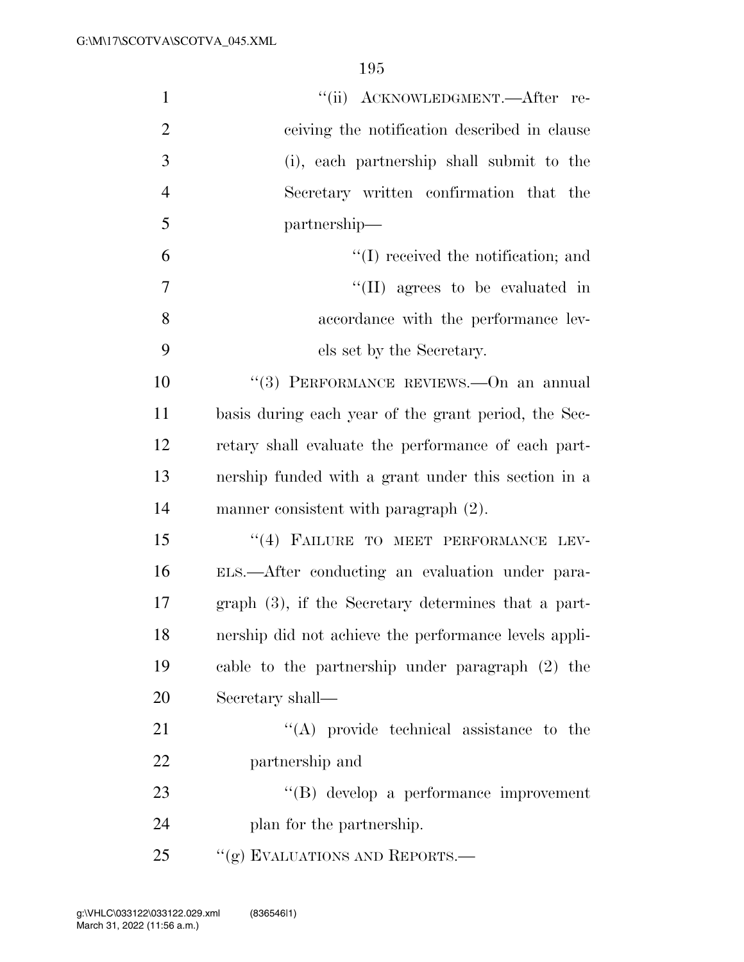| $\mathbf{1}$   | "(ii) ACKNOWLEDGMENT.—After re-                        |
|----------------|--------------------------------------------------------|
| $\overline{2}$ | ceiving the notification described in clause           |
| 3              | (i), each partnership shall submit to the              |
| $\overline{4}$ | Secretary written confirmation that the                |
| 5              | partnership—                                           |
| 6              | $\lq\lq$ received the notification; and                |
| 7              | $\lq\lq$ (II) agrees to be evaluated in                |
| 8              | accordance with the performance lev-                   |
| 9              | els set by the Secretary.                              |
| 10             | "(3) PERFORMANCE REVIEWS. - On an annual               |
| 11             | basis during each year of the grant period, the Sec-   |
| 12             | retary shall evaluate the performance of each part-    |
| 13             | nership funded with a grant under this section in a    |
| 14             | manner consistent with paragraph (2).                  |
| 15             | "(4) FAILURE TO MEET PERFORMANCE LEV-                  |
| 16             | ELS.—After conducting an evaluation under para-        |
| 17             | graph $(3)$ , if the Secretary determines that a part- |
| 18             | nership did not achieve the performance levels appli-  |
| 19             | cable to the partnership under paragraph (2) the       |
| 20             | Secretary shall—                                       |
| 21             | $\lq\lq$ provide technical assistance to the           |
| 22             | partnership and                                        |
| 23             | "(B) develop a performance improvement                 |
| 24             | plan for the partnership.                              |
| 25             | "(g) EVALUATIONS AND REPORTS.—                         |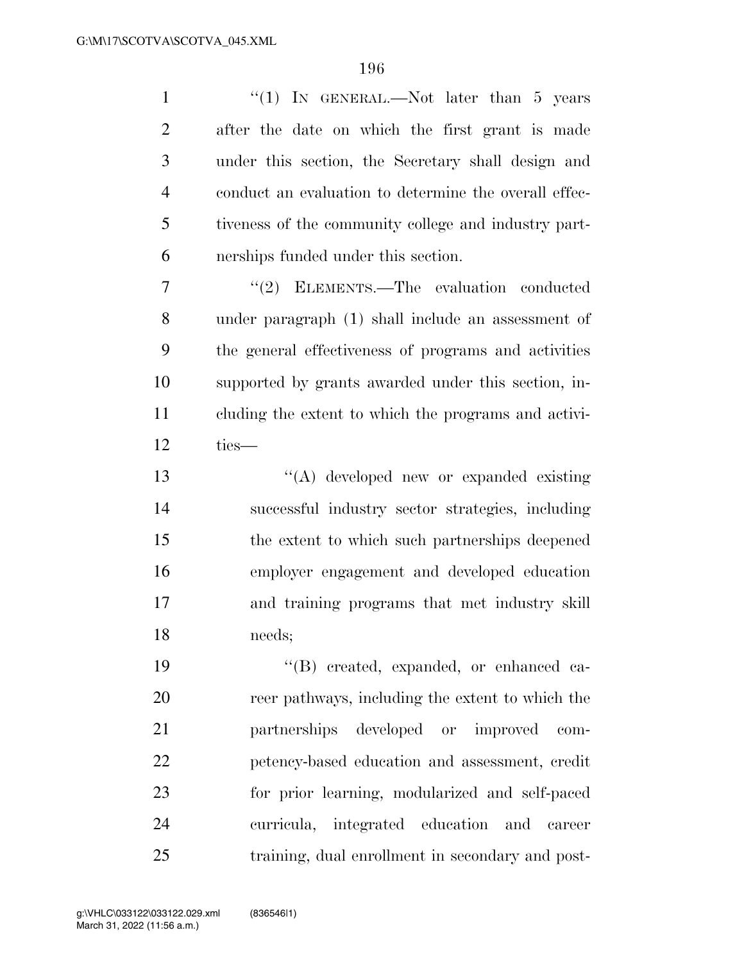| $\mathbf{1}$   | "(1) IN GENERAL.—Not later than 5 years               |
|----------------|-------------------------------------------------------|
| $\overline{2}$ | after the date on which the first grant is made       |
| 3              | under this section, the Secretary shall design and    |
| $\overline{4}$ | conduct an evaluation to determine the overall effec- |
| 5              | tiveness of the community college and industry part-  |
| 6              | nerships funded under this section.                   |
| 7              | $\lq(2)$ ELEMENTS. The evaluation conducted           |
| 8              | under paragraph (1) shall include an assessment of    |
| 9              | the general effectiveness of programs and activities  |
| 10             | supported by grants awarded under this section, in-   |
| 11             | cluding the extent to which the programs and activi-  |
| 12             | ties-                                                 |
| 13             | "(A) developed new or expanded existing               |
| 14             | successful industry sector strategies, including      |
| 15             | the extent to which such partnerships deepened        |
| 16             | employer engagement and developed education           |
| 17             | and training programs that met industry skill         |
| 18             | needs;                                                |
| 19             | "(B) created, expanded, or enhanced ca-               |
| 20             | reer pathways, including the extent to which the      |
| 21             | partnerships developed or improved<br>com-            |
| 22             | petency-based education and assessment, credit        |
| 23             | for prior learning, modularized and self-paced        |
| 24             | integrated education and<br>curricula,<br>career      |
| 25             | training, dual enrollment in secondary and post-      |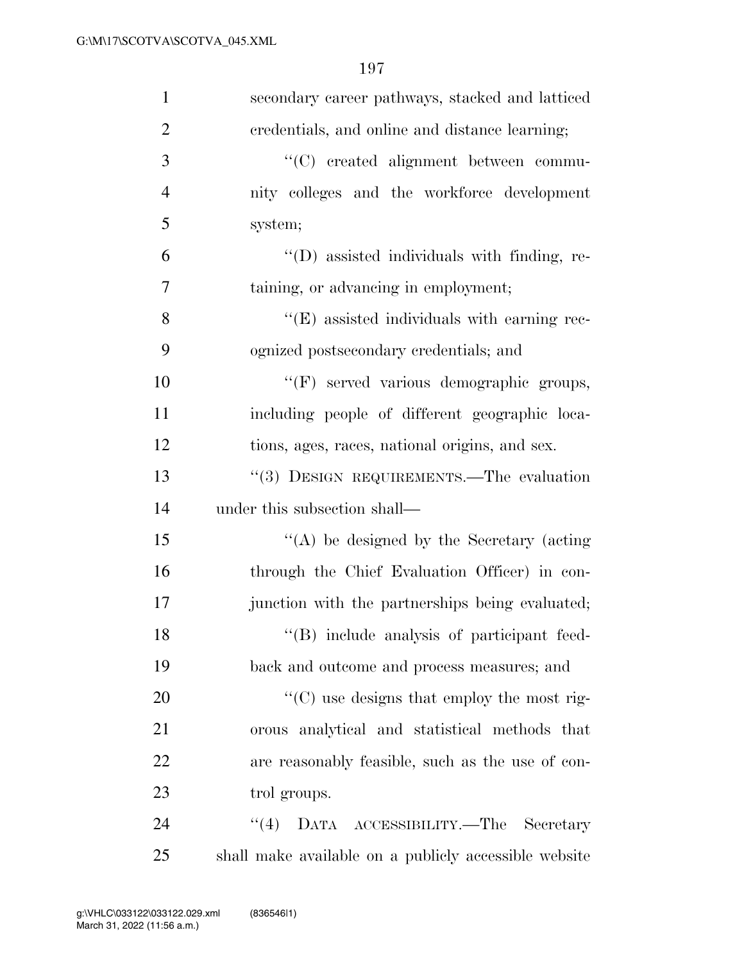| $\mathbf{1}$   | secondary career pathways, stacked and latticed       |
|----------------|-------------------------------------------------------|
| $\overline{2}$ | credentials, and online and distance learning;        |
| 3              | "(C) created alignment between commu-                 |
| $\overline{4}$ | nity colleges and the workforce development           |
| 5              | system;                                               |
| 6              | "(D) assisted individuals with finding, re-           |
| $\overline{7}$ | taining, or advancing in employment;                  |
| 8              | $\lq\lq$ (E) assisted individuals with earning rec-   |
| 9              | ognized postsecondary credentials; and                |
| 10             | "(F) served various demographic groups,               |
| 11             | including people of different geographic loca-        |
| 12             | tions, ages, races, national origins, and sex.        |
| 13             | "(3) DESIGN REQUIREMENTS.—The evaluation              |
| 14             | under this subsection shall—                          |
| 15             | $\lq\lq$ be designed by the Secretary (acting         |
| 16             | through the Chief Evaluation Officer) in con-         |
| 17             | junction with the partnerships being evaluated;       |
| 18             | "(B) include analysis of participant feed-            |
| 19             | back and outcome and process measures; and            |
| 20             | "(C) use designs that employ the most rig-            |
| 21             | orous analytical and statistical methods that         |
| 22             | are reasonably feasible, such as the use of con-      |
| 23             | trol groups.                                          |
| 24             | (4)<br>DATA ACCESSIBILITY.—The<br>Secretary           |
| 25             | shall make available on a publicly accessible website |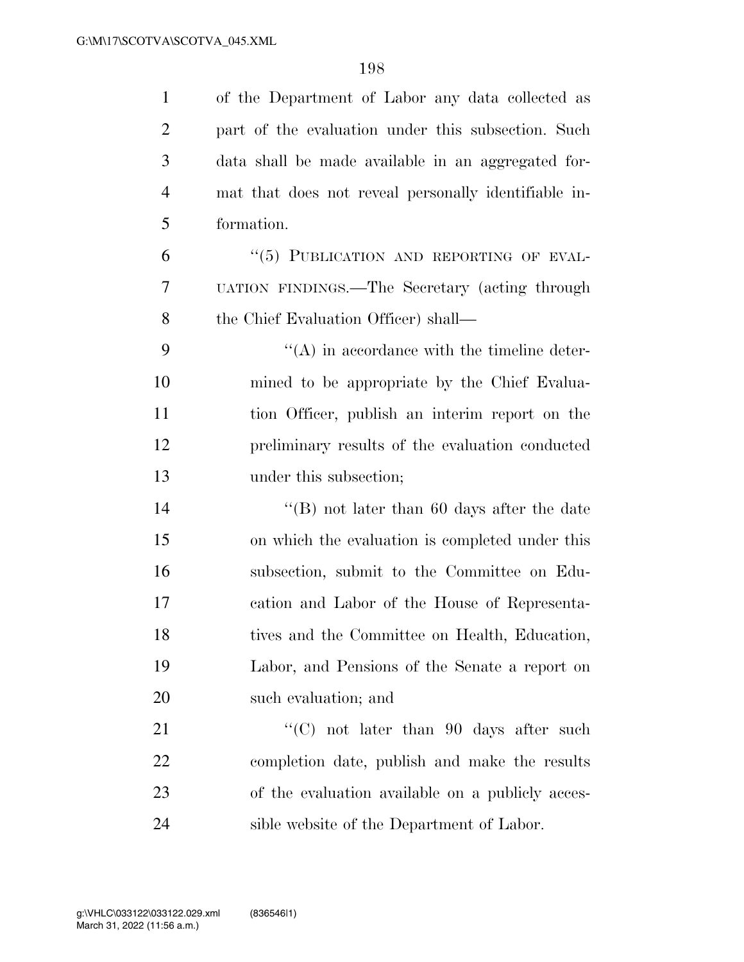| $\mathbf{1}$   | of the Department of Labor any data collected as     |
|----------------|------------------------------------------------------|
| $\overline{2}$ | part of the evaluation under this subsection. Such   |
| 3              | data shall be made available in an aggregated for-   |
| $\overline{4}$ | mat that does not reveal personally identifiable in- |
| 5              | formation.                                           |
| 6              | "(5) PUBLICATION AND REPORTING OF EVAL-              |
| 7              | UATION FINDINGS.—The Secretary (acting through       |
| 8              | the Chief Evaluation Officer) shall—                 |
| 9              | $\lq\lq$ in accordance with the timeline deter-      |
| 10             | mined to be appropriate by the Chief Evalua-         |
| 11             | tion Officer, publish an interim report on the       |
| 12             | preliminary results of the evaluation conducted      |
| 13             | under this subsection;                               |
| 14             | "(B) not later than 60 days after the date           |
| 15             | on which the evaluation is completed under this      |
| 16             | subsection, submit to the Committee on Edu-          |
| 17             | cation and Labor of the House of Representa-         |
| 18             | tives and the Committee on Health, Education,        |
| 19             | Labor, and Pensions of the Senate a report on        |
| 20             | such evaluation; and                                 |
| 21             | "(C) not later than $90$ days after such             |
| 22             | completion date, publish and make the results        |
| 23             | of the evaluation available on a publicly acces-     |
| 24             | sible website of the Department of Labor.            |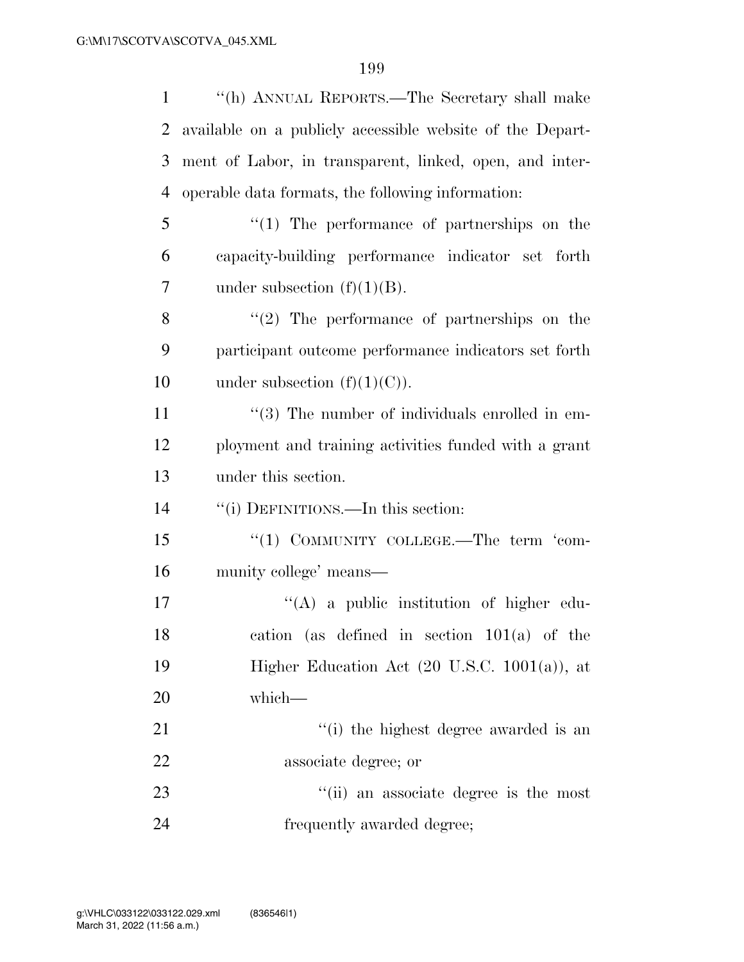| 1  | "(h) ANNUAL REPORTS.—The Secretary shall make                  |
|----|----------------------------------------------------------------|
| 2  | available on a publicly accessible website of the Depart-      |
| 3  | ment of Labor, in transparent, linked, open, and inter-        |
| 4  | operable data formats, the following information:              |
| 5  | $\lq(1)$ The performance of partnerships on the                |
| 6  | capacity-building performance indicator set forth              |
| 7  | under subsection $(f)(1)(B)$ .                                 |
| 8  | $f'(2)$ The performance of partnerships on the                 |
| 9  | participant outcome performance indicators set forth           |
| 10 | under subsection $(f)(1)(C)$ .                                 |
| 11 | $\cdot\cdot\cdot(3)$ The number of individuals enrolled in em- |
| 12 | ployment and training activities funded with a grant           |
| 13 | under this section.                                            |
| 14 | "(i) DEFINITIONS.—In this section:                             |
| 15 | "(1) COMMUNITY COLLEGE.—The term 'com-                         |
| 16 | munity college' means—                                         |
| 17 | $\lq\lq$ a public institution of higher edu-                   |
| 18 | cation (as defined in section $101(a)$ of the                  |
| 19 | Higher Education Act $(20 \text{ U.S.C. } 1001(a))$ , at       |
| 20 | which-                                                         |
| 21 | "(i) the highest degree awarded is an                          |
| 22 | associate degree; or                                           |
| 23 | "(ii) an associate degree is the most                          |
| 24 | frequently awarded degree;                                     |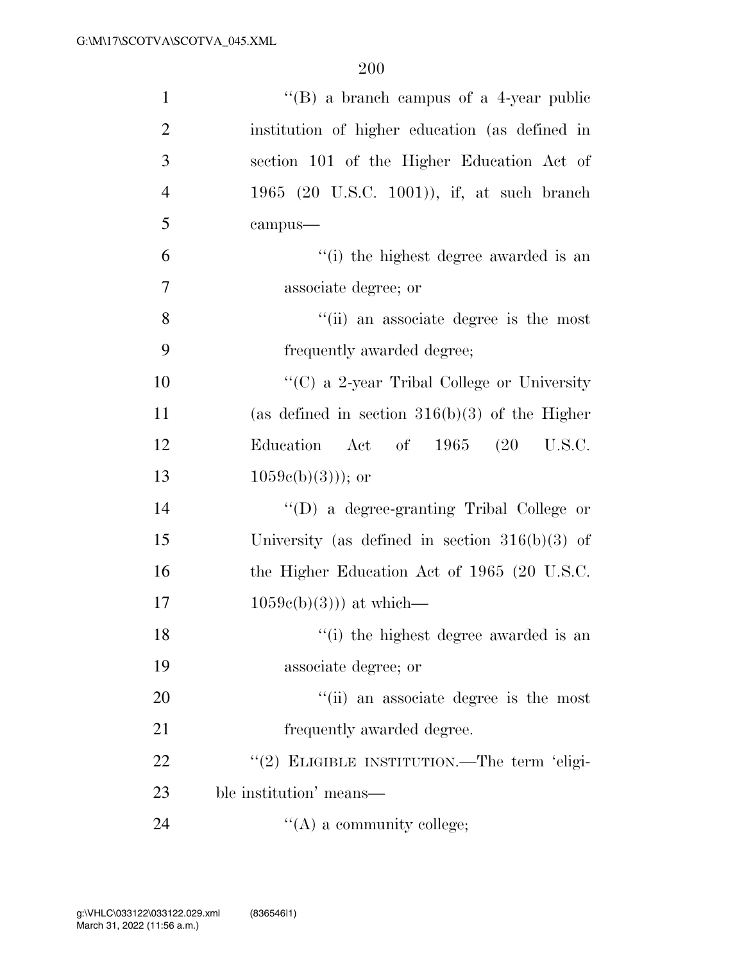| $\mathbf{1}$   | $\lq\lq (B)$ a branch campus of a 4-year public  |
|----------------|--------------------------------------------------|
| $\overline{2}$ | institution of higher education (as defined in   |
| 3              | section 101 of the Higher Education Act of       |
| $\overline{4}$ | 1965 (20 U.S.C. 1001)), if, at such branch       |
| 5              | campus-                                          |
| 6              | "(i) the highest degree awarded is an            |
| 7              | associate degree; or                             |
| 8              | "(ii) an associate degree is the most            |
| 9              | frequently awarded degree;                       |
| 10             | "(C) a 2-year Tribal College or University       |
| 11             | (as defined in section $316(b)(3)$ of the Higher |
| 12             | Education Act of $1965$ $(20$ U.S.C.             |
| 13             | $1059c(b)(3))$ ; or                              |
| 14             | "(D) a degree-granting Tribal College or         |
| 15             | University (as defined in section $316(b)(3)$ of |
| 16             | the Higher Education Act of 1965 (20 U.S.C.      |
| 17             | $1059e(b)(3))$ at which—                         |
| 18             | "(i) the highest degree awarded is an            |
| 19             | associate degree; or                             |
| 20             | "(ii) an associate degree is the most            |
| 21             | frequently awarded degree.                       |
| 22             | "(2) ELIGIBLE INSTITUTION.—The term 'eligi-      |
| 23             | ble institution' means—                          |
| 24             | $\lq\lq$ (A) a community college;                |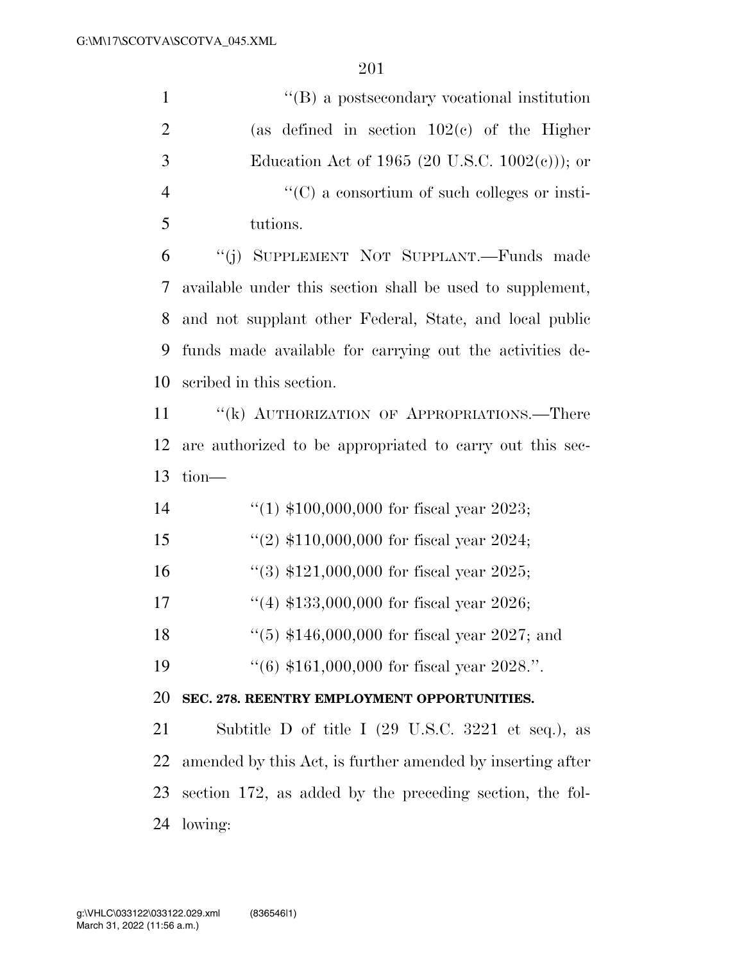| $\mathbf{1}$   | $\lq\lq$ a postsecondary vocational institution                       |
|----------------|-----------------------------------------------------------------------|
| $\overline{2}$ | (as defined in section $102(c)$ of the Higher                         |
| 3              | Education Act of 1965 (20 U.S.C. $1002(c)$ ); or                      |
| $\overline{4}$ | $\lq\lq$ (C) a consortium of such colleges or insti-                  |
| 5              | tutions.                                                              |
| 6              | "(j) SUPPLEMENT NOT SUPPLANT.—Funds made                              |
| 7              | available under this section shall be used to supplement,             |
| 8              | and not supplant other Federal, State, and local public               |
| 9              | funds made available for carrying out the activities de-              |
| 10             | scribed in this section.                                              |
| 11             | "(k) AUTHORIZATION OF APPROPRIATIONS.—There                           |
| 12             | are authorized to be appropriated to carry out this sec-              |
| 13             | $tion$ —                                                              |
| 14             | "(1) $$100,000,000$ for fiscal year 2023;                             |
| 15             | "(2) $$110,000,000$ for fiscal year 2024;                             |
| 16             | "(3) $$121,000,000$ for fiscal year 2025;                             |
| 17             | "(4) $$133,000,000$ for fiscal year 2026;                             |
| 18             | $(5)$ \$146,000,000 for fiscal year 2027; and                         |
| 19             | $(16)$ \$161,000,000 for fiscal year 2028.".                          |
| 20             | SEC. 278. REENTRY EMPLOYMENT OPPORTUNITIES.                           |
| 21             | Subtitle D of title I $(29 \text{ U.S.C. } 3221 \text{ et seq.}),$ as |
| 22             | amended by this Act, is further amended by inserting after            |
| 23             | section 172, as added by the preceding section, the fol-              |
| 24             | lowing:                                                               |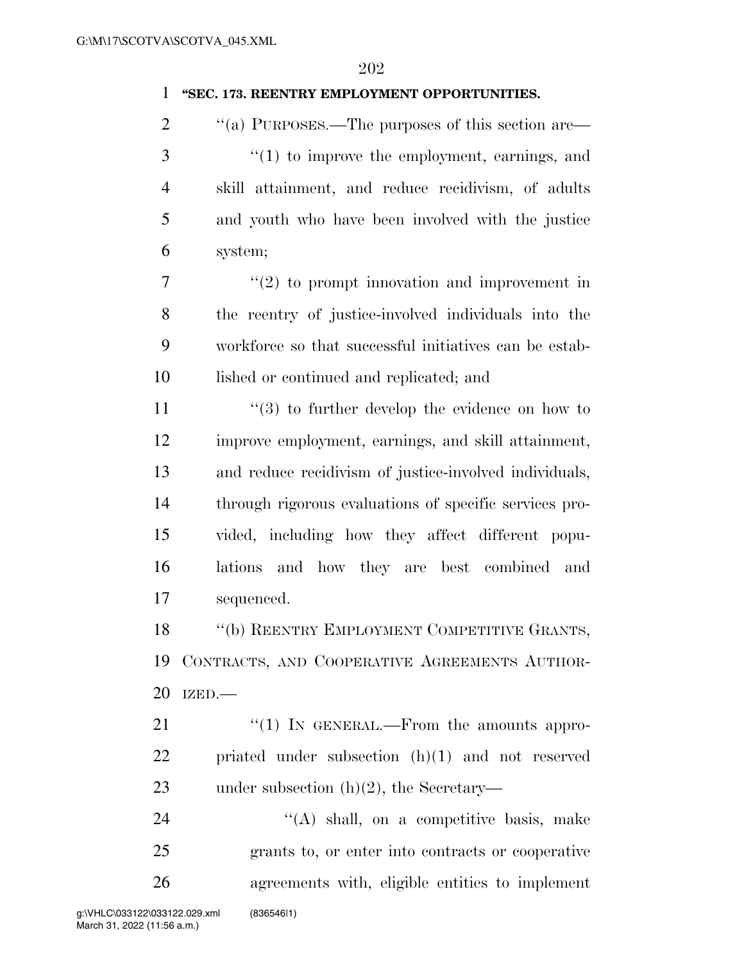## **''SEC. 173. REENTRY EMPLOYMENT OPPORTUNITIES.**

 $\cdot$  "(a) PURPOSES.—The purposes of this section are— ''(1) to improve the employment, earnings, and skill attainment, and reduce recidivism, of adults and youth who have been involved with the justice system;

 $7 \t$  ''(2) to prompt innovation and improvement in the reentry of justice-involved individuals into the workforce so that successful initiatives can be estab-lished or continued and replicated; and

 $\frac{1}{3}$  to further develop the evidence on how to improve employment, earnings, and skill attainment, and reduce recidivism of justice-involved individuals, through rigorous evaluations of specific services pro- vided, including how they affect different popu- lations and how they are best combined and sequenced.

18 "(b) REENTRY EMPLOYMENT COMPETITIVE GRANTS, CONTRACTS, AND COOPERATIVE AGREEMENTS AUTHOR-IZED.—

21 "(1) IN GENERAL.—From the amounts appro- priated under subsection (h)(1) and not reserved under subsection (h)(2), the Secretary—

24  $\langle (A) \rangle$  shall, on a competitive basis, make grants to, or enter into contracts or cooperative agreements with, eligible entities to implement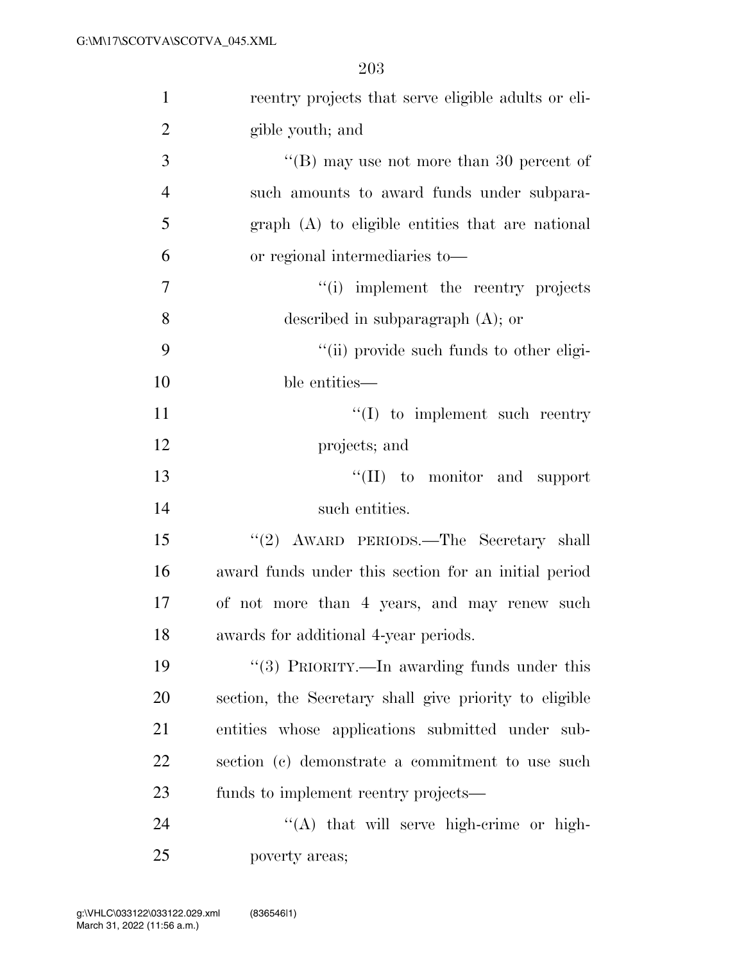| $\mathbf{1}$   | reentry projects that serve eligible adults or eli-    |
|----------------|--------------------------------------------------------|
| $\overline{2}$ | gible youth; and                                       |
| 3              | "(B) may use not more than 30 percent of               |
| $\overline{4}$ | such amounts to award funds under subpara-             |
| 5              | graph (A) to eligible entities that are national       |
| 6              | or regional intermediaries to—                         |
| $\overline{7}$ | "(i) implement the reentry projects                    |
| 8              | described in subparagraph $(A)$ ; or                   |
| 9              | "(ii) provide such funds to other eligi-               |
| 10             | ble entities—                                          |
| 11             | $\lq\lq$ to implement such reentry                     |
| 12             | projects; and                                          |
| 13             | $\lq\lq$ (II) to monitor and support                   |
| 14             | such entities.                                         |
| 15             | "(2) AWARD PERIODS.—The Secretary shall                |
| 16             | award funds under this section for an initial period   |
| 17             | of not more than 4 years, and may renew such           |
| 18             | awards for additional 4-year periods.                  |
| 19             | "(3) PRIORITY.—In awarding funds under this            |
| 20             | section, the Secretary shall give priority to eligible |
| 21             | entities whose applications submitted under sub-       |
| 22             | section (c) demonstrate a commitment to use such       |
| 23             | funds to implement reentry projects—                   |
| 24             | "(A) that will serve high-crime or high-               |
| 25             | poverty areas;                                         |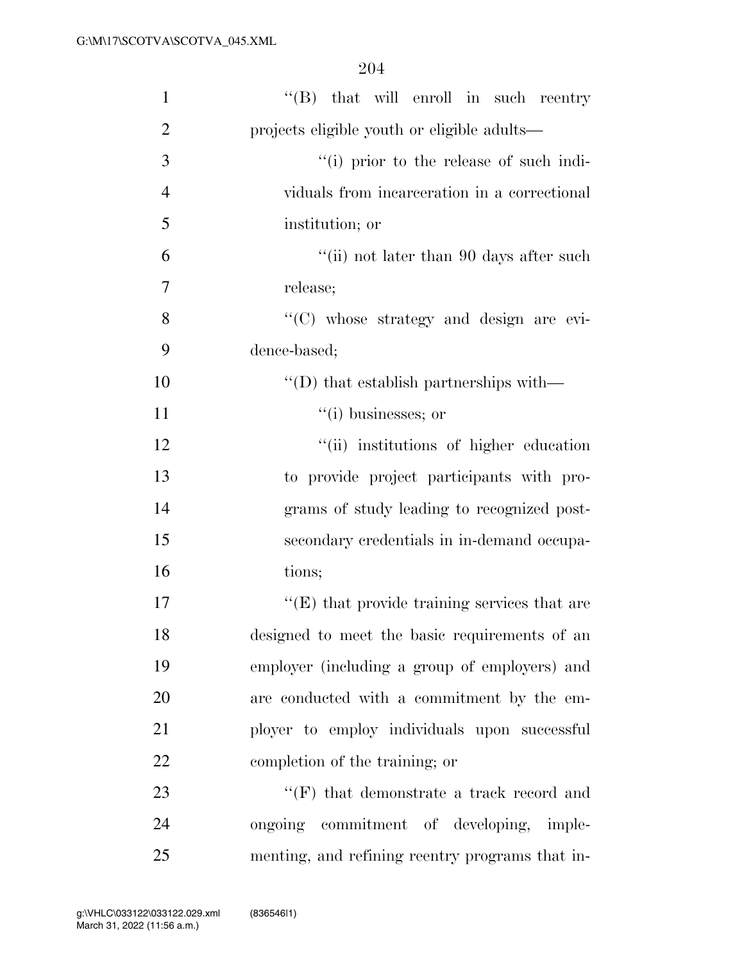| $\mathbf{1}$   | $\lq\lq$ (B) that will enroll in such reentry       |
|----------------|-----------------------------------------------------|
| $\overline{2}$ | projects eligible youth or eligible adults-         |
| 3              | "(i) prior to the release of such indi-             |
| $\overline{4}$ | viduals from incarceration in a correctional        |
| 5              | institution; or                                     |
| 6              | "(ii) not later than 90 days after such             |
| 7              | release;                                            |
| 8              | "(C) whose strategy and design are evi-             |
| 9              | dence-based;                                        |
| 10             | $\lq\lq$ that establish partnerships with—          |
| 11             | $\lq\lq(i)$ businesses; or                          |
| 12             | "(ii) institutions of higher education              |
| 13             | to provide project participants with pro-           |
| 14             | grams of study leading to recognized post-          |
| 15             | secondary credentials in in-demand occupa-          |
| 16             | tions;                                              |
| 17             | $\lq\lq(E)$ that provide training services that are |
| 18             | designed to meet the basic requirements of an       |
| 19             | employer (including a group of employers) and       |
| 20             | are conducted with a commitment by the em-          |
| 21             | ployer to employ individuals upon successful        |
| 22             | completion of the training; or                      |
| 23             | $\lq\lq(F)$ that demonstrate a track record and     |
| 24             | ongoing commitment of developing, imple-            |
| 25             | menting, and refining reentry programs that in-     |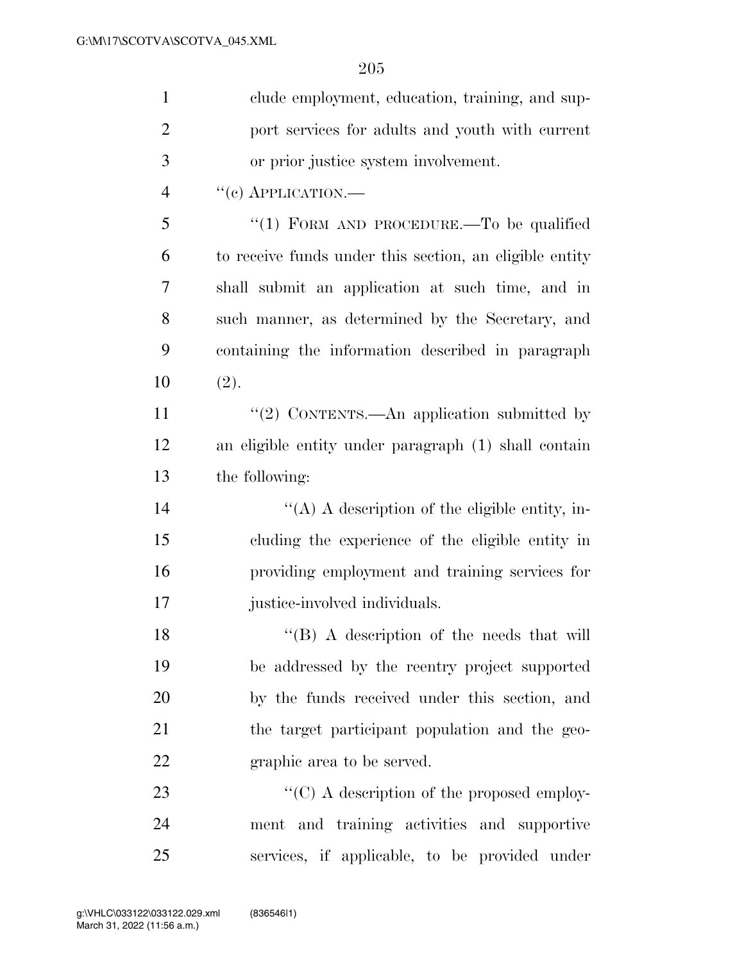| $\mathbf{1}$   | clude employment, education, training, and sup-         |
|----------------|---------------------------------------------------------|
| $\overline{2}$ | port services for adults and youth with current         |
| 3              | or prior justice system involvement.                    |
| $\overline{4}$ | $``(e)$ APPLICATION.—                                   |
| 5              | "(1) FORM AND PROCEDURE.—To be qualified                |
| 6              | to receive funds under this section, an eligible entity |
| 7              | shall submit an application at such time, and in        |
| 8              | such manner, as determined by the Secretary, and        |
| 9              | containing the information described in paragraph       |
| 10             | (2).                                                    |
| 11             | "(2) CONTENTS.—An application submitted by              |
| 12             | an eligible entity under paragraph (1) shall contain    |
| 13             | the following:                                          |
| 14             | "(A) A description of the eligible entity, in-          |
| 15             | cluding the experience of the eligible entity in        |
| 16             | providing employment and training services for          |
| 17             | justice-involved individuals.                           |
| 18             | "(B) A description of the needs that will               |
| 19             | be addressed by the reentry project supported           |
| 20             | by the funds received under this section, and           |
| 21             | the target participant population and the geo-          |
| 22             | graphic area to be served.                              |
| 23             | $\lq\lq$ (C) A description of the proposed employ-      |
| 24             | ment and training activities and supportive             |
| 25             | services, if applicable, to be provided under           |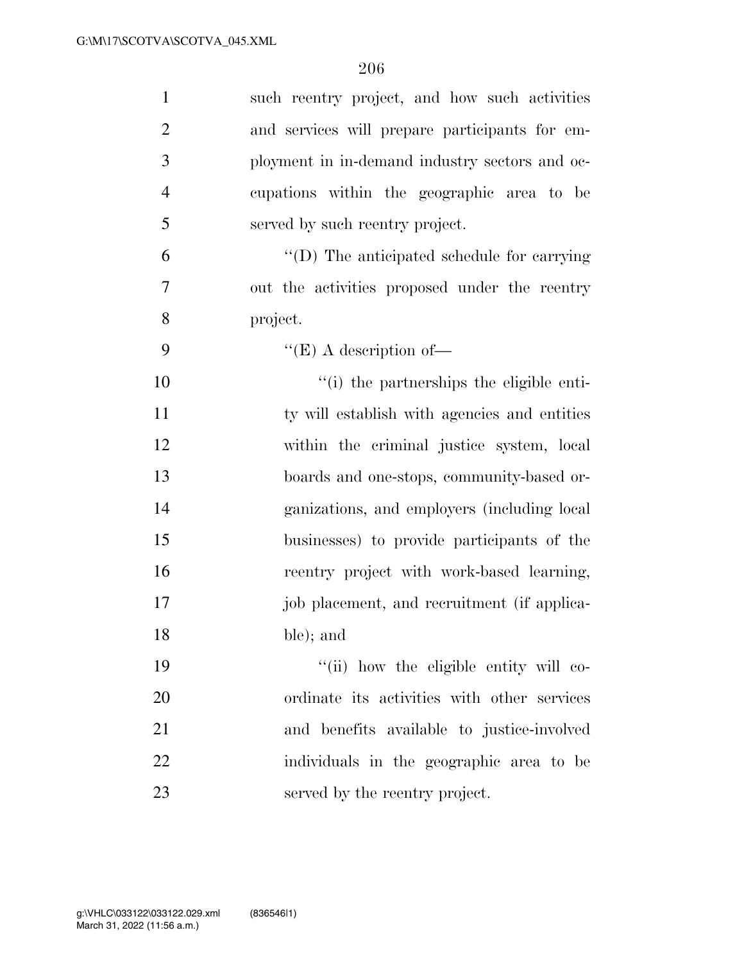| $\mathbf{1}$   | such reentry project, and how such activities    |
|----------------|--------------------------------------------------|
| $\overline{2}$ | and services will prepare participants for em-   |
| 3              | ployment in in-demand industry sectors and oc-   |
| $\overline{4}$ | cupations within the geographic area to be       |
| 5              | served by such reentry project.                  |
| 6              | $\lq\lq$ . The anticipated schedule for carrying |
| $\overline{7}$ | out the activities proposed under the reentry    |
| 8              | project.                                         |
| 9              | $\lq\lq$ (E) A description of —                  |
| 10             | "(i) the partnerships the eligible enti-         |
| 11             | ty will establish with agencies and entities     |
| 12             | within the criminal justice system, local        |
| 13             | boards and one-stops, community-based or-        |
| 14             | ganizations, and employers (including local      |
| 15             | businesses) to provide participants of the       |
| 16             | reentry project with work-based learning,        |
| 17             | job placement, and recruitment (if applica-      |
| 18             | ble); and                                        |
| 19             | "(ii) how the eligible entity will co-           |
| 20             | ordinate its activities with other services      |
| 21             | and benefits available to justice-involved       |
| 22             | individuals in the geographic area to be         |
| 23             | served by the reentry project.                   |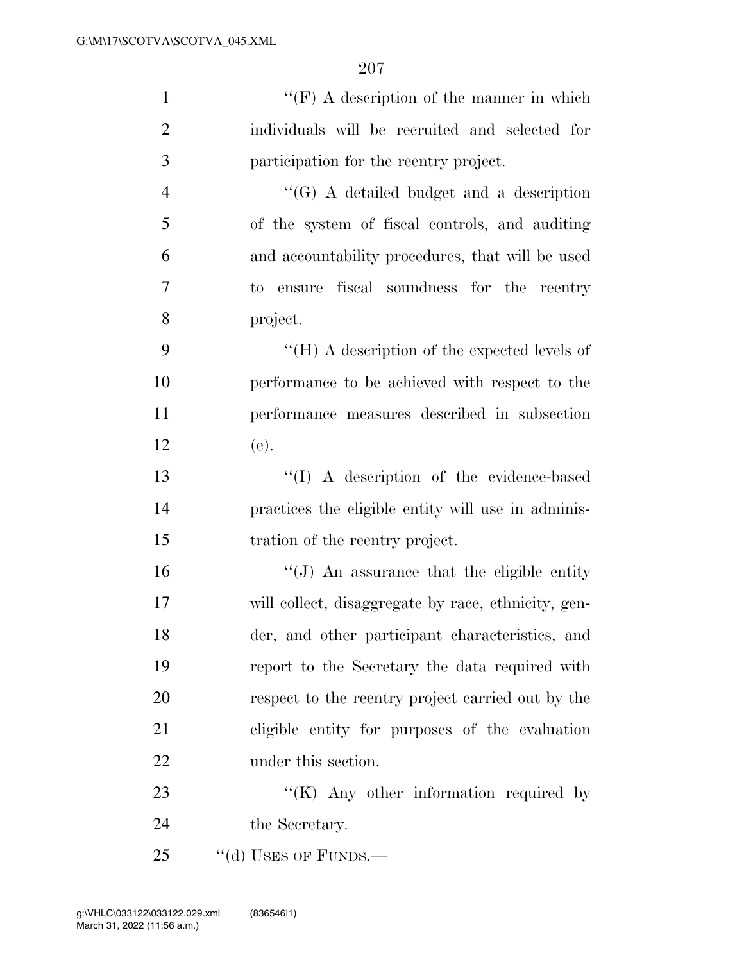| $\mathbf{1}$   | "(F) A description of the manner in which           |
|----------------|-----------------------------------------------------|
| $\overline{2}$ | individuals will be recruited and selected for      |
| 3              | participation for the reentry project.              |
| $\overline{4}$ | $\lq\lq(G)$ A detailed budget and a description     |
| 5              | of the system of fiscal controls, and auditing      |
| 6              | and accountability procedures, that will be used    |
| 7              | to ensure fiscal soundness for the reentry          |
| 8              | project.                                            |
| 9              | "(H) A description of the expected levels of        |
| 10             | performance to be achieved with respect to the      |
| 11             | performance measures described in subsection        |
| 12             | (e).                                                |
| 13             | "(I) A description of the evidence-based            |
| 14             | practices the eligible entity will use in adminis-  |
| 15             | tration of the reentry project.                     |
| 16             | $\lq\lq$ . An assurance that the eligible entity    |
| 17             | will collect, disaggregate by race, ethnicity, gen- |
| 18             | der, and other participant characteristics, and     |
| 19             | report to the Secretary the data required with      |
| 20             | respect to the reentry project carried out by the   |
| 21             | eligible entity for purposes of the evaluation      |
| 22             | under this section.                                 |
| 23             | $\lq\lq (K)$ Any other information required by      |
| 24             | the Secretary.                                      |
| 25             | $"$ (d) USES OF FUNDS.—                             |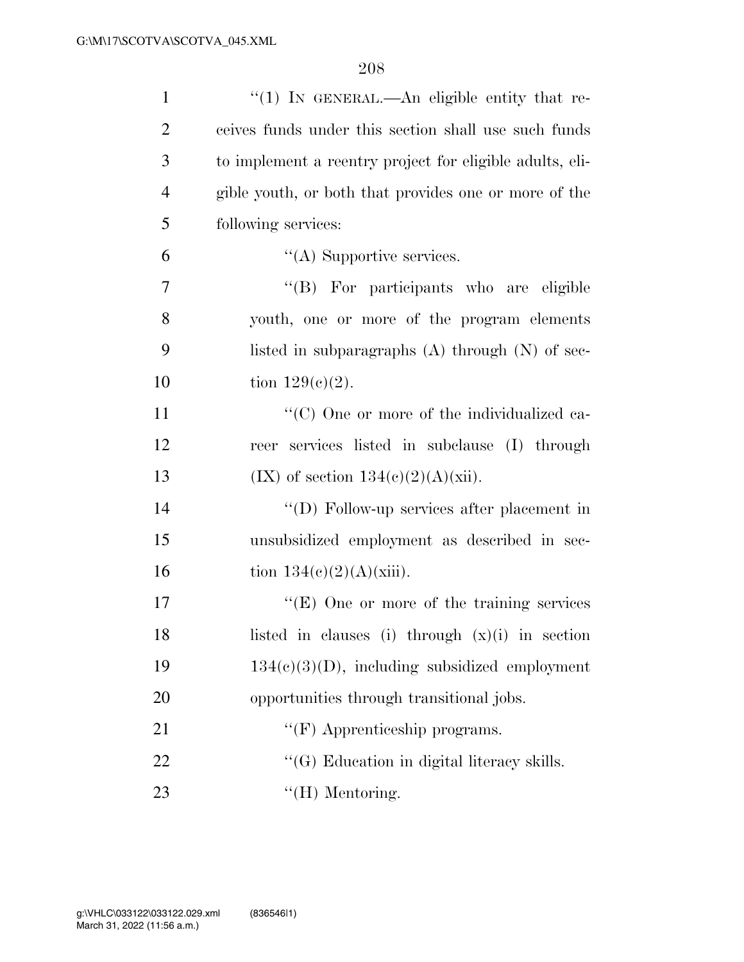| $\mathbf{1}$   | "(1) IN GENERAL.—An eligible entity that re-             |
|----------------|----------------------------------------------------------|
| $\overline{2}$ | ceives funds under this section shall use such funds     |
| 3              | to implement a reentry project for eligible adults, eli- |
| $\overline{4}$ | gible youth, or both that provides one or more of the    |
| 5              | following services:                                      |
| 6              | $\lq\lq$ Supportive services.                            |
| 7              | "(B) For participants who are eligible                   |
| 8              | youth, one or more of the program elements               |
| 9              | listed in subparagraphs $(A)$ through $(N)$ of sec-      |
| 10             | tion $129(c)(2)$ .                                       |
| 11             | "(C) One or more of the individualized ca-               |
| 12             | reer services listed in subclause (I) through            |
| 13             | (IX) of section $134(e)(2)(A)(xii)$ .                    |
| 14             | $\lq\lq$ (D) Follow-up services after placement in       |
| 15             | unsubsidized employment as described in sec-             |
| 16             | tion $134(c)(2)(A)(xiii)$ .                              |
| 17             | "(E) One or more of the training services                |
| 18             | listed in clauses (i) through $(x)(i)$ in section        |
| 19             | $134(c)(3)(D)$ , including subsidized employment         |
| 20             | opportunities through transitional jobs.                 |
| 21             | $\lq\lq(F)$ Apprenticeship programs.                     |
| 22             | "(G) Education in digital literacy skills.               |
| 23             | $\lq\lq(H)$ Mentoring.                                   |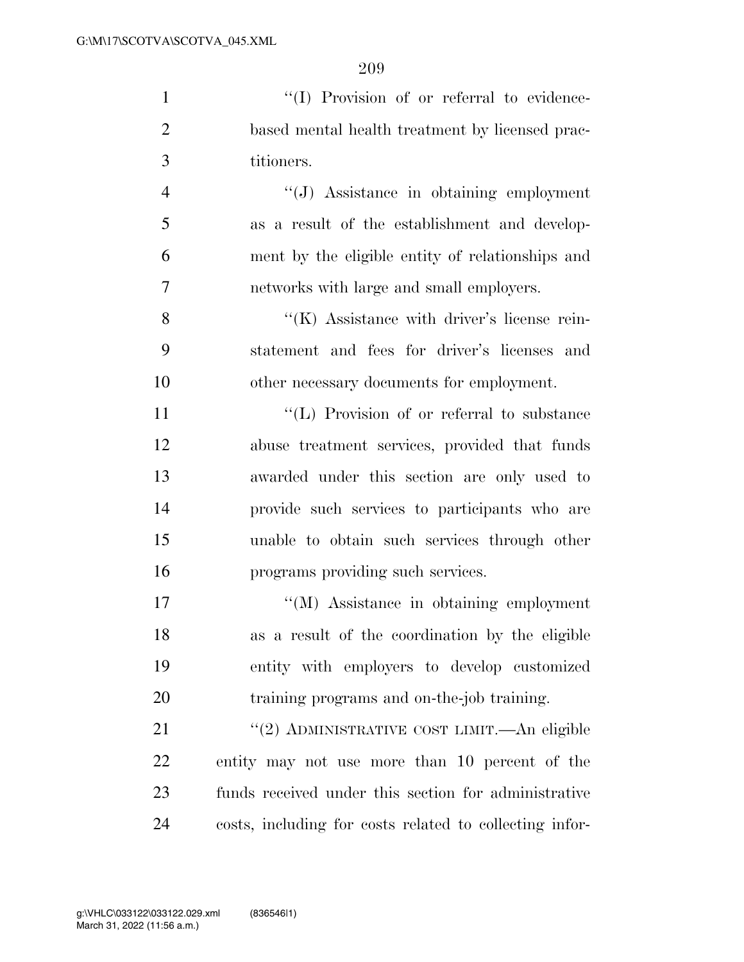$\langle (I) \rangle$  Provision of or referral to evidence- based mental health treatment by licensed prac- titioners. ''(J) Assistance in obtaining employment

 as a result of the establishment and develop- ment by the eligible entity of relationships and networks with large and small employers.

8 ''(K) Assistance with driver's license rein- statement and fees for driver's licenses and other necessary documents for employment.

 $\langle (L)$  Provision of or referral to substance abuse treatment services, provided that funds awarded under this section are only used to provide such services to participants who are unable to obtain such services through other programs providing such services.

 ''(M) Assistance in obtaining employment as a result of the coordination by the eligible entity with employers to develop customized training programs and on-the-job training.

21 ''(2) ADMINISTRATIVE COST LIMIT.—An eligible entity may not use more than 10 percent of the funds received under this section for administrative costs, including for costs related to collecting infor-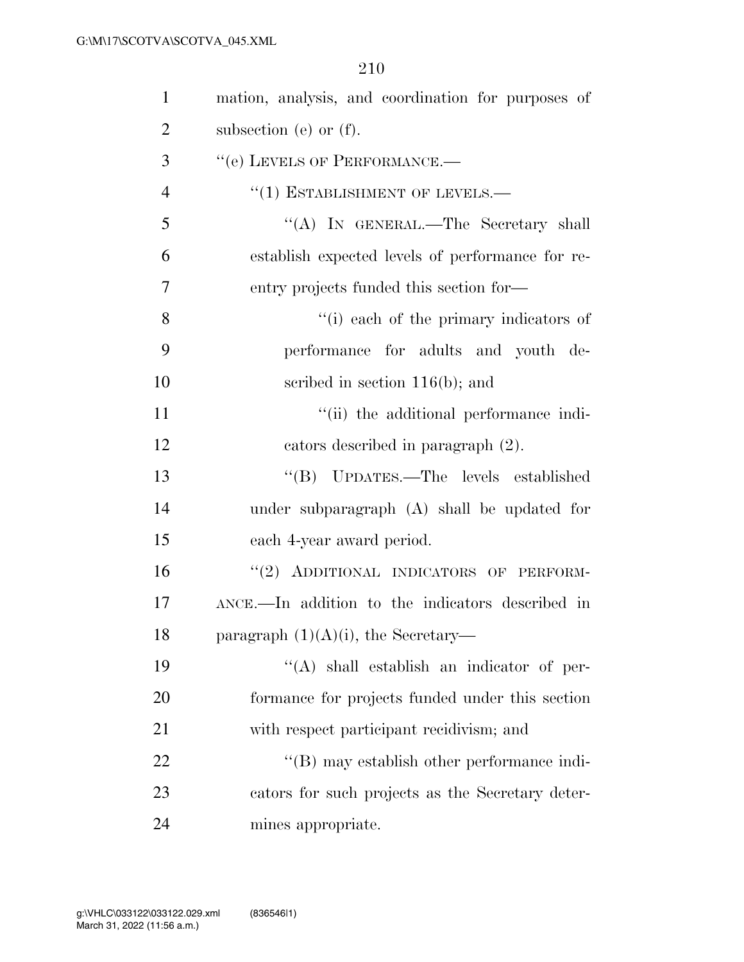| $\mathbf{1}$   | mation, analysis, and coordination for purposes of |
|----------------|----------------------------------------------------|
| $\overline{2}$ | subsection (e) or $(f)$ .                          |
| 3              | "(e) LEVELS OF PERFORMANCE.-                       |
| $\overline{4}$ | $``(1)$ ESTABLISHMENT OF LEVELS.—                  |
| 5              | "(A) IN GENERAL.—The Secretary shall               |
| 6              | establish expected levels of performance for re-   |
| 7              | entry projects funded this section for—            |
| 8              | "(i) each of the primary indicators of             |
| 9              | performance for adults and youth de-               |
| 10             | scribed in section $116(b)$ ; and                  |
| 11             | "(ii) the additional performance indi-             |
| 12             | cators described in paragraph (2).                 |
| 13             | "(B) UPDATES.—The levels established               |
| 14             | under subparagraph (A) shall be updated for        |
| 15             | each 4-year award period.                          |
| 16             | "(2) ADDITIONAL INDICATORS OF PERFORM-             |
| 17             | ANCE.—In addition to the indicators described in   |
| 18             | paragraph $(1)(A)(i)$ , the Secretary—             |
| 19             | $\lq\lq$ shall establish an indicator of per-      |
| 20             | formance for projects funded under this section    |
| 21             | with respect participant recidivism; and           |
| 22             | $\lq\lq$ (B) may establish other performance indi- |
| 23             | cators for such projects as the Secretary deter-   |
| 24             | mines appropriate.                                 |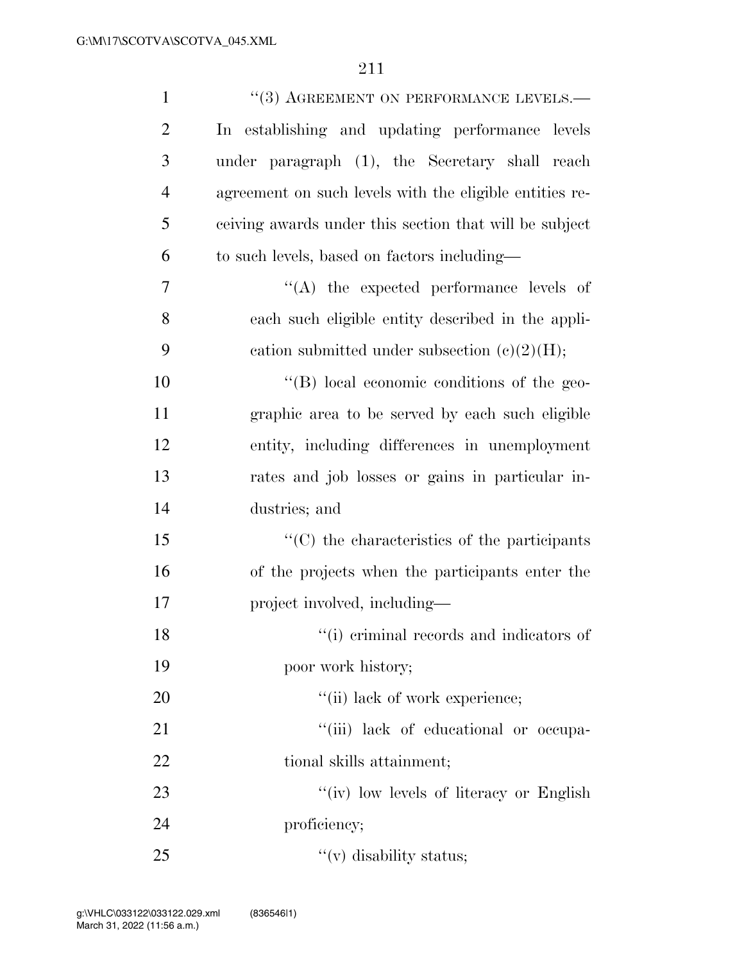| $\mathbf{1}$   | $``(3)$ AGREEMENT ON PERFORMANCE LEVELS.—               |
|----------------|---------------------------------------------------------|
| $\overline{2}$ | In establishing and updating performance levels         |
| 3              | under paragraph (1), the Secretary shall reach          |
| $\overline{4}$ | agreement on such levels with the eligible entities re- |
| 5              | ceiving awards under this section that will be subject  |
| 6              | to such levels, based on factors including—             |
| 7              | $\lq\lq$ the expected performance levels of             |
| 8              | each such eligible entity described in the appli-       |
| 9              | cation submitted under subsection $(c)(2)(H);$          |
| 10             | $\lq\lq (B)$ local economic conditions of the geo-      |
| 11             | graphic area to be served by each such eligible         |
| 12             | entity, including differences in unemployment           |
| 13             | rates and job losses or gains in particular in-         |
| 14             | dustries; and                                           |
| 15             | $\cdot$ (C) the characteristics of the participants     |
| 16             | of the projects when the participants enter the         |
| 17             | project involved, including—                            |
| 18             | "(i) eriminal records and indicators of                 |
| 19             | poor work history;                                      |
| 20             | "(ii) lack of work experience;                          |
| 21             | "(iii) lack of educational or occupa-                   |
| 22             | tional skills attainment;                               |
| 23             | "(iv) low levels of literacy or English                 |
| 24             | proficiency;                                            |
| 25             | $f'(v)$ disability status;                              |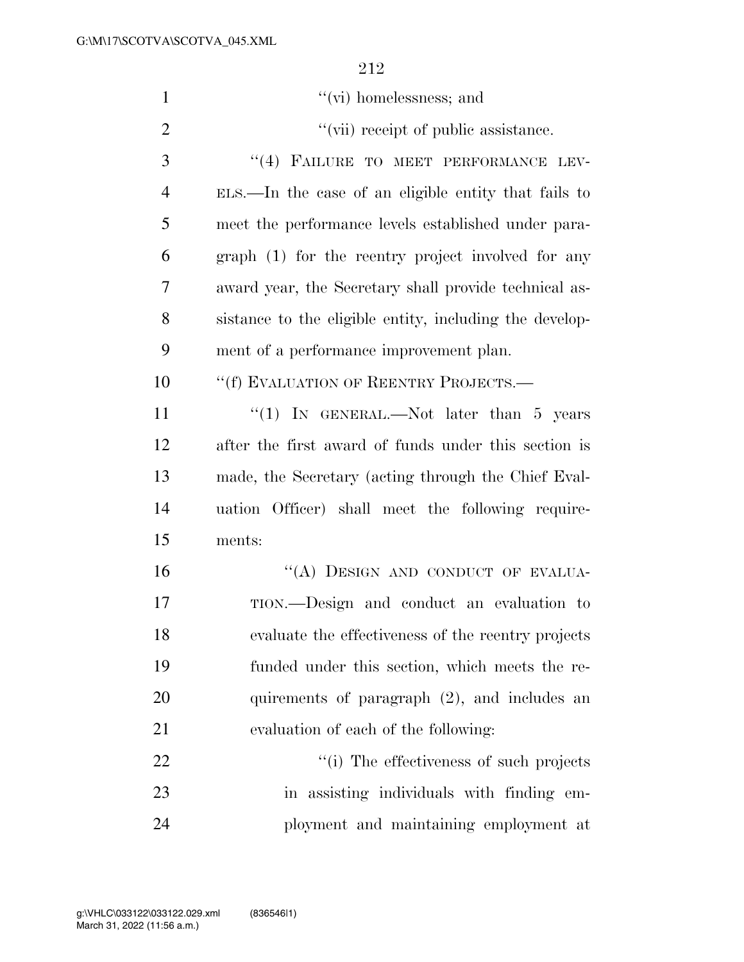| $\mathbf{1}$   | $\lq\lq$ (vi) homelessness; and                         |
|----------------|---------------------------------------------------------|
| $\overline{2}$ | "(vii) receipt of public assistance.                    |
| 3              | "(4) FAILURE TO MEET PERFORMANCE LEV-                   |
| $\overline{4}$ | ELS.—In the case of an eligible entity that fails to    |
| 5              | meet the performance levels established under para-     |
| 6              | graph (1) for the reentry project involved for any      |
| 7              | award year, the Secretary shall provide technical as-   |
| 8              | sistance to the eligible entity, including the develop- |
| 9              | ment of a performance improvement plan.                 |
| 10             | "(f) EVALUATION OF REENTRY PROJECTS.—                   |
| 11             | "(1) IN GENERAL.—Not later than 5 years                 |
| 12             | after the first award of funds under this section is    |
| 13             | made, the Secretary (acting through the Chief Eval-     |
| 14             | uation Officer) shall meet the following require-       |
| 15             | ments:                                                  |
| 16             | "(A) DESIGN AND CONDUCT OF EVALUA-                      |
| 17             | TION.—Design and conduct an evaluation to               |
| 18             | evaluate the effectiveness of the reentry projects      |
| 19             | funded under this section, which meets the re-          |
| 20             | quirements of paragraph (2), and includes an            |
| 21             | evaluation of each of the following:                    |
| 22             | "(i) The effectiveness of such projects                 |
| 23             | in assisting individuals with finding em-               |
| 24             | ployment and maintaining employment at                  |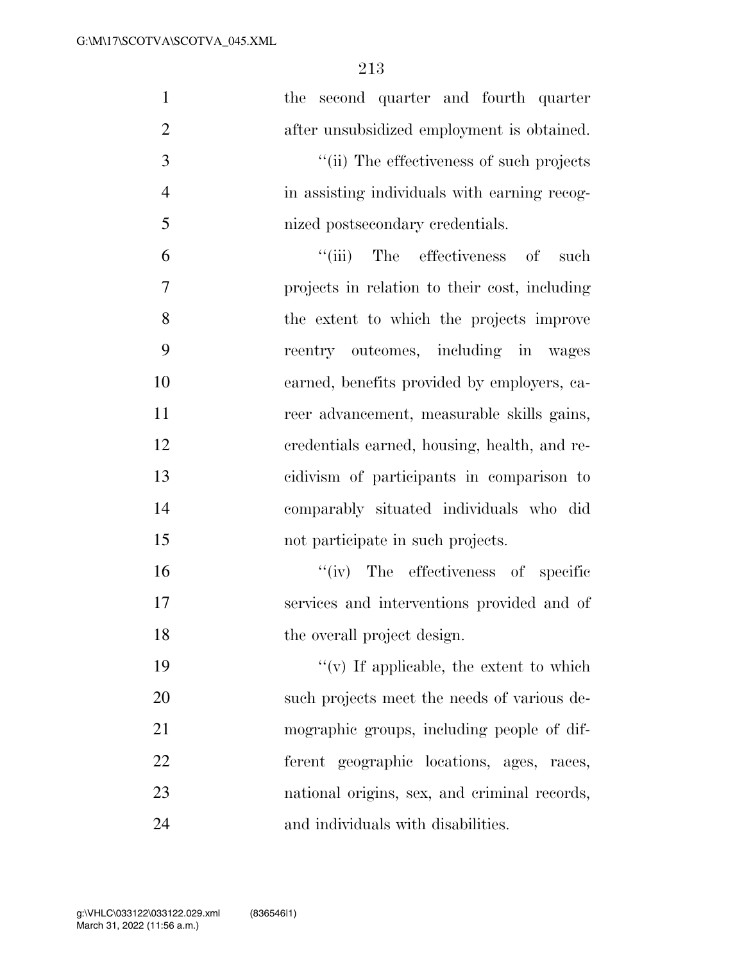| $\mathbf{1}$   | the second quarter and fourth quarter         |
|----------------|-----------------------------------------------|
| $\overline{2}$ | after unsubsidized employment is obtained.    |
| 3              | "(ii) The effectiveness of such projects      |
| $\overline{4}$ | in assisting individuals with earning recog-  |
| 5              | nized postsecondary credentials.              |
| 6              | "(iii) The effectiveness of<br>such           |
| 7              | projects in relation to their cost, including |
| 8              | the extent to which the projects improve      |
| 9              | reentry outcomes, including in wages          |
| 10             | earned, benefits provided by employers, ca-   |
| 11             | reer advancement, measurable skills gains,    |
| 12             | credentials earned, housing, health, and re-  |
| 13             | cidivism of participants in comparison to     |
| 14             | comparably situated individuals who did       |
| 15             | not participate in such projects.             |
| 16             | "(iv) The effectiveness of specific           |
| 17             | services and interventions provided and of    |
| 18             | the overall project design.                   |
| 19             | $``(v)$ If applicable, the extent to which    |
| 20             | such projects meet the needs of various de-   |
| 21             | mographic groups, including people of dif-    |
| 22             | ferent geographic locations, ages, races,     |
| 23             | national origins, sex, and criminal records,  |
| 24             | and individuals with disabilities.            |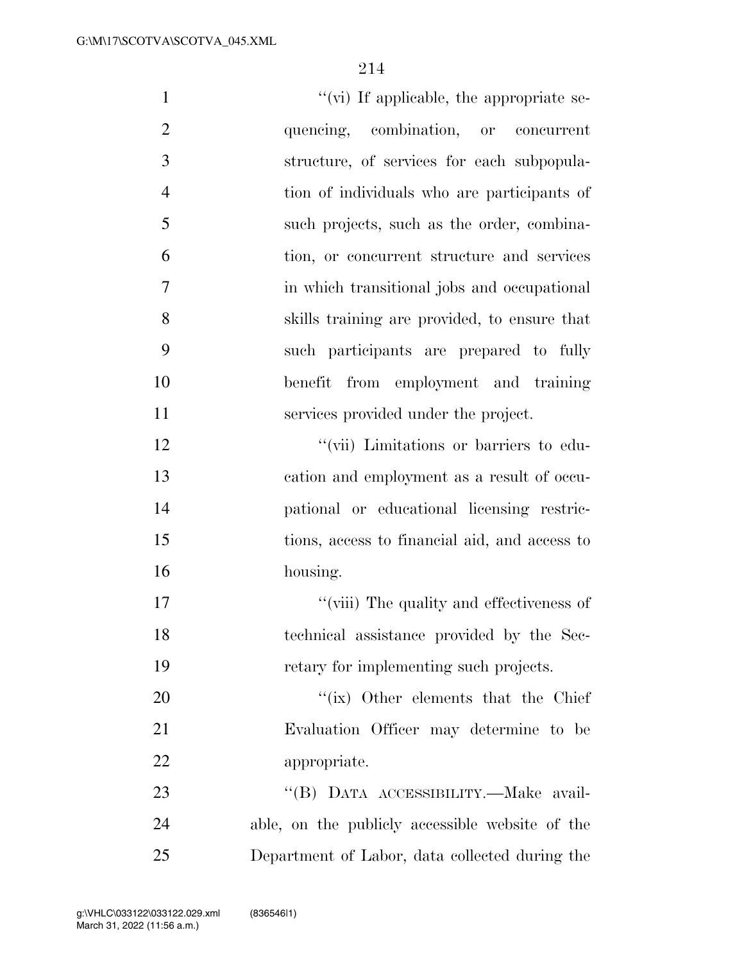| $\mathbf{1}$   | "(vi) If applicable, the appropriate se-        |
|----------------|-------------------------------------------------|
| $\overline{2}$ | quencing, combination, or concurrent            |
| 3              | structure, of services for each subpopula-      |
| $\overline{4}$ | tion of individuals who are participants of     |
| 5              | such projects, such as the order, combina-      |
| 6              | tion, or concurrent structure and services      |
| 7              | in which transitional jobs and occupational     |
| 8              | skills training are provided, to ensure that    |
| 9              | such participants are prepared to fully         |
| 10             | from employment and training<br>benefit         |
| 11             | services provided under the project.            |
| 12             | "(vii) Limitations or barriers to edu-          |
| 13             | cation and employment as a result of occu-      |
| 14             | pational or educational licensing restric-      |
| 15             | tions, access to financial aid, and access to   |
| 16             | housing.                                        |
| 17             | "(viii) The quality and effectiveness of        |
| 18             | technical assistance provided by the Sec-       |
| 19             | retary for implementing such projects.          |
| 20             | "(ix) Other elements that the Chief             |
| 21             | Evaluation Officer may determine to be          |
| 22             | appropriate.                                    |
| 23             | "(B) DATA ACCESSIBILITY.—Make avail-            |
| 24             | able, on the publicly accessible website of the |
| 25             | Department of Labor, data collected during the  |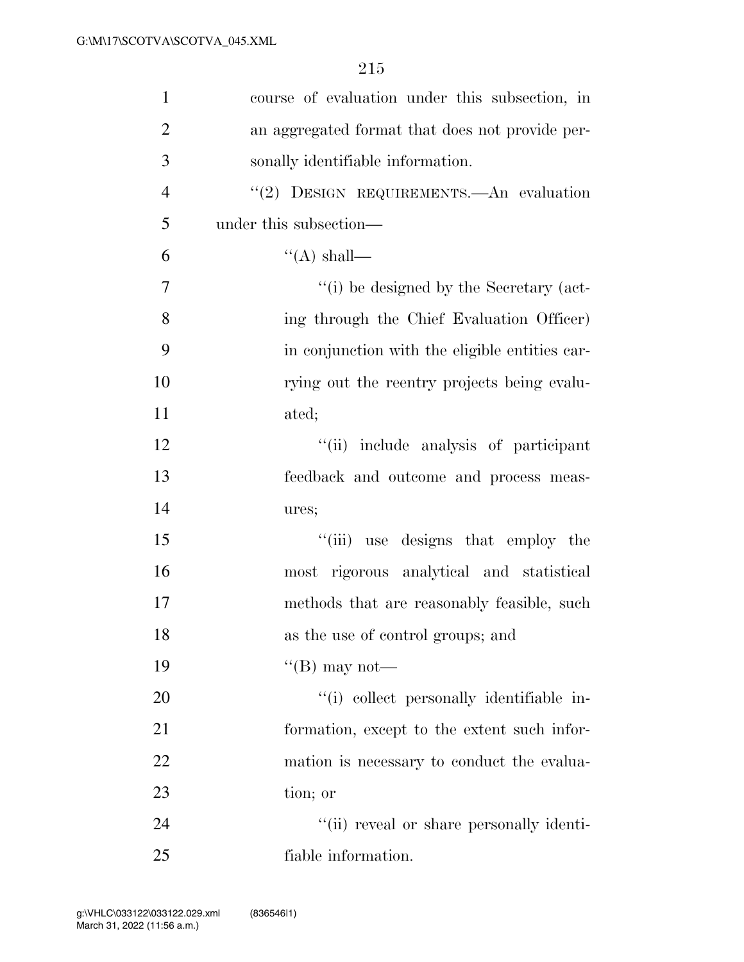| $\mathbf{1}$   | course of evaluation under this subsection, in  |
|----------------|-------------------------------------------------|
| $\overline{2}$ | an aggregated format that does not provide per- |
| 3              | sonally identifiable information.               |
| $\overline{4}$ | "(2) DESIGN REQUIREMENTS. An evaluation         |
| 5              | under this subsection—                          |
| 6              | $\lq\lq$ (A) shall—                             |
| 7              | "(i) be designed by the Secretary (act-         |
| 8              | ing through the Chief Evaluation Officer)       |
| 9              | in conjunction with the eligible entities car-  |
| 10             | rying out the reentry projects being evalu-     |
| 11             | ated;                                           |
| 12             | "(ii) include analysis of participant           |
| 13             | feedback and outcome and process meas-          |
| 14             | ures;                                           |
| 15             | "(iii) use designs that employ the              |
| 16             | most rigorous analytical and statistical        |
| 17             | methods that are reasonably feasible, such      |
| 18             | as the use of control groups; and               |
| 19             | "(B) may not—                                   |
| 20             | "(i) collect personally identifiable in-        |
| 21             | formation, except to the extent such infor-     |
| 22             | mation is necessary to conduct the evalua-      |
| 23             | tion; or                                        |
| 24             | "(ii) reveal or share personally identi-        |
| 25             | fiable information.                             |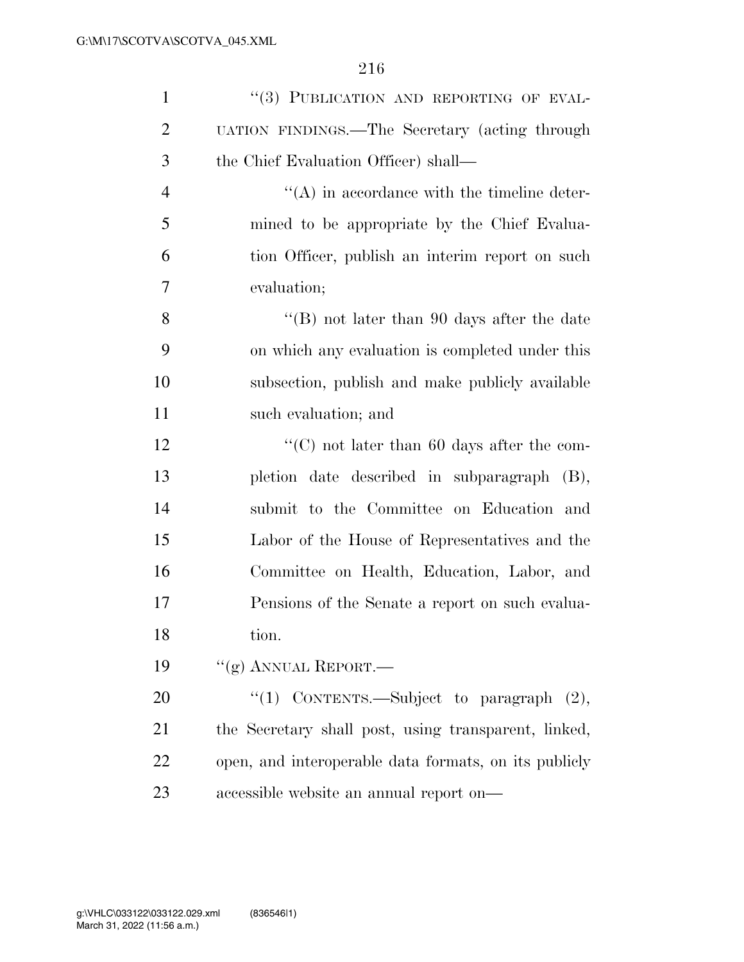| $\mathbf{1}$   | "(3) PUBLICATION AND REPORTING OF EVAL-               |
|----------------|-------------------------------------------------------|
| $\overline{2}$ | UATION FINDINGS.—The Secretary (acting through        |
| 3              | the Chief Evaluation Officer) shall—                  |
| $\overline{4}$ | $\lq\lq$ in accordance with the timeline deter-       |
| 5              | mined to be appropriate by the Chief Evalua-          |
| 6              | tion Officer, publish an interim report on such       |
| 7              | evaluation;                                           |
| 8              | "(B) not later than 90 days after the date            |
| 9              | on which any evaluation is completed under this       |
| 10             | subsection, publish and make publicly available       |
| 11             | such evaluation; and                                  |
| 12             | "(C) not later than 60 days after the com-            |
| 13             | pletion date described in subparagraph (B),           |
| 14             | submit to the Committee on Education and              |
| 15             | Labor of the House of Representatives and the         |
| 16             | Committee on Health, Education, Labor, and            |
| 17             | Pensions of the Senate a report on such evalua-       |
| 18             | tion.                                                 |
| 19             | "(g) ANNUAL REPORT.—                                  |
| 20             | "(1) CONTENTS.—Subject to paragraph $(2)$ ,           |
| 21             | the Secretary shall post, using transparent, linked,  |
| 22             | open, and interoperable data formats, on its publicly |
| 23             | accessible website an annual report on—               |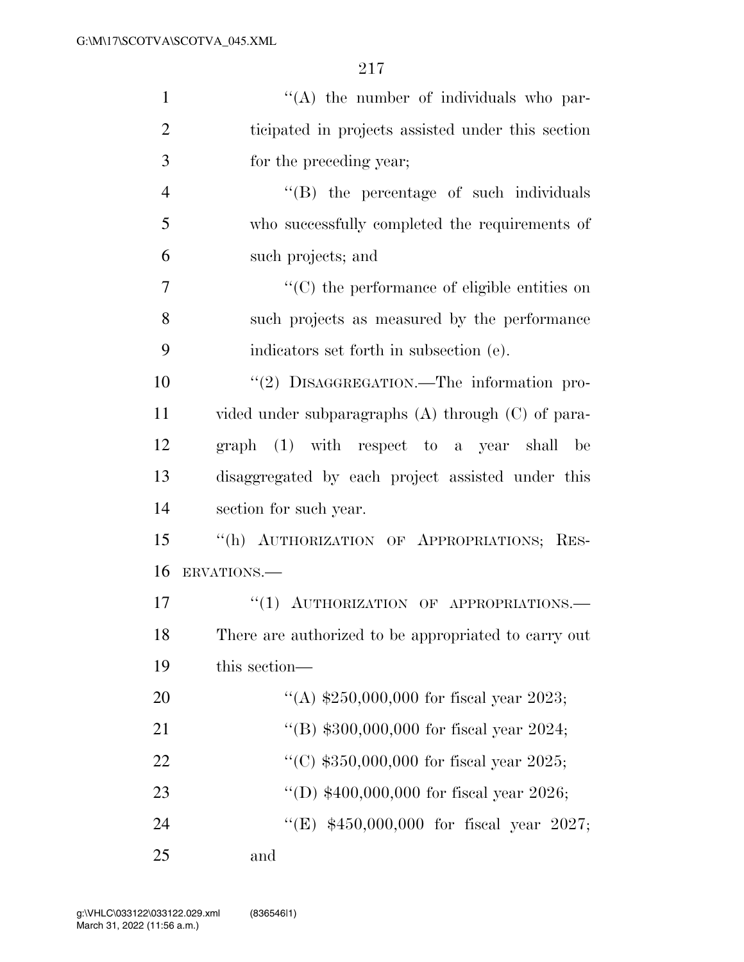| $\mathbf{1}$   | $\lq\lq$ the number of individuals who par-            |
|----------------|--------------------------------------------------------|
| $\overline{2}$ | ticipated in projects assisted under this section      |
| 3              | for the preceding year;                                |
| $\overline{4}$ | $\lq\lq$ the percentage of such individuals            |
| 5              | who successfully completed the requirements of         |
| 6              | such projects; and                                     |
| $\overline{7}$ | $\lq\lq$ (C) the performance of eligible entities on   |
| 8              | such projects as measured by the performance           |
| 9              | indicators set forth in subsection (e).                |
| 10             | "(2) DISAGGREGATION.—The information pro-              |
| 11             | vided under subparagraphs $(A)$ through $(C)$ of para- |
| 12             | graph (1) with respect to a year shall be              |
| 13             | disaggregated by each project assisted under this      |
| 14             | section for such year.                                 |
| 15             | "(h) AUTHORIZATION OF APPROPRIATIONS; RES-             |
| 16             | ERVATIONS.                                             |
| 17             | "(1) AUTHORIZATION OF APPROPRIATIONS.-                 |
| 18             | There are authorized to be appropriated to carry out   |
| 19             | this section—                                          |
| 20             | "(A) $$250,000,000$ for fiscal year 2023;              |
| 21             | "(B) $$300,000,000$ for fiscal year 2024;              |
| 22             | "(C) $$350,000,000$ for fiscal year 2025;              |
| 23             | "(D) $$400,000,000$ for fiscal year 2026;              |
| 24             | "(E) \$450,000,000 for fiscal year 2027;               |
| 25             | and                                                    |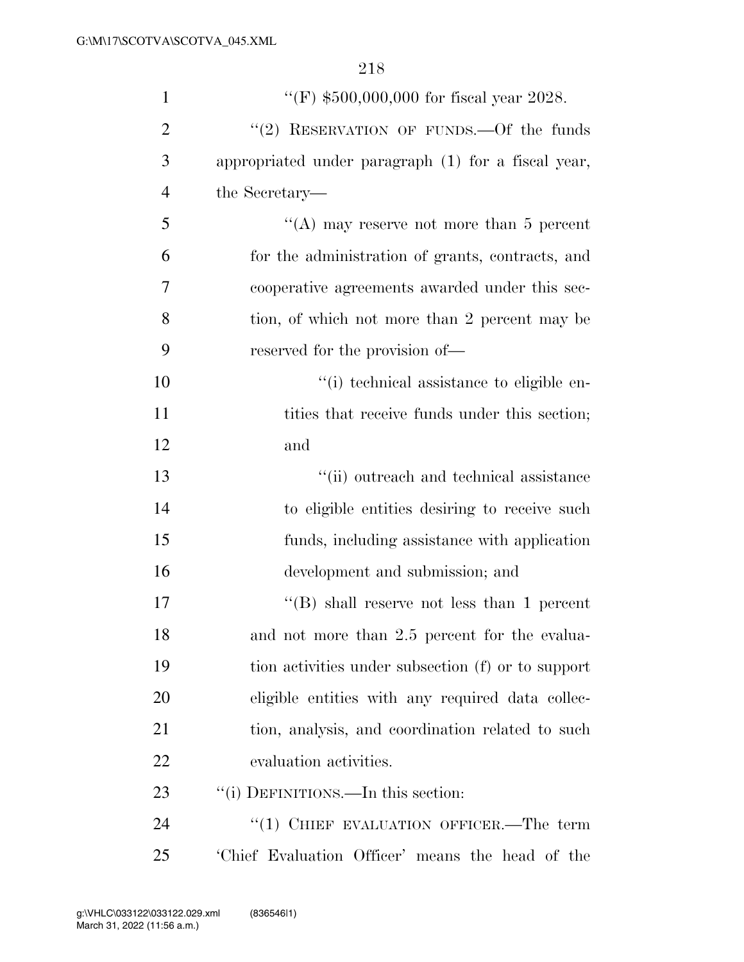| $\mathbf{1}$   | "(F) $$500,000,000$ for fiscal year 2028.           |
|----------------|-----------------------------------------------------|
| $\overline{2}$ | "(2) RESERVATION OF FUNDS. $-$ Of the funds         |
| 3              | appropriated under paragraph (1) for a fiscal year, |
| $\overline{4}$ | the Secretary—                                      |
| 5              | "(A) may reserve not more than 5 percent            |
| 6              | for the administration of grants, contracts, and    |
| 7              | cooperative agreements awarded under this sec-      |
| 8              | tion, of which not more than 2 percent may be       |
| 9              | reserved for the provision of—                      |
| 10             | "(i) technical assistance to eligible en-           |
| 11             | tities that receive funds under this section;       |
| 12             | and                                                 |
| 13             | "(ii) outreach and technical assistance             |
| 14             | to eligible entities desiring to receive such       |
| 15             | funds, including assistance with application        |
| 16             | development and submission; and                     |
| 17             | "(B) shall reserve not less than 1 percent          |
| 18             | and not more than 2.5 percent for the evalua-       |
| 19             | tion activities under subsection (f) or to support  |
| 20             | eligible entities with any required data collec-    |
| 21             | tion, analysis, and coordination related to such    |
| 22             | evaluation activities.                              |
| 23             | "(i) DEFINITIONS.—In this section:                  |
| 24             | "(1) CHIEF EVALUATION OFFICER.—The term             |
| 25             | Chief Evaluation Officer' means the head of the     |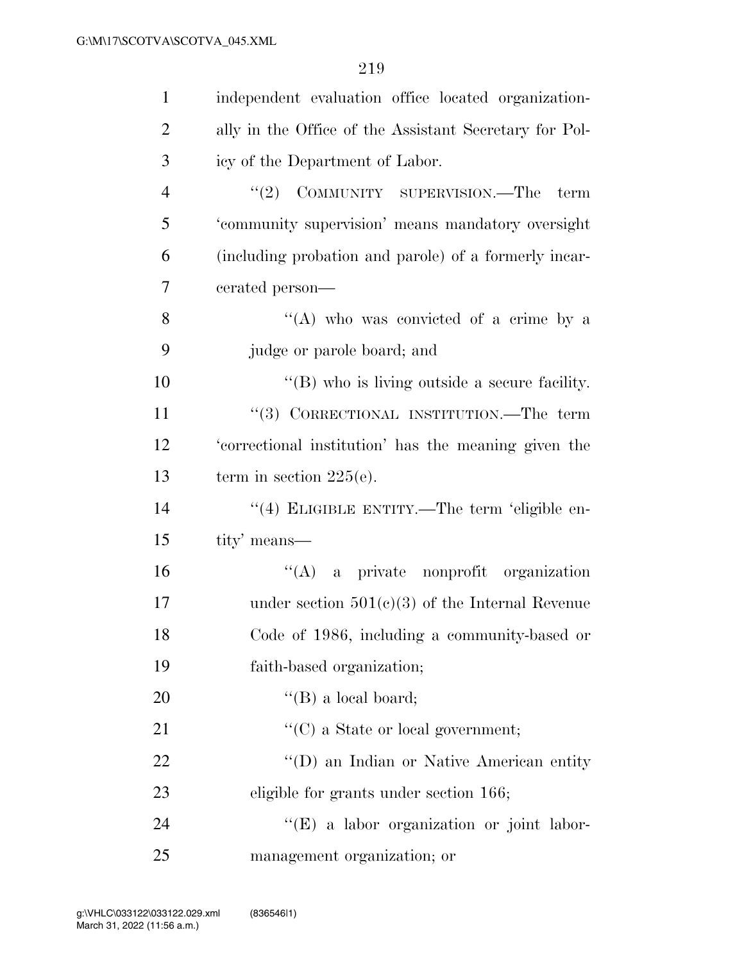| $\mathbf{1}$   | independent evaluation office located organization-    |
|----------------|--------------------------------------------------------|
| $\overline{2}$ | ally in the Office of the Assistant Secretary for Pol- |
| 3              | icy of the Department of Labor.                        |
| $\overline{4}$ | $"(2)$ COMMUNITY SUPERVISION.—The<br>term              |
| 5              | 'community supervision' means mandatory oversight      |
| 6              | (including probation and parole) of a formerly incar-  |
| 7              | cerated person—                                        |
| 8              | "(A) who was convicted of a crime by a                 |
| 9              | judge or parole board; and                             |
| 10             | $\lq\lq$ (B) who is living outside a secure facility.  |
| 11             | "(3) CORRECTIONAL INSTITUTION.—The term                |
| 12             | 'correctional institution' has the meaning given the   |
| 13             | term in section $225(e)$ .                             |
| 14             | "(4) ELIGIBLE ENTITY.—The term 'eligible en-           |
| 15             | tity' means—                                           |
| 16             | $\lq\lq$ a private nonprofit organization              |
| 17             | under section $501(c)(3)$ of the Internal Revenue      |
| 18             | Code of 1986, including a community-based or           |
| 19             | faith-based organization;                              |
| 20             | $\lq\lq (B)$ a local board;                            |
| 21             | $\lq\lq$ (C) a State or local government;              |
| 22             | "(D) an Indian or Native American entity               |
| 23             | eligible for grants under section 166;                 |
| 24             | "(E) a labor organization or joint labor-              |
| 25             | management organization; or                            |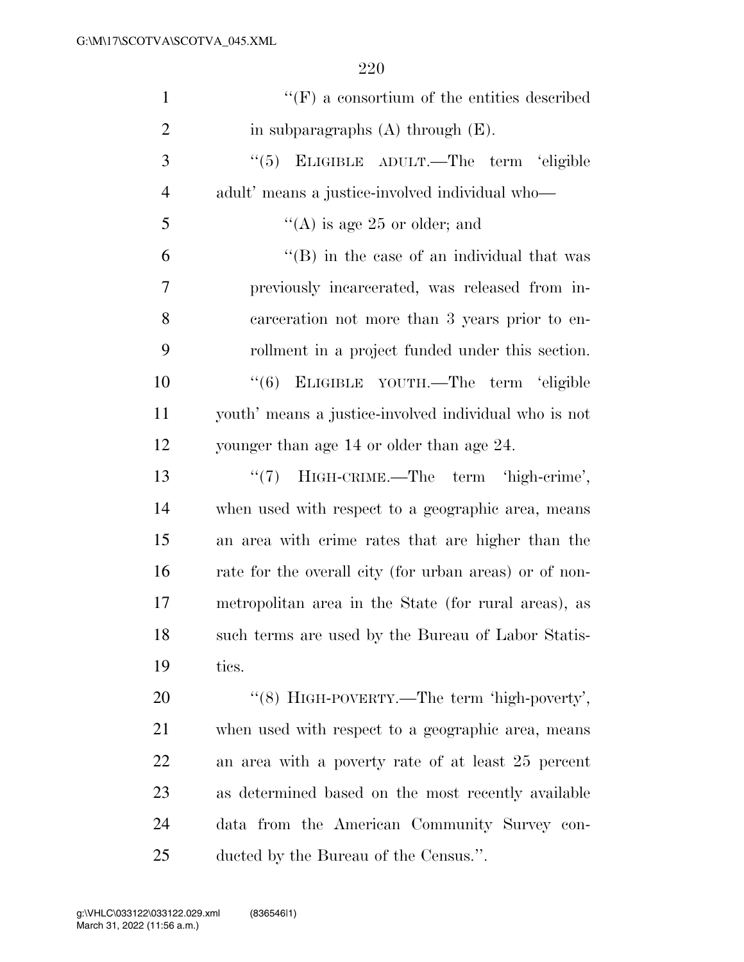| $\mathbf{1}$   | $\lq\lq(F)$ a consortium of the entities described     |
|----------------|--------------------------------------------------------|
| $\overline{2}$ | in subparagraphs $(A)$ through $(E)$ .                 |
| 3              | ELIGIBLE ADULT.—The term 'eligible<br>(5)              |
| $\overline{4}$ | adult' means a justice-involved individual who-        |
| 5              | "(A) is age 25 or older; and                           |
| 6              | $\lq\lq$ (B) in the case of an individual that was     |
| 7              | previously incarcerated, was released from in-         |
| 8              | carceration not more than 3 years prior to en-         |
| 9              | rollment in a project funded under this section.       |
| 10             | "(6) ELIGIBLE YOUTH.—The term 'eligible                |
| 11             | youth' means a justice-involved individual who is not  |
| 12             | younger than age 14 or older than age 24.              |
| 13             | "(7) HIGH-CRIME.—The term 'high-crime',                |
| 14             | when used with respect to a geographic area, means     |
| 15             | an area with crime rates that are higher than the      |
| 16             | rate for the overall city (for urban areas) or of non- |
| 17             | metropolitan area in the State (for rural areas), as   |
| 18             | such terms are used by the Bureau of Labor Statis-     |
| 19             | tics.                                                  |
| 20             | "(8) HIGH-POVERTY.—The term 'high-poverty',            |
| 21             | when used with respect to a geographic area, means     |
| 22             | an area with a poverty rate of at least 25 percent     |
| 23             | as determined based on the most recently available     |
| 24             | data from the American Community Survey con-           |
| 25             | ducted by the Bureau of the Census.".                  |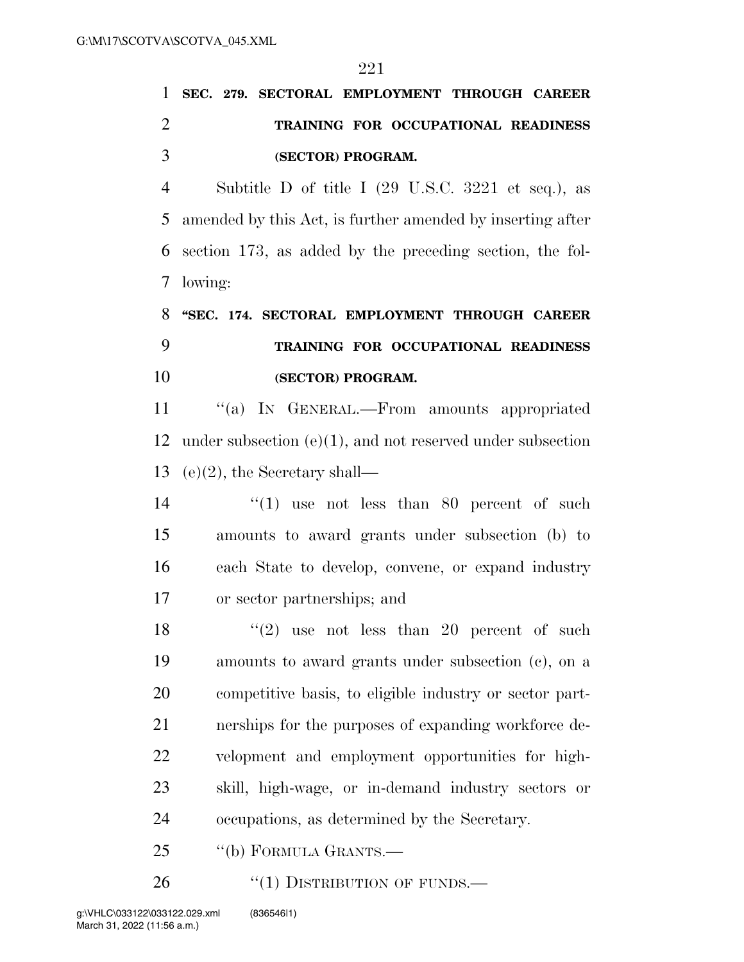|  |                   |  | 1 SEC. 279. SECTORAL EMPLOYMENT THROUGH CAREER |
|--|-------------------|--|------------------------------------------------|
|  |                   |  | TRAINING FOR OCCUPATIONAL READINESS            |
|  | (SECTOR) PROGRAM. |  |                                                |

 Subtitle D of title I (29 U.S.C. 3221 et seq.), as amended by this Act, is further amended by inserting after section 173, as added by the preceding section, the fol-lowing:

## **''SEC. 174. SECTORAL EMPLOYMENT THROUGH CAREER TRAINING FOR OCCUPATIONAL READINESS (SECTOR) PROGRAM.**

11 "(a) IN GENERAL.—From amounts appropriated under subsection (e)(1), and not reserved under subsection (e)(2), the Secretary shall—

14 ''(1) use not less than 80 percent of such amounts to award grants under subsection (b) to each State to develop, convene, or expand industry or sector partnerships; and

 $(2)$  use not less than 20 percent of such amounts to award grants under subsection (c), on a competitive basis, to eligible industry or sector part- nerships for the purposes of expanding workforce de- velopment and employment opportunities for high- skill, high-wage, or in-demand industry sectors or occupations, as determined by the Secretary.

25 "(b) FORMULA GRANTS.—

26 "(1) DISTRIBUTION OF FUNDS.—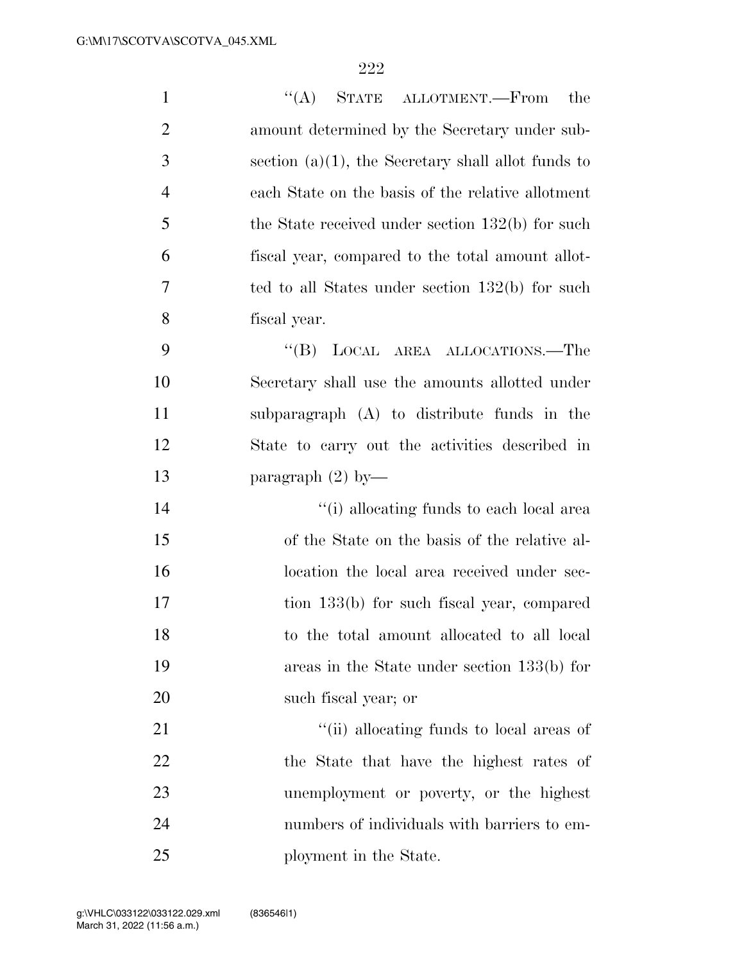| $\mathbf{1}$   | ``(A)<br>STATE ALLOTMENT.—From<br>the                 |
|----------------|-------------------------------------------------------|
| $\overline{2}$ | amount determined by the Secretary under sub-         |
| 3              | section $(a)(1)$ , the Secretary shall allot funds to |
| $\overline{4}$ | each State on the basis of the relative allotment     |
| 5              | the State received under section $132(b)$ for such    |
| 6              | fiscal year, compared to the total amount allot-      |
| 7              | ted to all States under section $132(b)$ for such     |
| 8              | fiscal year.                                          |
| 9              | $\lq\lq (B)$<br>LOCAL AREA ALLOCATIONS.-The           |
| 10             | Secretary shall use the amounts allotted under        |
| 11             | subparagraph (A) to distribute funds in the           |
| 12             | State to carry out the activities described in        |
| 13             | paragraph $(2)$ by-                                   |
| 14             | "(i) allocating funds to each local area              |
| 15             | of the State on the basis of the relative al-         |
| 16             | location the local area received under sec-           |
| 17             | tion 133(b) for such fiscal year, compared            |
| 18             | to the total amount allocated to all local            |
| 19             | areas in the State under section 133(b) for           |
| 20             | such fiscal year; or                                  |
| 21             | "(ii) allocating funds to local areas of              |
| 22             | the State that have the highest rates of              |
| 23             | unemployment or poverty, or the highest               |
| 24             | numbers of individuals with barriers to em-           |
| 25             | ployment in the State.                                |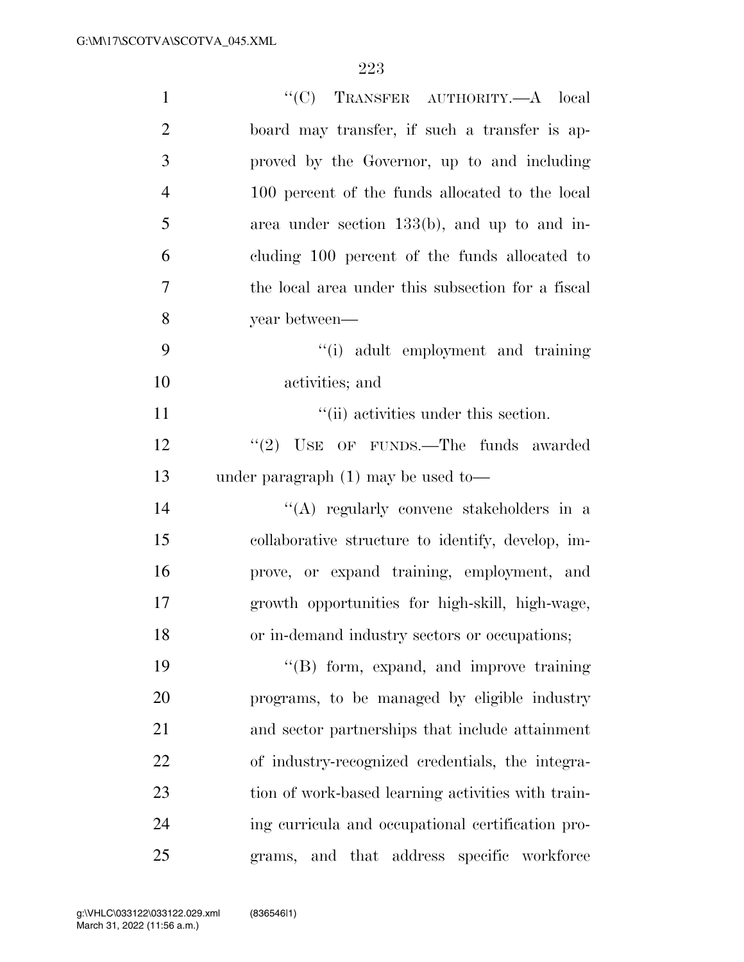| $\mathbf{1}$   | "(C) TRANSFER AUTHORITY.—A local                   |
|----------------|----------------------------------------------------|
| $\overline{2}$ | board may transfer, if such a transfer is ap-      |
| 3              | proved by the Governor, up to and including        |
| $\overline{4}$ | 100 percent of the funds allocated to the local    |
| 5              | area under section $133(b)$ , and up to and in-    |
| 6              | cluding 100 percent of the funds allocated to      |
| 7              | the local area under this subsection for a fiscal  |
| 8              | year between—                                      |
| 9              | "(i) adult employment and training                 |
| 10             | activities; and                                    |
| 11             | "(ii) activities under this section.               |
| 12             | $"(2)$ USE OF FUNDS.—The funds awarded             |
| 13             | under paragraph $(1)$ may be used to-              |
| 14             | "(A) regularly convene stakeholders in a           |
| 15             | collaborative structure to identify, develop, im-  |
| 16             | prove, or expand training, employment, and         |
| 17             | growth opportunities for high-skill, high-wage,    |
| 18             | or in-demand industry sectors or occupations;      |
| 19             | "(B) form, expand, and improve training            |
| 20             | programs, to be managed by eligible industry       |
| 21             | and sector partnerships that include attainment    |
| 22             | of industry-recognized credentials, the integra-   |
| 23             | tion of work-based learning activities with train- |
| 24             | ing curricula and occupational certification pro-  |
| 25             | grams, and that address specific workforce         |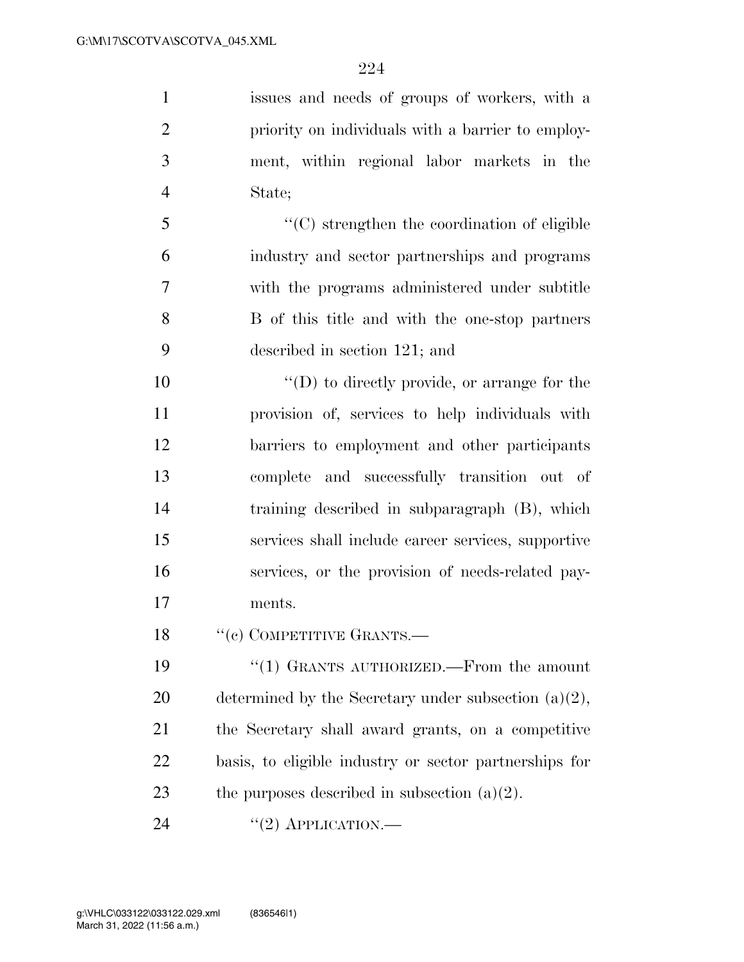issues and needs of groups of workers, with a priority on individuals with a barrier to employ- ment, within regional labor markets in the State;

 ''(C) strengthen the coordination of eligible industry and sector partnerships and programs with the programs administered under subtitle B of this title and with the one-stop partners described in section 121; and

 $\langle \text{`}(D) \rangle$  to directly provide, or arrange for the provision of, services to help individuals with barriers to employment and other participants complete and successfully transition out of training described in subparagraph (B), which services shall include career services, supportive services, or the provision of needs-related pay-ments.

18 "(c) COMPETITIVE GRANTS.—

 ''(1) GRANTS AUTHORIZED.—From the amount 20 determined by the Secretary under subsection  $(a)(2)$ , the Secretary shall award grants, on a competitive basis, to eligible industry or sector partnerships for 23 the purposes described in subsection  $(a)(2)$ .

24  $((2)$  APPLICATION.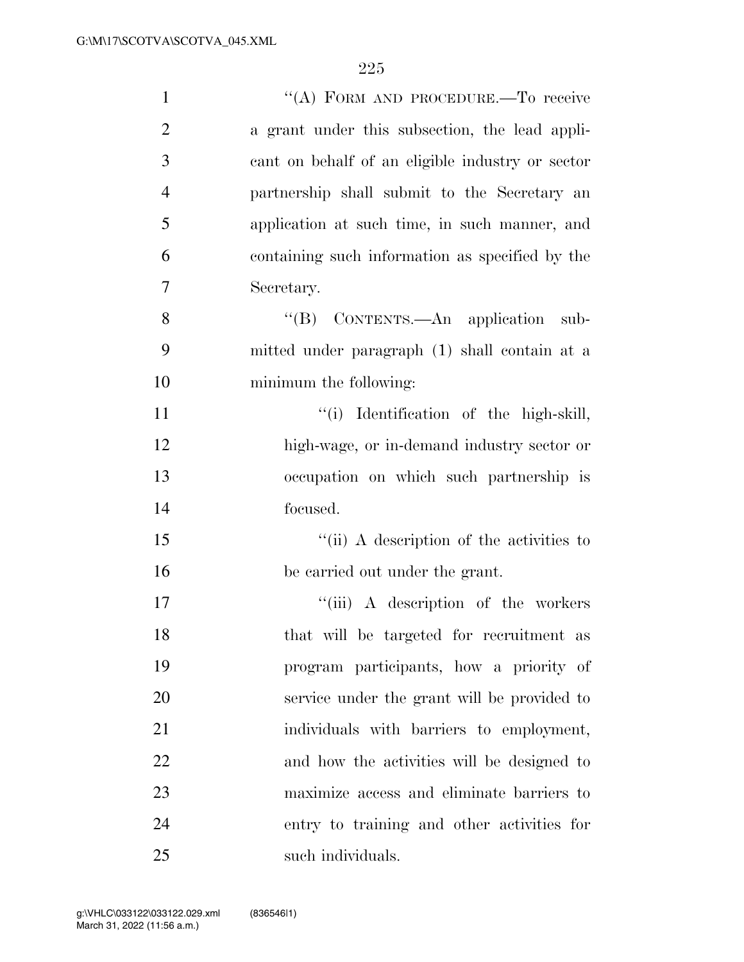| $\mathbf{1}$   | "(A) FORM AND PROCEDURE.—To receive              |
|----------------|--------------------------------------------------|
| $\overline{2}$ | a grant under this subsection, the lead appli-   |
| 3              | cant on behalf of an eligible industry or sector |
| $\overline{4}$ | partnership shall submit to the Secretary an     |
| 5              | application at such time, in such manner, and    |
| 6              | containing such information as specified by the  |
| 7              | Secretary.                                       |
| 8              | "(B) CONTENTS.—An application sub-               |
| 9              | mitted under paragraph (1) shall contain at a    |
| 10             | minimum the following:                           |
| 11             | "(i) Identification of the high-skill,           |
| 12             | high-wage, or in-demand industry sector or       |
| 13             | occupation on which such partnership is          |
| 14             | focused.                                         |
| 15             | "(ii) A description of the activities to         |
| 16             | be carried out under the grant.                  |
| 17             | "(iii) A description of the workers              |
| 18             | that will be targeted for recruitment as         |
| 19             | program participants, how a priority of          |
| 20             | service under the grant will be provided to      |
| 21             | individuals with barriers to employment,         |
| 22             | and how the activities will be designed to       |
| 23             | maximize access and eliminate barriers to        |
| 24             | entry to training and other activities for       |
| 25             | such individuals.                                |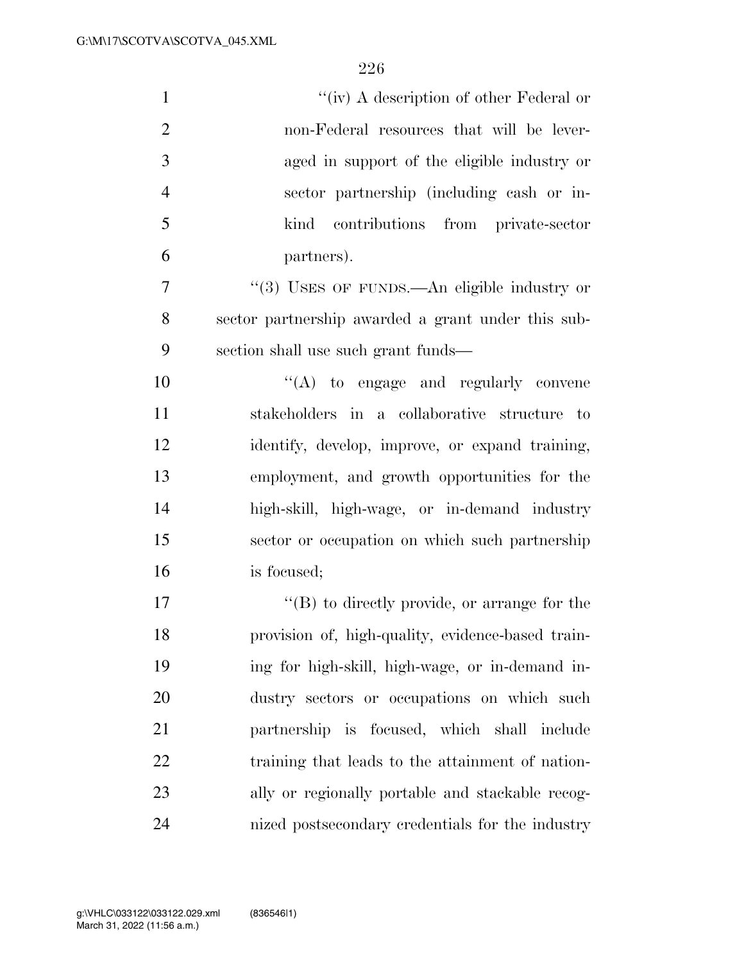| $\mathbf{1}$   | "(iv) A description of other Federal or              |
|----------------|------------------------------------------------------|
| $\overline{2}$ | non-Federal resources that will be lever-            |
| 3              | aged in support of the eligible industry or          |
| $\overline{4}$ | sector partnership (including cash or in-            |
| 5              | contributions from private-sector<br>kind            |
| 6              | partners).                                           |
| $\overline{7}$ | "(3) USES OF FUNDS.—An eligible industry or          |
| 8              | sector partnership awarded a grant under this sub-   |
| 9              | section shall use such grant funds-                  |
| 10             | $\lq\lq$ to engage and regularly convene             |
| 11             | stakeholders in a collaborative structure to         |
| 12             | identify, develop, improve, or expand training,      |
| 13             | employment, and growth opportunities for the         |
| 14             | high-skill, high-wage, or in-demand industry         |
| 15             | sector or occupation on which such partnership       |
| 16             | is focused;                                          |
| 17             | $\lq\lq (B)$ to directly provide, or arrange for the |
| 18             | provision of, high-quality, evidence-based train-    |
| 19             | ing for high-skill, high-wage, or in-demand in-      |
| 20             | dustry sectors or occupations on which such          |
| 21             | partnership is focused, which shall include          |
| 22             | training that leads to the attainment of nation-     |
| 23             | ally or regionally portable and stackable recog-     |
| 24             | nized postsecondary credentials for the industry     |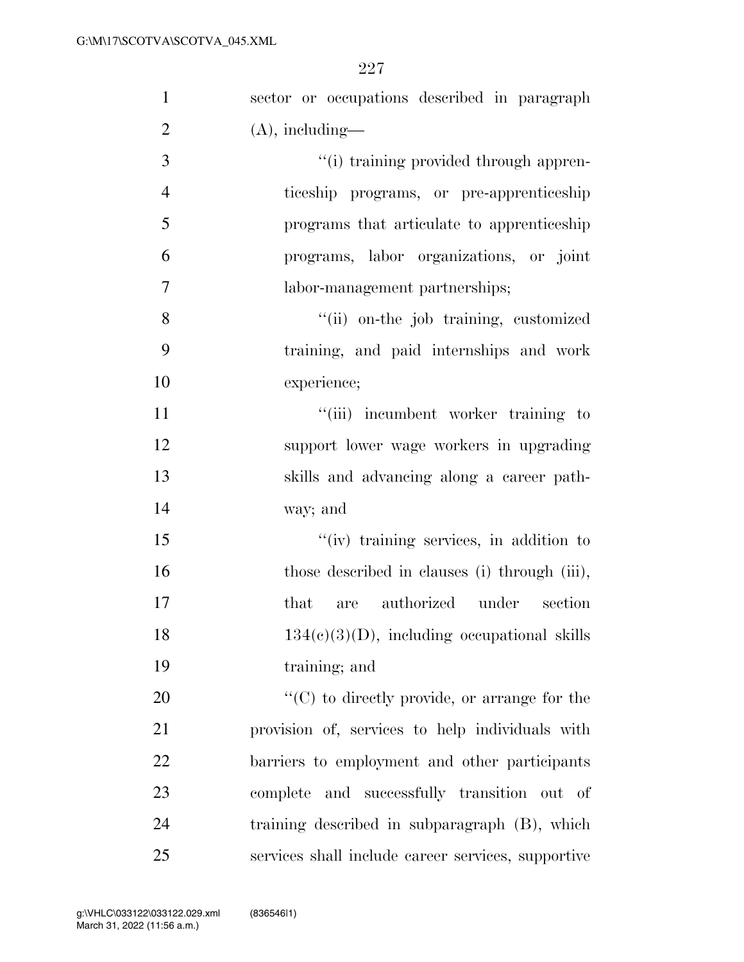| $\mathbf{1}$   | sector or occupations described in paragraph         |
|----------------|------------------------------------------------------|
| $\overline{2}$ | $(A)$ , including—                                   |
| 3              | "(i) training provided through appren-               |
| $\overline{4}$ | ticeship programs, or pre-apprenticeship             |
| 5              | programs that articulate to apprenticeship           |
| 6              | programs, labor organizations, or joint              |
| $\overline{7}$ | labor-management partnerships;                       |
| 8              | "(ii) on-the job training, customized                |
| 9              | training, and paid internships and work              |
| 10             | experience;                                          |
| 11             | "(iii) incumbent worker training to                  |
| 12             | support lower wage workers in upgrading              |
| 13             | skills and advancing along a career path-            |
| 14             | way; and                                             |
| 15             | "(iv) training services, in addition to              |
| 16             | those described in clauses (i) through (iii),        |
| 17             | authorized under<br>section<br>that<br>are           |
| 18             | $134(c)(3)(D)$ , including occupational skills       |
| 19             | training; and                                        |
| 20             | $\lq\lq$ (C) to directly provide, or arrange for the |
| 21             | provision of, services to help individuals with      |
| 22             | barriers to employment and other participants        |
| 23             | complete and successfully transition out of          |
| 24             | training described in subparagraph (B), which        |
| 25             | services shall include career services, supportive   |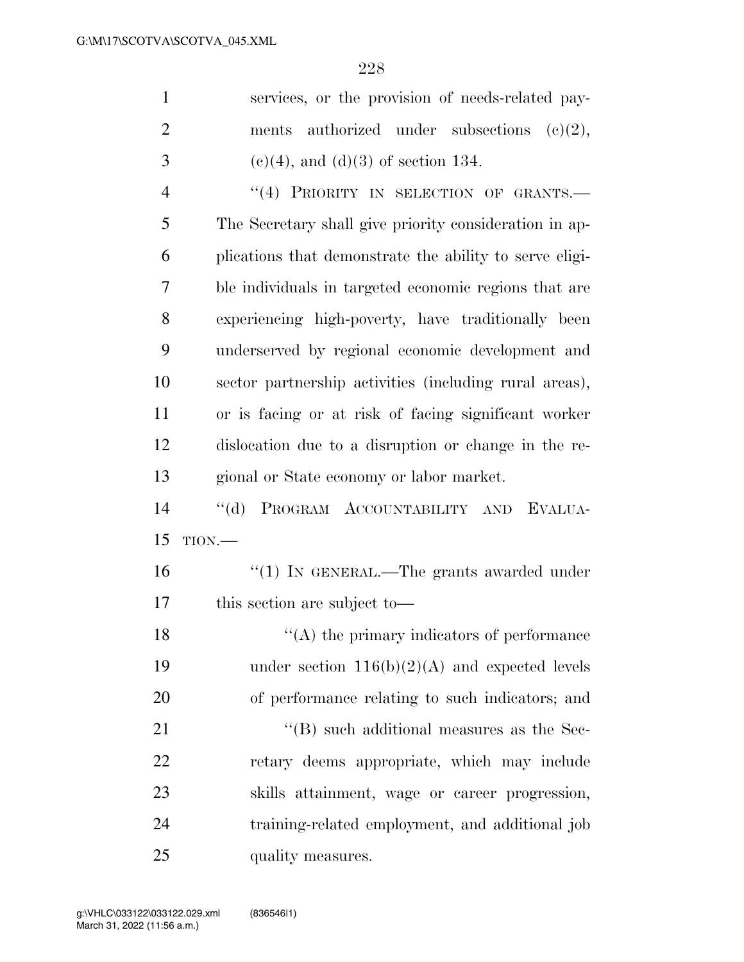services, or the provision of needs-related pay-

| $\overline{2}$ | ments authorized under subsections $(c)(2)$ ,           |
|----------------|---------------------------------------------------------|
| 3              | $(c)(4)$ , and $(d)(3)$ of section 134.                 |
| 4              | "(4) PRIORITY IN SELECTION OF GRANTS.-                  |
| 5              | The Secretary shall give priority consideration in ap-  |
| 6              | plications that demonstrate the ability to serve eligi- |
| 7              | ble individuals in targeted economic regions that are   |
| 8              | experiencing high-poverty, have traditionally been      |
| 9              | underserved by regional economic development and        |
| 10             | sector partnership activities (including rural areas),  |
| 11             | or is facing or at risk of facing significant worker    |
| 12             | dislocation due to a disruption or change in the re-    |
| 13             | gional or State economy or labor market.                |
|                |                                                         |
| 14             | PROGRAM ACCOUNTABILITY AND<br>$\lq\lq (d)$<br>EVALUA-   |
| 15             | $TION$ .                                                |
| 16             | "(1) IN GENERAL.—The grants awarded under               |
| 17             | this section are subject to-                            |
| 18             | $\lq\lq$ the primary indicators of performance          |
| 19             | under section $116(b)(2)(A)$ and expected levels        |
| 20             | of performance relating to such indicators; and         |
| 21             | $\lq\lq$ (B) such additional measures as the Sec-       |
| 22             | retary deems appropriate, which may include             |
| 23             | skills attainment, wage or career progression,          |
| 24             | training-related employment, and additional job         |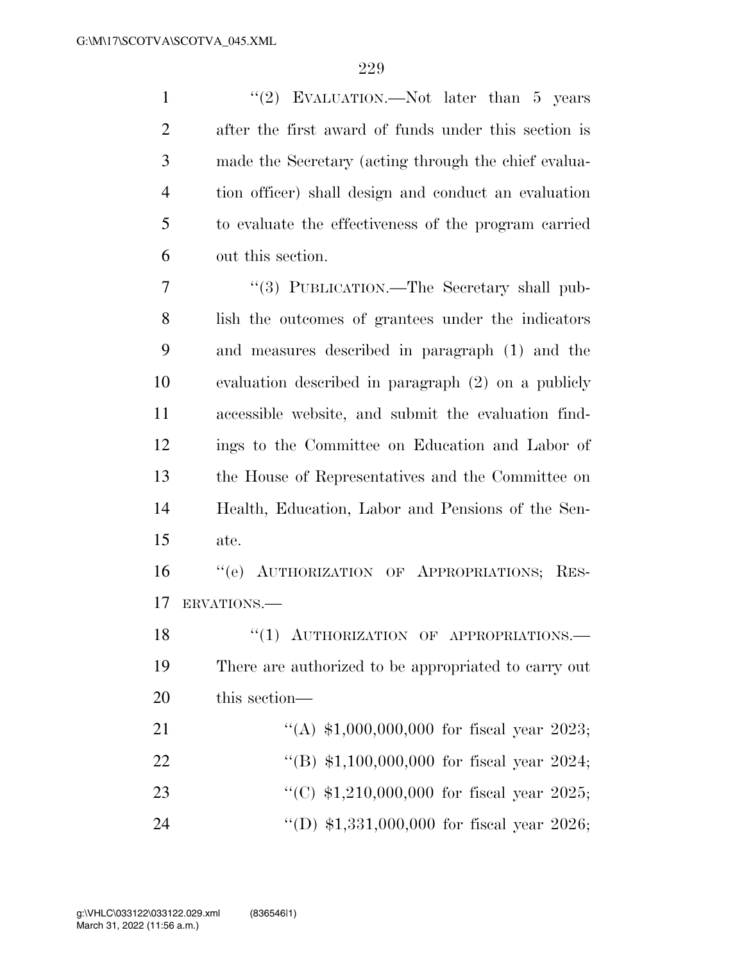1 ''(2) EVALUATION.—Not later than 5 years after the first award of funds under this section is made the Secretary (acting through the chief evalua- tion officer) shall design and conduct an evaluation to evaluate the effectiveness of the program carried out this section.

 ''(3) PUBLICATION.—The Secretary shall pub- lish the outcomes of grantees under the indicators and measures described in paragraph (1) and the evaluation described in paragraph (2) on a publicly accessible website, and submit the evaluation find- ings to the Committee on Education and Labor of the House of Representatives and the Committee on Health, Education, Labor and Pensions of the Sen-ate.

 ''(e) AUTHORIZATION OF APPROPRIATIONS; RES-ERVATIONS.—

18 "(1) AUTHORIZATION OF APPROPRIATIONS. There are authorized to be appropriated to carry out this section—

| 21 | "(A) $$1,000,000,000$ for fiscal year 2023; |  |  |
|----|---------------------------------------------|--|--|
| 22 | "(B) $$1,100,000,000$ for fiscal year 2024; |  |  |
| 23 | "(C) $$1,210,000,000$ for fiscal year 2025; |  |  |
| 24 | "(D) $$1,331,000,000$ for fiscal year 2026; |  |  |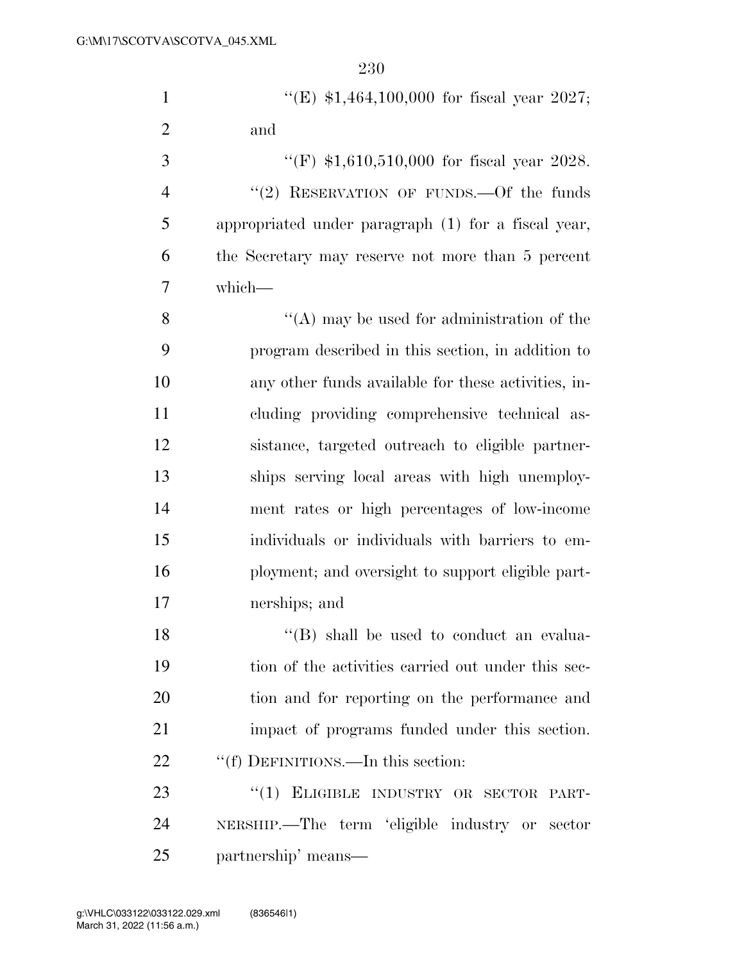| $\mathbf{1}$   | "(E) $$1,464,100,000$ for fiscal year 2027;         |
|----------------|-----------------------------------------------------|
| $\overline{2}$ | and                                                 |
| 3              | "(F) $$1,610,510,000$ for fiscal year 2028.         |
| $\overline{4}$ | "(2) RESERVATION OF FUNDS.—Of the funds             |
| 5              | appropriated under paragraph (1) for a fiscal year, |
| 6              | the Secretary may reserve not more than 5 percent   |
| 7              | which-                                              |
| 8              | $\lq\lq$ (A) may be used for administration of the  |
| 9              | program described in this section, in addition to   |
| 10             | any other funds available for these activities, in- |
| 11             | cluding providing comprehensive technical as-       |
| 12             | sistance, targeted outreach to eligible partner-    |
| 13             | ships serving local areas with high unemploy-       |
| 14             | ment rates or high percentages of low-income        |
| 15             | individuals or individuals with barriers to em-     |
| 16             | ployment; and oversight to support eligible part-   |
| 17             | nerships; and                                       |
| 18             | "(B) shall be used to conduct an evalua-            |
| 19             | tion of the activities carried out under this sec-  |
| 20             | tion and for reporting on the performance and       |
| 21             | impact of programs funded under this section.       |
| 22             | "(f) DEFINITIONS.—In this section:                  |
| 23             | "(1) ELIGIBLE INDUSTRY OR SECTOR PART-              |
| 24             | NERSHIP.—The term 'eligible industry or sector      |
| 25             | partnership' means—                                 |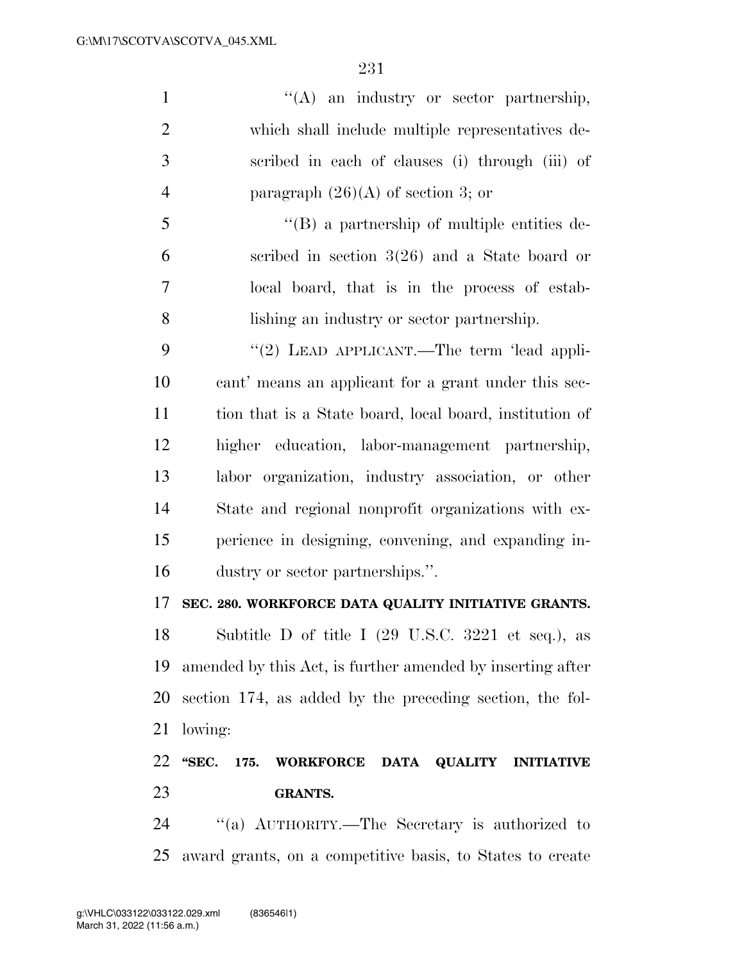1 ''(A) an industry or sector partnership, which shall include multiple representatives de- scribed in each of clauses (i) through (iii) of 4 paragraph  $(26)(A)$  of section 3; or ''(B) a partnership of multiple entities de- scribed in section 3(26) and a State board or local board, that is in the process of estab- lishing an industry or sector partnership. 9 "(2) LEAD APPLICANT.—The term 'lead appli- cant' means an applicant for a grant under this sec- tion that is a State board, local board, institution of higher education, labor-management partnership, labor organization, industry association, or other State and regional nonprofit organizations with ex- perience in designing, convening, and expanding in- dustry or sector partnerships.''. **SEC. 280. WORKFORCE DATA QUALITY INITIATIVE GRANTS.**  Subtitle D of title I (29 U.S.C. 3221 et seq.), as

 amended by this Act, is further amended by inserting after section 174, as added by the preceding section, the fol-lowing:

### **''SEC. 175. WORKFORCE DATA QUALITY INITIATIVE GRANTS.**

 ''(a) AUTHORITY.—The Secretary is authorized to award grants, on a competitive basis, to States to create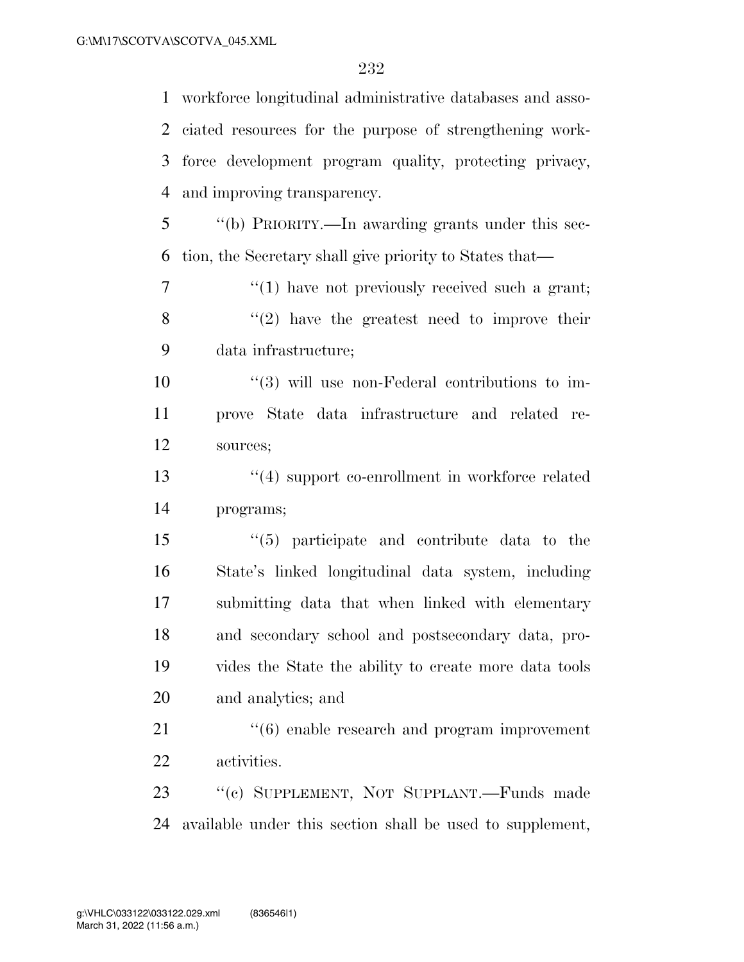|                | 1 workforce longitudinal administrative databases and asso-    |
|----------------|----------------------------------------------------------------|
|                | 2 ciated resources for the purpose of strengthening work-      |
| 3              | force development program quality, protecting privacy,         |
| $\overline{4}$ | and improving transparency.                                    |
| 5              | "(b) PRIORITY.—In awarding grants under this sec-              |
| 6              | tion, the Secretary shall give priority to States that—        |
| $\overline{7}$ | $"(1)$ have not previously received such a grant;              |
| 8              | $f'(2)$ have the greatest need to improve their                |
| 9              | data infrastructure;                                           |
| 10             | $\cdot\cdot\cdot(3)$ will use non-Federal contributions to im- |
| 11             | prove State data infrastructure and related re-                |
| 12             | sources;                                                       |
| 13             | $\cdot$ (4) support co-enrollment in workforce related         |
| 14             | programs;                                                      |
| 15             | $\cdot\cdot$ (5) participate and contribute data to the        |
| 16             | State's linked longitudinal data system, including             |
| 17             | submitting data that when linked with elementary               |
| 18             | and secondary school and postsecondary data, pro-              |
| 19             | vides the State the ability to create more data tools          |
| 20             | and analytics; and                                             |
| 21             | $\cdot\cdot\cdot(6)$ enable research and program improvement   |
| 22             | activities.                                                    |
| 23             | "(c) SUPPLEMENT, NOT SUPPLANT.—Funds made                      |
| 24             | available under this section shall be used to supplement,      |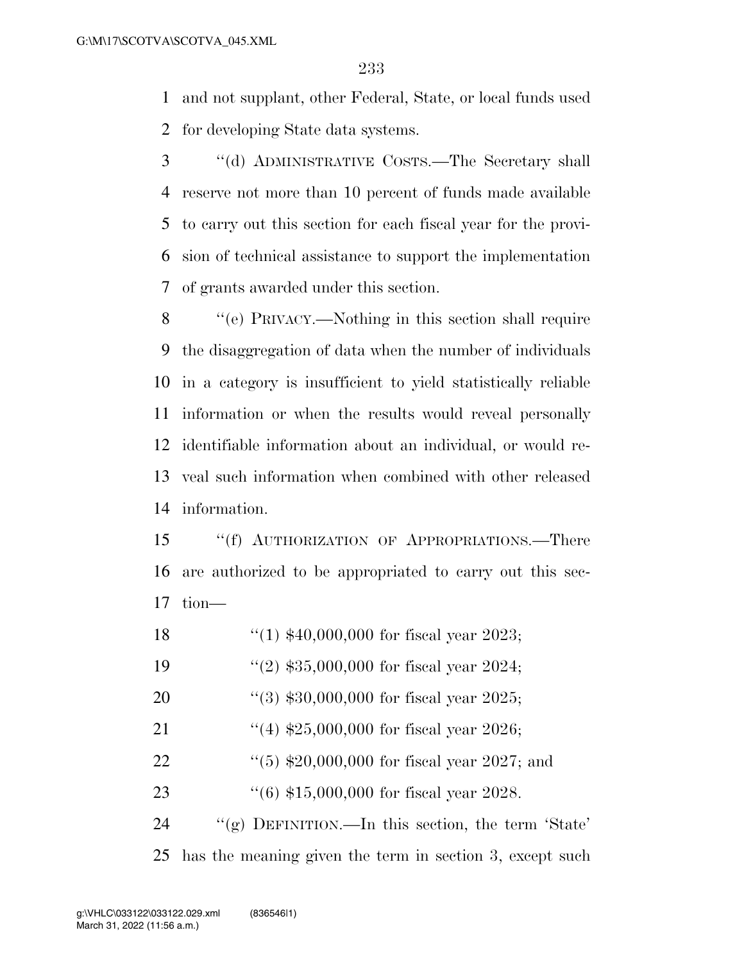and not supplant, other Federal, State, or local funds used for developing State data systems.

 ''(d) ADMINISTRATIVE COSTS.—The Secretary shall reserve not more than 10 percent of funds made available to carry out this section for each fiscal year for the provi- sion of technical assistance to support the implementation of grants awarded under this section.

 ''(e) PRIVACY.—Nothing in this section shall require the disaggregation of data when the number of individuals in a category is insufficient to yield statistically reliable information or when the results would reveal personally identifiable information about an individual, or would re- veal such information when combined with other released information.

 ''(f) AUTHORIZATION OF APPROPRIATIONS.—There are authorized to be appropriated to carry out this sec-tion—

- ''(1) \$40,000,000 for fiscal year 2023;
- ''(2) \$35,000,000 for fiscal year 2024;
- ''(3) \$30,000,000 for fiscal year 2025;
- 21 ''(4) \$25,000,000 for fiscal year 2026;
- 22 ''(5) \$20,000,000 for fiscal year 2027; and
- ''(6) \$15,000,000 for fiscal year 2028.

 ''(g) DEFINITION.—In this section, the term 'State' has the meaning given the term in section 3, except such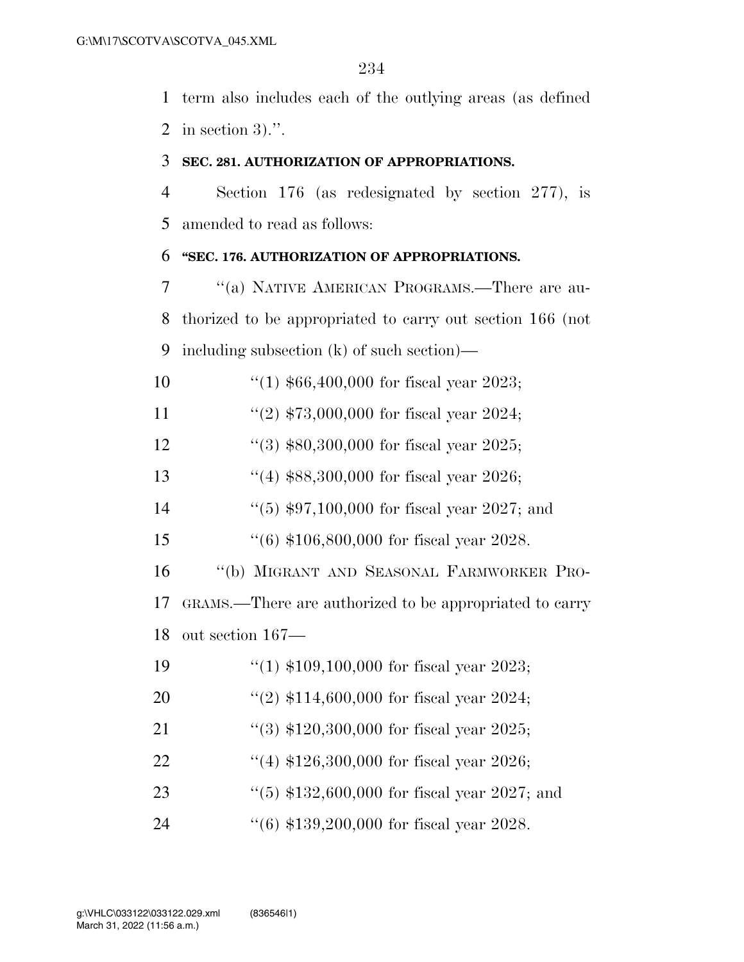term also includes each of the outlying areas (as defined in section 3).''.

### **SEC. 281. AUTHORIZATION OF APPROPRIATIONS.**

 Section 176 (as redesignated by section 277), is amended to read as follows:

### **''SEC. 176. AUTHORIZATION OF APPROPRIATIONS.**

 ''(a) NATIVE AMERICAN PROGRAMS.—There are au- thorized to be appropriated to carry out section 166 (not including subsection (k) of such section)—

''(1) \$66,400,000 for fiscal year 2023;

11  $\frac{1}{2}$  \$73,000,000 for fiscal year 2024;

''(3) \$80,300,000 for fiscal year 2025;

''(4) \$88,300,000 for fiscal year 2026;

''(5) \$97,100,000 for fiscal year 2027; and

''(6) \$106,800,000 for fiscal year 2028.

''(b) MIGRANT AND SEASONAL FARMWORKER PRO-

 GRAMS.—There are authorized to be appropriated to carry out section 167—

- ''(1) \$109,100,000 for fiscal year 2023;
- ''(2) \$114,600,000 for fiscal year 2024;
- 21 ''(3) \$120,300,000 for fiscal year 2025;
- ''(4) \$126,300,000 for fiscal year 2026;
- 23 ''(5) \$132,600,000 for fiscal year 2027; and

''(6) \$139,200,000 for fiscal year 2028.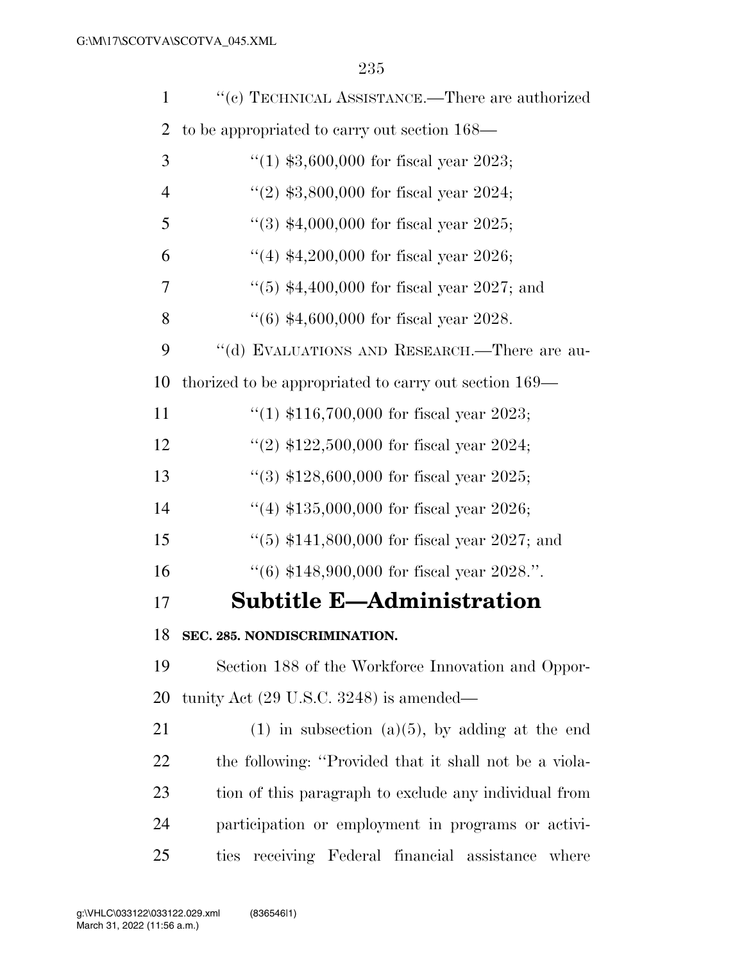| $\mathbf{1}$   | $``(c)$ TECHNICAL ASSISTANCE.—There are authorized      |
|----------------|---------------------------------------------------------|
| $\overline{2}$ | to be appropriated to carry out section 168—            |
| 3              | "(1) $$3,600,000$ for fiscal year 2023;                 |
| 4              | "(2) $$3,800,000$ for fiscal year 2024;                 |
| 5              | $(3)$ \$4,000,000 for fiscal year 2025;                 |
| 6              | "(4) $$4,200,000$ for fiscal year 2026;                 |
| 7              | $(5)$ \$4,400,000 for fiscal year 2027; and             |
| 8              | $(6)$ \$4,600,000 for fiscal year 2028.                 |
| 9              | "(d) EVALUATIONS AND RESEARCH.—There are au-            |
| 10             | thorized to be appropriated to carry out section 169—   |
| 11             | "(1) $$116,700,000$ for fiscal year 2023;               |
| 12             | "(2) $$122,500,000$ for fiscal year 2024;               |
| 13             | "(3) $$128,600,000$ for fiscal year 2025;               |
| 14             | "(4) $$135,000,000$ for fiscal year 2026;               |
| 15             | $(5)$ \$141,800,000 for fiscal year 2027; and           |
| 16             | $(6)$ \$148,900,000 for fiscal year 2028.".             |
| 17             | <b>Subtitle E-Administration</b>                        |
| 18             | SEC. 285. NONDISCRIMINATION.                            |
| 19             | Section 188 of the Workforce Innovation and Oppor-      |
| 20             | tunity Act $(29 \text{ U.S.C. } 3248)$ is amended—      |
| 21             | $(1)$ in subsection $(a)(5)$ , by adding at the end     |
| 22             | the following: "Provided that it shall not be a viola-  |
| 23             | tion of this paragraph to exclude any individual from   |
| 24             | participation or employment in programs or activi-      |
| 25             | receiving Federal financial assistance<br>where<br>ties |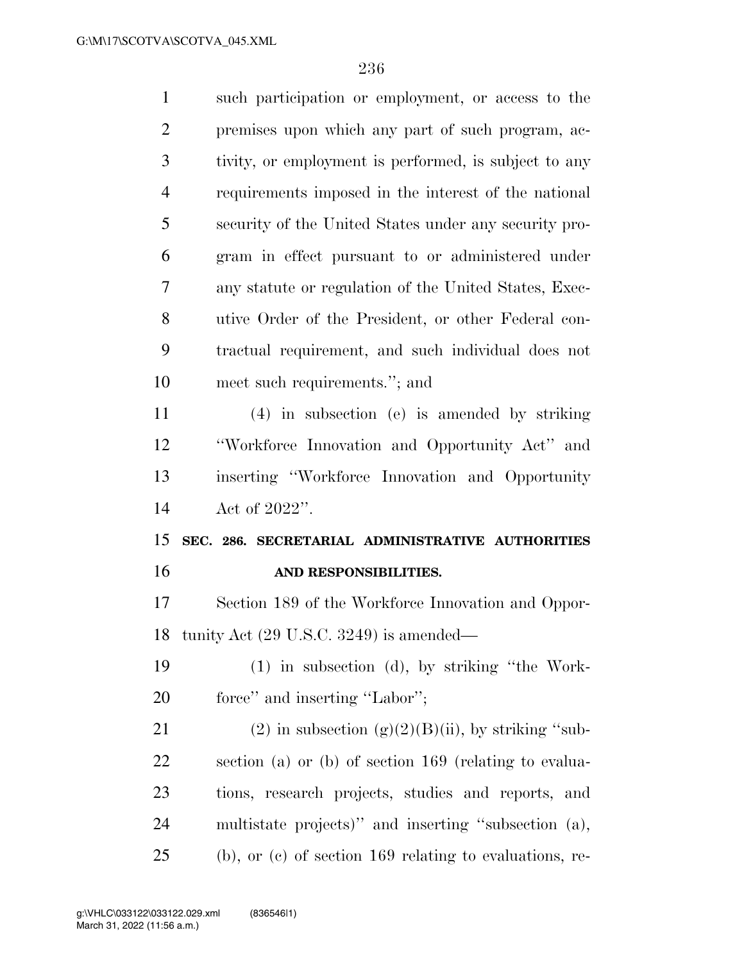| $\mathbf{1}$   | such participation or employment, or access to the       |
|----------------|----------------------------------------------------------|
| $\overline{2}$ | premises upon which any part of such program, ac-        |
| 3              | tivity, or employment is performed, is subject to any    |
| $\overline{4}$ | requirements imposed in the interest of the national     |
| 5              | security of the United States under any security pro-    |
| 6              | gram in effect pursuant to or administered under         |
| 7              | any statute or regulation of the United States, Exec-    |
| 8              | utive Order of the President, or other Federal con-      |
| 9              | tractual requirement, and such individual does not       |
| 10             | meet such requirements."; and                            |
| 11             | $(4)$ in subsection (e) is amended by striking           |
| 12             | "Workforce Innovation and Opportunity Act" and           |
| 13             | inserting "Workforce Innovation and Opportunity          |
|                | Act of $2022"$ .                                         |
| 14             |                                                          |
|                | SEC. 286. SECRETARIAL ADMINISTRATIVE AUTHORITIES         |
| 15<br>16       | AND RESPONSIBILITIES.                                    |
| 17             | Section 189 of the Workforce Innovation and Oppor-       |
|                | 18 tunity Act (29 U.S.C. 3249) is amended—               |
| 19             | $(1)$ in subsection $(d)$ , by striking "the Work-       |
| 20             | force" and inserting "Labor";                            |
| 21             | (2) in subsection $(g)(2)(B)(ii)$ , by striking "sub-    |
| 22             | section (a) or (b) of section $169$ (relating to evalua- |
| 23             | tions, research projects, studies and reports, and       |
| 24             | multistate projects)" and inserting "subsection (a),     |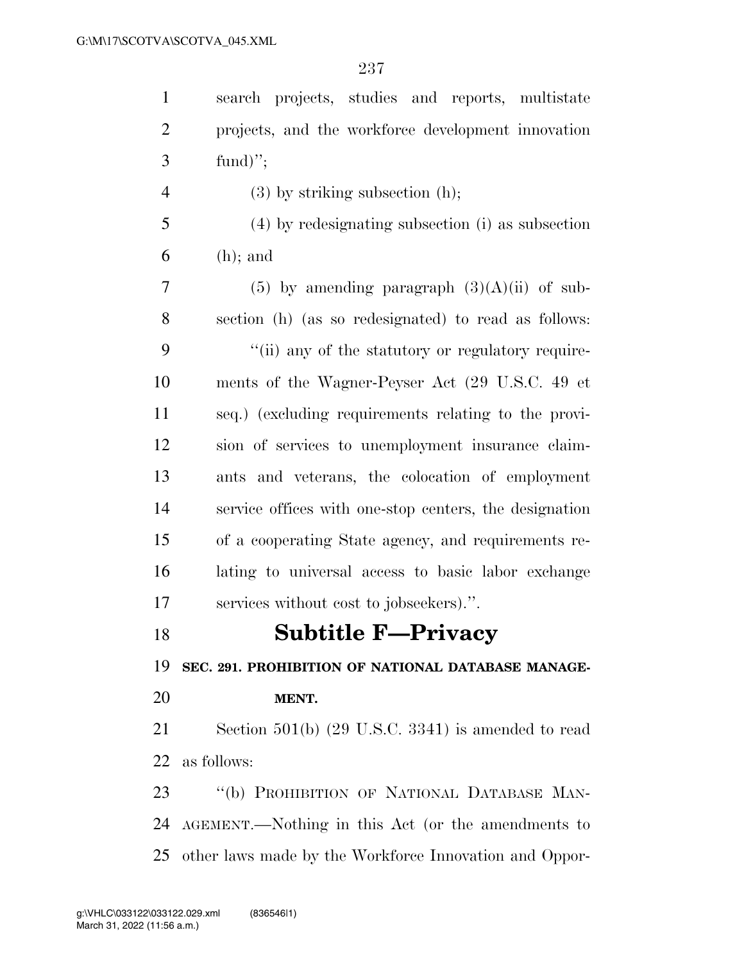| $\mathbf{1}$   | search projects, studies and reports, multistate       |
|----------------|--------------------------------------------------------|
| $\mathbf{2}$   | projects, and the workforce development innovation     |
| 3              | fund)";                                                |
| $\overline{4}$ | $(3)$ by striking subsection $(h)$ ;                   |
| 5              | (4) by redesignating subsection (i) as subsection      |
| 6              | $(h)$ ; and                                            |
| 7              | $(5)$ by amending paragraph $(3)(A)(ii)$ of sub-       |
| 8              | section (h) (as so redesignated) to read as follows:   |
| 9              | "(ii) any of the statutory or regulatory require-      |
| 10             | ments of the Wagner-Peyser Act (29 U.S.C. 49 et        |
| 11             | seq.) (excluding requirements relating to the provi-   |
| 12             | sion of services to unemployment insurance claim-      |
| 13             | ants and veterans, the colocation of employment        |
| 14             | service offices with one-stop centers, the designation |
| 15             | of a cooperating State agency, and requirements re-    |
| 16             | lating to universal access to basic labor exchange     |
| 17             | services without cost to jobseekers).".                |
| 18             | <b>Subtitle F-Privacy</b>                              |
| 19             | SEC. 291. PROHIBITION OF NATIONAL DATABASE MANAGE-     |
| 20             | MENT.                                                  |
| 21             | Section $501(b)$ (29 U.S.C. 3341) is amended to read   |
| 22             | as follows:                                            |
| 23             | "(b) PROHIBITION OF NATIONAL DATABASE MAN-             |
| 24             | AGEMENT.—Nothing in this Act (or the amendments to     |
| 25             | other laws made by the Workforce Innovation and Oppor- |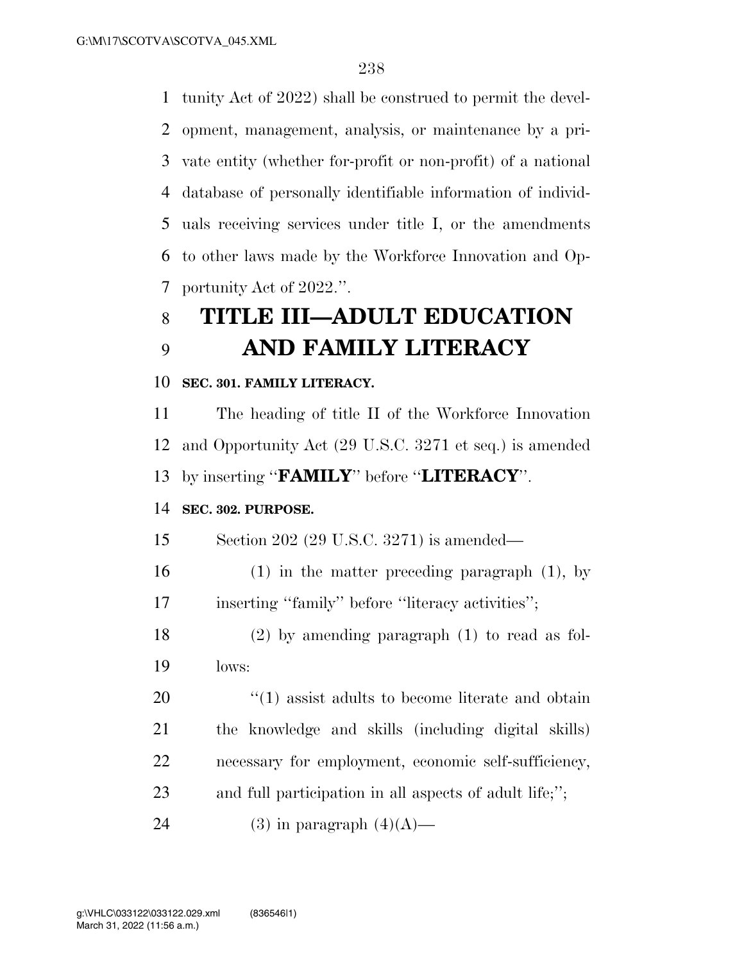tunity Act of 2022) shall be construed to permit the devel- opment, management, analysis, or maintenance by a pri- vate entity (whether for-profit or non-profit) of a national database of personally identifiable information of individ- uals receiving services under title I, or the amendments to other laws made by the Workforce Innovation and Op-portunity Act of 2022.''.

# **TITLE III—ADULT EDUCATION AND FAMILY LITERACY**

**SEC. 301. FAMILY LITERACY.** 

 The heading of title II of the Workforce Innovation and Opportunity Act (29 U.S.C. 3271 et seq.) is amended by inserting ''**FAMILY**'' before ''**LITERACY**''.

### **SEC. 302. PURPOSE.**

Section 202 (29 U.S.C. 3271) is amended—

- (1) in the matter preceding paragraph (1), by 17 inserting "family" before "literacy activities";
- (2) by amending paragraph (1) to read as fol-lows:

 $\frac{1}{20}$  (1) assist adults to become literate and obtain the knowledge and skills (including digital skills) necessary for employment, economic self-sufficiency, and full participation in all aspects of adult life;'';

24 (3) in paragraph  $(4)(A)$ —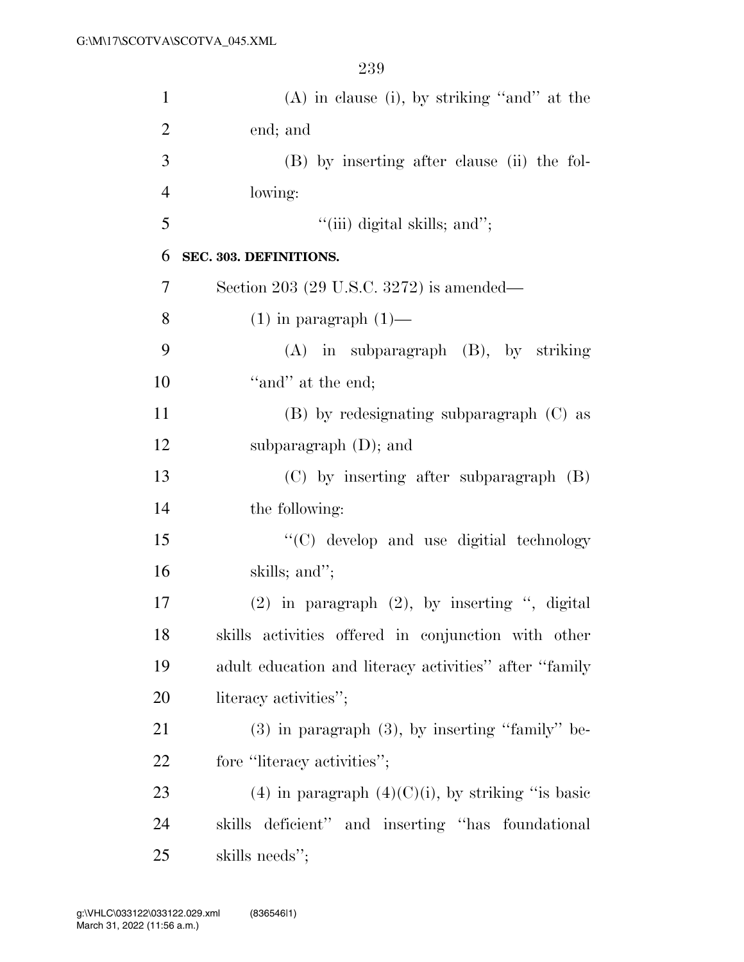| $\mathbf{1}$   | $(A)$ in clause (i), by striking "and" at the          |
|----------------|--------------------------------------------------------|
| $\overline{2}$ | end; and                                               |
| 3              | (B) by inserting after clause (ii) the fol-            |
| $\overline{4}$ | lowing:                                                |
| 5              | "(iii) digital skills; and";                           |
| 6              | SEC. 303. DEFINITIONS.                                 |
| $\tau$         | Section 203 (29 U.S.C. 3272) is amended—               |
| 8              | $(1)$ in paragraph $(1)$ —                             |
| 9              | $(A)$ in subparagraph $(B)$ , by striking              |
| 10             | "and" at the end;                                      |
| 11             | (B) by redesignating subparagraph (C) as               |
| 12             | subparagraph $(D)$ ; and                               |
| 13             | $(C)$ by inserting after subparagraph $(B)$            |
| 14             | the following:                                         |
| 15             | "(C) develop and use digitial technology               |
| 16             | skills; and";                                          |
| 17             | $(2)$ in paragraph $(2)$ , by inserting ", digital     |
| 18             | skills activities offered in conjunction with other    |
| 19             | adult education and literacy activities" after "family |
| 20             | literacy activities";                                  |
| 21             | $(3)$ in paragraph $(3)$ , by inserting "family" be-   |
| 22             | fore "literacy activities";                            |
| 23             | (4) in paragraph $(4)(C)(i)$ , by striking "is basic   |
| 24             | skills deficient" and inserting "has foundational      |
| 25             | skills needs";                                         |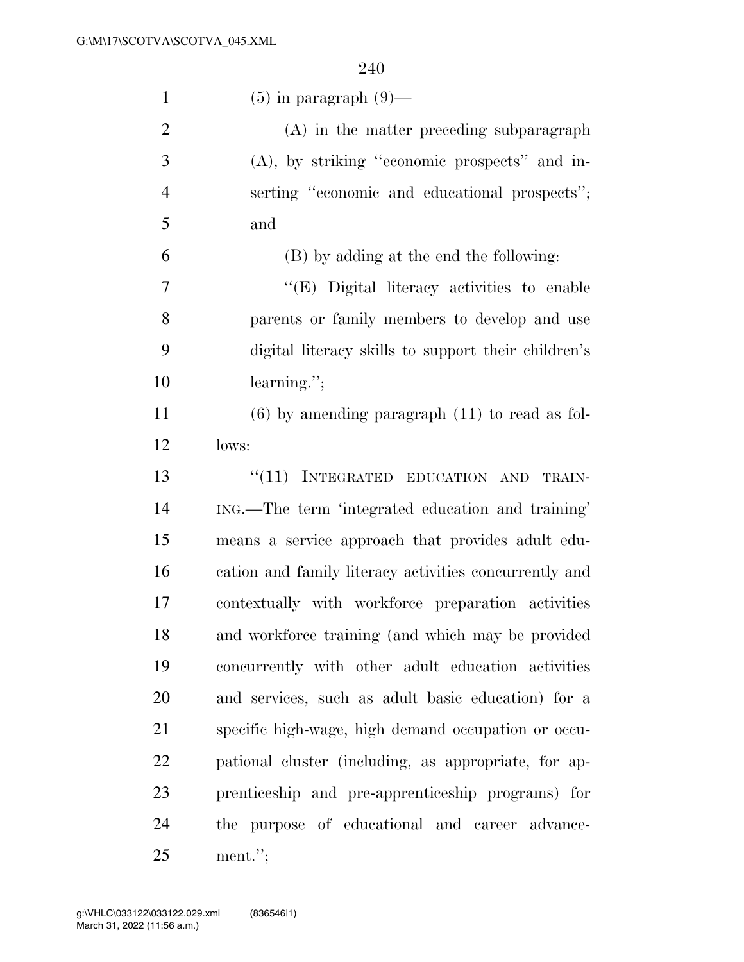| $\mathbf{1}$   | $(5)$ in paragraph $(9)$ —                             |
|----------------|--------------------------------------------------------|
| $\overline{2}$ | $(A)$ in the matter preceding subparagraph             |
| 3              | $(A)$ , by striking "economic prospects" and in-       |
| $\overline{4}$ | serting "economic and educational prospects";          |
| 5              | and                                                    |
| 6              | (B) by adding at the end the following:                |
| 7              | "(E) Digital literacy activities to enable             |
| 8              | parents or family members to develop and use           |
| 9              | digital literacy skills to support their children's    |
| 10             | $learning$ .";                                         |
| 11             | $(6)$ by amending paragraph $(11)$ to read as fol-     |
| 12             | lows:                                                  |
| 13             | "(11) INTEGRATED EDUCATION AND<br>TRAIN-               |
| 14             | ING.—The term 'integrated education and training'      |
| 15             | means a service approach that provides adult edu-      |
| 16             | cation and family literacy activities concurrently and |
| 17             | contextually with workforce preparation activities     |
| 18             | and workforce training (and which may be provided      |
| 19             | concurrently with other adult education activities     |
| 20             | and services, such as adult basic education) for a     |
| 21             | specific high-wage, high demand occupation or occu-    |
| 22             | pational cluster (including, as appropriate, for ap-   |
| 23             | prenticeship and pre-apprenticeship programs) for      |
| 24             | the purpose of educational and career advance-         |
| 25             | ment.";                                                |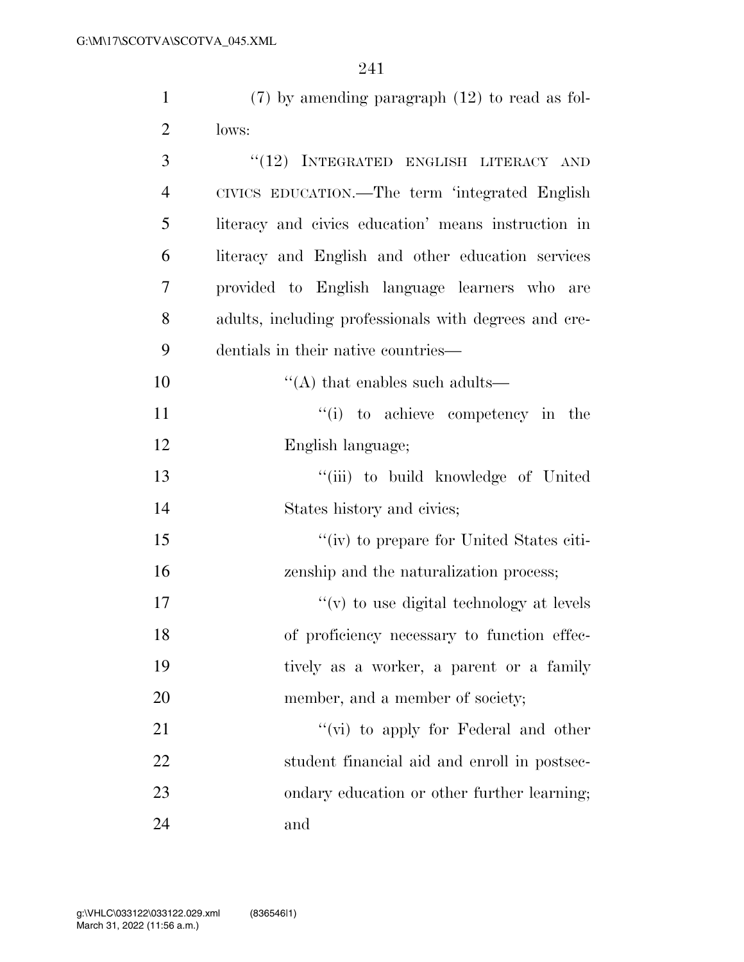| $\mathbf{1}$   | $(7)$ by amending paragraph $(12)$ to read as fol-    |
|----------------|-------------------------------------------------------|
| $\overline{2}$ | lows:                                                 |
| 3              | "(12) INTEGRATED ENGLISH LITERACY AND                 |
| $\overline{4}$ | CIVICS EDUCATION.—The term 'integrated English        |
| 5              | literacy and civics education' means instruction in   |
| 6              | literacy and English and other education services     |
| 7              | provided to English language learners who<br>are      |
| 8              | adults, including professionals with degrees and cre- |
| 9              | dentials in their native countries—                   |
| 10             | $\lq\lq$ that enables such adults—                    |
| 11             | "(i) to achieve competency in the                     |
| 12             | English language;                                     |
| 13             | "(iii) to build knowledge of United                   |
| 14             | States history and civics;                            |
| 15             | "(iv) to prepare for United States citi-              |
| 16             | zenship and the naturalization process;               |
| 17             | $f'(v)$ to use digital technology at levels           |
| 18             | of proficiency necessary to function effec-           |
| 19             | tively as a worker, a parent or a family              |
| 20             | member, and a member of society;                      |
| 21             | "(vi) to apply for Federal and other                  |
| 22             | student financial aid and enroll in postsec-          |
| 23             | ondary education or other further learning;           |
| 24             | and                                                   |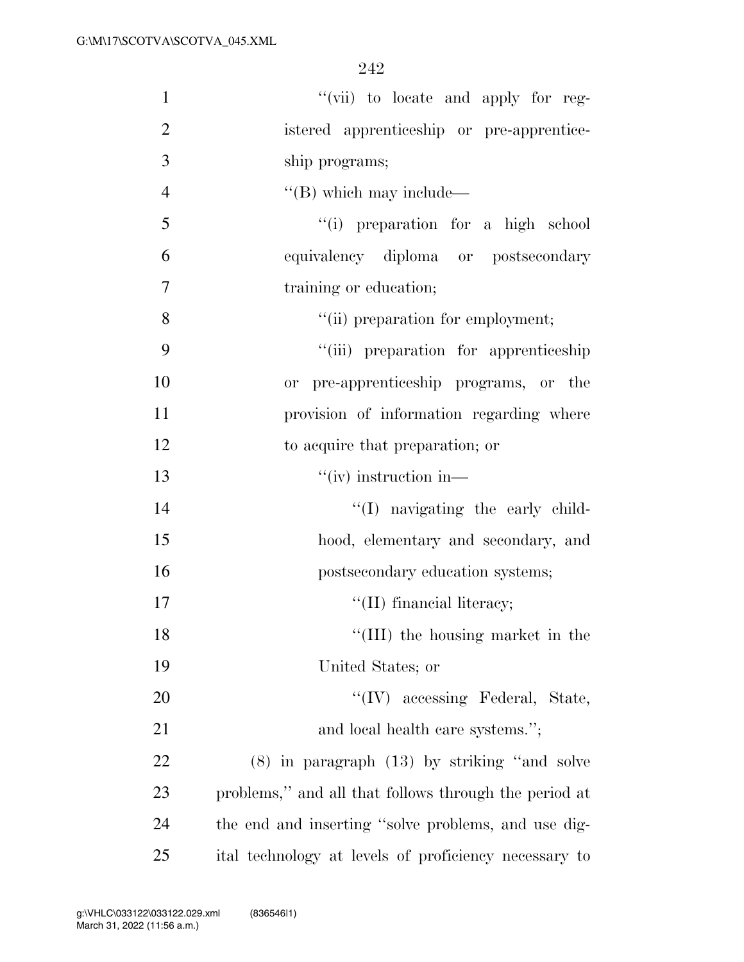| $\mathbf{1}$   | "(vii) to locate and apply for reg-                   |
|----------------|-------------------------------------------------------|
| $\overline{2}$ | istered apprenticeship or pre-apprentice-             |
| 3              | ship programs;                                        |
| $\overline{4}$ | $\lq\lq$ (B) which may include—                       |
| 5              | "(i) preparation for a high school                    |
| 6              | equivalency diploma or postsecondary                  |
| $\overline{7}$ | training or education;                                |
| 8              | "(ii) preparation for employment;                     |
| 9              | "(iii) preparation for apprenticeship                 |
| 10             | or pre-apprenticeship programs, or the                |
| 11             | provision of information regarding where              |
| 12             | to acquire that preparation; or                       |
| 13             | $``(iv)$ instruction in—                              |
| 14             | "(I) navigating the early child-                      |
| 15             | hood, elementary and secondary, and                   |
| 16             | postsecondary education systems;                      |
| 17             | $\lq\lq$ (II) financial literacy;                     |
| 18             | "(III) the housing market in the                      |
| 19             | United States; or                                     |
| 20             | "(IV) accessing Federal, State,                       |
| 21             | and local health care systems.";                      |
| 22             | $(8)$ in paragraph $(13)$ by striking "and solve      |
| 23             | problems," and all that follows through the period at |
| 24             | the end and inserting "solve problems, and use dig-   |
| 25             | ital technology at levels of proficiency necessary to |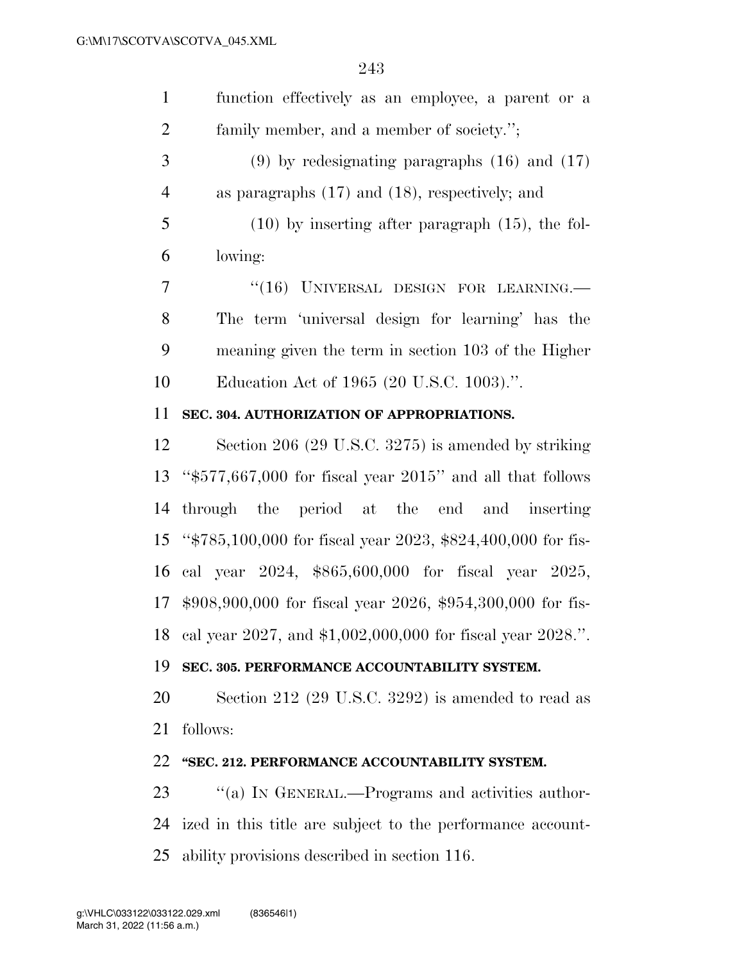| $\mathbf{1}$   | function effectively as an employee, a parent or a                              |
|----------------|---------------------------------------------------------------------------------|
| $\overline{2}$ | family member, and a member of society.";                                       |
| 3              | $(9)$ by redesignating paragraphs $(16)$ and $(17)$                             |
| $\overline{4}$ | as paragraphs $(17)$ and $(18)$ , respectively; and                             |
| 5              | $(10)$ by inserting after paragraph $(15)$ , the fol-                           |
| 6              | lowing:                                                                         |
| 7              | "(16) UNIVERSAL DESIGN FOR LEARNING.                                            |
| 8              | The term 'universal design for learning' has the                                |
| 9              | meaning given the term in section 103 of the Higher                             |
| 10             | Education Act of 1965 (20 U.S.C. 1003).".                                       |
| 11             | SEC. 304. AUTHORIZATION OF APPROPRIATIONS.                                      |
| 12             | Section 206 (29 U.S.C. 3275) is amended by striking                             |
|                | 13 " $$577,667,000$ for fiscal year 2015" and all that follows                  |
|                | 14 through the period at the end and inserting                                  |
|                | $15\frac{44785100000}{25}$ for fiscal year 2023 $\frac{4824400000}{25}$ for fis |

 ''\$785,100,000 for fiscal year 2023, \$824,400,000 for fis- cal year 2024, \$865,600,000 for fiscal year 2025, \$908,900,000 for fiscal year 2026, \$954,300,000 for fis-cal year 2027, and \$1,002,000,000 for fiscal year 2028.''.

### **SEC. 305. PERFORMANCE ACCOUNTABILITY SYSTEM.**

 Section 212 (29 U.S.C. 3292) is amended to read as follows:

### **''SEC. 212. PERFORMANCE ACCOUNTABILITY SYSTEM.**

23 "(a) IN GENERAL.—Programs and activities author- ized in this title are subject to the performance account-ability provisions described in section 116.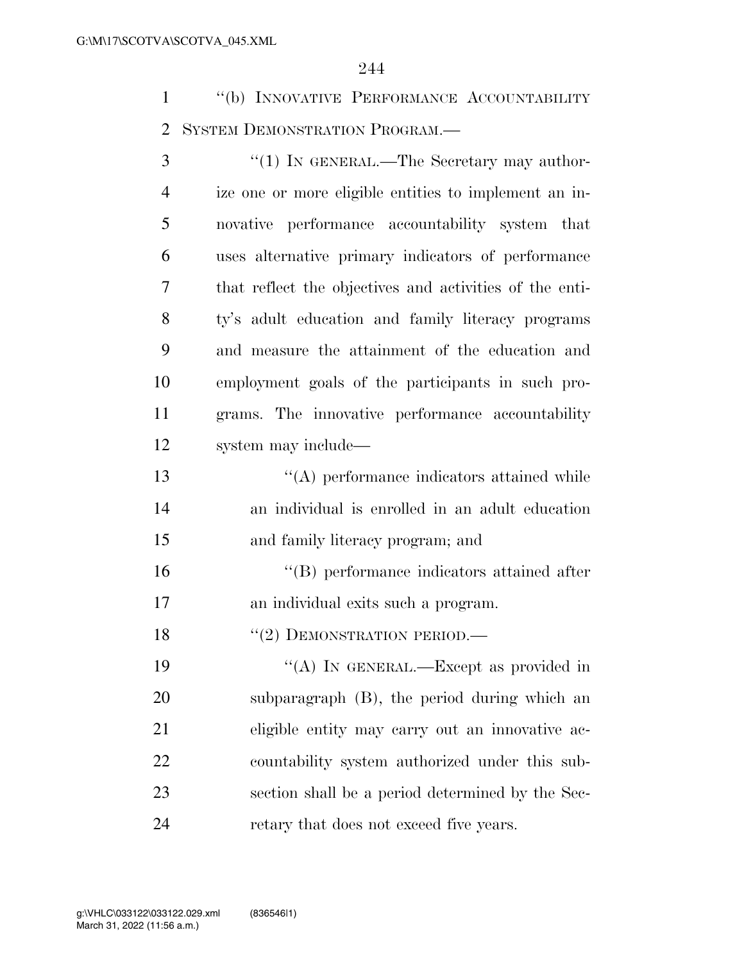''(b) INNOVATIVE PERFORMANCE ACCOUNTABILITY SYSTEM DEMONSTRATION PROGRAM.—

3 "(1) IN GENERAL.—The Secretary may author- ize one or more eligible entities to implement an in- novative performance accountability system that uses alternative primary indicators of performance that reflect the objectives and activities of the enti- ty's adult education and family literacy programs and measure the attainment of the education and employment goals of the participants in such pro- grams. The innovative performance accountability system may include— ''(A) performance indicators attained while an individual is enrolled in an adult education and family literacy program; and ''(B) performance indicators attained after an individual exits such a program.

18 "(2) DEMONSTRATION PERIOD.—

19 "(A) IN GENERAL.—Except as provided in subparagraph (B), the period during which an eligible entity may carry out an innovative ac- countability system authorized under this sub- section shall be a period determined by the Sec-retary that does not exceed five years.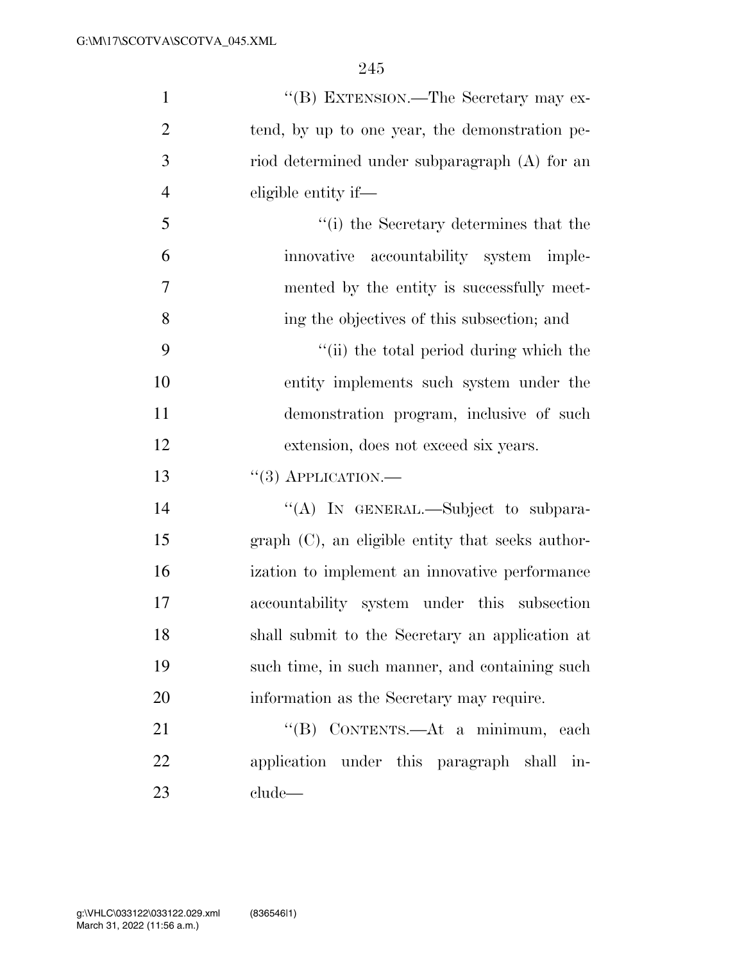| $\mathbf{1}$   | "(B) EXTENSION.—The Secretary may ex-                 |
|----------------|-------------------------------------------------------|
| $\overline{2}$ | tend, by up to one year, the demonstration pe-        |
| 3              | riod determined under subparagraph (A) for an         |
| $\overline{4}$ | eligible entity if—                                   |
| 5              | "(i) the Secretary determines that the                |
| 6              | innovative accountability system imple-               |
| 7              | mented by the entity is successfully meet-            |
| 8              | ing the objectives of this subsection; and            |
| 9              | "(ii) the total period during which the               |
| 10             | entity implements such system under the               |
| 11             | demonstration program, inclusive of such              |
| 12             | extension, does not exceed six years.                 |
| 13             | $``(3)$ APPLICATION.—                                 |
| 14             | "(A) IN GENERAL.—Subject to subpara-                  |
| 15             | $graph$ $(C)$ , an eligible entity that seeks author- |
| 16             | ization to implement an innovative performance        |
| 17             | accountability system under this subsection           |
| 18             | shall submit to the Secretary an application at       |
| 19             | such time, in such manner, and containing such        |
| 20             | information as the Secretary may require.             |
| 21             | "(B) CONTENTS.—At a minimum, each                     |
| 22             | application under this paragraph shall in-            |
| 23             | clude—                                                |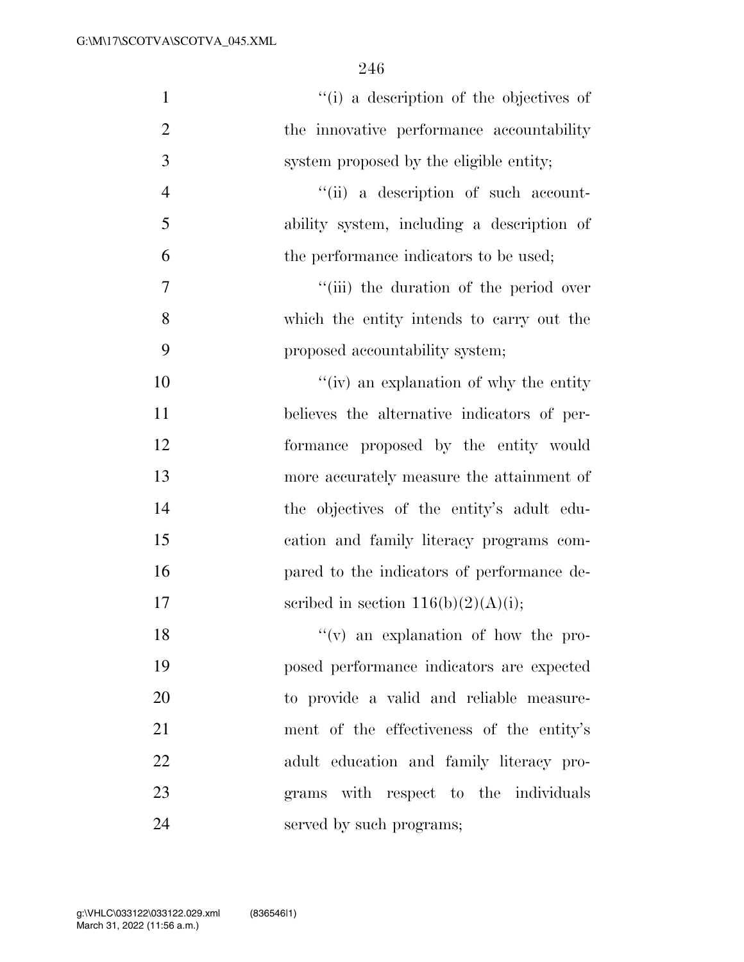| $\mathbf{1}$   | "(i) a description of the objectives of     |
|----------------|---------------------------------------------|
| $\overline{2}$ | the innovative performance accountability   |
| 3              | system proposed by the eligible entity;     |
| $\overline{4}$ | "(ii) a description of such account-        |
| 5              | ability system, including a description of  |
| 6              | the performance indicators to be used;      |
| 7              | "(iii) the duration of the period over      |
| 8              | which the entity intends to carry out the   |
| 9              | proposed accountability system;             |
| 10             | "(iv) an explanation of why the entity      |
| 11             | believes the alternative indicators of per- |
| 12             | formance proposed by the entity would       |
| 13             | more accurately measure the attainment of   |
| 14             | the objectives of the entity's adult edu-   |
| 15             | cation and family literacy programs com-    |
| 16             | pared to the indicators of performance de-  |
| 17             | scribed in section $116(b)(2)(A)(i);$       |
| 18             | $f'(v)$ an explanation of how the pro-      |
| 19             | posed performance indicators are expected   |
| 20             | to provide a valid and reliable measure-    |
| 21             | ment of the effectiveness of the entity's   |
| 22             | adult education and family literacy pro-    |
| 23             | grams with respect to the individuals       |
| 24             | served by such programs;                    |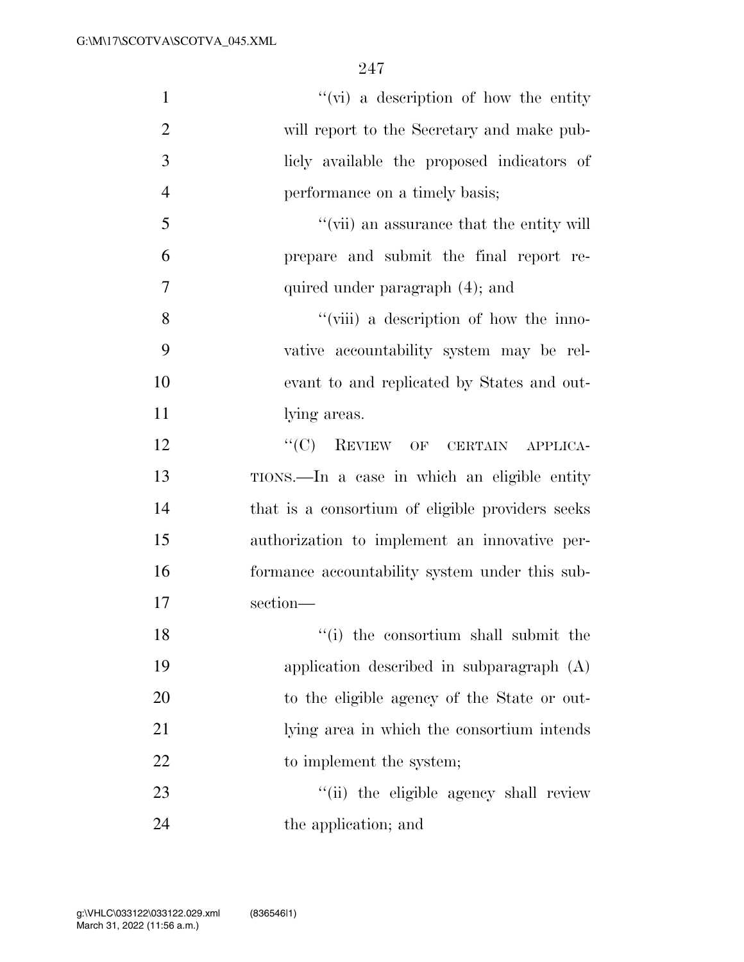| $\mathbf{1}$   | $\lq\lq$ (vi) a description of how the entity    |
|----------------|--------------------------------------------------|
| $\overline{2}$ | will report to the Secretary and make pub-       |
| 3              | liely available the proposed indicators of       |
| $\overline{4}$ | performance on a timely basis;                   |
| 5              | "(vii) an assurance that the entity will         |
| 6              | prepare and submit the final report re-          |
| 7              | quired under paragraph (4); and                  |
| 8              | "(viii) a description of how the inno-           |
| 9              | vative accountability system may be rel-         |
| 10             | evant to and replicated by States and out-       |
| 11             | lying areas.                                     |
| 12             | "(C) REVIEW OF CERTAIN APPLICA-                  |
| 13             | TIONS.—In a case in which an eligible entity     |
| 14             | that is a consortium of eligible providers seeks |
| 15             | authorization to implement an innovative per-    |
| 16             | formance accountability system under this sub-   |
| 17             | section-                                         |
| 18             | "(i) the consortium shall submit the             |
| 19             | application described in subparagraph (A)        |
| 20             | to the eligible agency of the State or out-      |
| 21             | lying area in which the consortium intends       |
| 22             | to implement the system;                         |
| 23             | "(ii) the eligible agency shall review           |
| 24             | the application; and                             |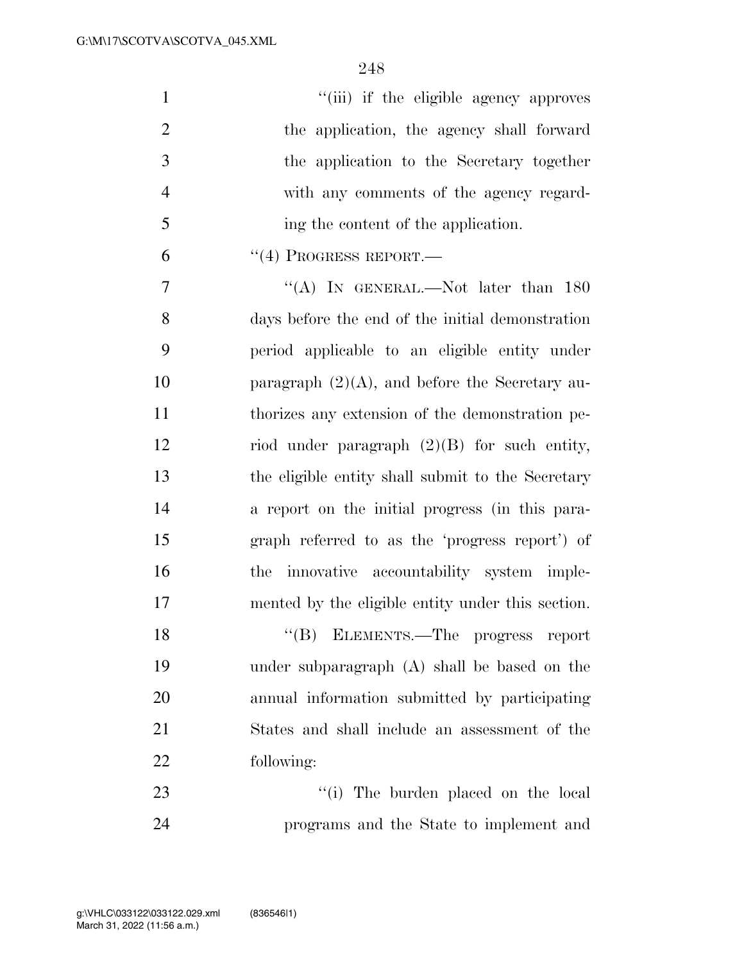| $\mathbf{1}$   | "(iii) if the eligible agency approves            |
|----------------|---------------------------------------------------|
| $\overline{2}$ | the application, the agency shall forward         |
| 3              | the application to the Secretary together         |
| $\overline{4}$ | with any comments of the agency regard-           |
| 5              | ing the content of the application.               |
| 6              | $``(4)$ PROGRESS REPORT.—                         |
| 7              | "(A) IN GENERAL.—Not later than $180$             |
| 8              | days before the end of the initial demonstration  |
| 9              | period applicable to an eligible entity under     |
| 10             | paragraph $(2)(A)$ , and before the Secretary au- |
| 11             | thorizes any extension of the demonstration pe-   |
| 12             | riod under paragraph $(2)(B)$ for such entity,    |
| 13             | the eligible entity shall submit to the Secretary |
| 14             | a report on the initial progress (in this para-   |
| 15             | graph referred to as the 'progress report') of    |
| 16             | innovative accountability system imple-<br>the    |
| 17             | mented by the eligible entity under this section. |
| 18             | "(B) ELEMENTS.—The progress report                |
| 19             | under subparagraph (A) shall be based on the      |
| 20             | annual information submitted by participating     |
| 21             | States and shall include an assessment of the     |
| 22             | following:                                        |
| 23             | "(i) The burden placed on the local               |
| 24             | programs and the State to implement and           |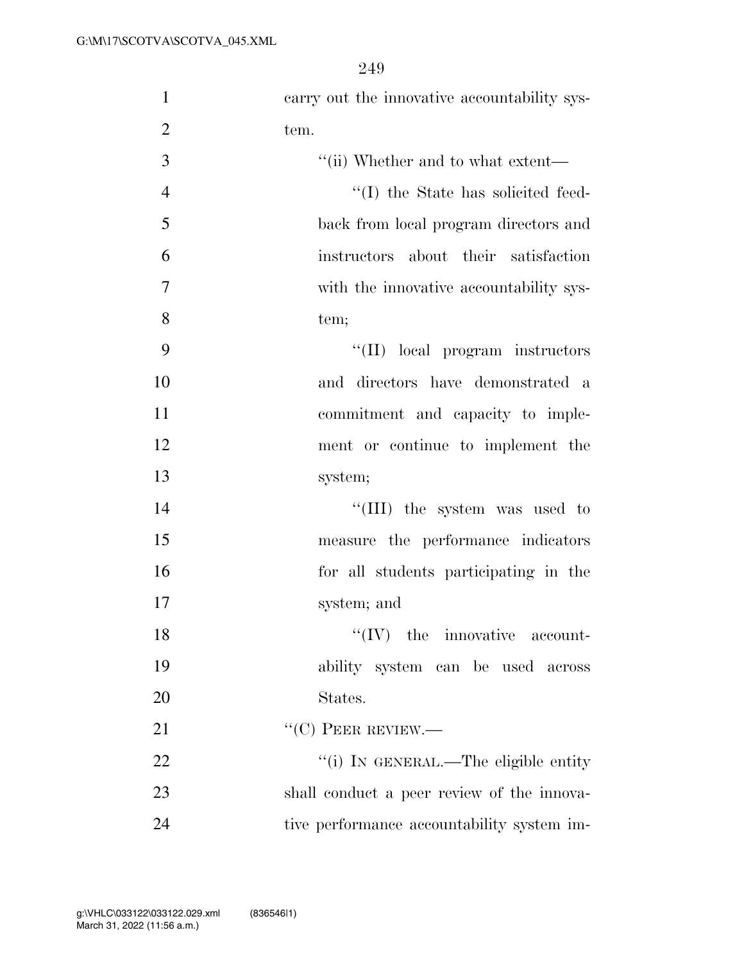| $\mathbf{1}$   | carry out the innovative accountability sys- |
|----------------|----------------------------------------------|
| $\overline{2}$ | tem.                                         |
| 3              | $``$ (ii) Whether and to what extent—        |
| $\overline{4}$ | "(I) the State has solicited feed-           |
| 5              | back from local program directors and        |
| 6              | instructors about their satisfaction         |
| $\overline{7}$ | with the innovative accountability sys-      |
| 8              | tem;                                         |
| 9              | "(II) local program instructors              |
| 10             | and directors have demonstrated a            |
| 11             | commitment and capacity to imple-            |
| 12             | ment or continue to implement the            |
| 13             | system;                                      |
| 14             | "(III) the system was used to                |
| 15             | measure the performance indicators           |
| 16             | for all students participating in the        |
| 17             | system; and                                  |
| 18             | $\lq\lq$ (IV) the innovative account-        |
| 19             | ability system can be used across            |
| 20             | States.                                      |
| 21             | $``(C)$ PEER REVIEW.—                        |
| 22             | "(i) IN GENERAL.—The eligible entity         |
| 23             | shall conduct a peer review of the innova-   |
| 24             | tive performance accountability system im-   |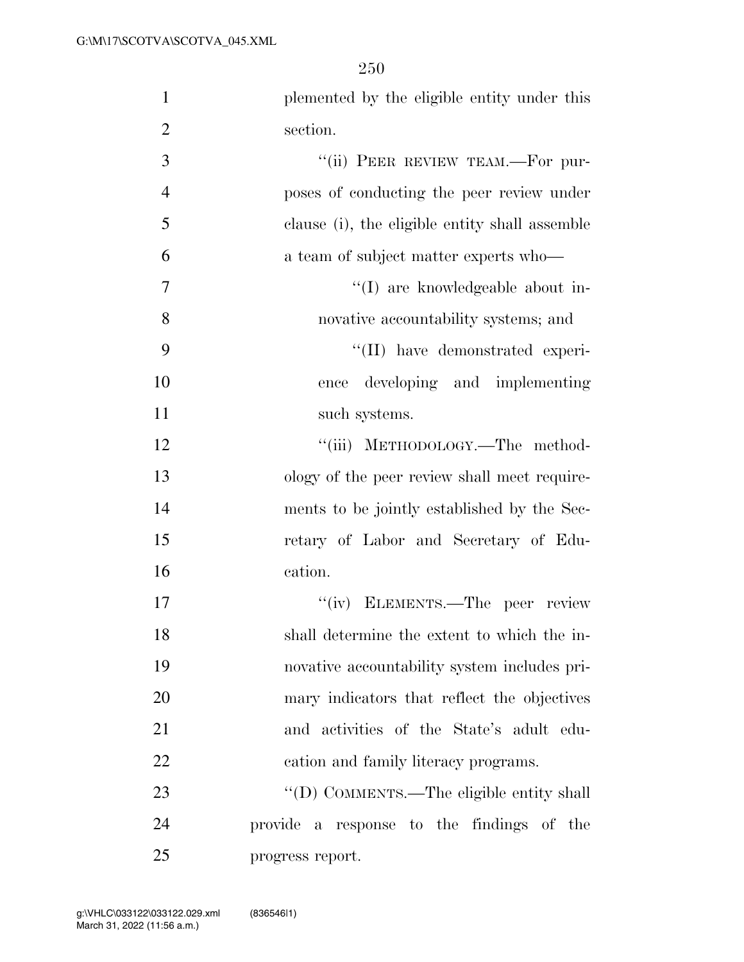plemented by the eligible entity under this section.

| 3              | "(ii) PEER REVIEW TEAM.—For pur-               |
|----------------|------------------------------------------------|
| $\overline{4}$ | poses of conducting the peer review under      |
| 5              | clause (i), the eligible entity shall assemble |
| 6              | a team of subject matter experts who—          |
| 7              | "(I) are knowledgeable about in-               |
| 8              | novative accountability systems; and           |
| 9              | "(II) have demonstrated experi-                |
| 10             | ence developing and implementing               |
| 11             | such systems.                                  |
| 12             | "(iii) METHODOLOGY.—The method-                |
| 13             | ology of the peer review shall meet require-   |
| 14             | ments to be jointly established by the Sec-    |
| 15             | retary of Labor and Secretary of Edu-          |
| 16             | cation.                                        |
| 17             | "(iv) ELEMENTS.—The peer review                |
| 18             | shall determine the extent to which the in-    |
| 19             | novative accountability system includes pri-   |
| 20             | mary indicators that reflect the objectives    |
| 21             | and activities of the State's adult edu-       |
| 22             | cation and family literacy programs.           |
| 23             | "(D) COMMENTS.—The eligible entity shall       |
| 24             | provide a response to the findings of the      |
| 25             | progress report.                               |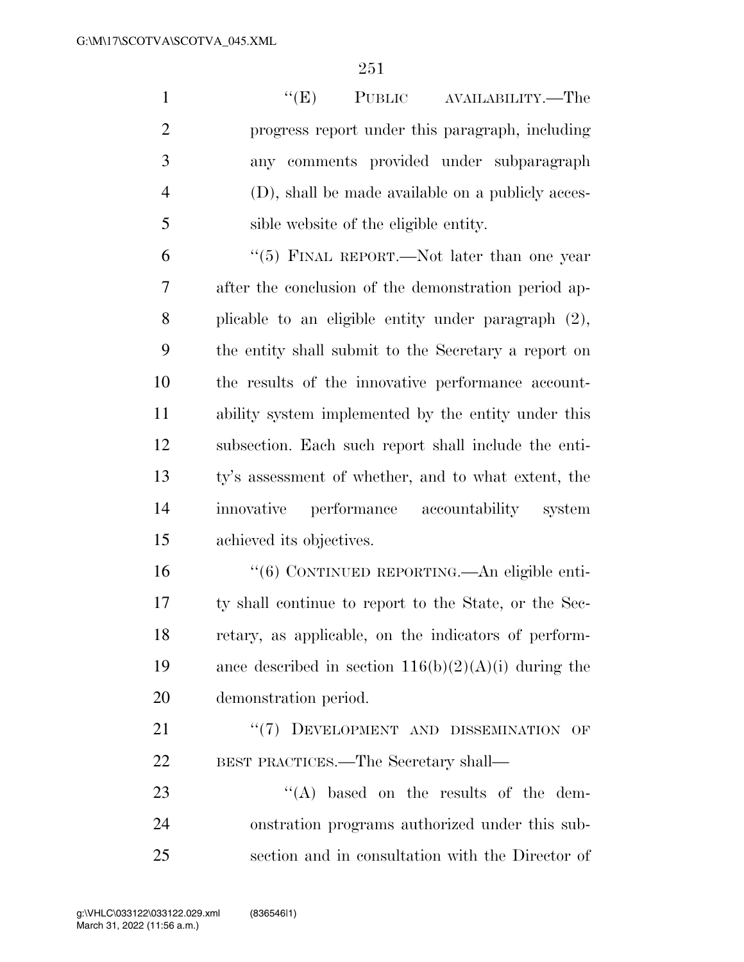1 ''(E) PUBLIC AVAILABILITY.—The progress report under this paragraph, including any comments provided under subparagraph (D), shall be made available on a publicly acces-sible website of the eligible entity.

 ''(5) FINAL REPORT.—Not later than one year after the conclusion of the demonstration period ap- plicable to an eligible entity under paragraph (2), the entity shall submit to the Secretary a report on the results of the innovative performance account- ability system implemented by the entity under this subsection. Each such report shall include the enti- ty's assessment of whether, and to what extent, the innovative performance accountability system achieved its objectives.

 ''(6) CONTINUED REPORTING.—An eligible enti- ty shall continue to report to the State, or the Sec- retary, as applicable, on the indicators of perform-19 ance described in section  $116(b)(2)(A)(i)$  during the demonstration period.

21 "(7) DEVELOPMENT AND DISSEMINATION OF BEST PRACTICES.—The Secretary shall—

23  $\langle (A) \rangle$  based on the results of the dem- onstration programs authorized under this sub-section and in consultation with the Director of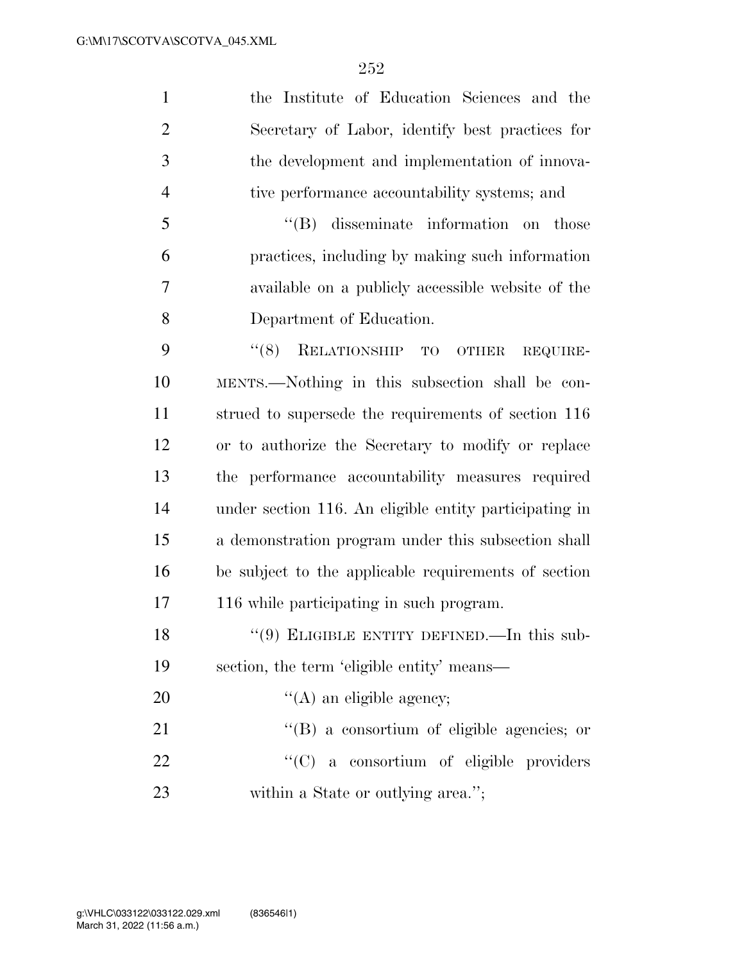| $\mathbf{1}$   | the Institute of Education Sciences and the            |
|----------------|--------------------------------------------------------|
| $\overline{2}$ | Secretary of Labor, identify best practices for        |
| 3              | the development and implementation of innova-          |
| $\overline{4}$ | tive performance accountability systems; and           |
| 5              | "(B) disseminate information on those                  |
| 6              | practices, including by making such information        |
| 7              | available on a publicly accessible website of the      |
| 8              | Department of Education.                               |
| 9              | RELATIONSHIP TO OTHER<br>(8)<br>REQUIRE-               |
| 10             | MENTS.—Nothing in this subsection shall be con-        |
| 11             | strued to supersede the requirements of section 116    |
| 12             | or to authorize the Secretary to modify or replace     |
| 13             | the performance accountability measures required       |
| 14             | under section 116. An eligible entity participating in |
| 15             | a demonstration program under this subsection shall    |
| 16             | be subject to the applicable requirements of section   |
| 17             | 116 while participating in such program.               |
| 18             | "(9) ELIGIBLE ENTITY DEFINED.—In this sub-             |
| 19             | section, the term 'eligible entity' means—             |
| 20             | $\lq\lq$ (A) an eligible agency;                       |
| 21             | "(B) a consortium of eligible agencies; or             |
| 22             | "(C) a consortium of eligible providers                |
| 23             | within a State or outlying area.";                     |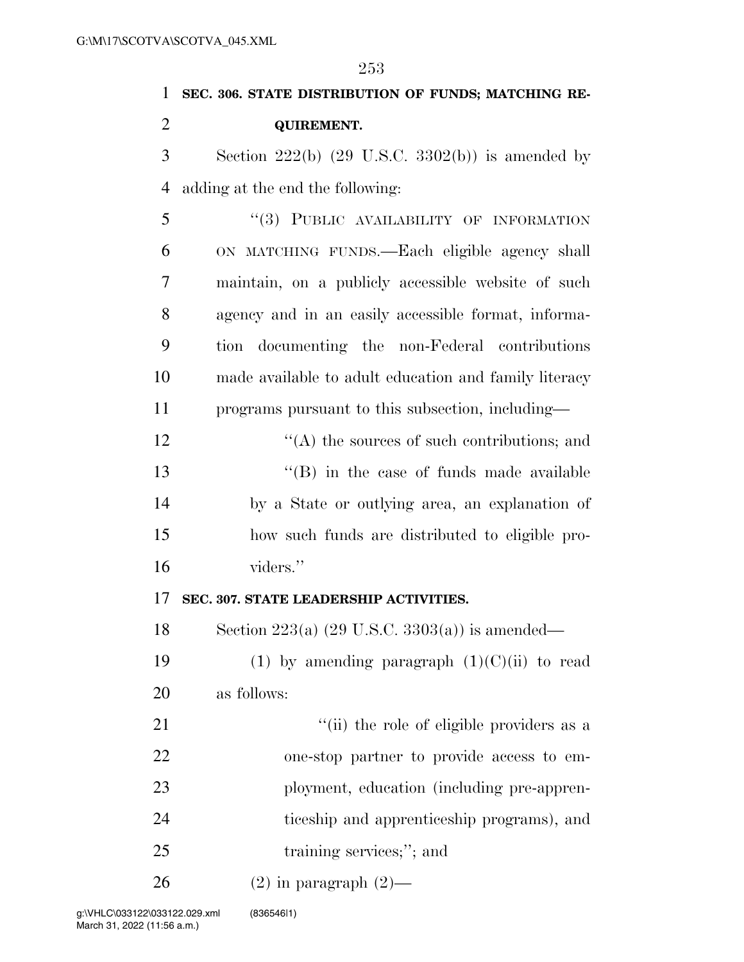| 1              | SEC. 306. STATE DISTRIBUTION OF FUNDS; MATCHING RE-       |
|----------------|-----------------------------------------------------------|
| $\overline{2}$ | <b>QUIREMENT.</b>                                         |
| 3              | Section $222(b)$ (29 U.S.C. 3302(b)) is amended by        |
| $\overline{4}$ | adding at the end the following:                          |
| 5              | "(3) PUBLIC AVAILABILITY OF INFORMATION                   |
| 6              | ON MATCHING FUNDS.—Each eligible agency shall             |
| 7              | maintain, on a publicly accessible website of such        |
| 8              | agency and in an easily accessible format, informa-       |
| 9              | tion documenting the non-Federal contributions            |
| 10             | made available to adult education and family literacy     |
| 11             | programs pursuant to this subsection, including—          |
| 12             | $\lq\lq$ the sources of such contributions; and           |
| 13             | $\lq\lq$ (B) in the case of funds made available          |
| 14             | by a State or outlying area, an explanation of            |
| 15             | how such funds are distributed to eligible pro-           |
| 16             | viders."                                                  |
| 17             | SEC. 307. STATE LEADERSHIP ACTIVITIES.                    |
| 18             | Section 223(a) $(29 \text{ U.S.C. } 3303(a))$ is amended— |
| 19             | (1) by amending paragraph $(1)(C)(ii)$ to read            |
| 20             | as follows:                                               |
| 21             | "(ii) the role of eligible providers as a                 |
| 22             | one-stop partner to provide access to em-                 |
| 23             | ployment, education (including pre-appren-                |
| 24             | ticeship and apprenticeship programs), and                |
| 25             | training services;"; and                                  |
| 26             | $(2)$ in paragraph $(2)$ —                                |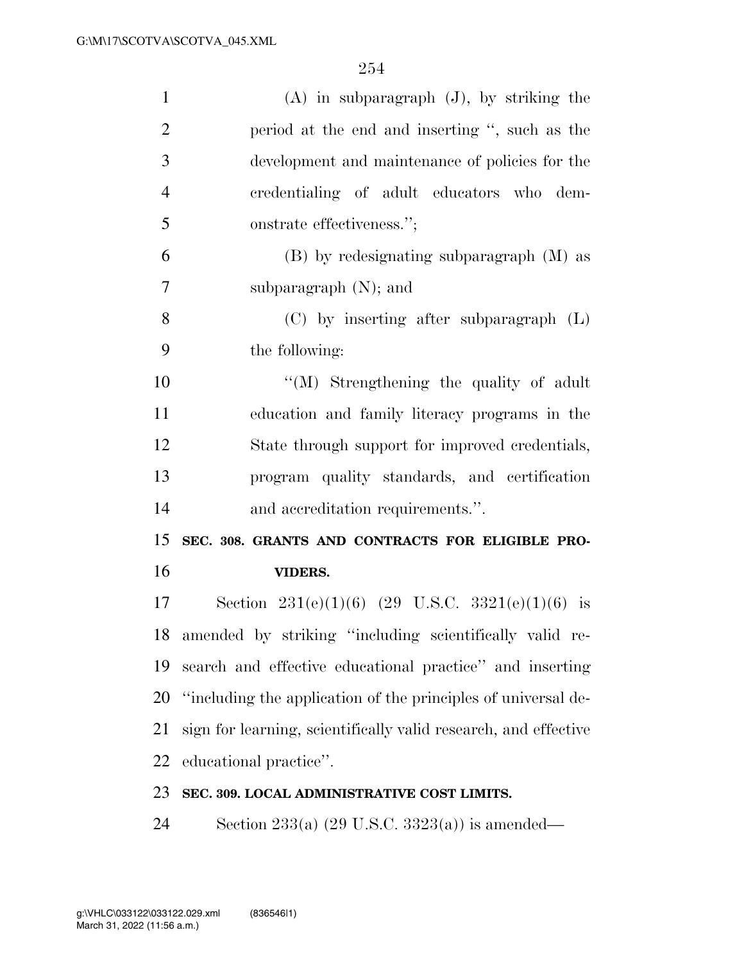| $\mathbf{1}$   | $(A)$ in subparagraph $(J)$ , by striking the                   |
|----------------|-----------------------------------------------------------------|
| $\overline{2}$ | period at the end and inserting ", such as the                  |
| 3              | development and maintenance of policies for the                 |
| $\overline{4}$ | credentialing of adult educators who dem-                       |
| 5              | onstrate effectiveness.";                                       |
| 6              | $(B)$ by redesignating subparagraph $(M)$ as                    |
| 7              | subparagraph $(N)$ ; and                                        |
| 8              | $(C)$ by inserting after subparagraph $(L)$                     |
| 9              | the following:                                                  |
| 10             | $\lq\lq (M)$ Strengthening the quality of adult                 |
| 11             | education and family literacy programs in the                   |
| 12             | State through support for improved credentials,                 |
| 13             | program quality standards, and certification                    |
| 14             | and accreditation requirements.".                               |
| 15             | SEC. 308. GRANTS AND CONTRACTS FOR ELIGIBLE PRO-                |
| 16             | <b>VIDERS.</b>                                                  |
| 17             | Section 231(e)(1)(6) (29 U.S.C. 3321(e)(1)(6) is                |
| 18             | amended by striking "including scientifically valid re-         |
| 19             | search and effective educational practice" and inserting        |
| 20             | "including the application of the principles of universal de-   |
| 21             | sign for learning, scientifically valid research, and effective |
| 22             | educational practice".                                          |
| 23             | SEC. 309. LOCAL ADMINISTRATIVE COST LIMITS.                     |
| 24             |                                                                 |
|                | Section 233(a) $(29 \text{ U.S.C. } 3323(a))$ is amended—       |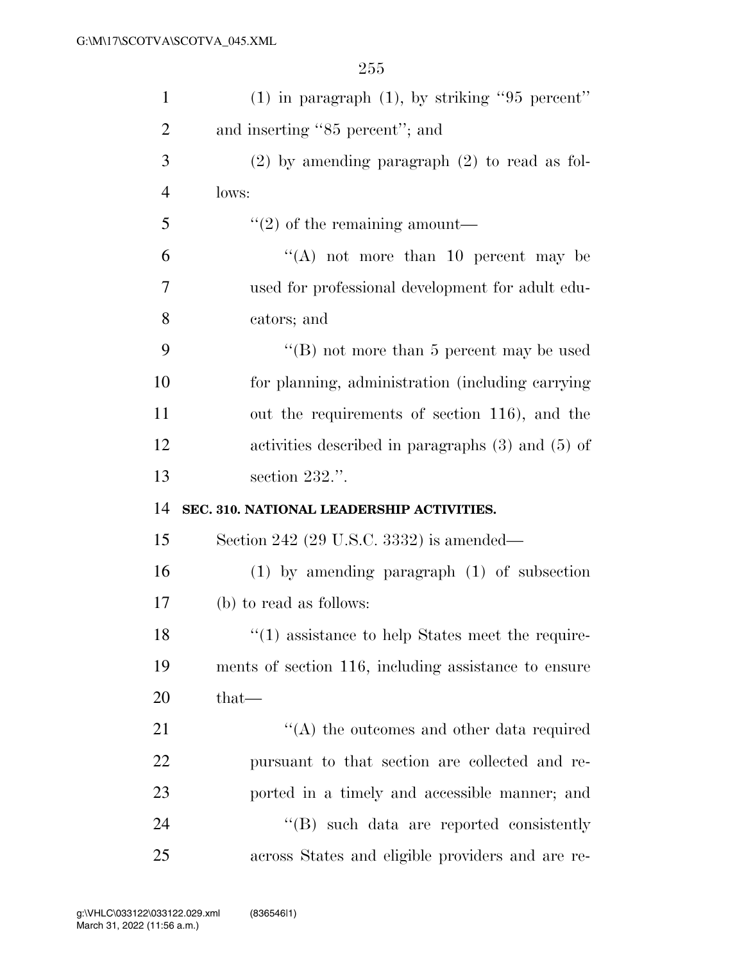| $\mathbf{1}$   | $(1)$ in paragraph $(1)$ , by striking "95 percent"   |
|----------------|-------------------------------------------------------|
| $\overline{2}$ | and inserting "85 percent"; and                       |
| 3              | $(2)$ by amending paragraph $(2)$ to read as fol-     |
| $\overline{4}$ | lows:                                                 |
| 5              | $\lq(2)$ of the remaining amount—                     |
| 6              | "(A) not more than 10 percent may be                  |
| 7              | used for professional development for adult edu-      |
| 8              | cators; and                                           |
| 9              | "(B) not more than $5$ percent may be used            |
| 10             | for planning, administration (including carrying      |
| 11             | out the requirements of section 116), and the         |
| 12             | activities described in paragraphs $(3)$ and $(5)$ of |
| 13             | section 232.".                                        |
| 14             | SEC. 310. NATIONAL LEADERSHIP ACTIVITIES.             |
| 15             | Section 242 (29 U.S.C. 3332) is amended—              |
| 16             | $(1)$ by amending paragraph $(1)$ of subsection       |
| 17             |                                                       |
|                | (b) to read as follows:                               |
| 18             | $\lq(1)$ assistance to help States meet the require-  |
| 19             | ments of section 116, including assistance to ensure  |
| 20             | that—                                                 |
| 21             | $\lq\lq$ the outcomes and other data required         |
| 22             | pursuant to that section are collected and re-        |
| 23             | ported in a timely and accessible manner; and         |
| 24             | $\lq\lq (B)$ such data are reported consistently      |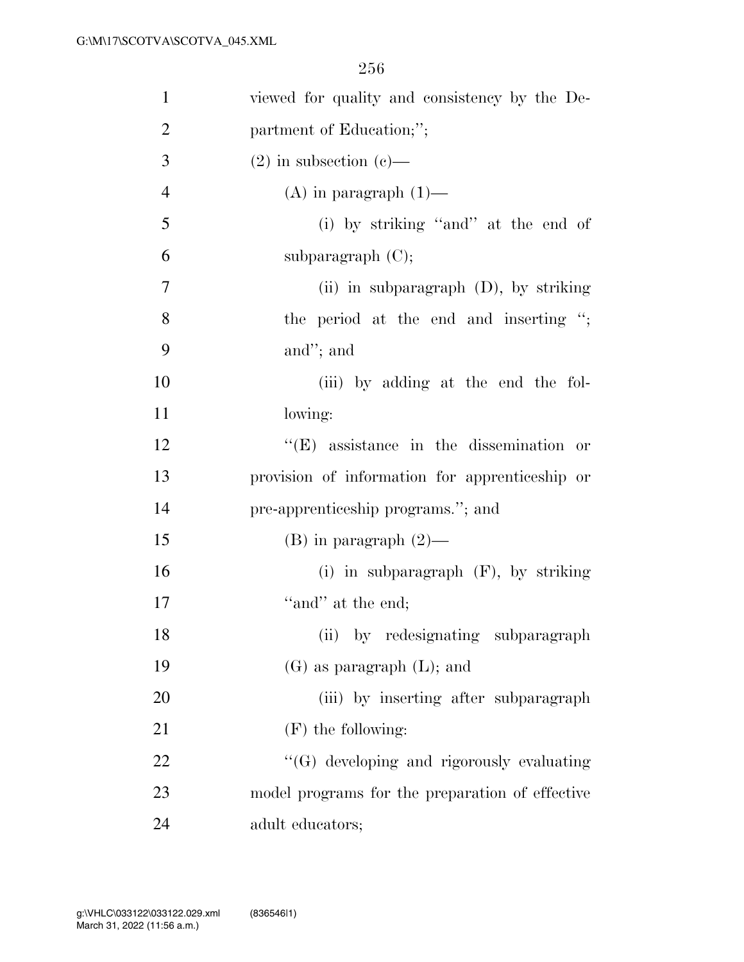| $\mathbf{1}$   | viewed for quality and consistency by the De-    |
|----------------|--------------------------------------------------|
| $\overline{2}$ | partment of Education;";                         |
| 3              | $(2)$ in subsection $(e)$ —                      |
| $\overline{4}$ | $(A)$ in paragraph $(1)$ —                       |
| 5              | (i) by striking "and" at the end of              |
| 6              | subparagraph $(C)$ ;                             |
| $\overline{7}$ | (ii) in subparagraph $(D)$ , by striking         |
| 8              | the period at the end and inserting ";           |
| 9              | and"; and                                        |
| 10             | (iii) by adding at the end the fol-              |
| 11             | lowing:                                          |
| 12             | $\lq\lq$ (E) assistance in the dissemination or  |
| 13             | provision of information for apprenticeship or   |
| 14             | pre-apprenticeship programs."; and               |
| 15             | $(B)$ in paragraph $(2)$ —                       |
| 16             | (i) in subparagraph $(F)$ , by striking          |
| 17             | "and" at the end;                                |
| 18             | (ii) by redesignating subparagraph               |
| 19             | $(G)$ as paragraph $(L)$ ; and                   |
| 20             | (iii) by inserting after subparagraph            |
| 21             | $(F)$ the following:                             |
| 22             | $\lq\lq(G)$ developing and rigorously evaluating |
| 23             | model programs for the preparation of effective  |
| 24             | adult educators;                                 |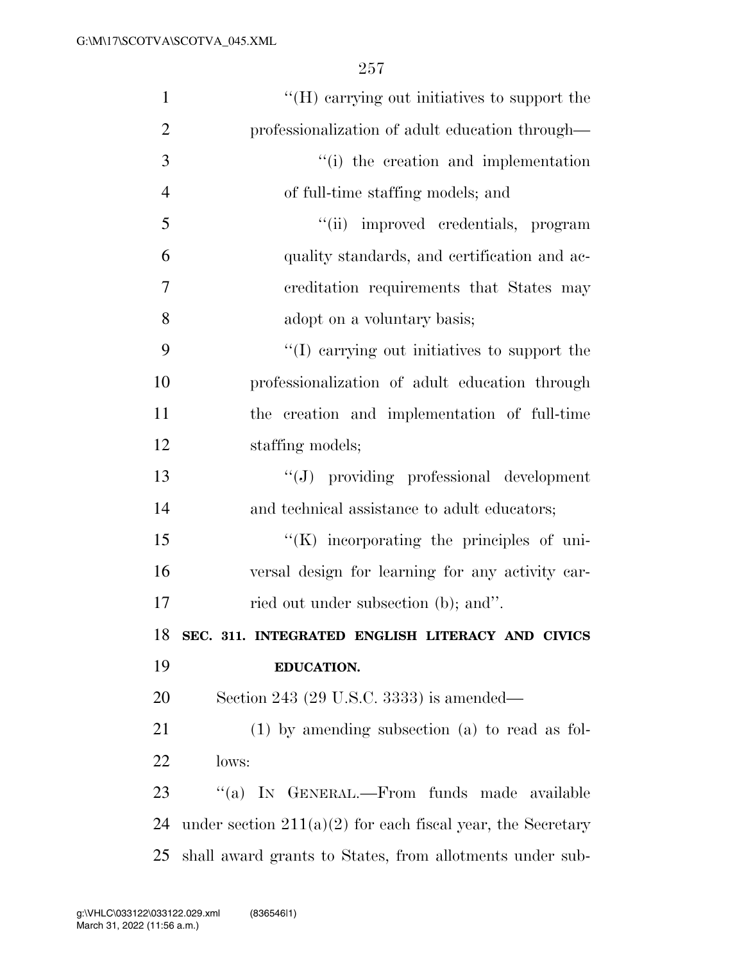| $\mathbf{1}$   | "(H) carrying out initiatives to support the                  |
|----------------|---------------------------------------------------------------|
| $\overline{2}$ | professionalization of adult education through—               |
| 3              | "(i) the creation and implementation                          |
| $\overline{4}$ | of full-time staffing models; and                             |
| 5              | "(ii) improved credentials, program                           |
| 6              | quality standards, and certification and ac-                  |
| 7              | creditation requirements that States may                      |
| 8              | adopt on a voluntary basis;                                   |
| 9              | "(I) carrying out initiatives to support the                  |
| 10             | professionalization of adult education through                |
| 11             | the creation and implementation of full-time                  |
| 12             | staffing models;                                              |
| 13             | "(J) providing professional development                       |
| 14             | and technical assistance to adult educators;                  |
| 15             | "(K) incorporating the principles of uni-                     |
| 16             | versal design for learning for any activity car-              |
| 17             | ried out under subsection (b); and".                          |
| 18             | SEC. 311. INTEGRATED ENGLISH LITERACY AND CIVICS              |
| 19             | <b>EDUCATION.</b>                                             |
| 20             | Section 243 (29 U.S.C. 3333) is amended—                      |
| 21             | $(1)$ by amending subsection $(a)$ to read as fol-            |
| 22             | lows:                                                         |
| 23             | "(a) IN GENERAL.—From funds made available                    |
| 24             | under section $211(a)(2)$ for each fiscal year, the Secretary |
| 25             | shall award grants to States, from allotments under sub-      |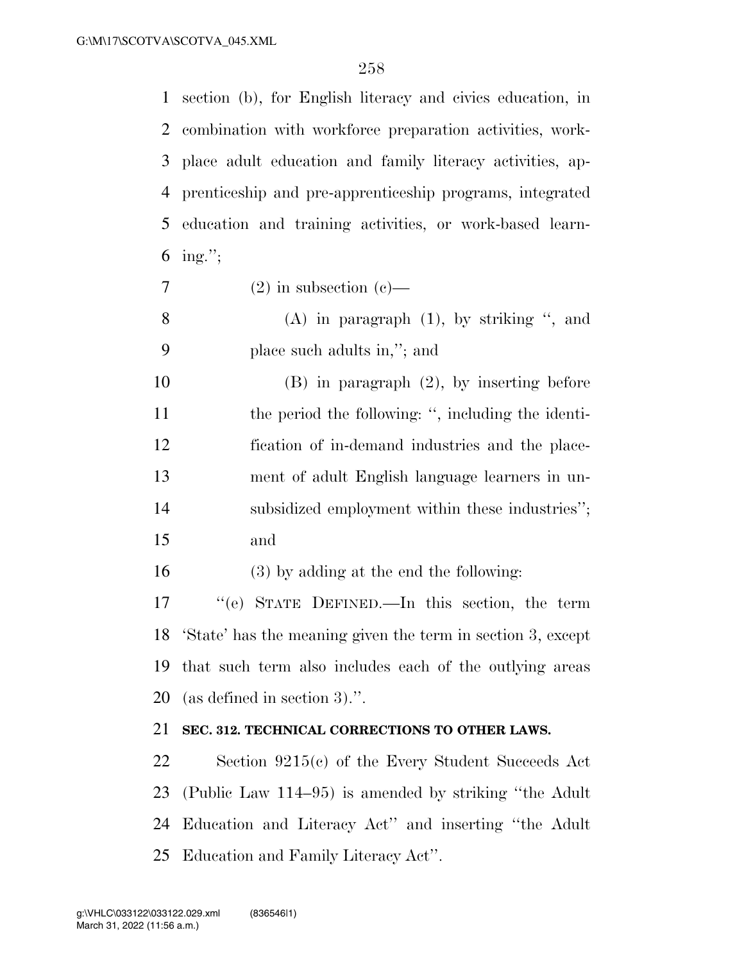section (b), for English literacy and civics education, in combination with workforce preparation activities, work- place adult education and family literacy activities, ap- prenticeship and pre-apprenticeship programs, integrated education and training activities, or work-based learn-6 ing.";

- $7 \t(2)$  in subsection (c)—
- (A) in paragraph (1), by striking '', and place such adults in,''; and

 (B) in paragraph (2), by inserting before 11 the period the following: ", including the identi- fication of in-demand industries and the place- ment of adult English language learners in un- subsidized employment within these industries''; and

(3) by adding at the end the following:

 ''(e) STATE DEFINED.—In this section, the term 'State' has the meaning given the term in section 3, except that such term also includes each of the outlying areas (as defined in section 3).''.

### **SEC. 312. TECHNICAL CORRECTIONS TO OTHER LAWS.**

 Section 9215(c) of the Every Student Succeeds Act (Public Law 114–95) is amended by striking ''the Adult Education and Literacy Act'' and inserting ''the Adult Education and Family Literacy Act''.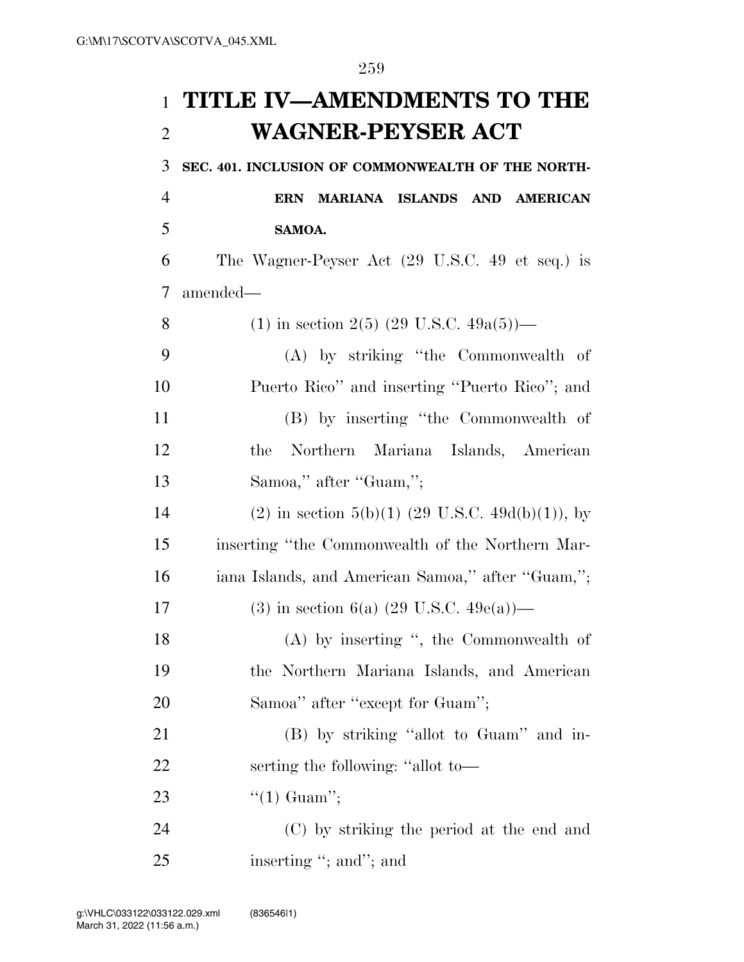# **TITLE IV—AMENDMENTS TO THE WAGNER-PEYSER ACT**

**SEC. 401. INCLUSION OF COMMONWEALTH OF THE NORTH-**

 **ERN MARIANA ISLANDS AND AMERICAN SAMOA.** 

 The Wagner-Peyser Act (29 U.S.C. 49 et seq.) is amended—

| 8  | (1) in section 2(5) (29 U.S.C. 49a(5))—           |
|----|---------------------------------------------------|
| 9  | (A) by striking "the Commonwealth of              |
| 10 | Puerto Rico" and inserting "Puerto Rico"; and     |
| 11 | (B) by inserting "the Commonwealth of             |
| 12 | Northern<br>Mariana Islands, American<br>the      |
| 13 | Samoa," after "Guam,";                            |
| 14 | (2) in section 5(b)(1) (29 U.S.C. 49d(b)(1)), by  |
| 15 | inserting "the Commonwealth of the Northern Mar-  |
| 16 | iana Islands, and American Samoa," after "Guam,"; |
| 17 | (3) in section 6(a) (29 U.S.C. 49e(a))—           |
| 18 | (A) by inserting ", the Commonwealth of           |
| 19 | the Northern Mariana Islands, and American        |
| 20 | Samoa" after "except for Guam";                   |
| 21 | (B) by striking "allot to Guam" and in-           |
| 22 | serting the following: "allot to-                 |
| 23 | $\lq(1)$ Guam";                                   |
| 24 | (C) by striking the period at the end and         |
| 25 | inserting "; and"; and                            |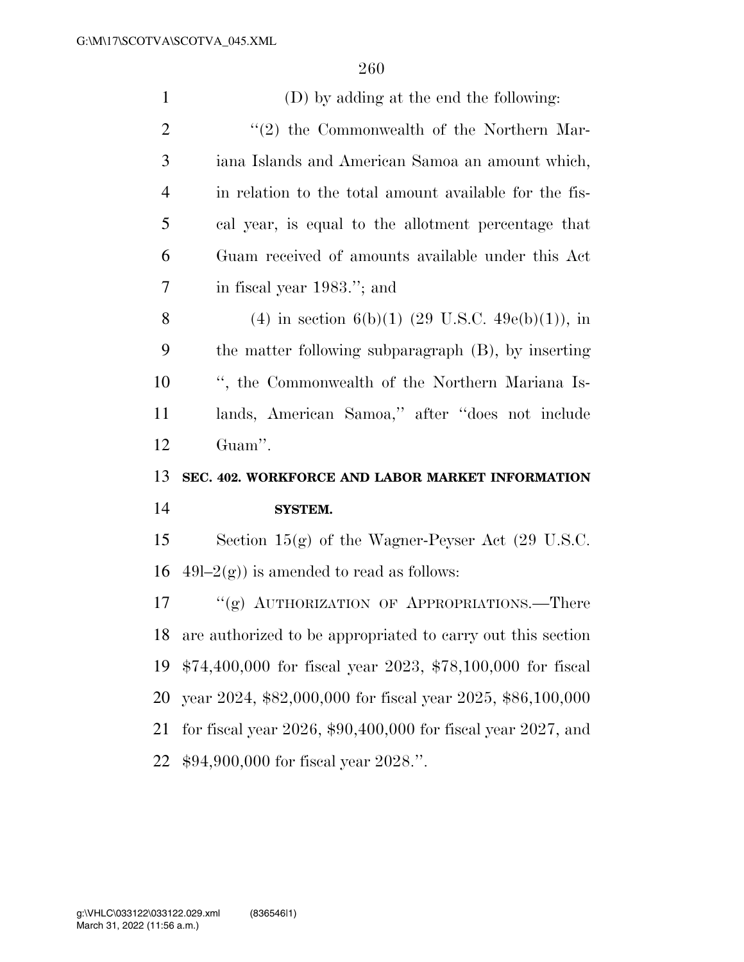| $\mathbf{1}$   | (D) by adding at the end the following:                            |
|----------------|--------------------------------------------------------------------|
| $\overline{2}$ | $\lq(2)$ the Commonwealth of the Northern Mar-                     |
| 3              | iana Islands and American Samoa an amount which,                   |
| $\overline{4}$ | in relation to the total amount available for the fis-             |
| 5              | cal year, is equal to the allotment percentage that                |
| 6              | Guam received of amounts available under this Act                  |
| 7              | in fiscal year 1983."; and                                         |
| 8              | (4) in section 6(b)(1) (29 U.S.C. 49e(b)(1)), in                   |
| 9              | the matter following subparagraph (B), by inserting                |
| 10             | ", the Commonwealth of the Northern Mariana Is-                    |
| 11             | lands, American Samoa," after "does not include                    |
|                |                                                                    |
| 12             | Guam".                                                             |
| 13             | SEC. 402. WORKFORCE AND LABOR MARKET INFORMATION                   |
| 14             | <b>SYSTEM.</b>                                                     |
| 15             | Section $15(g)$ of the Wagner-Peyser Act (29 U.S.C.                |
| 16             | $49l-2(g)$ ) is amended to read as follows:                        |
| 17             | "(g) AUTHORIZATION OF APPROPRIATIONS.—There                        |
| 18             | are authorized to be appropriated to carry out this section        |
| 19             | $$74,400,000$ for fiscal year 2023, $$78,100,000$ for fiscal       |
| 20             | year 2024, \$82,000,000 for fiscal year 2025, \$86,100,000         |
| 21             | for fiscal year $2026$ , \$90,400,000 for fiscal year $2027$ , and |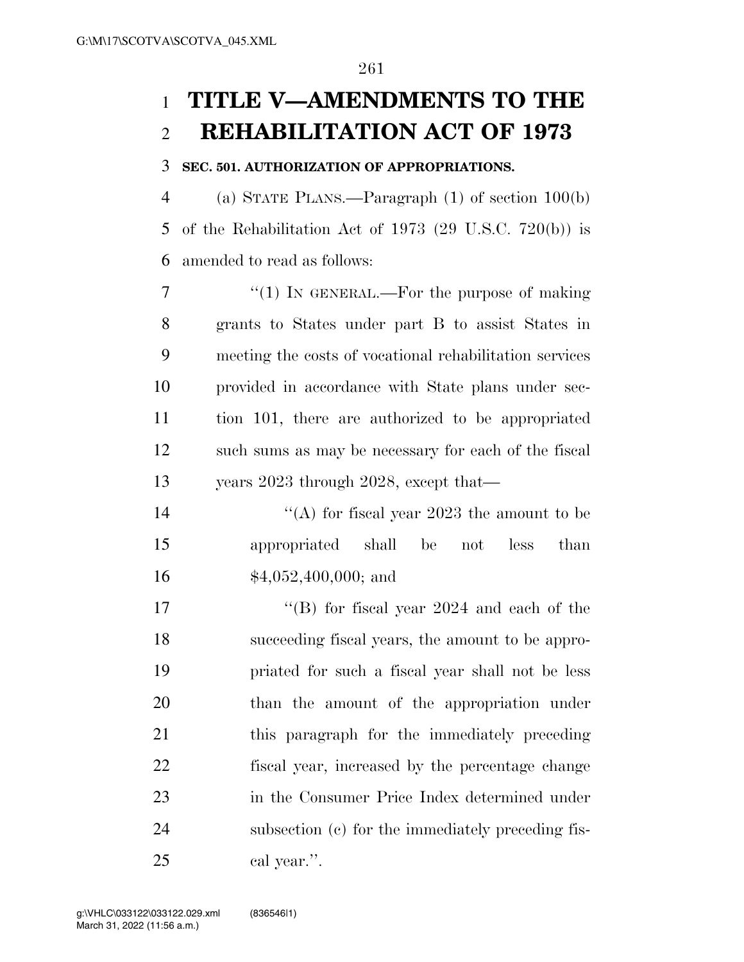# **TITLE V—AMENDMENTS TO THE REHABILITATION ACT OF 1973**

## **SEC. 501. AUTHORIZATION OF APPROPRIATIONS.**

 (a) STATE PLANS.—Paragraph (1) of section 100(b) of the Rehabilitation Act of 1973 (29 U.S.C. 720(b)) is amended to read as follows:

7 "(1) In GENERAL.—For the purpose of making grants to States under part B to assist States in meeting the costs of vocational rehabilitation services provided in accordance with State plans under sec- tion 101, there are authorized to be appropriated such sums as may be necessary for each of the fiscal years 2023 through 2028, except that—

14  $\langle (A)$  for fiscal year 2023 the amount to be appropriated shall be not less than \$4,052,400,000; and

17 ''(B) for fiscal year 2024 and each of the succeeding fiscal years, the amount to be appro- priated for such a fiscal year shall not be less than the amount of the appropriation under this paragraph for the immediately preceding fiscal year, increased by the percentage change in the Consumer Price Index determined under subsection (c) for the immediately preceding fis-cal year.''.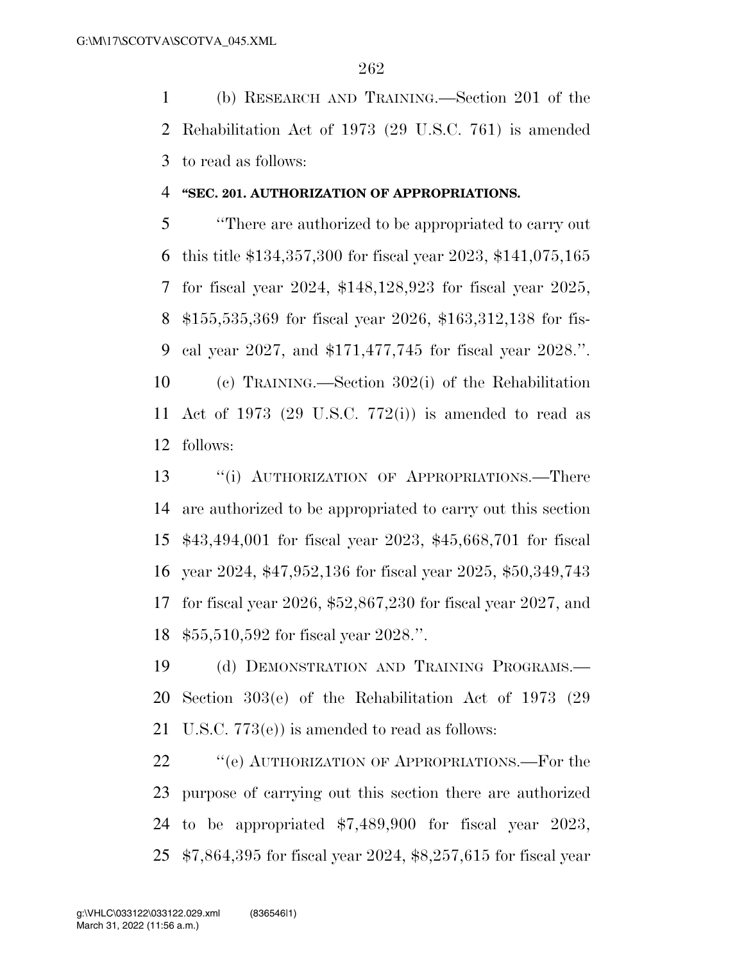(b) RESEARCH AND TRAINING.—Section 201 of the Rehabilitation Act of 1973 (29 U.S.C. 761) is amended to read as follows:

### **''SEC. 201. AUTHORIZATION OF APPROPRIATIONS.**

 ''There are authorized to be appropriated to carry out this title \$134,357,300 for fiscal year 2023, \$141,075,165 for fiscal year 2024, \$148,128,923 for fiscal year 2025, \$155,535,369 for fiscal year 2026, \$163,312,138 for fis- cal year 2027, and \$171,477,745 for fiscal year 2028.''. (c) TRAINING.—Section 302(i) of the Rehabilitation Act of 1973 (29 U.S.C. 772(i)) is amended to read as follows:

 ''(i) AUTHORIZATION OF APPROPRIATIONS.—There are authorized to be appropriated to carry out this section \$43,494,001 for fiscal year 2023, \$45,668,701 for fiscal year 2024, \$47,952,136 for fiscal year 2025, \$50,349,743 for fiscal year 2026, \$52,867,230 for fiscal year 2027, and \$55,510,592 for fiscal year 2028.''.

 (d) DEMONSTRATION AND TRAINING PROGRAMS.— Section 303(e) of the Rehabilitation Act of 1973 (29 U.S.C. 773(e)) is amended to read as follows:

22 "
(e) AUTHORIZATION OF APPROPRIATIONS. For the purpose of carrying out this section there are authorized to be appropriated \$7,489,900 for fiscal year 2023, \$7,864,395 for fiscal year 2024, \$8,257,615 for fiscal year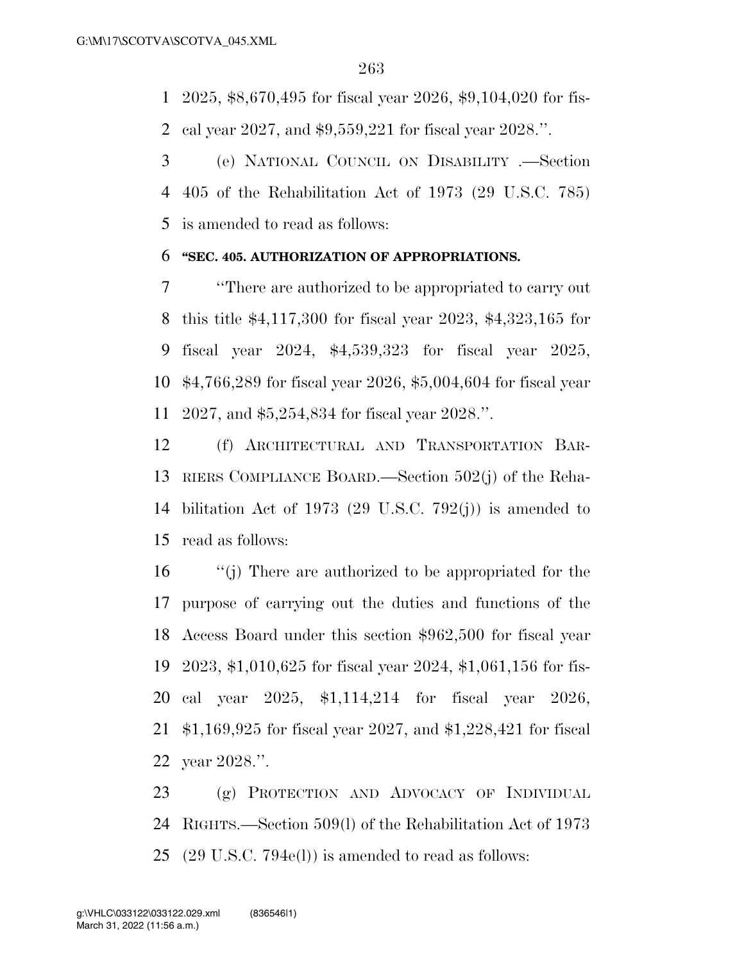2025, \$8,670,495 for fiscal year 2026, \$9,104,020 for fis-cal year 2027, and \$9,559,221 for fiscal year 2028.''.

 (e) NATIONAL COUNCIL ON DISABILITY .—Section 405 of the Rehabilitation Act of 1973 (29 U.S.C. 785) is amended to read as follows:

#### **''SEC. 405. AUTHORIZATION OF APPROPRIATIONS.**

 ''There are authorized to be appropriated to carry out this title \$4,117,300 for fiscal year 2023, \$4,323,165 for fiscal year 2024, \$4,539,323 for fiscal year 2025, \$4,766,289 for fiscal year 2026, \$5,004,604 for fiscal year 2027, and \$5,254,834 for fiscal year 2028.''.

 (f) ARCHITECTURAL AND TRANSPORTATION BAR- RIERS COMPLIANCE BOARD.—Section 502(j) of the Reha- bilitation Act of 1973 (29 U.S.C. 792(j)) is amended to read as follows:

 ''(j) There are authorized to be appropriated for the purpose of carrying out the duties and functions of the Access Board under this section \$962,500 for fiscal year 2023, \$1,010,625 for fiscal year 2024, \$1,061,156 for fis- cal year 2025, \$1,114,214 for fiscal year 2026, \$1,169,925 for fiscal year 2027, and \$1,228,421 for fiscal year 2028.''.

 (g) PROTECTION AND ADVOCACY OF INDIVIDUAL RIGHTS.—Section 509(l) of the Rehabilitation Act of 1973 (29 U.S.C. 794e(l)) is amended to read as follows: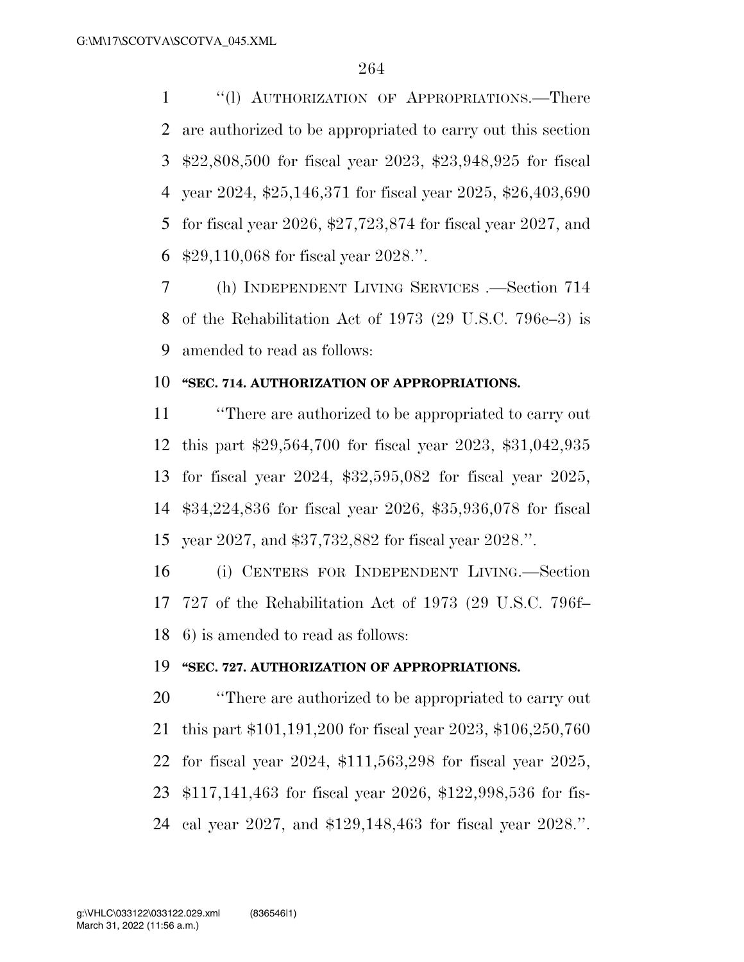''(l) AUTHORIZATION OF APPROPRIATIONS.—There are authorized to be appropriated to carry out this section \$22,808,500 for fiscal year 2023, \$23,948,925 for fiscal year 2024, \$25,146,371 for fiscal year 2025, \$26,403,690 for fiscal year 2026, \$27,723,874 for fiscal year 2027, and \$29,110,068 for fiscal year 2028.''.

 (h) INDEPENDENT LIVING SERVICES .—Section 714 of the Rehabilitation Act of 1973 (29 U.S.C. 796e–3) is amended to read as follows:

### **''SEC. 714. AUTHORIZATION OF APPROPRIATIONS.**

 ''There are authorized to be appropriated to carry out this part \$29,564,700 for fiscal year 2023, \$31,042,935 for fiscal year 2024, \$32,595,082 for fiscal year 2025, \$34,224,836 for fiscal year 2026, \$35,936,078 for fiscal year 2027, and \$37,732,882 for fiscal year 2028.''.

 (i) CENTERS FOR INDEPENDENT LIVING.—Section 727 of the Rehabilitation Act of 1973 (29 U.S.C. 796f– 6) is amended to read as follows:

#### **''SEC. 727. AUTHORIZATION OF APPROPRIATIONS.**

 ''There are authorized to be appropriated to carry out this part \$101,191,200 for fiscal year 2023, \$106,250,760 for fiscal year 2024, \$111,563,298 for fiscal year 2025, \$117,141,463 for fiscal year 2026, \$122,998,536 for fis-cal year 2027, and \$129,148,463 for fiscal year 2028.''.